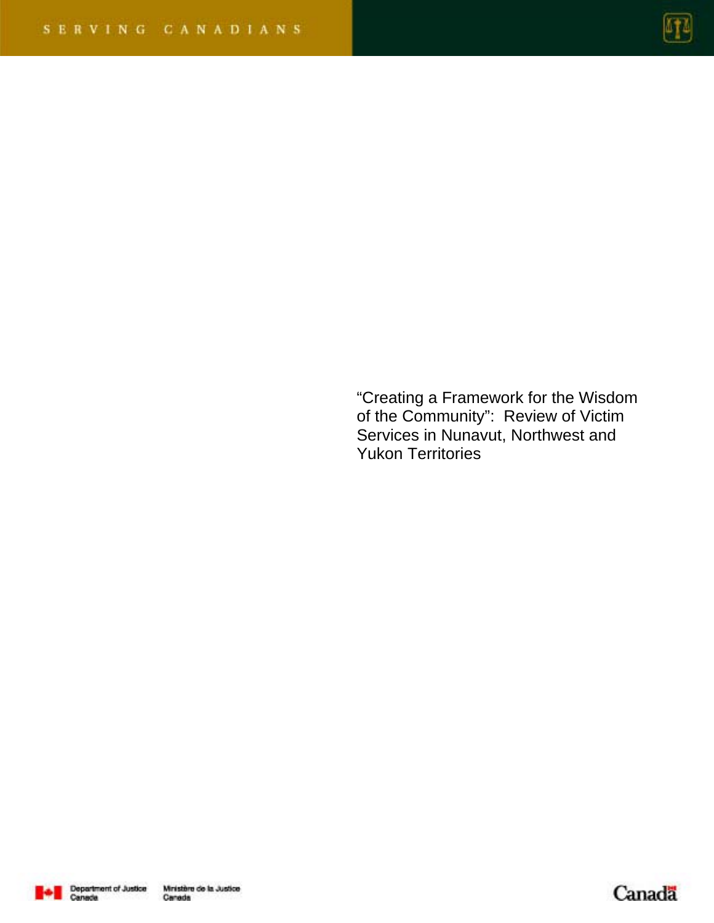

"Creating a Framework for the Wisdom of the Community": Review of Victim Services in Nunavut, Northwest and Yukon Territories



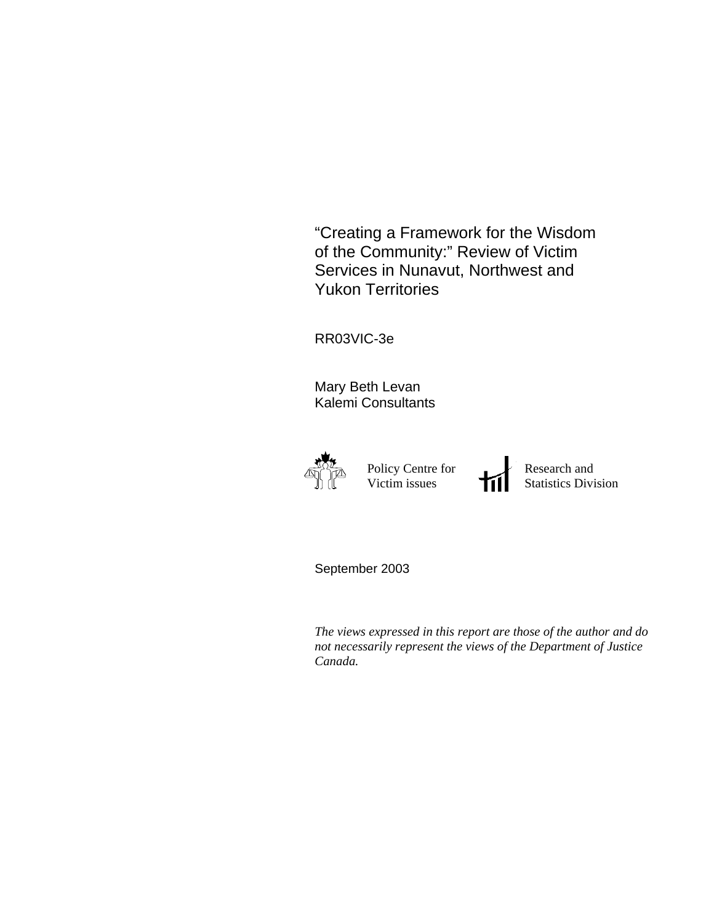"Creating a Framework for the Wisdom of the Community:" Review of Victim Services in Nunavut, Northwest and Yukon Territories

RR03VIC-3e

Mary Beth Levan Kalemi Consultants



 Policy Centre for Victim issues

 $\blacktriangleright$  Research and Statistics Division

September 2003

*The views expressed in this report are those of the author and do not necessarily represent the views of the Department of Justice Canada.*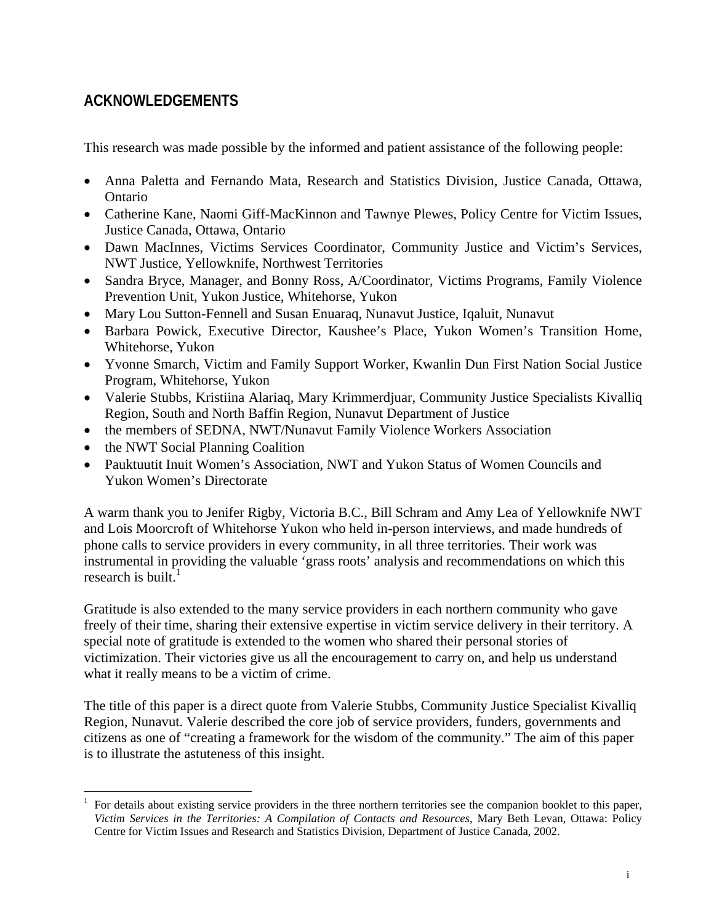# **ACKNOWLEDGEMENTS**

This research was made possible by the informed and patient assistance of the following people:

- Anna Paletta and Fernando Mata, Research and Statistics Division, Justice Canada, Ottawa, Ontario
- Catherine Kane, Naomi Giff-MacKinnon and Tawnye Plewes, Policy Centre for Victim Issues, Justice Canada, Ottawa, Ontario
- Dawn MacInnes, Victims Services Coordinator, Community Justice and Victim's Services, NWT Justice, Yellowknife, Northwest Territories
- Sandra Bryce, Manager, and Bonny Ross, A/Coordinator, Victims Programs, Family Violence Prevention Unit, Yukon Justice, Whitehorse, Yukon
- Mary Lou Sutton-Fennell and Susan Enuaraq, Nunavut Justice, Iqaluit, Nunavut
- Barbara Powick, Executive Director, Kaushee's Place, Yukon Women's Transition Home, Whitehorse, Yukon
- Yvonne Smarch, Victim and Family Support Worker, Kwanlin Dun First Nation Social Justice Program, Whitehorse, Yukon
- Valerie Stubbs, Kristiina Alariaq, Mary Krimmerdjuar, Community Justice Specialists Kivalliq Region, South and North Baffin Region, Nunavut Department of Justice
- the members of SEDNA, NWT/Nunavut Family Violence Workers Association
- the NWT Social Planning Coalition
- Pauktuutit Inuit Women's Association, NWT and Yukon Status of Women Councils and Yukon Women's Directorate

A warm thank you to Jenifer Rigby, Victoria B.C., Bill Schram and Amy Lea of Yellowknife NWT and Lois Moorcroft of Whitehorse Yukon who held in-person interviews, and made hundreds of phone calls to service providers in every community, in all three territories. Their work was instrumental in providing the valuable 'grass roots' analysis and recommendations on which this research is built. $<sup>1</sup>$ </sup>

Gratitude is also extended to the many service providers in each northern community who gave freely of their time, sharing their extensive expertise in victim service delivery in their territory. A special note of gratitude is extended to the women who shared their personal stories of victimization. Their victories give us all the encouragement to carry on, and help us understand what it really means to be a victim of crime.

The title of this paper is a direct quote from Valerie Stubbs, Community Justice Specialist Kivalliq Region, Nunavut. Valerie described the core job of service providers, funders, governments and citizens as one of "creating a framework for the wisdom of the community." The aim of this paper is to illustrate the astuteness of this insight.

 $\overline{a}$ 1 For details about existing service providers in the three northern territories see the companion booklet to this paper, *Victim Services in the Territories: A Compilation of Contacts and Resources*, Mary Beth Levan, Ottawa: Policy Centre for Victim Issues and Research and Statistics Division, Department of Justice Canada, 2002.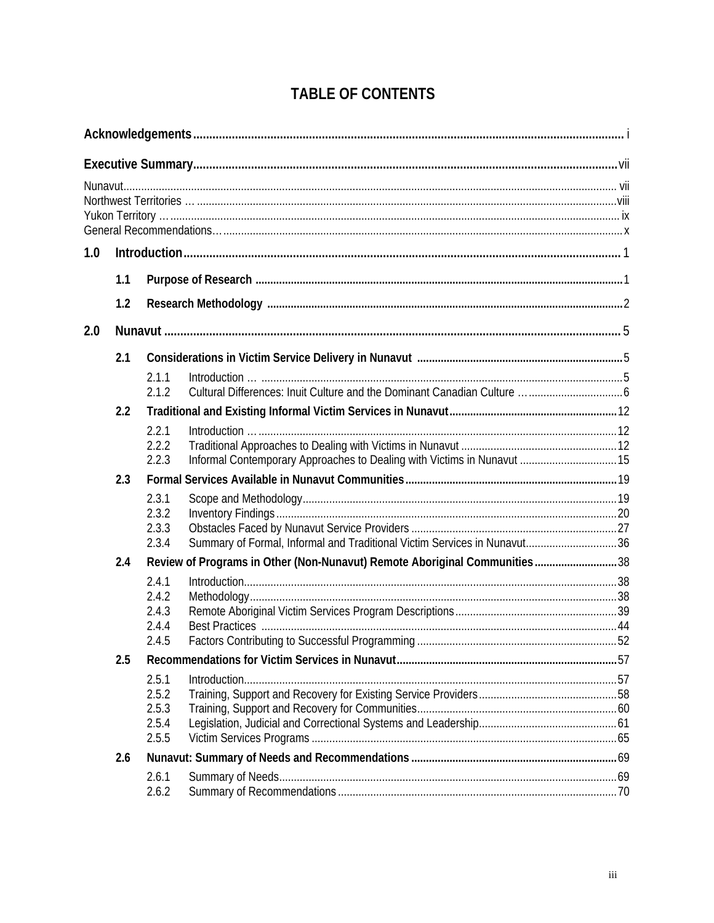| 1.0 |     |                |                                                                             |  |  |
|-----|-----|----------------|-----------------------------------------------------------------------------|--|--|
|     | 1.1 |                |                                                                             |  |  |
|     | 1.2 |                |                                                                             |  |  |
| 2.0 |     |                |                                                                             |  |  |
|     | 2.1 |                |                                                                             |  |  |
|     |     | 2.1.1<br>2.1.2 |                                                                             |  |  |
|     | 2.2 |                |                                                                             |  |  |
|     |     | 2.2.1          |                                                                             |  |  |
|     |     | 2.2.2          |                                                                             |  |  |
|     |     | 2.2.3          |                                                                             |  |  |
|     | 2.3 |                |                                                                             |  |  |
|     |     | 2.3.1          |                                                                             |  |  |
|     |     | 2.3.2          |                                                                             |  |  |
|     |     | 2.3.3<br>2.3.4 | Summary of Formal, Informal and Traditional Victim Services in Nunavut36    |  |  |
|     | 2.4 |                | Review of Programs in Other (Non-Nunavut) Remote Aboriginal Communities  38 |  |  |
|     |     | 2.4.1          |                                                                             |  |  |
|     |     | 2.4.2          |                                                                             |  |  |
|     |     | 2.4.3          |                                                                             |  |  |
|     |     | 2.4.4          |                                                                             |  |  |
|     |     | 2.4.5          |                                                                             |  |  |
|     | 2.5 |                |                                                                             |  |  |
|     |     | 2.5.1<br>2.5.2 |                                                                             |  |  |
|     |     | 2.5.3          |                                                                             |  |  |
|     |     | 2.5.4          |                                                                             |  |  |
|     |     | 2.5.5          |                                                                             |  |  |
|     | 2.6 |                |                                                                             |  |  |
|     |     | 2.6.1          |                                                                             |  |  |
|     |     | 2.6.2          |                                                                             |  |  |

# **TABLE OF CONTENTS**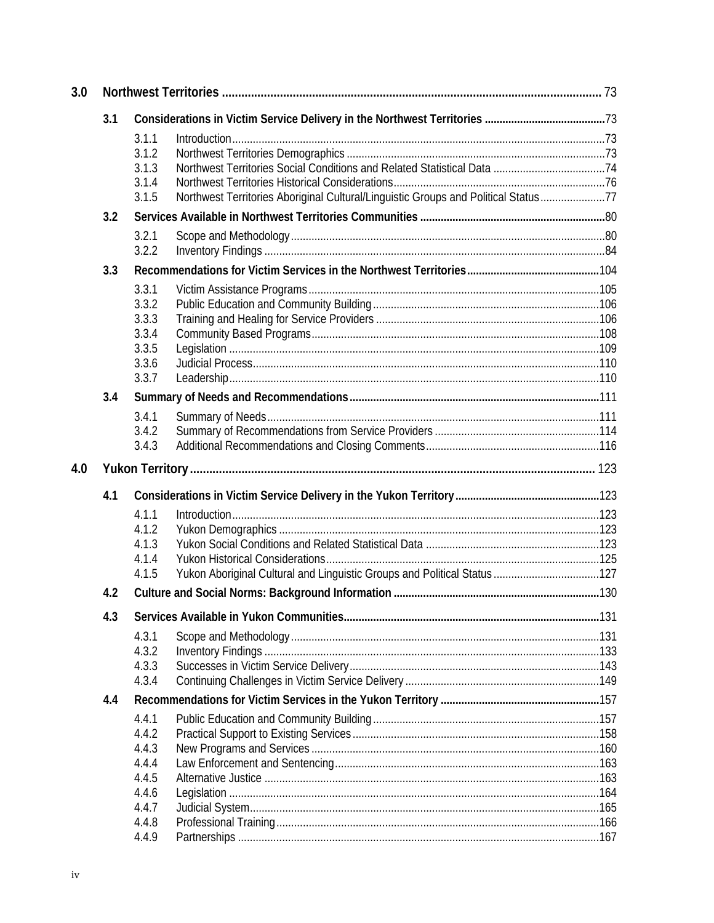| 3.0 |     |                                                                                             |  |  |
|-----|-----|---------------------------------------------------------------------------------------------|--|--|
|     | 3.1 |                                                                                             |  |  |
|     |     | 3.1.1                                                                                       |  |  |
|     |     | 3.1.2                                                                                       |  |  |
|     |     | 3.1.3                                                                                       |  |  |
|     |     | 3.1.4                                                                                       |  |  |
|     |     | Northwest Territories Aboriginal Cultural/Linguistic Groups and Political Status77<br>3.1.5 |  |  |
|     | 3.2 |                                                                                             |  |  |
|     |     | 3.2.1                                                                                       |  |  |
|     |     | 3.2.2                                                                                       |  |  |
|     | 3.3 |                                                                                             |  |  |
|     |     | 3.3.1                                                                                       |  |  |
|     |     | 3.3.2                                                                                       |  |  |
|     |     | 3.3.3                                                                                       |  |  |
|     |     | 3.3.4                                                                                       |  |  |
|     |     | 3.3.5                                                                                       |  |  |
|     |     | 3.3.6<br>3.3.7                                                                              |  |  |
|     |     |                                                                                             |  |  |
|     | 3.4 |                                                                                             |  |  |
|     |     | 3.4.1                                                                                       |  |  |
|     |     | 3.4.2                                                                                       |  |  |
|     |     | 3.4.3                                                                                       |  |  |
| 4.0 |     |                                                                                             |  |  |
|     | 4.1 |                                                                                             |  |  |
|     |     | 4.1.1                                                                                       |  |  |
|     |     | 4.1.2                                                                                       |  |  |
|     |     | 4.1.3                                                                                       |  |  |
|     |     | 4.1.4                                                                                       |  |  |
|     |     | 4.1.5                                                                                       |  |  |
|     | 4.2 |                                                                                             |  |  |
|     | 4.3 |                                                                                             |  |  |
|     |     | 4.3.1                                                                                       |  |  |
|     |     | 4.3.2                                                                                       |  |  |
|     |     | 4.3.3                                                                                       |  |  |
|     |     | 4.3.4                                                                                       |  |  |
|     | 4.4 |                                                                                             |  |  |
|     |     | 4.4.1                                                                                       |  |  |
|     |     | 4.4.2                                                                                       |  |  |
|     |     | 4.4.3                                                                                       |  |  |
|     |     | 4.4.4                                                                                       |  |  |
|     |     | 4.4.5                                                                                       |  |  |
|     |     | 4.4.6                                                                                       |  |  |
|     |     | 4.4.7<br>4.4.8                                                                              |  |  |
|     |     | 4.4.9                                                                                       |  |  |
|     |     |                                                                                             |  |  |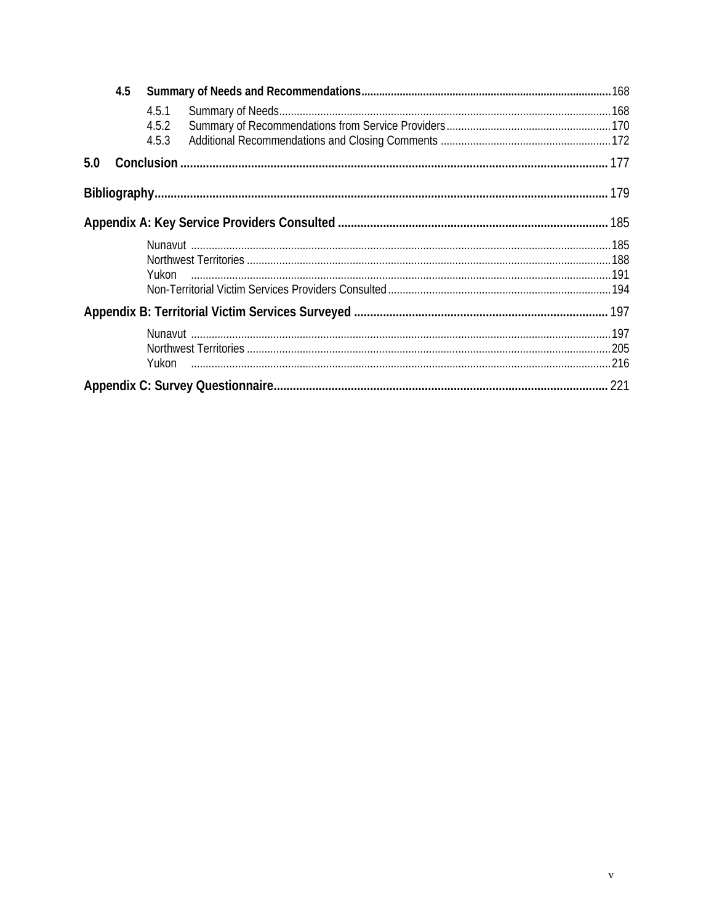|     | 4.5 |                         |  |  |
|-----|-----|-------------------------|--|--|
|     |     | 4.5.1<br>4.5.2<br>4.5.3 |  |  |
| 5.0 |     |                         |  |  |
|     |     |                         |  |  |
|     |     |                         |  |  |
|     |     |                         |  |  |
|     |     |                         |  |  |
|     |     |                         |  |  |
|     |     |                         |  |  |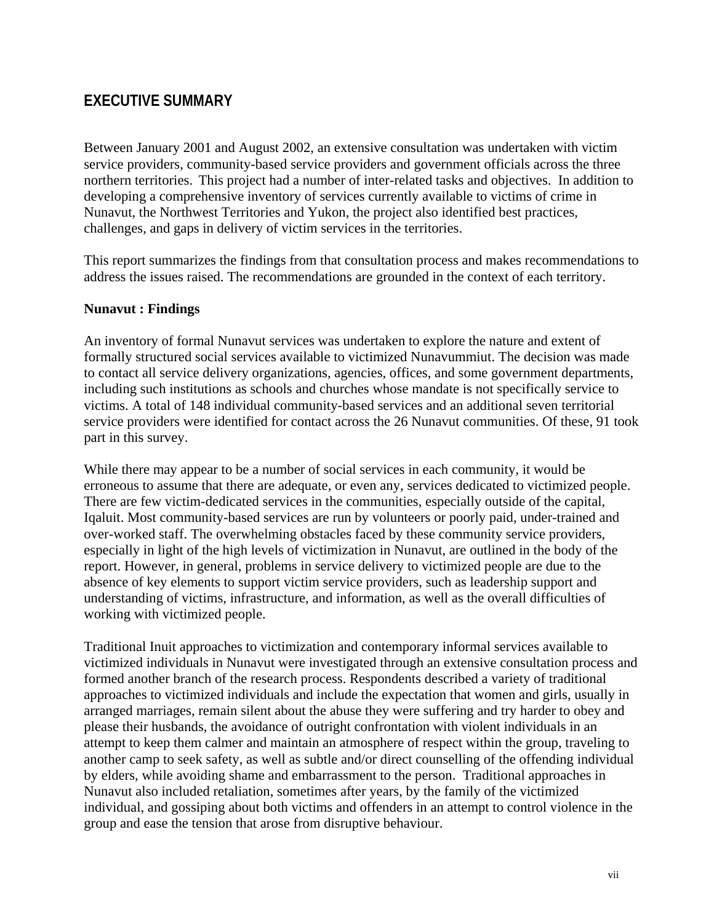# **EXECUTIVE SUMMARY**

Between January 2001 and August 2002, an extensive consultation was undertaken with victim service providers, community-based service providers and government officials across the three northern territories. This project had a number of inter-related tasks and objectives. In addition to developing a comprehensive inventory of services currently available to victims of crime in Nunavut, the Northwest Territories and Yukon, the project also identified best practices, challenges, and gaps in delivery of victim services in the territories.

This report summarizes the findings from that consultation process and makes recommendations to address the issues raised. The recommendations are grounded in the context of each territory.

#### **Nunavut : Findings**

An inventory of formal Nunavut services was undertaken to explore the nature and extent of formally structured social services available to victimized Nunavummiut. The decision was made to contact all service delivery organizations, agencies, offices, and some government departments, including such institutions as schools and churches whose mandate is not specifically service to victims. A total of 148 individual community-based services and an additional seven territorial service providers were identified for contact across the 26 Nunavut communities. Of these, 91 took part in this survey.

While there may appear to be a number of social services in each community, it would be erroneous to assume that there are adequate, or even any, services dedicated to victimized people. There are few victim-dedicated services in the communities, especially outside of the capital, Iqaluit. Most community-based services are run by volunteers or poorly paid, under-trained and over-worked staff. The overwhelming obstacles faced by these community service providers, especially in light of the high levels of victimization in Nunavut, are outlined in the body of the report. However, in general, problems in service delivery to victimized people are due to the absence of key elements to support victim service providers, such as leadership support and understanding of victims, infrastructure, and information, as well as the overall difficulties of working with victimized people.

Traditional Inuit approaches to victimization and contemporary informal services available to victimized individuals in Nunavut were investigated through an extensive consultation process and formed another branch of the research process. Respondents described a variety of traditional approaches to victimized individuals and include the expectation that women and girls, usually in arranged marriages, remain silent about the abuse they were suffering and try harder to obey and please their husbands, the avoidance of outright confrontation with violent individuals in an attempt to keep them calmer and maintain an atmosphere of respect within the group, traveling to another camp to seek safety, as well as subtle and/or direct counselling of the offending individual by elders, while avoiding shame and embarrassment to the person. Traditional approaches in Nunavut also included retaliation, sometimes after years, by the family of the victimized individual, and gossiping about both victims and offenders in an attempt to control violence in the group and ease the tension that arose from disruptive behaviour.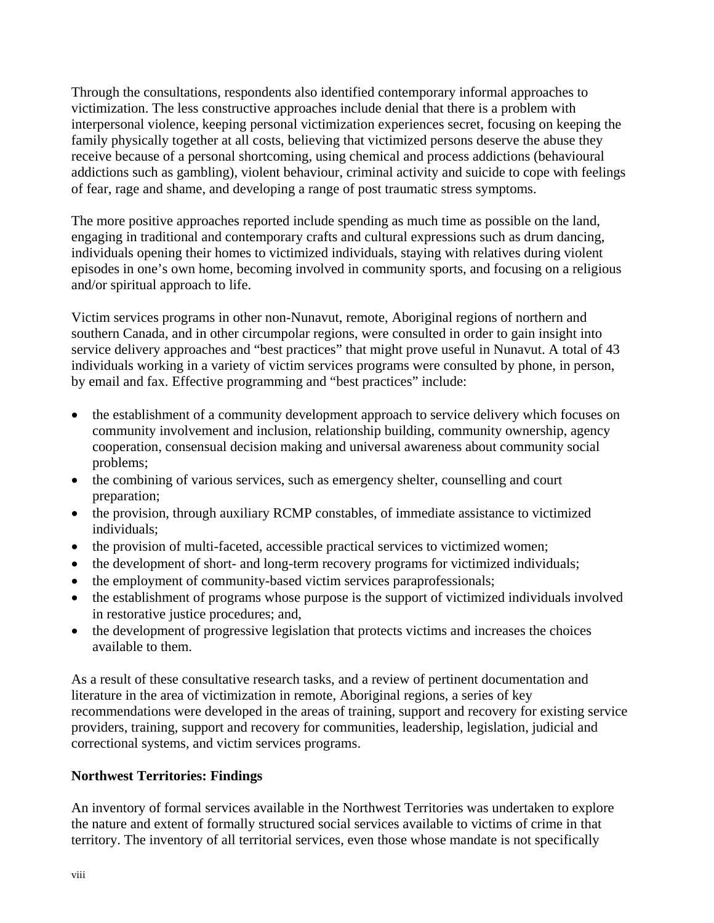Through the consultations, respondents also identified contemporary informal approaches to victimization. The less constructive approaches include denial that there is a problem with interpersonal violence, keeping personal victimization experiences secret, focusing on keeping the family physically together at all costs, believing that victimized persons deserve the abuse they receive because of a personal shortcoming, using chemical and process addictions (behavioural addictions such as gambling), violent behaviour, criminal activity and suicide to cope with feelings of fear, rage and shame, and developing a range of post traumatic stress symptoms.

The more positive approaches reported include spending as much time as possible on the land, engaging in traditional and contemporary crafts and cultural expressions such as drum dancing, individuals opening their homes to victimized individuals, staying with relatives during violent episodes in one's own home, becoming involved in community sports, and focusing on a religious and/or spiritual approach to life.

Victim services programs in other non-Nunavut, remote, Aboriginal regions of northern and southern Canada, and in other circumpolar regions, were consulted in order to gain insight into service delivery approaches and "best practices" that might prove useful in Nunavut. A total of 43 individuals working in a variety of victim services programs were consulted by phone, in person, by email and fax. Effective programming and "best practices" include:

- the establishment of a community development approach to service delivery which focuses on community involvement and inclusion, relationship building, community ownership, agency cooperation, consensual decision making and universal awareness about community social problems;
- the combining of various services, such as emergency shelter, counselling and court preparation;
- the provision, through auxiliary RCMP constables, of immediate assistance to victimized individuals;
- the provision of multi-faceted, accessible practical services to victimized women;
- the development of short- and long-term recovery programs for victimized individuals;
- the employment of community-based victim services paraprofessionals;
- the establishment of programs whose purpose is the support of victimized individuals involved in restorative justice procedures; and,
- the development of progressive legislation that protects victims and increases the choices available to them.

As a result of these consultative research tasks, and a review of pertinent documentation and literature in the area of victimization in remote, Aboriginal regions, a series of key recommendations were developed in the areas of training, support and recovery for existing service providers, training, support and recovery for communities, leadership, legislation, judicial and correctional systems, and victim services programs.

# **Northwest Territories: Findings**

An inventory of formal services available in the Northwest Territories was undertaken to explore the nature and extent of formally structured social services available to victims of crime in that territory. The inventory of all territorial services, even those whose mandate is not specifically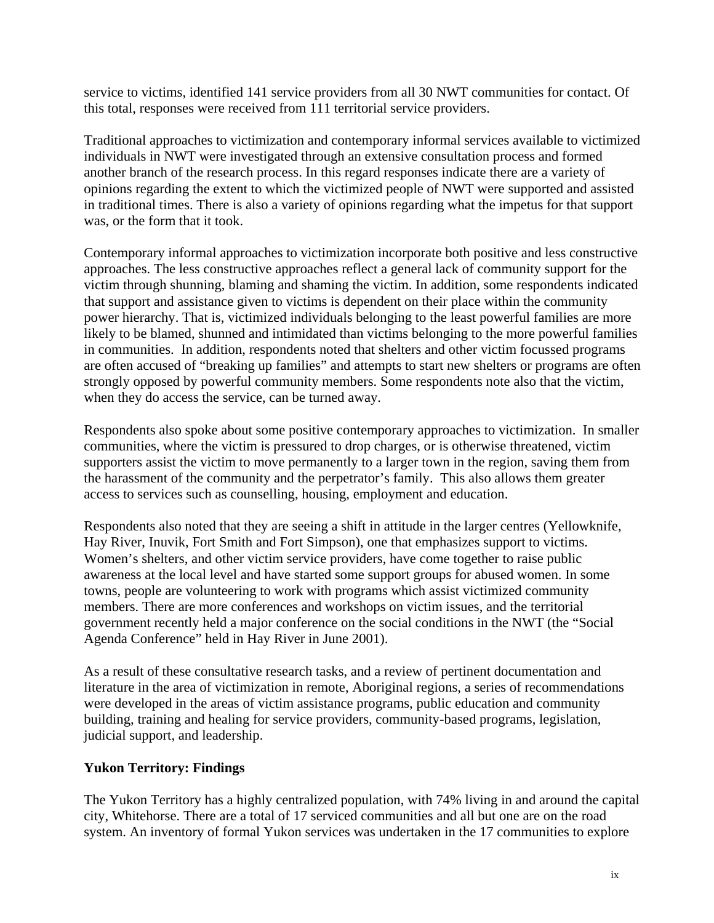service to victims, identified 141 service providers from all 30 NWT communities for contact. Of this total, responses were received from 111 territorial service providers.

Traditional approaches to victimization and contemporary informal services available to victimized individuals in NWT were investigated through an extensive consultation process and formed another branch of the research process. In this regard responses indicate there are a variety of opinions regarding the extent to which the victimized people of NWT were supported and assisted in traditional times. There is also a variety of opinions regarding what the impetus for that support was, or the form that it took.

Contemporary informal approaches to victimization incorporate both positive and less constructive approaches. The less constructive approaches reflect a general lack of community support for the victim through shunning, blaming and shaming the victim. In addition, some respondents indicated that support and assistance given to victims is dependent on their place within the community power hierarchy. That is, victimized individuals belonging to the least powerful families are more likely to be blamed, shunned and intimidated than victims belonging to the more powerful families in communities. In addition, respondents noted that shelters and other victim focussed programs are often accused of "breaking up families" and attempts to start new shelters or programs are often strongly opposed by powerful community members. Some respondents note also that the victim, when they do access the service, can be turned away.

Respondents also spoke about some positive contemporary approaches to victimization. In smaller communities, where the victim is pressured to drop charges, or is otherwise threatened, victim supporters assist the victim to move permanently to a larger town in the region, saving them from the harassment of the community and the perpetrator's family. This also allows them greater access to services such as counselling, housing, employment and education.

Respondents also noted that they are seeing a shift in attitude in the larger centres (Yellowknife, Hay River, Inuvik, Fort Smith and Fort Simpson), one that emphasizes support to victims. Women's shelters, and other victim service providers, have come together to raise public awareness at the local level and have started some support groups for abused women. In some towns, people are volunteering to work with programs which assist victimized community members. There are more conferences and workshops on victim issues, and the territorial government recently held a major conference on the social conditions in the NWT (the "Social Agenda Conference" held in Hay River in June 2001).

As a result of these consultative research tasks, and a review of pertinent documentation and literature in the area of victimization in remote, Aboriginal regions, a series of recommendations were developed in the areas of victim assistance programs, public education and community building, training and healing for service providers, community-based programs, legislation, judicial support, and leadership.

### **Yukon Territory: Findings**

The Yukon Territory has a highly centralized population, with 74% living in and around the capital city, Whitehorse. There are a total of 17 serviced communities and all but one are on the road system. An inventory of formal Yukon services was undertaken in the 17 communities to explore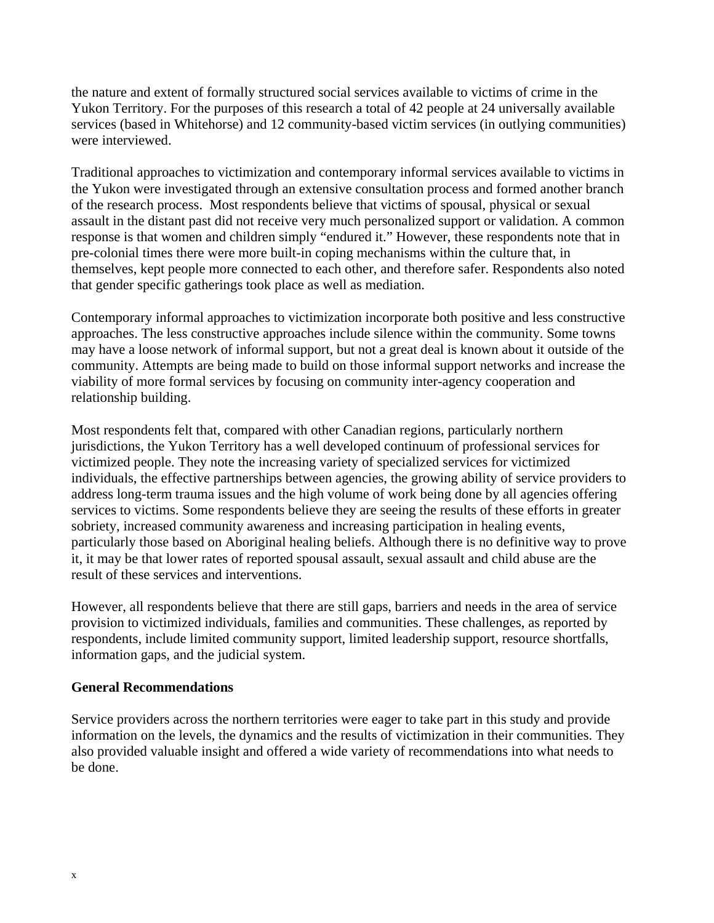the nature and extent of formally structured social services available to victims of crime in the Yukon Territory. For the purposes of this research a total of 42 people at 24 universally available services (based in Whitehorse) and 12 community-based victim services (in outlying communities) were interviewed.

Traditional approaches to victimization and contemporary informal services available to victims in the Yukon were investigated through an extensive consultation process and formed another branch of the research process. Most respondents believe that victims of spousal, physical or sexual assault in the distant past did not receive very much personalized support or validation. A common response is that women and children simply "endured it." However, these respondents note that in pre-colonial times there were more built-in coping mechanisms within the culture that, in themselves, kept people more connected to each other, and therefore safer. Respondents also noted that gender specific gatherings took place as well as mediation.

Contemporary informal approaches to victimization incorporate both positive and less constructive approaches. The less constructive approaches include silence within the community. Some towns may have a loose network of informal support, but not a great deal is known about it outside of the community. Attempts are being made to build on those informal support networks and increase the viability of more formal services by focusing on community inter-agency cooperation and relationship building.

Most respondents felt that, compared with other Canadian regions, particularly northern jurisdictions, the Yukon Territory has a well developed continuum of professional services for victimized people. They note the increasing variety of specialized services for victimized individuals, the effective partnerships between agencies, the growing ability of service providers to address long-term trauma issues and the high volume of work being done by all agencies offering services to victims. Some respondents believe they are seeing the results of these efforts in greater sobriety, increased community awareness and increasing participation in healing events, particularly those based on Aboriginal healing beliefs. Although there is no definitive way to prove it, it may be that lower rates of reported spousal assault, sexual assault and child abuse are the result of these services and interventions.

However, all respondents believe that there are still gaps, barriers and needs in the area of service provision to victimized individuals, families and communities. These challenges, as reported by respondents, include limited community support, limited leadership support, resource shortfalls, information gaps, and the judicial system.

#### **General Recommendations**

Service providers across the northern territories were eager to take part in this study and provide information on the levels, the dynamics and the results of victimization in their communities. They also provided valuable insight and offered a wide variety of recommendations into what needs to be done.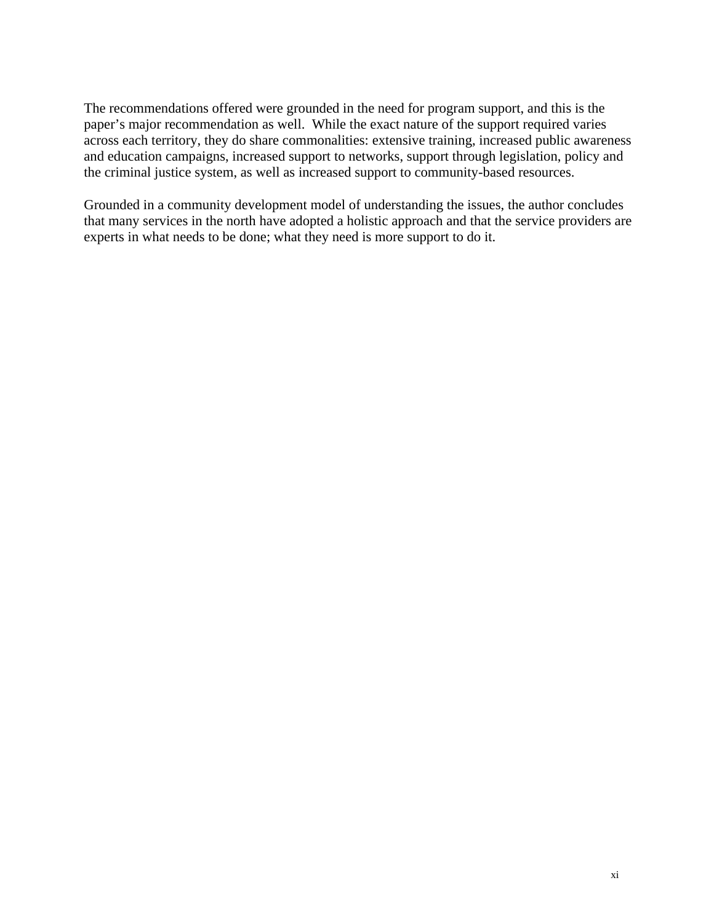The recommendations offered were grounded in the need for program support, and this is the paper's major recommendation as well. While the exact nature of the support required varies across each territory, they do share commonalities: extensive training, increased public awareness and education campaigns, increased support to networks, support through legislation, policy and the criminal justice system, as well as increased support to community-based resources.

Grounded in a community development model of understanding the issues, the author concludes that many services in the north have adopted a holistic approach and that the service providers are experts in what needs to be done; what they need is more support to do it.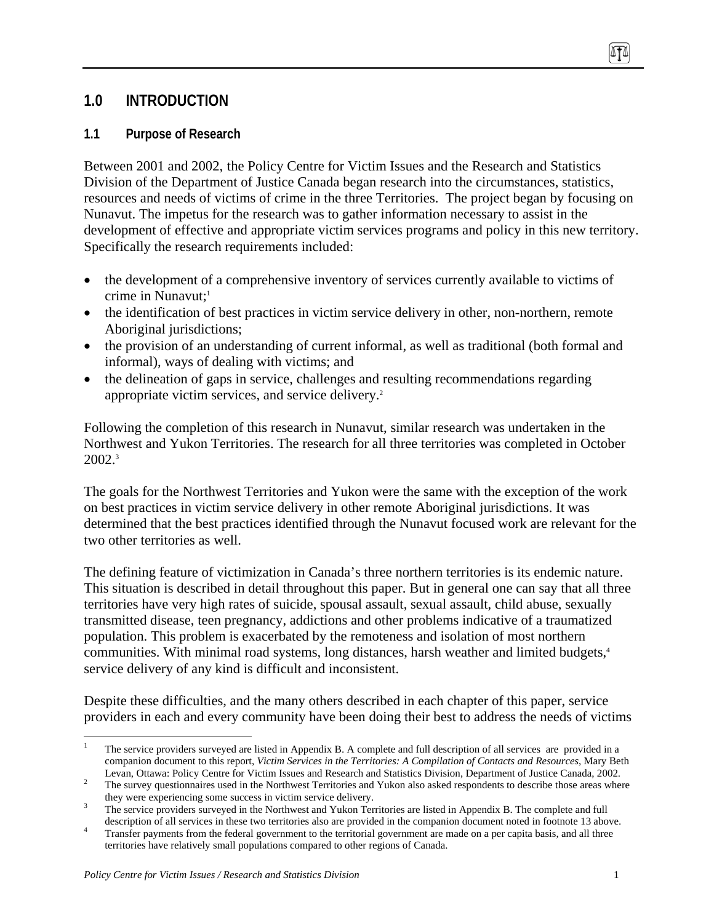# **1.0 INTRODUCTION**

### **1.1 Purpose of Research**

Between 2001 and 2002, the Policy Centre for Victim Issues and the Research and Statistics Division of the Department of Justice Canada began research into the circumstances, statistics, resources and needs of victims of crime in the three Territories. The project began by focusing on Nunavut. The impetus for the research was to gather information necessary to assist in the development of effective and appropriate victim services programs and policy in this new territory. Specifically the research requirements included:

- the development of a comprehensive inventory of services currently available to victims of crime in Nunavut; $<sup>1</sup>$ </sup>
- the identification of best practices in victim service delivery in other, non-northern, remote Aboriginal jurisdictions;
- the provision of an understanding of current informal, as well as traditional (both formal and informal), ways of dealing with victims; and
- the delineation of gaps in service, challenges and resulting recommendations regarding appropriate victim services, and service delivery.2

Following the completion of this research in Nunavut, similar research was undertaken in the Northwest and Yukon Territories. The research for all three territories was completed in October  $2002.^3$ 

The goals for the Northwest Territories and Yukon were the same with the exception of the work on best practices in victim service delivery in other remote Aboriginal jurisdictions. It was determined that the best practices identified through the Nunavut focused work are relevant for the two other territories as well.

The defining feature of victimization in Canada's three northern territories is its endemic nature. This situation is described in detail throughout this paper. But in general one can say that all three territories have very high rates of suicide, spousal assault, sexual assault, child abuse, sexually transmitted disease, teen pregnancy, addictions and other problems indicative of a traumatized population. This problem is exacerbated by the remoteness and isolation of most northern communities. With minimal road systems, long distances, harsh weather and limited budgets,<sup>4</sup> service delivery of any kind is difficult and inconsistent.

Despite these difficulties, and the many others described in each chapter of this paper, service providers in each and every community have been doing their best to address the needs of victims

<sup>1</sup> 1 The service providers surveyed are listed in Appendix B. A complete and full description of all services are provided in a companion document to this report, *Victim Services in the Territories: A Compilation of Contacts and Resources*, Mary Beth

Levan, Ottawa: Policy Centre for Victim Issues and Research and Statistics Division, Department of Justice Canada, 2002.<br>The survey questionnaires used in the Northwest Territories and Yukon also asked respondents to descr

<sup>&</sup>lt;sup>3</sup> The service providers surveyed in the Northwest and Yukon Territories are listed in Appendix B. The complete and full

description of all services in these two territories also are provided in the companion document noted in footnote 13 above.<br>Transfer payments from the federal government to the territorial government are made on a per cap territories have relatively small populations compared to other regions of Canada.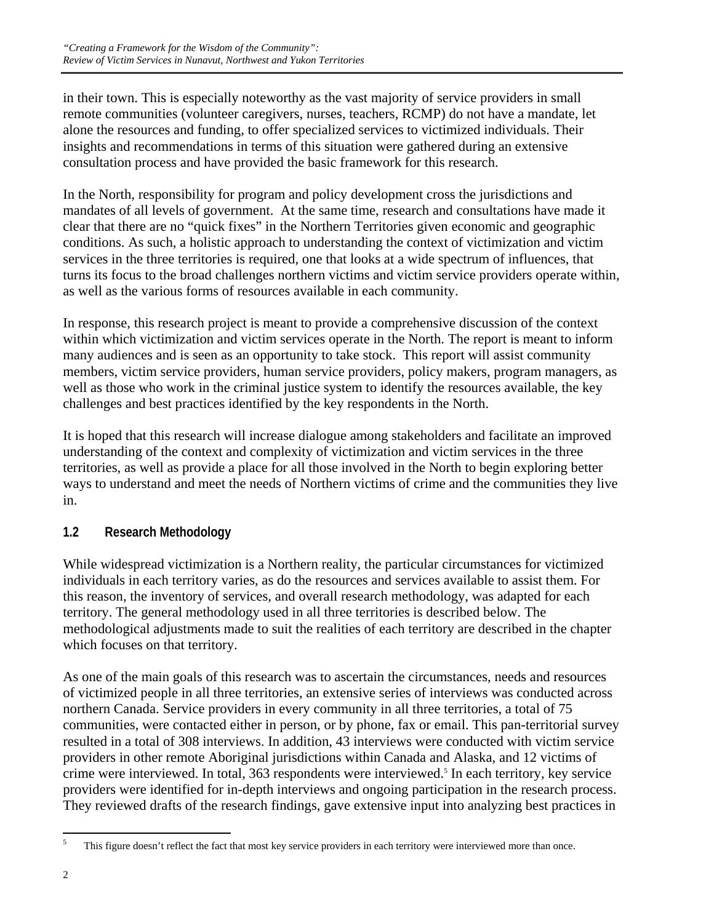in their town. This is especially noteworthy as the vast majority of service providers in small remote communities (volunteer caregivers, nurses, teachers, RCMP) do not have a mandate, let alone the resources and funding, to offer specialized services to victimized individuals. Their insights and recommendations in terms of this situation were gathered during an extensive consultation process and have provided the basic framework for this research.

In the North, responsibility for program and policy development cross the jurisdictions and mandates of all levels of government. At the same time, research and consultations have made it clear that there are no "quick fixes" in the Northern Territories given economic and geographic conditions. As such, a holistic approach to understanding the context of victimization and victim services in the three territories is required, one that looks at a wide spectrum of influences, that turns its focus to the broad challenges northern victims and victim service providers operate within, as well as the various forms of resources available in each community.

In response, this research project is meant to provide a comprehensive discussion of the context within which victimization and victim services operate in the North. The report is meant to inform many audiences and is seen as an opportunity to take stock. This report will assist community members, victim service providers, human service providers, policy makers, program managers, as well as those who work in the criminal justice system to identify the resources available, the key challenges and best practices identified by the key respondents in the North.

It is hoped that this research will increase dialogue among stakeholders and facilitate an improved understanding of the context and complexity of victimization and victim services in the three territories, as well as provide a place for all those involved in the North to begin exploring better ways to understand and meet the needs of Northern victims of crime and the communities they live in.

# **1.2 Research Methodology**

While widespread victimization is a Northern reality, the particular circumstances for victimized individuals in each territory varies, as do the resources and services available to assist them. For this reason, the inventory of services, and overall research methodology, was adapted for each territory. The general methodology used in all three territories is described below. The methodological adjustments made to suit the realities of each territory are described in the chapter which focuses on that territory.

As one of the main goals of this research was to ascertain the circumstances, needs and resources of victimized people in all three territories, an extensive series of interviews was conducted across northern Canada. Service providers in every community in all three territories, a total of 75 communities, were contacted either in person, or by phone, fax or email. This pan-territorial survey resulted in a total of 308 interviews. In addition, 43 interviews were conducted with victim service providers in other remote Aboriginal jurisdictions within Canada and Alaska, and 12 victims of crime were interviewed. In total, 363 respondents were interviewed.<sup>5</sup> In each territory, key service providers were identified for in-depth interviews and ongoing participation in the research process. They reviewed drafts of the research findings, gave extensive input into analyzing best practices in

 5 This figure doesn't reflect the fact that most key service providers in each territory were interviewed more than once.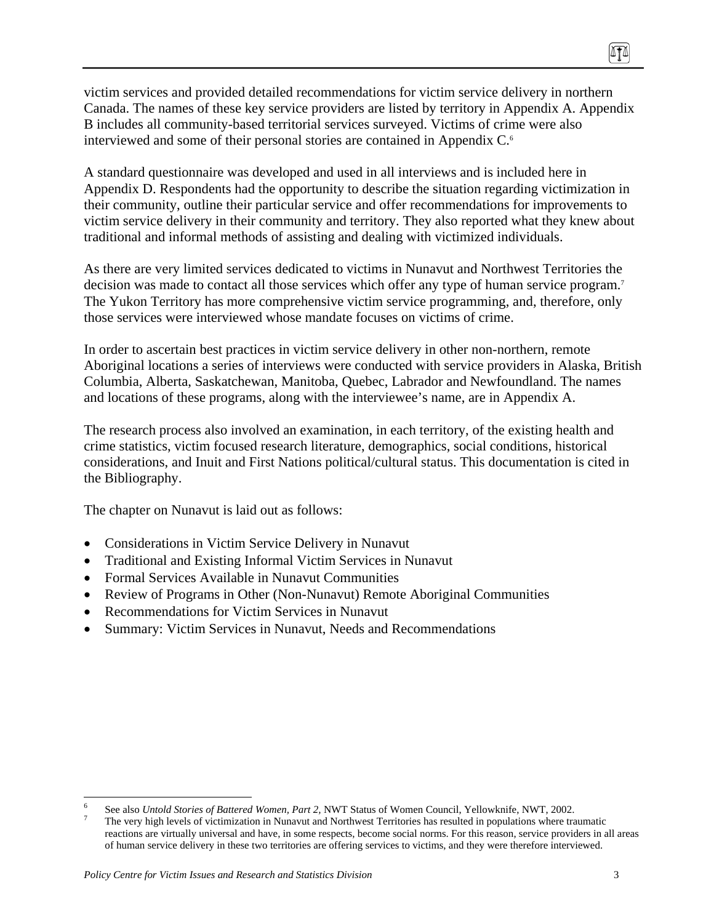victim services and provided detailed recommendations for victim service delivery in northern Canada. The names of these key service providers are listed by territory in Appendix A. Appendix B includes all community-based territorial services surveyed. Victims of crime were also interviewed and some of their personal stories are contained in Appendix C.<sup>6</sup>

A standard questionnaire was developed and used in all interviews and is included here in Appendix D. Respondents had the opportunity to describe the situation regarding victimization in their community, outline their particular service and offer recommendations for improvements to victim service delivery in their community and territory. They also reported what they knew about traditional and informal methods of assisting and dealing with victimized individuals.

As there are very limited services dedicated to victims in Nunavut and Northwest Territories the decision was made to contact all those services which offer any type of human service program.<sup>7</sup> The Yukon Territory has more comprehensive victim service programming, and, therefore, only those services were interviewed whose mandate focuses on victims of crime.

In order to ascertain best practices in victim service delivery in other non-northern, remote Aboriginal locations a series of interviews were conducted with service providers in Alaska, British Columbia, Alberta, Saskatchewan, Manitoba, Quebec, Labrador and Newfoundland. The names and locations of these programs, along with the interviewee's name, are in Appendix A.

The research process also involved an examination, in each territory, of the existing health and crime statistics, victim focused research literature, demographics, social conditions, historical considerations, and Inuit and First Nations political/cultural status. This documentation is cited in the Bibliography.

The chapter on Nunavut is laid out as follows:

- Considerations in Victim Service Delivery in Nunavut
- Traditional and Existing Informal Victim Services in Nunavut
- Formal Services Available in Nunavut Communities
- Review of Programs in Other (Non-Nunavut) Remote Aboriginal Communities
- Recommendations for Victim Services in Nunavut
- Summary: Victim Services in Nunavut, Needs and Recommendations

1

<sup>6</sup> See also *Untold Stories of Battered Women, Part 2,* NWT Status of Women Council, Yellowknife, NWT, 2002. 7

The very high levels of victimization in Nunavut and Northwest Territories has resulted in populations where traumatic reactions are virtually universal and have, in some respects, become social norms. For this reason, service providers in all areas of human service delivery in these two territories are offering services to victims, and they were therefore interviewed.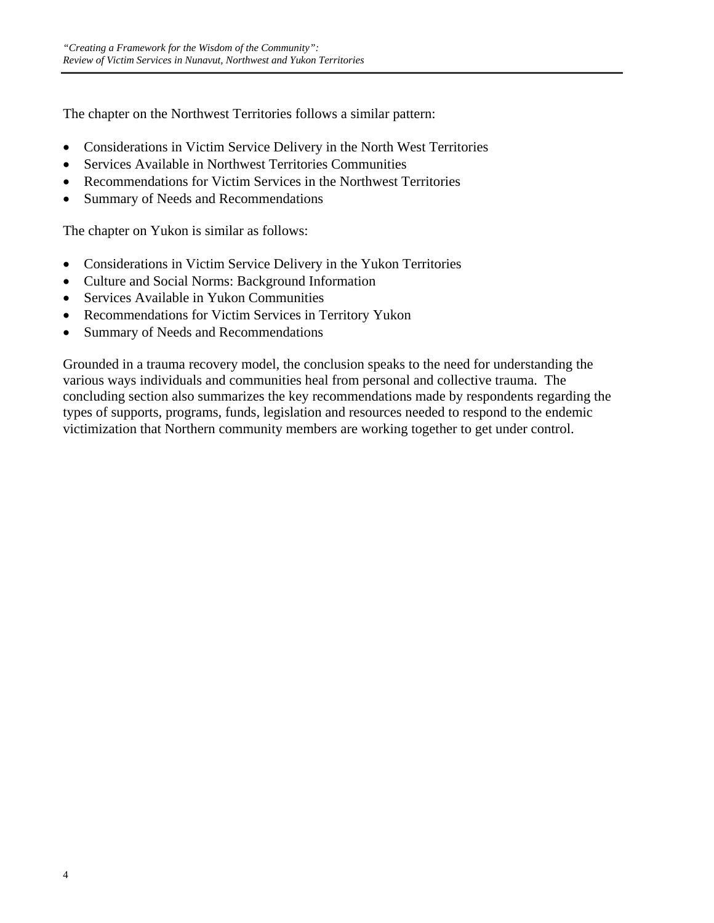The chapter on the Northwest Territories follows a similar pattern:

- Considerations in Victim Service Delivery in the North West Territories
- Services Available in Northwest Territories Communities
- Recommendations for Victim Services in the Northwest Territories
- Summary of Needs and Recommendations

The chapter on Yukon is similar as follows:

- Considerations in Victim Service Delivery in the Yukon Territories
- Culture and Social Norms: Background Information
- Services Available in Yukon Communities
- Recommendations for Victim Services in Territory Yukon
- Summary of Needs and Recommendations

Grounded in a trauma recovery model, the conclusion speaks to the need for understanding the various ways individuals and communities heal from personal and collective trauma. The concluding section also summarizes the key recommendations made by respondents regarding the types of supports, programs, funds, legislation and resources needed to respond to the endemic victimization that Northern community members are working together to get under control.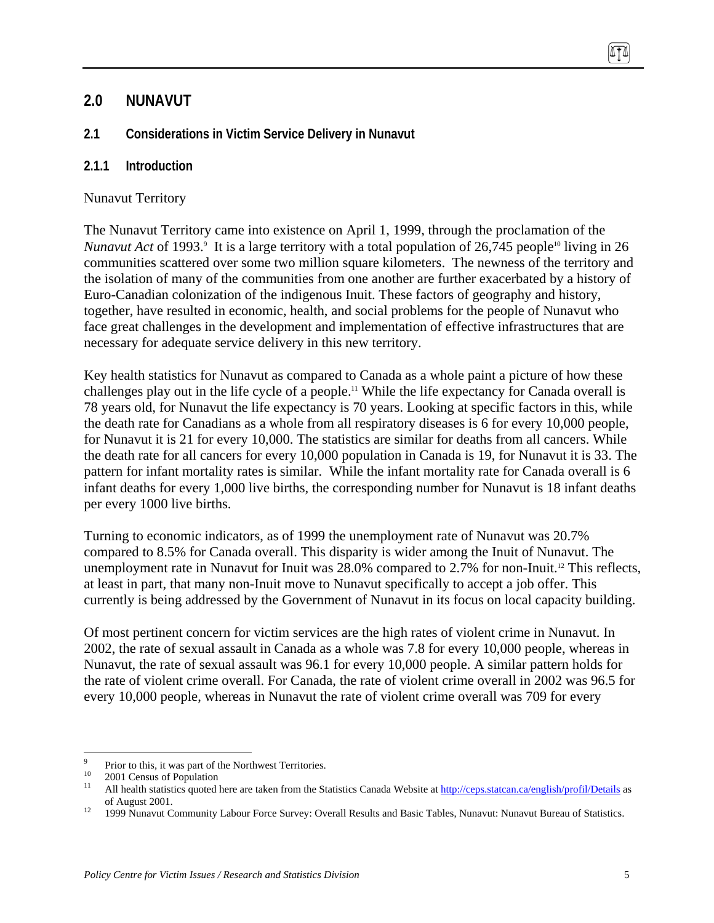# **2.0 NUNAVUT**

### **2.1 Considerations in Victim Service Delivery in Nunavut**

#### **2.1.1 Introduction**

#### Nunavut Territory

The Nunavut Territory came into existence on April 1, 1999, through the proclamation of the *Nunavut Act* of 1993.<sup>9</sup> It is a large territory with a total population of 26,745 people<sup>10</sup> living in 26 communities scattered over some two million square kilometers. The newness of the territory and the isolation of many of the communities from one another are further exacerbated by a history of Euro-Canadian colonization of the indigenous Inuit. These factors of geography and history, together, have resulted in economic, health, and social problems for the people of Nunavut who face great challenges in the development and implementation of effective infrastructures that are necessary for adequate service delivery in this new territory.

Key health statistics for Nunavut as compared to Canada as a whole paint a picture of how these challenges play out in the life cycle of a people.11 While the life expectancy for Canada overall is 78 years old, for Nunavut the life expectancy is 70 years. Looking at specific factors in this, while the death rate for Canadians as a whole from all respiratory diseases is 6 for every 10,000 people, for Nunavut it is 21 for every 10,000. The statistics are similar for deaths from all cancers. While the death rate for all cancers for every 10,000 population in Canada is 19, for Nunavut it is 33. The pattern for infant mortality rates is similar. While the infant mortality rate for Canada overall is 6 infant deaths for every 1,000 live births, the corresponding number for Nunavut is 18 infant deaths per every 1000 live births.

Turning to economic indicators, as of 1999 the unemployment rate of Nunavut was 20.7% compared to 8.5% for Canada overall. This disparity is wider among the Inuit of Nunavut. The unemployment rate in Nunavut for Inuit was 28.0% compared to 2.7% for non-Inuit.12 This reflects, at least in part, that many non-Inuit move to Nunavut specifically to accept a job offer. This currently is being addressed by the Government of Nunavut in its focus on local capacity building.

Of most pertinent concern for victim services are the high rates of violent crime in Nunavut. In 2002, the rate of sexual assault in Canada as a whole was 7.8 for every 10,000 people, whereas in Nunavut, the rate of sexual assault was 96.1 for every 10,000 people. A similar pattern holds for the rate of violent crime overall. For Canada, the rate of violent crime overall in 2002 was 96.5 for every 10,000 people, whereas in Nunavut the rate of violent crime overall was 709 for every

<sup>-&</sup>lt;br>9 Prior to this, it was part of the Northwest Territories.

 $^{10}$  2001 Census of Population

All health statistics quoted here are taken from the Statistics Canada Website at http://ceps.statcan.ca/english/profil/Details as of August 2001.<br><sup>12</sup> 1999 Nunavut Community Labour Force Survey: Overall Results and Basic Tables, Nunavut: Nunavut Bureau of Statistics.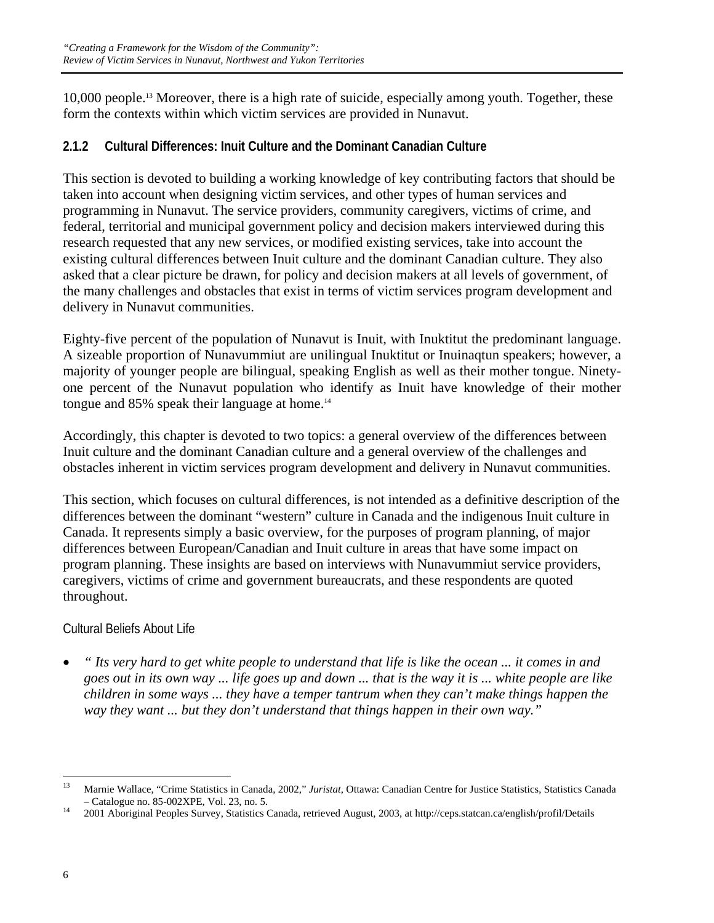10,000 people.13 Moreover, there is a high rate of suicide, especially among youth. Together, these form the contexts within which victim services are provided in Nunavut.

# **2.1.2 Cultural Differences: Inuit Culture and the Dominant Canadian Culture**

This section is devoted to building a working knowledge of key contributing factors that should be taken into account when designing victim services, and other types of human services and programming in Nunavut. The service providers, community caregivers, victims of crime, and federal, territorial and municipal government policy and decision makers interviewed during this research requested that any new services, or modified existing services, take into account the existing cultural differences between Inuit culture and the dominant Canadian culture. They also asked that a clear picture be drawn, for policy and decision makers at all levels of government, of the many challenges and obstacles that exist in terms of victim services program development and delivery in Nunavut communities.

Eighty-five percent of the population of Nunavut is Inuit, with Inuktitut the predominant language. A sizeable proportion of Nunavummiut are unilingual Inuktitut or Inuinaqtun speakers; however, a majority of younger people are bilingual, speaking English as well as their mother tongue. Ninetyone percent of the Nunavut population who identify as Inuit have knowledge of their mother tongue and 85% speak their language at home.<sup>14</sup>

Accordingly, this chapter is devoted to two topics: a general overview of the differences between Inuit culture and the dominant Canadian culture and a general overview of the challenges and obstacles inherent in victim services program development and delivery in Nunavut communities.

This section, which focuses on cultural differences, is not intended as a definitive description of the differences between the dominant "western" culture in Canada and the indigenous Inuit culture in Canada. It represents simply a basic overview, for the purposes of program planning, of major differences between European/Canadian and Inuit culture in areas that have some impact on program planning. These insights are based on interviews with Nunavummiut service providers, caregivers, victims of crime and government bureaucrats, and these respondents are quoted throughout.

### Cultural Beliefs About Life

• *" Its very hard to get white people to understand that life is like the ocean ... it comes in and goes out in its own way ... life goes up and down ... that is the way it is ... white people are like children in some ways ... they have a temper tantrum when they can't make things happen the way they want ... but they don't understand that things happen in their own way."* 

 $13$ 13 Marnie Wallace, "Crime Statistics in Canada, 2002," *Juristat*, Ottawa: Canadian Centre for Justice Statistics, Statistics Canada – Catalogue no. 85-002XPE, Vol. 23, no. 5. 14 2001 Aboriginal Peoples Survey, Statistics Canada, retrieved August, 2003, at http://ceps.statcan.ca/english/profil/Details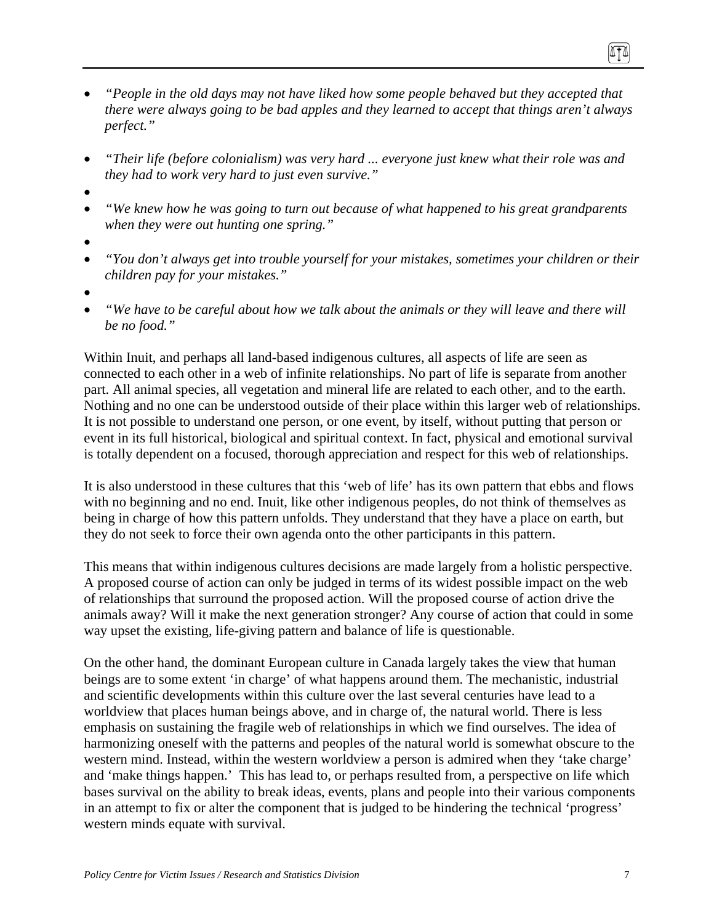- *"People in the old days may not have liked how some people behaved but they accepted that there were always going to be bad apples and they learned to accept that things aren't always perfect."*
- *"Their life (before colonialism) was very hard ... everyone just knew what their role was and they had to work very hard to just even survive."*
- •
- *"We knew how he was going to turn out because of what happened to his great grandparents when they were out hunting one spring."*
- •
- *"You don't always get into trouble yourself for your mistakes, sometimes your children or their children pay for your mistakes."*
- •
- *"We have to be careful about how we talk about the animals or they will leave and there will be no food."*

Within Inuit, and perhaps all land-based indigenous cultures, all aspects of life are seen as connected to each other in a web of infinite relationships. No part of life is separate from another part. All animal species, all vegetation and mineral life are related to each other, and to the earth. Nothing and no one can be understood outside of their place within this larger web of relationships. It is not possible to understand one person, or one event, by itself, without putting that person or event in its full historical, biological and spiritual context. In fact, physical and emotional survival is totally dependent on a focused, thorough appreciation and respect for this web of relationships.

It is also understood in these cultures that this 'web of life' has its own pattern that ebbs and flows with no beginning and no end. Inuit, like other indigenous peoples, do not think of themselves as being in charge of how this pattern unfolds. They understand that they have a place on earth, but they do not seek to force their own agenda onto the other participants in this pattern.

This means that within indigenous cultures decisions are made largely from a holistic perspective. A proposed course of action can only be judged in terms of its widest possible impact on the web of relationships that surround the proposed action. Will the proposed course of action drive the animals away? Will it make the next generation stronger? Any course of action that could in some way upset the existing, life-giving pattern and balance of life is questionable.

On the other hand, the dominant European culture in Canada largely takes the view that human beings are to some extent 'in charge' of what happens around them. The mechanistic, industrial and scientific developments within this culture over the last several centuries have lead to a worldview that places human beings above, and in charge of, the natural world. There is less emphasis on sustaining the fragile web of relationships in which we find ourselves. The idea of harmonizing oneself with the patterns and peoples of the natural world is somewhat obscure to the western mind. Instead, within the western worldview a person is admired when they 'take charge' and 'make things happen.' This has lead to, or perhaps resulted from, a perspective on life which bases survival on the ability to break ideas, events, plans and people into their various components in an attempt to fix or alter the component that is judged to be hindering the technical 'progress' western minds equate with survival.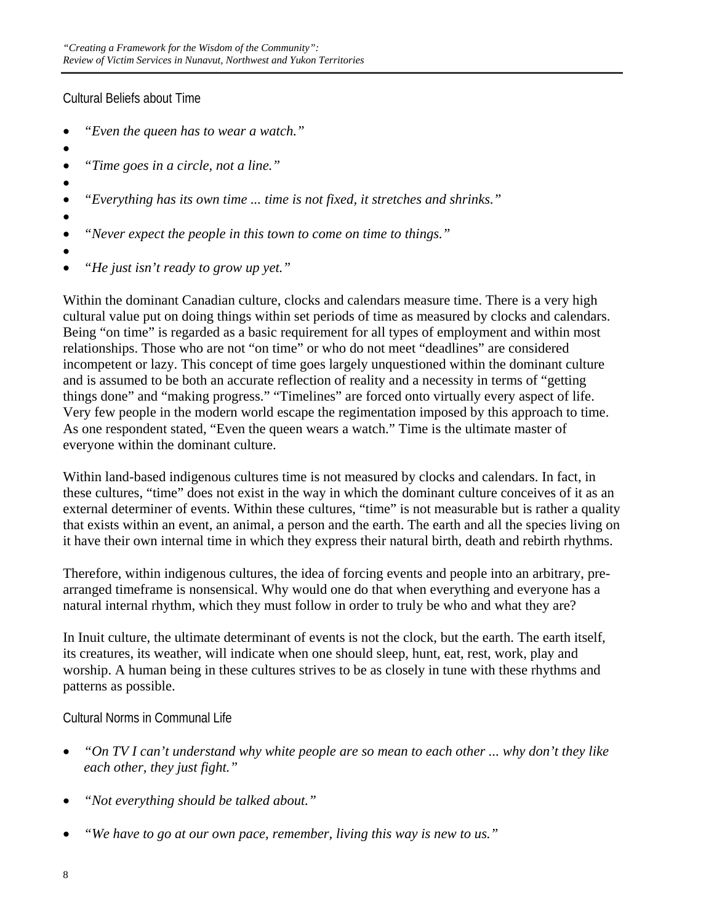Cultural Beliefs about Time

- *"Even the queen has to wear a watch."*
- •
- *"Time goes in a circle, not a line."*
- •
- *"Everything has its own time ... time is not fixed, it stretches and shrinks."*
- •
- *"Never expect the people in this town to come on time to things."*
- •
- *"He just isn't ready to grow up yet."*

Within the dominant Canadian culture, clocks and calendars measure time. There is a very high cultural value put on doing things within set periods of time as measured by clocks and calendars. Being "on time" is regarded as a basic requirement for all types of employment and within most relationships. Those who are not "on time" or who do not meet "deadlines" are considered incompetent or lazy. This concept of time goes largely unquestioned within the dominant culture and is assumed to be both an accurate reflection of reality and a necessity in terms of "getting things done" and "making progress." "Timelines" are forced onto virtually every aspect of life. Very few people in the modern world escape the regimentation imposed by this approach to time. As one respondent stated, "Even the queen wears a watch." Time is the ultimate master of everyone within the dominant culture.

Within land-based indigenous cultures time is not measured by clocks and calendars. In fact, in these cultures, "time" does not exist in the way in which the dominant culture conceives of it as an external determiner of events. Within these cultures, "time" is not measurable but is rather a quality that exists within an event, an animal, a person and the earth. The earth and all the species living on it have their own internal time in which they express their natural birth, death and rebirth rhythms.

Therefore, within indigenous cultures, the idea of forcing events and people into an arbitrary, prearranged timeframe is nonsensical. Why would one do that when everything and everyone has a natural internal rhythm, which they must follow in order to truly be who and what they are?

In Inuit culture, the ultimate determinant of events is not the clock, but the earth. The earth itself, its creatures, its weather, will indicate when one should sleep, hunt, eat, rest, work, play and worship. A human being in these cultures strives to be as closely in tune with these rhythms and patterns as possible.

Cultural Norms in Communal Life

- *"On TV I can't understand why white people are so mean to each other ... why don't they like each other, they just fight."*
- *"Not everything should be talked about."*
- *"We have to go at our own pace, remember, living this way is new to us."*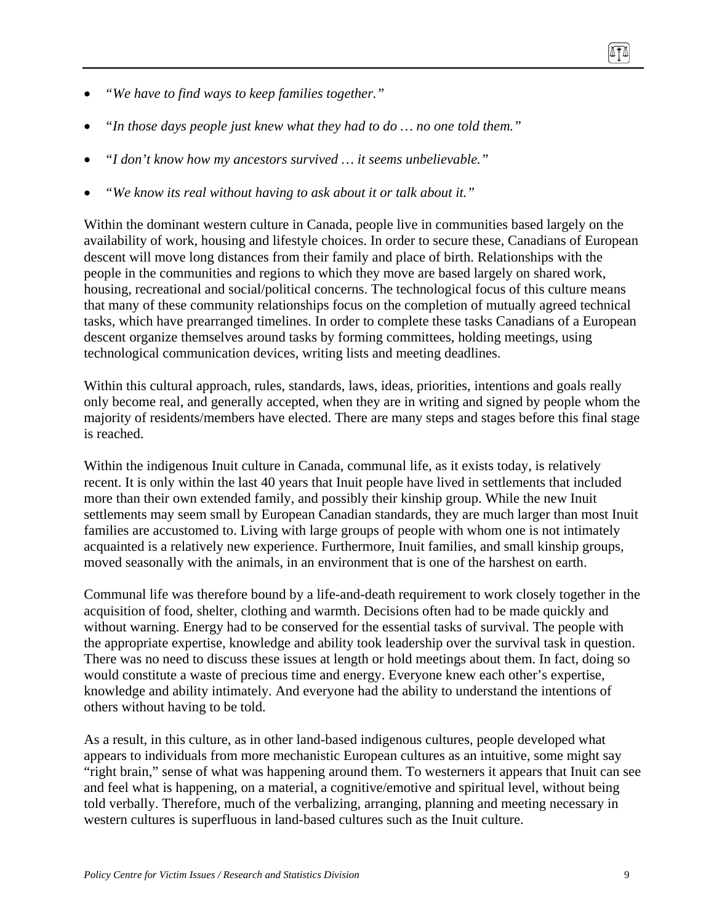- *"In those days people just knew what they had to do … no one told them."*
- *"I don't know how my ancestors survived … it seems unbelievable."*
- *"We know its real without having to ask about it or talk about it."*

Within the dominant western culture in Canada, people live in communities based largely on the availability of work, housing and lifestyle choices. In order to secure these, Canadians of European descent will move long distances from their family and place of birth. Relationships with the people in the communities and regions to which they move are based largely on shared work, housing, recreational and social/political concerns. The technological focus of this culture means that many of these community relationships focus on the completion of mutually agreed technical tasks, which have prearranged timelines. In order to complete these tasks Canadians of a European descent organize themselves around tasks by forming committees, holding meetings, using technological communication devices, writing lists and meeting deadlines.

Within this cultural approach, rules, standards, laws, ideas, priorities, intentions and goals really only become real, and generally accepted, when they are in writing and signed by people whom the majority of residents/members have elected. There are many steps and stages before this final stage is reached.

Within the indigenous Inuit culture in Canada, communal life, as it exists today, is relatively recent. It is only within the last 40 years that Inuit people have lived in settlements that included more than their own extended family, and possibly their kinship group. While the new Inuit settlements may seem small by European Canadian standards, they are much larger than most Inuit families are accustomed to. Living with large groups of people with whom one is not intimately acquainted is a relatively new experience. Furthermore, Inuit families, and small kinship groups, moved seasonally with the animals, in an environment that is one of the harshest on earth.

Communal life was therefore bound by a life-and-death requirement to work closely together in the acquisition of food, shelter, clothing and warmth. Decisions often had to be made quickly and without warning. Energy had to be conserved for the essential tasks of survival. The people with the appropriate expertise, knowledge and ability took leadership over the survival task in question. There was no need to discuss these issues at length or hold meetings about them. In fact, doing so would constitute a waste of precious time and energy. Everyone knew each other's expertise, knowledge and ability intimately. And everyone had the ability to understand the intentions of others without having to be told.

As a result, in this culture, as in other land-based indigenous cultures, people developed what appears to individuals from more mechanistic European cultures as an intuitive, some might say "right brain," sense of what was happening around them. To westerners it appears that Inuit can see and feel what is happening, on a material, a cognitive/emotive and spiritual level, without being told verbally. Therefore, much of the verbalizing, arranging, planning and meeting necessary in western cultures is superfluous in land-based cultures such as the Inuit culture.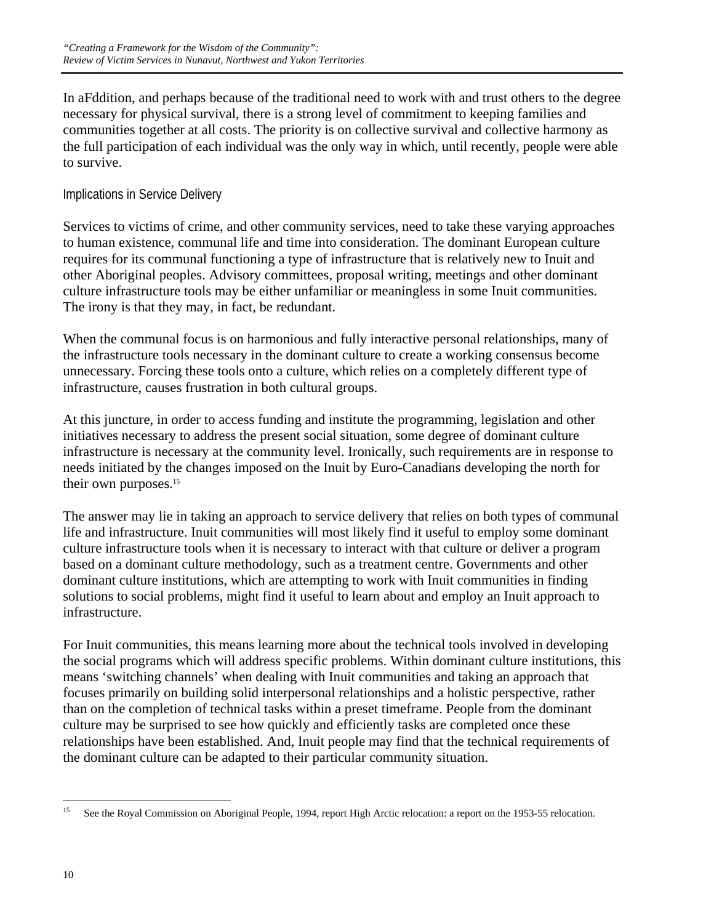In aFddition, and perhaps because of the traditional need to work with and trust others to the degree necessary for physical survival, there is a strong level of commitment to keeping families and communities together at all costs. The priority is on collective survival and collective harmony as the full participation of each individual was the only way in which, until recently, people were able to survive.

### Implications in Service Delivery

Services to victims of crime, and other community services, need to take these varying approaches to human existence, communal life and time into consideration. The dominant European culture requires for its communal functioning a type of infrastructure that is relatively new to Inuit and other Aboriginal peoples. Advisory committees, proposal writing, meetings and other dominant culture infrastructure tools may be either unfamiliar or meaningless in some Inuit communities. The irony is that they may, in fact, be redundant.

When the communal focus is on harmonious and fully interactive personal relationships, many of the infrastructure tools necessary in the dominant culture to create a working consensus become unnecessary. Forcing these tools onto a culture, which relies on a completely different type of infrastructure, causes frustration in both cultural groups.

At this juncture, in order to access funding and institute the programming, legislation and other initiatives necessary to address the present social situation, some degree of dominant culture infrastructure is necessary at the community level. Ironically, such requirements are in response to needs initiated by the changes imposed on the Inuit by Euro-Canadians developing the north for their own purposes.<sup>15</sup>

The answer may lie in taking an approach to service delivery that relies on both types of communal life and infrastructure. Inuit communities will most likely find it useful to employ some dominant culture infrastructure tools when it is necessary to interact with that culture or deliver a program based on a dominant culture methodology, such as a treatment centre. Governments and other dominant culture institutions, which are attempting to work with Inuit communities in finding solutions to social problems, might find it useful to learn about and employ an Inuit approach to infrastructure.

For Inuit communities, this means learning more about the technical tools involved in developing the social programs which will address specific problems. Within dominant culture institutions, this means 'switching channels' when dealing with Inuit communities and taking an approach that focuses primarily on building solid interpersonal relationships and a holistic perspective, rather than on the completion of technical tasks within a preset timeframe. People from the dominant culture may be surprised to see how quickly and efficiently tasks are completed once these relationships have been established. And, Inuit people may find that the technical requirements of the dominant culture can be adapted to their particular community situation.

 $15$ See the Royal Commission on Aboriginal People, 1994, report High Arctic relocation: a report on the 1953-55 relocation.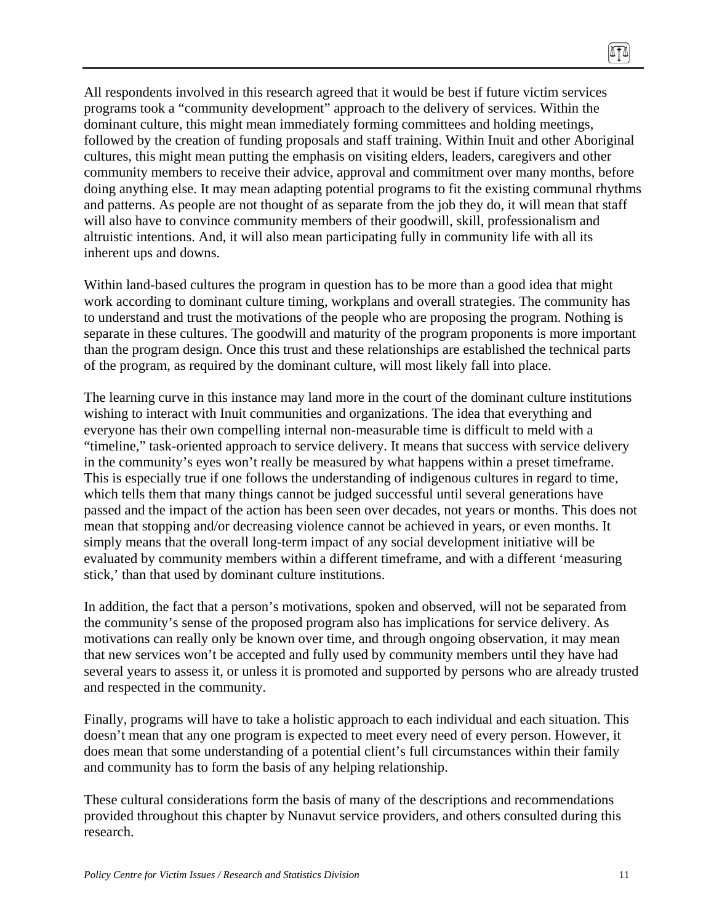All respondents involved in this research agreed that it would be best if future victim services programs took a "community development" approach to the delivery of services. Within the dominant culture, this might mean immediately forming committees and holding meetings, followed by the creation of funding proposals and staff training. Within Inuit and other Aboriginal cultures, this might mean putting the emphasis on visiting elders, leaders, caregivers and other community members to receive their advice, approval and commitment over many months, before doing anything else. It may mean adapting potential programs to fit the existing communal rhythms and patterns. As people are not thought of as separate from the job they do, it will mean that staff will also have to convince community members of their goodwill, skill, professionalism and altruistic intentions. And, it will also mean participating fully in community life with all its inherent ups and downs.

Within land-based cultures the program in question has to be more than a good idea that might work according to dominant culture timing, workplans and overall strategies. The community has to understand and trust the motivations of the people who are proposing the program. Nothing is separate in these cultures. The goodwill and maturity of the program proponents is more important than the program design. Once this trust and these relationships are established the technical parts of the program, as required by the dominant culture, will most likely fall into place.

The learning curve in this instance may land more in the court of the dominant culture institutions wishing to interact with Inuit communities and organizations. The idea that everything and everyone has their own compelling internal non-measurable time is difficult to meld with a "timeline," task-oriented approach to service delivery. It means that success with service delivery in the community's eyes won't really be measured by what happens within a preset timeframe. This is especially true if one follows the understanding of indigenous cultures in regard to time, which tells them that many things cannot be judged successful until several generations have passed and the impact of the action has been seen over decades, not years or months. This does not mean that stopping and/or decreasing violence cannot be achieved in years, or even months. It simply means that the overall long-term impact of any social development initiative will be evaluated by community members within a different timeframe, and with a different 'measuring stick,' than that used by dominant culture institutions.

In addition, the fact that a person's motivations, spoken and observed, will not be separated from the community's sense of the proposed program also has implications for service delivery. As motivations can really only be known over time, and through ongoing observation, it may mean that new services won't be accepted and fully used by community members until they have had several years to assess it, or unless it is promoted and supported by persons who are already trusted and respected in the community.

Finally, programs will have to take a holistic approach to each individual and each situation. This doesn't mean that any one program is expected to meet every need of every person. However, it does mean that some understanding of a potential client's full circumstances within their family and community has to form the basis of any helping relationship.

These cultural considerations form the basis of many of the descriptions and recommendations provided throughout this chapter by Nunavut service providers, and others consulted during this research.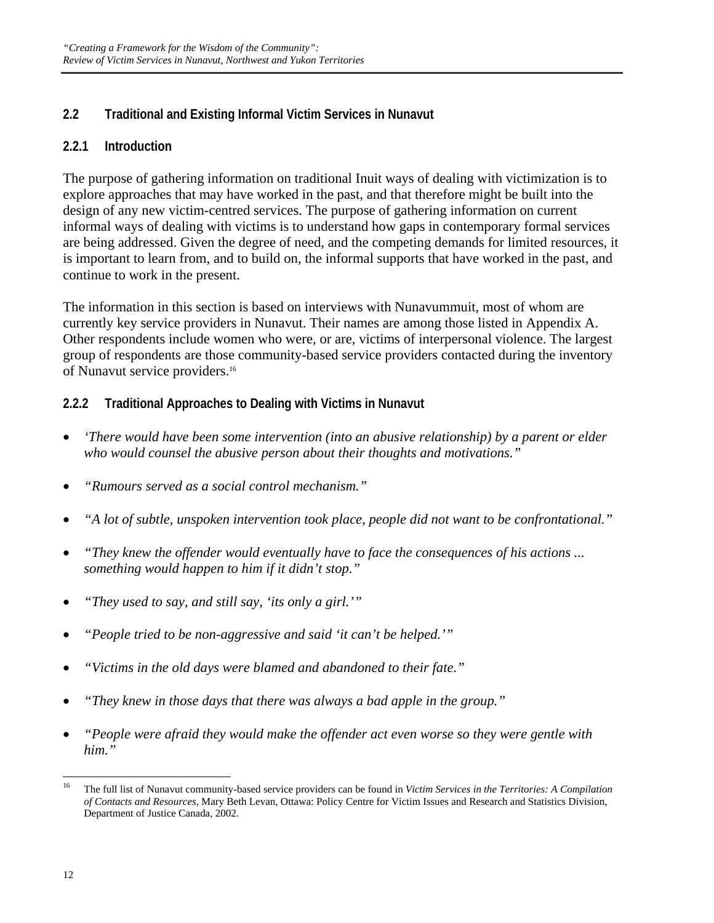# **2.2 Traditional and Existing Informal Victim Services in Nunavut**

### **2.2.1 Introduction**

The purpose of gathering information on traditional Inuit ways of dealing with victimization is to explore approaches that may have worked in the past, and that therefore might be built into the design of any new victim-centred services. The purpose of gathering information on current informal ways of dealing with victims is to understand how gaps in contemporary formal services are being addressed. Given the degree of need, and the competing demands for limited resources, it is important to learn from, and to build on, the informal supports that have worked in the past, and continue to work in the present.

The information in this section is based on interviews with Nunavummuit, most of whom are currently key service providers in Nunavut. Their names are among those listed in Appendix A. Other respondents include women who were, or are, victims of interpersonal violence. The largest group of respondents are those community-based service providers contacted during the inventory of Nunavut service providers.<sup>16</sup>

# **2.2.2 Traditional Approaches to Dealing with Victims in Nunavut**

- *'There would have been some intervention (into an abusive relationship) by a parent or elder who would counsel the abusive person about their thoughts and motivations."*
- *"Rumours served as a social control mechanism."*
- *"A lot of subtle, unspoken intervention took place, people did not want to be confrontational."*
- *"They knew the offender would eventually have to face the consequences of his actions ... something would happen to him if it didn't stop."*
- *"They used to say, and still say, 'its only a girl.'"*
- *"People tried to be non-aggressive and said 'it can't be helped.'"*
- *"Victims in the old days were blamed and abandoned to their fate."*
- *"They knew in those days that there was always a bad apple in the group."*
- *"People were afraid they would make the offender act even worse so they were gentle with him."*

<sup>16</sup> 16 The full list of Nunavut community-based service providers can be found in *Victim Services in the Territories: A Compilation of Contacts and Resources*, Mary Beth Levan, Ottawa: Policy Centre for Victim Issues and Research and Statistics Division, Department of Justice Canada, 2002.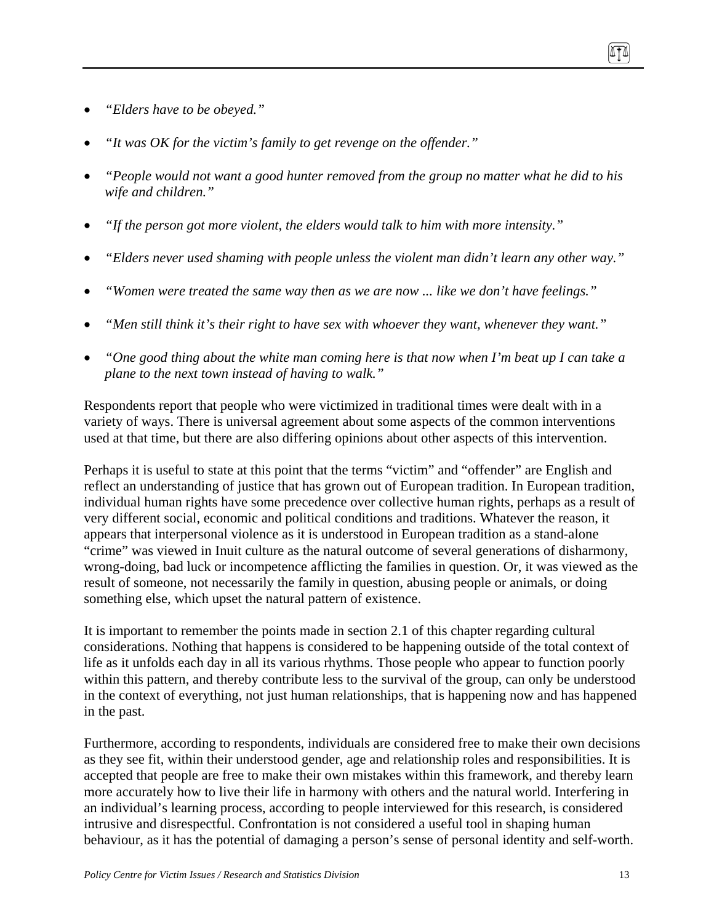- *"Elders have to be obeyed."*
- *"It was OK for the victim's family to get revenge on the offender."*
- *"People would not want a good hunter removed from the group no matter what he did to his wife and children."*
- *"If the person got more violent, the elders would talk to him with more intensity."*
- *"Elders never used shaming with people unless the violent man didn't learn any other way."*
- *"Women were treated the same way then as we are now ... like we don't have feelings."*
- *"Men still think it's their right to have sex with whoever they want, whenever they want."*
- *"One good thing about the white man coming here is that now when I'm beat up I can take a plane to the next town instead of having to walk."*

Respondents report that people who were victimized in traditional times were dealt with in a variety of ways. There is universal agreement about some aspects of the common interventions used at that time, but there are also differing opinions about other aspects of this intervention.

Perhaps it is useful to state at this point that the terms "victim" and "offender" are English and reflect an understanding of justice that has grown out of European tradition. In European tradition, individual human rights have some precedence over collective human rights, perhaps as a result of very different social, economic and political conditions and traditions. Whatever the reason, it appears that interpersonal violence as it is understood in European tradition as a stand-alone "crime" was viewed in Inuit culture as the natural outcome of several generations of disharmony, wrong-doing, bad luck or incompetence afflicting the families in question. Or, it was viewed as the result of someone, not necessarily the family in question, abusing people or animals, or doing something else, which upset the natural pattern of existence.

It is important to remember the points made in section 2.1 of this chapter regarding cultural considerations. Nothing that happens is considered to be happening outside of the total context of life as it unfolds each day in all its various rhythms. Those people who appear to function poorly within this pattern, and thereby contribute less to the survival of the group, can only be understood in the context of everything, not just human relationships, that is happening now and has happened in the past.

Furthermore, according to respondents, individuals are considered free to make their own decisions as they see fit, within their understood gender, age and relationship roles and responsibilities. It is accepted that people are free to make their own mistakes within this framework, and thereby learn more accurately how to live their life in harmony with others and the natural world. Interfering in an individual's learning process, according to people interviewed for this research, is considered intrusive and disrespectful. Confrontation is not considered a useful tool in shaping human behaviour, as it has the potential of damaging a person's sense of personal identity and self-worth.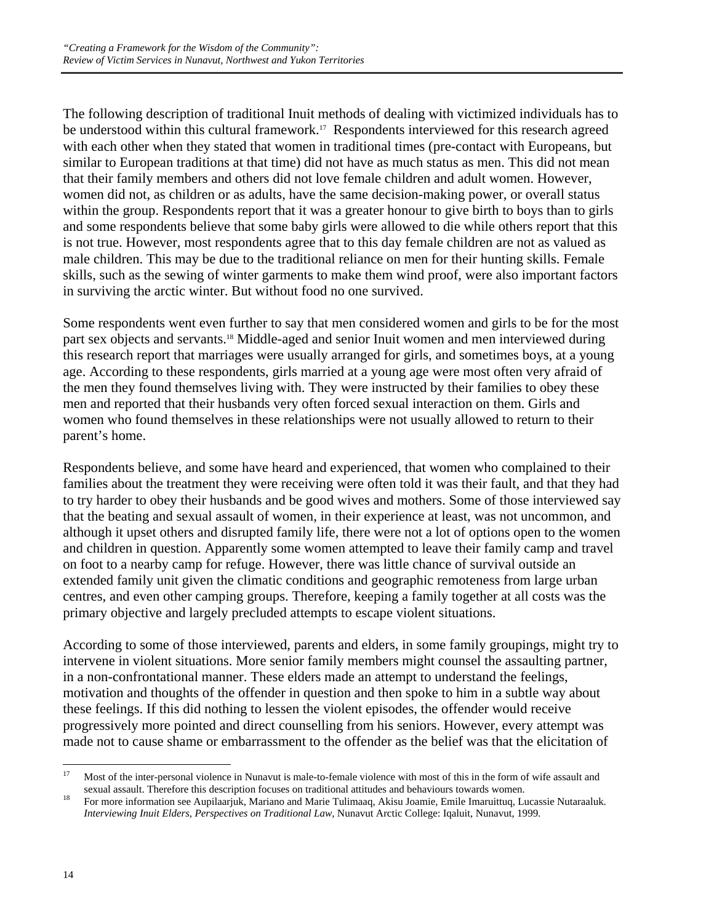The following description of traditional Inuit methods of dealing with victimized individuals has to be understood within this cultural framework.<sup>17</sup> Respondents interviewed for this research agreed with each other when they stated that women in traditional times (pre-contact with Europeans, but similar to European traditions at that time) did not have as much status as men. This did not mean that their family members and others did not love female children and adult women. However, women did not, as children or as adults, have the same decision-making power, or overall status within the group. Respondents report that it was a greater honour to give birth to boys than to girls and some respondents believe that some baby girls were allowed to die while others report that this is not true. However, most respondents agree that to this day female children are not as valued as male children. This may be due to the traditional reliance on men for their hunting skills. Female skills, such as the sewing of winter garments to make them wind proof, were also important factors in surviving the arctic winter. But without food no one survived.

Some respondents went even further to say that men considered women and girls to be for the most part sex objects and servants.18 Middle-aged and senior Inuit women and men interviewed during this research report that marriages were usually arranged for girls, and sometimes boys, at a young age. According to these respondents, girls married at a young age were most often very afraid of the men they found themselves living with. They were instructed by their families to obey these men and reported that their husbands very often forced sexual interaction on them. Girls and women who found themselves in these relationships were not usually allowed to return to their parent's home.

Respondents believe, and some have heard and experienced, that women who complained to their families about the treatment they were receiving were often told it was their fault, and that they had to try harder to obey their husbands and be good wives and mothers. Some of those interviewed say that the beating and sexual assault of women, in their experience at least, was not uncommon, and although it upset others and disrupted family life, there were not a lot of options open to the women and children in question. Apparently some women attempted to leave their family camp and travel on foot to a nearby camp for refuge. However, there was little chance of survival outside an extended family unit given the climatic conditions and geographic remoteness from large urban centres, and even other camping groups. Therefore, keeping a family together at all costs was the primary objective and largely precluded attempts to escape violent situations.

According to some of those interviewed, parents and elders, in some family groupings, might try to intervene in violent situations. More senior family members might counsel the assaulting partner, in a non-confrontational manner. These elders made an attempt to understand the feelings, motivation and thoughts of the offender in question and then spoke to him in a subtle way about these feelings. If this did nothing to lessen the violent episodes, the offender would receive progressively more pointed and direct counselling from his seniors. However, every attempt was made not to cause shame or embarrassment to the offender as the belief was that the elicitation of

<sup>17</sup> Most of the inter-personal violence in Nunavut is male-to-female violence with most of this in the form of wife assault and sexual assault. Therefore this description focuses on traditional attitudes and behaviours towards women.<br><sup>18</sup> For more information see Aupilaarjuk, Mariano and Marie Tulimaaq, Akisu Joamie, Emile Imaruittuq, Lucassie Nuta

*Interviewing Inuit Elders, Perspectives on Traditional Law,* Nunavut Arctic College: Iqaluit, Nunavut, 1999.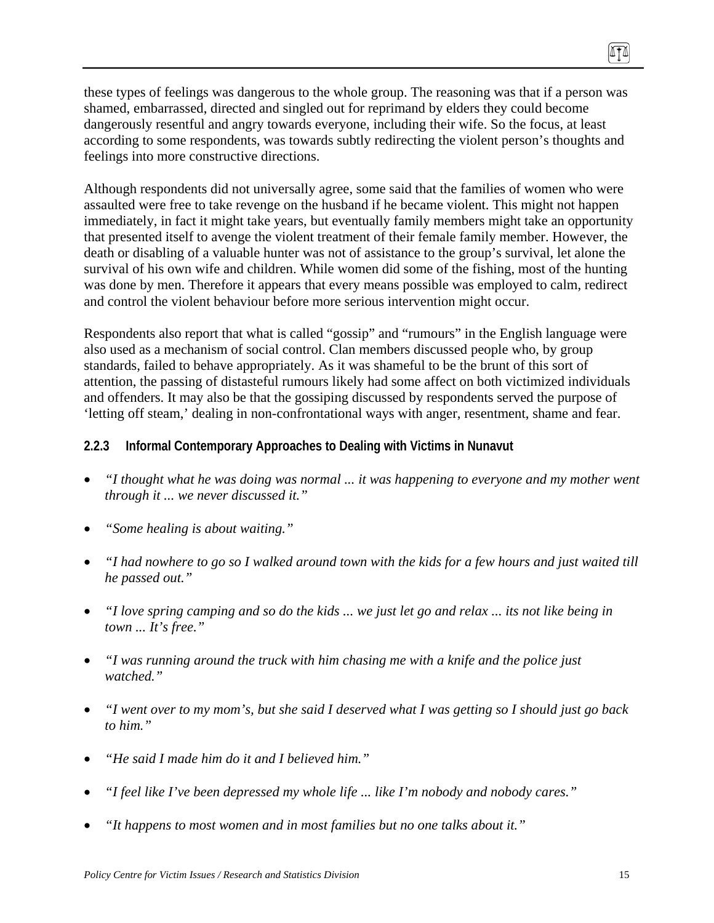these types of feelings was dangerous to the whole group. The reasoning was that if a person was shamed, embarrassed, directed and singled out for reprimand by elders they could become dangerously resentful and angry towards everyone, including their wife. So the focus, at least according to some respondents, was towards subtly redirecting the violent person's thoughts and feelings into more constructive directions.

Although respondents did not universally agree, some said that the families of women who were assaulted were free to take revenge on the husband if he became violent. This might not happen immediately, in fact it might take years, but eventually family members might take an opportunity that presented itself to avenge the violent treatment of their female family member. However, the death or disabling of a valuable hunter was not of assistance to the group's survival, let alone the survival of his own wife and children. While women did some of the fishing, most of the hunting was done by men. Therefore it appears that every means possible was employed to calm, redirect and control the violent behaviour before more serious intervention might occur.

Respondents also report that what is called "gossip" and "rumours" in the English language were also used as a mechanism of social control. Clan members discussed people who, by group standards, failed to behave appropriately. As it was shameful to be the brunt of this sort of attention, the passing of distasteful rumours likely had some affect on both victimized individuals and offenders. It may also be that the gossiping discussed by respondents served the purpose of 'letting off steam,' dealing in non-confrontational ways with anger, resentment, shame and fear.

### **2.2.3 Informal Contemporary Approaches to Dealing with Victims in Nunavut**

- *"I thought what he was doing was normal ... it was happening to everyone and my mother went through it ... we never discussed it."*
- *"Some healing is about waiting."*
- *"I had nowhere to go so I walked around town with the kids for a few hours and just waited till he passed out."*
- *"I love spring camping and so do the kids ... we just let go and relax ... its not like being in town ... It's free."*
- *"I was running around the truck with him chasing me with a knife and the police just watched."*
- *"I went over to my mom's, but she said I deserved what I was getting so I should just go back to him."*
- *"He said I made him do it and I believed him."*
- *"I feel like I've been depressed my whole life ... like I'm nobody and nobody cares."*
- *"It happens to most women and in most families but no one talks about it."*

ITI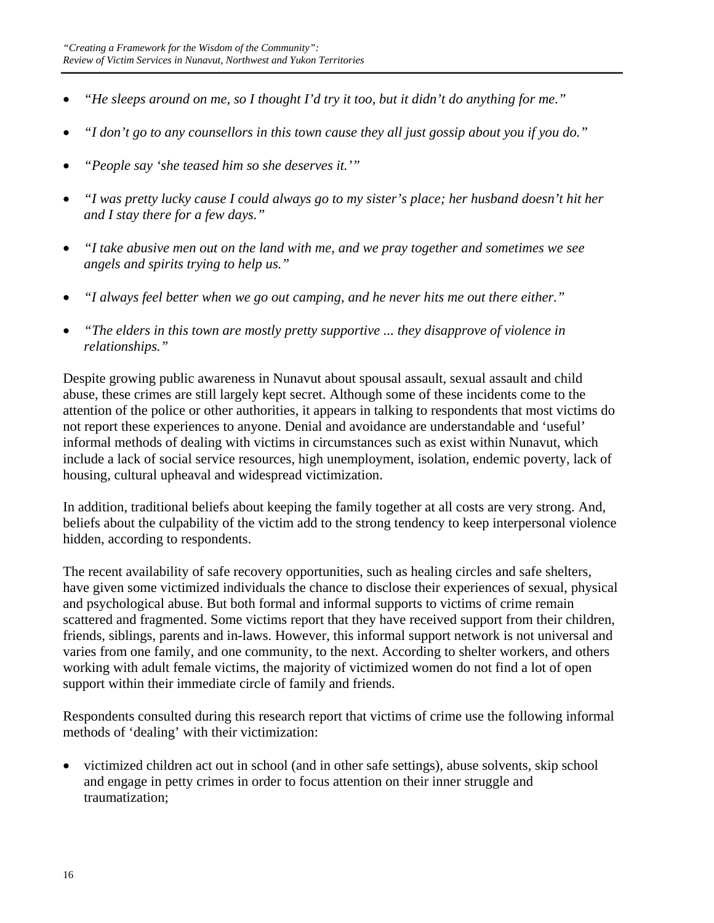- *"He sleeps around on me, so I thought I'd try it too, but it didn't do anything for me."*
- *"I don't go to any counsellors in this town cause they all just gossip about you if you do."*
- *"People say 'she teased him so she deserves it.'"*
- *"I was pretty lucky cause I could always go to my sister's place; her husband doesn't hit her and I stay there for a few days."*
- *"I take abusive men out on the land with me, and we pray together and sometimes we see angels and spirits trying to help us."*
- *"I always feel better when we go out camping, and he never hits me out there either."*
- *"The elders in this town are mostly pretty supportive ... they disapprove of violence in relationships."*

Despite growing public awareness in Nunavut about spousal assault, sexual assault and child abuse, these crimes are still largely kept secret. Although some of these incidents come to the attention of the police or other authorities, it appears in talking to respondents that most victims do not report these experiences to anyone. Denial and avoidance are understandable and 'useful' informal methods of dealing with victims in circumstances such as exist within Nunavut, which include a lack of social service resources, high unemployment, isolation, endemic poverty, lack of housing, cultural upheaval and widespread victimization.

In addition, traditional beliefs about keeping the family together at all costs are very strong. And, beliefs about the culpability of the victim add to the strong tendency to keep interpersonal violence hidden, according to respondents.

The recent availability of safe recovery opportunities, such as healing circles and safe shelters, have given some victimized individuals the chance to disclose their experiences of sexual, physical and psychological abuse. But both formal and informal supports to victims of crime remain scattered and fragmented. Some victims report that they have received support from their children, friends, siblings, parents and in-laws. However, this informal support network is not universal and varies from one family, and one community, to the next. According to shelter workers, and others working with adult female victims, the majority of victimized women do not find a lot of open support within their immediate circle of family and friends.

Respondents consulted during this research report that victims of crime use the following informal methods of 'dealing' with their victimization:

• victimized children act out in school (and in other safe settings), abuse solvents, skip school and engage in petty crimes in order to focus attention on their inner struggle and traumatization;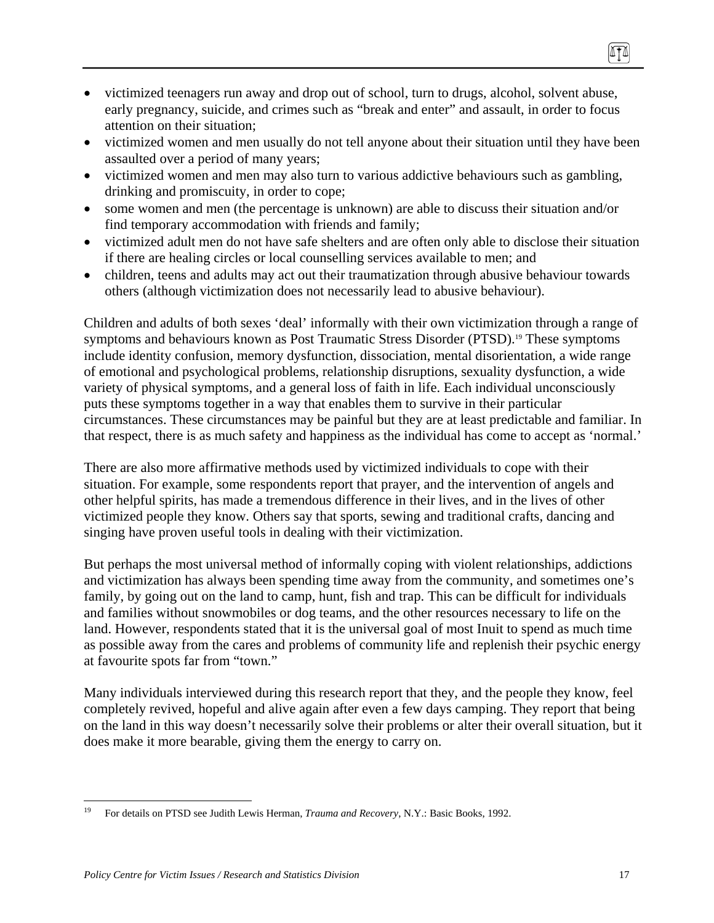- victimized teenagers run away and drop out of school, turn to drugs, alcohol, solvent abuse, early pregnancy, suicide, and crimes such as "break and enter" and assault, in order to focus attention on their situation;
- victimized women and men usually do not tell anyone about their situation until they have been assaulted over a period of many years;
- victimized women and men may also turn to various addictive behaviours such as gambling, drinking and promiscuity, in order to cope;
- some women and men (the percentage is unknown) are able to discuss their situation and/or find temporary accommodation with friends and family;
- victimized adult men do not have safe shelters and are often only able to disclose their situation if there are healing circles or local counselling services available to men; and
- children, teens and adults may act out their traumatization through abusive behaviour towards others (although victimization does not necessarily lead to abusive behaviour).

Children and adults of both sexes 'deal' informally with their own victimization through a range of symptoms and behaviours known as Post Traumatic Stress Disorder (PTSD).<sup>19</sup> These symptoms include identity confusion, memory dysfunction, dissociation, mental disorientation, a wide range of emotional and psychological problems, relationship disruptions, sexuality dysfunction, a wide variety of physical symptoms, and a general loss of faith in life. Each individual unconsciously puts these symptoms together in a way that enables them to survive in their particular circumstances. These circumstances may be painful but they are at least predictable and familiar. In that respect, there is as much safety and happiness as the individual has come to accept as 'normal.'

There are also more affirmative methods used by victimized individuals to cope with their situation. For example, some respondents report that prayer, and the intervention of angels and other helpful spirits, has made a tremendous difference in their lives, and in the lives of other victimized people they know. Others say that sports, sewing and traditional crafts, dancing and singing have proven useful tools in dealing with their victimization.

But perhaps the most universal method of informally coping with violent relationships, addictions and victimization has always been spending time away from the community, and sometimes one's family, by going out on the land to camp, hunt, fish and trap. This can be difficult for individuals and families without snowmobiles or dog teams, and the other resources necessary to life on the land. However, respondents stated that it is the universal goal of most Inuit to spend as much time as possible away from the cares and problems of community life and replenish their psychic energy at favourite spots far from "town."

Many individuals interviewed during this research report that they, and the people they know, feel completely revived, hopeful and alive again after even a few days camping. They report that being on the land in this way doesn't necessarily solve their problems or alter their overall situation, but it does make it more bearable, giving them the energy to carry on.

 $\overline{a}$ 19 For details on PTSD see Judith Lewis Herman, *Trauma and Recovery*, N.Y.: Basic Books, 1992.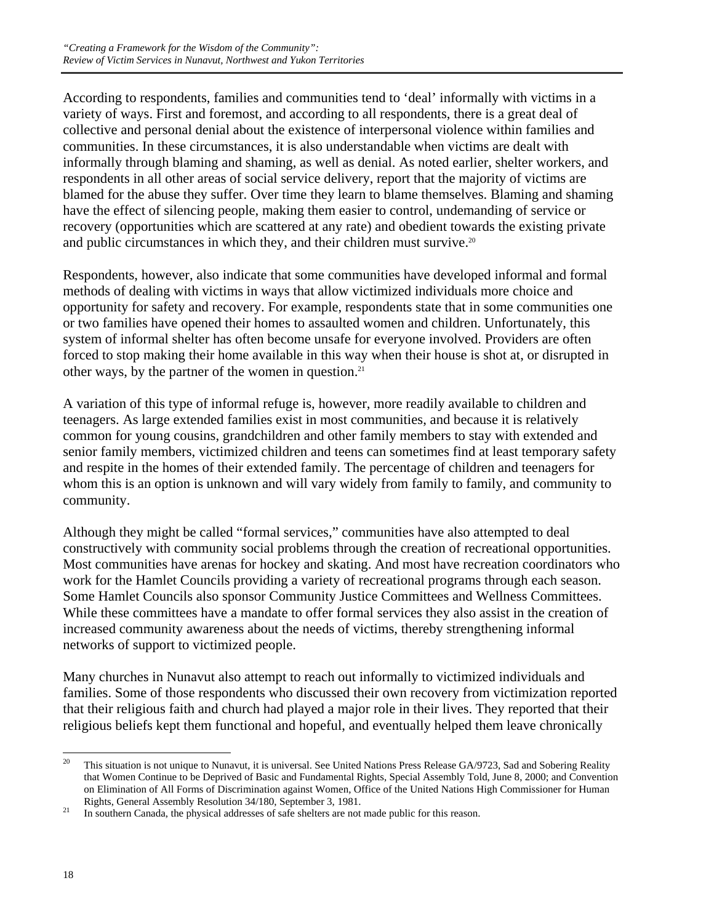According to respondents, families and communities tend to 'deal' informally with victims in a variety of ways. First and foremost, and according to all respondents, there is a great deal of collective and personal denial about the existence of interpersonal violence within families and communities. In these circumstances, it is also understandable when victims are dealt with informally through blaming and shaming, as well as denial. As noted earlier, shelter workers, and respondents in all other areas of social service delivery, report that the majority of victims are blamed for the abuse they suffer. Over time they learn to blame themselves. Blaming and shaming have the effect of silencing people, making them easier to control, undemanding of service or recovery (opportunities which are scattered at any rate) and obedient towards the existing private and public circumstances in which they, and their children must survive.<sup>20</sup>

Respondents, however, also indicate that some communities have developed informal and formal methods of dealing with victims in ways that allow victimized individuals more choice and opportunity for safety and recovery. For example, respondents state that in some communities one or two families have opened their homes to assaulted women and children. Unfortunately, this system of informal shelter has often become unsafe for everyone involved. Providers are often forced to stop making their home available in this way when their house is shot at, or disrupted in other ways, by the partner of the women in question.21

A variation of this type of informal refuge is, however, more readily available to children and teenagers. As large extended families exist in most communities, and because it is relatively common for young cousins, grandchildren and other family members to stay with extended and senior family members, victimized children and teens can sometimes find at least temporary safety and respite in the homes of their extended family. The percentage of children and teenagers for whom this is an option is unknown and will vary widely from family to family, and community to community.

Although they might be called "formal services," communities have also attempted to deal constructively with community social problems through the creation of recreational opportunities. Most communities have arenas for hockey and skating. And most have recreation coordinators who work for the Hamlet Councils providing a variety of recreational programs through each season. Some Hamlet Councils also sponsor Community Justice Committees and Wellness Committees. While these committees have a mandate to offer formal services they also assist in the creation of increased community awareness about the needs of victims, thereby strengthening informal networks of support to victimized people.

Many churches in Nunavut also attempt to reach out informally to victimized individuals and families. Some of those respondents who discussed their own recovery from victimization reported that their religious faith and church had played a major role in their lives. They reported that their religious beliefs kept them functional and hopeful, and eventually helped them leave chronically

<sup>20</sup> 20 This situation is not unique to Nunavut, it is universal. See United Nations Press Release GA/9723, Sad and Sobering Reality that Women Continue to be Deprived of Basic and Fundamental Rights, Special Assembly Told, June 8, 2000; and Convention on Elimination of All Forms of Discrimination against Women, Office of the United Nations High Commissioner for Human Rights, General Assembly Resolution 34/180, September 3, 1981.

<sup>&</sup>lt;sup>21</sup> In southern Canada, the physical addresses of safe shelters are not made public for this reason.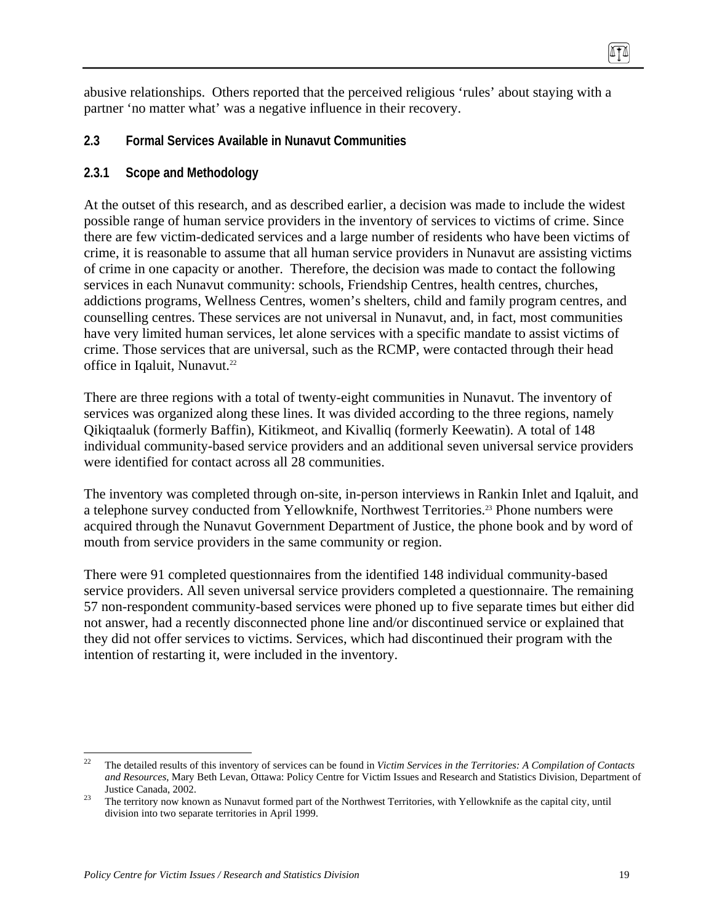abusive relationships. Others reported that the perceived religious 'rules' about staying with a partner 'no matter what' was a negative influence in their recovery.

### **2.3 Formal Services Available in Nunavut Communities**

### **2.3.1 Scope and Methodology**

At the outset of this research, and as described earlier, a decision was made to include the widest possible range of human service providers in the inventory of services to victims of crime. Since there are few victim-dedicated services and a large number of residents who have been victims of crime, it is reasonable to assume that all human service providers in Nunavut are assisting victims of crime in one capacity or another. Therefore, the decision was made to contact the following services in each Nunavut community: schools, Friendship Centres, health centres, churches, addictions programs, Wellness Centres, women's shelters, child and family program centres, and counselling centres. These services are not universal in Nunavut, and, in fact, most communities have very limited human services, let alone services with a specific mandate to assist victims of crime. Those services that are universal, such as the RCMP, were contacted through their head office in Iqaluit, Nunavut.<sup>22</sup>

There are three regions with a total of twenty-eight communities in Nunavut. The inventory of services was organized along these lines. It was divided according to the three regions, namely Qikiqtaaluk (formerly Baffin), Kitikmeot, and Kivalliq (formerly Keewatin). A total of 148 individual community-based service providers and an additional seven universal service providers were identified for contact across all 28 communities.

The inventory was completed through on-site, in-person interviews in Rankin Inlet and Iqaluit, and a telephone survey conducted from Yellowknife, Northwest Territories.<sup>23</sup> Phone numbers were acquired through the Nunavut Government Department of Justice, the phone book and by word of mouth from service providers in the same community or region.

There were 91 completed questionnaires from the identified 148 individual community-based service providers. All seven universal service providers completed a questionnaire. The remaining 57 non-respondent community-based services were phoned up to five separate times but either did not answer, had a recently disconnected phone line and/or discontinued service or explained that they did not offer services to victims. Services, which had discontinued their program with the intention of restarting it, were included in the inventory.

 $22$ 22 The detailed results of this inventory of services can be found in *Victim Services in the Territories: A Compilation of Contacts and Resources*, Mary Beth Levan, Ottawa: Policy Centre for Victim Issues and Research and Statistics Division, Department of Justice Canada, 2002. 23 The territory now known as Nunavut formed part of the Northwest Territories, with Yellowknife as the capital city, until

division into two separate territories in April 1999.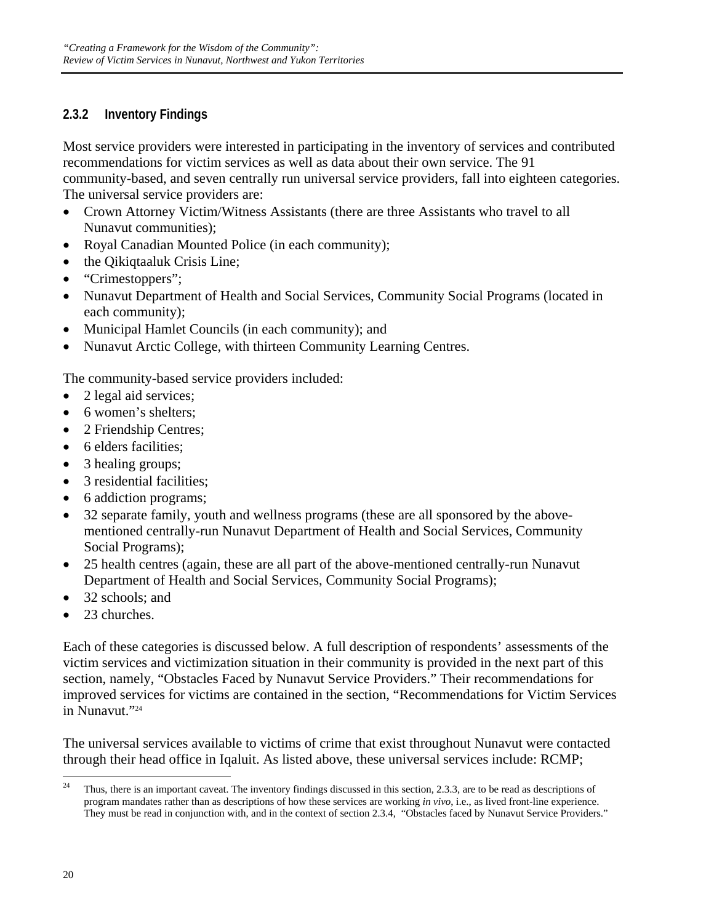# **2.3.2 Inventory Findings**

Most service providers were interested in participating in the inventory of services and contributed recommendations for victim services as well as data about their own service. The 91 community-based, and seven centrally run universal service providers, fall into eighteen categories. The universal service providers are:

- Crown Attorney Victim/Witness Assistants (there are three Assistants who travel to all Nunavut communities);
- Royal Canadian Mounted Police (in each community);
- the Qikiqtaaluk Crisis Line;
- "Crimestoppers";
- Nunavut Department of Health and Social Services, Community Social Programs (located in each community);
- Municipal Hamlet Councils (in each community); and
- Nunavut Arctic College, with thirteen Community Learning Centres.

The community-based service providers included:

- 2 legal aid services;
- 6 women's shelters:
- 2 Friendship Centres;
- 6 elders facilities:
- 3 healing groups;
- 3 residential facilities;
- 6 addiction programs;
- 32 separate family, youth and wellness programs (these are all sponsored by the abovementioned centrally-run Nunavut Department of Health and Social Services, Community Social Programs);
- 25 health centres (again, these are all part of the above-mentioned centrally-run Nunavut Department of Health and Social Services, Community Social Programs);
- 32 schools; and
- 23 churches.

Each of these categories is discussed below. A full description of respondents' assessments of the victim services and victimization situation in their community is provided in the next part of this section, namely, "Obstacles Faced by Nunavut Service Providers." Their recommendations for improved services for victims are contained in the section, "Recommendations for Victim Services in Nunavut."24

The universal services available to victims of crime that exist throughout Nunavut were contacted through their head office in Iqaluit. As listed above, these universal services include: RCMP;

<sup>24</sup> Thus, there is an important caveat. The inventory findings discussed in this section, 2.3.3, are to be read as descriptions of program mandates rather than as descriptions of how these services are working *in vivo*, i.e., as lived front-line experience. They must be read in conjunction with, and in the context of section 2.3.4, "Obstacles faced by Nunavut Service Providers."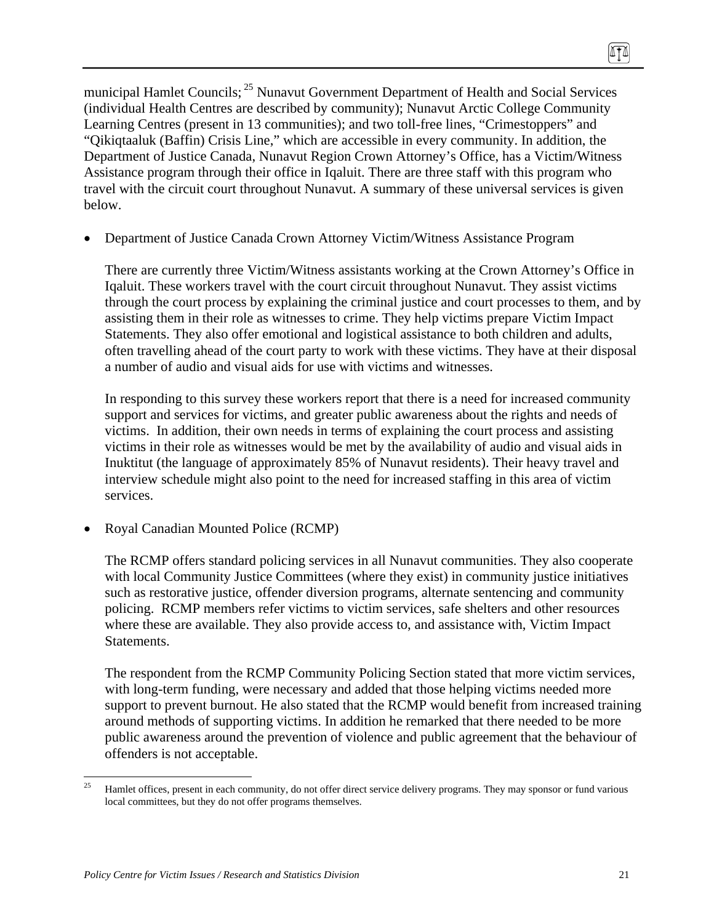municipal Hamlet Councils; 25 Nunavut Government Department of Health and Social Services (individual Health Centres are described by community); Nunavut Arctic College Community Learning Centres (present in 13 communities); and two toll-free lines, "Crimestoppers" and "Qikiqtaaluk (Baffin) Crisis Line," which are accessible in every community. In addition, the Department of Justice Canada, Nunavut Region Crown Attorney's Office, has a Victim/Witness Assistance program through their office in Iqaluit. There are three staff with this program who travel with the circuit court throughout Nunavut. A summary of these universal services is given below.

• Department of Justice Canada Crown Attorney Victim/Witness Assistance Program

There are currently three Victim/Witness assistants working at the Crown Attorney's Office in Iqaluit. These workers travel with the court circuit throughout Nunavut. They assist victims through the court process by explaining the criminal justice and court processes to them, and by assisting them in their role as witnesses to crime. They help victims prepare Victim Impact Statements. They also offer emotional and logistical assistance to both children and adults, often travelling ahead of the court party to work with these victims. They have at their disposal a number of audio and visual aids for use with victims and witnesses.

In responding to this survey these workers report that there is a need for increased community support and services for victims, and greater public awareness about the rights and needs of victims. In addition, their own needs in terms of explaining the court process and assisting victims in their role as witnesses would be met by the availability of audio and visual aids in Inuktitut (the language of approximately 85% of Nunavut residents). Their heavy travel and interview schedule might also point to the need for increased staffing in this area of victim services.

• Royal Canadian Mounted Police (RCMP)

The RCMP offers standard policing services in all Nunavut communities. They also cooperate with local Community Justice Committees (where they exist) in community justice initiatives such as restorative justice, offender diversion programs, alternate sentencing and community policing. RCMP members refer victims to victim services, safe shelters and other resources where these are available. They also provide access to, and assistance with, Victim Impact Statements.

The respondent from the RCMP Community Policing Section stated that more victim services, with long-term funding, were necessary and added that those helping victims needed more support to prevent burnout. He also stated that the RCMP would benefit from increased training around methods of supporting victims. In addition he remarked that there needed to be more public awareness around the prevention of violence and public agreement that the behaviour of offenders is not acceptable.

 $25$ 25 Hamlet offices, present in each community, do not offer direct service delivery programs. They may sponsor or fund various local committees, but they do not offer programs themselves.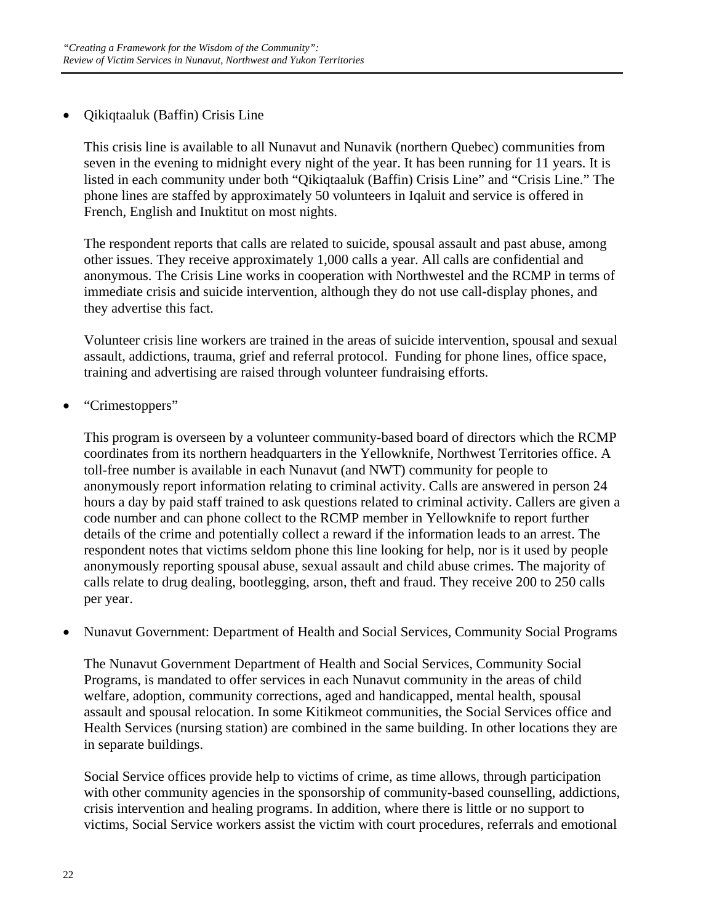• Qikiqtaaluk (Baffin) Crisis Line

This crisis line is available to all Nunavut and Nunavik (northern Quebec) communities from seven in the evening to midnight every night of the year. It has been running for 11 years. It is listed in each community under both "Qikiqtaaluk (Baffin) Crisis Line" and "Crisis Line." The phone lines are staffed by approximately 50 volunteers in Iqaluit and service is offered in French, English and Inuktitut on most nights.

The respondent reports that calls are related to suicide, spousal assault and past abuse, among other issues. They receive approximately 1,000 calls a year. All calls are confidential and anonymous. The Crisis Line works in cooperation with Northwestel and the RCMP in terms of immediate crisis and suicide intervention, although they do not use call-display phones, and they advertise this fact.

Volunteer crisis line workers are trained in the areas of suicide intervention, spousal and sexual assault, addictions, trauma, grief and referral protocol. Funding for phone lines, office space, training and advertising are raised through volunteer fundraising efforts.

• "Crimestoppers"

This program is overseen by a volunteer community-based board of directors which the RCMP coordinates from its northern headquarters in the Yellowknife, Northwest Territories office. A toll-free number is available in each Nunavut (and NWT) community for people to anonymously report information relating to criminal activity. Calls are answered in person 24 hours a day by paid staff trained to ask questions related to criminal activity. Callers are given a code number and can phone collect to the RCMP member in Yellowknife to report further details of the crime and potentially collect a reward if the information leads to an arrest. The respondent notes that victims seldom phone this line looking for help, nor is it used by people anonymously reporting spousal abuse, sexual assault and child abuse crimes. The majority of calls relate to drug dealing, bootlegging, arson, theft and fraud. They receive 200 to 250 calls per year.

• Nunavut Government: Department of Health and Social Services, Community Social Programs

The Nunavut Government Department of Health and Social Services, Community Social Programs, is mandated to offer services in each Nunavut community in the areas of child welfare, adoption, community corrections, aged and handicapped, mental health, spousal assault and spousal relocation. In some Kitikmeot communities, the Social Services office and Health Services (nursing station) are combined in the same building. In other locations they are in separate buildings.

Social Service offices provide help to victims of crime, as time allows, through participation with other community agencies in the sponsorship of community-based counselling, addictions, crisis intervention and healing programs. In addition, where there is little or no support to victims, Social Service workers assist the victim with court procedures, referrals and emotional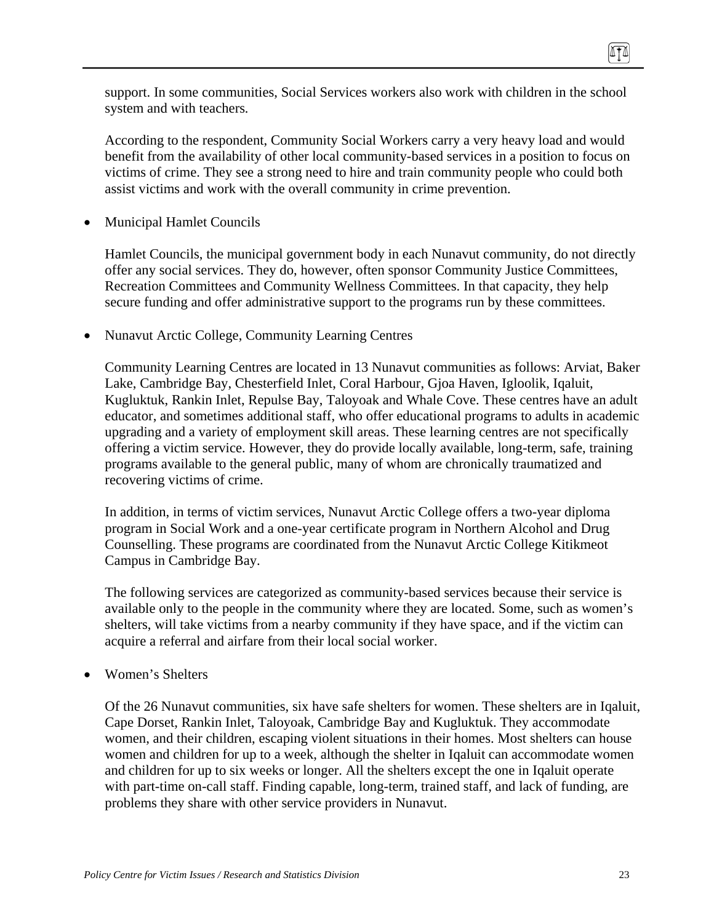support. In some communities, Social Services workers also work with children in the school system and with teachers*.* 

According to the respondent, Community Social Workers carry a very heavy load and would benefit from the availability of other local community-based services in a position to focus on victims of crime. They see a strong need to hire and train community people who could both assist victims and work with the overall community in crime prevention.

• Municipal Hamlet Councils

Hamlet Councils, the municipal government body in each Nunavut community, do not directly offer any social services. They do, however, often sponsor Community Justice Committees, Recreation Committees and Community Wellness Committees. In that capacity, they help secure funding and offer administrative support to the programs run by these committees.

• Nunavut Arctic College, Community Learning Centres

Community Learning Centres are located in 13 Nunavut communities as follows: Arviat, Baker Lake, Cambridge Bay, Chesterfield Inlet, Coral Harbour, Gjoa Haven, Igloolik, Iqaluit, Kugluktuk, Rankin Inlet, Repulse Bay, Taloyoak and Whale Cove. These centres have an adult educator, and sometimes additional staff, who offer educational programs to adults in academic upgrading and a variety of employment skill areas. These learning centres are not specifically offering a victim service. However, they do provide locally available, long-term, safe, training programs available to the general public, many of whom are chronically traumatized and recovering victims of crime.

In addition, in terms of victim services, Nunavut Arctic College offers a two-year diploma program in Social Work and a one-year certificate program in Northern Alcohol and Drug Counselling. These programs are coordinated from the Nunavut Arctic College Kitikmeot Campus in Cambridge Bay.

The following services are categorized as community-based services because their service is available only to the people in the community where they are located. Some, such as women's shelters, will take victims from a nearby community if they have space, and if the victim can acquire a referral and airfare from their local social worker.

• Women's Shelters

Of the 26 Nunavut communities, six have safe shelters for women. These shelters are in Iqaluit, Cape Dorset, Rankin Inlet, Taloyoak, Cambridge Bay and Kugluktuk. They accommodate women, and their children, escaping violent situations in their homes. Most shelters can house women and children for up to a week, although the shelter in Iqaluit can accommodate women and children for up to six weeks or longer. All the shelters except the one in Iqaluit operate with part-time on-call staff. Finding capable, long-term, trained staff, and lack of funding, are problems they share with other service providers in Nunavut.

TI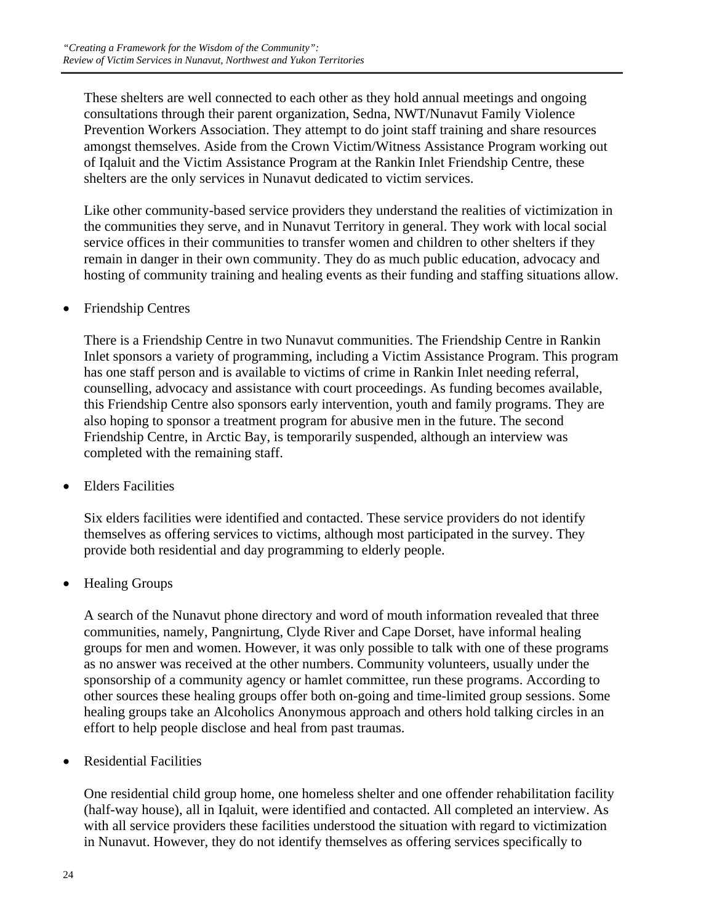These shelters are well connected to each other as they hold annual meetings and ongoing consultations through their parent organization, Sedna, NWT/Nunavut Family Violence Prevention Workers Association. They attempt to do joint staff training and share resources amongst themselves. Aside from the Crown Victim/Witness Assistance Program working out of Iqaluit and the Victim Assistance Program at the Rankin Inlet Friendship Centre, these shelters are the only services in Nunavut dedicated to victim services.

Like other community-based service providers they understand the realities of victimization in the communities they serve, and in Nunavut Territory in general. They work with local social service offices in their communities to transfer women and children to other shelters if they remain in danger in their own community. They do as much public education, advocacy and hosting of community training and healing events as their funding and staffing situations allow.

### • Friendship Centres

There is a Friendship Centre in two Nunavut communities. The Friendship Centre in Rankin Inlet sponsors a variety of programming, including a Victim Assistance Program. This program has one staff person and is available to victims of crime in Rankin Inlet needing referral, counselling, advocacy and assistance with court proceedings. As funding becomes available, this Friendship Centre also sponsors early intervention, youth and family programs. They are also hoping to sponsor a treatment program for abusive men in the future. The second Friendship Centre, in Arctic Bay, is temporarily suspended, although an interview was completed with the remaining staff.

• Elders Facilities

Six elders facilities were identified and contacted. These service providers do not identify themselves as offering services to victims, although most participated in the survey. They provide both residential and day programming to elderly people.

• Healing Groups

A search of the Nunavut phone directory and word of mouth information revealed that three communities, namely, Pangnirtung, Clyde River and Cape Dorset, have informal healing groups for men and women. However, it was only possible to talk with one of these programs as no answer was received at the other numbers. Community volunteers, usually under the sponsorship of a community agency or hamlet committee, run these programs. According to other sources these healing groups offer both on-going and time-limited group sessions. Some healing groups take an Alcoholics Anonymous approach and others hold talking circles in an effort to help people disclose and heal from past traumas.

• Residential Facilities

One residential child group home, one homeless shelter and one offender rehabilitation facility (half-way house), all in Iqaluit, were identified and contacted. All completed an interview. As with all service providers these facilities understood the situation with regard to victimization in Nunavut. However, they do not identify themselves as offering services specifically to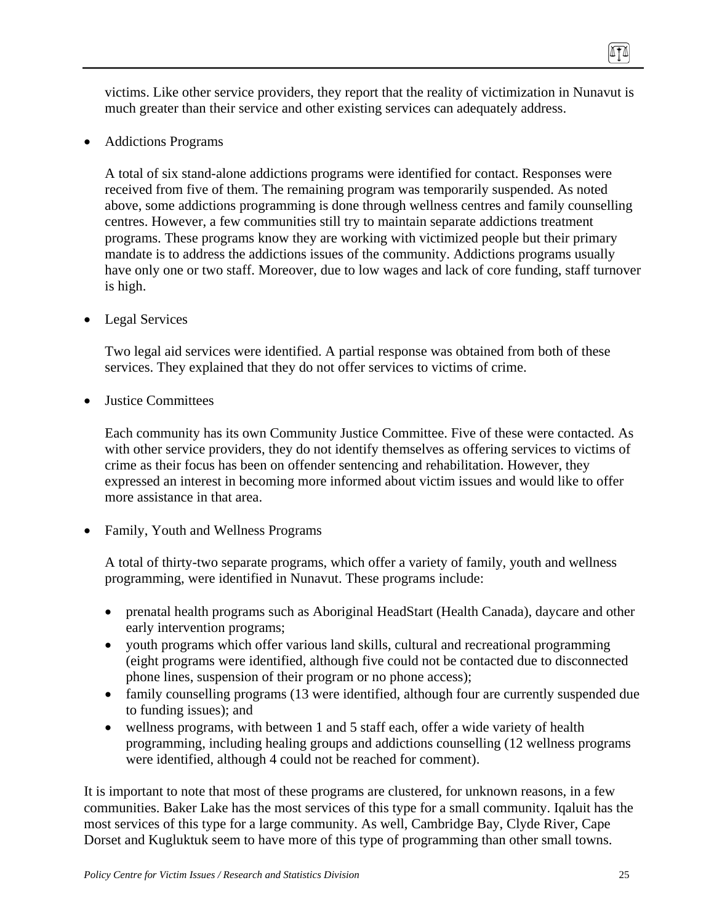victims. Like other service providers, they report that the reality of victimization in Nunavut is much greater than their service and other existing services can adequately address.

• Addictions Programs

A total of six stand-alone addictions programs were identified for contact. Responses were received from five of them. The remaining program was temporarily suspended. As noted above, some addictions programming is done through wellness centres and family counselling centres. However, a few communities still try to maintain separate addictions treatment programs. These programs know they are working with victimized people but their primary mandate is to address the addictions issues of the community. Addictions programs usually have only one or two staff. Moreover, due to low wages and lack of core funding, staff turnover is high.

• Legal Services

Two legal aid services were identified. A partial response was obtained from both of these services. They explained that they do not offer services to victims of crime.

• Justice Committees

Each community has its own Community Justice Committee. Five of these were contacted. As with other service providers, they do not identify themselves as offering services to victims of crime as their focus has been on offender sentencing and rehabilitation. However, they expressed an interest in becoming more informed about victim issues and would like to offer more assistance in that area.

• Family, Youth and Wellness Programs

A total of thirty-two separate programs, which offer a variety of family, youth and wellness programming, were identified in Nunavut. These programs include:

- prenatal health programs such as Aboriginal HeadStart (Health Canada), daycare and other early intervention programs;
- youth programs which offer various land skills, cultural and recreational programming (eight programs were identified, although five could not be contacted due to disconnected phone lines, suspension of their program or no phone access);
- family counselling programs (13 were identified, although four are currently suspended due to funding issues); and
- wellness programs, with between 1 and 5 staff each, offer a wide variety of health programming, including healing groups and addictions counselling (12 wellness programs were identified, although 4 could not be reached for comment).

It is important to note that most of these programs are clustered, for unknown reasons, in a few communities. Baker Lake has the most services of this type for a small community. Iqaluit has the most services of this type for a large community. As well, Cambridge Bay, Clyde River, Cape Dorset and Kugluktuk seem to have more of this type of programming than other small towns.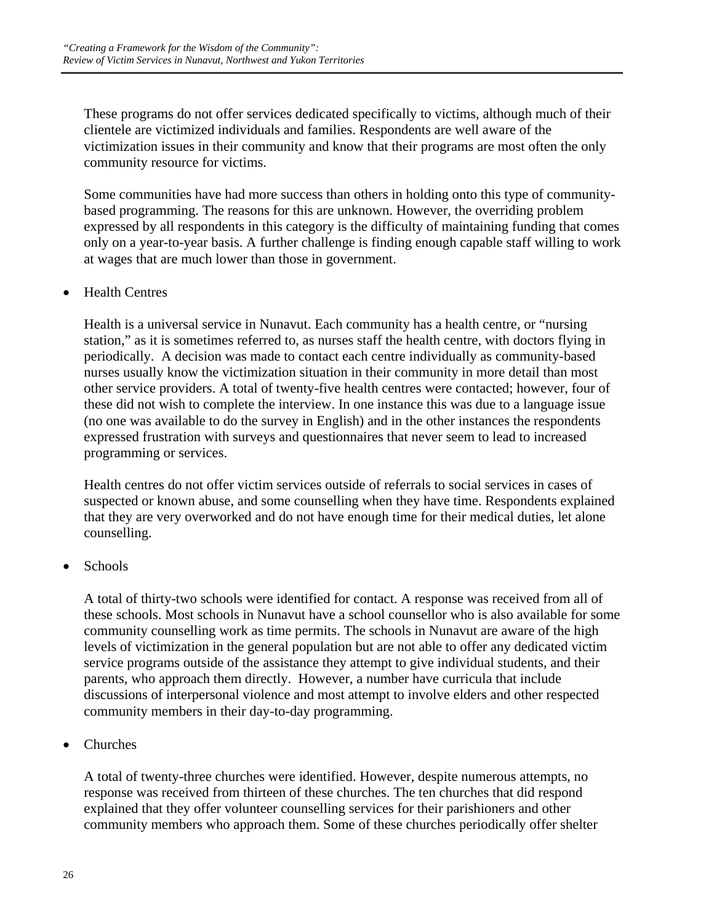These programs do not offer services dedicated specifically to victims, although much of their clientele are victimized individuals and families. Respondents are well aware of the victimization issues in their community and know that their programs are most often the only community resource for victims.

Some communities have had more success than others in holding onto this type of communitybased programming. The reasons for this are unknown. However, the overriding problem expressed by all respondents in this category is the difficulty of maintaining funding that comes only on a year-to-year basis. A further challenge is finding enough capable staff willing to work at wages that are much lower than those in government.

### • Health Centres

Health is a universal service in Nunavut. Each community has a health centre, or "nursing station," as it is sometimes referred to, as nurses staff the health centre, with doctors flying in periodically. A decision was made to contact each centre individually as community-based nurses usually know the victimization situation in their community in more detail than most other service providers. A total of twenty-five health centres were contacted; however, four of these did not wish to complete the interview. In one instance this was due to a language issue (no one was available to do the survey in English) and in the other instances the respondents expressed frustration with surveys and questionnaires that never seem to lead to increased programming or services.

Health centres do not offer victim services outside of referrals to social services in cases of suspected or known abuse, and some counselling when they have time. Respondents explained that they are very overworked and do not have enough time for their medical duties, let alone counselling.

• Schools

A total of thirty-two schools were identified for contact. A response was received from all of these schools. Most schools in Nunavut have a school counsellor who is also available for some community counselling work as time permits. The schools in Nunavut are aware of the high levels of victimization in the general population but are not able to offer any dedicated victim service programs outside of the assistance they attempt to give individual students, and their parents, who approach them directly. However, a number have curricula that include discussions of interpersonal violence and most attempt to involve elders and other respected community members in their day-to-day programming.

• Churches

A total of twenty-three churches were identified. However, despite numerous attempts, no response was received from thirteen of these churches. The ten churches that did respond explained that they offer volunteer counselling services for their parishioners and other community members who approach them. Some of these churches periodically offer shelter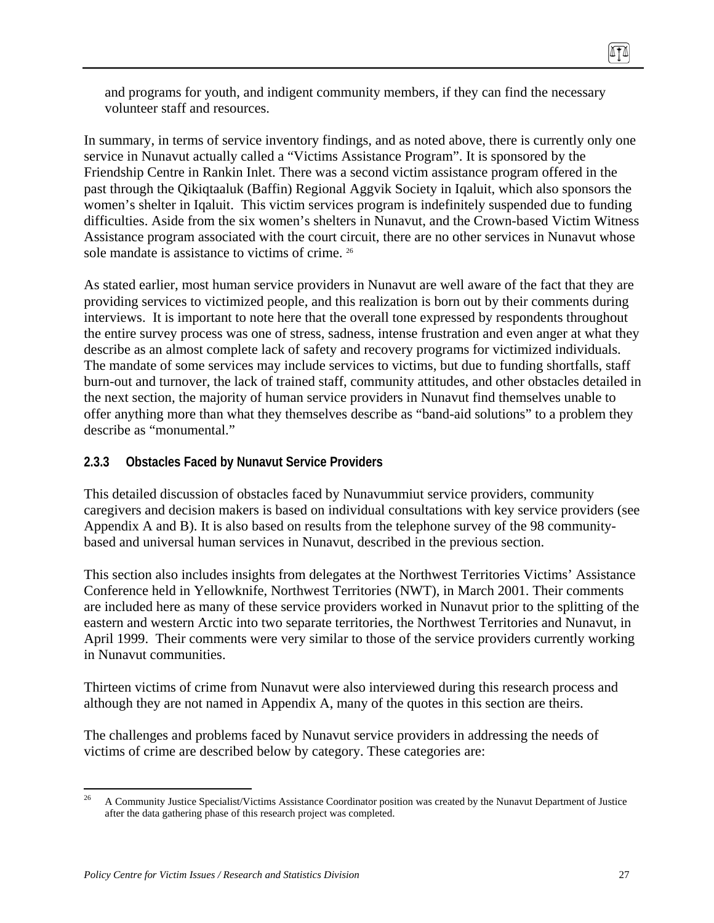and programs for youth, and indigent community members, if they can find the necessary volunteer staff and resources.

In summary, in terms of service inventory findings, and as noted above, there is currently only one service in Nunavut actually called a "Victims Assistance Program". It is sponsored by the Friendship Centre in Rankin Inlet. There was a second victim assistance program offered in the past through the Qikiqtaaluk (Baffin) Regional Aggvik Society in Iqaluit, which also sponsors the women's shelter in Iqaluit. This victim services program is indefinitely suspended due to funding difficulties. Aside from the six women's shelters in Nunavut, and the Crown-based Victim Witness Assistance program associated with the court circuit, there are no other services in Nunavut whose sole mandate is assistance to victims of crime. <sup>26</sup>

As stated earlier, most human service providers in Nunavut are well aware of the fact that they are providing services to victimized people, and this realization is born out by their comments during interviews. It is important to note here that the overall tone expressed by respondents throughout the entire survey process was one of stress, sadness, intense frustration and even anger at what they describe as an almost complete lack of safety and recovery programs for victimized individuals. The mandate of some services may include services to victims, but due to funding shortfalls, staff burn-out and turnover, the lack of trained staff, community attitudes, and other obstacles detailed in the next section, the majority of human service providers in Nunavut find themselves unable to offer anything more than what they themselves describe as "band-aid solutions" to a problem they describe as "monumental."

### **2.3.3 Obstacles Faced by Nunavut Service Providers**

This detailed discussion of obstacles faced by Nunavummiut service providers, community caregivers and decision makers is based on individual consultations with key service providers (see Appendix A and B). It is also based on results from the telephone survey of the 98 communitybased and universal human services in Nunavut, described in the previous section.

This section also includes insights from delegates at the Northwest Territories Victims' Assistance Conference held in Yellowknife, Northwest Territories (NWT), in March 2001. Their comments are included here as many of these service providers worked in Nunavut prior to the splitting of the eastern and western Arctic into two separate territories, the Northwest Territories and Nunavut, in April 1999. Their comments were very similar to those of the service providers currently working in Nunavut communities.

Thirteen victims of crime from Nunavut were also interviewed during this research process and although they are not named in Appendix A, many of the quotes in this section are theirs.

The challenges and problems faced by Nunavut service providers in addressing the needs of victims of crime are described below by category. These categories are:

 $26\,$ 26 A Community Justice Specialist/Victims Assistance Coordinator position was created by the Nunavut Department of Justice after the data gathering phase of this research project was completed.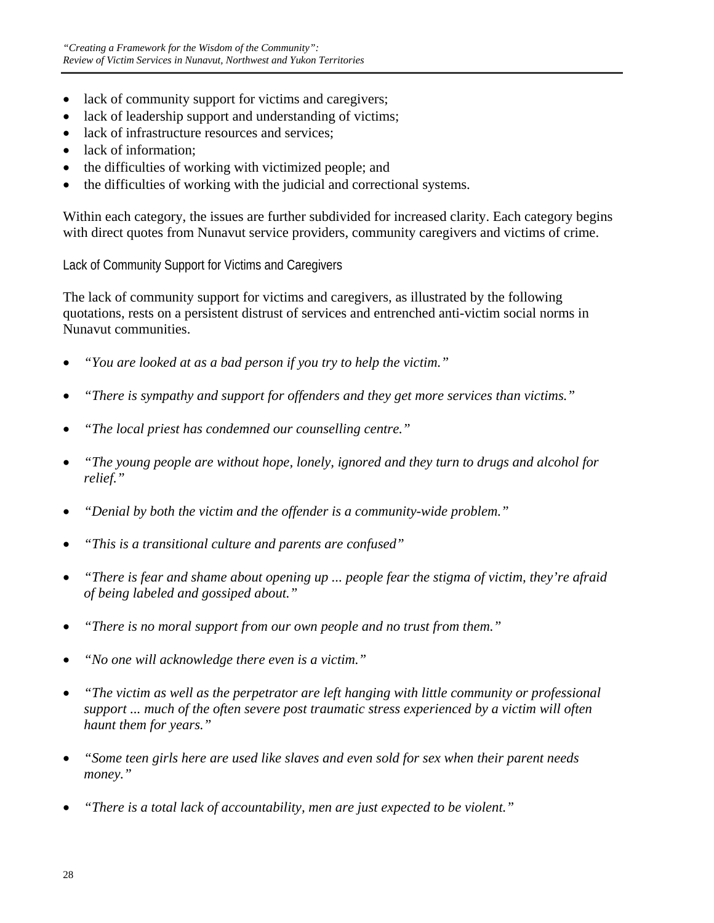- lack of community support for victims and caregivers;
- lack of leadership support and understanding of victims;
- lack of infrastructure resources and services;
- lack of information:
- the difficulties of working with victimized people; and
- the difficulties of working with the judicial and correctional systems.

Within each category, the issues are further subdivided for increased clarity. Each category begins with direct quotes from Nunavut service providers, community caregivers and victims of crime.

Lack of Community Support for Victims and Caregivers

The lack of community support for victims and caregivers, as illustrated by the following quotations, rests on a persistent distrust of services and entrenched anti-victim social norms in Nunavut communities.

- *"You are looked at as a bad person if you try to help the victim."*
- *"There is sympathy and support for offenders and they get more services than victims."*
- *"The local priest has condemned our counselling centre."*
- *"The young people are without hope, lonely, ignored and they turn to drugs and alcohol for relief."*
- *"Denial by both the victim and the offender is a community-wide problem."*
- *"This is a transitional culture and parents are confused"*
- *"There is fear and shame about opening up ... people fear the stigma of victim, they're afraid of being labeled and gossiped about."*
- *"There is no moral support from our own people and no trust from them."*
- *"No one will acknowledge there even is a victim."*
- *"The victim as well as the perpetrator are left hanging with little community or professional support ... much of the often severe post traumatic stress experienced by a victim will often haunt them for years."*
- *"Some teen girls here are used like slaves and even sold for sex when their parent needs money."*
- *"There is a total lack of accountability, men are just expected to be violent."*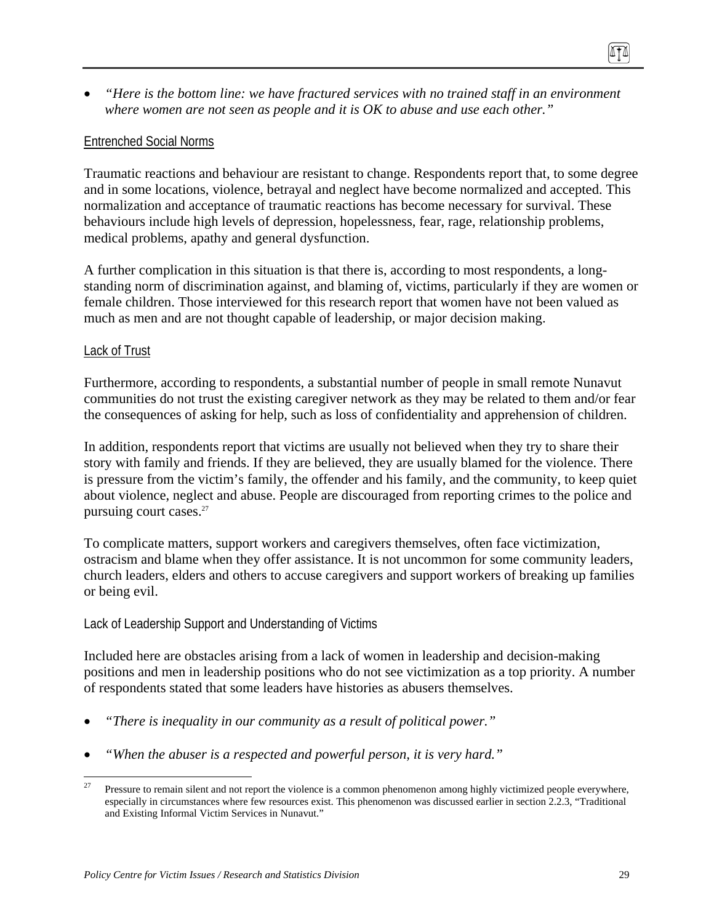• *"Here is the bottom line: we have fractured services with no trained staff in an environment where women are not seen as people and it is OK to abuse and use each other."* 

#### Entrenched Social Norms

Traumatic reactions and behaviour are resistant to change. Respondents report that, to some degree and in some locations, violence, betrayal and neglect have become normalized and accepted. This normalization and acceptance of traumatic reactions has become necessary for survival. These behaviours include high levels of depression, hopelessness, fear, rage, relationship problems, medical problems, apathy and general dysfunction.

A further complication in this situation is that there is, according to most respondents, a longstanding norm of discrimination against, and blaming of, victims, particularly if they are women or female children. Those interviewed for this research report that women have not been valued as much as men and are not thought capable of leadership, or major decision making.

#### Lack of Trust

Furthermore, according to respondents, a substantial number of people in small remote Nunavut communities do not trust the existing caregiver network as they may be related to them and/or fear the consequences of asking for help, such as loss of confidentiality and apprehension of children.

In addition, respondents report that victims are usually not believed when they try to share their story with family and friends. If they are believed, they are usually blamed for the violence. There is pressure from the victim's family, the offender and his family, and the community, to keep quiet about violence, neglect and abuse. People are discouraged from reporting crimes to the police and pursuing court cases.27

To complicate matters, support workers and caregivers themselves, often face victimization, ostracism and blame when they offer assistance. It is not uncommon for some community leaders, church leaders, elders and others to accuse caregivers and support workers of breaking up families or being evil.

#### Lack of Leadership Support and Understanding of Victims

Included here are obstacles arising from a lack of women in leadership and decision-making positions and men in leadership positions who do not see victimization as a top priority. A number of respondents stated that some leaders have histories as abusers themselves.

- *"There is inequality in our community as a result of political power."*
- *"When the abuser is a respected and powerful person, it is very hard."*

<sup>27</sup> 27 Pressure to remain silent and not report the violence is a common phenomenon among highly victimized people everywhere, especially in circumstances where few resources exist. This phenomenon was discussed earlier in section 2.2.3, "Traditional and Existing Informal Victim Services in Nunavut."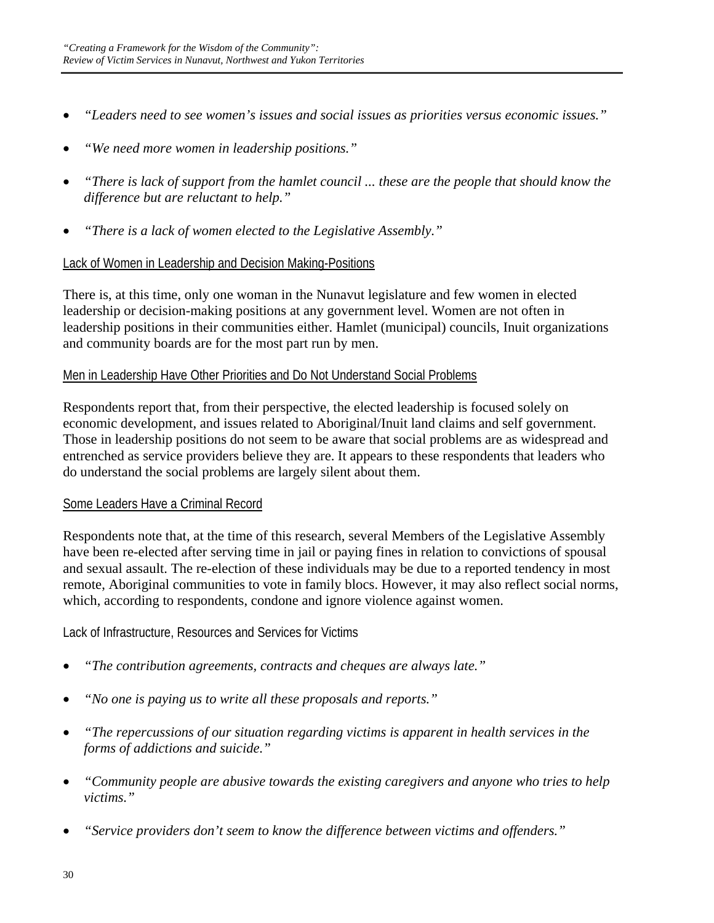- *"Leaders need to see women's issues and social issues as priorities versus economic issues."*
- *"We need more women in leadership positions."*
- *"There is lack of support from the hamlet council ... these are the people that should know the difference but are reluctant to help."*
- *"There is a lack of women elected to the Legislative Assembly."*

### Lack of Women in Leadership and Decision Making-Positions

There is, at this time, only one woman in the Nunavut legislature and few women in elected leadership or decision-making positions at any government level. Women are not often in leadership positions in their communities either. Hamlet (municipal) councils, Inuit organizations and community boards are for the most part run by men.

### Men in Leadership Have Other Priorities and Do Not Understand Social Problems

Respondents report that, from their perspective, the elected leadership is focused solely on economic development, and issues related to Aboriginal/Inuit land claims and self government. Those in leadership positions do not seem to be aware that social problems are as widespread and entrenched as service providers believe they are. It appears to these respondents that leaders who do understand the social problems are largely silent about them.

### Some Leaders Have a Criminal Record

Respondents note that, at the time of this research, several Members of the Legislative Assembly have been re-elected after serving time in jail or paying fines in relation to convictions of spousal and sexual assault. The re-election of these individuals may be due to a reported tendency in most remote, Aboriginal communities to vote in family blocs. However, it may also reflect social norms, which, according to respondents, condone and ignore violence against women.

Lack of Infrastructure, Resources and Services for Victims

- *"The contribution agreements, contracts and cheques are always late."*
- *"No one is paying us to write all these proposals and reports."*
- *"The repercussions of our situation regarding victims is apparent in health services in the forms of addictions and suicide."*
- *"Community people are abusive towards the existing caregivers and anyone who tries to help victims."*
- *"Service providers don't seem to know the difference between victims and offenders."*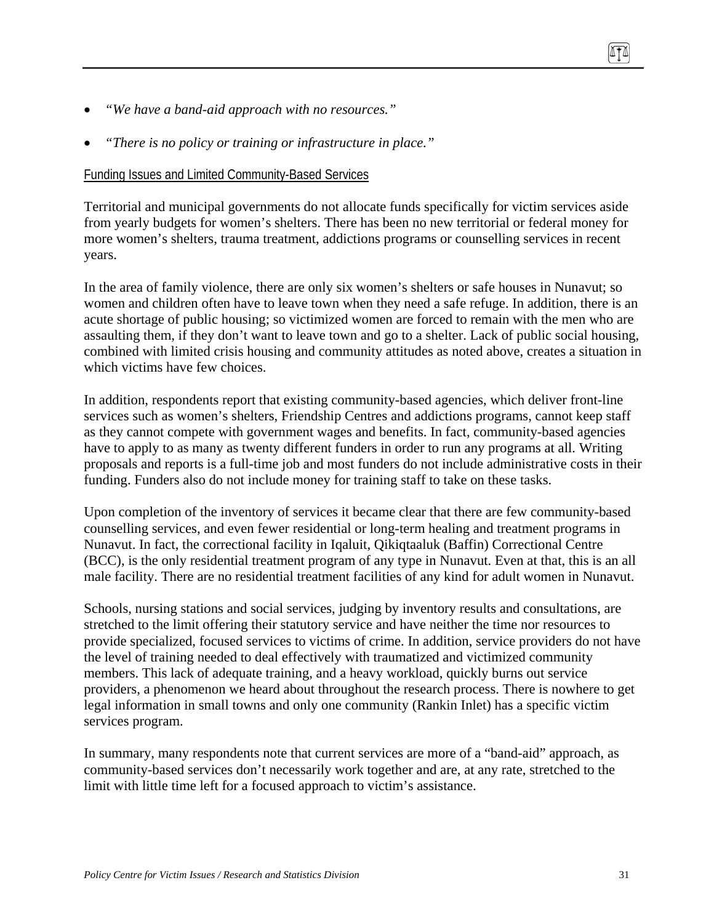- *"We have a band-aid approach with no resources."*
- *"There is no policy or training or infrastructure in place."*

#### Funding Issues and Limited Community-Based Services

Territorial and municipal governments do not allocate funds specifically for victim services aside from yearly budgets for women's shelters. There has been no new territorial or federal money for more women's shelters, trauma treatment, addictions programs or counselling services in recent years.

In the area of family violence, there are only six women's shelters or safe houses in Nunavut; so women and children often have to leave town when they need a safe refuge. In addition, there is an acute shortage of public housing; so victimized women are forced to remain with the men who are assaulting them, if they don't want to leave town and go to a shelter. Lack of public social housing, combined with limited crisis housing and community attitudes as noted above, creates a situation in which victims have few choices.

In addition, respondents report that existing community-based agencies, which deliver front-line services such as women's shelters, Friendship Centres and addictions programs, cannot keep staff as they cannot compete with government wages and benefits. In fact, community-based agencies have to apply to as many as twenty different funders in order to run any programs at all. Writing proposals and reports is a full-time job and most funders do not include administrative costs in their funding. Funders also do not include money for training staff to take on these tasks.

Upon completion of the inventory of services it became clear that there are few community-based counselling services, and even fewer residential or long-term healing and treatment programs in Nunavut. In fact, the correctional facility in Iqaluit, Qikiqtaaluk (Baffin) Correctional Centre (BCC), is the only residential treatment program of any type in Nunavut. Even at that, this is an all male facility. There are no residential treatment facilities of any kind for adult women in Nunavut.

Schools, nursing stations and social services, judging by inventory results and consultations, are stretched to the limit offering their statutory service and have neither the time nor resources to provide specialized, focused services to victims of crime. In addition, service providers do not have the level of training needed to deal effectively with traumatized and victimized community members. This lack of adequate training, and a heavy workload, quickly burns out service providers, a phenomenon we heard about throughout the research process. There is nowhere to get legal information in small towns and only one community (Rankin Inlet) has a specific victim services program.

In summary, many respondents note that current services are more of a "band-aid" approach, as community-based services don't necessarily work together and are, at any rate, stretched to the limit with little time left for a focused approach to victim's assistance.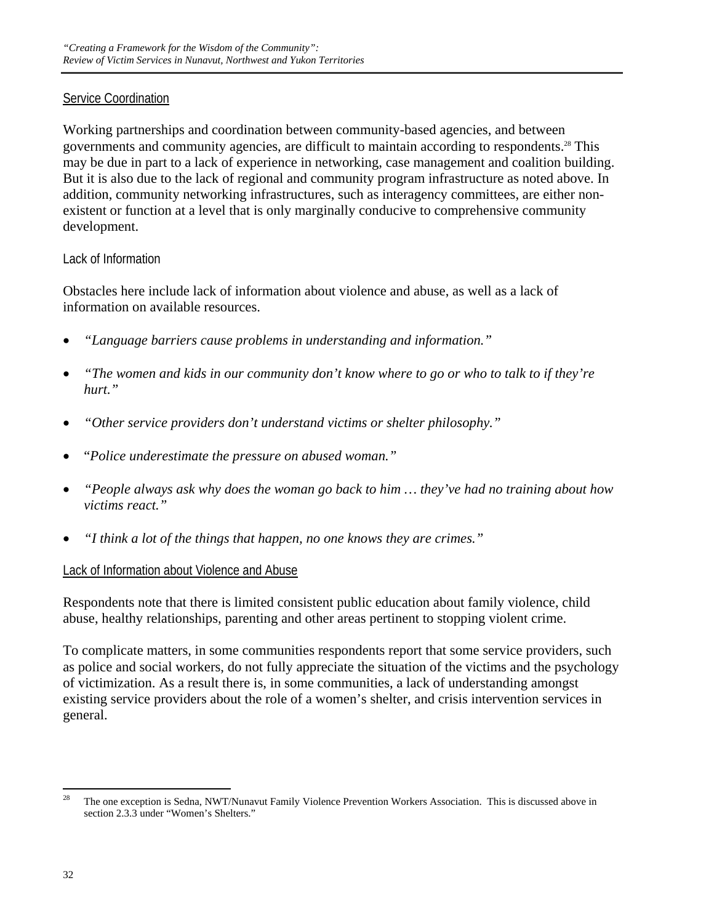#### Service Coordination

Working partnerships and coordination between community-based agencies, and between governments and community agencies, are difficult to maintain according to respondents.28 This may be due in part to a lack of experience in networking, case management and coalition building. But it is also due to the lack of regional and community program infrastructure as noted above. In addition, community networking infrastructures, such as interagency committees, are either nonexistent or function at a level that is only marginally conducive to comprehensive community development.

#### Lack of Information

Obstacles here include lack of information about violence and abuse, as well as a lack of information on available resources.

- *"Language barriers cause problems in understanding and information."*
- *"The women and kids in our community don't know where to go or who to talk to if they're hurt."*
- *"Other service providers don't understand victims or shelter philosophy."*
- "*Police underestimate the pressure on abused woman."*
- *"People always ask why does the woman go back to him … they've had no training about how victims react."*
- *"I think a lot of the things that happen, no one knows they are crimes."*

### Lack of Information about Violence and Abuse

Respondents note that there is limited consistent public education about family violence, child abuse, healthy relationships, parenting and other areas pertinent to stopping violent crime.

To complicate matters, in some communities respondents report that some service providers, such as police and social workers, do not fully appreciate the situation of the victims and the psychology of victimization. As a result there is, in some communities, a lack of understanding amongst existing service providers about the role of a women's shelter, and crisis intervention services in general.

 $\overline{a}$ 

<sup>&</sup>lt;sup>28</sup> The one exception is Sedna, NWT/Nunavut Family Violence Prevention Workers Association. This is discussed above in section 2.3.3 under "Women's Shelters."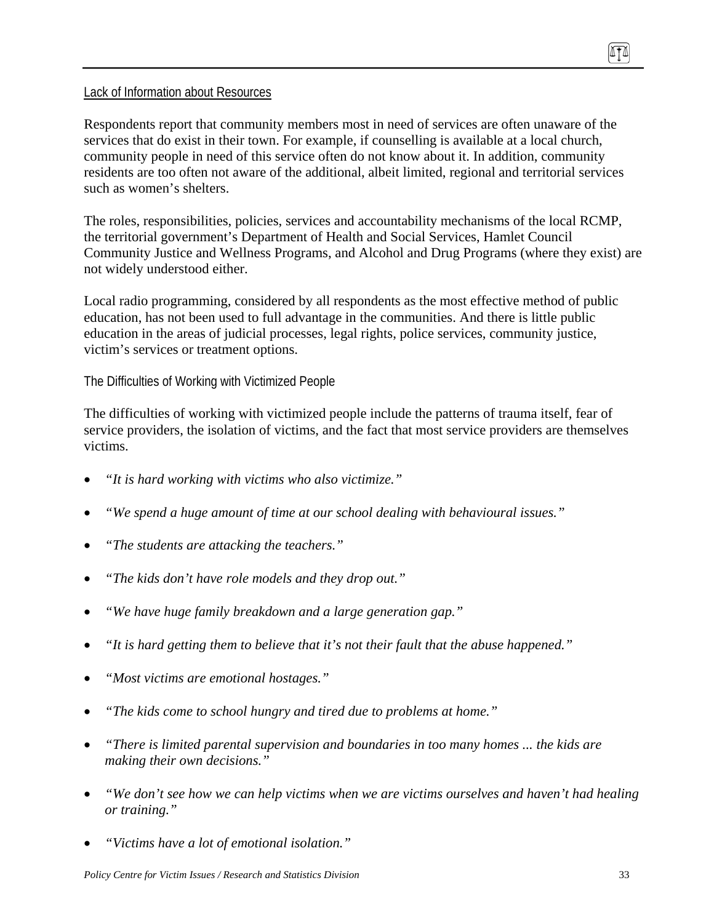#### Lack of Information about Resources

Respondents report that community members most in need of services are often unaware of the services that do exist in their town. For example, if counselling is available at a local church, community people in need of this service often do not know about it. In addition, community residents are too often not aware of the additional, albeit limited, regional and territorial services such as women's shelters.

The roles, responsibilities, policies, services and accountability mechanisms of the local RCMP, the territorial government's Department of Health and Social Services, Hamlet Council Community Justice and Wellness Programs, and Alcohol and Drug Programs (where they exist) are not widely understood either.

Local radio programming, considered by all respondents as the most effective method of public education, has not been used to full advantage in the communities. And there is little public education in the areas of judicial processes, legal rights, police services, community justice, victim's services or treatment options.

The Difficulties of Working with Victimized People

The difficulties of working with victimized people include the patterns of trauma itself, fear of service providers, the isolation of victims, and the fact that most service providers are themselves victims.

- *"It is hard working with victims who also victimize."*
- *"We spend a huge amount of time at our school dealing with behavioural issues."*
- *"The students are attacking the teachers."*
- *"The kids don't have role models and they drop out."*
- *"We have huge family breakdown and a large generation gap."*
- *"It is hard getting them to believe that it's not their fault that the abuse happened."*
- *"Most victims are emotional hostages."*
- *"The kids come to school hungry and tired due to problems at home."*
- *"There is limited parental supervision and boundaries in too many homes ... the kids are making their own decisions."*
- *"We don't see how we can help victims when we are victims ourselves and haven't had healing or training."*
- *"Victims have a lot of emotional isolation."*

ITI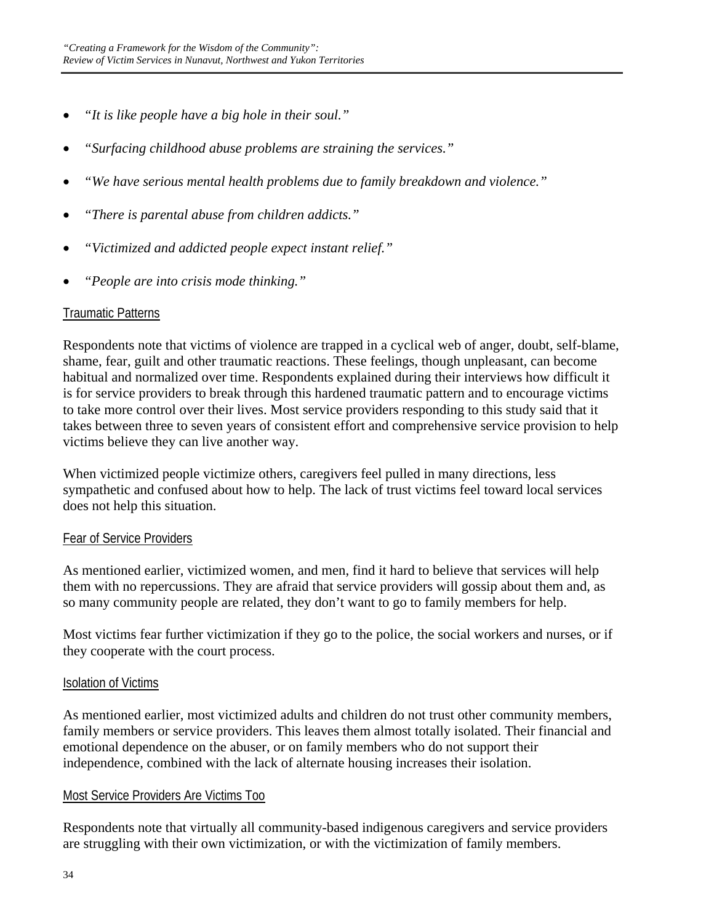- *"It is like people have a big hole in their soul."*
- *"Surfacing childhood abuse problems are straining the services."*
- *"We have serious mental health problems due to family breakdown and violence."*
- *"There is parental abuse from children addicts."*
- *"Victimized and addicted people expect instant relief."*
- *"People are into crisis mode thinking."*

#### **Traumatic Patterns**

Respondents note that victims of violence are trapped in a cyclical web of anger, doubt, self-blame, shame, fear, guilt and other traumatic reactions. These feelings, though unpleasant, can become habitual and normalized over time. Respondents explained during their interviews how difficult it is for service providers to break through this hardened traumatic pattern and to encourage victims to take more control over their lives. Most service providers responding to this study said that it takes between three to seven years of consistent effort and comprehensive service provision to help victims believe they can live another way.

When victimized people victimize others, caregivers feel pulled in many directions, less sympathetic and confused about how to help. The lack of trust victims feel toward local services does not help this situation.

#### Fear of Service Providers

As mentioned earlier, victimized women, and men, find it hard to believe that services will help them with no repercussions. They are afraid that service providers will gossip about them and, as so many community people are related, they don't want to go to family members for help.

Most victims fear further victimization if they go to the police, the social workers and nurses, or if they cooperate with the court process.

#### Isolation of Victims

As mentioned earlier, most victimized adults and children do not trust other community members, family members or service providers. This leaves them almost totally isolated. Their financial and emotional dependence on the abuser, or on family members who do not support their independence, combined with the lack of alternate housing increases their isolation.

#### Most Service Providers Are Victims Too

Respondents note that virtually all community-based indigenous caregivers and service providers are struggling with their own victimization, or with the victimization of family members.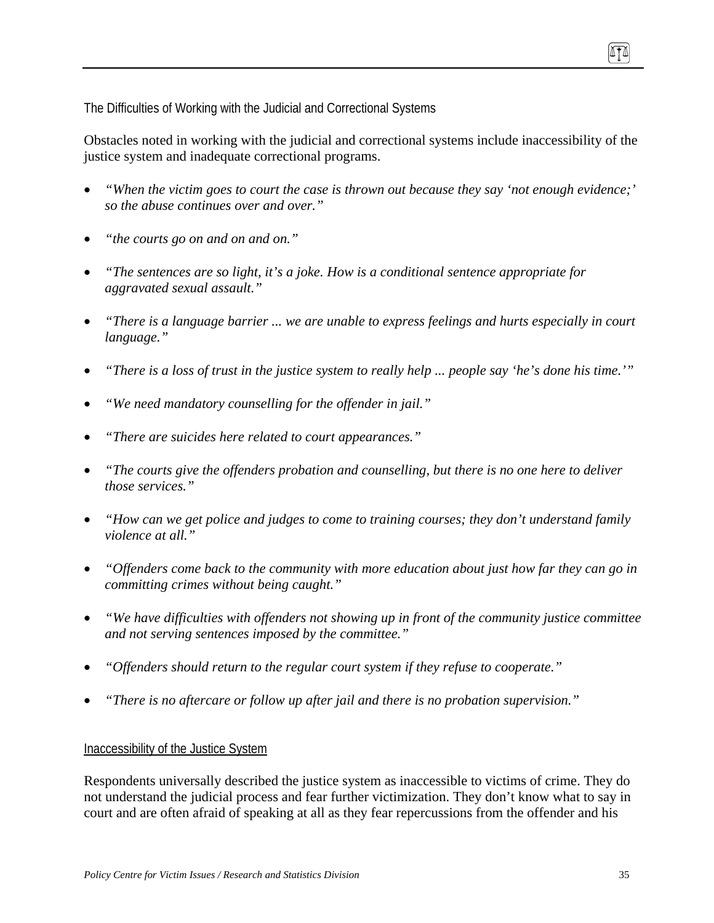The Difficulties of Working with the Judicial and Correctional Systems

Obstacles noted in working with the judicial and correctional systems include inaccessibility of the justice system and inadequate correctional programs.

- *"When the victim goes to court the case is thrown out because they say 'not enough evidence;' so the abuse continues over and over."*
- *"the courts go on and on and on."*
- *"The sentences are so light, it's a joke. How is a conditional sentence appropriate for aggravated sexual assault."*
- *"There is a language barrier ... we are unable to express feelings and hurts especially in court language."*
- *"There is a loss of trust in the justice system to really help ... people say 'he's done his time.'"*
- *"We need mandatory counselling for the offender in jail."*
- *"There are suicides here related to court appearances."*
- *"The courts give the offenders probation and counselling, but there is no one here to deliver those services."*
- *"How can we get police and judges to come to training courses; they don't understand family violence at all."*
- *"Offenders come back to the community with more education about just how far they can go in committing crimes without being caught."*
- *"We have difficulties with offenders not showing up in front of the community justice committee and not serving sentences imposed by the committee."*
- *"Offenders should return to the regular court system if they refuse to cooperate."*
- *"There is no aftercare or follow up after jail and there is no probation supervision."*

### Inaccessibility of the Justice System

Respondents universally described the justice system as inaccessible to victims of crime. They do not understand the judicial process and fear further victimization. They don't know what to say in court and are often afraid of speaking at all as they fear repercussions from the offender and his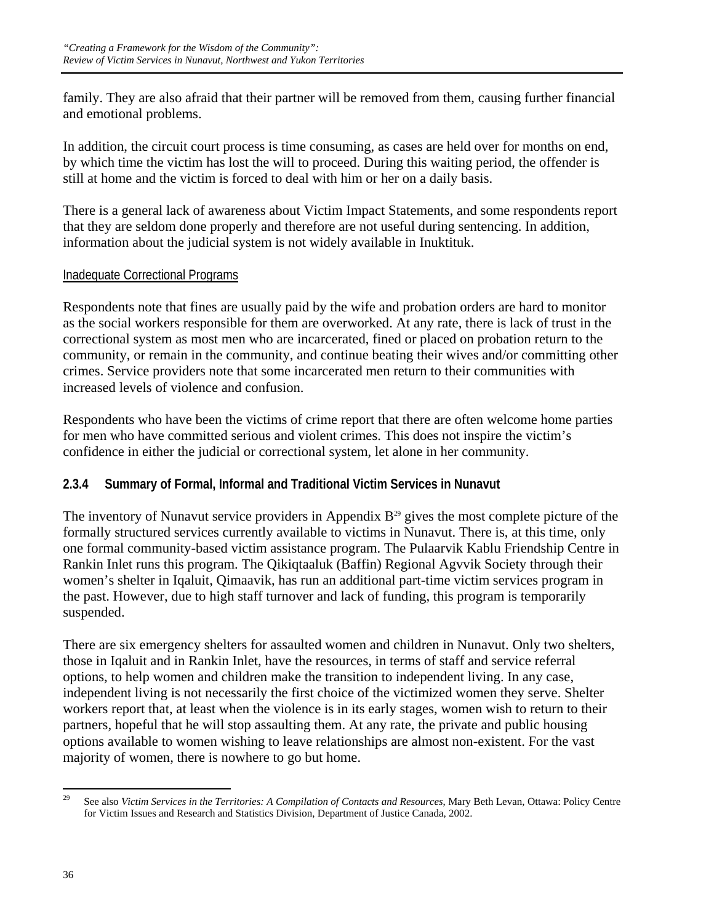family. They are also afraid that their partner will be removed from them, causing further financial and emotional problems.

In addition, the circuit court process is time consuming, as cases are held over for months on end, by which time the victim has lost the will to proceed. During this waiting period, the offender is still at home and the victim is forced to deal with him or her on a daily basis.

There is a general lack of awareness about Victim Impact Statements, and some respondents report that they are seldom done properly and therefore are not useful during sentencing. In addition, information about the judicial system is not widely available in Inuktituk.

### Inadequate Correctional Programs

Respondents note that fines are usually paid by the wife and probation orders are hard to monitor as the social workers responsible for them are overworked. At any rate, there is lack of trust in the correctional system as most men who are incarcerated, fined or placed on probation return to the community, or remain in the community, and continue beating their wives and/or committing other crimes. Service providers note that some incarcerated men return to their communities with increased levels of violence and confusion.

Respondents who have been the victims of crime report that there are often welcome home parties for men who have committed serious and violent crimes. This does not inspire the victim's confidence in either the judicial or correctional system, let alone in her community.

# **2.3.4 Summary of Formal, Informal and Traditional Victim Services in Nunavut**

The inventory of Nunavut service providers in Appendix  $B<sup>29</sup>$  gives the most complete picture of the formally structured services currently available to victims in Nunavut. There is, at this time, only one formal community-based victim assistance program. The Pulaarvik Kablu Friendship Centre in Rankin Inlet runs this program. The Qikiqtaaluk (Baffin) Regional Agvvik Society through their women's shelter in Iqaluit, Qimaavik, has run an additional part-time victim services program in the past. However, due to high staff turnover and lack of funding, this program is temporarily suspended.

There are six emergency shelters for assaulted women and children in Nunavut. Only two shelters, those in Iqaluit and in Rankin Inlet, have the resources, in terms of staff and service referral options, to help women and children make the transition to independent living. In any case, independent living is not necessarily the first choice of the victimized women they serve. Shelter workers report that, at least when the violence is in its early stages, women wish to return to their partners, hopeful that he will stop assaulting them. At any rate, the private and public housing options available to women wishing to leave relationships are almost non-existent. For the vast majority of women, there is nowhere to go but home.

 $29\,$ 29 See also *Victim Services in the Territories: A Compilation of Contacts and Resources*, Mary Beth Levan, Ottawa: Policy Centre for Victim Issues and Research and Statistics Division, Department of Justice Canada, 2002.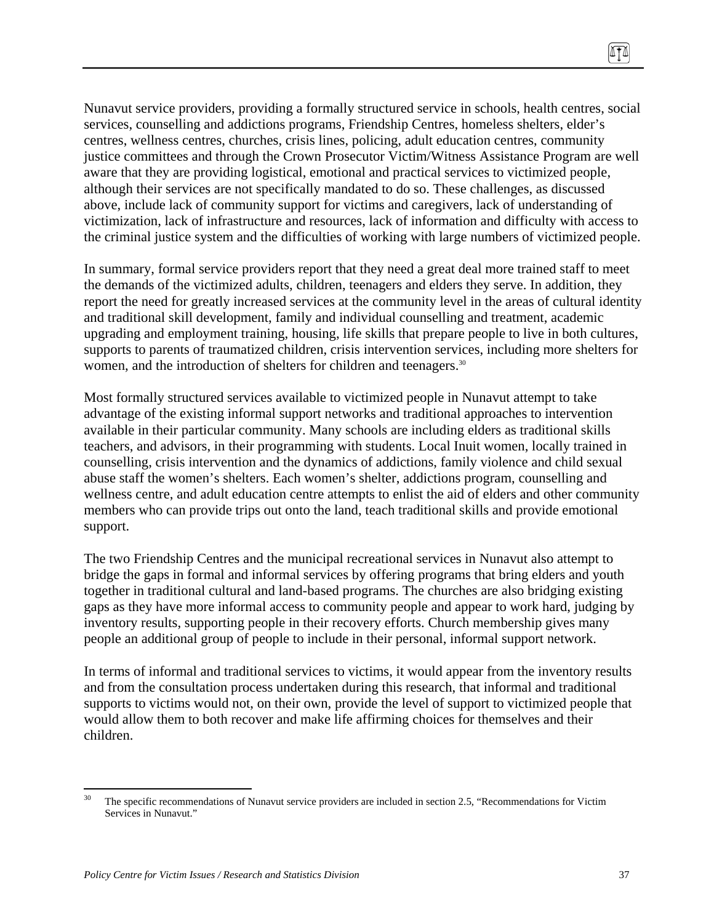Nunavut service providers, providing a formally structured service in schools, health centres, social services, counselling and addictions programs, Friendship Centres, homeless shelters, elder's centres, wellness centres, churches, crisis lines, policing, adult education centres, community justice committees and through the Crown Prosecutor Victim/Witness Assistance Program are well aware that they are providing logistical, emotional and practical services to victimized people, although their services are not specifically mandated to do so. These challenges, as discussed above, include lack of community support for victims and caregivers, lack of understanding of victimization, lack of infrastructure and resources, lack of information and difficulty with access to the criminal justice system and the difficulties of working with large numbers of victimized people.

In summary, formal service providers report that they need a great deal more trained staff to meet the demands of the victimized adults, children, teenagers and elders they serve. In addition, they report the need for greatly increased services at the community level in the areas of cultural identity and traditional skill development, family and individual counselling and treatment, academic upgrading and employment training, housing, life skills that prepare people to live in both cultures, supports to parents of traumatized children, crisis intervention services, including more shelters for women, and the introduction of shelters for children and teenagers.<sup>30</sup>

Most formally structured services available to victimized people in Nunavut attempt to take advantage of the existing informal support networks and traditional approaches to intervention available in their particular community. Many schools are including elders as traditional skills teachers, and advisors, in their programming with students. Local Inuit women, locally trained in counselling, crisis intervention and the dynamics of addictions, family violence and child sexual abuse staff the women's shelters. Each women's shelter, addictions program, counselling and wellness centre, and adult education centre attempts to enlist the aid of elders and other community members who can provide trips out onto the land, teach traditional skills and provide emotional support.

The two Friendship Centres and the municipal recreational services in Nunavut also attempt to bridge the gaps in formal and informal services by offering programs that bring elders and youth together in traditional cultural and land-based programs. The churches are also bridging existing gaps as they have more informal access to community people and appear to work hard, judging by inventory results, supporting people in their recovery efforts. Church membership gives many people an additional group of people to include in their personal, informal support network.

In terms of informal and traditional services to victims, it would appear from the inventory results and from the consultation process undertaken during this research, that informal and traditional supports to victims would not, on their own, provide the level of support to victimized people that would allow them to both recover and make life affirming choices for themselves and their children.

<sup>30</sup> The specific recommendations of Nunavut service providers are included in section 2.5, "Recommendations for Victim Services in Nunavut."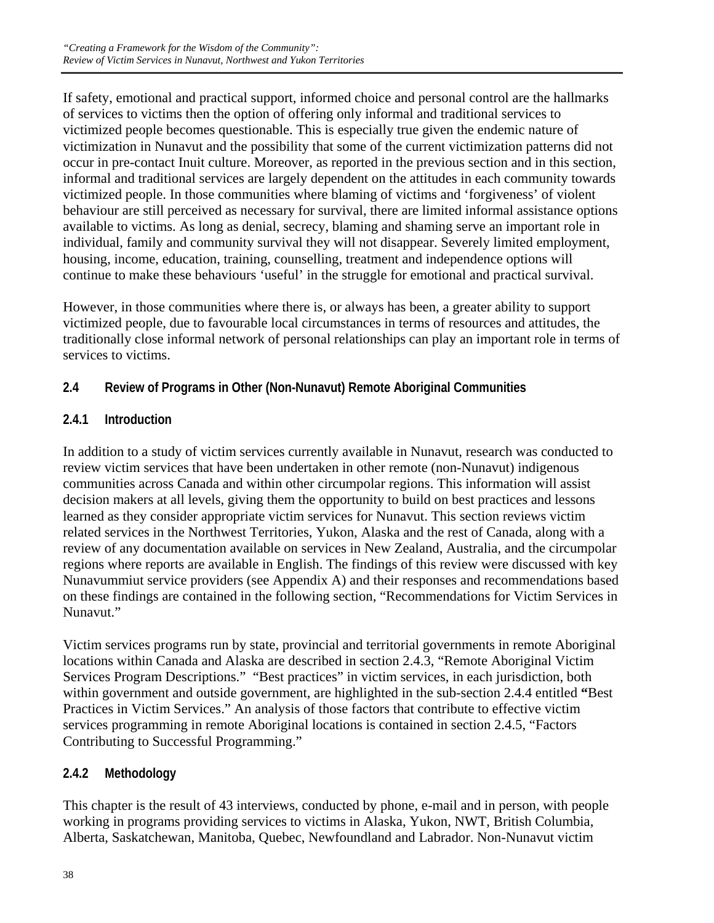If safety, emotional and practical support, informed choice and personal control are the hallmarks of services to victims then the option of offering only informal and traditional services to victimized people becomes questionable. This is especially true given the endemic nature of victimization in Nunavut and the possibility that some of the current victimization patterns did not occur in pre-contact Inuit culture. Moreover, as reported in the previous section and in this section, informal and traditional services are largely dependent on the attitudes in each community towards victimized people. In those communities where blaming of victims and 'forgiveness' of violent behaviour are still perceived as necessary for survival, there are limited informal assistance options available to victims. As long as denial, secrecy, blaming and shaming serve an important role in individual, family and community survival they will not disappear. Severely limited employment, housing, income, education, training, counselling, treatment and independence options will continue to make these behaviours 'useful' in the struggle for emotional and practical survival.

However, in those communities where there is, or always has been, a greater ability to support victimized people, due to favourable local circumstances in terms of resources and attitudes, the traditionally close informal network of personal relationships can play an important role in terms of services to victims.

# **2.4 Review of Programs in Other (Non-Nunavut) Remote Aboriginal Communities**

# **2.4.1 Introduction**

In addition to a study of victim services currently available in Nunavut, research was conducted to review victim services that have been undertaken in other remote (non-Nunavut) indigenous communities across Canada and within other circumpolar regions. This information will assist decision makers at all levels, giving them the opportunity to build on best practices and lessons learned as they consider appropriate victim services for Nunavut. This section reviews victim related services in the Northwest Territories, Yukon, Alaska and the rest of Canada, along with a review of any documentation available on services in New Zealand, Australia, and the circumpolar regions where reports are available in English. The findings of this review were discussed with key Nunavummiut service providers (see Appendix A) and their responses and recommendations based on these findings are contained in the following section, "Recommendations for Victim Services in Nunavut."

Victim services programs run by state, provincial and territorial governments in remote Aboriginal locations within Canada and Alaska are described in section 2.4.3, "Remote Aboriginal Victim Services Program Descriptions." "Best practices" in victim services, in each jurisdiction, both within government and outside government, are highlighted in the sub-section 2.4.4 entitled **"**Best Practices in Victim Services." An analysis of those factors that contribute to effective victim services programming in remote Aboriginal locations is contained in section 2.4.5, "Factors Contributing to Successful Programming."

# **2.4.2 Methodology**

This chapter is the result of 43 interviews, conducted by phone, e-mail and in person, with people working in programs providing services to victims in Alaska, Yukon, NWT, British Columbia, Alberta, Saskatchewan, Manitoba, Quebec, Newfoundland and Labrador. Non-Nunavut victim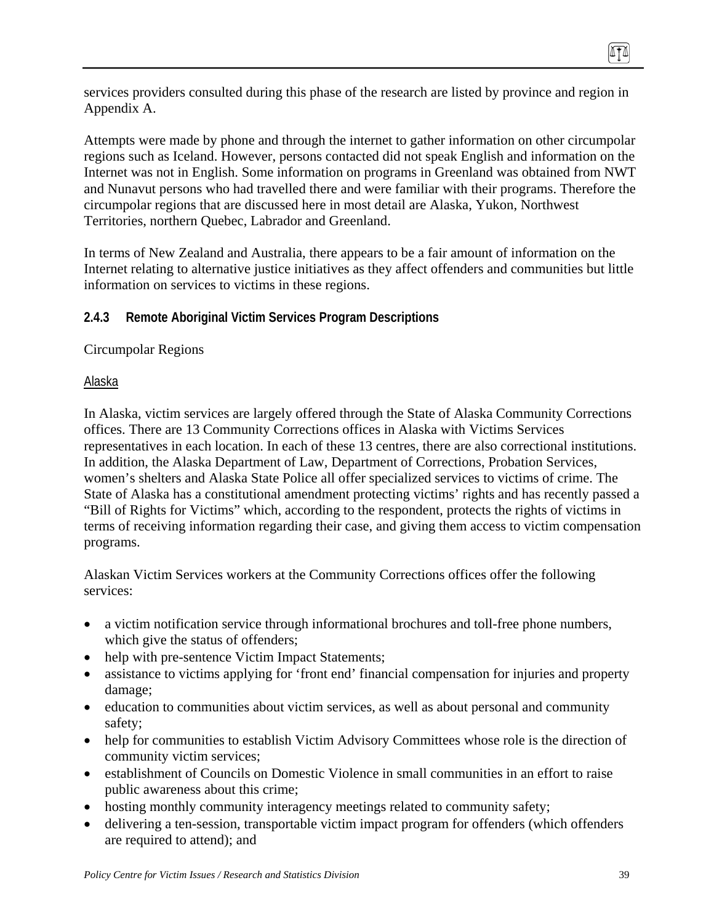services providers consulted during this phase of the research are listed by province and region in Appendix A.

Attempts were made by phone and through the internet to gather information on other circumpolar regions such as Iceland. However, persons contacted did not speak English and information on the Internet was not in English. Some information on programs in Greenland was obtained from NWT and Nunavut persons who had travelled there and were familiar with their programs. Therefore the circumpolar regions that are discussed here in most detail are Alaska, Yukon, Northwest Territories, northern Quebec, Labrador and Greenland.

In terms of New Zealand and Australia, there appears to be a fair amount of information on the Internet relating to alternative justice initiatives as they affect offenders and communities but little information on services to victims in these regions.

### **2.4.3 Remote Aboriginal Victim Services Program Descriptions**

Circumpolar Regions

#### Alaska

In Alaska, victim services are largely offered through the State of Alaska Community Corrections offices. There are 13 Community Corrections offices in Alaska with Victims Services representatives in each location. In each of these 13 centres, there are also correctional institutions. In addition, the Alaska Department of Law, Department of Corrections, Probation Services, women's shelters and Alaska State Police all offer specialized services to victims of crime. The State of Alaska has a constitutional amendment protecting victims' rights and has recently passed a "Bill of Rights for Victims" which, according to the respondent, protects the rights of victims in terms of receiving information regarding their case, and giving them access to victim compensation programs.

Alaskan Victim Services workers at the Community Corrections offices offer the following services:

- a victim notification service through informational brochures and toll-free phone numbers, which give the status of offenders;
- help with pre-sentence Victim Impact Statements;
- assistance to victims applying for 'front end' financial compensation for injuries and property damage;
- education to communities about victim services, as well as about personal and community safety;
- help for communities to establish Victim Advisory Committees whose role is the direction of community victim services;
- establishment of Councils on Domestic Violence in small communities in an effort to raise public awareness about this crime;
- hosting monthly community interagency meetings related to community safety;
- delivering a ten-session, transportable victim impact program for offenders (which offenders are required to attend); and

(ITA)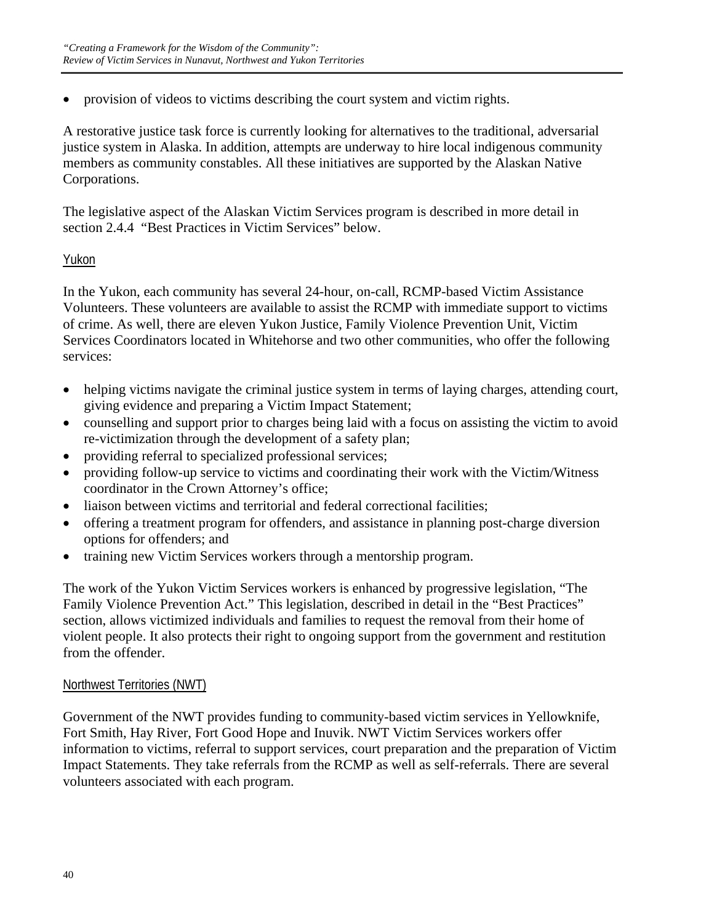• provision of videos to victims describing the court system and victim rights.

A restorative justice task force is currently looking for alternatives to the traditional, adversarial justice system in Alaska. In addition, attempts are underway to hire local indigenous community members as community constables. All these initiatives are supported by the Alaskan Native Corporations.

The legislative aspect of the Alaskan Victim Services program is described in more detail in section 2.4.4 "Best Practices in Victim Services" below.

### Yukon

In the Yukon, each community has several 24-hour, on-call, RCMP-based Victim Assistance Volunteers. These volunteers are available to assist the RCMP with immediate support to victims of crime. As well, there are eleven Yukon Justice, Family Violence Prevention Unit, Victim Services Coordinators located in Whitehorse and two other communities, who offer the following services:

- helping victims navigate the criminal justice system in terms of laying charges, attending court, giving evidence and preparing a Victim Impact Statement;
- counselling and support prior to charges being laid with a focus on assisting the victim to avoid re-victimization through the development of a safety plan;
- providing referral to specialized professional services;
- providing follow-up service to victims and coordinating their work with the Victim/Witness coordinator in the Crown Attorney's office;
- liaison between victims and territorial and federal correctional facilities;
- offering a treatment program for offenders, and assistance in planning post-charge diversion options for offenders; and
- training new Victim Services workers through a mentorship program.

The work of the Yukon Victim Services workers is enhanced by progressive legislation, "The Family Violence Prevention Act." This legislation, described in detail in the "Best Practices" section, allows victimized individuals and families to request the removal from their home of violent people. It also protects their right to ongoing support from the government and restitution from the offender.

#### Northwest Territories (NWT)

Government of the NWT provides funding to community-based victim services in Yellowknife, Fort Smith, Hay River, Fort Good Hope and Inuvik. NWT Victim Services workers offer information to victims, referral to support services, court preparation and the preparation of Victim Impact Statements. They take referrals from the RCMP as well as self-referrals. There are several volunteers associated with each program.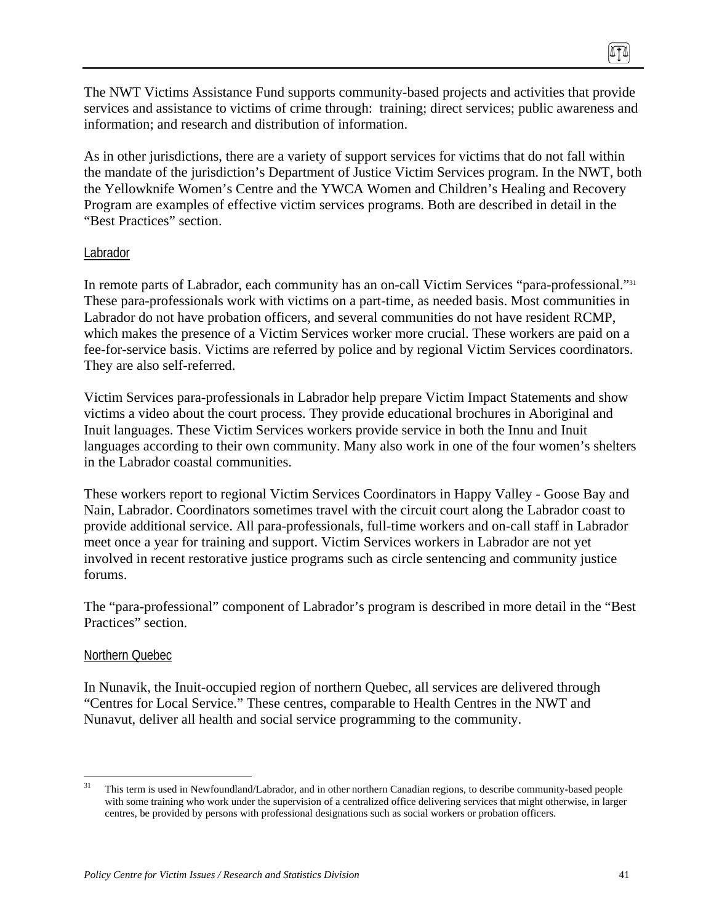The NWT Victims Assistance Fund supports community-based projects and activities that provide services and assistance to victims of crime through: training; direct services; public awareness and information; and research and distribution of information.

As in other jurisdictions, there are a variety of support services for victims that do not fall within the mandate of the jurisdiction's Department of Justice Victim Services program. In the NWT, both the Yellowknife Women's Centre and the YWCA Women and Children's Healing and Recovery Program are examples of effective victim services programs. Both are described in detail in the "Best Practices" section.

#### Labrador

In remote parts of Labrador, each community has an on-call Victim Services "para-professional."31 These para-professionals work with victims on a part-time, as needed basis. Most communities in Labrador do not have probation officers, and several communities do not have resident RCMP, which makes the presence of a Victim Services worker more crucial. These workers are paid on a fee-for-service basis. Victims are referred by police and by regional Victim Services coordinators. They are also self-referred.

Victim Services para-professionals in Labrador help prepare Victim Impact Statements and show victims a video about the court process. They provide educational brochures in Aboriginal and Inuit languages. These Victim Services workers provide service in both the Innu and Inuit languages according to their own community. Many also work in one of the four women's shelters in the Labrador coastal communities.

These workers report to regional Victim Services Coordinators in Happy Valley - Goose Bay and Nain, Labrador. Coordinators sometimes travel with the circuit court along the Labrador coast to provide additional service. All para-professionals, full-time workers and on-call staff in Labrador meet once a year for training and support. Victim Services workers in Labrador are not yet involved in recent restorative justice programs such as circle sentencing and community justice forums.

The "para-professional" component of Labrador's program is described in more detail in the "Best Practices" section.

#### Northern Quebec

In Nunavik, the Inuit-occupied region of northern Quebec, all services are delivered through "Centres for Local Service." These centres, comparable to Health Centres in the NWT and Nunavut, deliver all health and social service programming to the community.

 $31$ 31 This term is used in Newfoundland/Labrador, and in other northern Canadian regions, to describe community-based people with some training who work under the supervision of a centralized office delivering services that might otherwise, in larger centres, be provided by persons with professional designations such as social workers or probation officers.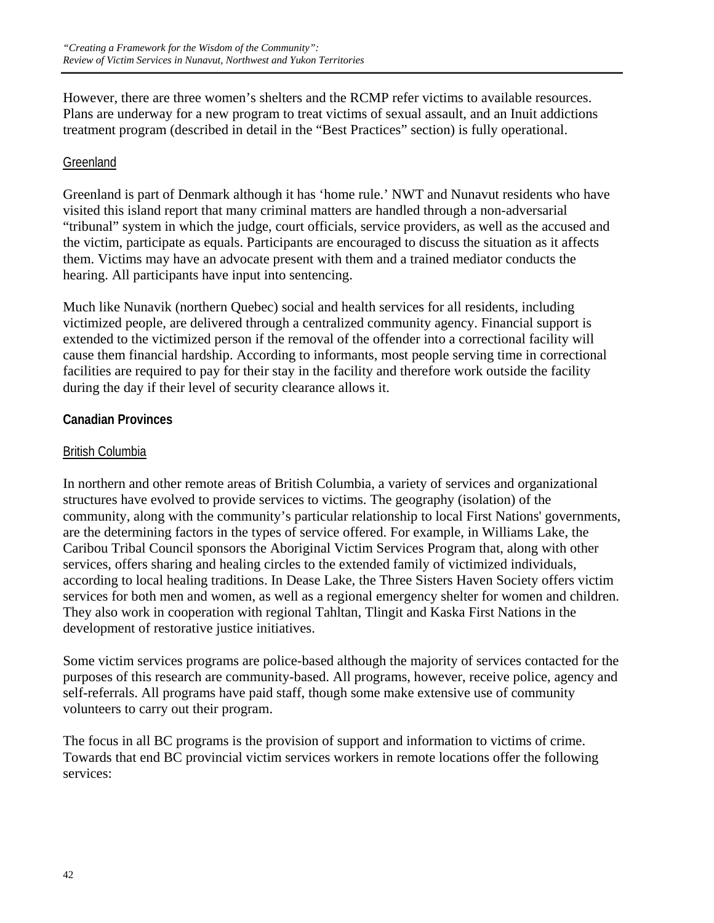However, there are three women's shelters and the RCMP refer victims to available resources. Plans are underway for a new program to treat victims of sexual assault, and an Inuit addictions treatment program (described in detail in the "Best Practices" section) is fully operational.

# **Greenland**

Greenland is part of Denmark although it has 'home rule.' NWT and Nunavut residents who have visited this island report that many criminal matters are handled through a non-adversarial "tribunal" system in which the judge, court officials, service providers, as well as the accused and the victim, participate as equals. Participants are encouraged to discuss the situation as it affects them. Victims may have an advocate present with them and a trained mediator conducts the hearing. All participants have input into sentencing.

Much like Nunavik (northern Quebec) social and health services for all residents, including victimized people, are delivered through a centralized community agency. Financial support is extended to the victimized person if the removal of the offender into a correctional facility will cause them financial hardship. According to informants, most people serving time in correctional facilities are required to pay for their stay in the facility and therefore work outside the facility during the day if their level of security clearance allows it.

# **Canadian Provinces**

# British Columbia

In northern and other remote areas of British Columbia, a variety of services and organizational structures have evolved to provide services to victims. The geography (isolation) of the community, along with the community's particular relationship to local First Nations' governments, are the determining factors in the types of service offered. For example, in Williams Lake, the Caribou Tribal Council sponsors the Aboriginal Victim Services Program that, along with other services, offers sharing and healing circles to the extended family of victimized individuals, according to local healing traditions. In Dease Lake, the Three Sisters Haven Society offers victim services for both men and women, as well as a regional emergency shelter for women and children. They also work in cooperation with regional Tahltan, Tlingit and Kaska First Nations in the development of restorative justice initiatives.

Some victim services programs are police-based although the majority of services contacted for the purposes of this research are community-based. All programs, however, receive police, agency and self-referrals. All programs have paid staff, though some make extensive use of community volunteers to carry out their program.

The focus in all BC programs is the provision of support and information to victims of crime. Towards that end BC provincial victim services workers in remote locations offer the following services: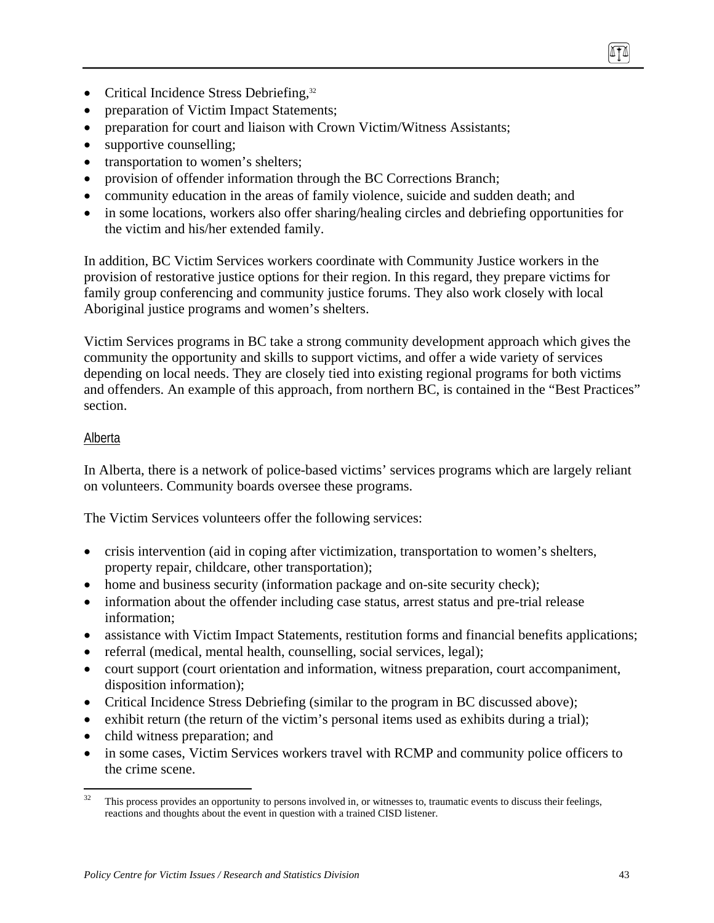- Critical Incidence Stress Debriefing, $32$
- preparation of Victim Impact Statements;
- preparation for court and liaison with Crown Victim/Witness Assistants;
- supportive counselling;
- transportation to women's shelters;
- provision of offender information through the BC Corrections Branch;
- community education in the areas of family violence, suicide and sudden death; and
- in some locations, workers also offer sharing/healing circles and debriefing opportunities for the victim and his/her extended family.

In addition, BC Victim Services workers coordinate with Community Justice workers in the provision of restorative justice options for their region. In this regard, they prepare victims for family group conferencing and community justice forums. They also work closely with local Aboriginal justice programs and women's shelters.

Victim Services programs in BC take a strong community development approach which gives the community the opportunity and skills to support victims, and offer a wide variety of services depending on local needs. They are closely tied into existing regional programs for both victims and offenders. An example of this approach, from northern BC, is contained in the "Best Practices" section.

### Alberta

In Alberta, there is a network of police-based victims' services programs which are largely reliant on volunteers. Community boards oversee these programs.

The Victim Services volunteers offer the following services:

- crisis intervention (aid in coping after victimization, transportation to women's shelters, property repair, childcare, other transportation);
- home and business security (information package and on-site security check);
- information about the offender including case status, arrest status and pre-trial release information;
- assistance with Victim Impact Statements, restitution forms and financial benefits applications;
- referral (medical, mental health, counselling, social services, legal);
- court support (court orientation and information, witness preparation, court accompaniment, disposition information);
- Critical Incidence Stress Debriefing (similar to the program in BC discussed above);
- exhibit return (the return of the victim's personal items used as exhibits during a trial);
- child witness preparation; and
- in some cases, Victim Services workers travel with RCMP and community police officers to the crime scene.

 $32$ 32 This process provides an opportunity to persons involved in, or witnesses to, traumatic events to discuss their feelings, reactions and thoughts about the event in question with a trained CISD listener.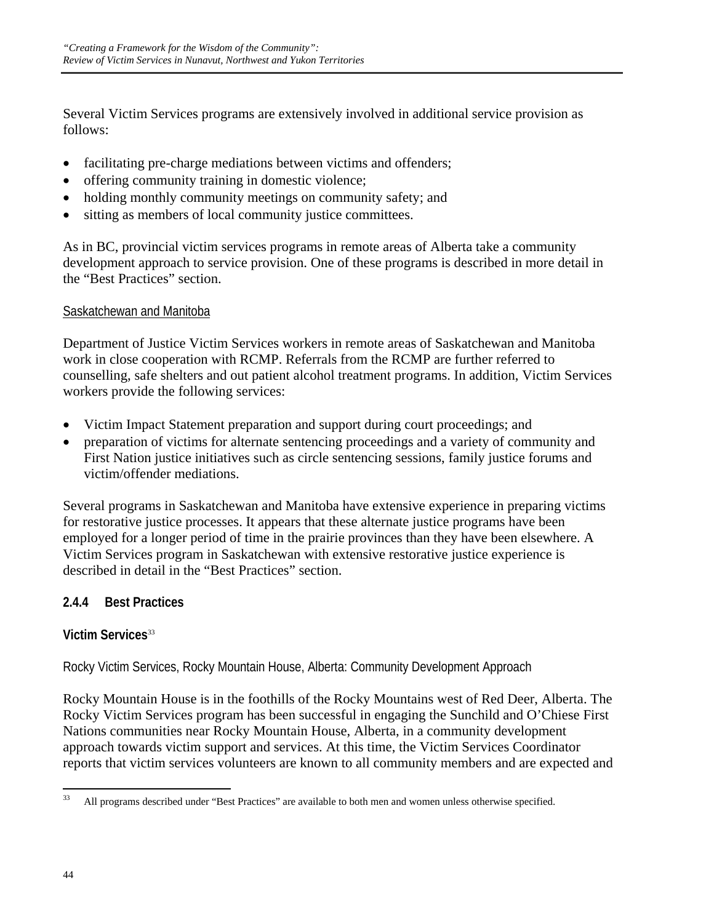Several Victim Services programs are extensively involved in additional service provision as follows:

- facilitating pre-charge mediations between victims and offenders;
- offering community training in domestic violence;
- holding monthly community meetings on community safety; and
- sitting as members of local community justice committees.

As in BC, provincial victim services programs in remote areas of Alberta take a community development approach to service provision. One of these programs is described in more detail in the "Best Practices" section.

# Saskatchewan and Manitoba

Department of Justice Victim Services workers in remote areas of Saskatchewan and Manitoba work in close cooperation with RCMP. Referrals from the RCMP are further referred to counselling, safe shelters and out patient alcohol treatment programs. In addition, Victim Services workers provide the following services:

- Victim Impact Statement preparation and support during court proceedings; and
- preparation of victims for alternate sentencing proceedings and a variety of community and First Nation justice initiatives such as circle sentencing sessions, family justice forums and victim/offender mediations.

Several programs in Saskatchewan and Manitoba have extensive experience in preparing victims for restorative justice processes. It appears that these alternate justice programs have been employed for a longer period of time in the prairie provinces than they have been elsewhere. A Victim Services program in Saskatchewan with extensive restorative justice experience is described in detail in the "Best Practices" section.

# **2.4.4 Best Practices**

### **Victim Services**<sup>33</sup>

Rocky Victim Services, Rocky Mountain House, Alberta: Community Development Approach

Rocky Mountain House is in the foothills of the Rocky Mountains west of Red Deer, Alberta. The Rocky Victim Services program has been successful in engaging the Sunchild and O'Chiese First Nations communities near Rocky Mountain House, Alberta, in a community development approach towards victim support and services. At this time, the Victim Services Coordinator reports that victim services volunteers are known to all community members and are expected and

<sup>33</sup> 33 All programs described under "Best Practices" are available to both men and women unless otherwise specified.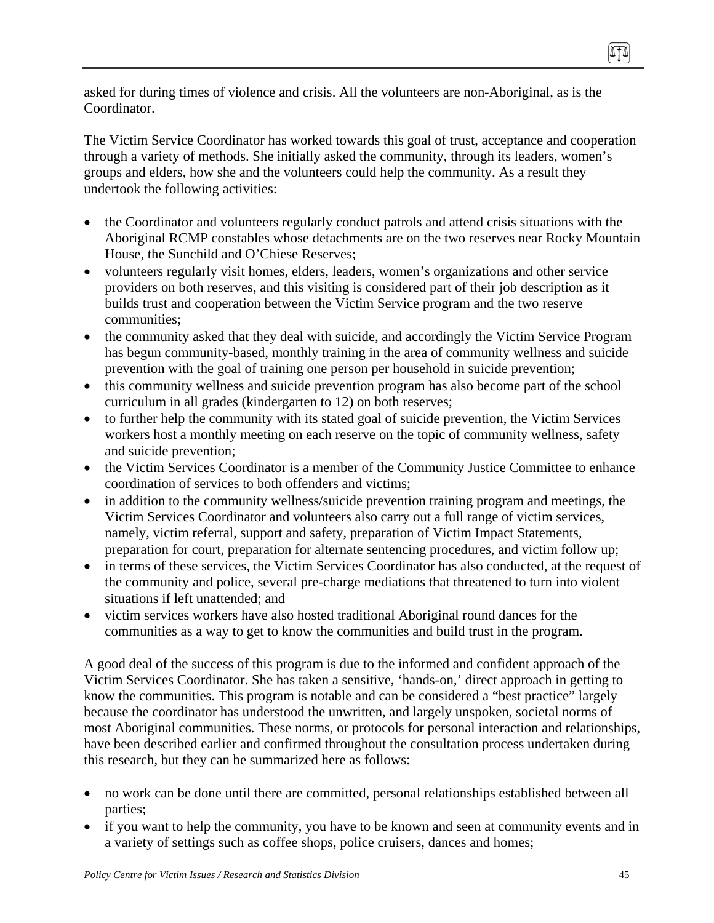asked for during times of violence and crisis. All the volunteers are non-Aboriginal, as is the Coordinator.

The Victim Service Coordinator has worked towards this goal of trust, acceptance and cooperation through a variety of methods. She initially asked the community, through its leaders, women's groups and elders, how she and the volunteers could help the community. As a result they undertook the following activities:

- the Coordinator and volunteers regularly conduct patrols and attend crisis situations with the Aboriginal RCMP constables whose detachments are on the two reserves near Rocky Mountain House, the Sunchild and O'Chiese Reserves;
- volunteers regularly visit homes, elders, leaders, women's organizations and other service providers on both reserves, and this visiting is considered part of their job description as it builds trust and cooperation between the Victim Service program and the two reserve communities;
- the community asked that they deal with suicide, and accordingly the Victim Service Program has begun community-based, monthly training in the area of community wellness and suicide prevention with the goal of training one person per household in suicide prevention;
- this community wellness and suicide prevention program has also become part of the school curriculum in all grades (kindergarten to 12) on both reserves;
- to further help the community with its stated goal of suicide prevention, the Victim Services workers host a monthly meeting on each reserve on the topic of community wellness, safety and suicide prevention;
- the Victim Services Coordinator is a member of the Community Justice Committee to enhance coordination of services to both offenders and victims;
- in addition to the community wellness/suicide prevention training program and meetings, the Victim Services Coordinator and volunteers also carry out a full range of victim services, namely, victim referral, support and safety, preparation of Victim Impact Statements, preparation for court, preparation for alternate sentencing procedures, and victim follow up;
- in terms of these services, the Victim Services Coordinator has also conducted, at the request of the community and police, several pre-charge mediations that threatened to turn into violent situations if left unattended; and
- victim services workers have also hosted traditional Aboriginal round dances for the communities as a way to get to know the communities and build trust in the program.

A good deal of the success of this program is due to the informed and confident approach of the Victim Services Coordinator. She has taken a sensitive, 'hands-on,' direct approach in getting to know the communities. This program is notable and can be considered a "best practice" largely because the coordinator has understood the unwritten, and largely unspoken, societal norms of most Aboriginal communities. These norms, or protocols for personal interaction and relationships, have been described earlier and confirmed throughout the consultation process undertaken during this research, but they can be summarized here as follows:

- no work can be done until there are committed, personal relationships established between all parties;
- if you want to help the community, you have to be known and seen at community events and in a variety of settings such as coffee shops, police cruisers, dances and homes;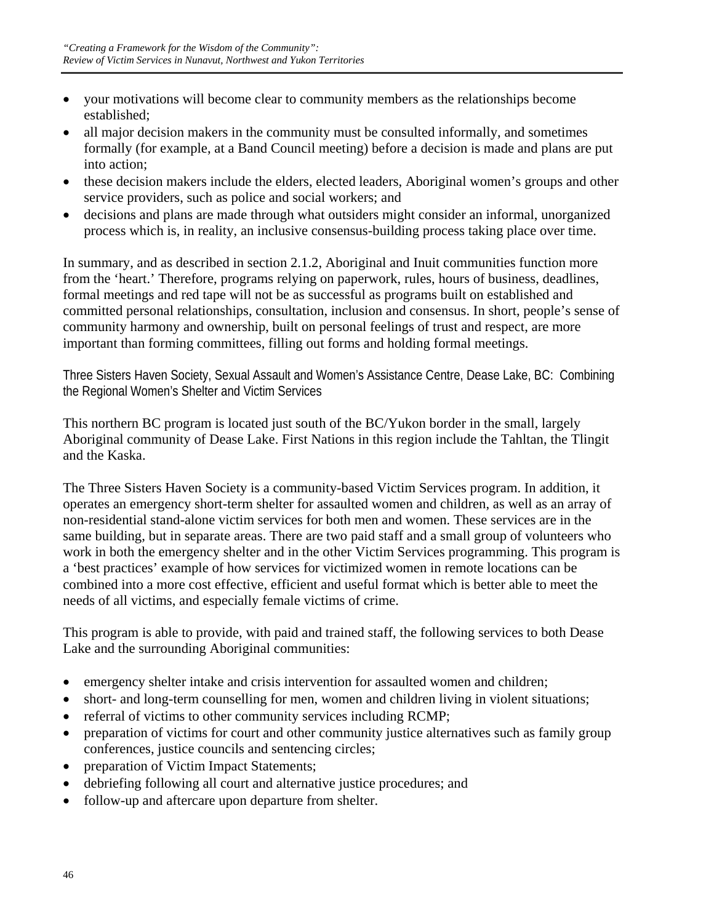- your motivations will become clear to community members as the relationships become established;
- all major decision makers in the community must be consulted informally, and sometimes formally (for example, at a Band Council meeting) before a decision is made and plans are put into action;
- these decision makers include the elders, elected leaders, Aboriginal women's groups and other service providers, such as police and social workers; and
- decisions and plans are made through what outsiders might consider an informal, unorganized process which is, in reality, an inclusive consensus-building process taking place over time.

In summary, and as described in section 2.1.2, Aboriginal and Inuit communities function more from the 'heart.' Therefore, programs relying on paperwork, rules, hours of business, deadlines, formal meetings and red tape will not be as successful as programs built on established and committed personal relationships, consultation, inclusion and consensus. In short, people's sense of community harmony and ownership, built on personal feelings of trust and respect, are more important than forming committees, filling out forms and holding formal meetings.

Three Sisters Haven Society, Sexual Assault and Women's Assistance Centre, Dease Lake, BC: Combining the Regional Women's Shelter and Victim Services

This northern BC program is located just south of the BC/Yukon border in the small, largely Aboriginal community of Dease Lake. First Nations in this region include the Tahltan, the Tlingit and the Kaska.

The Three Sisters Haven Society is a community-based Victim Services program. In addition, it operates an emergency short-term shelter for assaulted women and children, as well as an array of non-residential stand-alone victim services for both men and women. These services are in the same building, but in separate areas. There are two paid staff and a small group of volunteers who work in both the emergency shelter and in the other Victim Services programming. This program is a 'best practices' example of how services for victimized women in remote locations can be combined into a more cost effective, efficient and useful format which is better able to meet the needs of all victims, and especially female victims of crime.

This program is able to provide, with paid and trained staff, the following services to both Dease Lake and the surrounding Aboriginal communities:

- emergency shelter intake and crisis intervention for assaulted women and children;
- short- and long-term counselling for men, women and children living in violent situations;
- referral of victims to other community services including RCMP;
- preparation of victims for court and other community justice alternatives such as family group conferences, justice councils and sentencing circles;
- preparation of Victim Impact Statements;
- debriefing following all court and alternative justice procedures; and
- follow-up and aftercare upon departure from shelter.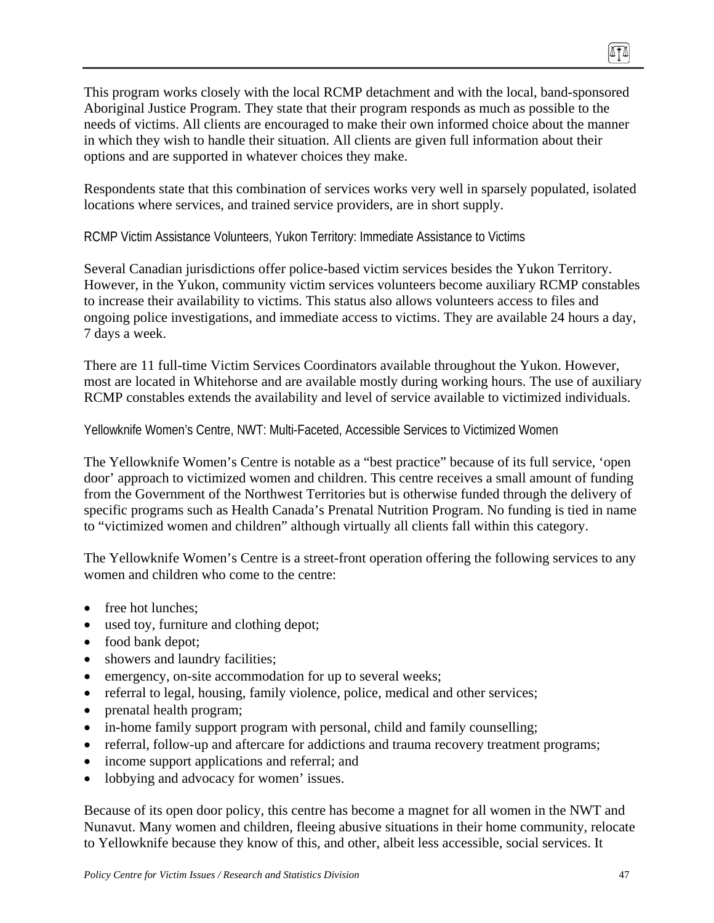This program works closely with the local RCMP detachment and with the local, band-sponsored Aboriginal Justice Program. They state that their program responds as much as possible to the needs of victims. All clients are encouraged to make their own informed choice about the manner in which they wish to handle their situation. All clients are given full information about their options and are supported in whatever choices they make.

Respondents state that this combination of services works very well in sparsely populated, isolated locations where services, and trained service providers, are in short supply.

RCMP Victim Assistance Volunteers, Yukon Territory: Immediate Assistance to Victims

Several Canadian jurisdictions offer police-based victim services besides the Yukon Territory. However, in the Yukon, community victim services volunteers become auxiliary RCMP constables to increase their availability to victims. This status also allows volunteers access to files and ongoing police investigations, and immediate access to victims. They are available 24 hours a day, 7 days a week.

There are 11 full-time Victim Services Coordinators available throughout the Yukon. However, most are located in Whitehorse and are available mostly during working hours. The use of auxiliary RCMP constables extends the availability and level of service available to victimized individuals.

Yellowknife Women's Centre, NWT: Multi-Faceted, Accessible Services to Victimized Women

The Yellowknife Women's Centre is notable as a "best practice" because of its full service, 'open door' approach to victimized women and children. This centre receives a small amount of funding from the Government of the Northwest Territories but is otherwise funded through the delivery of specific programs such as Health Canada's Prenatal Nutrition Program. No funding is tied in name to "victimized women and children" although virtually all clients fall within this category.

The Yellowknife Women's Centre is a street-front operation offering the following services to any women and children who come to the centre:

- free hot lunches;
- used toy, furniture and clothing depot;
- food bank depot;
- showers and laundry facilities;
- emergency, on-site accommodation for up to several weeks;
- referral to legal, housing, family violence, police, medical and other services;
- prenatal health program;
- in-home family support program with personal, child and family counselling;
- referral, follow-up and aftercare for addictions and trauma recovery treatment programs;
- income support applications and referral; and
- lobbying and advocacy for women' issues.

Because of its open door policy, this centre has become a magnet for all women in the NWT and Nunavut. Many women and children, fleeing abusive situations in their home community, relocate to Yellowknife because they know of this, and other, albeit less accessible, social services. It

0TO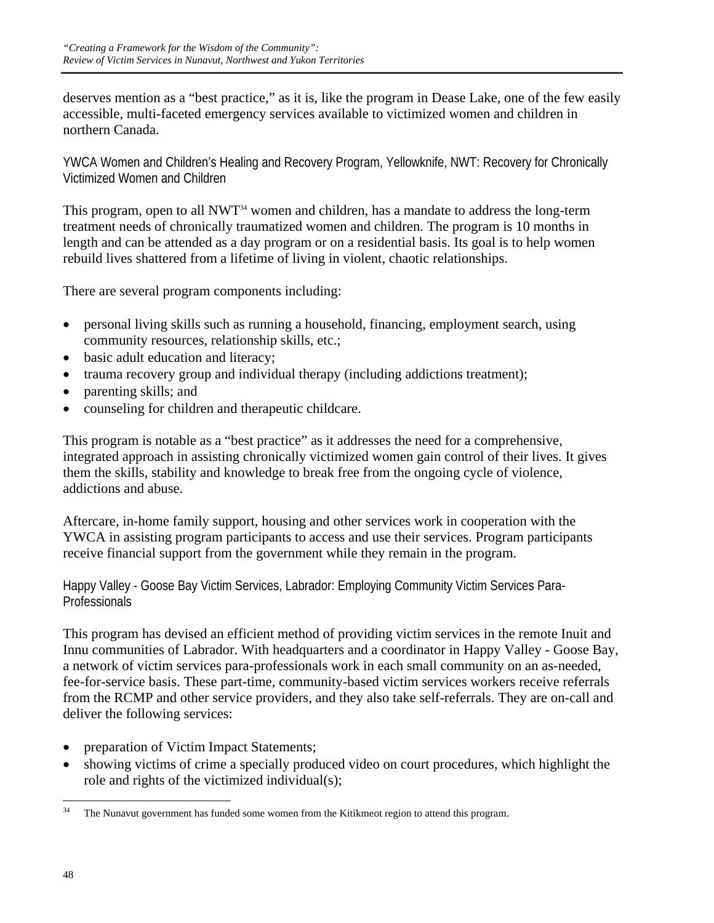deserves mention as a "best practice," as it is, like the program in Dease Lake, one of the few easily accessible, multi-faceted emergency services available to victimized women and children in northern Canada.

YWCA Women and Children's Healing and Recovery Program, Yellowknife, NWT: Recovery for Chronically Victimized Women and Children

This program, open to all NWT<sup>34</sup> women and children, has a mandate to address the long-term treatment needs of chronically traumatized women and children. The program is 10 months in length and can be attended as a day program or on a residential basis. Its goal is to help women rebuild lives shattered from a lifetime of living in violent, chaotic relationships.

There are several program components including:

- personal living skills such as running a household, financing, employment search, using community resources, relationship skills, etc.;
- basic adult education and literacy;
- trauma recovery group and individual therapy (including addictions treatment);
- parenting skills; and
- counseling for children and therapeutic childcare.

This program is notable as a "best practice" as it addresses the need for a comprehensive, integrated approach in assisting chronically victimized women gain control of their lives. It gives them the skills, stability and knowledge to break free from the ongoing cycle of violence, addictions and abuse.

Aftercare, in-home family support, housing and other services work in cooperation with the YWCA in assisting program participants to access and use their services. Program participants receive financial support from the government while they remain in the program.

Happy Valley - Goose Bay Victim Services, Labrador: Employing Community Victim Services Para-**Professionals** 

This program has devised an efficient method of providing victim services in the remote Inuit and Innu communities of Labrador. With headquarters and a coordinator in Happy Valley - Goose Bay, a network of victim services para-professionals work in each small community on an as-needed, fee-for-service basis. These part-time, community-based victim services workers receive referrals from the RCMP and other service providers, and they also take self-referrals. They are on-call and deliver the following services:

- preparation of Victim Impact Statements;
- showing victims of crime a specially produced video on court procedures, which highlight the role and rights of the victimized individual(s);

 $\overline{a}$ The Nunavut government has funded some women from the Kitikmeot region to attend this program.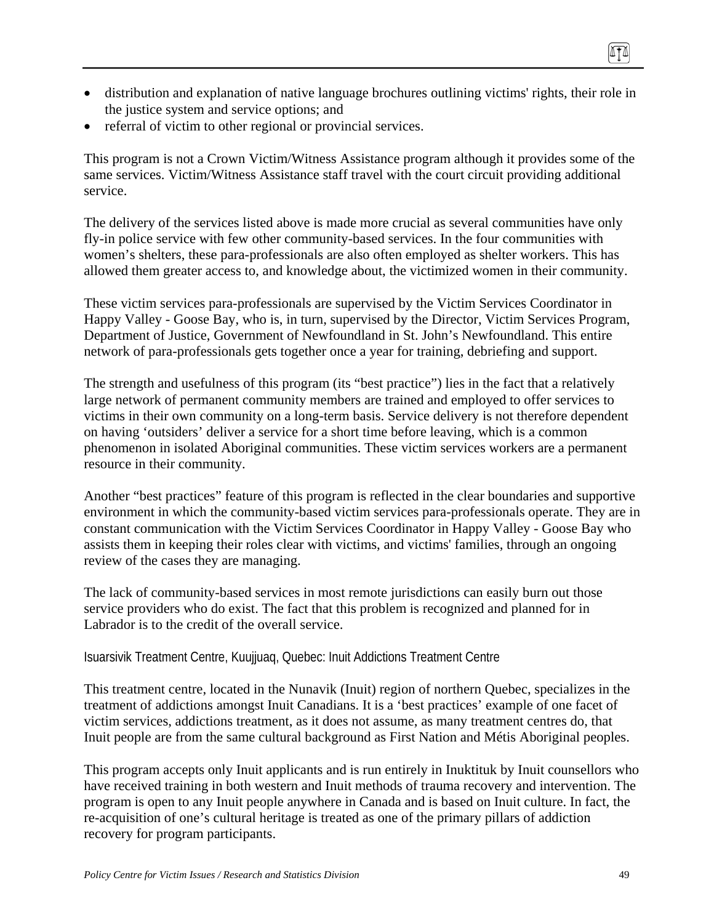- distribution and explanation of native language brochures outlining victims' rights, their role in the justice system and service options; and
- referral of victim to other regional or provincial services.

This program is not a Crown Victim/Witness Assistance program although it provides some of the same services. Victim/Witness Assistance staff travel with the court circuit providing additional service.

The delivery of the services listed above is made more crucial as several communities have only fly-in police service with few other community-based services. In the four communities with women's shelters, these para-professionals are also often employed as shelter workers. This has allowed them greater access to, and knowledge about, the victimized women in their community.

These victim services para-professionals are supervised by the Victim Services Coordinator in Happy Valley - Goose Bay, who is, in turn, supervised by the Director, Victim Services Program, Department of Justice, Government of Newfoundland in St. John's Newfoundland. This entire network of para-professionals gets together once a year for training, debriefing and support.

The strength and usefulness of this program (its "best practice") lies in the fact that a relatively large network of permanent community members are trained and employed to offer services to victims in their own community on a long-term basis. Service delivery is not therefore dependent on having 'outsiders' deliver a service for a short time before leaving, which is a common phenomenon in isolated Aboriginal communities. These victim services workers are a permanent resource in their community.

Another "best practices" feature of this program is reflected in the clear boundaries and supportive environment in which the community-based victim services para-professionals operate. They are in constant communication with the Victim Services Coordinator in Happy Valley - Goose Bay who assists them in keeping their roles clear with victims, and victims' families, through an ongoing review of the cases they are managing.

The lack of community-based services in most remote jurisdictions can easily burn out those service providers who do exist. The fact that this problem is recognized and planned for in Labrador is to the credit of the overall service.

Isuarsivik Treatment Centre, Kuujjuaq, Quebec: Inuit Addictions Treatment Centre

This treatment centre, located in the Nunavik (Inuit) region of northern Quebec, specializes in the treatment of addictions amongst Inuit Canadians. It is a 'best practices' example of one facet of victim services, addictions treatment, as it does not assume, as many treatment centres do, that Inuit people are from the same cultural background as First Nation and Métis Aboriginal peoples.

This program accepts only Inuit applicants and is run entirely in Inuktituk by Inuit counsellors who have received training in both western and Inuit methods of trauma recovery and intervention. The program is open to any Inuit people anywhere in Canada and is based on Inuit culture. In fact, the re-acquisition of one's cultural heritage is treated as one of the primary pillars of addiction recovery for program participants.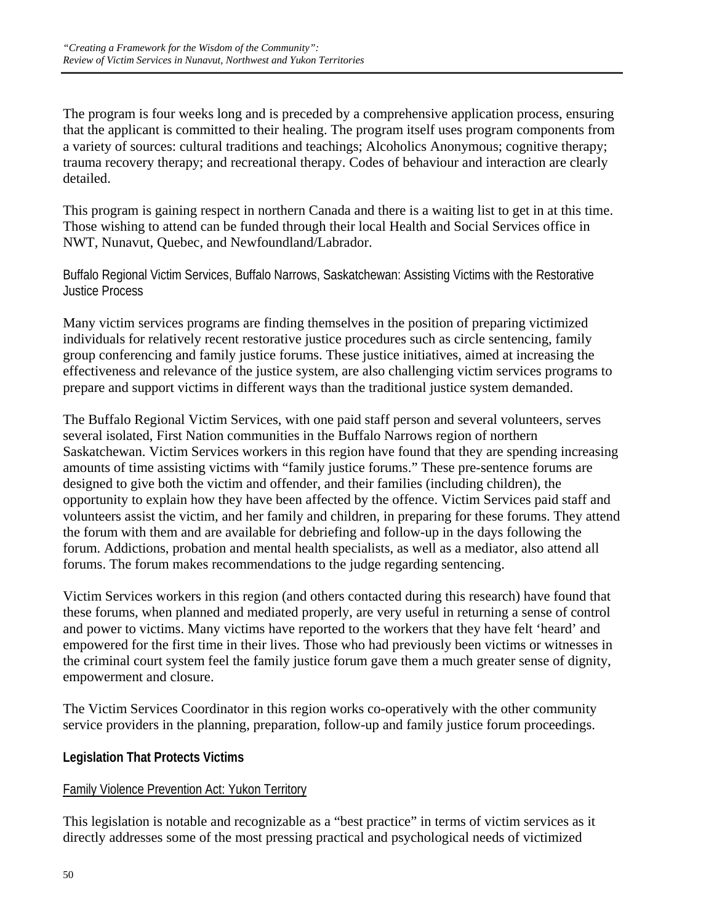The program is four weeks long and is preceded by a comprehensive application process, ensuring that the applicant is committed to their healing. The program itself uses program components from a variety of sources: cultural traditions and teachings; Alcoholics Anonymous; cognitive therapy; trauma recovery therapy; and recreational therapy. Codes of behaviour and interaction are clearly detailed.

This program is gaining respect in northern Canada and there is a waiting list to get in at this time. Those wishing to attend can be funded through their local Health and Social Services office in NWT, Nunavut, Quebec, and Newfoundland/Labrador.

Buffalo Regional Victim Services, Buffalo Narrows, Saskatchewan: Assisting Victims with the Restorative Justice Process

Many victim services programs are finding themselves in the position of preparing victimized individuals for relatively recent restorative justice procedures such as circle sentencing, family group conferencing and family justice forums. These justice initiatives, aimed at increasing the effectiveness and relevance of the justice system, are also challenging victim services programs to prepare and support victims in different ways than the traditional justice system demanded.

The Buffalo Regional Victim Services, with one paid staff person and several volunteers, serves several isolated, First Nation communities in the Buffalo Narrows region of northern Saskatchewan. Victim Services workers in this region have found that they are spending increasing amounts of time assisting victims with "family justice forums." These pre-sentence forums are designed to give both the victim and offender, and their families (including children), the opportunity to explain how they have been affected by the offence. Victim Services paid staff and volunteers assist the victim, and her family and children, in preparing for these forums. They attend the forum with them and are available for debriefing and follow-up in the days following the forum. Addictions, probation and mental health specialists, as well as a mediator, also attend all forums. The forum makes recommendations to the judge regarding sentencing.

Victim Services workers in this region (and others contacted during this research) have found that these forums, when planned and mediated properly, are very useful in returning a sense of control and power to victims. Many victims have reported to the workers that they have felt 'heard' and empowered for the first time in their lives. Those who had previously been victims or witnesses in the criminal court system feel the family justice forum gave them a much greater sense of dignity, empowerment and closure.

The Victim Services Coordinator in this region works co-operatively with the other community service providers in the planning, preparation, follow-up and family justice forum proceedings.

# **Legislation That Protects Victims**

# Family Violence Prevention Act: Yukon Territory

This legislation is notable and recognizable as a "best practice" in terms of victim services as it directly addresses some of the most pressing practical and psychological needs of victimized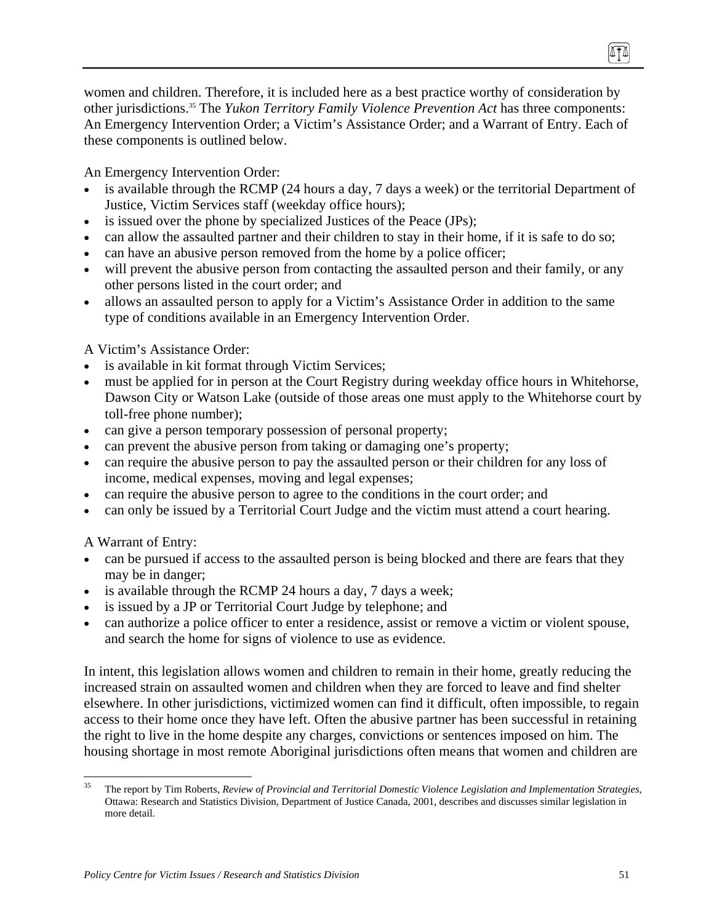women and children. Therefore, it is included here as a best practice worthy of consideration by other jurisdictions.35 The *Yukon Territory Family Violence Prevention Act* has three components: An Emergency Intervention Order; a Victim's Assistance Order; and a Warrant of Entry. Each of these components is outlined below.

An Emergency Intervention Order:

- is available through the RCMP (24 hours a day, 7 days a week) or the territorial Department of Justice, Victim Services staff (weekday office hours);
- is issued over the phone by specialized Justices of the Peace (JPs);
- can allow the assaulted partner and their children to stay in their home, if it is safe to do so;
- can have an abusive person removed from the home by a police officer;
- will prevent the abusive person from contacting the assaulted person and their family, or any other persons listed in the court order; and
- allows an assaulted person to apply for a Victim's Assistance Order in addition to the same type of conditions available in an Emergency Intervention Order.

A Victim's Assistance Order:

- is available in kit format through Victim Services;
- must be applied for in person at the Court Registry during weekday office hours in Whitehorse, Dawson City or Watson Lake (outside of those areas one must apply to the Whitehorse court by toll-free phone number);
- can give a person temporary possession of personal property;
- can prevent the abusive person from taking or damaging one's property;
- can require the abusive person to pay the assaulted person or their children for any loss of income, medical expenses, moving and legal expenses;
- can require the abusive person to agree to the conditions in the court order; and
- can only be issued by a Territorial Court Judge and the victim must attend a court hearing.

A Warrant of Entry:

- can be pursued if access to the assaulted person is being blocked and there are fears that they may be in danger;
- is available through the RCMP 24 hours a day, 7 days a week;
- is issued by a JP or Territorial Court Judge by telephone; and
- can authorize a police officer to enter a residence, assist or remove a victim or violent spouse, and search the home for signs of violence to use as evidence.

In intent, this legislation allows women and children to remain in their home, greatly reducing the increased strain on assaulted women and children when they are forced to leave and find shelter elsewhere. In other jurisdictions, victimized women can find it difficult, often impossible, to regain access to their home once they have left. Often the abusive partner has been successful in retaining the right to live in the home despite any charges, convictions or sentences imposed on him. The housing shortage in most remote Aboriginal jurisdictions often means that women and children are

 $35$ 35 The report by Tim Roberts, *Review of Provincial and Territorial Domestic Violence Legislation and Implementation Strategies*, Ottawa: Research and Statistics Division, Department of Justice Canada, 2001, describes and discusses similar legislation in more detail.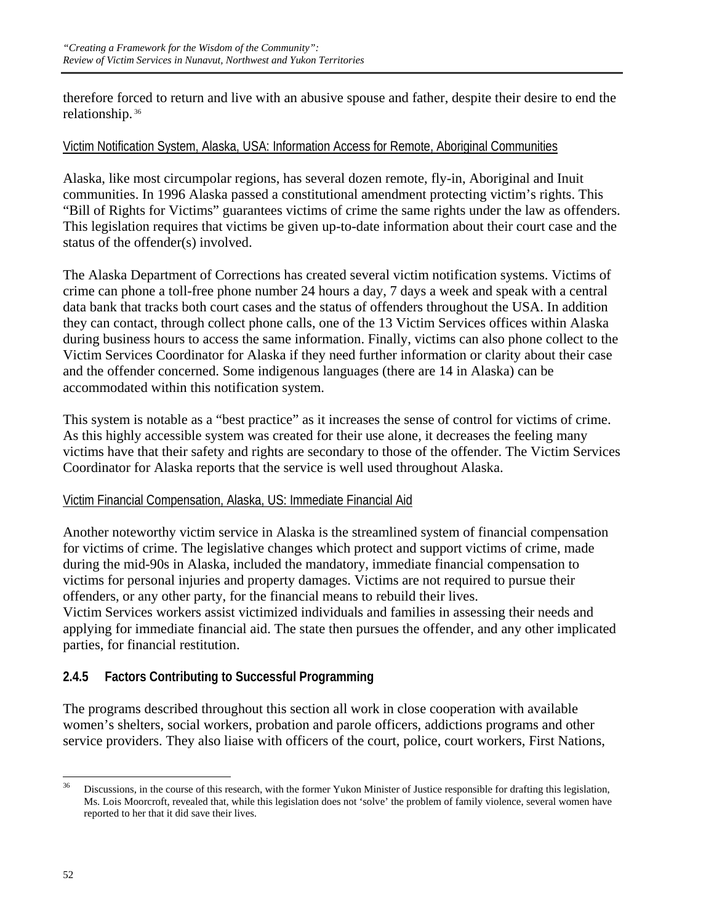therefore forced to return and live with an abusive spouse and father, despite their desire to end the relationship. 36

#### Victim Notification System, Alaska, USA: Information Access for Remote, Aboriginal Communities

Alaska, like most circumpolar regions, has several dozen remote, fly-in, Aboriginal and Inuit communities. In 1996 Alaska passed a constitutional amendment protecting victim's rights. This "Bill of Rights for Victims" guarantees victims of crime the same rights under the law as offenders. This legislation requires that victims be given up-to-date information about their court case and the status of the offender(s) involved.

The Alaska Department of Corrections has created several victim notification systems. Victims of crime can phone a toll-free phone number 24 hours a day, 7 days a week and speak with a central data bank that tracks both court cases and the status of offenders throughout the USA. In addition they can contact, through collect phone calls, one of the 13 Victim Services offices within Alaska during business hours to access the same information. Finally, victims can also phone collect to the Victim Services Coordinator for Alaska if they need further information or clarity about their case and the offender concerned. Some indigenous languages (there are 14 in Alaska) can be accommodated within this notification system.

This system is notable as a "best practice" as it increases the sense of control for victims of crime. As this highly accessible system was created for their use alone, it decreases the feeling many victims have that their safety and rights are secondary to those of the offender. The Victim Services Coordinator for Alaska reports that the service is well used throughout Alaska.

#### Victim Financial Compensation, Alaska, US: Immediate Financial Aid

Another noteworthy victim service in Alaska is the streamlined system of financial compensation for victims of crime. The legislative changes which protect and support victims of crime, made during the mid-90s in Alaska, included the mandatory, immediate financial compensation to victims for personal injuries and property damages. Victims are not required to pursue their offenders, or any other party, for the financial means to rebuild their lives. Victim Services workers assist victimized individuals and families in assessing their needs and applying for immediate financial aid. The state then pursues the offender, and any other implicated parties, for financial restitution.

### **2.4.5 Factors Contributing to Successful Programming**

The programs described throughout this section all work in close cooperation with available women's shelters, social workers, probation and parole officers, addictions programs and other service providers. They also liaise with officers of the court, police, court workers, First Nations,

 $36$ 36 Discussions, in the course of this research, with the former Yukon Minister of Justice responsible for drafting this legislation, Ms. Lois Moorcroft, revealed that, while this legislation does not 'solve' the problem of family violence, several women have reported to her that it did save their lives.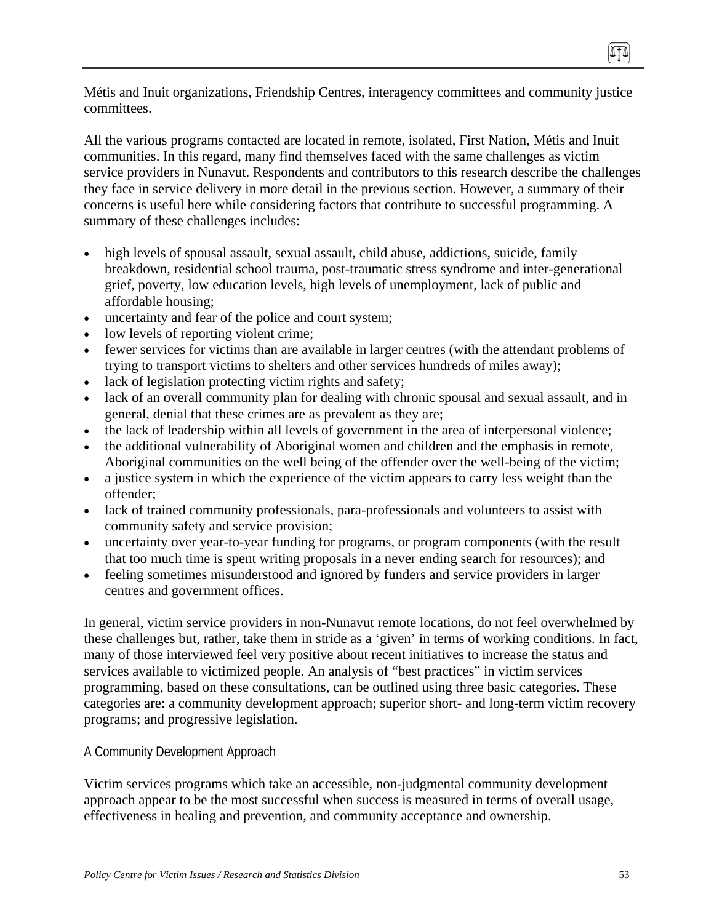Métis and Inuit organizations, Friendship Centres, interagency committees and community justice committees.

All the various programs contacted are located in remote, isolated, First Nation, Métis and Inuit communities. In this regard, many find themselves faced with the same challenges as victim service providers in Nunavut. Respondents and contributors to this research describe the challenges they face in service delivery in more detail in the previous section. However, a summary of their concerns is useful here while considering factors that contribute to successful programming. A summary of these challenges includes:

- high levels of spousal assault, sexual assault, child abuse, addictions, suicide, family breakdown, residential school trauma, post-traumatic stress syndrome and inter-generational grief, poverty, low education levels, high levels of unemployment, lack of public and affordable housing;
- uncertainty and fear of the police and court system;
- low levels of reporting violent crime;
- fewer services for victims than are available in larger centres (with the attendant problems of trying to transport victims to shelters and other services hundreds of miles away);
- lack of legislation protecting victim rights and safety;
- lack of an overall community plan for dealing with chronic spousal and sexual assault, and in general, denial that these crimes are as prevalent as they are;
- the lack of leadership within all levels of government in the area of interpersonal violence;
- the additional vulnerability of Aboriginal women and children and the emphasis in remote, Aboriginal communities on the well being of the offender over the well-being of the victim;
- a justice system in which the experience of the victim appears to carry less weight than the offender;
- lack of trained community professionals, para-professionals and volunteers to assist with community safety and service provision;
- uncertainty over year-to-year funding for programs, or program components (with the result that too much time is spent writing proposals in a never ending search for resources); and
- feeling sometimes misunderstood and ignored by funders and service providers in larger centres and government offices.

In general, victim service providers in non-Nunavut remote locations, do not feel overwhelmed by these challenges but, rather, take them in stride as a 'given' in terms of working conditions. In fact, many of those interviewed feel very positive about recent initiatives to increase the status and services available to victimized people. An analysis of "best practices" in victim services programming, based on these consultations, can be outlined using three basic categories. These categories are: a community development approach; superior short- and long-term victim recovery programs; and progressive legislation.

#### A Community Development Approach

Victim services programs which take an accessible, non-judgmental community development approach appear to be the most successful when success is measured in terms of overall usage, effectiveness in healing and prevention, and community acceptance and ownership.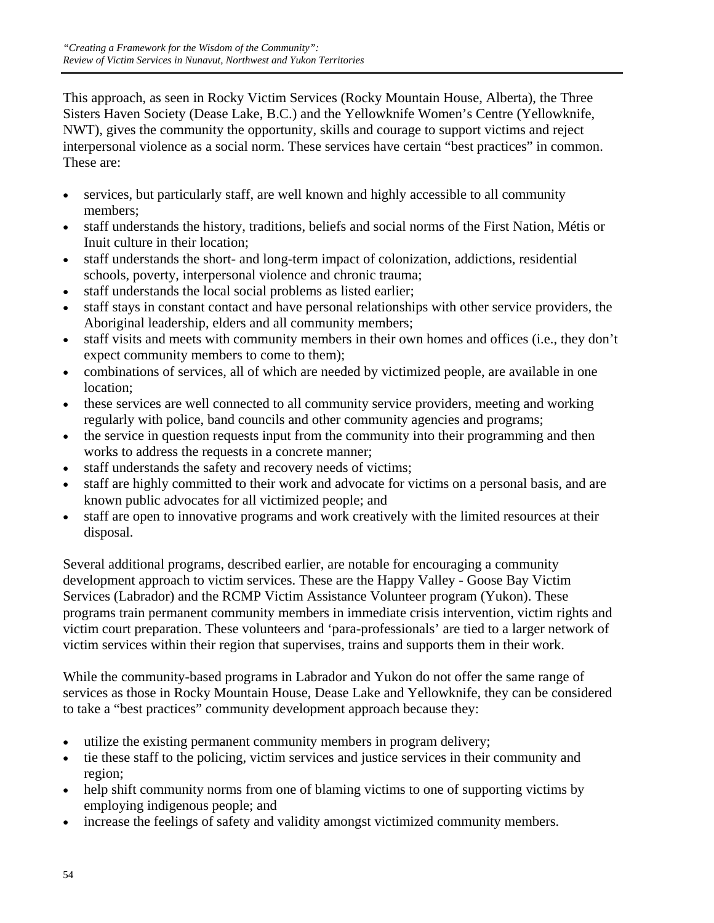This approach, as seen in Rocky Victim Services (Rocky Mountain House, Alberta), the Three Sisters Haven Society (Dease Lake, B.C.) and the Yellowknife Women's Centre (Yellowknife, NWT), gives the community the opportunity, skills and courage to support victims and reject interpersonal violence as a social norm. These services have certain "best practices" in common. These are:

- services, but particularly staff, are well known and highly accessible to all community members;
- staff understands the history, traditions, beliefs and social norms of the First Nation, Métis or Inuit culture in their location;
- staff understands the short- and long-term impact of colonization, addictions, residential schools, poverty, interpersonal violence and chronic trauma;
- staff understands the local social problems as listed earlier;
- staff stays in constant contact and have personal relationships with other service providers, the Aboriginal leadership, elders and all community members;
- staff visits and meets with community members in their own homes and offices (i.e., they don't expect community members to come to them);
- combinations of services, all of which are needed by victimized people, are available in one location;
- these services are well connected to all community service providers, meeting and working regularly with police, band councils and other community agencies and programs;
- the service in question requests input from the community into their programming and then works to address the requests in a concrete manner;
- staff understands the safety and recovery needs of victims;
- staff are highly committed to their work and advocate for victims on a personal basis, and are known public advocates for all victimized people; and
- staff are open to innovative programs and work creatively with the limited resources at their disposal.

Several additional programs, described earlier, are notable for encouraging a community development approach to victim services. These are the Happy Valley - Goose Bay Victim Services (Labrador) and the RCMP Victim Assistance Volunteer program (Yukon). These programs train permanent community members in immediate crisis intervention, victim rights and victim court preparation. These volunteers and 'para-professionals' are tied to a larger network of victim services within their region that supervises, trains and supports them in their work.

While the community-based programs in Labrador and Yukon do not offer the same range of services as those in Rocky Mountain House, Dease Lake and Yellowknife, they can be considered to take a "best practices" community development approach because they:

- utilize the existing permanent community members in program delivery;
- tie these staff to the policing, victim services and justice services in their community and region;
- help shift community norms from one of blaming victims to one of supporting victims by employing indigenous people; and
- increase the feelings of safety and validity amongst victimized community members.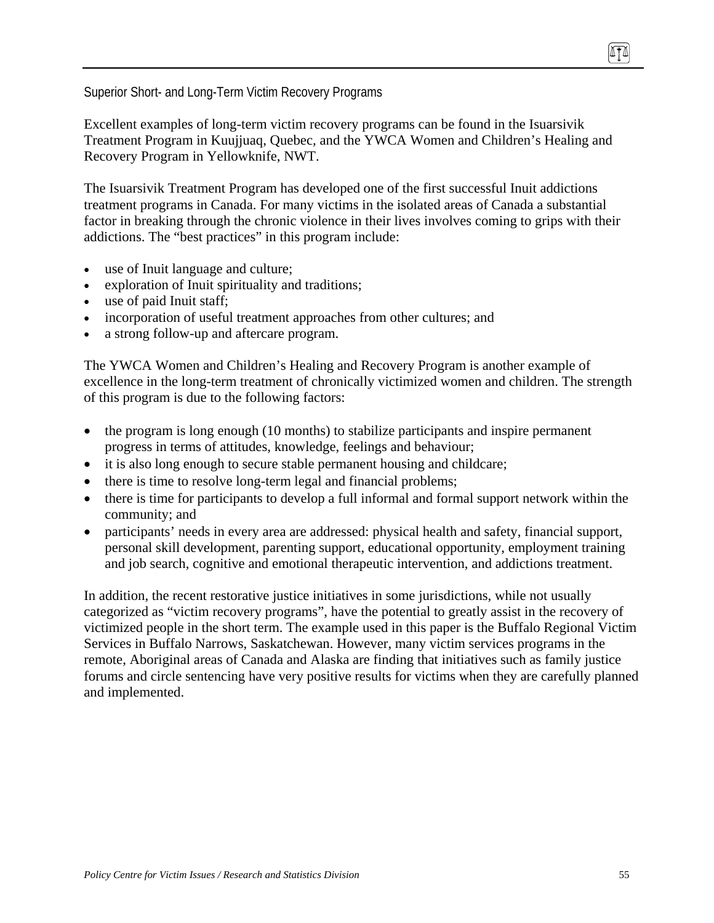Superior Short- and Long-Term Victim Recovery Programs

Excellent examples of long-term victim recovery programs can be found in the Isuarsivik Treatment Program in Kuujjuaq, Quebec, and the YWCA Women and Children's Healing and Recovery Program in Yellowknife, NWT.

The Isuarsivik Treatment Program has developed one of the first successful Inuit addictions treatment programs in Canada. For many victims in the isolated areas of Canada a substantial factor in breaking through the chronic violence in their lives involves coming to grips with their addictions. The "best practices" in this program include:

- use of Inuit language and culture;
- exploration of Inuit spirituality and traditions;
- use of paid Inuit staff;
- incorporation of useful treatment approaches from other cultures; and
- a strong follow-up and aftercare program.

The YWCA Women and Children's Healing and Recovery Program is another example of excellence in the long-term treatment of chronically victimized women and children. The strength of this program is due to the following factors:

- the program is long enough (10 months) to stabilize participants and inspire permanent progress in terms of attitudes, knowledge, feelings and behaviour;
- it is also long enough to secure stable permanent housing and childcare;
- there is time to resolve long-term legal and financial problems;
- there is time for participants to develop a full informal and formal support network within the community; and
- participants' needs in every area are addressed: physical health and safety, financial support, personal skill development, parenting support, educational opportunity, employment training and job search, cognitive and emotional therapeutic intervention, and addictions treatment.

In addition, the recent restorative justice initiatives in some jurisdictions, while not usually categorized as "victim recovery programs", have the potential to greatly assist in the recovery of victimized people in the short term. The example used in this paper is the Buffalo Regional Victim Services in Buffalo Narrows, Saskatchewan. However, many victim services programs in the remote, Aboriginal areas of Canada and Alaska are finding that initiatives such as family justice forums and circle sentencing have very positive results for victims when they are carefully planned and implemented.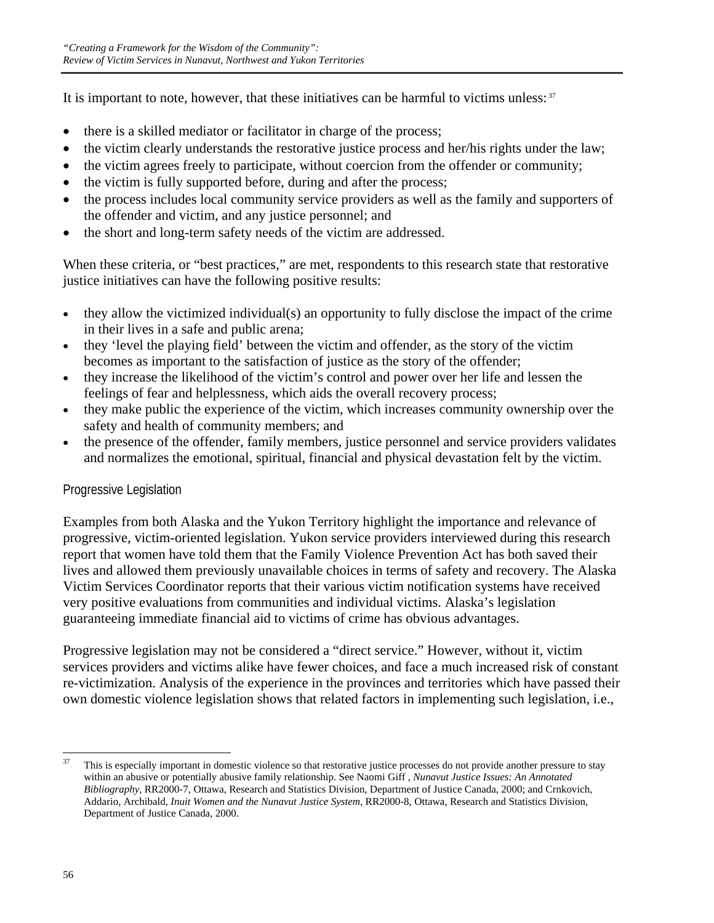It is important to note, however, that these initiatives can be harmful to victims unless:  $37$ 

- there is a skilled mediator or facilitator in charge of the process;
- the victim clearly understands the restorative justice process and her/his rights under the law;
- the victim agrees freely to participate, without coercion from the offender or community;
- the victim is fully supported before, during and after the process;
- the process includes local community service providers as well as the family and supporters of the offender and victim, and any justice personnel; and
- the short and long-term safety needs of the victim are addressed.

When these criteria, or "best practices," are met, respondents to this research state that restorative justice initiatives can have the following positive results:

- they allow the victimized individual(s) an opportunity to fully disclose the impact of the crime in their lives in a safe and public arena;
- they 'level the playing field' between the victim and offender, as the story of the victim becomes as important to the satisfaction of justice as the story of the offender;
- they increase the likelihood of the victim's control and power over her life and lessen the feelings of fear and helplessness, which aids the overall recovery process;
- they make public the experience of the victim, which increases community ownership over the safety and health of community members; and
- the presence of the offender, family members, justice personnel and service providers validates and normalizes the emotional, spiritual, financial and physical devastation felt by the victim.

# Progressive Legislation

Examples from both Alaska and the Yukon Territory highlight the importance and relevance of progressive, victim-oriented legislation. Yukon service providers interviewed during this research report that women have told them that the Family Violence Prevention Act has both saved their lives and allowed them previously unavailable choices in terms of safety and recovery. The Alaska Victim Services Coordinator reports that their various victim notification systems have received very positive evaluations from communities and individual victims. Alaska's legislation guaranteeing immediate financial aid to victims of crime has obvious advantages.

Progressive legislation may not be considered a "direct service." However, without it, victim services providers and victims alike have fewer choices, and face a much increased risk of constant re-victimization. Analysis of the experience in the provinces and territories which have passed their own domestic violence legislation shows that related factors in implementing such legislation, i.e.,

 $37$ This is especially important in domestic violence so that restorative justice processes do not provide another pressure to stay within an abusive or potentially abusive family relationship. See Naomi Giff , *Nunavut Justice Issues: An Annotated Bibliography*, RR2000-7, Ottawa, Research and Statistics Division, Department of Justice Canada, 2000; and Crnkovich, Addario, Archibald, *Inuit Women and the Nunavut Justice System,* RR2000-8, Ottawa, Research and Statistics Division, Department of Justice Canada, 2000.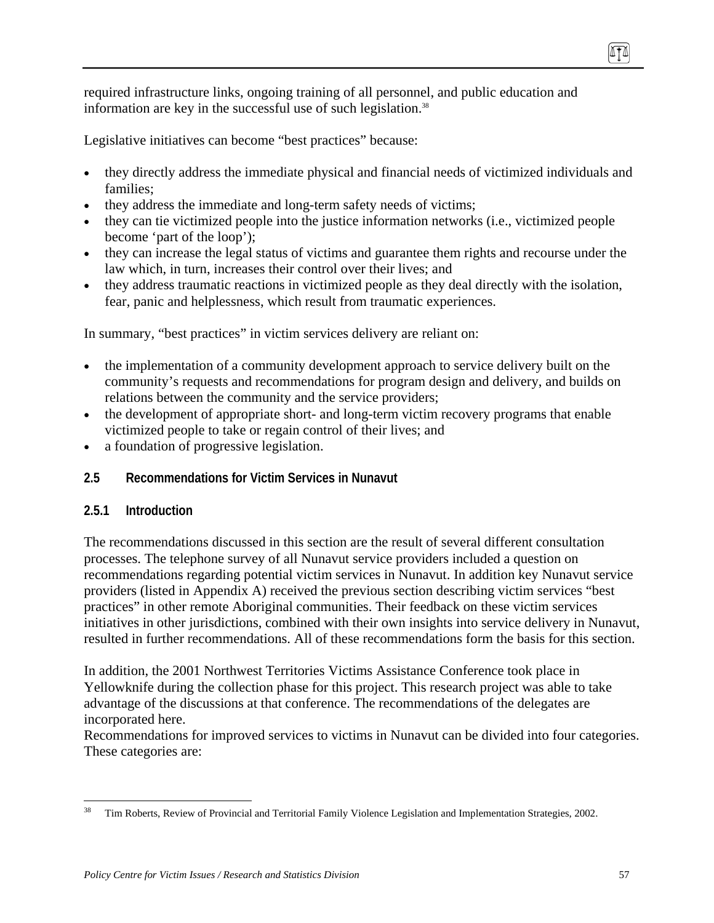required infrastructure links, ongoing training of all personnel, and public education and information are key in the successful use of such legislation.<sup>38</sup>

Legislative initiatives can become "best practices" because:

- they directly address the immediate physical and financial needs of victimized individuals and families;
- they address the immediate and long-term safety needs of victims;
- they can tie victimized people into the justice information networks (i.e., victimized people become 'part of the loop');
- they can increase the legal status of victims and guarantee them rights and recourse under the law which, in turn, increases their control over their lives; and
- they address traumatic reactions in victimized people as they deal directly with the isolation, fear, panic and helplessness, which result from traumatic experiences.

In summary, "best practices" in victim services delivery are reliant on:

- the implementation of a community development approach to service delivery built on the community's requests and recommendations for program design and delivery, and builds on relations between the community and the service providers;
- the development of appropriate short- and long-term victim recovery programs that enable victimized people to take or regain control of their lives; and
- a foundation of progressive legislation.
- **2.5 Recommendations for Victim Services in Nunavut**

### **2.5.1 Introduction**

The recommendations discussed in this section are the result of several different consultation processes. The telephone survey of all Nunavut service providers included a question on recommendations regarding potential victim services in Nunavut. In addition key Nunavut service providers (listed in Appendix A) received the previous section describing victim services "best practices" in other remote Aboriginal communities. Their feedback on these victim services initiatives in other jurisdictions, combined with their own insights into service delivery in Nunavut, resulted in further recommendations. All of these recommendations form the basis for this section.

In addition, the 2001 Northwest Territories Victims Assistance Conference took place in Yellowknife during the collection phase for this project. This research project was able to take advantage of the discussions at that conference. The recommendations of the delegates are incorporated here.

Recommendations for improved services to victims in Nunavut can be divided into four categories. These categories are:

 $\overline{a}$ 38 Tim Roberts, Review of Provincial and Territorial Family Violence Legislation and Implementation Strategies, 2002.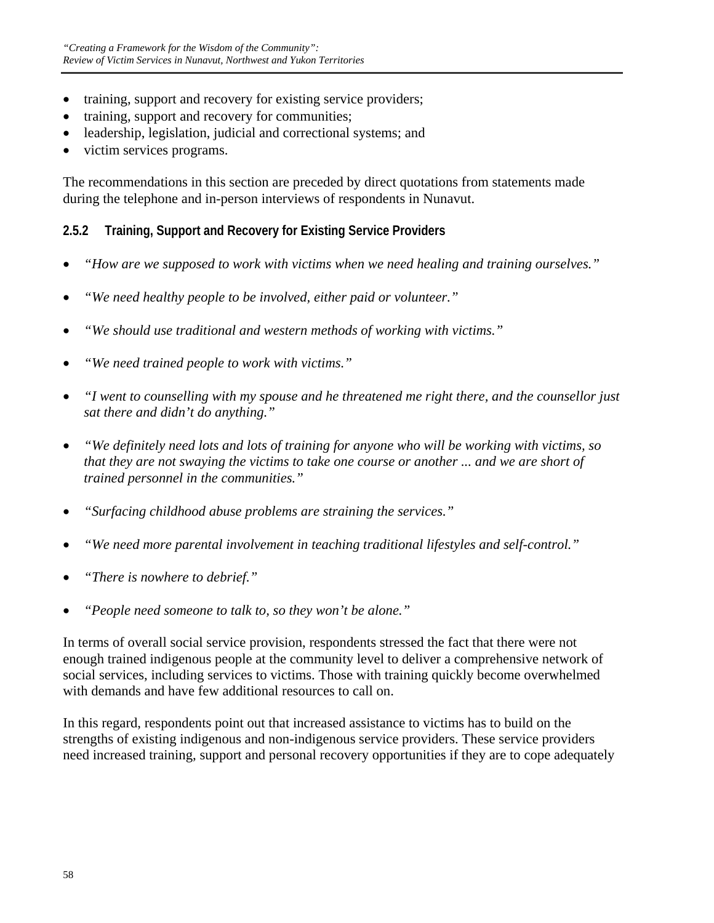- training, support and recovery for existing service providers;
- training, support and recovery for communities;
- leadership, legislation, judicial and correctional systems; and
- victim services programs.

The recommendations in this section are preceded by direct quotations from statements made during the telephone and in-person interviews of respondents in Nunavut.

# **2.5.2 Training, Support and Recovery for Existing Service Providers**

- *"How are we supposed to work with victims when we need healing and training ourselves."*
- *"We need healthy people to be involved, either paid or volunteer."*
- *"We should use traditional and western methods of working with victims."*
- *"We need trained people to work with victims."*
- *"I went to counselling with my spouse and he threatened me right there, and the counsellor just sat there and didn't do anything."*
- *"We definitely need lots and lots of training for anyone who will be working with victims, so that they are not swaying the victims to take one course or another ... and we are short of trained personnel in the communities."*
- *"Surfacing childhood abuse problems are straining the services."*
- *"We need more parental involvement in teaching traditional lifestyles and self-control."*
- *"There is nowhere to debrief."*
- *"People need someone to talk to, so they won't be alone."*

In terms of overall social service provision, respondents stressed the fact that there were not enough trained indigenous people at the community level to deliver a comprehensive network of social services, including services to victims. Those with training quickly become overwhelmed with demands and have few additional resources to call on.

In this regard, respondents point out that increased assistance to victims has to build on the strengths of existing indigenous and non-indigenous service providers. These service providers need increased training, support and personal recovery opportunities if they are to cope adequately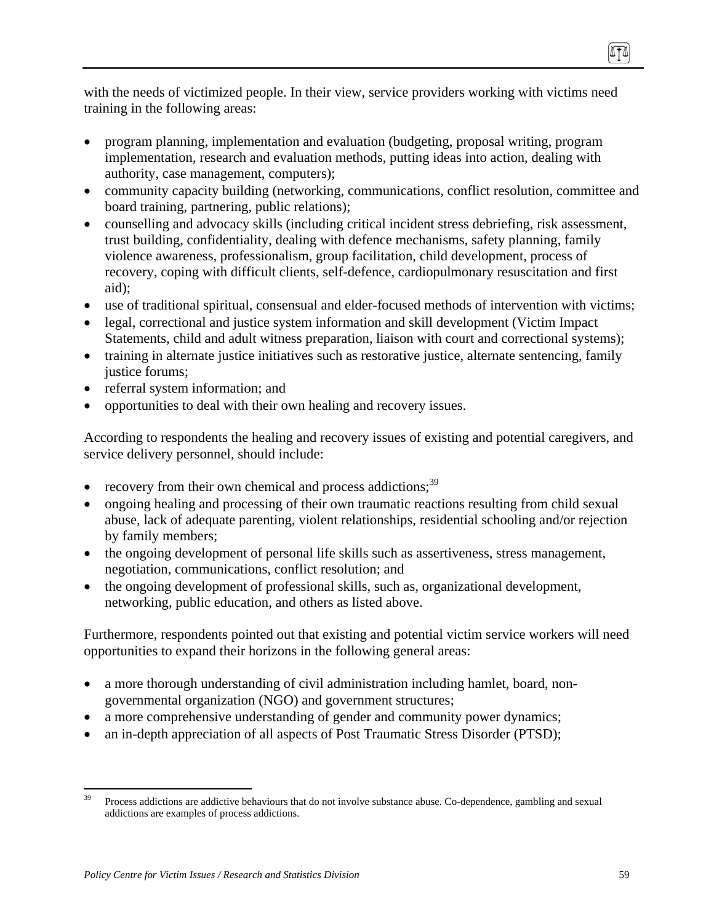with the needs of victimized people. In their view, service providers working with victims need training in the following areas:

- program planning, implementation and evaluation (budgeting, proposal writing, program implementation, research and evaluation methods, putting ideas into action, dealing with authority, case management, computers);
- community capacity building (networking, communications, conflict resolution, committee and board training, partnering, public relations);
- counselling and advocacy skills (including critical incident stress debriefing, risk assessment, trust building, confidentiality, dealing with defence mechanisms, safety planning, family violence awareness, professionalism, group facilitation, child development, process of recovery, coping with difficult clients, self-defence, cardiopulmonary resuscitation and first aid);
- use of traditional spiritual, consensual and elder-focused methods of intervention with victims;
- legal, correctional and justice system information and skill development (Victim Impact) Statements, child and adult witness preparation, liaison with court and correctional systems);
- training in alternate justice initiatives such as restorative justice, alternate sentencing, family justice forums;
- referral system information; and
- opportunities to deal with their own healing and recovery issues.

According to respondents the healing and recovery issues of existing and potential caregivers, and service delivery personnel, should include:

- recovery from their own chemical and process addictions;<sup>39</sup>
- ongoing healing and processing of their own traumatic reactions resulting from child sexual abuse, lack of adequate parenting, violent relationships, residential schooling and/or rejection by family members;
- the ongoing development of personal life skills such as assertiveness, stress management, negotiation, communications, conflict resolution; and
- the ongoing development of professional skills, such as, organizational development, networking, public education, and others as listed above.

Furthermore, respondents pointed out that existing and potential victim service workers will need opportunities to expand their horizons in the following general areas:

- a more thorough understanding of civil administration including hamlet, board, nongovernmental organization (NGO) and government structures;
- a more comprehensive understanding of gender and community power dynamics;
- an in-depth appreciation of all aspects of Post Traumatic Stress Disorder (PTSD);

<sup>39</sup> 39 Process addictions are addictive behaviours that do not involve substance abuse. Co-dependence, gambling and sexual addictions are examples of process addictions.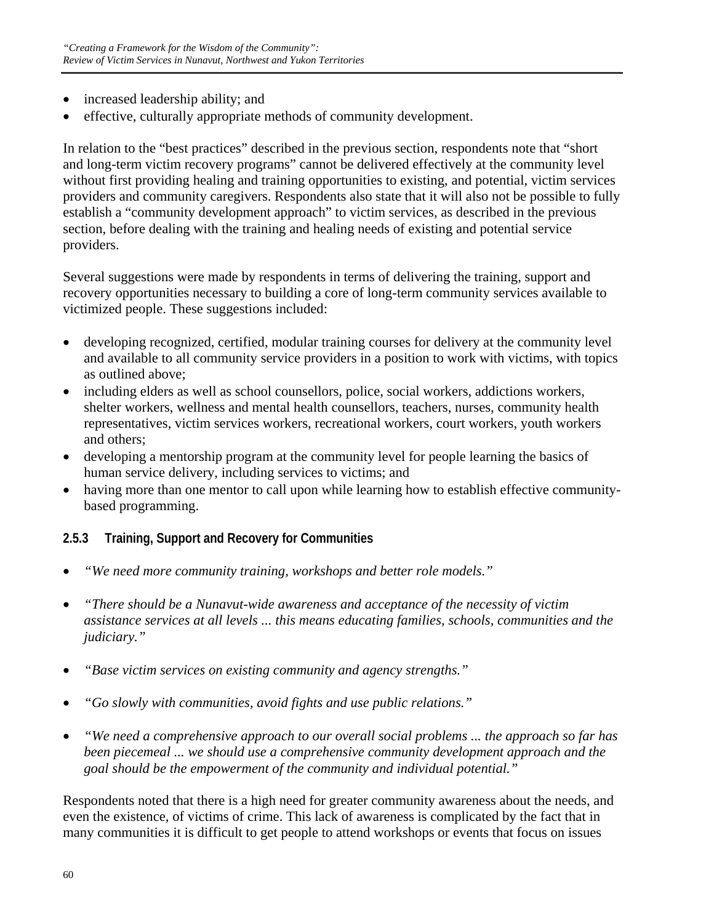- increased leadership ability; and
- effective, culturally appropriate methods of community development.

In relation to the "best practices" described in the previous section, respondents note that "short and long-term victim recovery programs" cannot be delivered effectively at the community level without first providing healing and training opportunities to existing, and potential, victim services providers and community caregivers. Respondents also state that it will also not be possible to fully establish a "community development approach" to victim services, as described in the previous section, before dealing with the training and healing needs of existing and potential service providers.

Several suggestions were made by respondents in terms of delivering the training, support and recovery opportunities necessary to building a core of long-term community services available to victimized people. These suggestions included:

- developing recognized, certified, modular training courses for delivery at the community level and available to all community service providers in a position to work with victims, with topics as outlined above;
- including elders as well as school counsellors, police, social workers, addictions workers, shelter workers, wellness and mental health counsellors, teachers, nurses, community health representatives, victim services workers, recreational workers, court workers, youth workers and others;
- developing a mentorship program at the community level for people learning the basics of human service delivery, including services to victims; and
- having more than one mentor to call upon while learning how to establish effective communitybased programming.

# **2.5.3 Training, Support and Recovery for Communities**

- *"We need more community training, workshops and better role models."*
- *"There should be a Nunavut-wide awareness and acceptance of the necessity of victim assistance services at all levels ... this means educating families, schools, communities and the judiciary."*
- *"Base victim services on existing community and agency strengths."*
- *"Go slowly with communities, avoid fights and use public relations."*
- *"We need a comprehensive approach to our overall social problems ... the approach so far has been piecemeal ... we should use a comprehensive community development approach and the goal should be the empowerment of the community and individual potential."*

Respondents noted that there is a high need for greater community awareness about the needs, and even the existence, of victims of crime. This lack of awareness is complicated by the fact that in many communities it is difficult to get people to attend workshops or events that focus on issues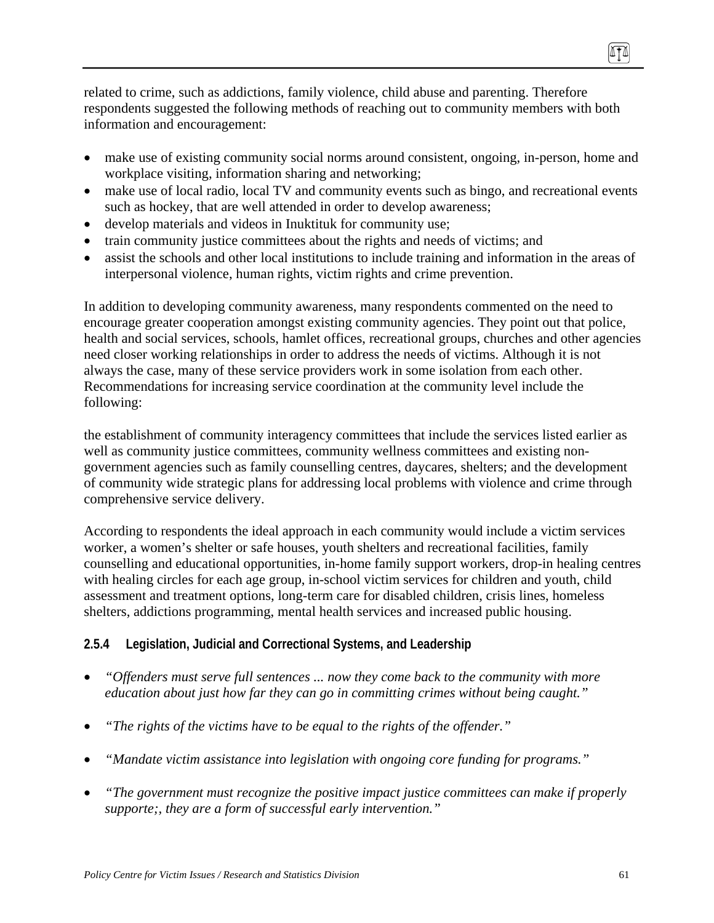related to crime, such as addictions, family violence, child abuse and parenting. Therefore respondents suggested the following methods of reaching out to community members with both information and encouragement:

- make use of existing community social norms around consistent, ongoing, in-person, home and workplace visiting, information sharing and networking;
- make use of local radio, local TV and community events such as bingo, and recreational events such as hockey, that are well attended in order to develop awareness;
- develop materials and videos in Inuktituk for community use;
- train community justice committees about the rights and needs of victims; and
- assist the schools and other local institutions to include training and information in the areas of interpersonal violence, human rights, victim rights and crime prevention.

In addition to developing community awareness, many respondents commented on the need to encourage greater cooperation amongst existing community agencies. They point out that police, health and social services, schools, hamlet offices, recreational groups, churches and other agencies need closer working relationships in order to address the needs of victims. Although it is not always the case, many of these service providers work in some isolation from each other. Recommendations for increasing service coordination at the community level include the following:

the establishment of community interagency committees that include the services listed earlier as well as community justice committees, community wellness committees and existing nongovernment agencies such as family counselling centres, daycares, shelters; and the development of community wide strategic plans for addressing local problems with violence and crime through comprehensive service delivery.

According to respondents the ideal approach in each community would include a victim services worker, a women's shelter or safe houses, youth shelters and recreational facilities, family counselling and educational opportunities, in-home family support workers, drop-in healing centres with healing circles for each age group, in-school victim services for children and youth, child assessment and treatment options, long-term care for disabled children, crisis lines, homeless shelters, addictions programming, mental health services and increased public housing.

# **2.5.4 Legislation, Judicial and Correctional Systems, and Leadership**

- *"Offenders must serve full sentences ... now they come back to the community with more education about just how far they can go in committing crimes without being caught."*
- *"The rights of the victims have to be equal to the rights of the offender."*
- *"Mandate victim assistance into legislation with ongoing core funding for programs."*
- *"The government must recognize the positive impact justice committees can make if properly supporte;, they are a form of successful early intervention."*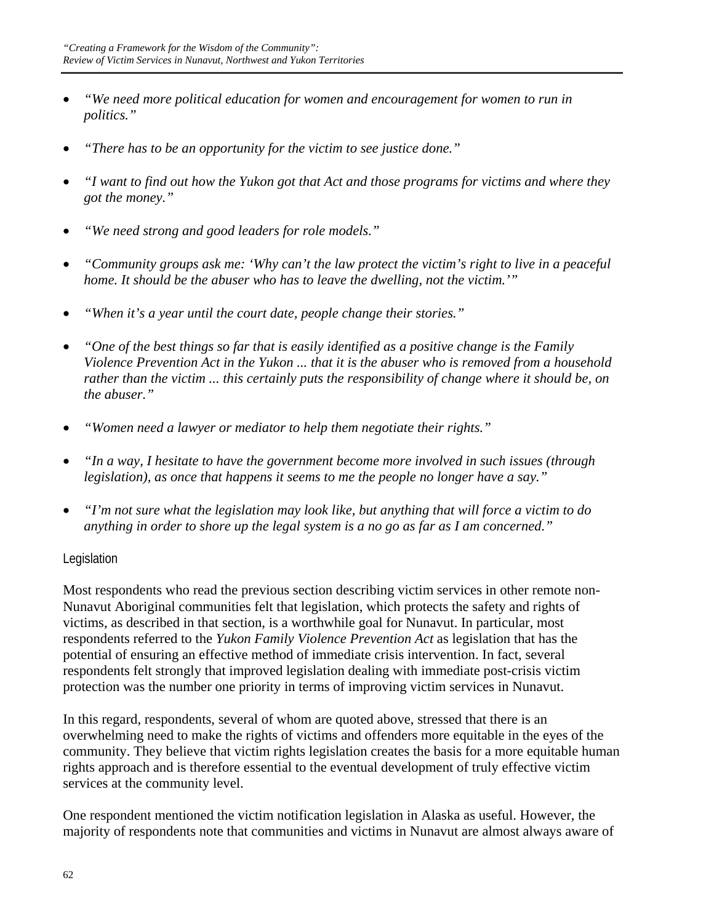- *"We need more political education for women and encouragement for women to run in politics."*
- *"There has to be an opportunity for the victim to see justice done."*
- *"I want to find out how the Yukon got that Act and those programs for victims and where they got the money."*
- *"We need strong and good leaders for role models."*
- *"Community groups ask me: 'Why can't the law protect the victim's right to live in a peaceful home. It should be the abuser who has to leave the dwelling, not the victim.'"*
- *"When it's a year until the court date, people change their stories."*
- *"One of the best things so far that is easily identified as a positive change is the Family Violence Prevention Act in the Yukon ... that it is the abuser who is removed from a household rather than the victim ... this certainly puts the responsibility of change where it should be, on the abuser."*
- *"Women need a lawyer or mediator to help them negotiate their rights."*
- *"In a way, I hesitate to have the government become more involved in such issues (through legislation), as once that happens it seems to me the people no longer have a say."*
- *"I'm not sure what the legislation may look like, but anything that will force a victim to do anything in order to shore up the legal system is a no go as far as I am concerned."*

### Legislation

Most respondents who read the previous section describing victim services in other remote non-Nunavut Aboriginal communities felt that legislation, which protects the safety and rights of victims, as described in that section, is a worthwhile goal for Nunavut. In particular, most respondents referred to the *Yukon Family Violence Prevention Act* as legislation that has the potential of ensuring an effective method of immediate crisis intervention. In fact, several respondents felt strongly that improved legislation dealing with immediate post-crisis victim protection was the number one priority in terms of improving victim services in Nunavut.

In this regard, respondents, several of whom are quoted above, stressed that there is an overwhelming need to make the rights of victims and offenders more equitable in the eyes of the community. They believe that victim rights legislation creates the basis for a more equitable human rights approach and is therefore essential to the eventual development of truly effective victim services at the community level.

One respondent mentioned the victim notification legislation in Alaska as useful. However, the majority of respondents note that communities and victims in Nunavut are almost always aware of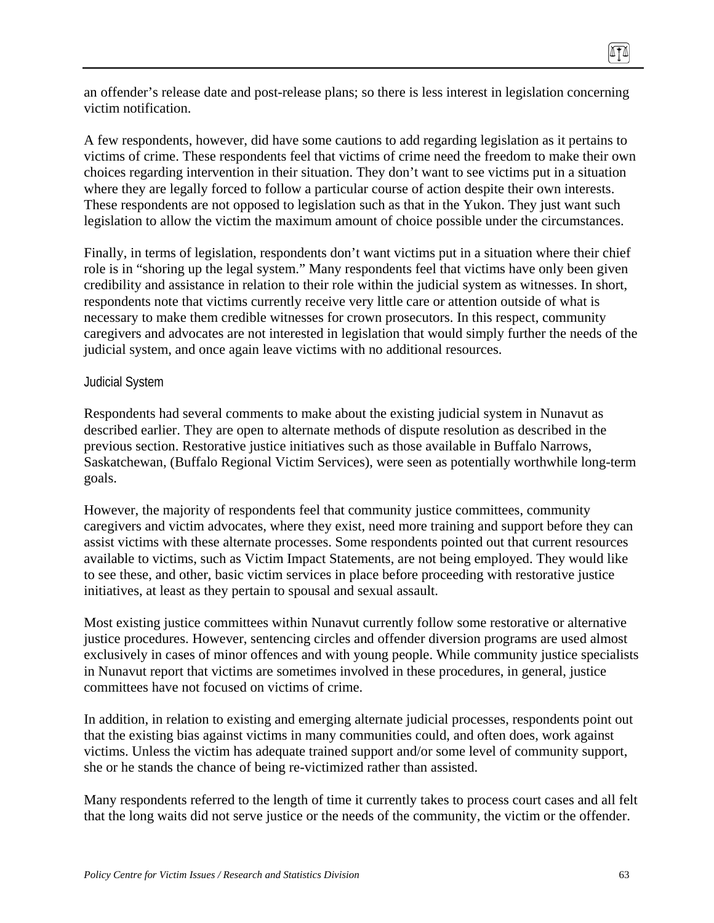an offender's release date and post-release plans; so there is less interest in legislation concerning victim notification.

A few respondents, however, did have some cautions to add regarding legislation as it pertains to victims of crime. These respondents feel that victims of crime need the freedom to make their own choices regarding intervention in their situation. They don't want to see victims put in a situation where they are legally forced to follow a particular course of action despite their own interests. These respondents are not opposed to legislation such as that in the Yukon. They just want such legislation to allow the victim the maximum amount of choice possible under the circumstances.

Finally, in terms of legislation, respondents don't want victims put in a situation where their chief role is in "shoring up the legal system." Many respondents feel that victims have only been given credibility and assistance in relation to their role within the judicial system as witnesses. In short, respondents note that victims currently receive very little care or attention outside of what is necessary to make them credible witnesses for crown prosecutors. In this respect, community caregivers and advocates are not interested in legislation that would simply further the needs of the judicial system, and once again leave victims with no additional resources.

#### Judicial System

Respondents had several comments to make about the existing judicial system in Nunavut as described earlier. They are open to alternate methods of dispute resolution as described in the previous section. Restorative justice initiatives such as those available in Buffalo Narrows, Saskatchewan, (Buffalo Regional Victim Services), were seen as potentially worthwhile long-term goals.

However, the majority of respondents feel that community justice committees, community caregivers and victim advocates, where they exist, need more training and support before they can assist victims with these alternate processes. Some respondents pointed out that current resources available to victims, such as Victim Impact Statements, are not being employed. They would like to see these, and other, basic victim services in place before proceeding with restorative justice initiatives, at least as they pertain to spousal and sexual assault.

Most existing justice committees within Nunavut currently follow some restorative or alternative justice procedures. However, sentencing circles and offender diversion programs are used almost exclusively in cases of minor offences and with young people. While community justice specialists in Nunavut report that victims are sometimes involved in these procedures, in general, justice committees have not focused on victims of crime.

In addition, in relation to existing and emerging alternate judicial processes, respondents point out that the existing bias against victims in many communities could, and often does, work against victims. Unless the victim has adequate trained support and/or some level of community support, she or he stands the chance of being re-victimized rather than assisted.

Many respondents referred to the length of time it currently takes to process court cases and all felt that the long waits did not serve justice or the needs of the community, the victim or the offender.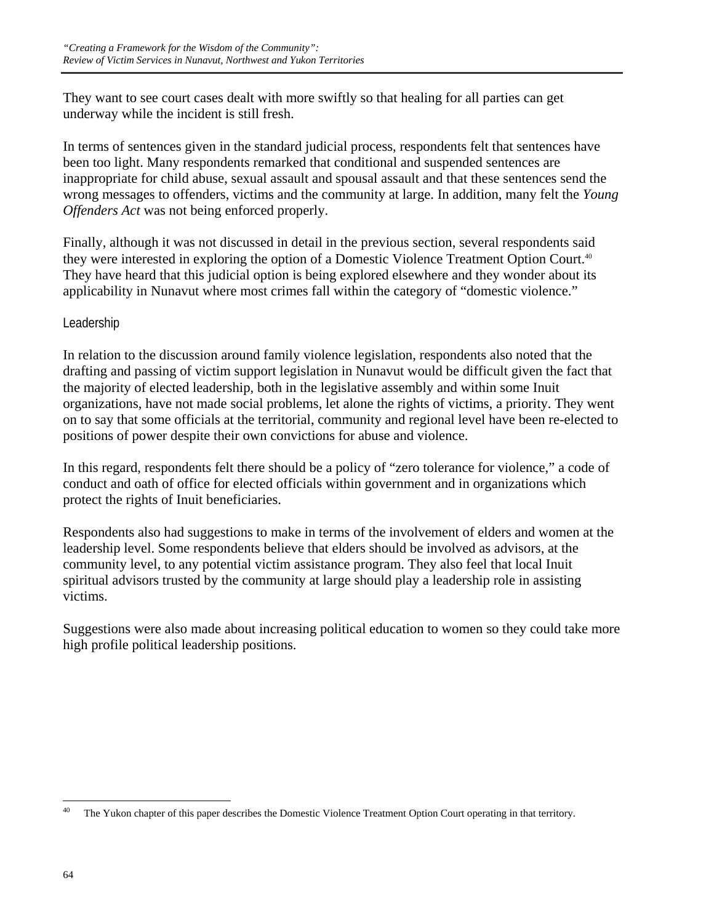They want to see court cases dealt with more swiftly so that healing for all parties can get underway while the incident is still fresh.

In terms of sentences given in the standard judicial process, respondents felt that sentences have been too light. Many respondents remarked that conditional and suspended sentences are inappropriate for child abuse, sexual assault and spousal assault and that these sentences send the wrong messages to offenders, victims and the community at large. In addition, many felt the *Young Offenders Act* was not being enforced properly.

Finally, although it was not discussed in detail in the previous section, several respondents said they were interested in exploring the option of a Domestic Violence Treatment Option Court.40 They have heard that this judicial option is being explored elsewhere and they wonder about its applicability in Nunavut where most crimes fall within the category of "domestic violence."

### Leadership

In relation to the discussion around family violence legislation, respondents also noted that the drafting and passing of victim support legislation in Nunavut would be difficult given the fact that the majority of elected leadership, both in the legislative assembly and within some Inuit organizations, have not made social problems, let alone the rights of victims, a priority. They went on to say that some officials at the territorial, community and regional level have been re-elected to positions of power despite their own convictions for abuse and violence.

In this regard, respondents felt there should be a policy of "zero tolerance for violence," a code of conduct and oath of office for elected officials within government and in organizations which protect the rights of Inuit beneficiaries.

Respondents also had suggestions to make in terms of the involvement of elders and women at the leadership level. Some respondents believe that elders should be involved as advisors, at the community level, to any potential victim assistance program. They also feel that local Inuit spiritual advisors trusted by the community at large should play a leadership role in assisting victims.

Suggestions were also made about increasing political education to women so they could take more high profile political leadership positions.

 $40$ The Yukon chapter of this paper describes the Domestic Violence Treatment Option Court operating in that territory.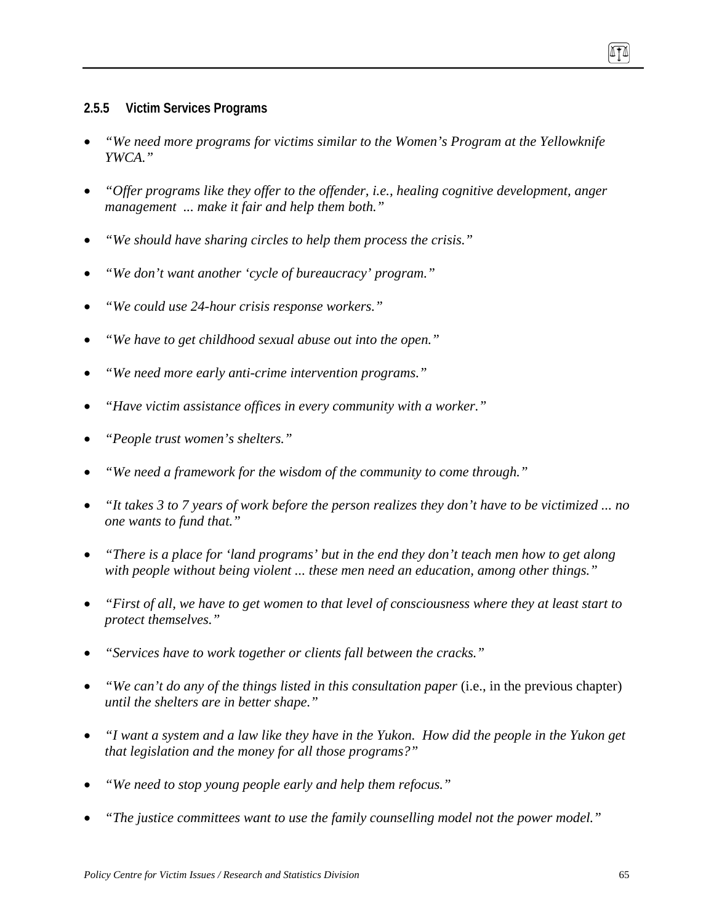#### **2.5.5 Victim Services Programs**

- *"We need more programs for victims similar to the Women's Program at the Yellowknife YWCA."*
- *"Offer programs like they offer to the offender, i.e., healing cognitive development, anger management ... make it fair and help them both."*
- *"We should have sharing circles to help them process the crisis."*
- *"We don't want another 'cycle of bureaucracy' program."*
- *"We could use 24-hour crisis response workers."*
- *"We have to get childhood sexual abuse out into the open."*
- *"We need more early anti-crime intervention programs."*
- *"Have victim assistance offices in every community with a worker."*
- *"People trust women's shelters."*
- *"We need a framework for the wisdom of the community to come through."*
- *"It takes 3 to 7 years of work before the person realizes they don't have to be victimized ... no one wants to fund that."*
- *"There is a place for 'land programs' but in the end they don't teach men how to get along with people without being violent ... these men need an education, among other things."*
- *"First of all, we have to get women to that level of consciousness where they at least start to protect themselves."*
- *"Services have to work together or clients fall between the cracks."*
- *"We can't do any of the things listed in this consultation paper* (i.e., in the previous chapter) *until the shelters are in better shape."*
- *"I want a system and a law like they have in the Yukon. How did the people in the Yukon get that legislation and the money for all those programs?"*
- *"We need to stop young people early and help them refocus."*
- *"The justice committees want to use the family counselling model not the power model."*

ITI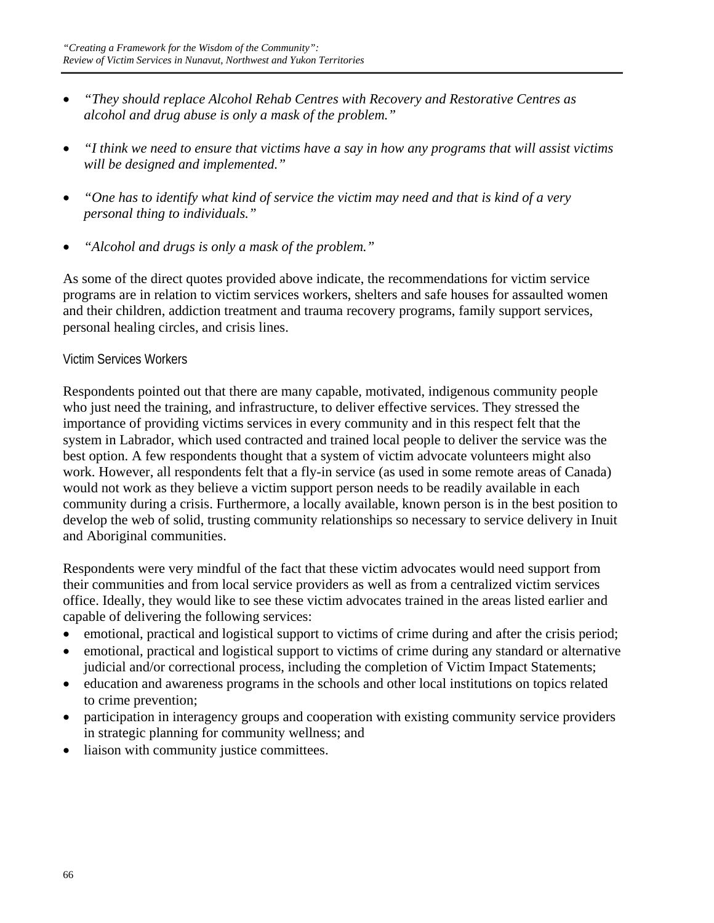- *"They should replace Alcohol Rehab Centres with Recovery and Restorative Centres as alcohol and drug abuse is only a mask of the problem."*
- *"I think we need to ensure that victims have a say in how any programs that will assist victims will be designed and implemented."*
- *"One has to identify what kind of service the victim may need and that is kind of a very personal thing to individuals."*
- *"Alcohol and drugs is only a mask of the problem."*

As some of the direct quotes provided above indicate, the recommendations for victim service programs are in relation to victim services workers, shelters and safe houses for assaulted women and their children, addiction treatment and trauma recovery programs, family support services, personal healing circles, and crisis lines.

### Victim Services Workers

Respondents pointed out that there are many capable, motivated, indigenous community people who just need the training, and infrastructure, to deliver effective services. They stressed the importance of providing victims services in every community and in this respect felt that the system in Labrador, which used contracted and trained local people to deliver the service was the best option. A few respondents thought that a system of victim advocate volunteers might also work. However, all respondents felt that a fly-in service (as used in some remote areas of Canada) would not work as they believe a victim support person needs to be readily available in each community during a crisis. Furthermore, a locally available, known person is in the best position to develop the web of solid, trusting community relationships so necessary to service delivery in Inuit and Aboriginal communities.

Respondents were very mindful of the fact that these victim advocates would need support from their communities and from local service providers as well as from a centralized victim services office. Ideally, they would like to see these victim advocates trained in the areas listed earlier and capable of delivering the following services:

- emotional, practical and logistical support to victims of crime during and after the crisis period;
- emotional, practical and logistical support to victims of crime during any standard or alternative judicial and/or correctional process, including the completion of Victim Impact Statements;
- education and awareness programs in the schools and other local institutions on topics related to crime prevention;
- participation in interagency groups and cooperation with existing community service providers in strategic planning for community wellness; and
- liaison with community justice committees.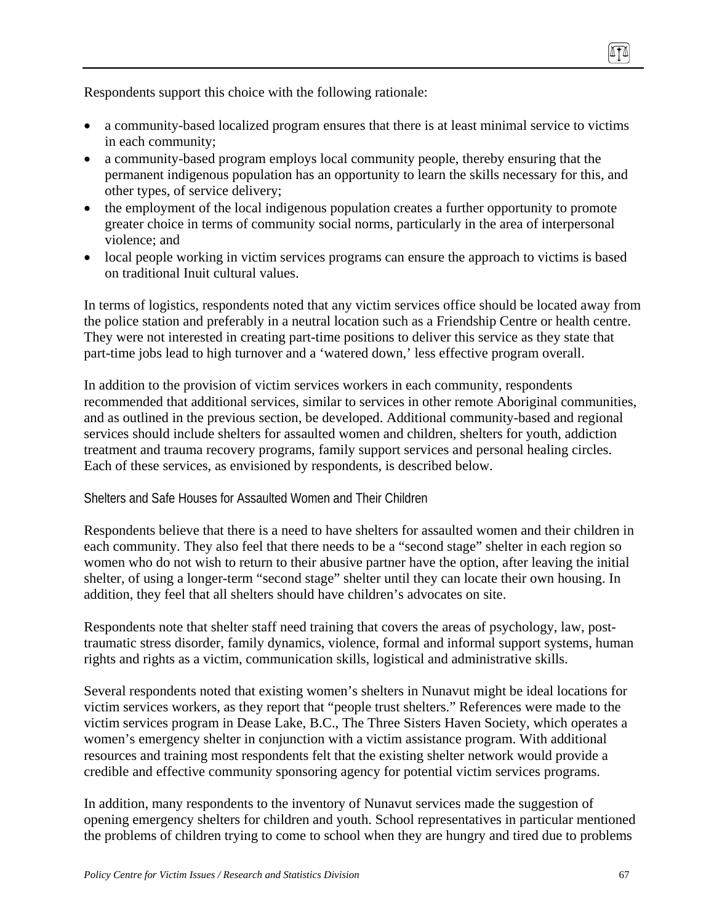Respondents support this choice with the following rationale:

- a community-based localized program ensures that there is at least minimal service to victims in each community;
- a community-based program employs local community people, thereby ensuring that the permanent indigenous population has an opportunity to learn the skills necessary for this, and other types, of service delivery;
- the employment of the local indigenous population creates a further opportunity to promote greater choice in terms of community social norms, particularly in the area of interpersonal violence; and
- local people working in victim services programs can ensure the approach to victims is based on traditional Inuit cultural values.

In terms of logistics, respondents noted that any victim services office should be located away from the police station and preferably in a neutral location such as a Friendship Centre or health centre. They were not interested in creating part-time positions to deliver this service as they state that part-time jobs lead to high turnover and a 'watered down,' less effective program overall.

In addition to the provision of victim services workers in each community, respondents recommended that additional services, similar to services in other remote Aboriginal communities, and as outlined in the previous section, be developed. Additional community-based and regional services should include shelters for assaulted women and children, shelters for youth, addiction treatment and trauma recovery programs, family support services and personal healing circles. Each of these services, as envisioned by respondents, is described below.

#### Shelters and Safe Houses for Assaulted Women and Their Children

Respondents believe that there is a need to have shelters for assaulted women and their children in each community. They also feel that there needs to be a "second stage" shelter in each region so women who do not wish to return to their abusive partner have the option, after leaving the initial shelter, of using a longer-term "second stage" shelter until they can locate their own housing. In addition, they feel that all shelters should have children's advocates on site.

Respondents note that shelter staff need training that covers the areas of psychology, law, posttraumatic stress disorder, family dynamics, violence, formal and informal support systems, human rights and rights as a victim, communication skills, logistical and administrative skills.

Several respondents noted that existing women's shelters in Nunavut might be ideal locations for victim services workers, as they report that "people trust shelters." References were made to the victim services program in Dease Lake, B.C., The Three Sisters Haven Society, which operates a women's emergency shelter in conjunction with a victim assistance program. With additional resources and training most respondents felt that the existing shelter network would provide a credible and effective community sponsoring agency for potential victim services programs.

In addition, many respondents to the inventory of Nunavut services made the suggestion of opening emergency shelters for children and youth. School representatives in particular mentioned the problems of children trying to come to school when they are hungry and tired due to problems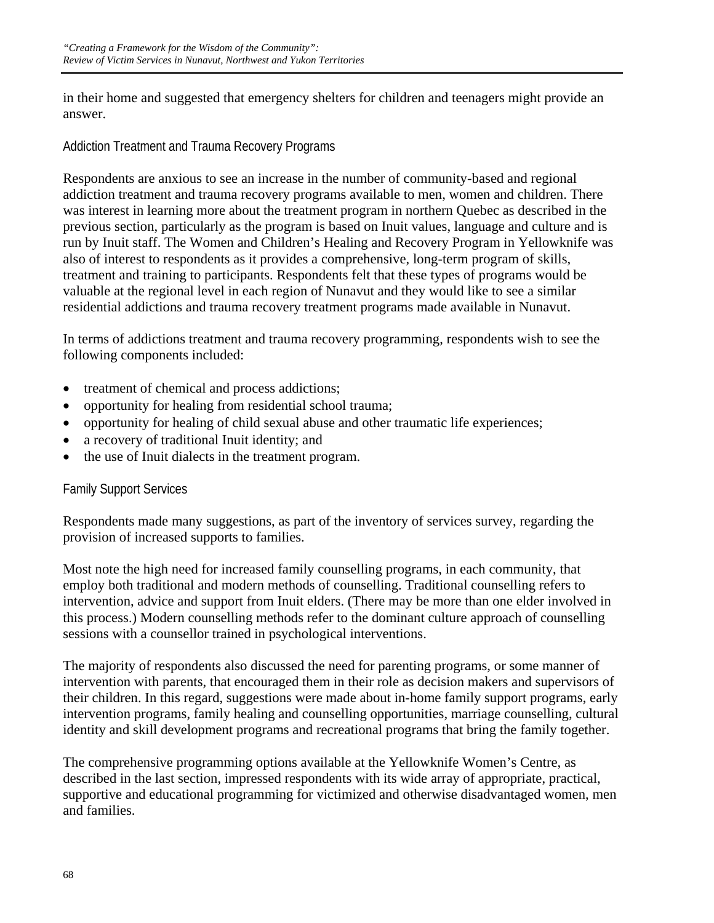in their home and suggested that emergency shelters for children and teenagers might provide an answer.

### Addiction Treatment and Trauma Recovery Programs

Respondents are anxious to see an increase in the number of community-based and regional addiction treatment and trauma recovery programs available to men, women and children. There was interest in learning more about the treatment program in northern Quebec as described in the previous section, particularly as the program is based on Inuit values, language and culture and is run by Inuit staff. The Women and Children's Healing and Recovery Program in Yellowknife was also of interest to respondents as it provides a comprehensive, long-term program of skills, treatment and training to participants. Respondents felt that these types of programs would be valuable at the regional level in each region of Nunavut and they would like to see a similar residential addictions and trauma recovery treatment programs made available in Nunavut.

In terms of addictions treatment and trauma recovery programming, respondents wish to see the following components included:

- treatment of chemical and process addictions;
- opportunity for healing from residential school trauma;
- opportunity for healing of child sexual abuse and other traumatic life experiences;
- a recovery of traditional Inuit identity; and
- the use of Inuit dialects in the treatment program.

## Family Support Services

Respondents made many suggestions, as part of the inventory of services survey, regarding the provision of increased supports to families.

Most note the high need for increased family counselling programs, in each community, that employ both traditional and modern methods of counselling. Traditional counselling refers to intervention, advice and support from Inuit elders. (There may be more than one elder involved in this process.) Modern counselling methods refer to the dominant culture approach of counselling sessions with a counsellor trained in psychological interventions.

The majority of respondents also discussed the need for parenting programs, or some manner of intervention with parents, that encouraged them in their role as decision makers and supervisors of their children. In this regard, suggestions were made about in-home family support programs, early intervention programs, family healing and counselling opportunities, marriage counselling, cultural identity and skill development programs and recreational programs that bring the family together.

The comprehensive programming options available at the Yellowknife Women's Centre, as described in the last section, impressed respondents with its wide array of appropriate, practical, supportive and educational programming for victimized and otherwise disadvantaged women, men and families.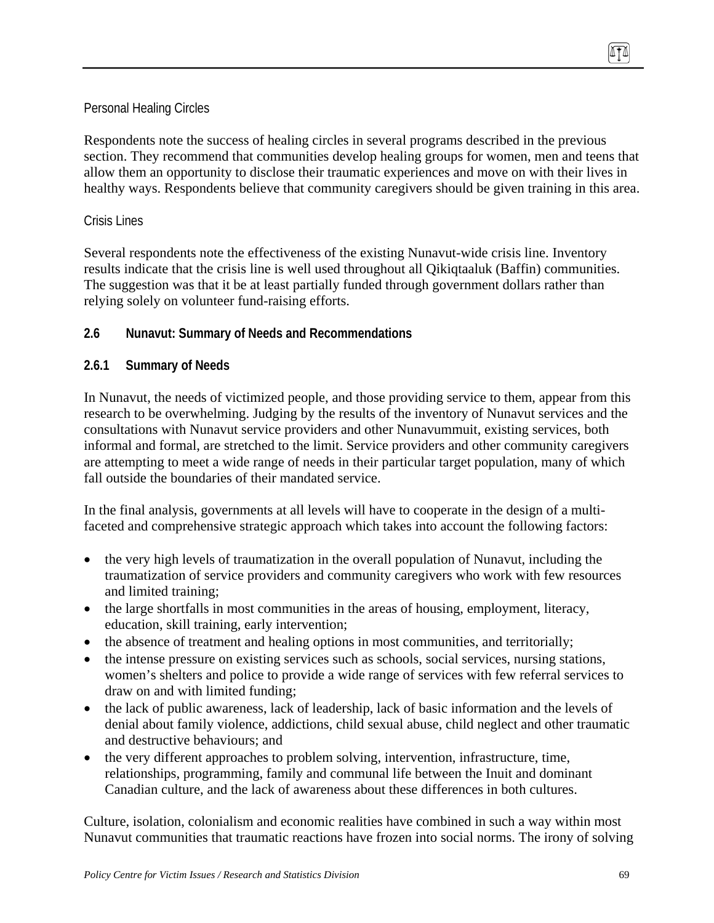### Personal Healing Circles

Respondents note the success of healing circles in several programs described in the previous section. They recommend that communities develop healing groups for women, men and teens that allow them an opportunity to disclose their traumatic experiences and move on with their lives in healthy ways. Respondents believe that community caregivers should be given training in this area.

#### Crisis Lines

Several respondents note the effectiveness of the existing Nunavut-wide crisis line. Inventory results indicate that the crisis line is well used throughout all Qikiqtaaluk (Baffin) communities. The suggestion was that it be at least partially funded through government dollars rather than relying solely on volunteer fund-raising efforts.

### **2.6 Nunavut: Summary of Needs and Recommendations**

#### **2.6.1 Summary of Needs**

In Nunavut, the needs of victimized people, and those providing service to them, appear from this research to be overwhelming. Judging by the results of the inventory of Nunavut services and the consultations with Nunavut service providers and other Nunavummuit, existing services, both informal and formal, are stretched to the limit. Service providers and other community caregivers are attempting to meet a wide range of needs in their particular target population, many of which fall outside the boundaries of their mandated service.

In the final analysis, governments at all levels will have to cooperate in the design of a multifaceted and comprehensive strategic approach which takes into account the following factors:

- the very high levels of traumatization in the overall population of Nunavut, including the traumatization of service providers and community caregivers who work with few resources and limited training;
- the large shortfalls in most communities in the areas of housing, employment, literacy, education, skill training, early intervention;
- the absence of treatment and healing options in most communities, and territorially;
- the intense pressure on existing services such as schools, social services, nursing stations, women's shelters and police to provide a wide range of services with few referral services to draw on and with limited funding;
- the lack of public awareness, lack of leadership, lack of basic information and the levels of denial about family violence, addictions, child sexual abuse, child neglect and other traumatic and destructive behaviours; and
- the very different approaches to problem solving, intervention, infrastructure, time, relationships, programming, family and communal life between the Inuit and dominant Canadian culture, and the lack of awareness about these differences in both cultures.

Culture, isolation, colonialism and economic realities have combined in such a way within most Nunavut communities that traumatic reactions have frozen into social norms. The irony of solving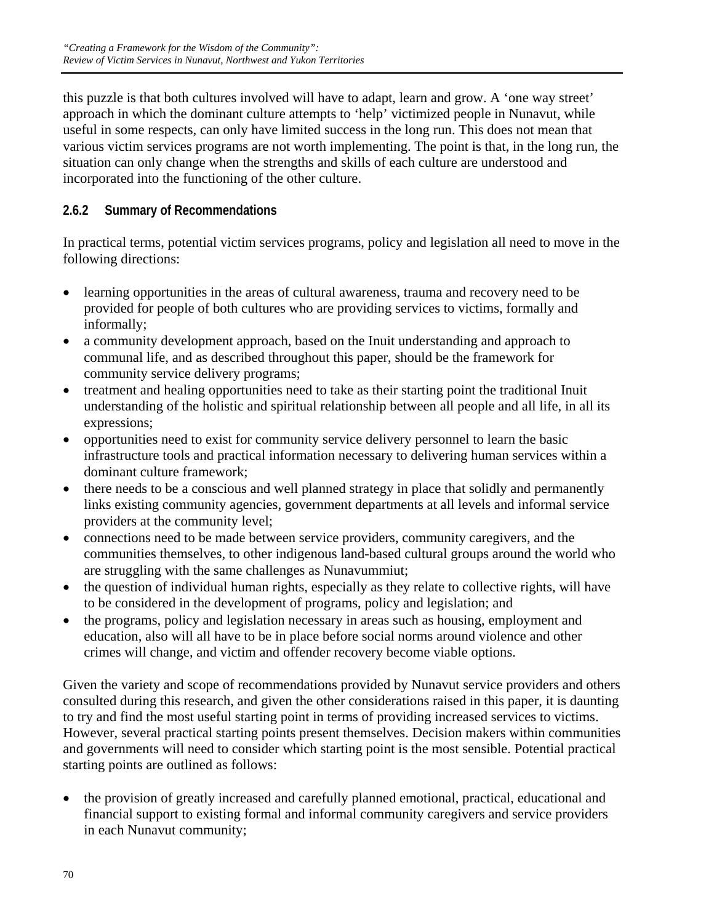this puzzle is that both cultures involved will have to adapt, learn and grow. A 'one way street' approach in which the dominant culture attempts to 'help' victimized people in Nunavut, while useful in some respects, can only have limited success in the long run. This does not mean that various victim services programs are not worth implementing. The point is that, in the long run, the situation can only change when the strengths and skills of each culture are understood and incorporated into the functioning of the other culture.

## **2.6.2 Summary of Recommendations**

In practical terms, potential victim services programs, policy and legislation all need to move in the following directions:

- learning opportunities in the areas of cultural awareness, trauma and recovery need to be provided for people of both cultures who are providing services to victims, formally and informally;
- a community development approach, based on the Inuit understanding and approach to communal life, and as described throughout this paper, should be the framework for community service delivery programs;
- treatment and healing opportunities need to take as their starting point the traditional Inuit understanding of the holistic and spiritual relationship between all people and all life, in all its expressions;
- opportunities need to exist for community service delivery personnel to learn the basic infrastructure tools and practical information necessary to delivering human services within a dominant culture framework;
- there needs to be a conscious and well planned strategy in place that solidly and permanently links existing community agencies, government departments at all levels and informal service providers at the community level;
- connections need to be made between service providers, community caregivers, and the communities themselves, to other indigenous land-based cultural groups around the world who are struggling with the same challenges as Nunavummiut;
- the question of individual human rights, especially as they relate to collective rights, will have to be considered in the development of programs, policy and legislation; and
- the programs, policy and legislation necessary in areas such as housing, employment and education, also will all have to be in place before social norms around violence and other crimes will change, and victim and offender recovery become viable options.

Given the variety and scope of recommendations provided by Nunavut service providers and others consulted during this research, and given the other considerations raised in this paper, it is daunting to try and find the most useful starting point in terms of providing increased services to victims. However, several practical starting points present themselves. Decision makers within communities and governments will need to consider which starting point is the most sensible. Potential practical starting points are outlined as follows:

• the provision of greatly increased and carefully planned emotional, practical, educational and financial support to existing formal and informal community caregivers and service providers in each Nunavut community;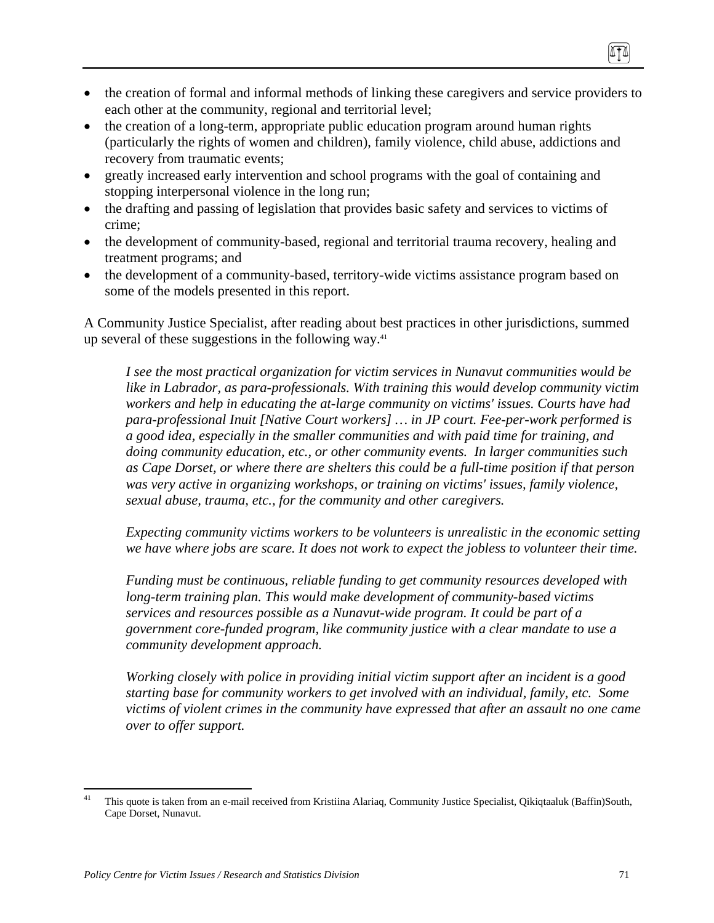- the creation of formal and informal methods of linking these caregivers and service providers to each other at the community, regional and territorial level;
- the creation of a long-term, appropriate public education program around human rights (particularly the rights of women and children), family violence, child abuse, addictions and recovery from traumatic events;
- greatly increased early intervention and school programs with the goal of containing and stopping interpersonal violence in the long run;
- the drafting and passing of legislation that provides basic safety and services to victims of crime;
- the development of community-based, regional and territorial trauma recovery, healing and treatment programs; and
- the development of a community-based, territory-wide victims assistance program based on some of the models presented in this report.

A Community Justice Specialist, after reading about best practices in other jurisdictions, summed up several of these suggestions in the following way. $41$ 

*I see the most practical organization for victim services in Nunavut communities would be like in Labrador, as para-professionals. With training this would develop community victim workers and help in educating the at-large community on victims' issues. Courts have had para-professional Inuit [Native Court workers] … in JP court. Fee-per-work performed is a good idea, especially in the smaller communities and with paid time for training, and doing community education, etc., or other community events. In larger communities such as Cape Dorset, or where there are shelters this could be a full-time position if that person was very active in organizing workshops, or training on victims' issues, family violence, sexual abuse, trauma, etc., for the community and other caregivers.* 

*Expecting community victims workers to be volunteers is unrealistic in the economic setting we have where jobs are scare. It does not work to expect the jobless to volunteer their time.* 

*Funding must be continuous, reliable funding to get community resources developed with long-term training plan. This would make development of community-based victims services and resources possible as a Nunavut-wide program. It could be part of a government core-funded program, like community justice with a clear mandate to use a community development approach.* 

*Working closely with police in providing initial victim support after an incident is a good starting base for community workers to get involved with an individual, family, etc. Some victims of violent crimes in the community have expressed that after an assault no one came over to offer support.* 

 $41$ 41 This quote is taken from an e-mail received from Kristiina Alariaq, Community Justice Specialist, Qikiqtaaluk (Baffin)South, Cape Dorset, Nunavut.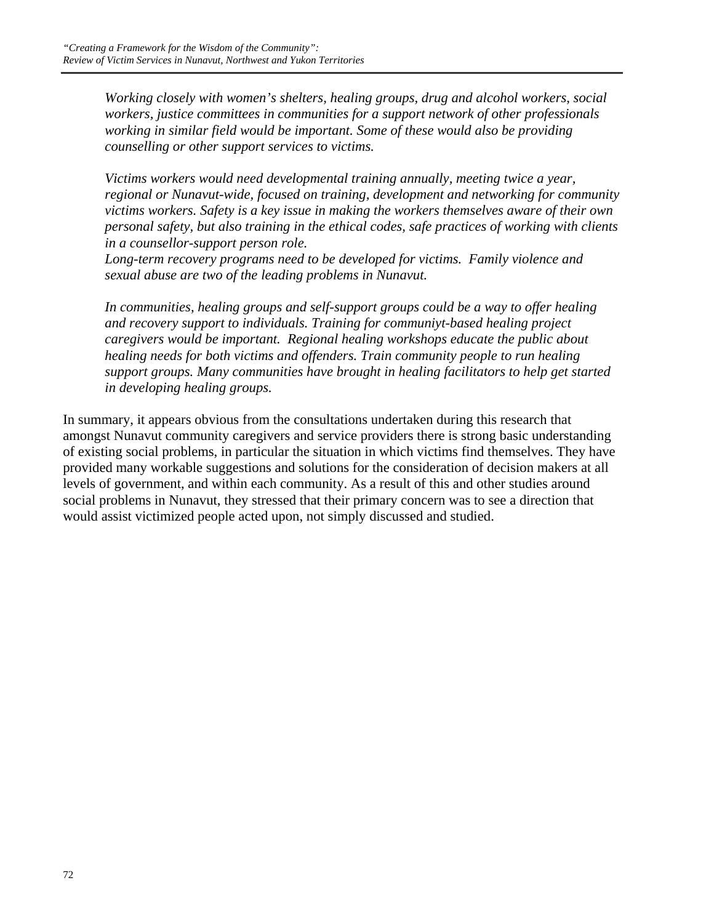*Working closely with women's shelters, healing groups, drug and alcohol workers, social workers, justice committees in communities for a support network of other professionals working in similar field would be important. Some of these would also be providing counselling or other support services to victims.* 

*Victims workers would need developmental training annually, meeting twice a year, regional or Nunavut-wide, focused on training, development and networking for community victims workers. Safety is a key issue in making the workers themselves aware of their own personal safety, but also training in the ethical codes, safe practices of working with clients in a counsellor-support person role.* 

*Long-term recovery programs need to be developed for victims. Family violence and sexual abuse are two of the leading problems in Nunavut.* 

*In communities, healing groups and self-support groups could be a way to offer healing and recovery support to individuals. Training for communiyt-based healing project caregivers would be important. Regional healing workshops educate the public about healing needs for both victims and offenders. Train community people to run healing support groups. Many communities have brought in healing facilitators to help get started in developing healing groups.* 

In summary, it appears obvious from the consultations undertaken during this research that amongst Nunavut community caregivers and service providers there is strong basic understanding of existing social problems, in particular the situation in which victims find themselves. They have provided many workable suggestions and solutions for the consideration of decision makers at all levels of government, and within each community. As a result of this and other studies around social problems in Nunavut, they stressed that their primary concern was to see a direction that would assist victimized people acted upon, not simply discussed and studied.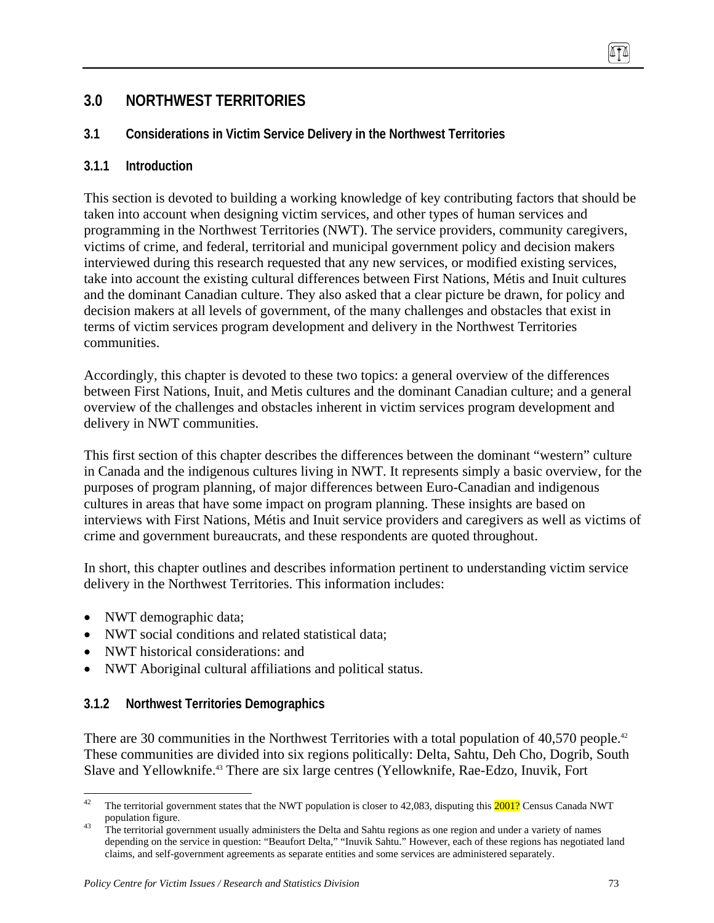# **3.0 NORTHWEST TERRITORIES**

## **3.1 Considerations in Victim Service Delivery in the Northwest Territories**

### **3.1.1 Introduction**

This section is devoted to building a working knowledge of key contributing factors that should be taken into account when designing victim services, and other types of human services and programming in the Northwest Territories (NWT). The service providers, community caregivers, victims of crime, and federal, territorial and municipal government policy and decision makers interviewed during this research requested that any new services, or modified existing services, take into account the existing cultural differences between First Nations, Métis and Inuit cultures and the dominant Canadian culture. They also asked that a clear picture be drawn, for policy and decision makers at all levels of government, of the many challenges and obstacles that exist in terms of victim services program development and delivery in the Northwest Territories communities.

Accordingly, this chapter is devoted to these two topics: a general overview of the differences between First Nations, Inuit, and Metis cultures and the dominant Canadian culture; and a general overview of the challenges and obstacles inherent in victim services program development and delivery in NWT communities.

This first section of this chapter describes the differences between the dominant "western" culture in Canada and the indigenous cultures living in NWT. It represents simply a basic overview, for the purposes of program planning, of major differences between Euro-Canadian and indigenous cultures in areas that have some impact on program planning. These insights are based on interviews with First Nations, Métis and Inuit service providers and caregivers as well as victims of crime and government bureaucrats, and these respondents are quoted throughout.

In short, this chapter outlines and describes information pertinent to understanding victim service delivery in the Northwest Territories. This information includes:

- NWT demographic data;
- NWT social conditions and related statistical data;
- NWT historical considerations: and
- NWT Aboriginal cultural affiliations and political status.

### **3.1.2 Northwest Territories Demographics**

There are 30 communities in the Northwest Territories with a total population of 40,570 people.<sup>42</sup> These communities are divided into six regions politically: Delta, Sahtu, Deh Cho, Dogrib, South Slave and Yellowknife.43 There are six large centres (Yellowknife, Rae-Edzo, Inuvik, Fort

<sup>42</sup> The territorial government states that the NWT population is closer to 42,083, disputing this 2001? Census Canada NWT population figure.<br><sup>43</sup> The territorial government usually administers the Delta and Sahtu regions as one region and under a variety of names

depending on the service in question: "Beaufort Delta," "Inuvik Sahtu." However, each of these regions has negotiated land claims, and self-government agreements as separate entities and some services are administered separately.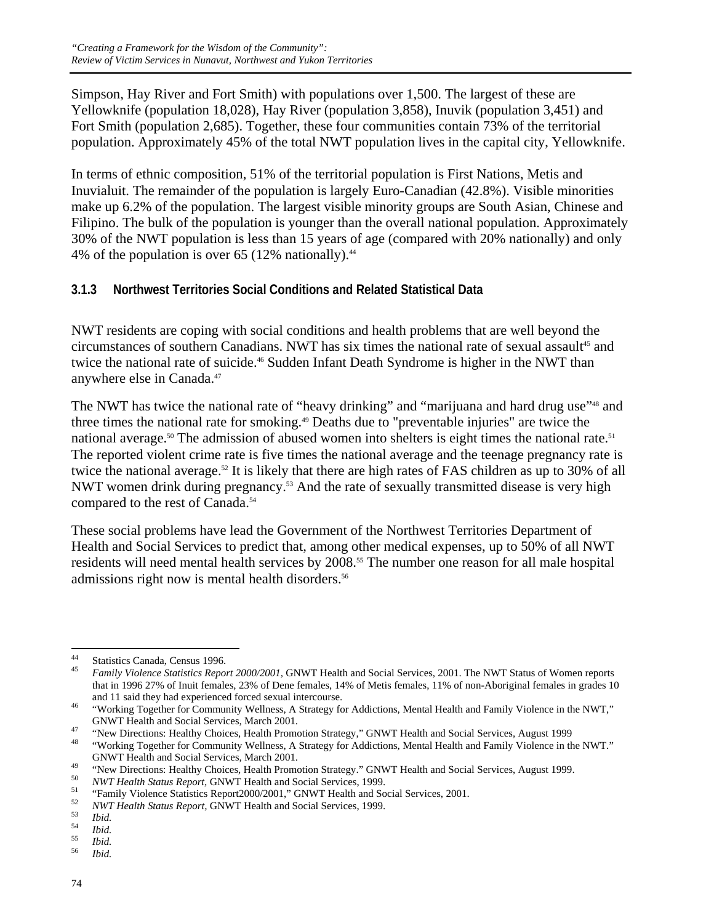Simpson, Hay River and Fort Smith) with populations over 1,500. The largest of these are Yellowknife (population 18,028), Hay River (population 3,858), Inuvik (population 3,451) and Fort Smith (population 2,685). Together, these four communities contain 73% of the territorial population. Approximately 45% of the total NWT population lives in the capital city, Yellowknife.

In terms of ethnic composition, 51% of the territorial population is First Nations, Metis and Inuvialuit. The remainder of the population is largely Euro-Canadian (42.8%). Visible minorities make up 6.2% of the population. The largest visible minority groups are South Asian, Chinese and Filipino. The bulk of the population is younger than the overall national population. Approximately 30% of the NWT population is less than 15 years of age (compared with 20% nationally) and only 4% of the population is over 65 (12% nationally). $44$ 

### **3.1.3 Northwest Territories Social Conditions and Related Statistical Data**

NWT residents are coping with social conditions and health problems that are well beyond the circumstances of southern Canadians. NWT has six times the national rate of sexual assault<sup>45</sup> and twice the national rate of suicide.<sup>46</sup> Sudden Infant Death Syndrome is higher in the NWT than anywhere else in Canada.47

The NWT has twice the national rate of "heavy drinking" and "marijuana and hard drug use"<sup>48</sup> and three times the national rate for smoking.<sup>49</sup> Deaths due to "preventable injuries" are twice the national average.<sup>50</sup> The admission of abused women into shelters is eight times the national rate.<sup>51</sup> The reported violent crime rate is five times the national average and the teenage pregnancy rate is twice the national average.<sup>52</sup> It is likely that there are high rates of FAS children as up to 30% of all NWT women drink during pregnancy.<sup>53</sup> And the rate of sexually transmitted disease is very high compared to the rest of Canada.<sup>54</sup>

These social problems have lead the Government of the Northwest Territories Department of Health and Social Services to predict that, among other medical expenses, up to 50% of all NWT residents will need mental health services by 2008.<sup>55</sup> The number one reason for all male hospital admissions right now is mental health disorders.<sup>56</sup>

<sup>44</sup> <sup>44</sup> Statistics Canada, Census 1996.<br> $\frac{45}{5}$  Equily Violance Statistics Pape.

<sup>45</sup> *Family Violence Statistics Report 2000/2001,* GNWT Health and Social Services, 2001. The NWT Status of Women reports that in 1996 27% of Inuit females, 23% of Dene females, 14% of Metis females, 11% of non-Aboriginal females in grades 10

and 11 said they had experienced forced sexual intercourse.<br>
<sup>46</sup> "Working Together for Community Wellness, A Strategy for Addictions, Mental Health and Family Violence in the NWT,"

GNWT Health and Social Services, March 2001.<br>
"New Directions: Healthy Choices, Health Promotion Strategy," GNWT Health and Social Services, August 1999<br>
"Working Together for Community Wellness, A Strategy for Addictions,

GNWT Health and Social Services, March 2001.<br>
"New Directions: Healthy Choices, Health Promotion Strategy." GNWT Health and Social Services, August 1999.<br> *NWT Health Status Report*, GNWT Health and Social Services, 1999.<br>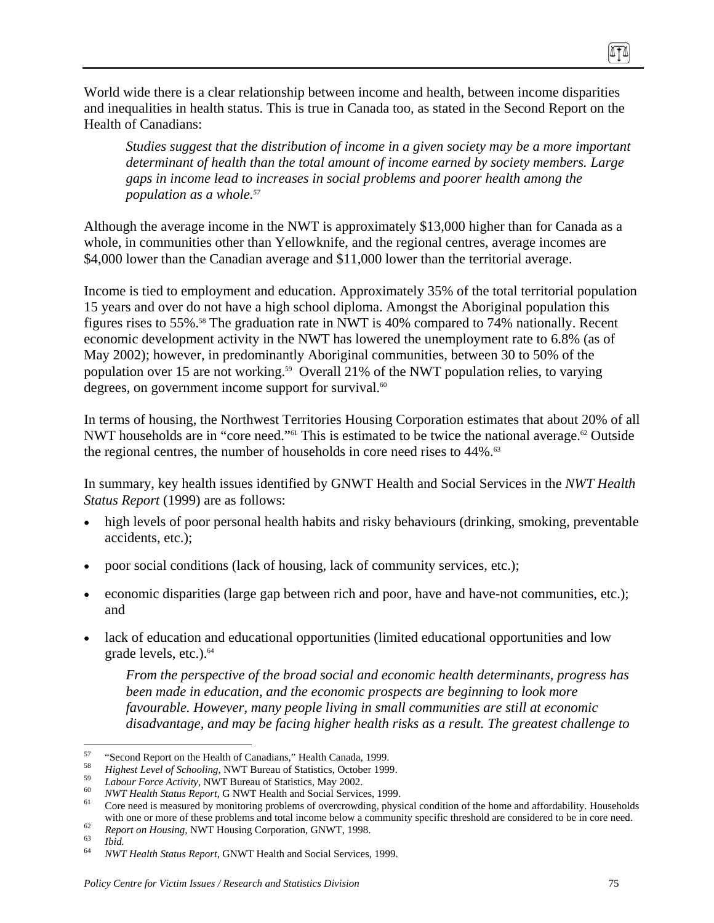World wide there is a clear relationship between income and health, between income disparities and inequalities in health status. This is true in Canada too, as stated in the Second Report on the Health of Canadians:

*Studies suggest that the distribution of income in a given society may be a more important determinant of health than the total amount of income earned by society members. Large gaps in income lead to increases in social problems and poorer health among the population as a whole.57*

Although the average income in the NWT is approximately \$13,000 higher than for Canada as a whole, in communities other than Yellowknife, and the regional centres, average incomes are \$4,000 lower than the Canadian average and \$11,000 lower than the territorial average.

Income is tied to employment and education. Approximately 35% of the total territorial population 15 years and over do not have a high school diploma. Amongst the Aboriginal population this figures rises to 55%.58 The graduation rate in NWT is 40% compared to 74% nationally. Recent economic development activity in the NWT has lowered the unemployment rate to 6.8% (as of May 2002); however, in predominantly Aboriginal communities, between 30 to 50% of the population over 15 are not working.<sup>59</sup> Overall 21% of the NWT population relies, to varying degrees, on government income support for survival. $60$ 

In terms of housing, the Northwest Territories Housing Corporation estimates that about 20% of all NWT households are in "core need."<sup>61</sup> This is estimated to be twice the national average.<sup>62</sup> Outside the regional centres, the number of households in core need rises to 44%.<sup>63</sup>

In summary, key health issues identified by GNWT Health and Social Services in the *NWT Health Status Report* (1999) are as follows:

- high levels of poor personal health habits and risky behaviours (drinking, smoking, preventable accidents, etc.);
- poor social conditions (lack of housing, lack of community services, etc.);
- economic disparities (large gap between rich and poor, have and have-not communities, etc.); and
- lack of education and educational opportunities (limited educational opportunities and low grade levels, etc.).<sup>64</sup>

*From the perspective of the broad social and economic health determinants, progress has been made in education, and the economic prospects are beginning to look more favourable. However, many people living in small communities are still at economic disadvantage, and may be facing higher health risks as a result. The greatest challenge to* 

(ITA)

<sup>57</sup> 

<sup>&</sup>lt;sup>57</sup><br>
<sup>58</sup><br>
Highest Level of Schooling, NWT Bureau of Statistics, October 1999.<br> *Highest Level of Schooling*, NWT Bureau of Statistics, October 1999.<br> *Labour Force Activity*, NWT Bureau of Statistics, May 2002.<br> *NWT He* with one or more of these problems and total income below a community specific threshold are considered to be in core need.<br> *63 Report on Housing*, NWT Housing Corporation, GNWT, 1998.<br> *64 NWT Health Status Report*,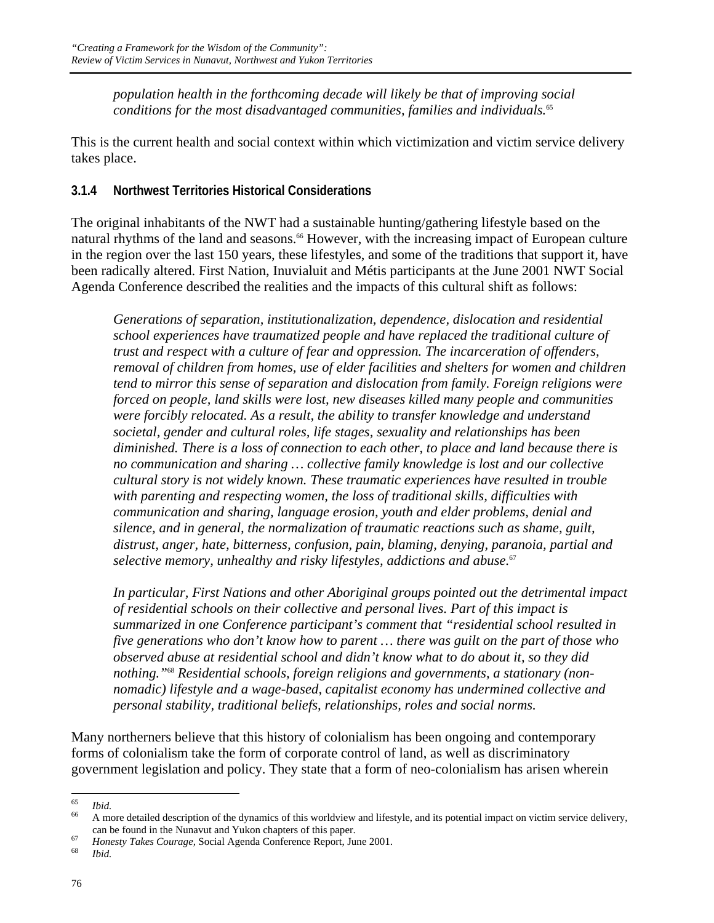*population health in the forthcoming decade will likely be that of improving social conditions for the most disadvantaged communities, families and individuals.*<sup>65</sup>

This is the current health and social context within which victimization and victim service delivery takes place.

### **3.1.4 Northwest Territories Historical Considerations**

The original inhabitants of the NWT had a sustainable hunting/gathering lifestyle based on the natural rhythms of the land and seasons.<sup>66</sup> However, with the increasing impact of European culture in the region over the last 150 years, these lifestyles, and some of the traditions that support it, have been radically altered. First Nation, Inuvialuit and Métis participants at the June 2001 NWT Social Agenda Conference described the realities and the impacts of this cultural shift as follows:

*Generations of separation, institutionalization, dependence, dislocation and residential school experiences have traumatized people and have replaced the traditional culture of trust and respect with a culture of fear and oppression. The incarceration of offenders, removal of children from homes, use of elder facilities and shelters for women and children tend to mirror this sense of separation and dislocation from family. Foreign religions were forced on people, land skills were lost, new diseases killed many people and communities were forcibly relocated. As a result, the ability to transfer knowledge and understand societal, gender and cultural roles, life stages, sexuality and relationships has been diminished. There is a loss of connection to each other, to place and land because there is no communication and sharing … collective family knowledge is lost and our collective cultural story is not widely known. These traumatic experiences have resulted in trouble with parenting and respecting women, the loss of traditional skills, difficulties with communication and sharing, language erosion, youth and elder problems, denial and silence, and in general, the normalization of traumatic reactions such as shame, guilt, distrust, anger, hate, bitterness, confusion, pain, blaming, denying, paranoia, partial and selective memory, unhealthy and risky lifestyles, addictions and abuse.*<sup>67</sup>

*In particular, First Nations and other Aboriginal groups pointed out the detrimental impact of residential schools on their collective and personal lives. Part of this impact is summarized in one Conference participant's comment that "residential school resulted in five generations who don't know how to parent … there was guilt on the part of those who observed abuse at residential school and didn't know what to do about it, so they did nothing."*68 *Residential schools, foreign religions and governments, a stationary (nonnomadic) lifestyle and a wage-based, capitalist economy has undermined collective and personal stability, traditional beliefs, relationships, roles and social norms.* 

Many northerners believe that this history of colonialism has been ongoing and contemporary forms of colonialism take the form of corporate control of land, as well as discriminatory government legislation and policy. They state that a form of neo-colonialism has arisen wherein

<sup>65</sup> 

<sup>&</sup>lt;sup>65</sup> *Ibid.*<br><sup>66</sup> A more detailed description of the dynamics of this worldview and lifestyle, and its potential impact on victim service delivery,

can be found in the Nunavut and Yukon chapters of this paper. 67 *Honesty Takes Courage,* Social Agenda Conference Report, June 2001. 68 *Ibid.*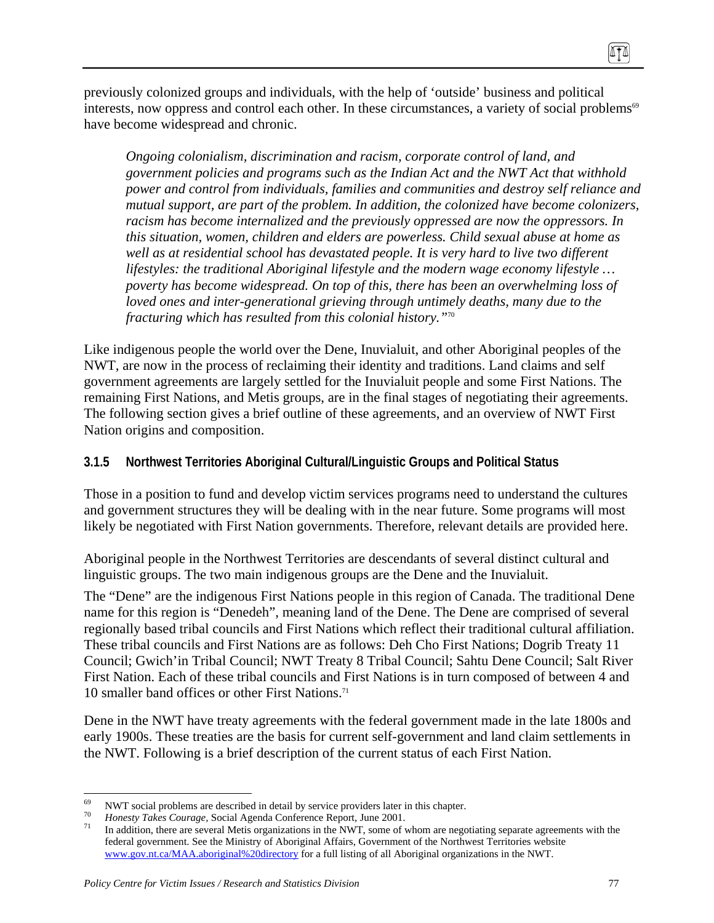previously colonized groups and individuals, with the help of 'outside' business and political interests, now oppress and control each other. In these circumstances, a variety of social problems<sup>69</sup> have become widespread and chronic.

*Ongoing colonialism, discrimination and racism, corporate control of land, and government policies and programs such as the Indian Act and the NWT Act that withhold power and control from individuals, families and communities and destroy self reliance and mutual support, are part of the problem. In addition, the colonized have become colonizers, racism has become internalized and the previously oppressed are now the oppressors. In this situation, women, children and elders are powerless. Child sexual abuse at home as well as at residential school has devastated people. It is very hard to live two different lifestyles: the traditional Aboriginal lifestyle and the modern wage economy lifestyle … poverty has become widespread. On top of this, there has been an overwhelming loss of loved ones and inter-generational grieving through untimely deaths, many due to the fracturing which has resulted from this colonial history."*<sup>70</sup>

Like indigenous people the world over the Dene, Inuvialuit, and other Aboriginal peoples of the NWT, are now in the process of reclaiming their identity and traditions. Land claims and self government agreements are largely settled for the Inuvialuit people and some First Nations. The remaining First Nations, and Metis groups, are in the final stages of negotiating their agreements. The following section gives a brief outline of these agreements, and an overview of NWT First Nation origins and composition.

### **3.1.5 Northwest Territories Aboriginal Cultural/Linguistic Groups and Political Status**

Those in a position to fund and develop victim services programs need to understand the cultures and government structures they will be dealing with in the near future. Some programs will most likely be negotiated with First Nation governments. Therefore, relevant details are provided here.

Aboriginal people in the Northwest Territories are descendants of several distinct cultural and linguistic groups. The two main indigenous groups are the Dene and the Inuvialuit.

The "Dene" are the indigenous First Nations people in this region of Canada. The traditional Dene name for this region is "Denedeh", meaning land of the Dene. The Dene are comprised of several regionally based tribal councils and First Nations which reflect their traditional cultural affiliation. These tribal councils and First Nations are as follows: Deh Cho First Nations; Dogrib Treaty 11 Council; Gwich'in Tribal Council; NWT Treaty 8 Tribal Council; Sahtu Dene Council; Salt River First Nation. Each of these tribal councils and First Nations is in turn composed of between 4 and 10 smaller band offices or other First Nations.71

Dene in the NWT have treaty agreements with the federal government made in the late 1800s and early 1900s. These treaties are the basis for current self-government and land claim settlements in the NWT. Following is a brief description of the current status of each First Nation.

 $\overline{a}$ 

8TT

 $^{69}$  NWT social problems are described in detail by service providers later in this chapter.

<sup>&</sup>lt;sup>70</sup> Honesty Takes Courage, Social Agenda Conference Report, June 2001.<br><sup>71</sup> In addition, there are several Metis organizations in the NWT, some of whom are negotiating separate agreements with the federal government. See the Ministry of Aboriginal Affairs, Government of the Northwest Territories website www.gov.nt.ca/MAA.aboriginal%20directory for a full listing of all Aboriginal organizations in the NWT.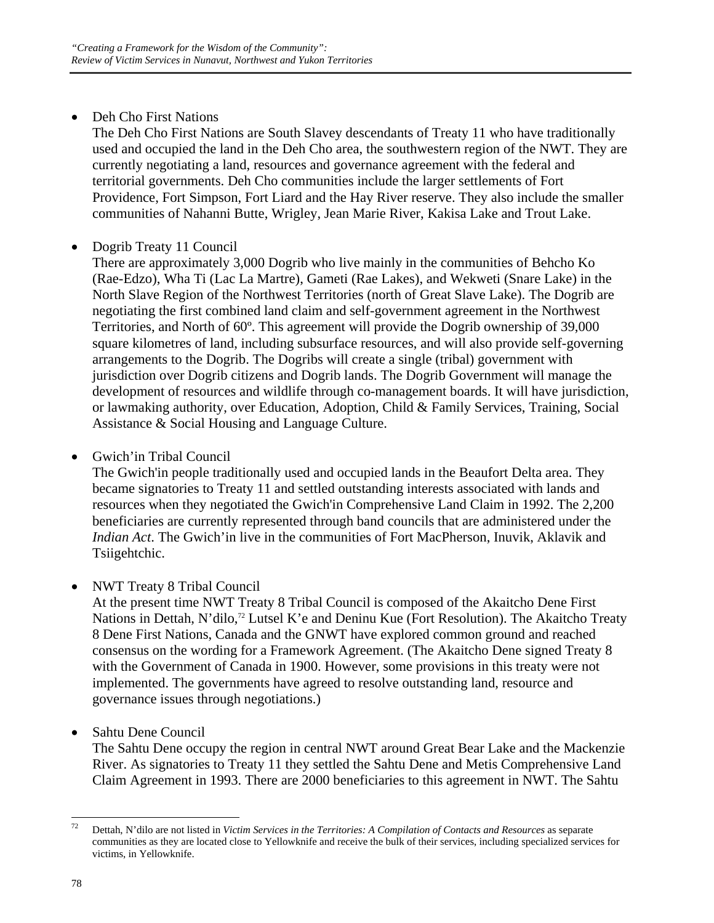• Deh Cho First Nations

The Deh Cho First Nations are South Slavey descendants of Treaty 11 who have traditionally used and occupied the land in the Deh Cho area, the southwestern region of the NWT. They are currently negotiating a land, resources and governance agreement with the federal and territorial governments. Deh Cho communities include the larger settlements of Fort Providence, Fort Simpson, Fort Liard and the Hay River reserve. They also include the smaller communities of Nahanni Butte, Wrigley, Jean Marie River, Kakisa Lake and Trout Lake.

## • Dogrib Treaty 11 Council

There are approximately 3,000 Dogrib who live mainly in the communities of Behcho Ko (Rae-Edzo), Wha Ti (Lac La Martre), Gameti (Rae Lakes), and Wekweti (Snare Lake) in the North Slave Region of the Northwest Territories (north of Great Slave Lake). The Dogrib are negotiating the first combined land claim and self-government agreement in the Northwest Territories, and North of 60º. This agreement will provide the Dogrib ownership of 39,000 square kilometres of land, including subsurface resources, and will also provide self-governing arrangements to the Dogrib. The Dogribs will create a single (tribal) government with jurisdiction over Dogrib citizens and Dogrib lands. The Dogrib Government will manage the development of resources and wildlife through co-management boards. It will have jurisdiction, or lawmaking authority, over Education, Adoption, Child & Family Services, Training, Social Assistance & Social Housing and Language Culture.

• Gwich'in Tribal Council

The Gwich'in people traditionally used and occupied lands in the Beaufort Delta area. They became signatories to Treaty 11 and settled outstanding interests associated with lands and resources when they negotiated the Gwich'in Comprehensive Land Claim in 1992. The 2,200 beneficiaries are currently represented through band councils that are administered under the *Indian Act*. The Gwich'in live in the communities of Fort MacPherson, Inuvik, Aklavik and Tsiigehtchic.

• NWT Treaty 8 Tribal Council

At the present time NWT Treaty 8 Tribal Council is composed of the Akaitcho Dene First Nations in Dettah, N'dilo,<sup>72</sup> Lutsel K'e and Deninu Kue (Fort Resolution). The Akaitcho Treaty 8 Dene First Nations, Canada and the GNWT have explored common ground and reached consensus on the wording for a Framework Agreement. (The Akaitcho Dene signed Treaty 8 with the Government of Canada in 1900. However, some provisions in this treaty were not implemented. The governments have agreed to resolve outstanding land, resource and governance issues through negotiations.)

• Sahtu Dene Council

The Sahtu Dene occupy the region in central NWT around Great Bear Lake and the Mackenzie River. As signatories to Treaty 11 they settled the Sahtu Dene and Metis Comprehensive Land Claim Agreement in 1993. There are 2000 beneficiaries to this agreement in NWT. The Sahtu

 $72$ 72 Dettah, N'dilo are not listed in *Victim Services in the Territories: A Compilation of Contacts and Resources* as separate communities as they are located close to Yellowknife and receive the bulk of their services, including specialized services for victims, in Yellowknife.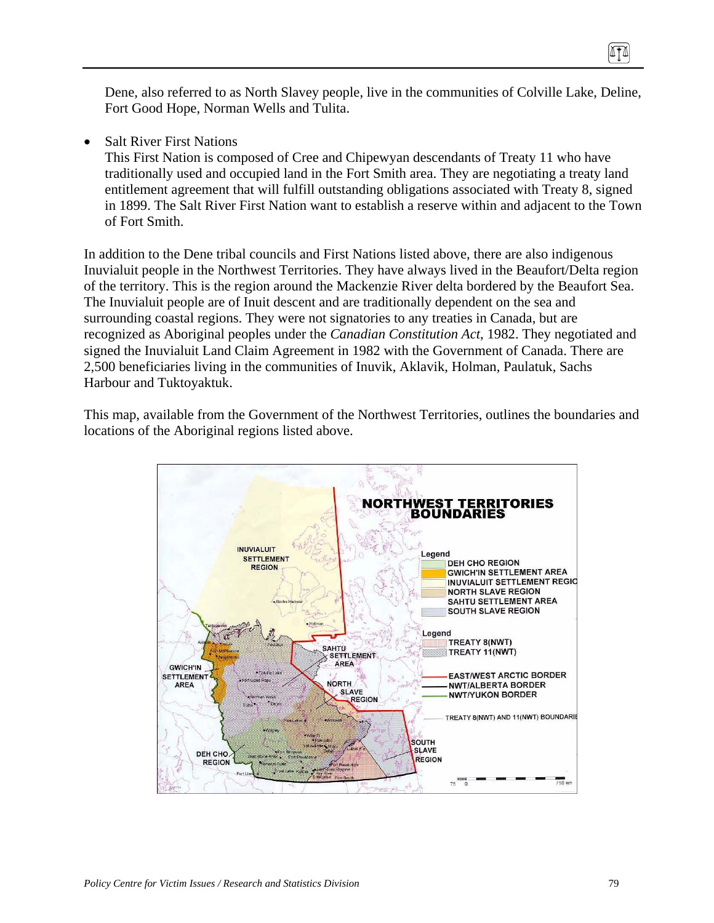Dene, also referred to as North Slavey people, live in the communities of Colville Lake, Deline, Fort Good Hope, Norman Wells and Tulita.

**Salt River First Nations** 

This First Nation is composed of Cree and Chipewyan descendants of Treaty 11 who have traditionally used and occupied land in the Fort Smith area. They are negotiating a treaty land entitlement agreement that will fulfill outstanding obligations associated with Treaty 8, signed in 1899. The Salt River First Nation want to establish a reserve within and adjacent to the Town of Fort Smith.

In addition to the Dene tribal councils and First Nations listed above, there are also indigenous Inuvialuit people in the Northwest Territories. They have always lived in the Beaufort/Delta region of the territory. This is the region around the Mackenzie River delta bordered by the Beaufort Sea. The Inuvialuit people are of Inuit descent and are traditionally dependent on the sea and surrounding coastal regions. They were not signatories to any treaties in Canada, but are recognized as Aboriginal peoples under the *Canadian Constitution Act*, 1982. They negotiated and signed the Inuvialuit Land Claim Agreement in 1982 with the Government of Canada. There are 2,500 beneficiaries living in the communities of Inuvik, Aklavik, Holman, Paulatuk, Sachs Harbour and Tuktoyaktuk.

This map, available from the Government of the Northwest Territories, outlines the boundaries and locations of the Aboriginal regions listed above.



0TO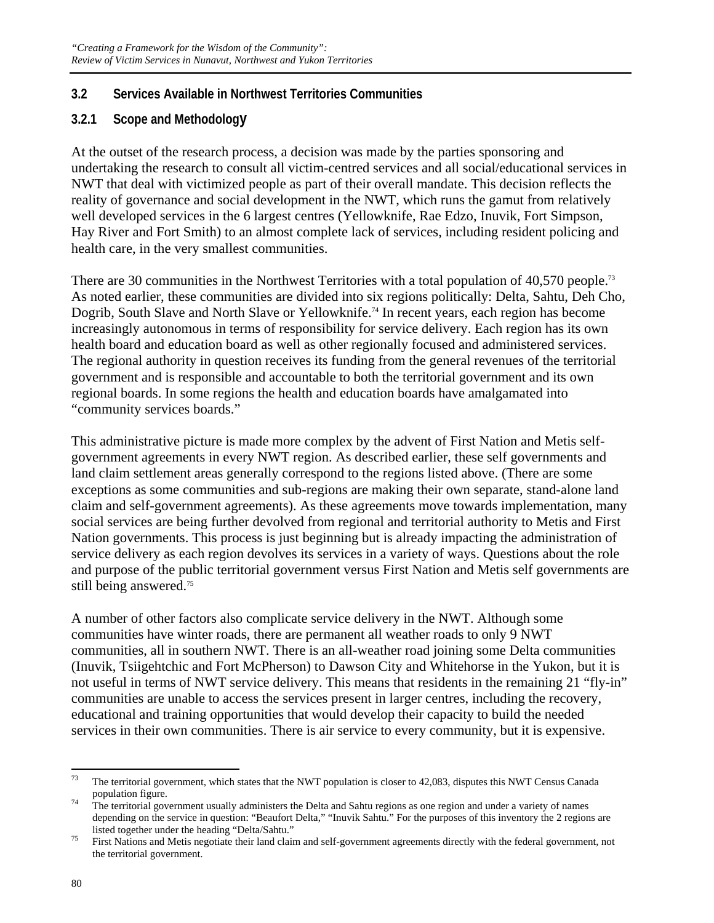### **3.2 Services Available in Northwest Territories Communities**

## **3.2.1 Scope and Methodology**

At the outset of the research process, a decision was made by the parties sponsoring and undertaking the research to consult all victim-centred services and all social/educational services in NWT that deal with victimized people as part of their overall mandate. This decision reflects the reality of governance and social development in the NWT, which runs the gamut from relatively well developed services in the 6 largest centres (Yellowknife, Rae Edzo, Inuvik, Fort Simpson, Hay River and Fort Smith) to an almost complete lack of services, including resident policing and health care, in the very smallest communities.

There are 30 communities in the Northwest Territories with a total population of 40,570 people.<sup>73</sup> As noted earlier, these communities are divided into six regions politically: Delta, Sahtu, Deh Cho, Dogrib, South Slave and North Slave or Yellowknife.<sup>74</sup> In recent years, each region has become increasingly autonomous in terms of responsibility for service delivery. Each region has its own health board and education board as well as other regionally focused and administered services. The regional authority in question receives its funding from the general revenues of the territorial government and is responsible and accountable to both the territorial government and its own regional boards. In some regions the health and education boards have amalgamated into "community services boards."

This administrative picture is made more complex by the advent of First Nation and Metis selfgovernment agreements in every NWT region. As described earlier, these self governments and land claim settlement areas generally correspond to the regions listed above. (There are some exceptions as some communities and sub-regions are making their own separate, stand-alone land claim and self-government agreements). As these agreements move towards implementation, many social services are being further devolved from regional and territorial authority to Metis and First Nation governments. This process is just beginning but is already impacting the administration of service delivery as each region devolves its services in a variety of ways. Questions about the role and purpose of the public territorial government versus First Nation and Metis self governments are still being answered.<sup>75</sup>

A number of other factors also complicate service delivery in the NWT. Although some communities have winter roads, there are permanent all weather roads to only 9 NWT communities, all in southern NWT. There is an all-weather road joining some Delta communities (Inuvik, Tsiigehtchic and Fort McPherson) to Dawson City and Whitehorse in the Yukon, but it is not useful in terms of NWT service delivery. This means that residents in the remaining 21 "fly-in" communities are unable to access the services present in larger centres, including the recovery, educational and training opportunities that would develop their capacity to build the needed services in their own communities. There is air service to every community, but it is expensive.

<sup>73</sup> The territorial government, which states that the NWT population is closer to 42,083, disputes this NWT Census Canada population figure.<br><sup>74</sup> The territorial government usually administers the Delta and Sahtu regions as one region and under a variety of names

depending on the service in question: "Beaufort Delta," "Inuvik Sahtu." For the purposes of this inventory the 2 regions are

listed together under the heading "Delta/Sahtu."<br><sup>75</sup> First Nations and Metis negotiate their land claim and self-government agreements directly with the federal government, not the territorial government.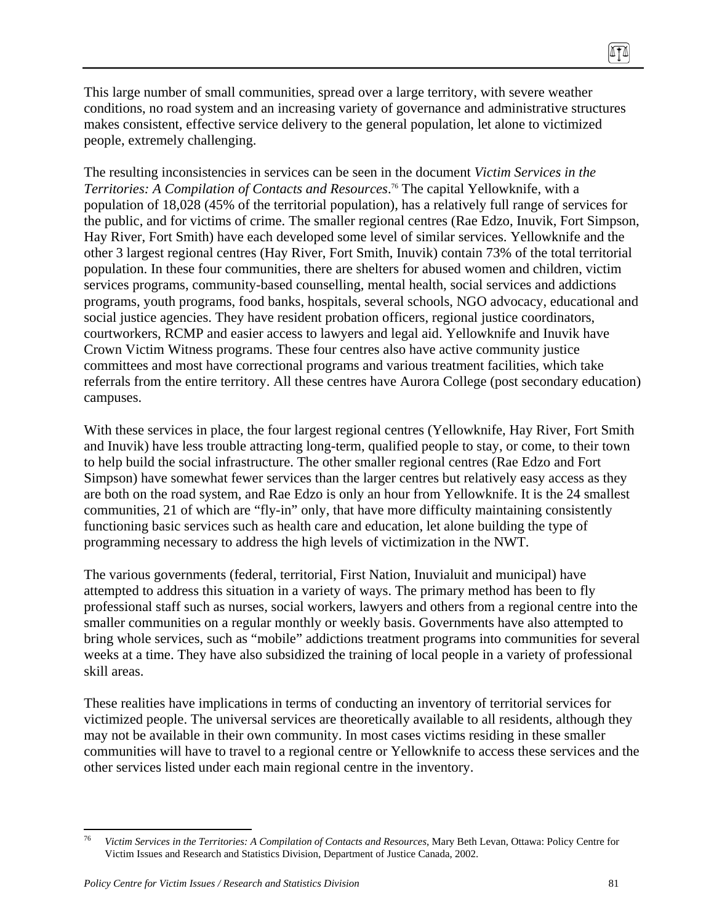This large number of small communities, spread over a large territory, with severe weather conditions, no road system and an increasing variety of governance and administrative structures makes consistent, effective service delivery to the general population, let alone to victimized people, extremely challenging.

The resulting inconsistencies in services can be seen in the document *Victim Services in the Territories: A Compilation of Contacts and Resources*. 76 The capital Yellowknife, with a population of 18,028 (45% of the territorial population), has a relatively full range of services for the public, and for victims of crime. The smaller regional centres (Rae Edzo, Inuvik, Fort Simpson, Hay River, Fort Smith) have each developed some level of similar services. Yellowknife and the other 3 largest regional centres (Hay River, Fort Smith, Inuvik) contain 73% of the total territorial population. In these four communities, there are shelters for abused women and children, victim services programs, community-based counselling, mental health, social services and addictions programs, youth programs, food banks, hospitals, several schools, NGO advocacy, educational and social justice agencies. They have resident probation officers, regional justice coordinators, courtworkers, RCMP and easier access to lawyers and legal aid. Yellowknife and Inuvik have Crown Victim Witness programs. These four centres also have active community justice committees and most have correctional programs and various treatment facilities, which take referrals from the entire territory. All these centres have Aurora College (post secondary education) campuses.

With these services in place, the four largest regional centres (Yellowknife, Hay River, Fort Smith and Inuvik) have less trouble attracting long-term, qualified people to stay, or come, to their town to help build the social infrastructure. The other smaller regional centres (Rae Edzo and Fort Simpson) have somewhat fewer services than the larger centres but relatively easy access as they are both on the road system, and Rae Edzo is only an hour from Yellowknife. It is the 24 smallest communities, 21 of which are "fly-in" only, that have more difficulty maintaining consistently functioning basic services such as health care and education, let alone building the type of programming necessary to address the high levels of victimization in the NWT.

The various governments (federal, territorial, First Nation, Inuvialuit and municipal) have attempted to address this situation in a variety of ways. The primary method has been to fly professional staff such as nurses, social workers, lawyers and others from a regional centre into the smaller communities on a regular monthly or weekly basis. Governments have also attempted to bring whole services, such as "mobile" addictions treatment programs into communities for several weeks at a time. They have also subsidized the training of local people in a variety of professional skill areas.

These realities have implications in terms of conducting an inventory of territorial services for victimized people. The universal services are theoretically available to all residents, although they may not be available in their own community. In most cases victims residing in these smaller communities will have to travel to a regional centre or Yellowknife to access these services and the other services listed under each main regional centre in the inventory.

<sup>76</sup> 76 *Victim Services in the Territories: A Compilation of Contacts and Resources*, Mary Beth Levan, Ottawa: Policy Centre for Victim Issues and Research and Statistics Division, Department of Justice Canada, 2002.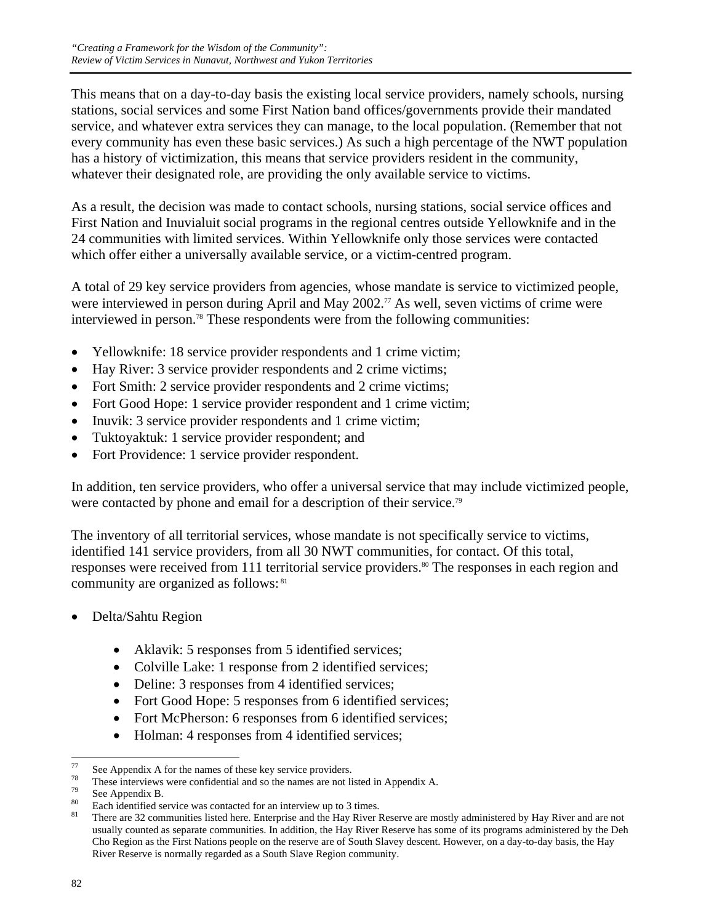This means that on a day-to-day basis the existing local service providers, namely schools, nursing stations, social services and some First Nation band offices/governments provide their mandated service, and whatever extra services they can manage, to the local population. (Remember that not every community has even these basic services.) As such a high percentage of the NWT population has a history of victimization, this means that service providers resident in the community, whatever their designated role, are providing the only available service to victims.

As a result, the decision was made to contact schools, nursing stations, social service offices and First Nation and Inuvialuit social programs in the regional centres outside Yellowknife and in the 24 communities with limited services. Within Yellowknife only those services were contacted which offer either a universally available service, or a victim-centred program.

A total of 29 key service providers from agencies, whose mandate is service to victimized people, were interviewed in person during April and May 2002.<sup>77</sup> As well, seven victims of crime were interviewed in person.<sup>78</sup> These respondents were from the following communities:

- Yellowknife: 18 service provider respondents and 1 crime victim;
- Hay River: 3 service provider respondents and 2 crime victims;
- Fort Smith: 2 service provider respondents and 2 crime victims;
- Fort Good Hope: 1 service provider respondent and 1 crime victim;
- Inuvik: 3 service provider respondents and 1 crime victim;
- Tuktoyaktuk: 1 service provider respondent; and
- Fort Providence: 1 service provider respondent.

In addition, ten service providers, who offer a universal service that may include victimized people, were contacted by phone and email for a description of their service.<sup>79</sup>

The inventory of all territorial services, whose mandate is not specifically service to victims, identified 141 service providers, from all 30 NWT communities, for contact. Of this total, responses were received from 111 territorial service providers.<sup>80</sup> The responses in each region and community are organized as follows: <sup>81</sup>

- Delta/Sahtu Region
	- Aklavik: 5 responses from 5 identified services;
	- Colville Lake: 1 response from 2 identified services;
	- Deline: 3 responses from 4 identified services;
	- Fort Good Hope: 5 responses from 6 identified services;
	- Fort McPherson: 6 responses from 6 identified services;
	- Holman: 4 responses from 4 identified services;

<sup>77</sup>  $^{77}$  See Appendix A for the names of these key service providers.<br> $^{78}$  These interviews were confidential and as the names are not li

<sup>&</sup>lt;sup>78</sup> These interviews were confidential and so the names are not listed in Appendix A.<br><sup>79</sup> See Appendix P

 $^{79}$  See Appendix B.

<sup>&</sup>lt;sup>80</sup> Each identified service was contacted for an interview up to 3 times.

There are 32 communities listed here. Enterprise and the Hay River Reserve are mostly administered by Hay River and are not usually counted as separate communities. In addition, the Hay River Reserve has some of its programs administered by the Deh Cho Region as the First Nations people on the reserve are of South Slavey descent. However, on a day-to-day basis, the Hay River Reserve is normally regarded as a South Slave Region community.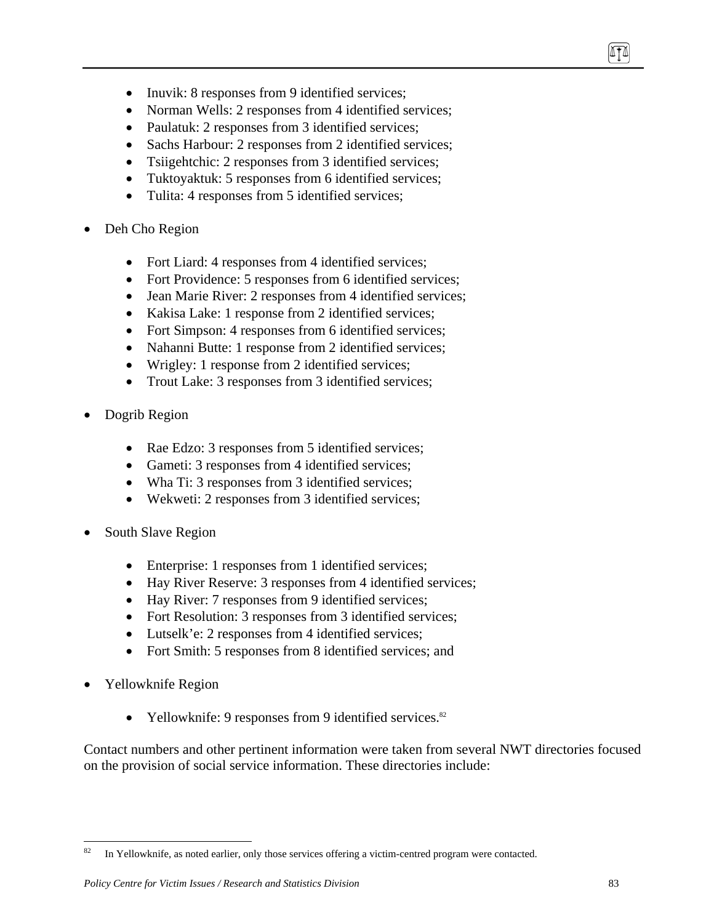- Inuvik: 8 responses from 9 identified services;
- Norman Wells: 2 responses from 4 identified services;
- Paulatuk: 2 responses from 3 identified services;
- Sachs Harbour: 2 responses from 2 identified services;
- Tsiigehtchic: 2 responses from 3 identified services;
- Tuktoyaktuk: 5 responses from 6 identified services;
- Tulita: 4 responses from 5 identified services;
- Deh Cho Region
	- Fort Liard: 4 responses from 4 identified services;
	- Fort Providence: 5 responses from 6 identified services;
	- Jean Marie River: 2 responses from 4 identified services;
	- Kakisa Lake: 1 response from 2 identified services;
	- Fort Simpson: 4 responses from 6 identified services;
	- Nahanni Butte: 1 response from 2 identified services;
	- Wrigley: 1 response from 2 identified services;
	- Trout Lake: 3 responses from 3 identified services;
- Dogrib Region
	- Rae Edzo: 3 responses from 5 identified services;
	- Gameti: 3 responses from 4 identified services;
	- Wha Ti: 3 responses from 3 identified services;
	- Wekweti: 2 responses from 3 identified services;
- South Slave Region
	- Enterprise: 1 responses from 1 identified services;
	- Hay River Reserve: 3 responses from 4 identified services;
	- Hay River: 7 responses from 9 identified services;
	- Fort Resolution: 3 responses from 3 identified services;
	- Lutselk'e: 2 responses from 4 identified services;
	- Fort Smith: 5 responses from 8 identified services; and
- Yellowknife Region
	- Yellowknife: 9 responses from 9 identified services. $82$

Contact numbers and other pertinent information were taken from several NWT directories focused on the provision of social service information. These directories include:

874

 $82\,$ In Yellowknife, as noted earlier, only those services offering a victim-centred program were contacted.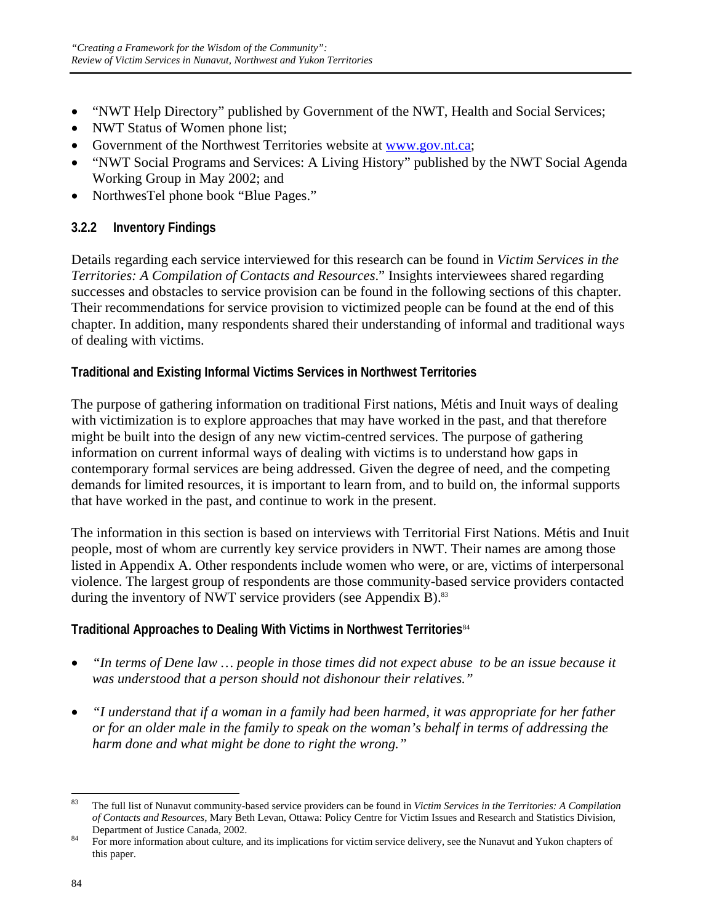- "NWT Help Directory" published by Government of the NWT, Health and Social Services;
- NWT Status of Women phone list;
- Government of the Northwest Territories website at www.gov.nt.ca;
- "NWT Social Programs and Services: A Living History" published by the NWT Social Agenda Working Group in May 2002; and
- NorthwesTel phone book "Blue Pages."

## **3.2.2 Inventory Findings**

Details regarding each service interviewed for this research can be found in *Victim Services in the Territories: A Compilation of Contacts and Resources*." Insights interviewees shared regarding successes and obstacles to service provision can be found in the following sections of this chapter. Their recommendations for service provision to victimized people can be found at the end of this chapter. In addition, many respondents shared their understanding of informal and traditional ways of dealing with victims.

## **Traditional and Existing Informal Victims Services in Northwest Territories**

The purpose of gathering information on traditional First nations, Métis and Inuit ways of dealing with victimization is to explore approaches that may have worked in the past, and that therefore might be built into the design of any new victim-centred services. The purpose of gathering information on current informal ways of dealing with victims is to understand how gaps in contemporary formal services are being addressed. Given the degree of need, and the competing demands for limited resources, it is important to learn from, and to build on, the informal supports that have worked in the past, and continue to work in the present.

The information in this section is based on interviews with Territorial First Nations. Métis and Inuit people, most of whom are currently key service providers in NWT. Their names are among those listed in Appendix A. Other respondents include women who were, or are, victims of interpersonal violence. The largest group of respondents are those community-based service providers contacted during the inventory of NWT service providers (see Appendix B).<sup>83</sup>

## **Traditional Approaches to Dealing With Victims in Northwest Territories**<sup>84</sup>

- *"In terms of Dene law … people in those times did not expect abuse to be an issue because it was understood that a person should not dishonour their relatives."*
- *"I understand that if a woman in a family had been harmed, it was appropriate for her father or for an older male in the family to speak on the woman's behalf in terms of addressing the harm done and what might be done to right the wrong."*

 $\overline{a}$ 83 The full list of Nunavut community-based service providers can be found in *Victim Services in the Territories: A Compilation of Contacts and Resources*, Mary Beth Levan, Ottawa: Policy Centre for Victim Issues and Research and Statistics Division,

Department of Justice Canada, 2002.<br><sup>84</sup> For more information about culture, and its implications for victim service delivery, see the Nunavut and Yukon chapters of this paper.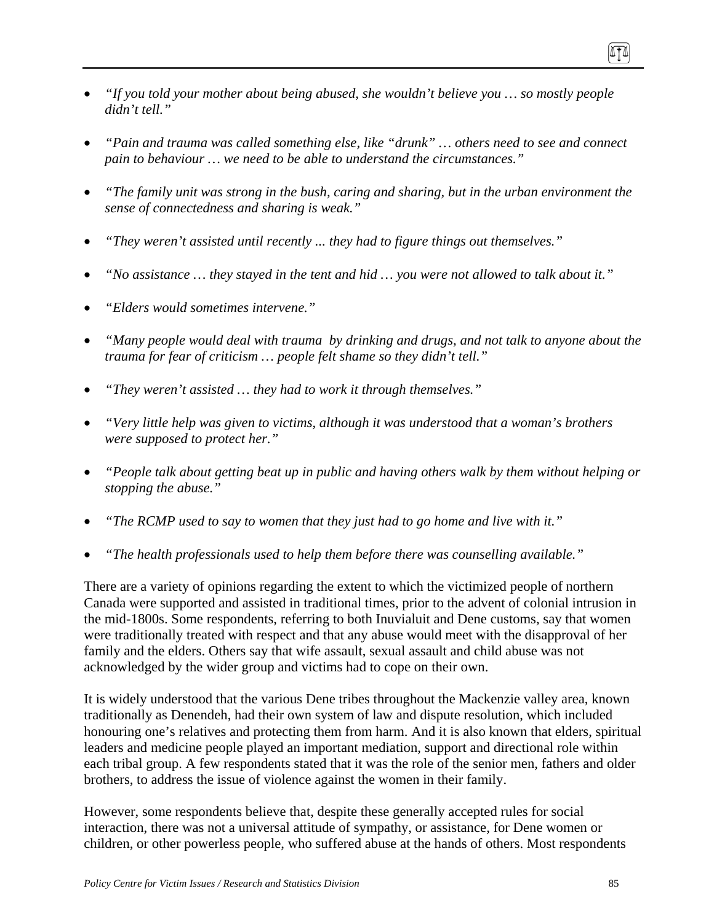- *"If you told your mother about being abused, she wouldn't believe you … so mostly people didn't tell."*
- *"Pain and trauma was called something else, like "drunk" … others need to see and connect pain to behaviour … we need to be able to understand the circumstances."*
- *"The family unit was strong in the bush, caring and sharing, but in the urban environment the sense of connectedness and sharing is weak."*
- *"They weren't assisted until recently ... they had to figure things out themselves."*
- *"No assistance … they stayed in the tent and hid … you were not allowed to talk about it."*
- *"Elders would sometimes intervene."*
- *"Many people would deal with trauma by drinking and drugs, and not talk to anyone about the trauma for fear of criticism … people felt shame so they didn't tell."*
- *"They weren't assisted … they had to work it through themselves."*
- *"Very little help was given to victims, although it was understood that a woman's brothers were supposed to protect her."*
- *"People talk about getting beat up in public and having others walk by them without helping or stopping the abuse."*
- *"The RCMP used to say to women that they just had to go home and live with it."*
- *"The health professionals used to help them before there was counselling available."*

There are a variety of opinions regarding the extent to which the victimized people of northern Canada were supported and assisted in traditional times, prior to the advent of colonial intrusion in the mid-1800s. Some respondents, referring to both Inuvialuit and Dene customs, say that women were traditionally treated with respect and that any abuse would meet with the disapproval of her family and the elders. Others say that wife assault, sexual assault and child abuse was not acknowledged by the wider group and victims had to cope on their own.

It is widely understood that the various Dene tribes throughout the Mackenzie valley area, known traditionally as Denendeh, had their own system of law and dispute resolution, which included honouring one's relatives and protecting them from harm. And it is also known that elders, spiritual leaders and medicine people played an important mediation, support and directional role within each tribal group. A few respondents stated that it was the role of the senior men, fathers and older brothers, to address the issue of violence against the women in their family.

However, some respondents believe that, despite these generally accepted rules for social interaction, there was not a universal attitude of sympathy, or assistance, for Dene women or children, or other powerless people, who suffered abuse at the hands of others. Most respondents

ITI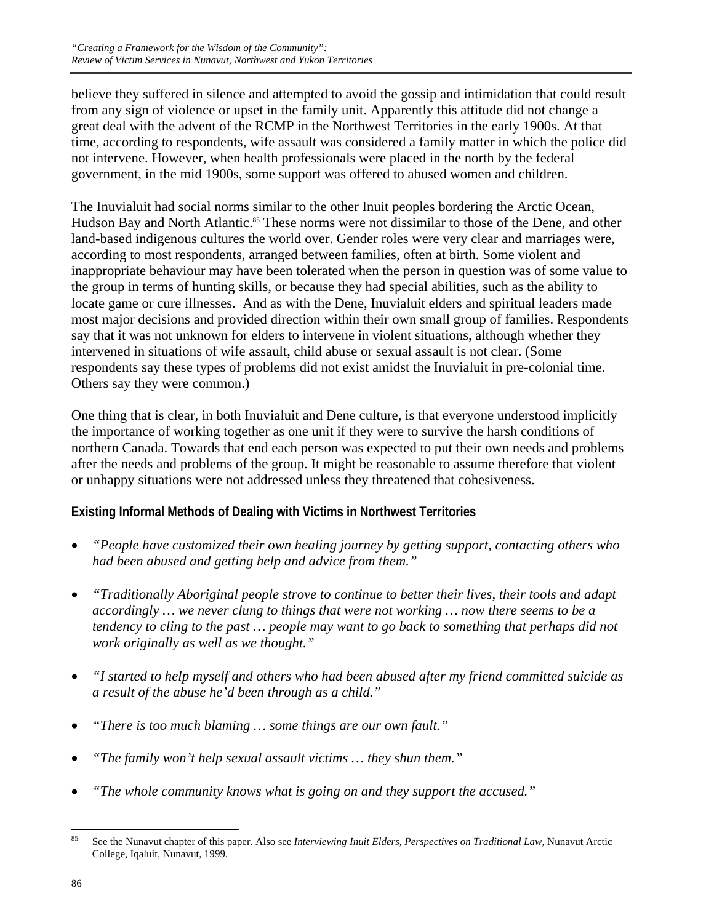believe they suffered in silence and attempted to avoid the gossip and intimidation that could result from any sign of violence or upset in the family unit. Apparently this attitude did not change a great deal with the advent of the RCMP in the Northwest Territories in the early 1900s. At that time, according to respondents, wife assault was considered a family matter in which the police did not intervene. However, when health professionals were placed in the north by the federal government, in the mid 1900s, some support was offered to abused women and children.

The Inuvialuit had social norms similar to the other Inuit peoples bordering the Arctic Ocean, Hudson Bay and North Atlantic.<sup>85</sup> These norms were not dissimilar to those of the Dene, and other land-based indigenous cultures the world over. Gender roles were very clear and marriages were, according to most respondents, arranged between families, often at birth. Some violent and inappropriate behaviour may have been tolerated when the person in question was of some value to the group in terms of hunting skills, or because they had special abilities, such as the ability to locate game or cure illnesses. And as with the Dene, Inuvialuit elders and spiritual leaders made most major decisions and provided direction within their own small group of families. Respondents say that it was not unknown for elders to intervene in violent situations, although whether they intervened in situations of wife assault, child abuse or sexual assault is not clear. (Some respondents say these types of problems did not exist amidst the Inuvialuit in pre-colonial time. Others say they were common.)

One thing that is clear, in both Inuvialuit and Dene culture, is that everyone understood implicitly the importance of working together as one unit if they were to survive the harsh conditions of northern Canada. Towards that end each person was expected to put their own needs and problems after the needs and problems of the group. It might be reasonable to assume therefore that violent or unhappy situations were not addressed unless they threatened that cohesiveness.

## **Existing Informal Methods of Dealing with Victims in Northwest Territories**

- *"People have customized their own healing journey by getting support, contacting others who had been abused and getting help and advice from them."*
- *"Traditionally Aboriginal people strove to continue to better their lives, their tools and adapt accordingly … we never clung to things that were not working … now there seems to be a tendency to cling to the past … people may want to go back to something that perhaps did not work originally as well as we thought."*
- *"I started to help myself and others who had been abused after my friend committed suicide as a result of the abuse he'd been through as a child."*
- *"There is too much blaming … some things are our own fault."*
- *"The family won't help sexual assault victims … they shun them."*
- *"The whole community knows what is going on and they support the accused."*

<sup>85</sup> 85 See the Nunavut chapter of this paper. Also see *Interviewing Inuit Elders, Perspectives on Traditional Law,* Nunavut Arctic College, Iqaluit, Nunavut, 1999.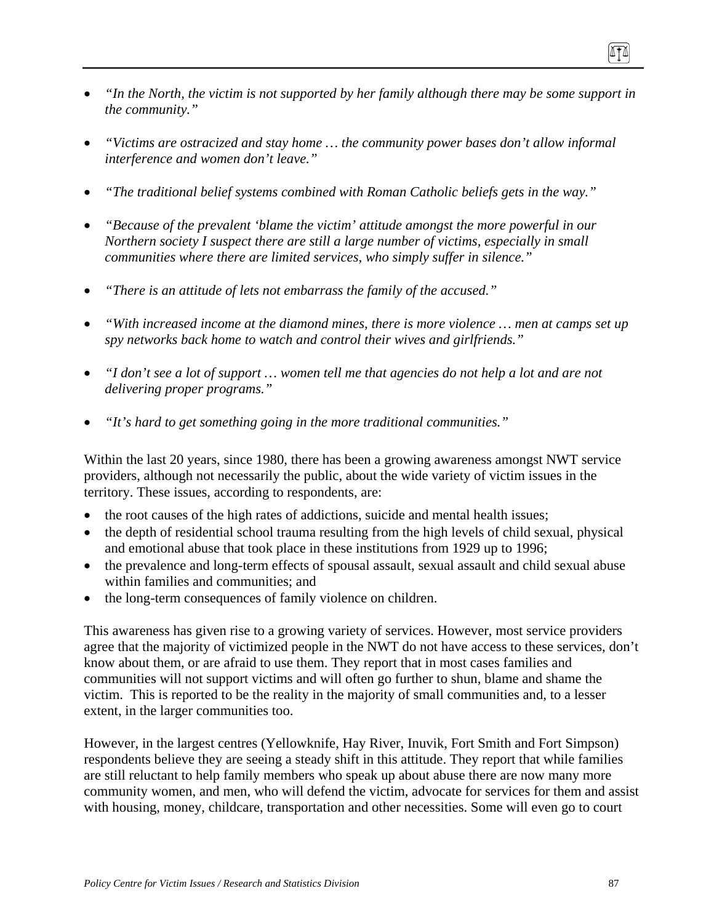- *"In the North, the victim is not supported by her family although there may be some support in the community."*
- *"Victims are ostracized and stay home … the community power bases don't allow informal interference and women don't leave."*
- *"The traditional belief systems combined with Roman Catholic beliefs gets in the way."*
- *"Because of the prevalent 'blame the victim' attitude amongst the more powerful in our Northern society I suspect there are still a large number of victims, especially in small communities where there are limited services, who simply suffer in silence."*
- *"There is an attitude of lets not embarrass the family of the accused."*
- *"With increased income at the diamond mines, there is more violence … men at camps set up spy networks back home to watch and control their wives and girlfriends."*
- *"I don't see a lot of support … women tell me that agencies do not help a lot and are not delivering proper programs."*
- *"It's hard to get something going in the more traditional communities."*

Within the last 20 years, since 1980, there has been a growing awareness amongst NWT service providers, although not necessarily the public, about the wide variety of victim issues in the territory. These issues, according to respondents, are:

- the root causes of the high rates of addictions, suicide and mental health issues;
- the depth of residential school trauma resulting from the high levels of child sexual, physical and emotional abuse that took place in these institutions from 1929 up to 1996;
- the prevalence and long-term effects of spousal assault, sexual assault and child sexual abuse within families and communities; and
- the long-term consequences of family violence on children.

This awareness has given rise to a growing variety of services. However, most service providers agree that the majority of victimized people in the NWT do not have access to these services, don't know about them, or are afraid to use them. They report that in most cases families and communities will not support victims and will often go further to shun, blame and shame the victim. This is reported to be the reality in the majority of small communities and, to a lesser extent, in the larger communities too.

However, in the largest centres (Yellowknife, Hay River, Inuvik, Fort Smith and Fort Simpson) respondents believe they are seeing a steady shift in this attitude. They report that while families are still reluctant to help family members who speak up about abuse there are now many more community women, and men, who will defend the victim, advocate for services for them and assist with housing, money, childcare, transportation and other necessities. Some will even go to court

ITI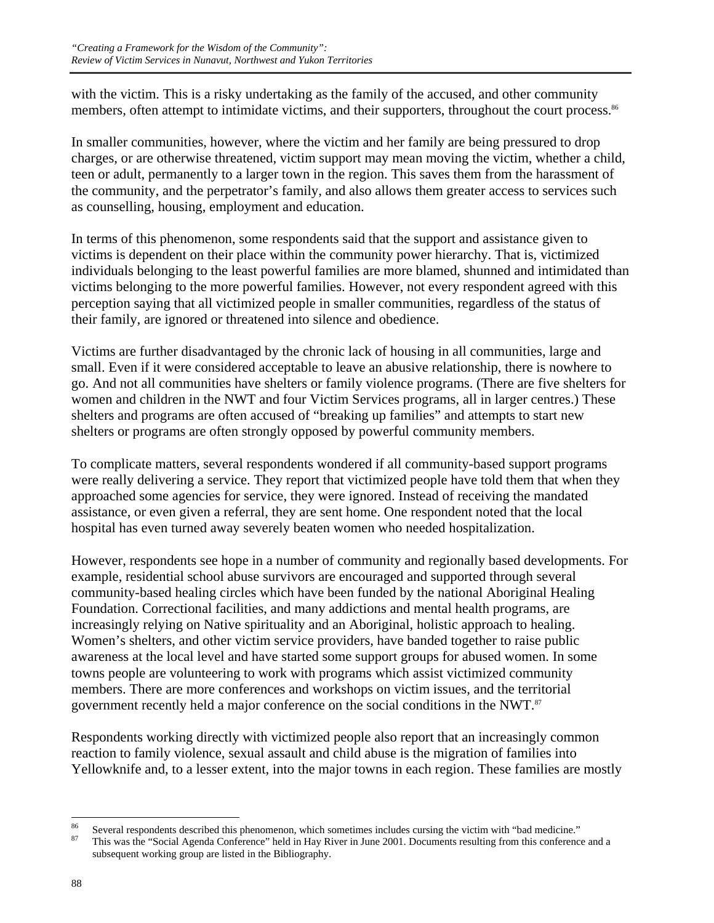with the victim. This is a risky undertaking as the family of the accused, and other community members, often attempt to intimidate victims, and their supporters, throughout the court process.<sup>86</sup>

In smaller communities, however, where the victim and her family are being pressured to drop charges, or are otherwise threatened, victim support may mean moving the victim, whether a child, teen or adult, permanently to a larger town in the region. This saves them from the harassment of the community, and the perpetrator's family, and also allows them greater access to services such as counselling, housing, employment and education.

In terms of this phenomenon, some respondents said that the support and assistance given to victims is dependent on their place within the community power hierarchy. That is, victimized individuals belonging to the least powerful families are more blamed, shunned and intimidated than victims belonging to the more powerful families. However, not every respondent agreed with this perception saying that all victimized people in smaller communities, regardless of the status of their family, are ignored or threatened into silence and obedience.

Victims are further disadvantaged by the chronic lack of housing in all communities, large and small. Even if it were considered acceptable to leave an abusive relationship, there is nowhere to go. And not all communities have shelters or family violence programs. (There are five shelters for women and children in the NWT and four Victim Services programs, all in larger centres.) These shelters and programs are often accused of "breaking up families" and attempts to start new shelters or programs are often strongly opposed by powerful community members.

To complicate matters, several respondents wondered if all community-based support programs were really delivering a service. They report that victimized people have told them that when they approached some agencies for service, they were ignored. Instead of receiving the mandated assistance, or even given a referral, they are sent home. One respondent noted that the local hospital has even turned away severely beaten women who needed hospitalization.

However, respondents see hope in a number of community and regionally based developments. For example, residential school abuse survivors are encouraged and supported through several community-based healing circles which have been funded by the national Aboriginal Healing Foundation. Correctional facilities, and many addictions and mental health programs, are increasingly relying on Native spirituality and an Aboriginal, holistic approach to healing. Women's shelters, and other victim service providers, have banded together to raise public awareness at the local level and have started some support groups for abused women. In some towns people are volunteering to work with programs which assist victimized community members. There are more conferences and workshops on victim issues, and the territorial government recently held a major conference on the social conditions in the NWT.<sup>87</sup>

Respondents working directly with victimized people also report that an increasingly common reaction to family violence, sexual assault and child abuse is the migration of families into Yellowknife and, to a lesser extent, into the major towns in each region. These families are mostly

 $86$ <sup>86</sup> Several respondents described this phenomenon, which sometimes includes cursing the victim with "bad medicine."<br><sup>87</sup> This was the "Social Agenda Conference" held in Hay River in June 2001. Documents resulting from thi

subsequent working group are listed in the Bibliography.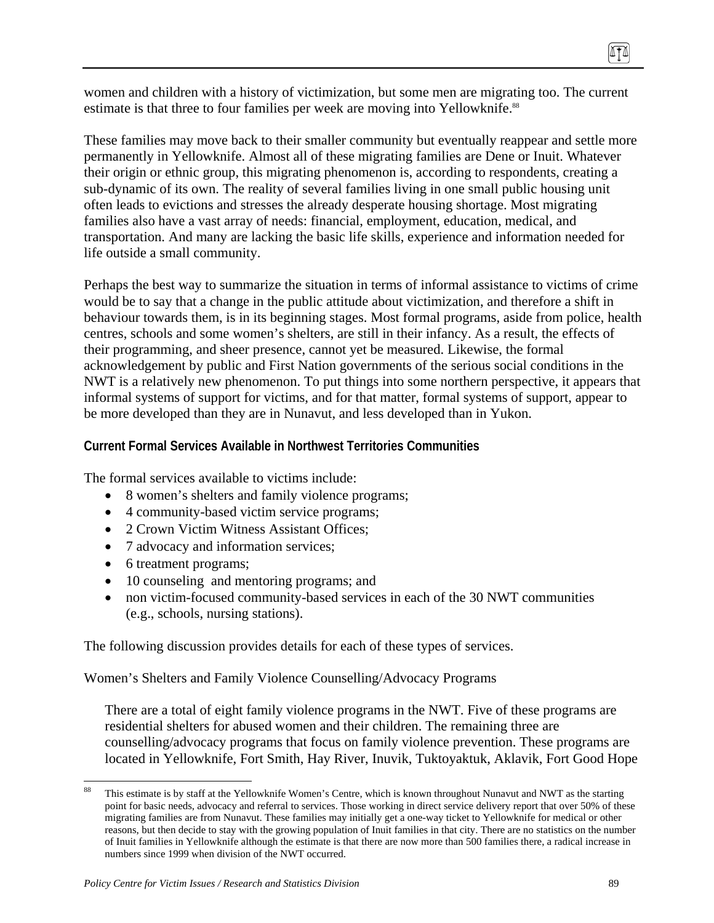women and children with a history of victimization, but some men are migrating too. The current estimate is that three to four families per week are moving into Yellowknife.<sup>88</sup>

These families may move back to their smaller community but eventually reappear and settle more permanently in Yellowknife. Almost all of these migrating families are Dene or Inuit. Whatever their origin or ethnic group, this migrating phenomenon is, according to respondents, creating a sub-dynamic of its own. The reality of several families living in one small public housing unit often leads to evictions and stresses the already desperate housing shortage. Most migrating families also have a vast array of needs: financial, employment, education, medical, and transportation. And many are lacking the basic life skills, experience and information needed for life outside a small community.

Perhaps the best way to summarize the situation in terms of informal assistance to victims of crime would be to say that a change in the public attitude about victimization, and therefore a shift in behaviour towards them, is in its beginning stages. Most formal programs, aside from police, health centres, schools and some women's shelters, are still in their infancy. As a result, the effects of their programming, and sheer presence, cannot yet be measured. Likewise, the formal acknowledgement by public and First Nation governments of the serious social conditions in the NWT is a relatively new phenomenon. To put things into some northern perspective, it appears that informal systems of support for victims, and for that matter, formal systems of support, appear to be more developed than they are in Nunavut, and less developed than in Yukon.

### **Current Formal Services Available in Northwest Territories Communities**

The formal services available to victims include:

- 8 women's shelters and family violence programs;
- 4 community-based victim service programs;
- 2 Crown Victim Witness Assistant Offices;
- 7 advocacy and information services;
- 6 treatment programs;
- 10 counseling and mentoring programs; and
- non victim-focused community-based services in each of the 30 NWT communities (e.g., schools, nursing stations).

The following discussion provides details for each of these types of services.

Women's Shelters and Family Violence Counselling/Advocacy Programs

There are a total of eight family violence programs in the NWT. Five of these programs are residential shelters for abused women and their children. The remaining three are counselling/advocacy programs that focus on family violence prevention. These programs are located in Yellowknife, Fort Smith, Hay River, Inuvik, Tuktoyaktuk, Aklavik, Fort Good Hope

<sup>88</sup> This estimate is by staff at the Yellowknife Women's Centre, which is known throughout Nunavut and NWT as the starting point for basic needs, advocacy and referral to services. Those working in direct service delivery report that over 50% of these migrating families are from Nunavut. These families may initially get a one-way ticket to Yellowknife for medical or other reasons, but then decide to stay with the growing population of Inuit families in that city. There are no statistics on the number of Inuit families in Yellowknife although the estimate is that there are now more than 500 families there, a radical increase in numbers since 1999 when division of the NWT occurred.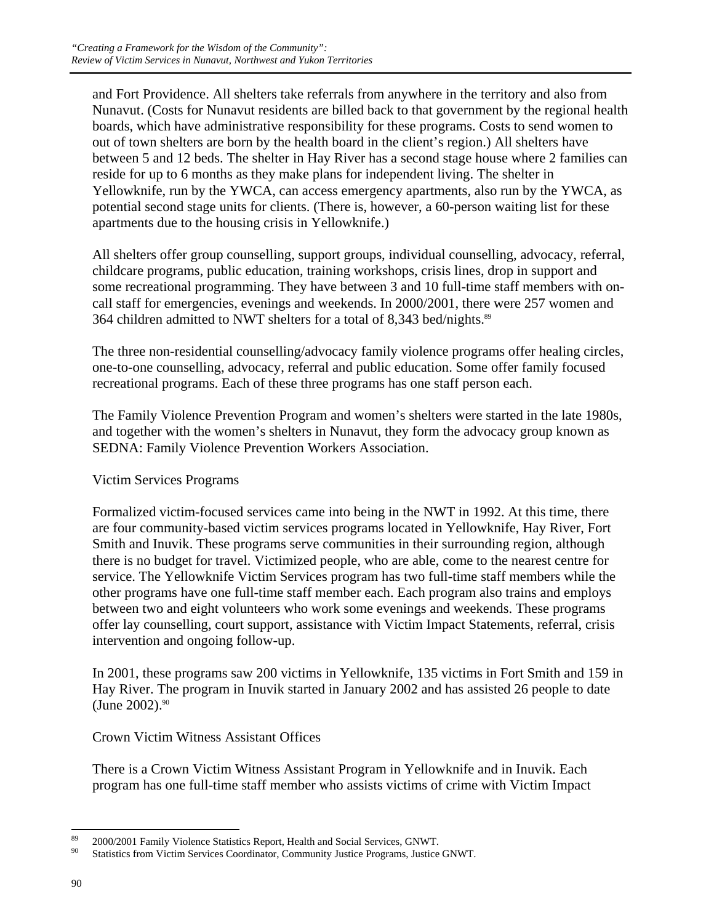and Fort Providence. All shelters take referrals from anywhere in the territory and also from Nunavut. (Costs for Nunavut residents are billed back to that government by the regional health boards, which have administrative responsibility for these programs. Costs to send women to out of town shelters are born by the health board in the client's region.) All shelters have between 5 and 12 beds. The shelter in Hay River has a second stage house where 2 families can reside for up to 6 months as they make plans for independent living. The shelter in Yellowknife, run by the YWCA, can access emergency apartments, also run by the YWCA, as potential second stage units for clients. (There is, however, a 60-person waiting list for these apartments due to the housing crisis in Yellowknife.)

All shelters offer group counselling, support groups, individual counselling, advocacy, referral, childcare programs, public education, training workshops, crisis lines, drop in support and some recreational programming. They have between 3 and 10 full-time staff members with oncall staff for emergencies, evenings and weekends. In 2000/2001, there were 257 women and 364 children admitted to NWT shelters for a total of 8,343 bed/nights.<sup>89</sup>

The three non-residential counselling/advocacy family violence programs offer healing circles, one-to-one counselling, advocacy, referral and public education. Some offer family focused recreational programs. Each of these three programs has one staff person each.

The Family Violence Prevention Program and women's shelters were started in the late 1980s, and together with the women's shelters in Nunavut, they form the advocacy group known as SEDNA: Family Violence Prevention Workers Association.

### Victim Services Programs

Formalized victim-focused services came into being in the NWT in 1992. At this time, there are four community-based victim services programs located in Yellowknife, Hay River, Fort Smith and Inuvik. These programs serve communities in their surrounding region, although there is no budget for travel. Victimized people, who are able, come to the nearest centre for service. The Yellowknife Victim Services program has two full-time staff members while the other programs have one full-time staff member each. Each program also trains and employs between two and eight volunteers who work some evenings and weekends. These programs offer lay counselling, court support, assistance with Victim Impact Statements, referral, crisis intervention and ongoing follow-up.

In 2001, these programs saw 200 victims in Yellowknife, 135 victims in Fort Smith and 159 in Hay River. The program in Inuvik started in January 2002 and has assisted 26 people to date  $(June 2002).$ <sup>90</sup>

Crown Victim Witness Assistant Offices

There is a Crown Victim Witness Assistant Program in Yellowknife and in Inuvik. Each program has one full-time staff member who assists victims of crime with Victim Impact

<sup>89</sup> <sup>89</sup> 2000/2001 Family Violence Statistics Report, Health and Social Services, GNWT.<br><sup>90</sup> Statistics from Victim Services Coordinator, Community Justice Programs, Justice GNWT.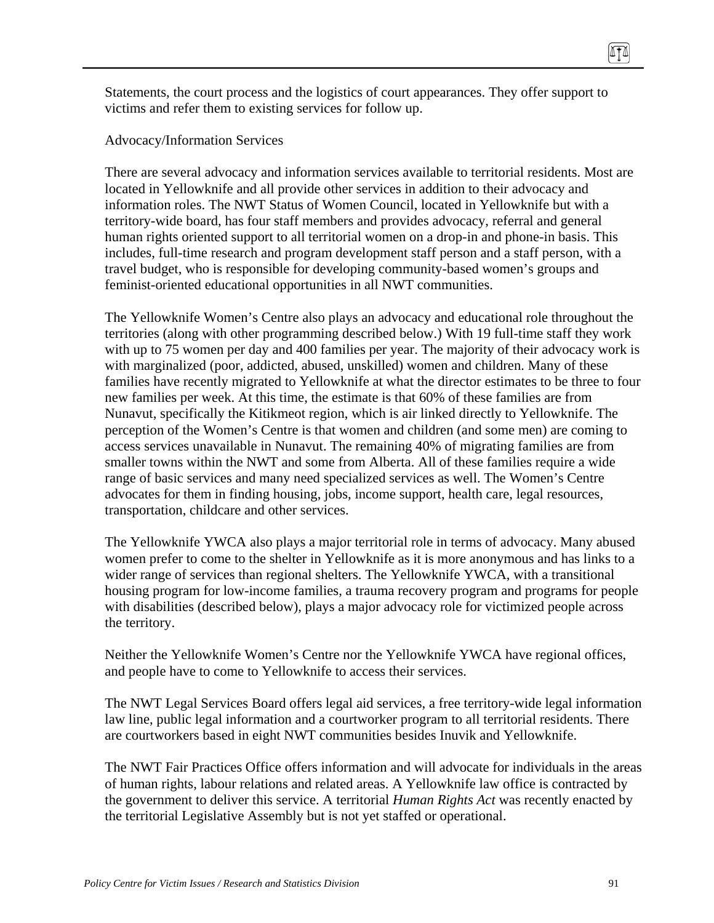Statements, the court process and the logistics of court appearances. They offer support to victims and refer them to existing services for follow up.

Advocacy/Information Services

There are several advocacy and information services available to territorial residents. Most are located in Yellowknife and all provide other services in addition to their advocacy and information roles. The NWT Status of Women Council, located in Yellowknife but with a territory-wide board, has four staff members and provides advocacy, referral and general human rights oriented support to all territorial women on a drop-in and phone-in basis. This includes, full-time research and program development staff person and a staff person, with a travel budget, who is responsible for developing community-based women's groups and feminist-oriented educational opportunities in all NWT communities.

The Yellowknife Women's Centre also plays an advocacy and educational role throughout the territories (along with other programming described below.) With 19 full-time staff they work with up to 75 women per day and 400 families per year. The majority of their advocacy work is with marginalized (poor, addicted, abused, unskilled) women and children. Many of these families have recently migrated to Yellowknife at what the director estimates to be three to four new families per week. At this time, the estimate is that 60% of these families are from Nunavut, specifically the Kitikmeot region, which is air linked directly to Yellowknife. The perception of the Women's Centre is that women and children (and some men) are coming to access services unavailable in Nunavut. The remaining 40% of migrating families are from smaller towns within the NWT and some from Alberta. All of these families require a wide range of basic services and many need specialized services as well. The Women's Centre advocates for them in finding housing, jobs, income support, health care, legal resources, transportation, childcare and other services.

The Yellowknife YWCA also plays a major territorial role in terms of advocacy. Many abused women prefer to come to the shelter in Yellowknife as it is more anonymous and has links to a wider range of services than regional shelters. The Yellowknife YWCA, with a transitional housing program for low-income families, a trauma recovery program and programs for people with disabilities (described below), plays a major advocacy role for victimized people across the territory.

Neither the Yellowknife Women's Centre nor the Yellowknife YWCA have regional offices, and people have to come to Yellowknife to access their services.

The NWT Legal Services Board offers legal aid services, a free territory-wide legal information law line, public legal information and a courtworker program to all territorial residents. There are courtworkers based in eight NWT communities besides Inuvik and Yellowknife.

The NWT Fair Practices Office offers information and will advocate for individuals in the areas of human rights, labour relations and related areas. A Yellowknife law office is contracted by the government to deliver this service. A territorial *Human Rights Act* was recently enacted by the territorial Legislative Assembly but is not yet staffed or operational.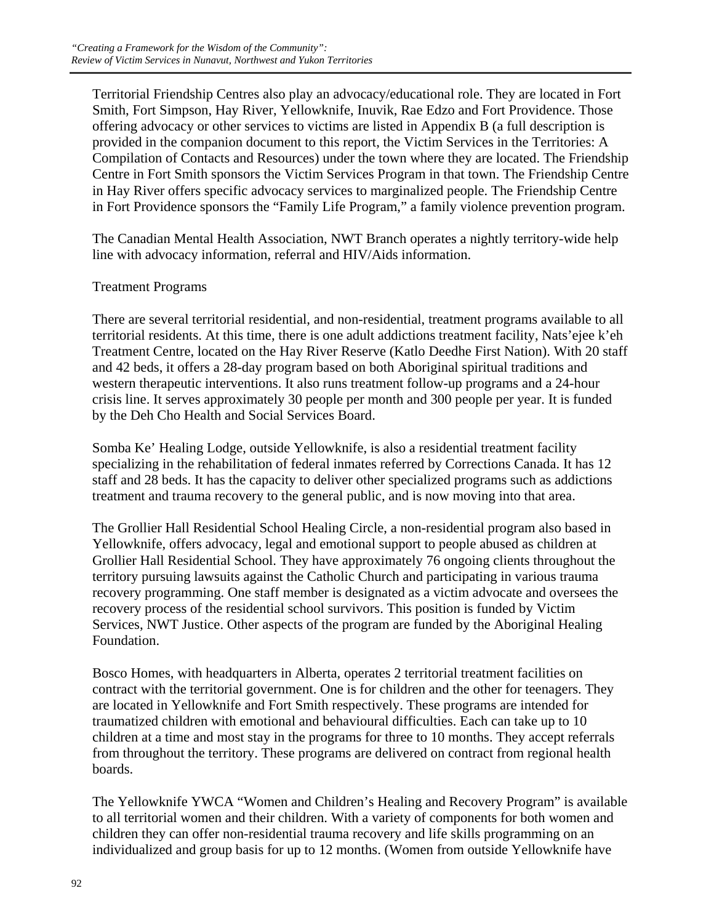Territorial Friendship Centres also play an advocacy/educational role. They are located in Fort Smith, Fort Simpson, Hay River, Yellowknife, Inuvik, Rae Edzo and Fort Providence. Those offering advocacy or other services to victims are listed in Appendix B (a full description is provided in the companion document to this report, the Victim Services in the Territories: A Compilation of Contacts and Resources) under the town where they are located. The Friendship Centre in Fort Smith sponsors the Victim Services Program in that town. The Friendship Centre in Hay River offers specific advocacy services to marginalized people. The Friendship Centre in Fort Providence sponsors the "Family Life Program," a family violence prevention program.

The Canadian Mental Health Association, NWT Branch operates a nightly territory-wide help line with advocacy information, referral and HIV/Aids information.

#### Treatment Programs

There are several territorial residential, and non-residential, treatment programs available to all territorial residents. At this time, there is one adult addictions treatment facility, Nats'ejee k'eh Treatment Centre, located on the Hay River Reserve (Katlo Deedhe First Nation). With 20 staff and 42 beds, it offers a 28-day program based on both Aboriginal spiritual traditions and western therapeutic interventions. It also runs treatment follow-up programs and a 24-hour crisis line. It serves approximately 30 people per month and 300 people per year. It is funded by the Deh Cho Health and Social Services Board.

Somba Ke' Healing Lodge, outside Yellowknife, is also a residential treatment facility specializing in the rehabilitation of federal inmates referred by Corrections Canada. It has 12 staff and 28 beds. It has the capacity to deliver other specialized programs such as addictions treatment and trauma recovery to the general public, and is now moving into that area.

The Grollier Hall Residential School Healing Circle, a non-residential program also based in Yellowknife, offers advocacy, legal and emotional support to people abused as children at Grollier Hall Residential School. They have approximately 76 ongoing clients throughout the territory pursuing lawsuits against the Catholic Church and participating in various trauma recovery programming. One staff member is designated as a victim advocate and oversees the recovery process of the residential school survivors. This position is funded by Victim Services, NWT Justice. Other aspects of the program are funded by the Aboriginal Healing Foundation.

Bosco Homes, with headquarters in Alberta, operates 2 territorial treatment facilities on contract with the territorial government. One is for children and the other for teenagers. They are located in Yellowknife and Fort Smith respectively. These programs are intended for traumatized children with emotional and behavioural difficulties. Each can take up to 10 children at a time and most stay in the programs for three to 10 months. They accept referrals from throughout the territory. These programs are delivered on contract from regional health boards.

The Yellowknife YWCA "Women and Children's Healing and Recovery Program" is available to all territorial women and their children. With a variety of components for both women and children they can offer non-residential trauma recovery and life skills programming on an individualized and group basis for up to 12 months. (Women from outside Yellowknife have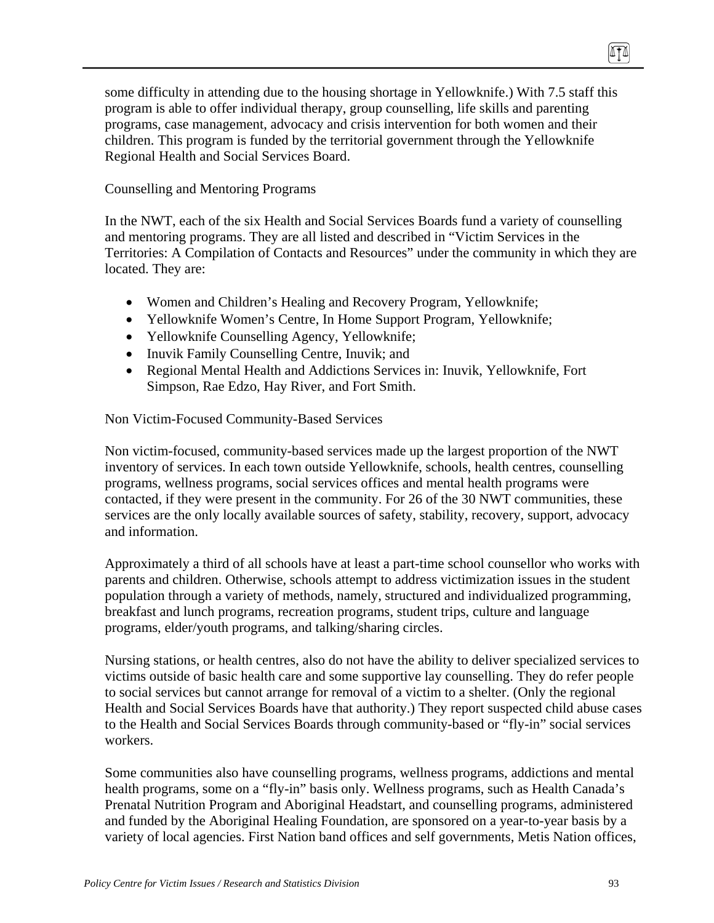some difficulty in attending due to the housing shortage in Yellowknife.) With 7.5 staff this program is able to offer individual therapy, group counselling, life skills and parenting programs, case management, advocacy and crisis intervention for both women and their children. This program is funded by the territorial government through the Yellowknife Regional Health and Social Services Board.

#### Counselling and Mentoring Programs

In the NWT, each of the six Health and Social Services Boards fund a variety of counselling and mentoring programs. They are all listed and described in "Victim Services in the Territories: A Compilation of Contacts and Resources" under the community in which they are located. They are:

- Women and Children's Healing and Recovery Program, Yellowknife;
- Yellowknife Women's Centre, In Home Support Program, Yellowknife;
- Yellowknife Counselling Agency, Yellowknife;
- Inuvik Family Counselling Centre, Inuvik; and
- Regional Mental Health and Addictions Services in: Inuvik, Yellowknife, Fort Simpson, Rae Edzo, Hay River, and Fort Smith.

Non Victim-Focused Community-Based Services

Non victim-focused, community-based services made up the largest proportion of the NWT inventory of services. In each town outside Yellowknife, schools, health centres, counselling programs, wellness programs, social services offices and mental health programs were contacted, if they were present in the community. For 26 of the 30 NWT communities, these services are the only locally available sources of safety, stability, recovery, support, advocacy and information.

Approximately a third of all schools have at least a part-time school counsellor who works with parents and children. Otherwise, schools attempt to address victimization issues in the student population through a variety of methods, namely, structured and individualized programming, breakfast and lunch programs, recreation programs, student trips, culture and language programs, elder/youth programs, and talking/sharing circles.

Nursing stations, or health centres, also do not have the ability to deliver specialized services to victims outside of basic health care and some supportive lay counselling. They do refer people to social services but cannot arrange for removal of a victim to a shelter. (Only the regional Health and Social Services Boards have that authority.) They report suspected child abuse cases to the Health and Social Services Boards through community-based or "fly-in" social services workers.

Some communities also have counselling programs, wellness programs, addictions and mental health programs, some on a "fly-in" basis only. Wellness programs, such as Health Canada's Prenatal Nutrition Program and Aboriginal Headstart, and counselling programs, administered and funded by the Aboriginal Healing Foundation, are sponsored on a year-to-year basis by a variety of local agencies. First Nation band offices and self governments, Metis Nation offices,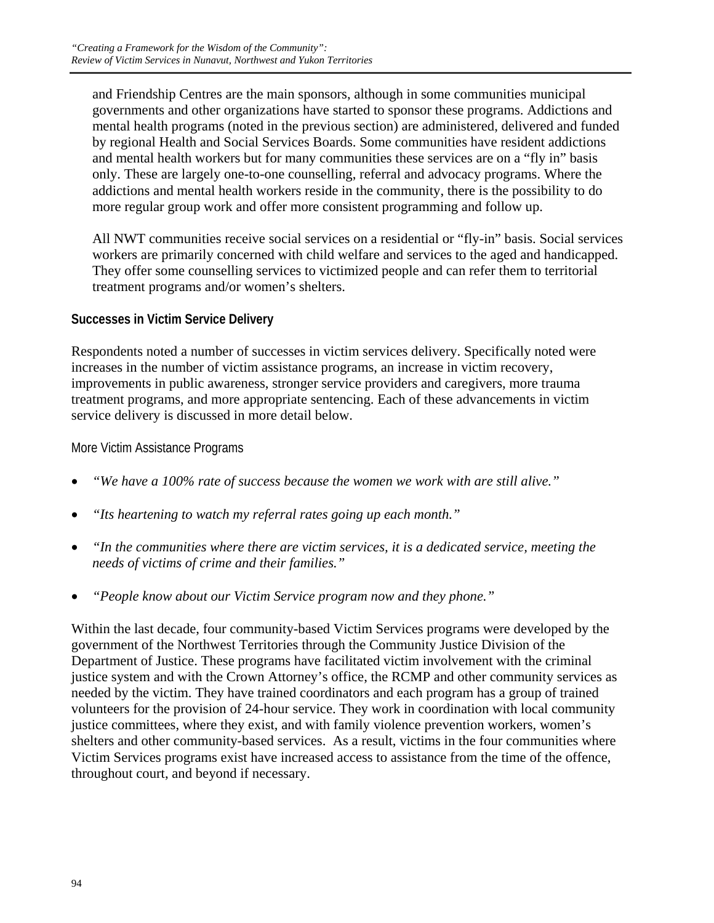and Friendship Centres are the main sponsors, although in some communities municipal governments and other organizations have started to sponsor these programs. Addictions and mental health programs (noted in the previous section) are administered, delivered and funded by regional Health and Social Services Boards. Some communities have resident addictions and mental health workers but for many communities these services are on a "fly in" basis only. These are largely one-to-one counselling, referral and advocacy programs. Where the addictions and mental health workers reside in the community, there is the possibility to do more regular group work and offer more consistent programming and follow up.

All NWT communities receive social services on a residential or "fly-in" basis. Social services workers are primarily concerned with child welfare and services to the aged and handicapped. They offer some counselling services to victimized people and can refer them to territorial treatment programs and/or women's shelters.

### **Successes in Victim Service Delivery**

Respondents noted a number of successes in victim services delivery. Specifically noted were increases in the number of victim assistance programs, an increase in victim recovery, improvements in public awareness, stronger service providers and caregivers, more trauma treatment programs, and more appropriate sentencing. Each of these advancements in victim service delivery is discussed in more detail below.

#### More Victim Assistance Programs

- *"We have a 100% rate of success because the women we work with are still alive."*
- *"Its heartening to watch my referral rates going up each month."*
- *"In the communities where there are victim services, it is a dedicated service, meeting the needs of victims of crime and their families."*
- *"People know about our Victim Service program now and they phone."*

Within the last decade, four community-based Victim Services programs were developed by the government of the Northwest Territories through the Community Justice Division of the Department of Justice. These programs have facilitated victim involvement with the criminal justice system and with the Crown Attorney's office, the RCMP and other community services as needed by the victim. They have trained coordinators and each program has a group of trained volunteers for the provision of 24-hour service. They work in coordination with local community justice committees, where they exist, and with family violence prevention workers, women's shelters and other community-based services. As a result, victims in the four communities where Victim Services programs exist have increased access to assistance from the time of the offence, throughout court, and beyond if necessary.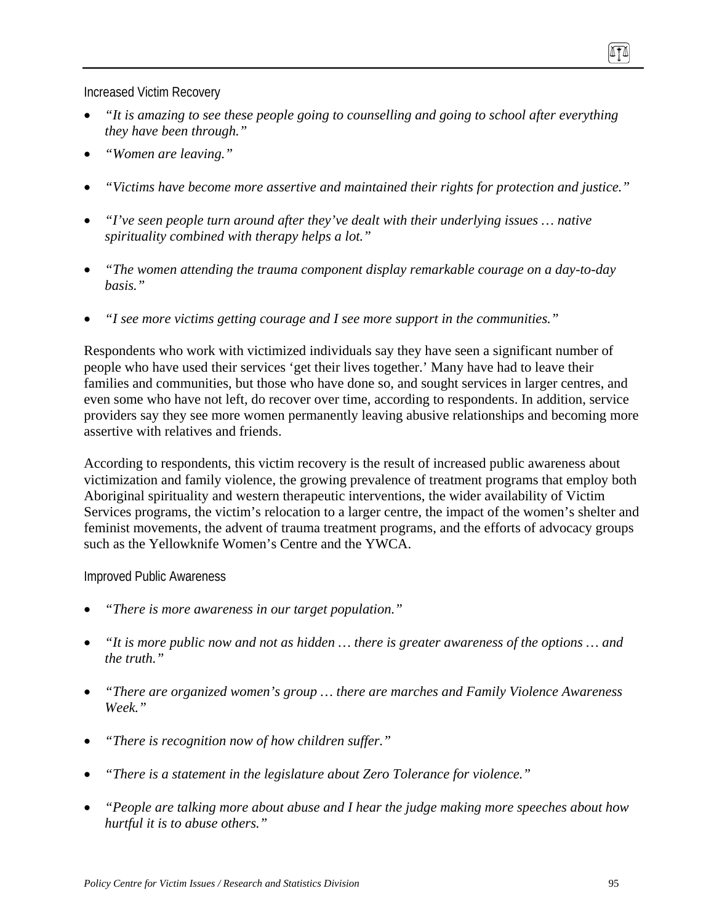Increased Victim Recovery

- *"It is amazing to see these people going to counselling and going to school after everything they have been through."*
- *"Women are leaving."*
- *"Victims have become more assertive and maintained their rights for protection and justice."*
- *"I've seen people turn around after they've dealt with their underlying issues … native spirituality combined with therapy helps a lot."*
- *"The women attending the trauma component display remarkable courage on a day-to-day basis."*
- *"I see more victims getting courage and I see more support in the communities."*

Respondents who work with victimized individuals say they have seen a significant number of people who have used their services 'get their lives together.' Many have had to leave their families and communities, but those who have done so, and sought services in larger centres, and even some who have not left, do recover over time, according to respondents. In addition, service providers say they see more women permanently leaving abusive relationships and becoming more assertive with relatives and friends.

According to respondents, this victim recovery is the result of increased public awareness about victimization and family violence, the growing prevalence of treatment programs that employ both Aboriginal spirituality and western therapeutic interventions, the wider availability of Victim Services programs, the victim's relocation to a larger centre, the impact of the women's shelter and feminist movements, the advent of trauma treatment programs, and the efforts of advocacy groups such as the Yellowknife Women's Centre and the YWCA.

Improved Public Awareness

- *"There is more awareness in our target population."*
- *"It is more public now and not as hidden … there is greater awareness of the options … and the truth."*
- *"There are organized women's group … there are marches and Family Violence Awareness Week."*
- *"There is recognition now of how children suffer."*
- *"There is a statement in the legislature about Zero Tolerance for violence."*
- *"People are talking more about abuse and I hear the judge making more speeches about how hurtful it is to abuse others."*

ITI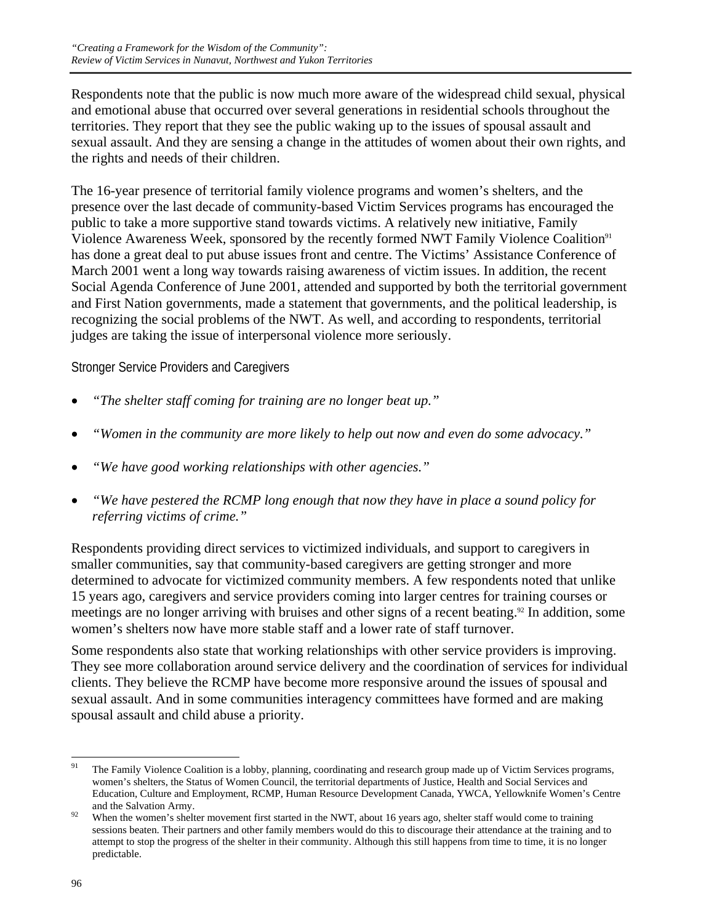Respondents note that the public is now much more aware of the widespread child sexual, physical and emotional abuse that occurred over several generations in residential schools throughout the territories. They report that they see the public waking up to the issues of spousal assault and sexual assault. And they are sensing a change in the attitudes of women about their own rights, and the rights and needs of their children.

The 16-year presence of territorial family violence programs and women's shelters, and the presence over the last decade of community-based Victim Services programs has encouraged the public to take a more supportive stand towards victims. A relatively new initiative, Family Violence Awareness Week, sponsored by the recently formed NWT Family Violence Coalition<sup>91</sup> has done a great deal to put abuse issues front and centre. The Victims' Assistance Conference of March 2001 went a long way towards raising awareness of victim issues. In addition, the recent Social Agenda Conference of June 2001, attended and supported by both the territorial government and First Nation governments, made a statement that governments, and the political leadership, is recognizing the social problems of the NWT. As well, and according to respondents, territorial judges are taking the issue of interpersonal violence more seriously.

Stronger Service Providers and Caregivers

- *"The shelter staff coming for training are no longer beat up."*
- *"Women in the community are more likely to help out now and even do some advocacy."*
- *"We have good working relationships with other agencies."*
- *"We have pestered the RCMP long enough that now they have in place a sound policy for referring victims of crime."*

Respondents providing direct services to victimized individuals, and support to caregivers in smaller communities, say that community-based caregivers are getting stronger and more determined to advocate for victimized community members. A few respondents noted that unlike 15 years ago, caregivers and service providers coming into larger centres for training courses or meetings are no longer arriving with bruises and other signs of a recent beating.92 In addition, some women's shelters now have more stable staff and a lower rate of staff turnover.

Some respondents also state that working relationships with other service providers is improving. They see more collaboration around service delivery and the coordination of services for individual clients. They believe the RCMP have become more responsive around the issues of spousal and sexual assault. And in some communities interagency committees have formed and are making spousal assault and child abuse a priority.

<sup>91</sup> The Family Violence Coalition is a lobby, planning, coordinating and research group made up of Victim Services programs, women's shelters, the Status of Women Council, the territorial departments of Justice, Health and Social Services and Education, Culture and Employment, RCMP, Human Resource Development Canada, YWCA, Yellowknife Women's Centre and the Salvation Army.<br><sup>92</sup> When the women's shelter movement first started in the NWT, about 16 years ago, shelter staff would come to training

sessions beaten. Their partners and other family members would do this to discourage their attendance at the training and to attempt to stop the progress of the shelter in their community. Although this still happens from time to time, it is no longer predictable.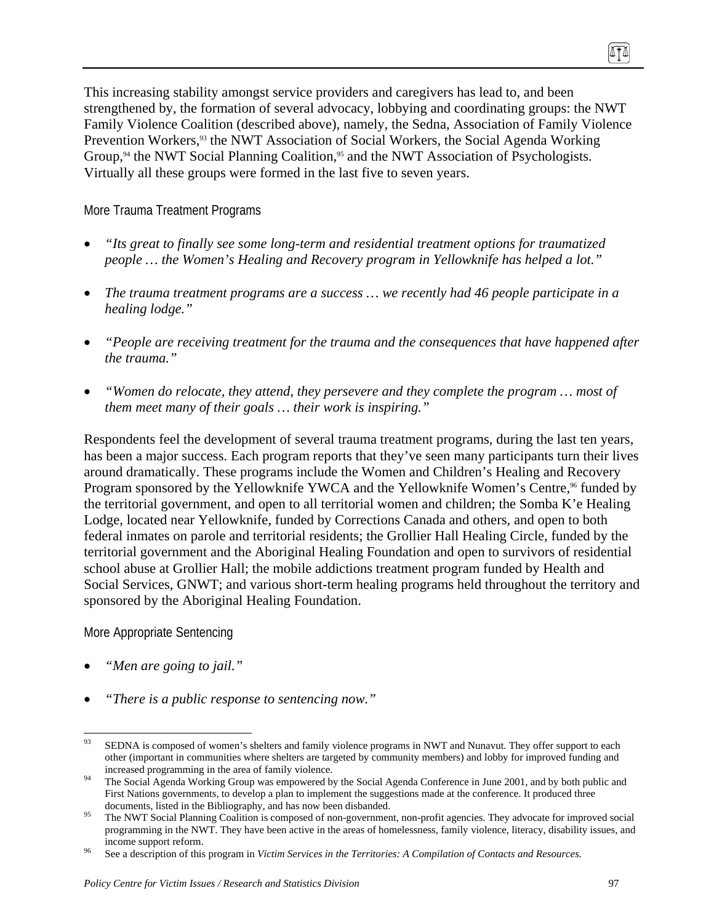This increasing stability amongst service providers and caregivers has lead to, and been strengthened by, the formation of several advocacy, lobbying and coordinating groups: the NWT Family Violence Coalition (described above), namely, the Sedna, Association of Family Violence Prevention Workers,<sup>93</sup> the NWT Association of Social Workers, the Social Agenda Working Group, $94$  the NWT Social Planning Coalition, $95$  and the NWT Association of Psychologists. Virtually all these groups were formed in the last five to seven years.

More Trauma Treatment Programs

- *"Its great to finally see some long-term and residential treatment options for traumatized people … the Women's Healing and Recovery program in Yellowknife has helped a lot."*
- *The trauma treatment programs are a success … we recently had 46 people participate in a healing lodge."*
- *"People are receiving treatment for the trauma and the consequences that have happened after the trauma."*
- *"Women do relocate, they attend, they persevere and they complete the program … most of them meet many of their goals … their work is inspiring."*

Respondents feel the development of several trauma treatment programs, during the last ten years, has been a major success. Each program reports that they've seen many participants turn their lives around dramatically. These programs include the Women and Children's Healing and Recovery Program sponsored by the Yellowknife YWCA and the Yellowknife Women's Centre,<sup>96</sup> funded by the territorial government, and open to all territorial women and children; the Somba K'e Healing Lodge, located near Yellowknife, funded by Corrections Canada and others, and open to both federal inmates on parole and territorial residents; the Grollier Hall Healing Circle, funded by the territorial government and the Aboriginal Healing Foundation and open to survivors of residential school abuse at Grollier Hall; the mobile addictions treatment program funded by Health and Social Services, GNWT; and various short-term healing programs held throughout the territory and sponsored by the Aboriginal Healing Foundation.

More Appropriate Sentencing

- *"Men are going to jail."*
- *"There is a public response to sentencing now."*

ITI

<sup>93</sup> 93 SEDNA is composed of women's shelters and family violence programs in NWT and Nunavut. They offer support to each other (important in communities where shelters are targeted by community members) and lobby for improved funding and

increased programming in the area of family violence.<br><sup>94</sup> The Social Agenda Working Group was empowered by the Social Agenda Conference in June 2001, and by both public and First Nations governments, to develop a plan to implement the suggestions made at the conference. It produced three

documents, listed in the Bibliography, and has now been disbanded.<br><sup>95</sup> The NWT Social Planning Coalition is composed of non-government, non-profit agencies. They advocate for improved social programming in the NWT. They have been active in the areas of homelessness, family violence, literacy, disability issues, and income support reform. 96 See a description of this program in *Victim Services in the Territories: A Compilation of Contacts and Resources.*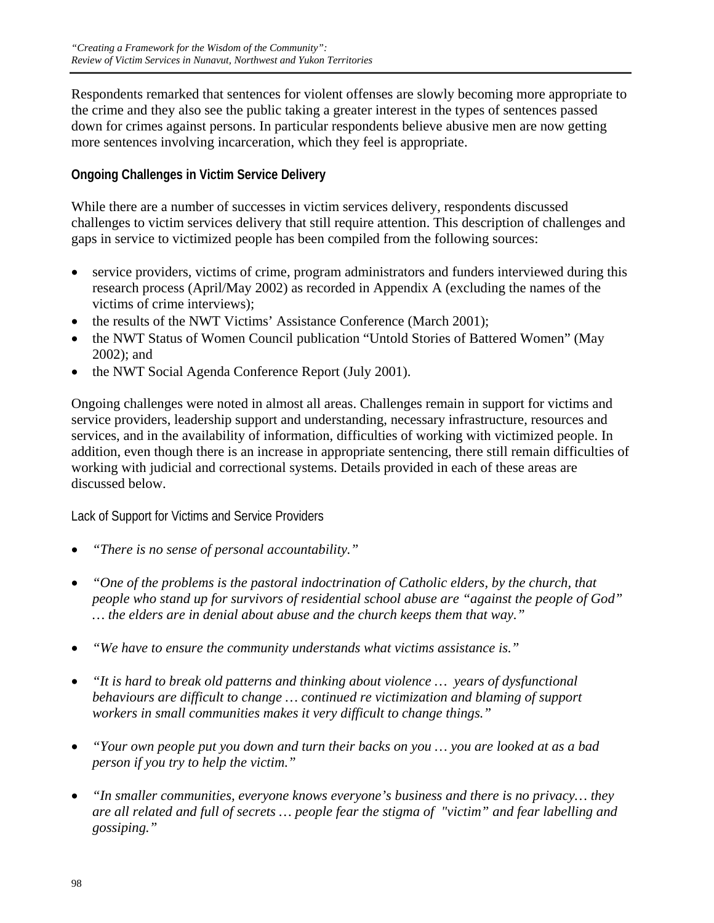Respondents remarked that sentences for violent offenses are slowly becoming more appropriate to the crime and they also see the public taking a greater interest in the types of sentences passed down for crimes against persons. In particular respondents believe abusive men are now getting more sentences involving incarceration, which they feel is appropriate.

## **Ongoing Challenges in Victim Service Delivery**

While there are a number of successes in victim services delivery, respondents discussed challenges to victim services delivery that still require attention. This description of challenges and gaps in service to victimized people has been compiled from the following sources:

- service providers, victims of crime, program administrators and funders interviewed during this research process (April/May 2002) as recorded in Appendix A (excluding the names of the victims of crime interviews);
- the results of the NWT Victims' Assistance Conference (March 2001);
- the NWT Status of Women Council publication "Untold Stories of Battered Women" (May 2002); and
- the NWT Social Agenda Conference Report (July 2001).

Ongoing challenges were noted in almost all areas. Challenges remain in support for victims and service providers, leadership support and understanding, necessary infrastructure, resources and services, and in the availability of information, difficulties of working with victimized people. In addition, even though there is an increase in appropriate sentencing, there still remain difficulties of working with judicial and correctional systems. Details provided in each of these areas are discussed below.

Lack of Support for Victims and Service Providers

- *"There is no sense of personal accountability."*
- *"One of the problems is the pastoral indoctrination of Catholic elders, by the church, that people who stand up for survivors of residential school abuse are "against the people of God" … the elders are in denial about abuse and the church keeps them that way."*
- *"We have to ensure the community understands what victims assistance is."*
- *"It is hard to break old patterns and thinking about violence … years of dysfunctional behaviours are difficult to change … continued re victimization and blaming of support workers in small communities makes it very difficult to change things."*
- *"Your own people put you down and turn their backs on you … you are looked at as a bad person if you try to help the victim."*
- *"In smaller communities, everyone knows everyone's business and there is no privacy… they are all related and full of secrets … people fear the stigma of "victim" and fear labelling and gossiping."*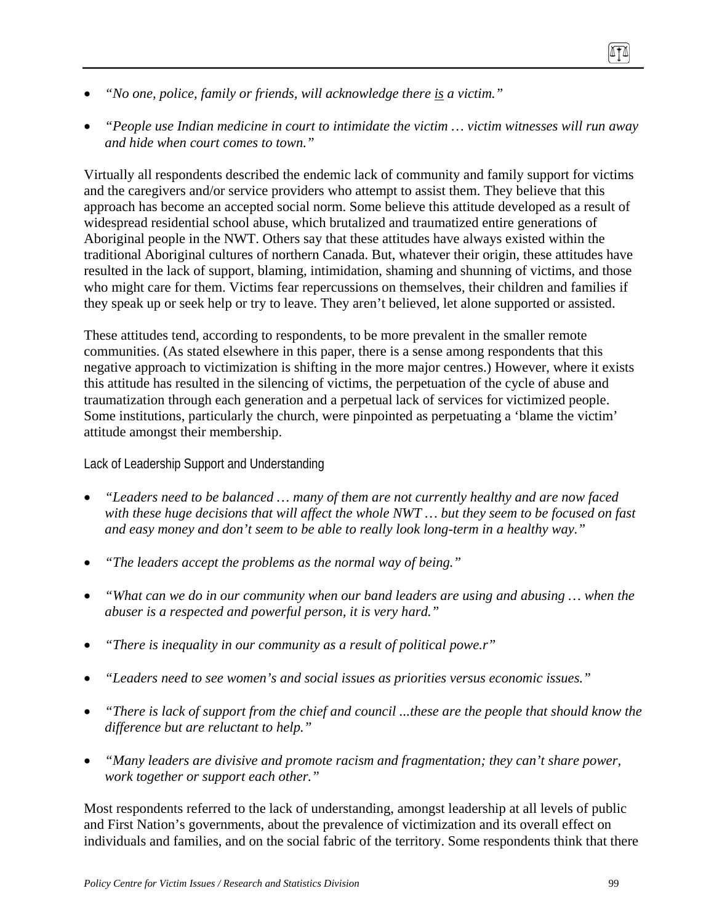- *"No one, police, family or friends, will acknowledge there is a victim."*
- *"People use Indian medicine in court to intimidate the victim … victim witnesses will run away and hide when court comes to town."*

Virtually all respondents described the endemic lack of community and family support for victims and the caregivers and/or service providers who attempt to assist them. They believe that this approach has become an accepted social norm. Some believe this attitude developed as a result of widespread residential school abuse, which brutalized and traumatized entire generations of Aboriginal people in the NWT. Others say that these attitudes have always existed within the traditional Aboriginal cultures of northern Canada. But, whatever their origin, these attitudes have resulted in the lack of support, blaming, intimidation, shaming and shunning of victims, and those who might care for them. Victims fear repercussions on themselves, their children and families if they speak up or seek help or try to leave. They aren't believed, let alone supported or assisted.

These attitudes tend, according to respondents, to be more prevalent in the smaller remote communities. (As stated elsewhere in this paper, there is a sense among respondents that this negative approach to victimization is shifting in the more major centres.) However, where it exists this attitude has resulted in the silencing of victims, the perpetuation of the cycle of abuse and traumatization through each generation and a perpetual lack of services for victimized people. Some institutions, particularly the church, were pinpointed as perpetuating a 'blame the victim' attitude amongst their membership.

#### Lack of Leadership Support and Understanding

- *"Leaders need to be balanced … many of them are not currently healthy and are now faced with these huge decisions that will affect the whole NWT … but they seem to be focused on fast and easy money and don't seem to be able to really look long-term in a healthy way."*
- *"The leaders accept the problems as the normal way of being."*
- *"What can we do in our community when our band leaders are using and abusing … when the abuser is a respected and powerful person, it is very hard."*
- *"There is inequality in our community as a result of political powe.r"*
- *"Leaders need to see women's and social issues as priorities versus economic issues."*
- *"There is lack of support from the chief and council ...these are the people that should know the difference but are reluctant to help."*
- *"Many leaders are divisive and promote racism and fragmentation; they can't share power, work together or support each other."*

Most respondents referred to the lack of understanding, amongst leadership at all levels of public and First Nation's governments, about the prevalence of victimization and its overall effect on individuals and families, and on the social fabric of the territory. Some respondents think that there

ITI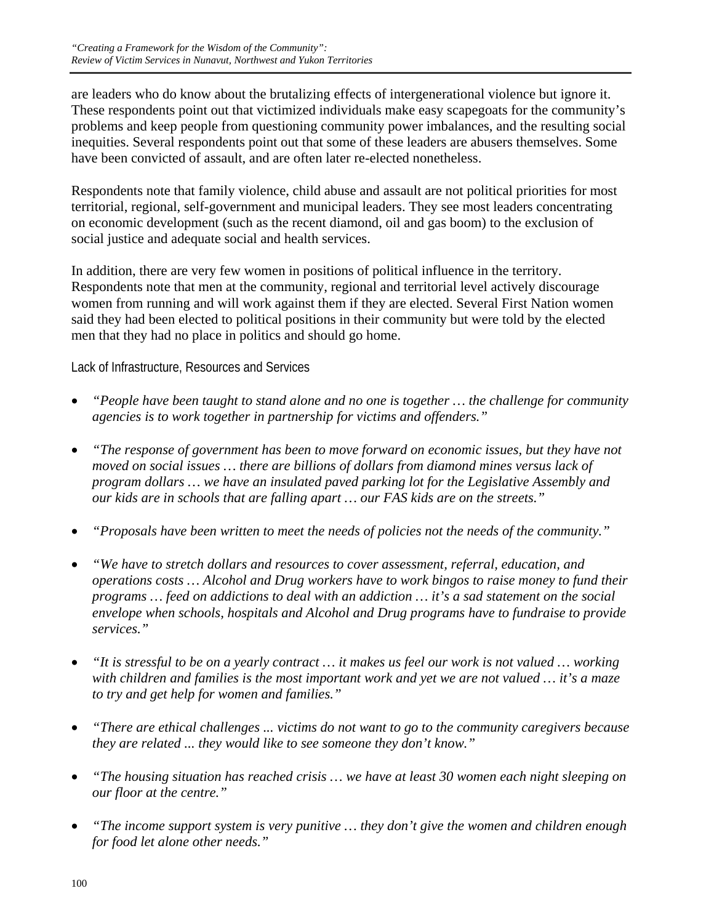are leaders who do know about the brutalizing effects of intergenerational violence but ignore it. These respondents point out that victimized individuals make easy scapegoats for the community's problems and keep people from questioning community power imbalances, and the resulting social inequities. Several respondents point out that some of these leaders are abusers themselves. Some have been convicted of assault, and are often later re-elected nonetheless.

Respondents note that family violence, child abuse and assault are not political priorities for most territorial, regional, self-government and municipal leaders. They see most leaders concentrating on economic development (such as the recent diamond, oil and gas boom) to the exclusion of social justice and adequate social and health services.

In addition, there are very few women in positions of political influence in the territory. Respondents note that men at the community, regional and territorial level actively discourage women from running and will work against them if they are elected. Several First Nation women said they had been elected to political positions in their community but were told by the elected men that they had no place in politics and should go home.

Lack of Infrastructure, Resources and Services

- *"People have been taught to stand alone and no one is together … the challenge for community agencies is to work together in partnership for victims and offenders."*
- *"The response of government has been to move forward on economic issues, but they have not moved on social issues … there are billions of dollars from diamond mines versus lack of program dollars … we have an insulated paved parking lot for the Legislative Assembly and our kids are in schools that are falling apart … our FAS kids are on the streets."*
- *"Proposals have been written to meet the needs of policies not the needs of the community."*
- *"We have to stretch dollars and resources to cover assessment, referral, education, and operations costs … Alcohol and Drug workers have to work bingos to raise money to fund their programs … feed on addictions to deal with an addiction … it's a sad statement on the social envelope when schools, hospitals and Alcohol and Drug programs have to fundraise to provide services."*
- *"It is stressful to be on a yearly contract … it makes us feel our work is not valued … working with children and families is the most important work and yet we are not valued … it's a maze to try and get help for women and families."*
- *"There are ethical challenges ... victims do not want to go to the community caregivers because they are related ... they would like to see someone they don't know."*
- *"The housing situation has reached crisis … we have at least 30 women each night sleeping on our floor at the centre."*
- *"The income support system is very punitive … they don't give the women and children enough for food let alone other needs."*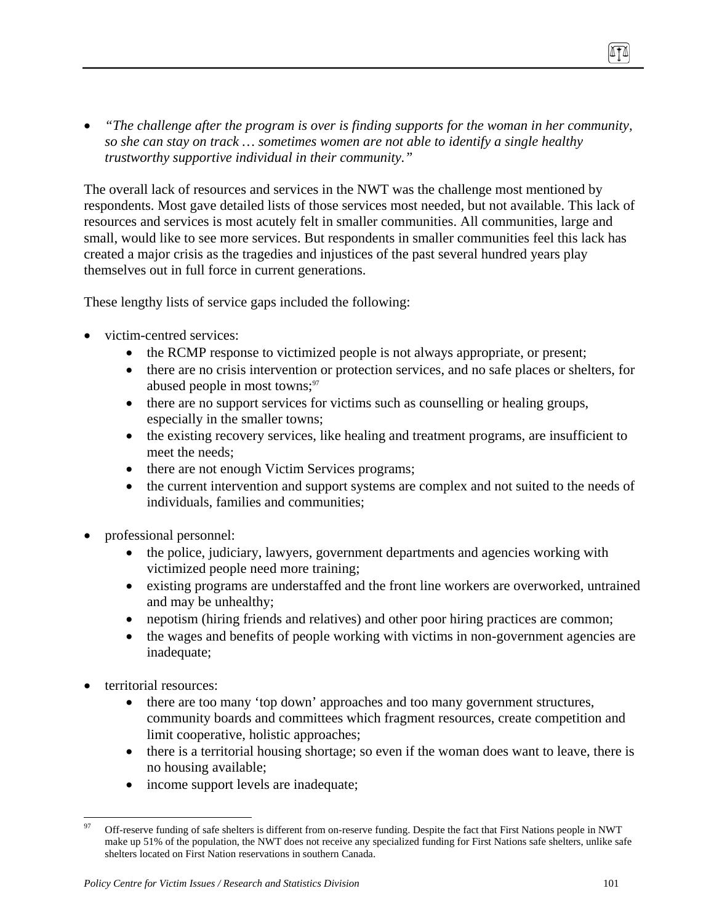• *"The challenge after the program is over is finding supports for the woman in her community, so she can stay on track … sometimes women are not able to identify a single healthy trustworthy supportive individual in their community."* 

The overall lack of resources and services in the NWT was the challenge most mentioned by respondents. Most gave detailed lists of those services most needed, but not available. This lack of resources and services is most acutely felt in smaller communities. All communities, large and small, would like to see more services. But respondents in smaller communities feel this lack has created a major crisis as the tragedies and injustices of the past several hundred years play themselves out in full force in current generations.

These lengthy lists of service gaps included the following:

- victim-centred services:
	- the RCMP response to victimized people is not always appropriate, or present;
	- there are no crisis intervention or protection services, and no safe places or shelters, for abused people in most towns;<sup>97</sup>
	- there are no support services for victims such as counselling or healing groups, especially in the smaller towns;
	- the existing recovery services, like healing and treatment programs, are insufficient to meet the needs;
	- there are not enough Victim Services programs;
	- the current intervention and support systems are complex and not suited to the needs of individuals, families and communities;
- professional personnel:
	- the police, judiciary, lawyers, government departments and agencies working with victimized people need more training;
	- existing programs are understaffed and the front line workers are overworked, untrained and may be unhealthy;
	- nepotism (hiring friends and relatives) and other poor hiring practices are common;
	- the wages and benefits of people working with victims in non-government agencies are inadequate;
- territorial resources:
	- there are too many 'top down' approaches and too many government structures, community boards and committees which fragment resources, create competition and limit cooperative, holistic approaches;
	- there is a territorial housing shortage; so even if the woman does want to leave, there is no housing available;
	- income support levels are inadequate;

<sup>&</sup>lt;u>.</u> 97 Off-reserve funding of safe shelters is different from on-reserve funding. Despite the fact that First Nations people in NWT make up 51% of the population, the NWT does not receive any specialized funding for First Nations safe shelters, unlike safe shelters located on First Nation reservations in southern Canada.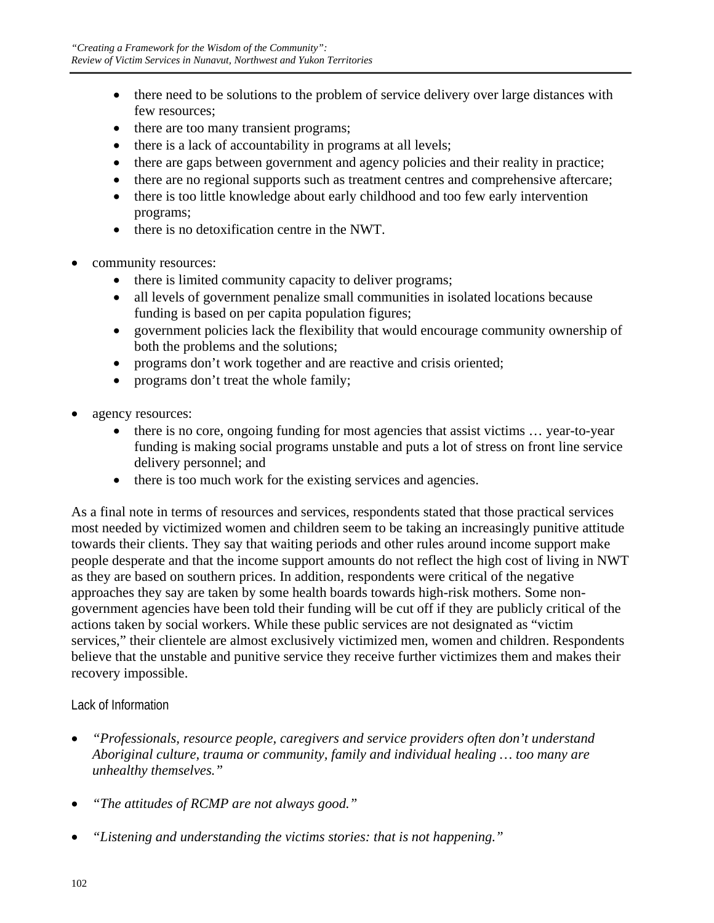- there need to be solutions to the problem of service delivery over large distances with few resources;
- there are too many transient programs;
- there is a lack of accountability in programs at all levels;
- there are gaps between government and agency policies and their reality in practice;
- there are no regional supports such as treatment centres and comprehensive aftercare;
- there is too little knowledge about early childhood and too few early intervention programs;
- there is no detoxification centre in the NWT.
- community resources:
	- there is limited community capacity to deliver programs;
	- all levels of government penalize small communities in isolated locations because funding is based on per capita population figures;
	- government policies lack the flexibility that would encourage community ownership of both the problems and the solutions;
	- programs don't work together and are reactive and crisis oriented;
	- programs don't treat the whole family;
- agency resources:
	- there is no core, ongoing funding for most agencies that assist victims ... year-to-year funding is making social programs unstable and puts a lot of stress on front line service delivery personnel; and
	- there is too much work for the existing services and agencies.

As a final note in terms of resources and services, respondents stated that those practical services most needed by victimized women and children seem to be taking an increasingly punitive attitude towards their clients. They say that waiting periods and other rules around income support make people desperate and that the income support amounts do not reflect the high cost of living in NWT as they are based on southern prices. In addition, respondents were critical of the negative approaches they say are taken by some health boards towards high-risk mothers. Some nongovernment agencies have been told their funding will be cut off if they are publicly critical of the actions taken by social workers. While these public services are not designated as "victim services," their clientele are almost exclusively victimized men, women and children. Respondents believe that the unstable and punitive service they receive further victimizes them and makes their recovery impossible.

## Lack of Information

- *"Professionals, resource people, caregivers and service providers often don't understand Aboriginal culture, trauma or community, family and individual healing … too many are unhealthy themselves."*
- *"The attitudes of RCMP are not always good."*
- *"Listening and understanding the victims stories: that is not happening."*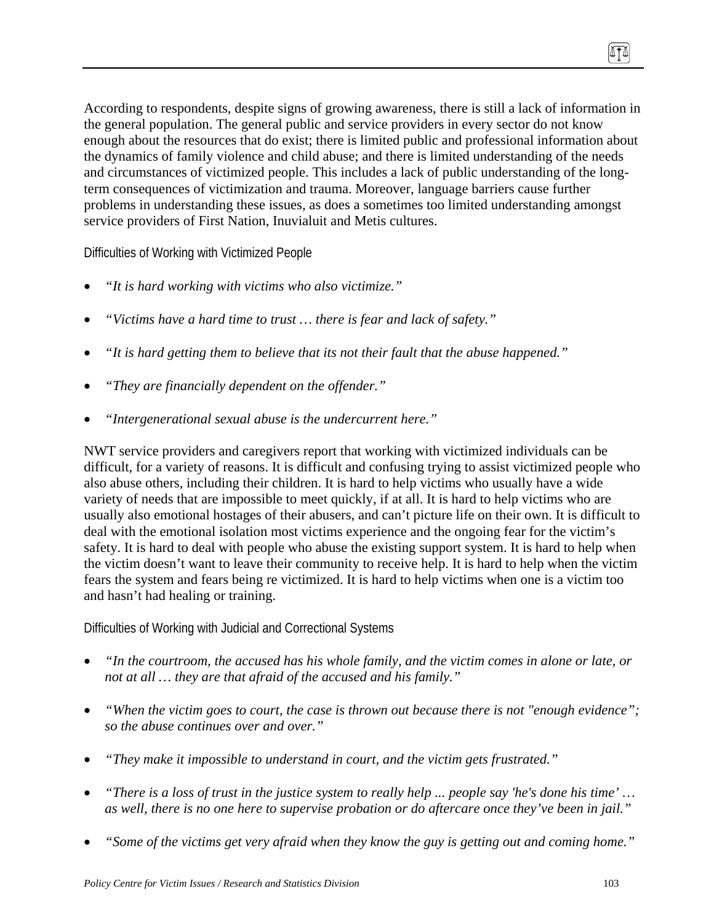According to respondents, despite signs of growing awareness, there is still a lack of information in the general population. The general public and service providers in every sector do not know enough about the resources that do exist; there is limited public and professional information about the dynamics of family violence and child abuse; and there is limited understanding of the needs and circumstances of victimized people. This includes a lack of public understanding of the longterm consequences of victimization and trauma. Moreover, language barriers cause further problems in understanding these issues, as does a sometimes too limited understanding amongst service providers of First Nation, Inuvialuit and Metis cultures.

Difficulties of Working with Victimized People

- *"It is hard working with victims who also victimize."*
- *"Victims have a hard time to trust … there is fear and lack of safety."*
- *"It is hard getting them to believe that its not their fault that the abuse happened."*
- *"They are financially dependent on the offender."*
- *"Intergenerational sexual abuse is the undercurrent here."*

NWT service providers and caregivers report that working with victimized individuals can be difficult, for a variety of reasons. It is difficult and confusing trying to assist victimized people who also abuse others, including their children. It is hard to help victims who usually have a wide variety of needs that are impossible to meet quickly, if at all. It is hard to help victims who are usually also emotional hostages of their abusers, and can't picture life on their own. It is difficult to deal with the emotional isolation most victims experience and the ongoing fear for the victim's safety. It is hard to deal with people who abuse the existing support system. It is hard to help when the victim doesn't want to leave their community to receive help. It is hard to help when the victim fears the system and fears being re victimized. It is hard to help victims when one is a victim too and hasn't had healing or training.

Difficulties of Working with Judicial and Correctional Systems

- *"In the courtroom, the accused has his whole family, and the victim comes in alone or late, or not at all … they are that afraid of the accused and his family."*
- *"When the victim goes to court, the case is thrown out because there is not "enough evidence"; so the abuse continues over and over."*
- *"They make it impossible to understand in court, and the victim gets frustrated."*
- *"There is a loss of trust in the justice system to really help ... people say 'he's done his time' … as well, there is no one here to supervise probation or do aftercare once they've been in jail."*
- *"Some of the victims get very afraid when they know the guy is getting out and coming home."*

(ITA)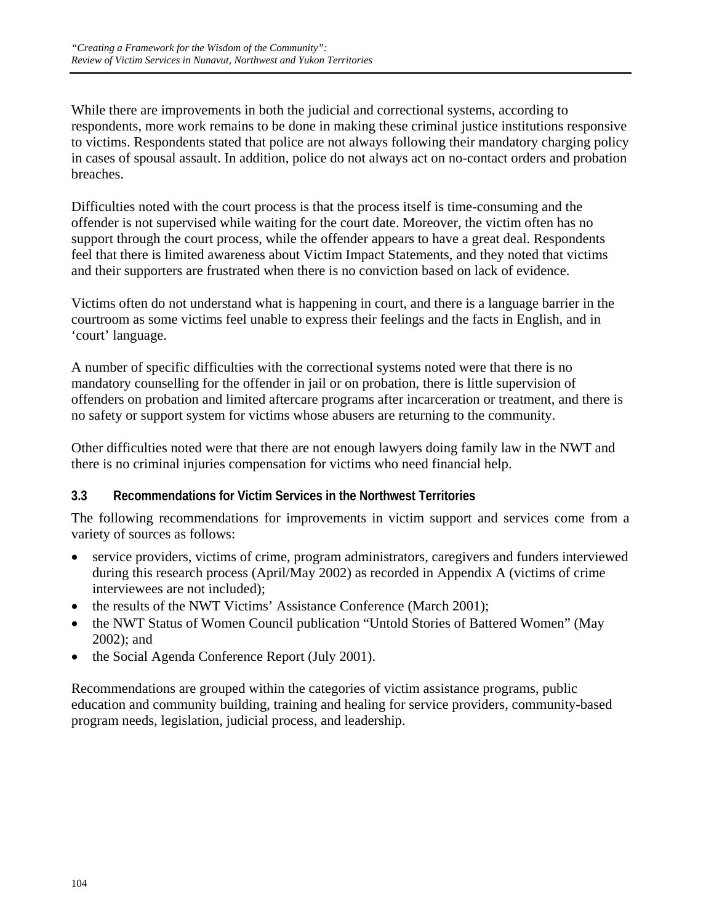While there are improvements in both the judicial and correctional systems, according to respondents, more work remains to be done in making these criminal justice institutions responsive to victims. Respondents stated that police are not always following their mandatory charging policy in cases of spousal assault. In addition, police do not always act on no-contact orders and probation breaches.

Difficulties noted with the court process is that the process itself is time-consuming and the offender is not supervised while waiting for the court date. Moreover, the victim often has no support through the court process, while the offender appears to have a great deal. Respondents feel that there is limited awareness about Victim Impact Statements, and they noted that victims and their supporters are frustrated when there is no conviction based on lack of evidence.

Victims often do not understand what is happening in court, and there is a language barrier in the courtroom as some victims feel unable to express their feelings and the facts in English, and in 'court' language.

A number of specific difficulties with the correctional systems noted were that there is no mandatory counselling for the offender in jail or on probation, there is little supervision of offenders on probation and limited aftercare programs after incarceration or treatment, and there is no safety or support system for victims whose abusers are returning to the community.

Other difficulties noted were that there are not enough lawyers doing family law in the NWT and there is no criminal injuries compensation for victims who need financial help.

## **3.3 Recommendations for Victim Services in the Northwest Territories**

The following recommendations for improvements in victim support and services come from a variety of sources as follows:

- service providers, victims of crime, program administrators, caregivers and funders interviewed during this research process (April/May 2002) as recorded in Appendix A (victims of crime interviewees are not included);
- the results of the NWT Victims' Assistance Conference (March 2001);
- the NWT Status of Women Council publication "Untold Stories of Battered Women" (May 2002); and
- the Social Agenda Conference Report (July 2001).

Recommendations are grouped within the categories of victim assistance programs, public education and community building, training and healing for service providers, community-based program needs, legislation, judicial process, and leadership.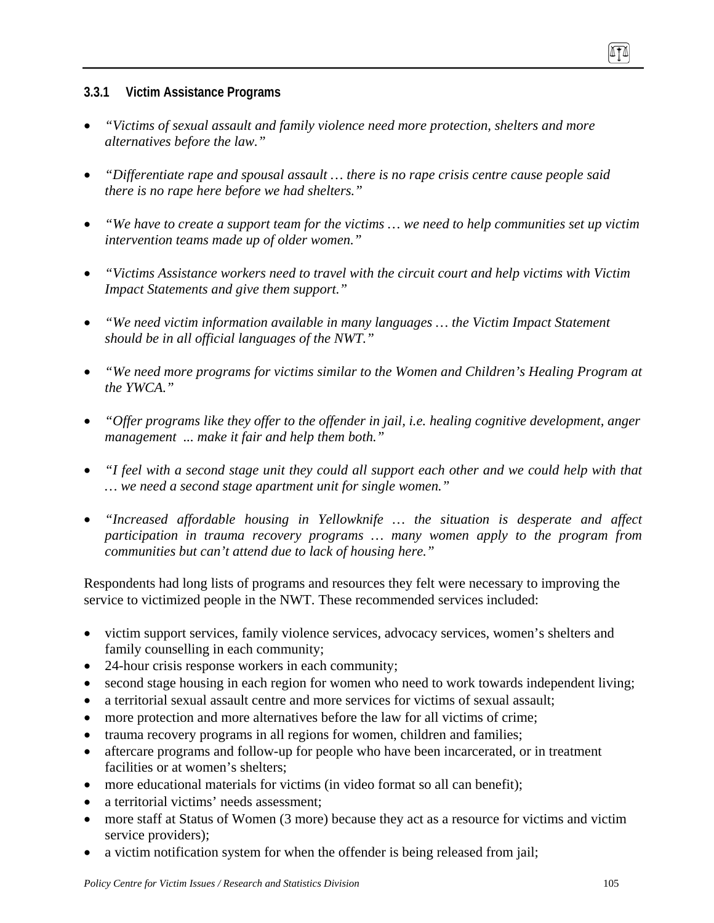## **3.3.1 Victim Assistance Programs**

- *"Victims of sexual assault and family violence need more protection, shelters and more alternatives before the law."*
- *"Differentiate rape and spousal assault … there is no rape crisis centre cause people said there is no rape here before we had shelters."*
- *"We have to create a support team for the victims … we need to help communities set up victim intervention teams made up of older women."*
- *"Victims Assistance workers need to travel with the circuit court and help victims with Victim Impact Statements and give them support."*
- *"We need victim information available in many languages … the Victim Impact Statement should be in all official languages of the NWT."*
- *"We need more programs for victims similar to the Women and Children's Healing Program at the YWCA."*
- *"Offer programs like they offer to the offender in jail, i.e. healing cognitive development, anger management ... make it fair and help them both."*
- *"I feel with a second stage unit they could all support each other and we could help with that … we need a second stage apartment unit for single women."*
- *"Increased affordable housing in Yellowknife … the situation is desperate and affect participation in trauma recovery programs … many women apply to the program from communities but can't attend due to lack of housing here."*

Respondents had long lists of programs and resources they felt were necessary to improving the service to victimized people in the NWT. These recommended services included:

- victim support services, family violence services, advocacy services, women's shelters and family counselling in each community;
- 24-hour crisis response workers in each community;
- second stage housing in each region for women who need to work towards independent living;
- a territorial sexual assault centre and more services for victims of sexual assault;
- more protection and more alternatives before the law for all victims of crime;
- trauma recovery programs in all regions for women, children and families;
- aftercare programs and follow-up for people who have been incarcerated, or in treatment facilities or at women's shelters;
- more educational materials for victims (in video format so all can benefit);
- a territorial victims' needs assessment;
- more staff at Status of Women (3 more) because they act as a resource for victims and victim service providers);
- a victim notification system for when the offender is being released from jail;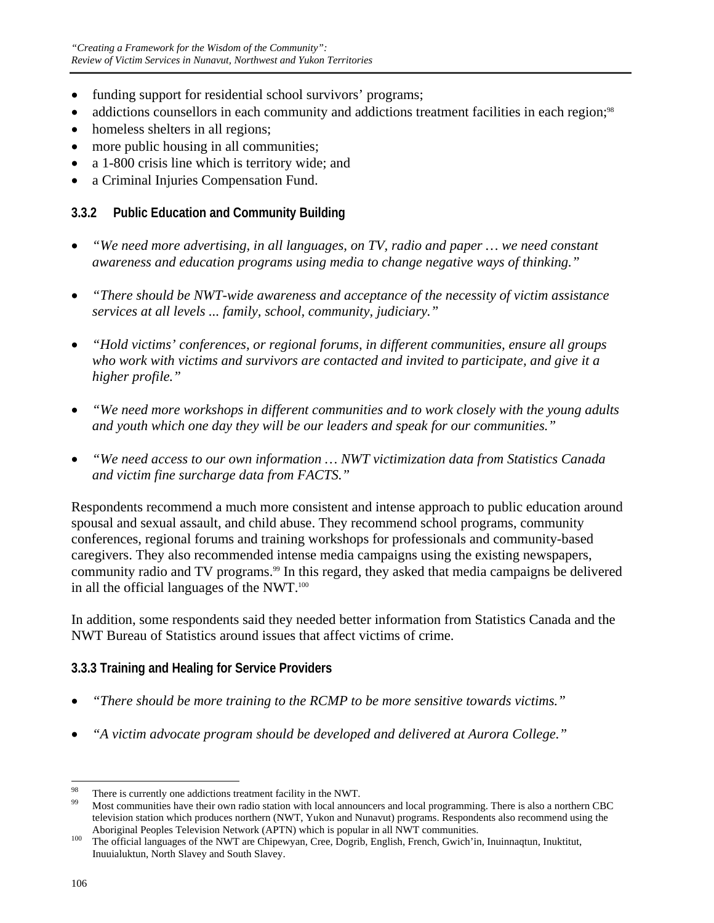- funding support for residential school survivors' programs;
- addictions counsellors in each community and addictions treatment facilities in each region;<sup>98</sup>
- homeless shelters in all regions;
- more public housing in all communities;
- a 1-800 crisis line which is territory wide; and
- a Criminal Injuries Compensation Fund.

# **3.3.2 Public Education and Community Building**

- *"We need more advertising, in all languages, on TV, radio and paper … we need constant awareness and education programs using media to change negative ways of thinking."*
- *"There should be NWT-wide awareness and acceptance of the necessity of victim assistance services at all levels ... family, school, community, judiciary."*
- *"Hold victims' conferences, or regional forums, in different communities, ensure all groups who work with victims and survivors are contacted and invited to participate, and give it a higher profile."*
- *"We need more workshops in different communities and to work closely with the young adults and youth which one day they will be our leaders and speak for our communities."*
- *"We need access to our own information … NWT victimization data from Statistics Canada and victim fine surcharge data from FACTS."*

Respondents recommend a much more consistent and intense approach to public education around spousal and sexual assault, and child abuse. They recommend school programs, community conferences, regional forums and training workshops for professionals and community-based caregivers. They also recommended intense media campaigns using the existing newspapers, community radio and TV programs.<sup>99</sup> In this regard, they asked that media campaigns be delivered in all the official languages of the NWT.<sup>100</sup>

In addition, some respondents said they needed better information from Statistics Canada and the NWT Bureau of Statistics around issues that affect victims of crime.

# **3.3.3 Training and Healing for Service Providers**

- *"There should be more training to the RCMP to be more sensitive towards victims."*
- *"A victim advocate program should be developed and delivered at Aurora College."*

<sup>98</sup> <sup>98</sup> There is currently one addictions treatment facility in the NWT.

<sup>99</sup> Most communities have their own radio station with local announcers and local programming. There is also a northern CBC television station which produces northern (NWT, Yukon and Nunavut) programs. Respondents also recommend using the

Aboriginal Peoples Television Network (APTN) which is popular in all NWT communities.<br><sup>100</sup> The official languages of the NWT are Chipewyan, Cree, Dogrib, English, French, Gwich'in, Inuinnaqtun, Inuktitut, Inuuialuktun, North Slavey and South Slavey.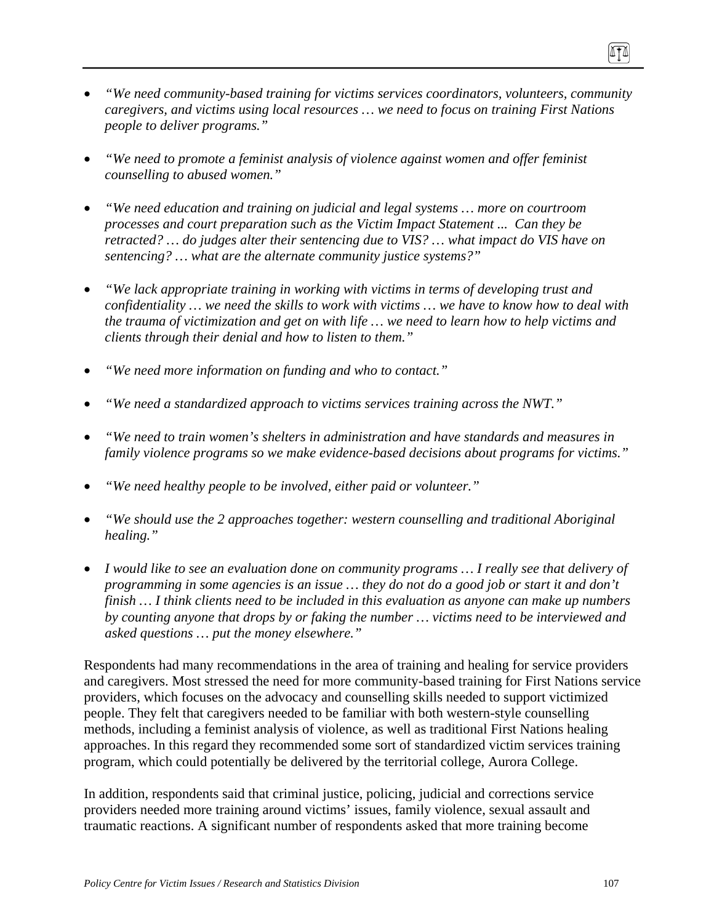- *"We need community-based training for victims services coordinators, volunteers, community caregivers, and victims using local resources … we need to focus on training First Nations people to deliver programs."*
- *"We need to promote a feminist analysis of violence against women and offer feminist counselling to abused women."*
- *"We need education and training on judicial and legal systems … more on courtroom processes and court preparation such as the Victim Impact Statement ... Can they be retracted? … do judges alter their sentencing due to VIS? … what impact do VIS have on sentencing? … what are the alternate community justice systems?"*
- *"We lack appropriate training in working with victims in terms of developing trust and confidentiality … we need the skills to work with victims … we have to know how to deal with the trauma of victimization and get on with life … we need to learn how to help victims and clients through their denial and how to listen to them."*
- *"We need more information on funding and who to contact."*
- *"We need a standardized approach to victims services training across the NWT."*
- *"We need to train women's shelters in administration and have standards and measures in family violence programs so we make evidence-based decisions about programs for victims."*
- *"We need healthy people to be involved, either paid or volunteer."*
- *"We should use the 2 approaches together: western counselling and traditional Aboriginal healing."*
- *I would like to see an evaluation done on community programs … I really see that delivery of programming in some agencies is an issue … they do not do a good job or start it and don't finish … I think clients need to be included in this evaluation as anyone can make up numbers by counting anyone that drops by or faking the number … victims need to be interviewed and asked questions … put the money elsewhere."*

Respondents had many recommendations in the area of training and healing for service providers and caregivers. Most stressed the need for more community-based training for First Nations service providers, which focuses on the advocacy and counselling skills needed to support victimized people. They felt that caregivers needed to be familiar with both western-style counselling methods, including a feminist analysis of violence, as well as traditional First Nations healing approaches. In this regard they recommended some sort of standardized victim services training program, which could potentially be delivered by the territorial college, Aurora College.

In addition, respondents said that criminal justice, policing, judicial and corrections service providers needed more training around victims' issues, family violence, sexual assault and traumatic reactions. A significant number of respondents asked that more training become

ITI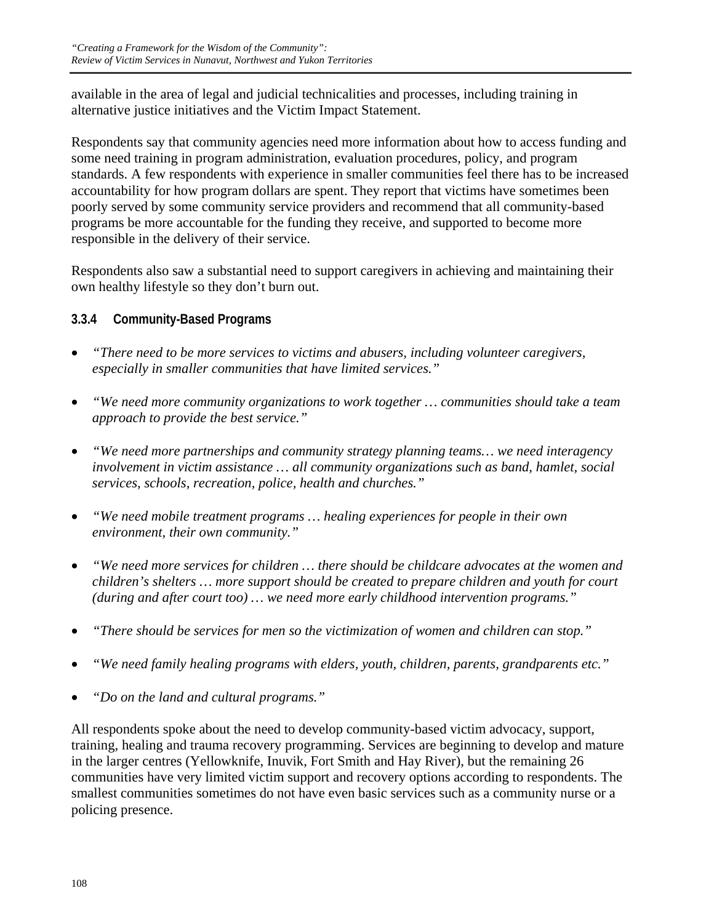available in the area of legal and judicial technicalities and processes, including training in alternative justice initiatives and the Victim Impact Statement.

Respondents say that community agencies need more information about how to access funding and some need training in program administration, evaluation procedures, policy, and program standards. A few respondents with experience in smaller communities feel there has to be increased accountability for how program dollars are spent. They report that victims have sometimes been poorly served by some community service providers and recommend that all community-based programs be more accountable for the funding they receive, and supported to become more responsible in the delivery of their service.

Respondents also saw a substantial need to support caregivers in achieving and maintaining their own healthy lifestyle so they don't burn out.

# **3.3.4 Community-Based Programs**

- *"There need to be more services to victims and abusers, including volunteer caregivers, especially in smaller communities that have limited services."*
- *"We need more community organizations to work together … communities should take a team approach to provide the best service."*
- *"We need more partnerships and community strategy planning teams… we need interagency involvement in victim assistance … all community organizations such as band, hamlet, social services, schools, recreation, police, health and churches."*
- *"We need mobile treatment programs … healing experiences for people in their own environment, their own community."*
- *"We need more services for children … there should be childcare advocates at the women and children's shelters … more support should be created to prepare children and youth for court (during and after court too) … we need more early childhood intervention programs."*
- *"There should be services for men so the victimization of women and children can stop."*
- *"We need family healing programs with elders, youth, children, parents, grandparents etc."*
- *"Do on the land and cultural programs."*

All respondents spoke about the need to develop community-based victim advocacy, support, training, healing and trauma recovery programming. Services are beginning to develop and mature in the larger centres (Yellowknife, Inuvik, Fort Smith and Hay River), but the remaining 26 communities have very limited victim support and recovery options according to respondents. The smallest communities sometimes do not have even basic services such as a community nurse or a policing presence.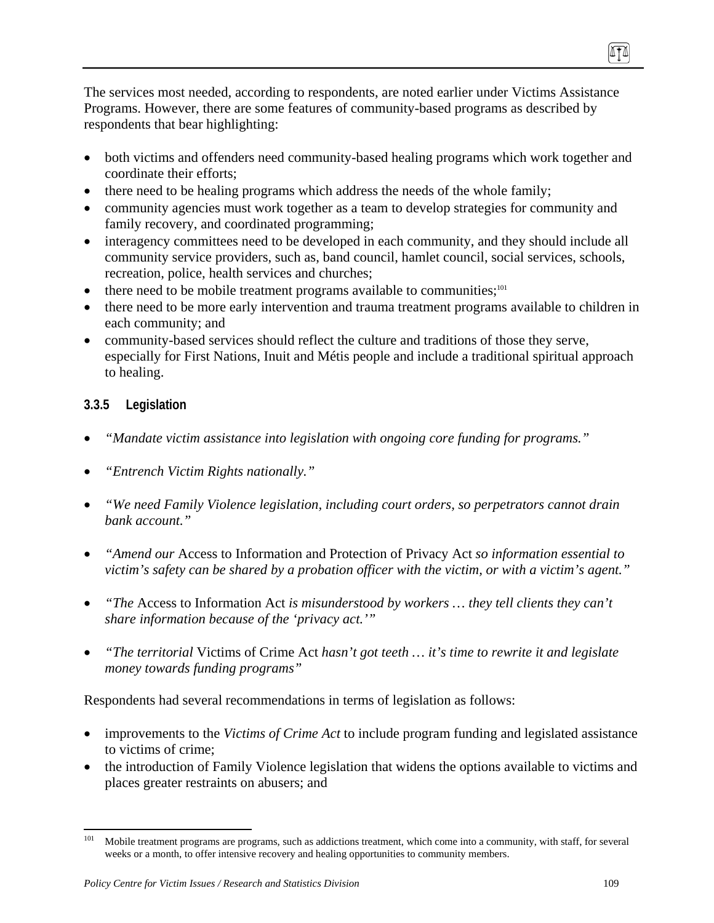The services most needed, according to respondents, are noted earlier under Victims Assistance Programs. However, there are some features of community-based programs as described by respondents that bear highlighting:

- both victims and offenders need community-based healing programs which work together and coordinate their efforts;
- there need to be healing programs which address the needs of the whole family;
- community agencies must work together as a team to develop strategies for community and family recovery, and coordinated programming;
- interagency committees need to be developed in each community, and they should include all community service providers, such as, band council, hamlet council, social services, schools, recreation, police, health services and churches;
- $\bullet$  there need to be mobile treatment programs available to communities;<sup>101</sup>
- there need to be more early intervention and trauma treatment programs available to children in each community; and
- community-based services should reflect the culture and traditions of those they serve, especially for First Nations, Inuit and Métis people and include a traditional spiritual approach to healing.

## **3.3.5 Legislation**

- *"Mandate victim assistance into legislation with ongoing core funding for programs."*
- *"Entrench Victim Rights nationally."*
- *"We need Family Violence legislation, including court orders, so perpetrators cannot drain bank account."*
- *"Amend our* Access to Information and Protection of Privacy Act *so information essential to victim's safety can be shared by a probation officer with the victim, or with a victim's agent."*
- *"The* Access to Information Act *is misunderstood by workers … they tell clients they can't share information because of the 'privacy act.'"*
- *"The territorial* Victims of Crime Act *hasn't got teeth … it's time to rewrite it and legislate money towards funding programs"*

Respondents had several recommendations in terms of legislation as follows:

- improvements to the *Victims of Crime Act* to include program funding and legislated assistance to victims of crime;
- the introduction of Family Violence legislation that widens the options available to victims and places greater restraints on abusers; and

(ITA)

<sup>101</sup> Mobile treatment programs are programs, such as addictions treatment, which come into a community, with staff, for several weeks or a month, to offer intensive recovery and healing opportunities to community members.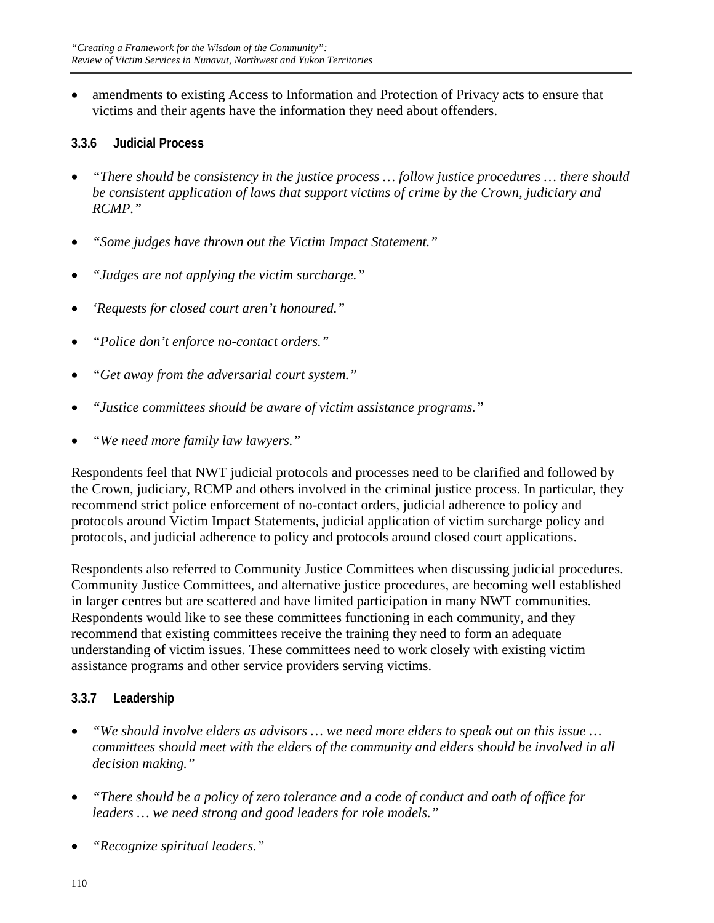• amendments to existing Access to Information and Protection of Privacy acts to ensure that victims and their agents have the information they need about offenders.

## **3.3.6 Judicial Process**

- *"There should be consistency in the justice process … follow justice procedures … there should be consistent application of laws that support victims of crime by the Crown, judiciary and RCMP."*
- *"Some judges have thrown out the Victim Impact Statement."*
- *"Judges are not applying the victim surcharge."*
- *'Requests for closed court aren't honoured."*
- *"Police don't enforce no-contact orders."*
- *"Get away from the adversarial court system."*
- *"Justice committees should be aware of victim assistance programs."*
- *"We need more family law lawyers."*

Respondents feel that NWT judicial protocols and processes need to be clarified and followed by the Crown, judiciary, RCMP and others involved in the criminal justice process. In particular, they recommend strict police enforcement of no-contact orders, judicial adherence to policy and protocols around Victim Impact Statements, judicial application of victim surcharge policy and protocols, and judicial adherence to policy and protocols around closed court applications.

Respondents also referred to Community Justice Committees when discussing judicial procedures. Community Justice Committees, and alternative justice procedures, are becoming well established in larger centres but are scattered and have limited participation in many NWT communities. Respondents would like to see these committees functioning in each community, and they recommend that existing committees receive the training they need to form an adequate understanding of victim issues. These committees need to work closely with existing victim assistance programs and other service providers serving victims.

## **3.3.7 Leadership**

- *"We should involve elders as advisors … we need more elders to speak out on this issue … committees should meet with the elders of the community and elders should be involved in all decision making."*
- *"There should be a policy of zero tolerance and a code of conduct and oath of office for leaders … we need strong and good leaders for role models."*
- *"Recognize spiritual leaders."*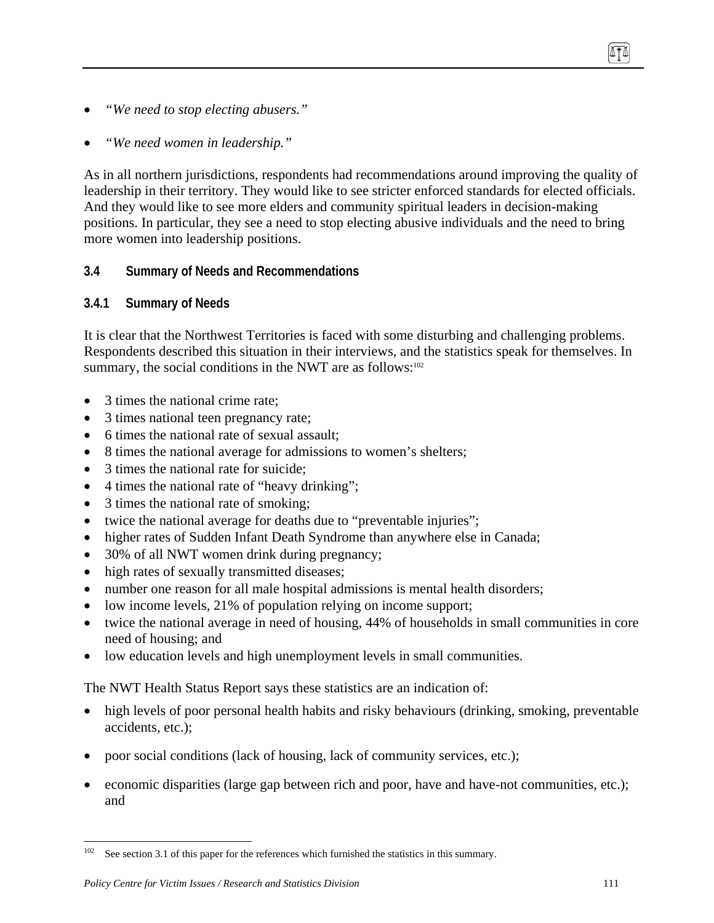- *"We need to stop electing abusers."*
- *"We need women in leadership."*

As in all northern jurisdictions, respondents had recommendations around improving the quality of leadership in their territory. They would like to see stricter enforced standards for elected officials. And they would like to see more elders and community spiritual leaders in decision-making positions. In particular, they see a need to stop electing abusive individuals and the need to bring more women into leadership positions.

## **3.4 Summary of Needs and Recommendations**

#### **3.4.1 Summary of Needs**

It is clear that the Northwest Territories is faced with some disturbing and challenging problems. Respondents described this situation in their interviews, and the statistics speak for themselves. In summary, the social conditions in the NWT are as follows: $102$ 

- 3 times the national crime rate;
- 3 times national teen pregnancy rate;
- 6 times the national rate of sexual assault;
- 8 times the national average for admissions to women's shelters;
- 3 times the national rate for suicide:
- 4 times the national rate of "heavy drinking";
- 3 times the national rate of smoking;
- twice the national average for deaths due to "preventable injuries";
- higher rates of Sudden Infant Death Syndrome than anywhere else in Canada;
- 30% of all NWT women drink during pregnancy;
- high rates of sexually transmitted diseases;
- number one reason for all male hospital admissions is mental health disorders;
- low income levels, 21% of population relying on income support;
- twice the national average in need of housing, 44% of households in small communities in core need of housing; and
- low education levels and high unemployment levels in small communities.

The NWT Health Status Report says these statistics are an indication of:

- high levels of poor personal health habits and risky behaviours (drinking, smoking, preventable accidents, etc.);
- poor social conditions (lack of housing, lack of community services, etc.);
- economic disparities (large gap between rich and poor, have and have-not communities, etc.); and

TI

 $102\,$ See section 3.1 of this paper for the references which furnished the statistics in this summary.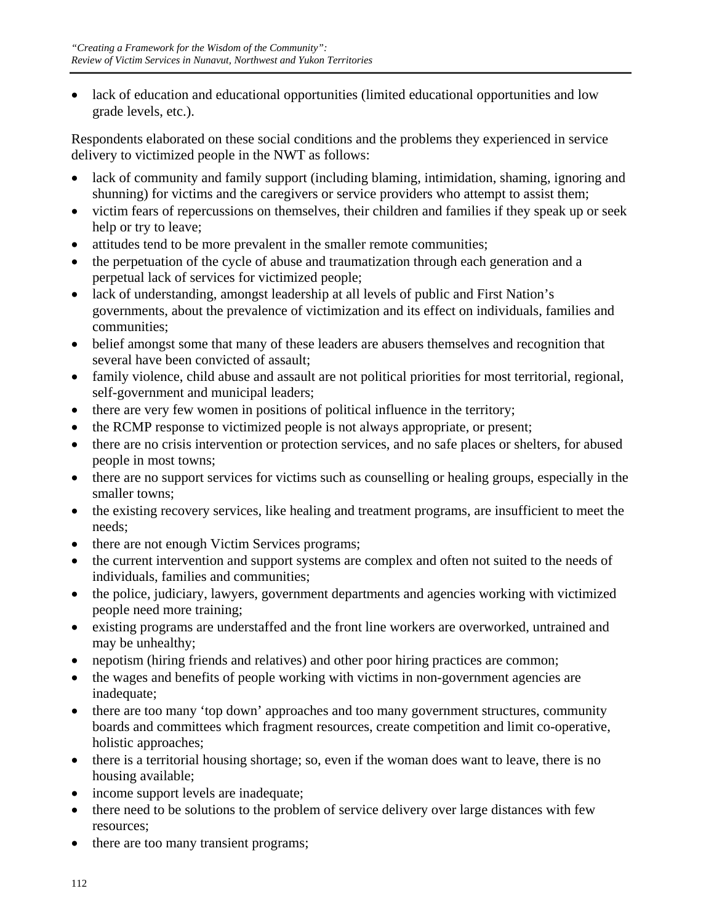• lack of education and educational opportunities (limited educational opportunities and low grade levels, etc.).

Respondents elaborated on these social conditions and the problems they experienced in service delivery to victimized people in the NWT as follows:

- lack of community and family support (including blaming, intimidation, shaming, ignoring and shunning) for victims and the caregivers or service providers who attempt to assist them;
- victim fears of repercussions on themselves, their children and families if they speak up or seek help or try to leave;
- attitudes tend to be more prevalent in the smaller remote communities;
- the perpetuation of the cycle of abuse and traumatization through each generation and a perpetual lack of services for victimized people;
- lack of understanding, amongst leadership at all levels of public and First Nation's governments, about the prevalence of victimization and its effect on individuals, families and communities;
- belief amongst some that many of these leaders are abusers themselves and recognition that several have been convicted of assault;
- family violence, child abuse and assault are not political priorities for most territorial, regional, self-government and municipal leaders;
- there are very few women in positions of political influence in the territory;
- the RCMP response to victimized people is not always appropriate, or present;
- there are no crisis intervention or protection services, and no safe places or shelters, for abused people in most towns;
- there are no support services for victims such as counselling or healing groups, especially in the smaller towns;
- the existing recovery services, like healing and treatment programs, are insufficient to meet the needs;
- there are not enough Victim Services programs;
- the current intervention and support systems are complex and often not suited to the needs of individuals, families and communities;
- the police, judiciary, lawyers, government departments and agencies working with victimized people need more training;
- existing programs are understaffed and the front line workers are overworked, untrained and may be unhealthy;
- nepotism (hiring friends and relatives) and other poor hiring practices are common;
- the wages and benefits of people working with victims in non-government agencies are inadequate;
- there are too many 'top down' approaches and too many government structures, community boards and committees which fragment resources, create competition and limit co-operative, holistic approaches;
- there is a territorial housing shortage; so, even if the woman does want to leave, there is no housing available;
- income support levels are inadequate;
- there need to be solutions to the problem of service delivery over large distances with few resources;
- there are too many transient programs;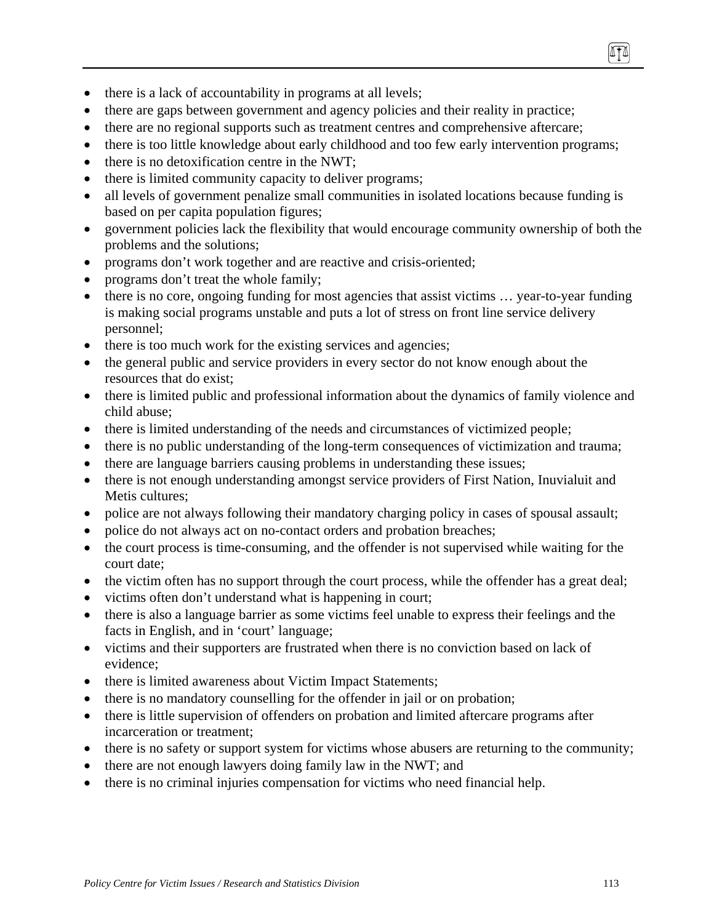- there is a lack of accountability in programs at all levels;
- there are gaps between government and agency policies and their reality in practice;
- there are no regional supports such as treatment centres and comprehensive aftercare;
- there is too little knowledge about early childhood and too few early intervention programs;
- there is no detoxification centre in the NWT;
- there is limited community capacity to deliver programs;
- all levels of government penalize small communities in isolated locations because funding is based on per capita population figures;
- government policies lack the flexibility that would encourage community ownership of both the problems and the solutions;
- programs don't work together and are reactive and crisis-oriented;
- programs don't treat the whole family;
- there is no core, ongoing funding for most agencies that assist victims ... year-to-year funding is making social programs unstable and puts a lot of stress on front line service delivery personnel;
- there is too much work for the existing services and agencies;
- the general public and service providers in every sector do not know enough about the resources that do exist;
- there is limited public and professional information about the dynamics of family violence and child abuse;
- there is limited understanding of the needs and circumstances of victimized people;
- there is no public understanding of the long-term consequences of victimization and trauma;
- there are language barriers causing problems in understanding these issues;
- there is not enough understanding amongst service providers of First Nation, Inuvialuit and Metis cultures;
- police are not always following their mandatory charging policy in cases of spousal assault;
- police do not always act on no-contact orders and probation breaches;
- the court process is time-consuming, and the offender is not supervised while waiting for the court date;
- the victim often has no support through the court process, while the offender has a great deal;
- victims often don't understand what is happening in court;
- there is also a language barrier as some victims feel unable to express their feelings and the facts in English, and in 'court' language;
- victims and their supporters are frustrated when there is no conviction based on lack of evidence;
- there is limited awareness about Victim Impact Statements;
- there is no mandatory counselling for the offender in jail or on probation;
- there is little supervision of offenders on probation and limited aftercare programs after incarceration or treatment;
- there is no safety or support system for victims whose abusers are returning to the community;
- there are not enough lawyers doing family law in the NWT; and
- there is no criminal injuries compensation for victims who need financial help.

ITI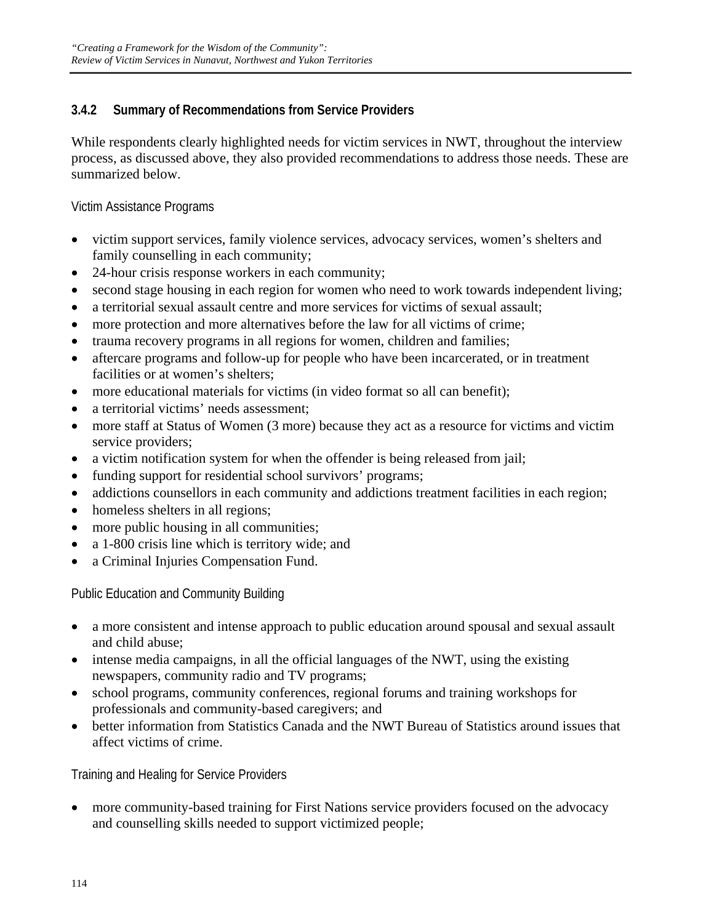## **3.4.2 Summary of Recommendations from Service Providers**

While respondents clearly highlighted needs for victim services in NWT, throughout the interview process, as discussed above, they also provided recommendations to address those needs. These are summarized below.

Victim Assistance Programs

- victim support services, family violence services, advocacy services, women's shelters and family counselling in each community;
- 24-hour crisis response workers in each community;
- second stage housing in each region for women who need to work towards independent living;
- a territorial sexual assault centre and more services for victims of sexual assault;
- more protection and more alternatives before the law for all victims of crime;
- trauma recovery programs in all regions for women, children and families;
- aftercare programs and follow-up for people who have been incarcerated, or in treatment facilities or at women's shelters;
- more educational materials for victims (in video format so all can benefit);
- a territorial victims' needs assessment;
- more staff at Status of Women (3 more) because they act as a resource for victims and victim service providers;
- a victim notification system for when the offender is being released from jail;
- funding support for residential school survivors' programs;
- addictions counsellors in each community and addictions treatment facilities in each region;
- homeless shelters in all regions;
- more public housing in all communities;
- a 1-800 crisis line which is territory wide; and
- a Criminal Injuries Compensation Fund.

Public Education and Community Building

- a more consistent and intense approach to public education around spousal and sexual assault and child abuse;
- intense media campaigns, in all the official languages of the NWT, using the existing newspapers, community radio and TV programs;
- school programs, community conferences, regional forums and training workshops for professionals and community-based caregivers; and
- better information from Statistics Canada and the NWT Bureau of Statistics around issues that affect victims of crime.

Training and Healing for Service Providers

• more community-based training for First Nations service providers focused on the advocacy and counselling skills needed to support victimized people;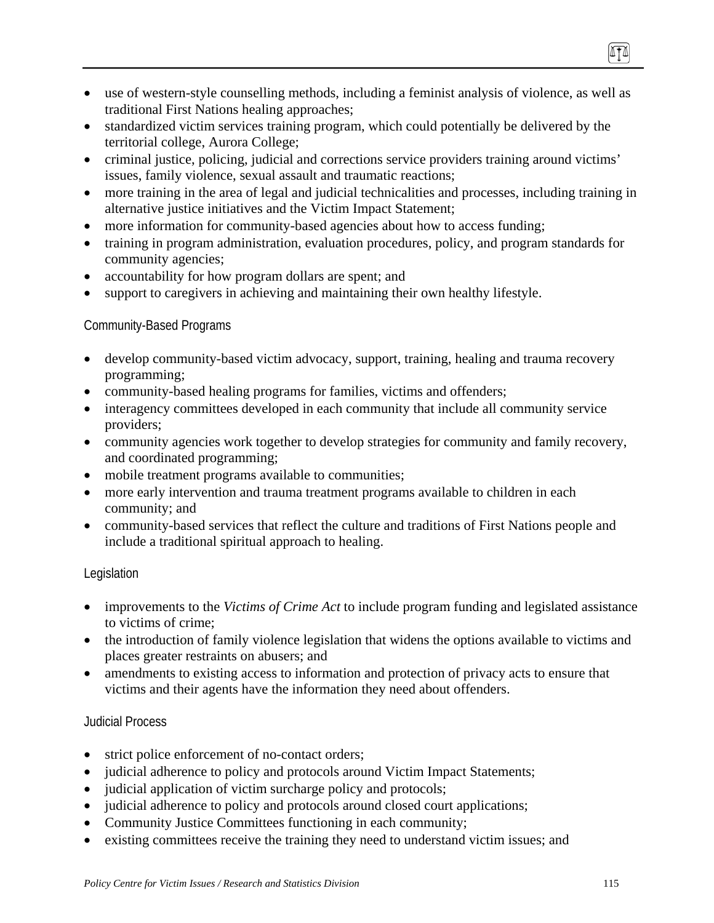- use of western-style counselling methods, including a feminist analysis of violence, as well as traditional First Nations healing approaches;
- standardized victim services training program, which could potentially be delivered by the territorial college, Aurora College;
- criminal justice, policing, judicial and corrections service providers training around victims' issues, family violence, sexual assault and traumatic reactions;
- more training in the area of legal and judicial technicalities and processes, including training in alternative justice initiatives and the Victim Impact Statement;
- more information for community-based agencies about how to access funding;
- training in program administration, evaluation procedures, policy, and program standards for community agencies;
- accountability for how program dollars are spent; and
- support to caregivers in achieving and maintaining their own healthy lifestyle.

#### Community-Based Programs

- develop community-based victim advocacy, support, training, healing and trauma recovery programming;
- community-based healing programs for families, victims and offenders;
- interagency committees developed in each community that include all community service providers;
- community agencies work together to develop strategies for community and family recovery, and coordinated programming;
- mobile treatment programs available to communities;
- more early intervention and trauma treatment programs available to children in each community; and
- community-based services that reflect the culture and traditions of First Nations people and include a traditional spiritual approach to healing.

#### Legislation

- improvements to the *Victims of Crime Act* to include program funding and legislated assistance to victims of crime;
- the introduction of family violence legislation that widens the options available to victims and places greater restraints on abusers; and
- amendments to existing access to information and protection of privacy acts to ensure that victims and their agents have the information they need about offenders.

#### Judicial Process

- strict police enforcement of no-contact orders;
- judicial adherence to policy and protocols around Victim Impact Statements;
- judicial application of victim surcharge policy and protocols;
- judicial adherence to policy and protocols around closed court applications;
- Community Justice Committees functioning in each community;
- existing committees receive the training they need to understand victim issues; and

(ITA)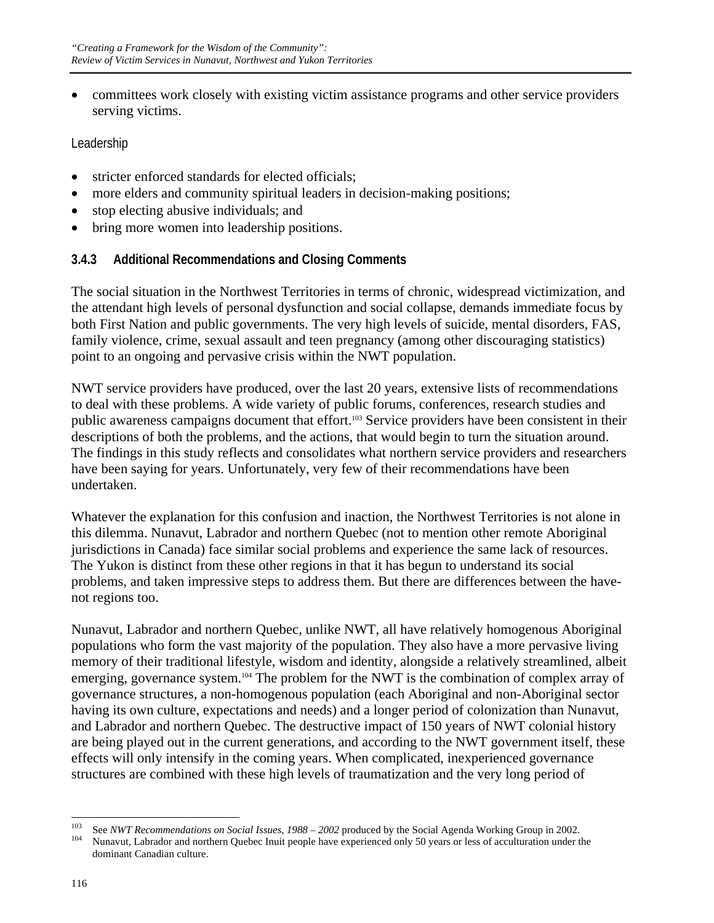• committees work closely with existing victim assistance programs and other service providers serving victims.

Leadership

- stricter enforced standards for elected officials:
- more elders and community spiritual leaders in decision-making positions;
- stop electing abusive individuals; and
- bring more women into leadership positions.

#### **3.4.3 Additional Recommendations and Closing Comments**

The social situation in the Northwest Territories in terms of chronic, widespread victimization, and the attendant high levels of personal dysfunction and social collapse, demands immediate focus by both First Nation and public governments. The very high levels of suicide, mental disorders, FAS, family violence, crime, sexual assault and teen pregnancy (among other discouraging statistics) point to an ongoing and pervasive crisis within the NWT population.

NWT service providers have produced, over the last 20 years, extensive lists of recommendations to deal with these problems. A wide variety of public forums, conferences, research studies and public awareness campaigns document that effort.<sup>103</sup> Service providers have been consistent in their descriptions of both the problems, and the actions, that would begin to turn the situation around. The findings in this study reflects and consolidates what northern service providers and researchers have been saying for years. Unfortunately, very few of their recommendations have been undertaken.

Whatever the explanation for this confusion and inaction, the Northwest Territories is not alone in this dilemma. Nunavut, Labrador and northern Quebec (not to mention other remote Aboriginal jurisdictions in Canada) face similar social problems and experience the same lack of resources. The Yukon is distinct from these other regions in that it has begun to understand its social problems, and taken impressive steps to address them. But there are differences between the havenot regions too.

Nunavut, Labrador and northern Quebec, unlike NWT, all have relatively homogenous Aboriginal populations who form the vast majority of the population. They also have a more pervasive living memory of their traditional lifestyle, wisdom and identity, alongside a relatively streamlined, albeit emerging, governance system.<sup>104</sup> The problem for the NWT is the combination of complex array of governance structures, a non-homogenous population (each Aboriginal and non-Aboriginal sector having its own culture, expectations and needs) and a longer period of colonization than Nunavut, and Labrador and northern Quebec. The destructive impact of 150 years of NWT colonial history are being played out in the current generations, and according to the NWT government itself, these effects will only intensify in the coming years. When complicated, inexperienced governance structures are combined with these high levels of traumatization and the very long period of

<sup>103</sup> <sup>103</sup> See *NWT Recommendations on Social Issues, 1988 – 2002* produced by the Social Agenda Working Group in 2002.<br><sup>104</sup> Nunavut, Labrador and northern Quebec Inuit people have experienced only 50 years or less of accultu dominant Canadian culture.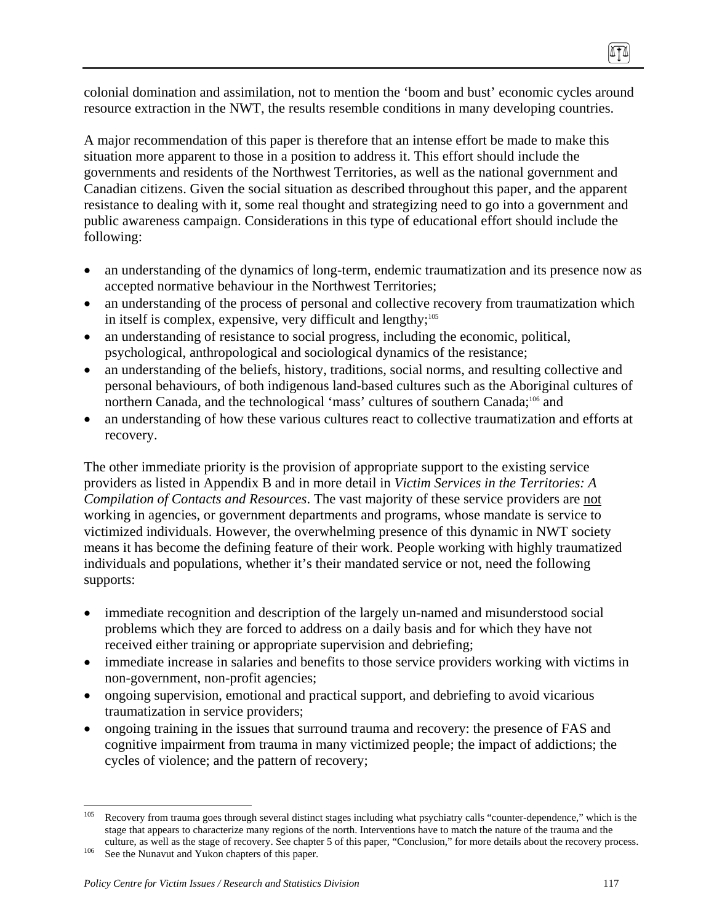colonial domination and assimilation, not to mention the 'boom and bust' economic cycles around resource extraction in the NWT, the results resemble conditions in many developing countries.

A major recommendation of this paper is therefore that an intense effort be made to make this situation more apparent to those in a position to address it. This effort should include the governments and residents of the Northwest Territories, as well as the national government and Canadian citizens. Given the social situation as described throughout this paper, and the apparent resistance to dealing with it, some real thought and strategizing need to go into a government and public awareness campaign. Considerations in this type of educational effort should include the following:

- an understanding of the dynamics of long-term, endemic traumatization and its presence now as accepted normative behaviour in the Northwest Territories;
- an understanding of the process of personal and collective recovery from traumatization which in itself is complex, expensive, very difficult and lengthy;<sup>105</sup>
- an understanding of resistance to social progress, including the economic, political, psychological, anthropological and sociological dynamics of the resistance;
- an understanding of the beliefs, history, traditions, social norms, and resulting collective and personal behaviours, of both indigenous land-based cultures such as the Aboriginal cultures of northern Canada, and the technological 'mass' cultures of southern Canada;<sup>106</sup> and
- an understanding of how these various cultures react to collective traumatization and efforts at recovery.

The other immediate priority is the provision of appropriate support to the existing service providers as listed in Appendix B and in more detail in *Victim Services in the Territories: A Compilation of Contacts and Resources*. The vast majority of these service providers are not working in agencies, or government departments and programs, whose mandate is service to victimized individuals. However, the overwhelming presence of this dynamic in NWT society means it has become the defining feature of their work. People working with highly traumatized individuals and populations, whether it's their mandated service or not, need the following supports:

- immediate recognition and description of the largely un-named and misunderstood social problems which they are forced to address on a daily basis and for which they have not received either training or appropriate supervision and debriefing;
- immediate increase in salaries and benefits to those service providers working with victims in non-government, non-profit agencies;
- ongoing supervision, emotional and practical support, and debriefing to avoid vicarious traumatization in service providers;
- ongoing training in the issues that surround trauma and recovery: the presence of FAS and cognitive impairment from trauma in many victimized people; the impact of addictions; the cycles of violence; and the pattern of recovery;

ITI

<sup>105</sup> Recovery from trauma goes through several distinct stages including what psychiatry calls "counter-dependence," which is the stage that appears to characterize many regions of the north. Interventions have to match the nature of the trauma and the culture, as well as the stage of recovery. See chapter 5 of this paper, "Conclusion," for more details about the recovery process. See the Nunavut and Yukon chapters of this paper.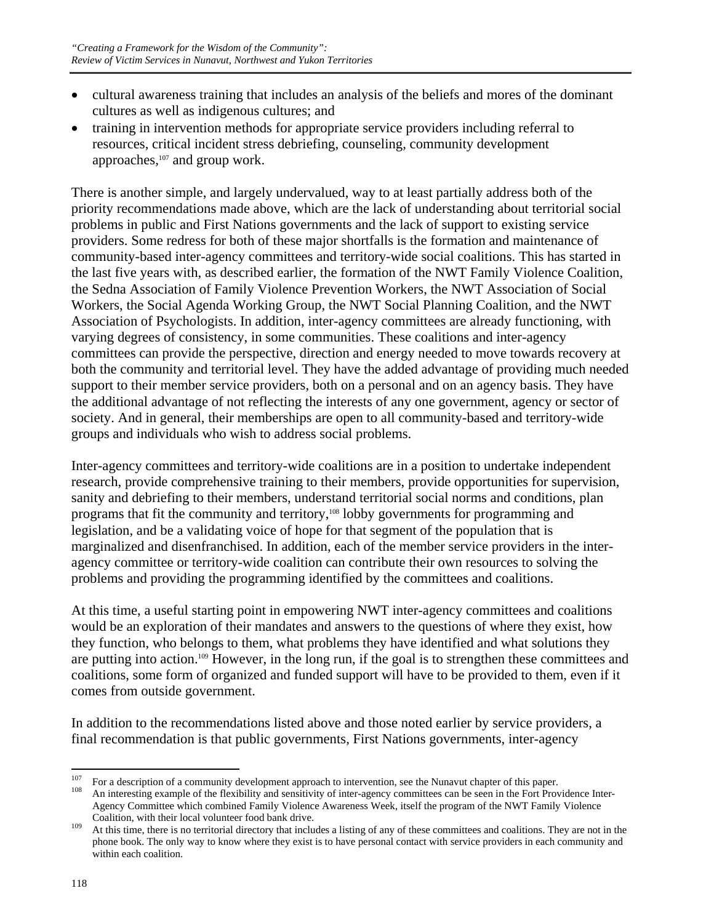- cultural awareness training that includes an analysis of the beliefs and mores of the dominant cultures as well as indigenous cultures; and
- training in intervention methods for appropriate service providers including referral to resources, critical incident stress debriefing, counseling, community development approaches,<sup>107</sup> and group work.

There is another simple, and largely undervalued, way to at least partially address both of the priority recommendations made above, which are the lack of understanding about territorial social problems in public and First Nations governments and the lack of support to existing service providers. Some redress for both of these major shortfalls is the formation and maintenance of community-based inter-agency committees and territory-wide social coalitions. This has started in the last five years with, as described earlier, the formation of the NWT Family Violence Coalition, the Sedna Association of Family Violence Prevention Workers, the NWT Association of Social Workers, the Social Agenda Working Group, the NWT Social Planning Coalition, and the NWT Association of Psychologists. In addition, inter-agency committees are already functioning, with varying degrees of consistency, in some communities. These coalitions and inter-agency committees can provide the perspective, direction and energy needed to move towards recovery at both the community and territorial level. They have the added advantage of providing much needed support to their member service providers, both on a personal and on an agency basis. They have the additional advantage of not reflecting the interests of any one government, agency or sector of society. And in general, their memberships are open to all community-based and territory-wide groups and individuals who wish to address social problems.

Inter-agency committees and territory-wide coalitions are in a position to undertake independent research, provide comprehensive training to their members, provide opportunities for supervision, sanity and debriefing to their members, understand territorial social norms and conditions, plan programs that fit the community and territory,<sup>108</sup> lobby governments for programming and legislation, and be a validating voice of hope for that segment of the population that is marginalized and disenfranchised. In addition, each of the member service providers in the interagency committee or territory-wide coalition can contribute their own resources to solving the problems and providing the programming identified by the committees and coalitions.

At this time, a useful starting point in empowering NWT inter-agency committees and coalitions would be an exploration of their mandates and answers to the questions of where they exist, how they function, who belongs to them, what problems they have identified and what solutions they are putting into action.109 However, in the long run, if the goal is to strengthen these committees and coalitions, some form of organized and funded support will have to be provided to them, even if it comes from outside government.

In addition to the recommendations listed above and those noted earlier by service providers, a final recommendation is that public governments, First Nations governments, inter-agency

<sup>107</sup> <sup>107</sup> For a description of a community development approach to intervention, see the Nunavut chapter of this paper.<br><sup>108</sup> An interesting example of the flexibility and sensitivity of inter-agency committees can be seen in

Agency Committee which combined Family Violence Awareness Week, itself the program of the NWT Family Violence Coalition, with their local volunteer food bank drive.<br><sup>109</sup> At this time, there is no territorial directory that includes a listing of any of these committees and coalitions. They are not in the

phone book. The only way to know where they exist is to have personal contact with service providers in each community and within each coalition.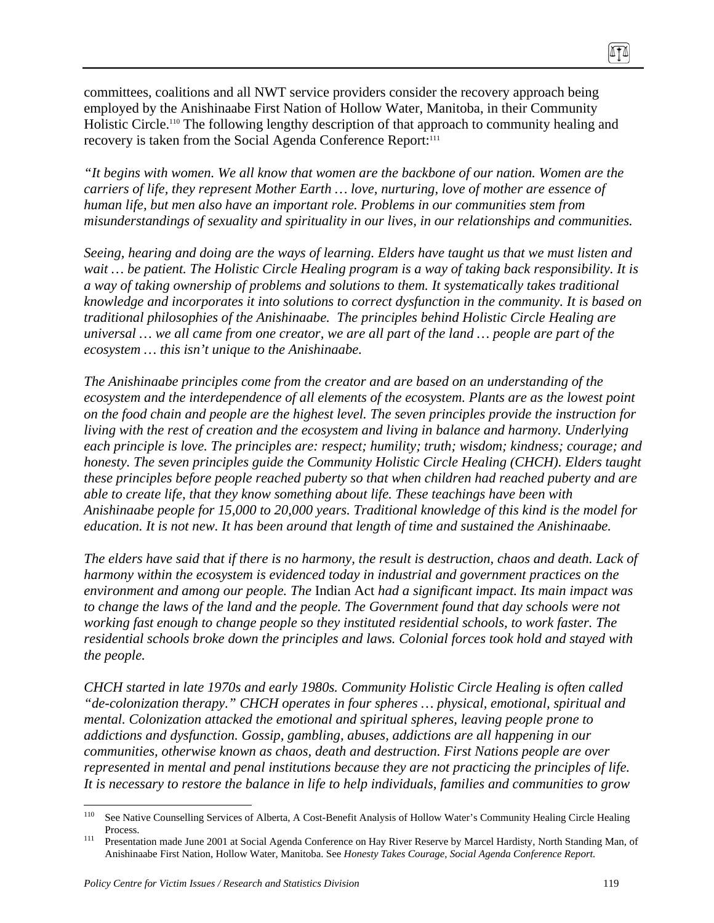committees, coalitions and all NWT service providers consider the recovery approach being employed by the Anishinaabe First Nation of Hollow Water, Manitoba, in their Community Holistic Circle.110 The following lengthy description of that approach to community healing and recovery is taken from the Social Agenda Conference Report:<sup>111</sup>

*"It begins with women. We all know that women are the backbone of our nation. Women are the carriers of life, they represent Mother Earth … love, nurturing, love of mother are essence of human life, but men also have an important role. Problems in our communities stem from misunderstandings of sexuality and spirituality in our lives, in our relationships and communities.* 

*Seeing, hearing and doing are the ways of learning. Elders have taught us that we must listen and wait … be patient. The Holistic Circle Healing program is a way of taking back responsibility. It is a way of taking ownership of problems and solutions to them. It systematically takes traditional knowledge and incorporates it into solutions to correct dysfunction in the community. It is based on traditional philosophies of the Anishinaabe. The principles behind Holistic Circle Healing are universal … we all came from one creator, we are all part of the land … people are part of the ecosystem … this isn't unique to the Anishinaabe.* 

*The Anishinaabe principles come from the creator and are based on an understanding of the ecosystem and the interdependence of all elements of the ecosystem. Plants are as the lowest point on the food chain and people are the highest level. The seven principles provide the instruction for living with the rest of creation and the ecosystem and living in balance and harmony. Underlying each principle is love. The principles are: respect; humility; truth; wisdom; kindness; courage; and honesty. The seven principles guide the Community Holistic Circle Healing (CHCH). Elders taught these principles before people reached puberty so that when children had reached puberty and are able to create life, that they know something about life. These teachings have been with Anishinaabe people for 15,000 to 20,000 years. Traditional knowledge of this kind is the model for education. It is not new. It has been around that length of time and sustained the Anishinaabe.* 

*The elders have said that if there is no harmony, the result is destruction, chaos and death. Lack of harmony within the ecosystem is evidenced today in industrial and government practices on the environment and among our people. The* Indian Act *had a significant impact. Its main impact was to change the laws of the land and the people. The Government found that day schools were not working fast enough to change people so they instituted residential schools, to work faster. The residential schools broke down the principles and laws. Colonial forces took hold and stayed with the people.* 

*CHCH started in late 1970s and early 1980s. Community Holistic Circle Healing is often called "de-colonization therapy." CHCH operates in four spheres … physical, emotional, spiritual and mental. Colonization attacked the emotional and spiritual spheres, leaving people prone to addictions and dysfunction. Gossip, gambling, abuses, addictions are all happening in our communities, otherwise known as chaos, death and destruction. First Nations people are over represented in mental and penal institutions because they are not practicing the principles of life. It is necessary to restore the balance in life to help individuals, families and communities to grow* 

ITI

<sup>110</sup> 110 See Native Counselling Services of Alberta, A Cost-Benefit Analysis of Hollow Water's Community Healing Circle Healing

Process.<br><sup>111</sup> Presentation made June 2001 at Social Agenda Conference on Hay River Reserve by Marcel Hardisty, North Standing Man, of Anishinaabe First Nation, Hollow Water, Manitoba. See *Honesty Takes Courage, Social Agenda Conference Report.*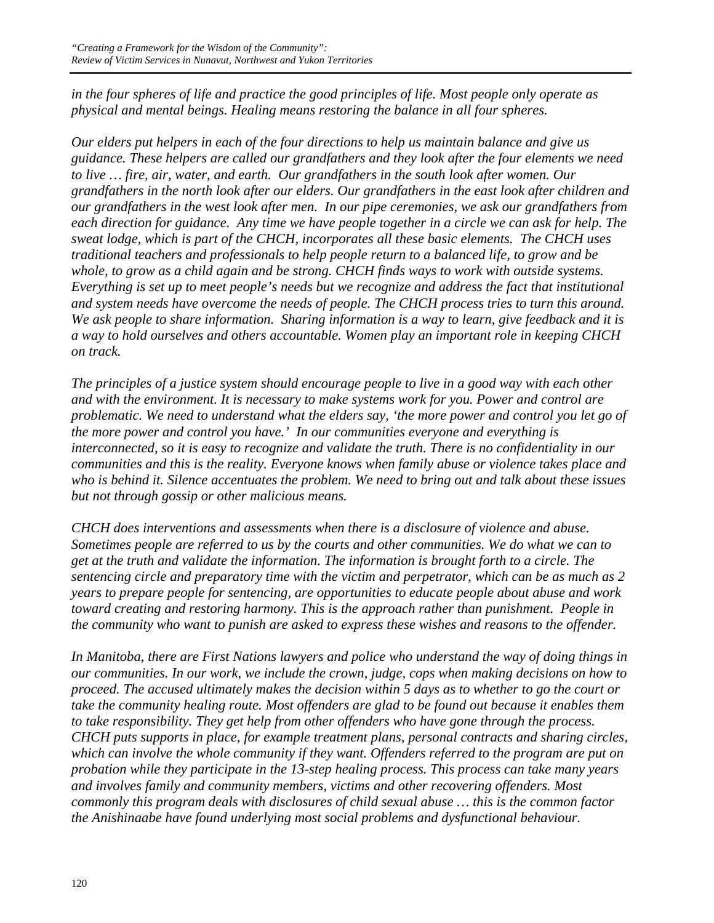*in the four spheres of life and practice the good principles of life. Most people only operate as physical and mental beings. Healing means restoring the balance in all four spheres.* 

*Our elders put helpers in each of the four directions to help us maintain balance and give us guidance. These helpers are called our grandfathers and they look after the four elements we need to live … fire, air, water, and earth. Our grandfathers in the south look after women. Our grandfathers in the north look after our elders. Our grandfathers in the east look after children and our grandfathers in the west look after men. In our pipe ceremonies, we ask our grandfathers from each direction for guidance. Any time we have people together in a circle we can ask for help. The sweat lodge, which is part of the CHCH, incorporates all these basic elements. The CHCH uses traditional teachers and professionals to help people return to a balanced life, to grow and be whole, to grow as a child again and be strong. CHCH finds ways to work with outside systems. Everything is set up to meet people's needs but we recognize and address the fact that institutional and system needs have overcome the needs of people. The CHCH process tries to turn this around. We ask people to share information. Sharing information is a way to learn, give feedback and it is a way to hold ourselves and others accountable. Women play an important role in keeping CHCH on track.* 

*The principles of a justice system should encourage people to live in a good way with each other and with the environment. It is necessary to make systems work for you. Power and control are problematic. We need to understand what the elders say, 'the more power and control you let go of the more power and control you have.' In our communities everyone and everything is interconnected, so it is easy to recognize and validate the truth. There is no confidentiality in our communities and this is the reality. Everyone knows when family abuse or violence takes place and who is behind it. Silence accentuates the problem. We need to bring out and talk about these issues but not through gossip or other malicious means.* 

*CHCH does interventions and assessments when there is a disclosure of violence and abuse. Sometimes people are referred to us by the courts and other communities. We do what we can to get at the truth and validate the information. The information is brought forth to a circle. The sentencing circle and preparatory time with the victim and perpetrator, which can be as much as 2 years to prepare people for sentencing, are opportunities to educate people about abuse and work toward creating and restoring harmony. This is the approach rather than punishment. People in the community who want to punish are asked to express these wishes and reasons to the offender.* 

*In Manitoba, there are First Nations lawyers and police who understand the way of doing things in our communities. In our work, we include the crown, judge, cops when making decisions on how to proceed. The accused ultimately makes the decision within 5 days as to whether to go the court or take the community healing route. Most offenders are glad to be found out because it enables them to take responsibility. They get help from other offenders who have gone through the process. CHCH puts supports in place, for example treatment plans, personal contracts and sharing circles, which can involve the whole community if they want. Offenders referred to the program are put on probation while they participate in the 13-step healing process. This process can take many years and involves family and community members, victims and other recovering offenders. Most commonly this program deals with disclosures of child sexual abuse … this is the common factor the Anishinaabe have found underlying most social problems and dysfunctional behaviour.*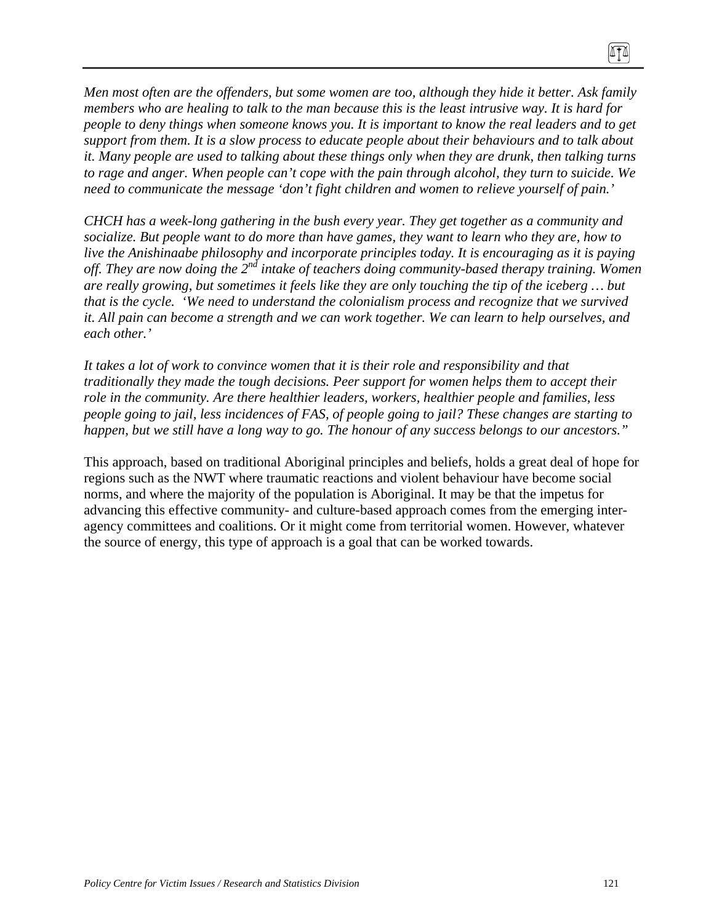*Men most often are the offenders, but some women are too, although they hide it better. Ask family members who are healing to talk to the man because this is the least intrusive way. It is hard for people to deny things when someone knows you. It is important to know the real leaders and to get support from them. It is a slow process to educate people about their behaviours and to talk about it. Many people are used to talking about these things only when they are drunk, then talking turns to rage and anger. When people can't cope with the pain through alcohol, they turn to suicide. We need to communicate the message 'don't fight children and women to relieve yourself of pain.'* 

*CHCH has a week-long gathering in the bush every year. They get together as a community and socialize. But people want to do more than have games, they want to learn who they are, how to live the Anishinaabe philosophy and incorporate principles today. It is encouraging as it is paying off. They are now doing the 2nd intake of teachers doing community-based therapy training. Women are really growing, but sometimes it feels like they are only touching the tip of the iceberg … but that is the cycle. 'We need to understand the colonialism process and recognize that we survived it. All pain can become a strength and we can work together. We can learn to help ourselves, and each other.'* 

*It takes a lot of work to convince women that it is their role and responsibility and that traditionally they made the tough decisions. Peer support for women helps them to accept their role in the community. Are there healthier leaders, workers, healthier people and families, less people going to jail, less incidences of FAS, of people going to jail? These changes are starting to happen, but we still have a long way to go. The honour of any success belongs to our ancestors."* 

This approach, based on traditional Aboriginal principles and beliefs, holds a great deal of hope for regions such as the NWT where traumatic reactions and violent behaviour have become social norms, and where the majority of the population is Aboriginal. It may be that the impetus for advancing this effective community- and culture-based approach comes from the emerging interagency committees and coalitions. Or it might come from territorial women. However, whatever the source of energy, this type of approach is a goal that can be worked towards.

0TO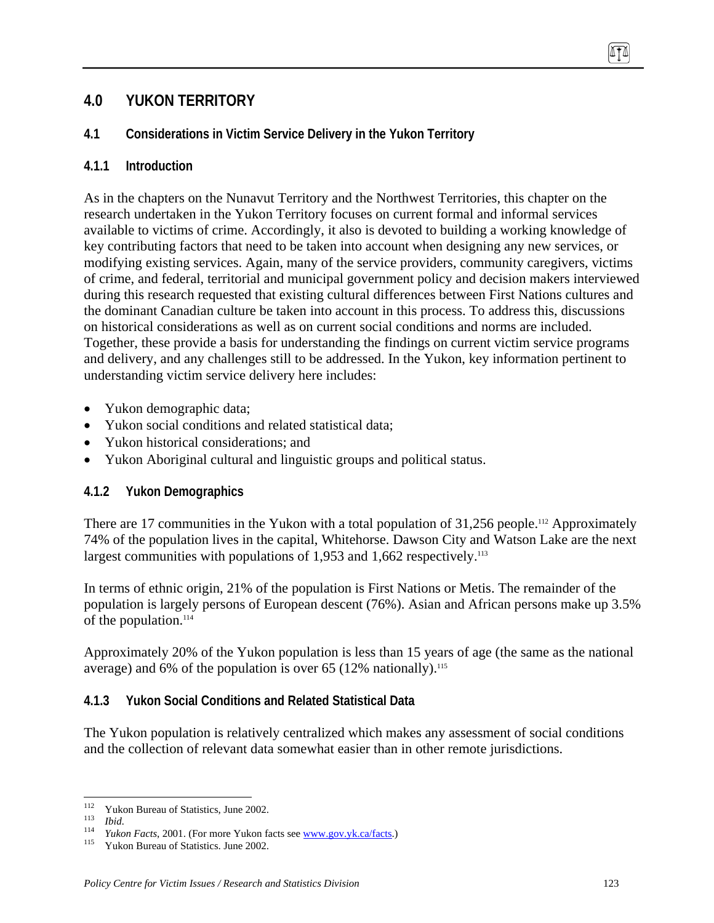# **4.0 YUKON TERRITORY**

## **4.1 Considerations in Victim Service Delivery in the Yukon Territory**

### **4.1.1 Introduction**

As in the chapters on the Nunavut Territory and the Northwest Territories, this chapter on the research undertaken in the Yukon Territory focuses on current formal and informal services available to victims of crime. Accordingly, it also is devoted to building a working knowledge of key contributing factors that need to be taken into account when designing any new services, or modifying existing services. Again, many of the service providers, community caregivers, victims of crime, and federal, territorial and municipal government policy and decision makers interviewed during this research requested that existing cultural differences between First Nations cultures and the dominant Canadian culture be taken into account in this process. To address this, discussions on historical considerations as well as on current social conditions and norms are included. Together, these provide a basis for understanding the findings on current victim service programs and delivery, and any challenges still to be addressed. In the Yukon, key information pertinent to understanding victim service delivery here includes:

- Yukon demographic data;
- Yukon social conditions and related statistical data:
- Yukon historical considerations; and
- Yukon Aboriginal cultural and linguistic groups and political status.

## **4.1.2 Yukon Demographics**

There are 17 communities in the Yukon with a total population of 31,256 people.<sup>112</sup> Approximately 74% of the population lives in the capital, Whitehorse. Dawson City and Watson Lake are the next largest communities with populations of  $1,953$  and  $1,662$  respectively.<sup>113</sup>

In terms of ethnic origin, 21% of the population is First Nations or Metis. The remainder of the population is largely persons of European descent (76%). Asian and African persons make up 3.5% of the population. $114$ 

Approximately 20% of the Yukon population is less than 15 years of age (the same as the national average) and 6% of the population is over 65 (12% nationally).<sup>115</sup>

## **4.1.3 Yukon Social Conditions and Related Statistical Data**

The Yukon population is relatively centralized which makes any assessment of social conditions and the collection of relevant data somewhat easier than in other remote jurisdictions.

<sup>112</sup> 

<sup>&</sup>lt;sup>112</sup> Yukon Bureau of Statistics, June 2002.<br>
<sup>113</sup> *Ibid. Yukon Facts*, 2001. (For more Yukon facts see <u>www.gov.yk.ca/facts</u>.) <br>
<sup>115</sup> Yukon Bureau of Statistics. June 2002.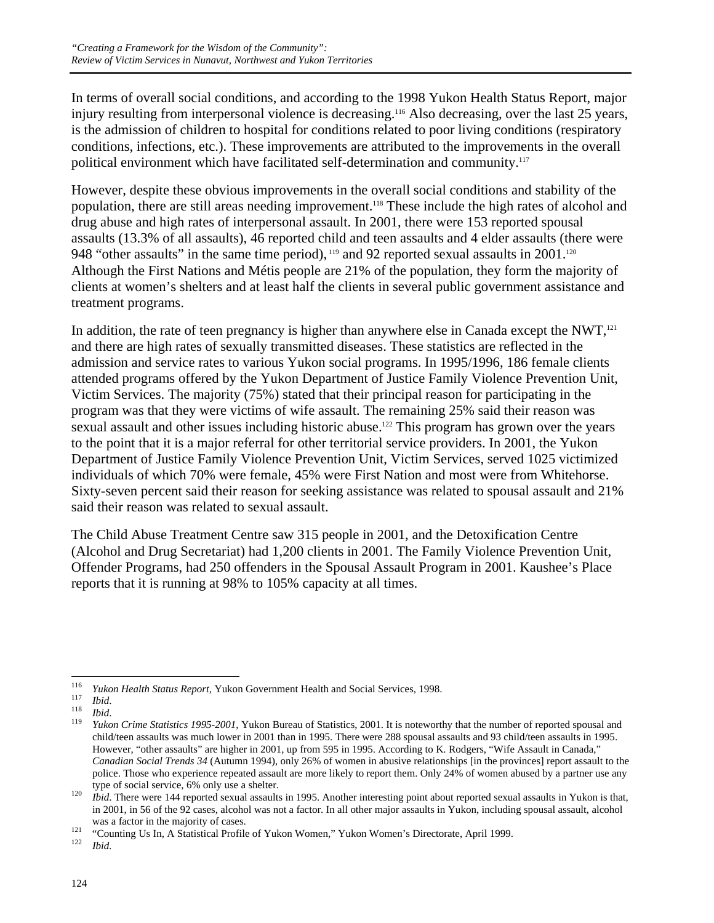In terms of overall social conditions, and according to the 1998 Yukon Health Status Report, major injury resulting from interpersonal violence is decreasing.<sup>116</sup> Also decreasing, over the last 25 years, is the admission of children to hospital for conditions related to poor living conditions (respiratory conditions, infections, etc.). These improvements are attributed to the improvements in the overall political environment which have facilitated self-determination and community.<sup>117</sup>

However, despite these obvious improvements in the overall social conditions and stability of the population, there are still areas needing improvement.118 These include the high rates of alcohol and drug abuse and high rates of interpersonal assault. In 2001, there were 153 reported spousal assaults (13.3% of all assaults), 46 reported child and teen assaults and 4 elder assaults (there were 948 "other assaults" in the same time period), <sup>119</sup> and 92 reported sexual assaults in 2001.<sup>120</sup> Although the First Nations and Métis people are 21% of the population, they form the majority of clients at women's shelters and at least half the clients in several public government assistance and treatment programs.

In addition, the rate of teen pregnancy is higher than anywhere else in Canada except the NWT, $121$ and there are high rates of sexually transmitted diseases. These statistics are reflected in the admission and service rates to various Yukon social programs. In 1995/1996, 186 female clients attended programs offered by the Yukon Department of Justice Family Violence Prevention Unit, Victim Services. The majority (75%) stated that their principal reason for participating in the program was that they were victims of wife assault. The remaining 25% said their reason was sexual assault and other issues including historic abuse.<sup>122</sup> This program has grown over the years to the point that it is a major referral for other territorial service providers. In 2001, the Yukon Department of Justice Family Violence Prevention Unit, Victim Services, served 1025 victimized individuals of which 70% were female, 45% were First Nation and most were from Whitehorse. Sixty-seven percent said their reason for seeking assistance was related to spousal assault and 21% said their reason was related to sexual assault.

The Child Abuse Treatment Centre saw 315 people in 2001, and the Detoxification Centre (Alcohol and Drug Secretariat) had 1,200 clients in 2001. The Family Violence Prevention Unit, Offender Programs, had 250 offenders in the Spousal Assault Program in 2001. Kaushee's Place reports that it is running at 98% to 105% capacity at all times.

<sup>116</sup> 

<sup>&</sup>lt;sup>116</sup> *Yukon Health Status Report*, Yukon Government Health and Social Services, 1998.<br><sup>117</sup> *Ibid.*<br><sup>118</sup> *Ibid. Althon Crime Statistics 1995-2001*, Yukon Bureau of Statistics, 2001. It is noteworthy that the number of child/teen assaults was much lower in 2001 than in 1995. There were 288 spousal assaults and 93 child/teen assaults in 1995. However, "other assaults" are higher in 2001, up from 595 in 1995. According to K. Rodgers, "Wife Assault in Canada," *Canadian Social Trends 34* (Autumn 1994), only 26% of women in abusive relationships [in the provinces] report assault to the police. Those who experience repeated assault are more likely to report them. Only 24% of women abused by a partner use any type of social service, 6% only use a shelter.<br>*Ibid*. There were 144 reported sexual assaults in 1995. Another interesting point about reported sexual assaults in Yukon is that,

in 2001, in 56 of the 92 cases, alcohol was not a factor. In all other major assaults in Yukon, including spousal assault, alcohol

was a factor in the majority of cases.<br><sup>121</sup> "Counting Us In, A Statistical Profile of Yukon Women," Yukon Women's Directorate, April 1999.<br>*122 Ibid.*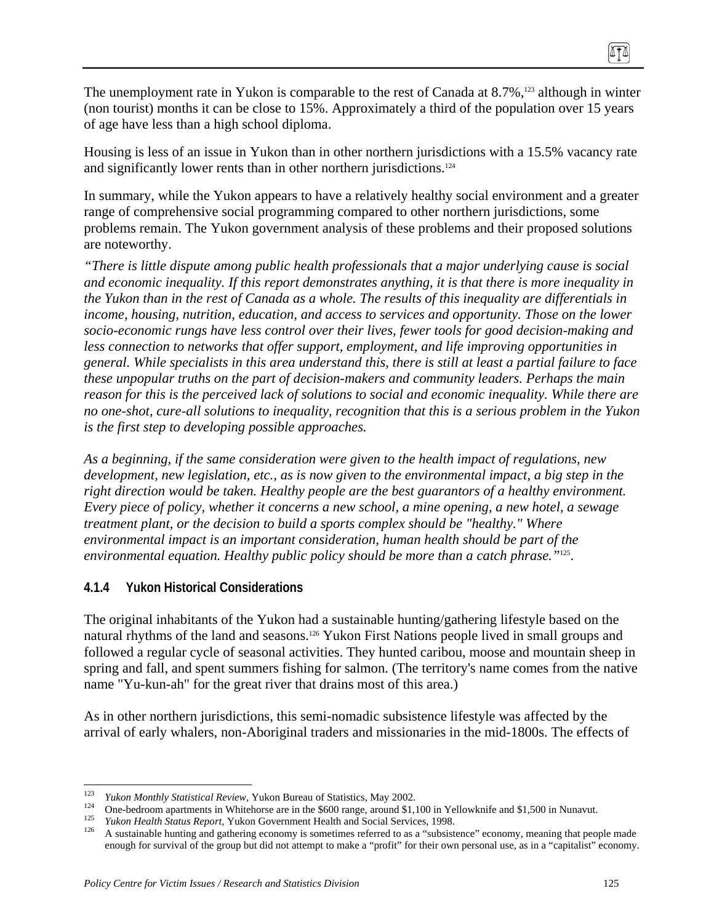The unemployment rate in Yukon is comparable to the rest of Canada at  $8.7\%$ ,<sup>123</sup> although in winter (non tourist) months it can be close to 15%. Approximately a third of the population over 15 years of age have less than a high school diploma.

Housing is less of an issue in Yukon than in other northern jurisdictions with a 15.5% vacancy rate and significantly lower rents than in other northern jurisdictions.<sup>124</sup>

In summary, while the Yukon appears to have a relatively healthy social environment and a greater range of comprehensive social programming compared to other northern jurisdictions, some problems remain. The Yukon government analysis of these problems and their proposed solutions are noteworthy.

*"There is little dispute among public health professionals that a major underlying cause is social and economic inequality. If this report demonstrates anything, it is that there is more inequality in the Yukon than in the rest of Canada as a whole. The results of this inequality are differentials in income, housing, nutrition, education, and access to services and opportunity. Those on the lower socio-economic rungs have less control over their lives, fewer tools for good decision-making and less connection to networks that offer support, employment, and life improving opportunities in general. While specialists in this area understand this, there is still at least a partial failure to face these unpopular truths on the part of decision-makers and community leaders. Perhaps the main reason for this is the perceived lack of solutions to social and economic inequality. While there are no one-shot, cure-all solutions to inequality, recognition that this is a serious problem in the Yukon is the first step to developing possible approaches.* 

*As a beginning, if the same consideration were given to the health impact of regulations, new development, new legislation, etc., as is now given to the environmental impact, a big step in the right direction would be taken. Healthy people are the best guarantors of a healthy environment. Every piece of policy, whether it concerns a new school, a mine opening, a new hotel, a sewage treatment plant, or the decision to build a sports complex should be "healthy." Where environmental impact is an important consideration, human health should be part of the environmental equation. Healthy public policy should be more than a catch phrase."*125.

## **4.1.4 Yukon Historical Considerations**

The original inhabitants of the Yukon had a sustainable hunting/gathering lifestyle based on the natural rhythms of the land and seasons.<sup>126</sup> Yukon First Nations people lived in small groups and followed a regular cycle of seasonal activities. They hunted caribou, moose and mountain sheep in spring and fall, and spent summers fishing for salmon. (The territory's name comes from the native name "Yu-kun-ah" for the great river that drains most of this area.)

As in other northern jurisdictions, this semi-nomadic subsistence lifestyle was affected by the arrival of early whalers, non-Aboriginal traders and missionaries in the mid-1800s. The effects of

<sup>123</sup> 

<sup>&</sup>lt;sup>123</sup><br>
<sup>124</sup> *Yukon Monthly Statistical Review*, Yukon Bureau of Statistics, May 2002.<br>
<sup>124</sup> One-bedroom apartments in Whitehorse are in the \$600 range, around \$1,100 in Yellowknife and \$1,500 in Nunavut.<br>
<sup>125</sup> *Yukon H* enough for survival of the group but did not attempt to make a "profit" for their own personal use, as in a "capitalist" economy.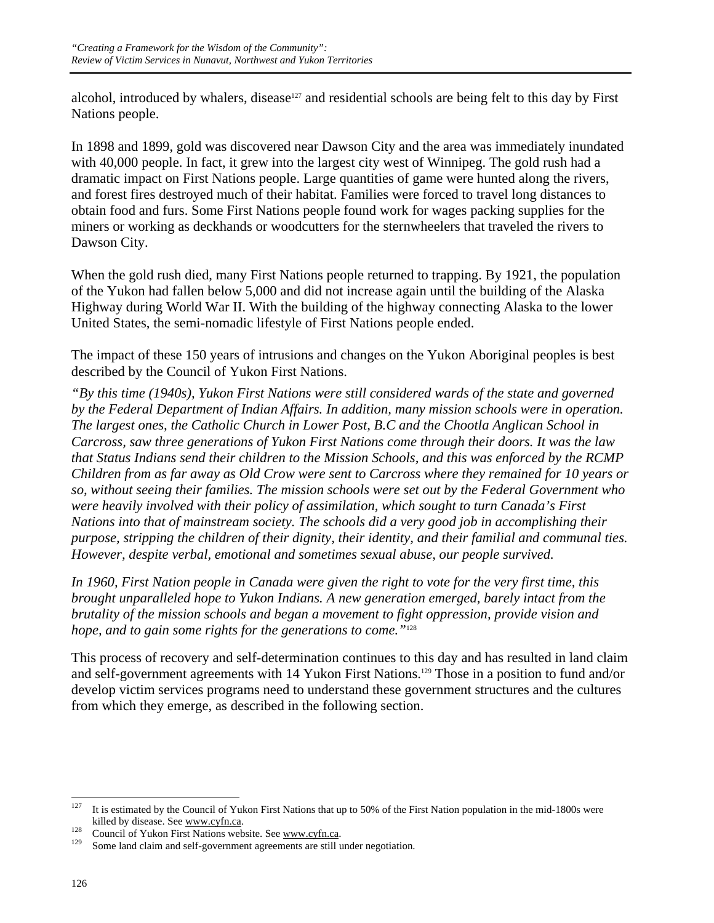alcohol, introduced by whalers, disease<sup>127</sup> and residential schools are being felt to this day by First Nations people.

In 1898 and 1899, gold was discovered near Dawson City and the area was immediately inundated with 40,000 people. In fact, it grew into the largest city west of Winnipeg. The gold rush had a dramatic impact on First Nations people. Large quantities of game were hunted along the rivers, and forest fires destroyed much of their habitat. Families were forced to travel long distances to obtain food and furs. Some First Nations people found work for wages packing supplies for the miners or working as deckhands or woodcutters for the sternwheelers that traveled the rivers to Dawson City.

When the gold rush died, many First Nations people returned to trapping. By 1921, the population of the Yukon had fallen below 5,000 and did not increase again until the building of the Alaska Highway during World War II. With the building of the highway connecting Alaska to the lower United States, the semi-nomadic lifestyle of First Nations people ended.

The impact of these 150 years of intrusions and changes on the Yukon Aboriginal peoples is best described by the Council of Yukon First Nations.

*"By this time (1940s), Yukon First Nations were still considered wards of the state and governed by the Federal Department of Indian Affairs. In addition, many mission schools were in operation. The largest ones, the Catholic Church in Lower Post, B.C and the Chootla Anglican School in Carcross, saw three generations of Yukon First Nations come through their doors. It was the law that Status Indians send their children to the Mission Schools, and this was enforced by the RCMP Children from as far away as Old Crow were sent to Carcross where they remained for 10 years or so, without seeing their families. The mission schools were set out by the Federal Government who were heavily involved with their policy of assimilation, which sought to turn Canada's First Nations into that of mainstream society. The schools did a very good job in accomplishing their purpose, stripping the children of their dignity, their identity, and their familial and communal ties. However, despite verbal, emotional and sometimes sexual abuse, our people survived.* 

*In 1960, First Nation people in Canada were given the right to vote for the very first time, this brought unparalleled hope to Yukon Indians. A new generation emerged, barely intact from the brutality of the mission schools and began a movement to fight oppression, provide vision and hope, and to gain some rights for the generations to come."*<sup>128</sup>

This process of recovery and self-determination continues to this day and has resulted in land claim and self-government agreements with 14 Yukon First Nations.129 Those in a position to fund and/or develop victim services programs need to understand these government structures and the cultures from which they emerge, as described in the following section.

<sup>127</sup> It is estimated by the Council of Yukon First Nations that up to 50% of the First Nation population in the mid-1800s were killed by disease. See <u>www.cyfn.ca</u>.<br><sup>128</sup> Council of Yukon First Nations website. See <u>www.cyfn.ca</u>.<br><sup>129</sup> Some land claim and self-government agreements are still under negotiation.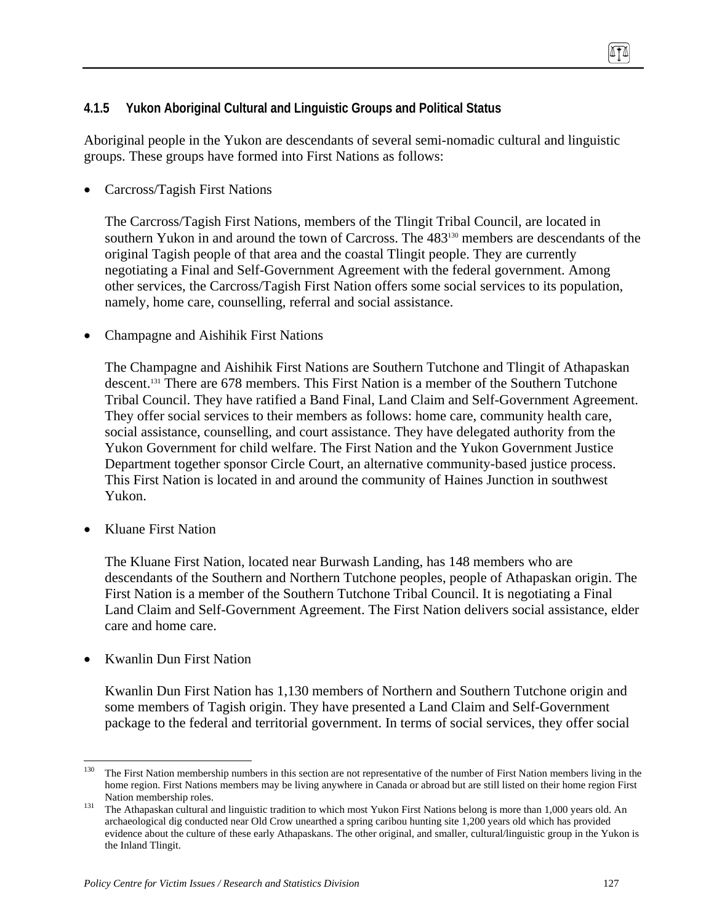## **4.1.5 Yukon Aboriginal Cultural and Linguistic Groups and Political Status**

Aboriginal people in the Yukon are descendants of several semi-nomadic cultural and linguistic groups. These groups have formed into First Nations as follows:

• Carcross/Tagish First Nations

The Carcross/Tagish First Nations, members of the Tlingit Tribal Council, are located in southern Yukon in and around the town of Carcross. The 483<sup>130</sup> members are descendants of the original Tagish people of that area and the coastal Tlingit people. They are currently negotiating a Final and Self-Government Agreement with the federal government. Among other services, the Carcross/Tagish First Nation offers some social services to its population, namely, home care, counselling, referral and social assistance.

• Champagne and Aishihik First Nations

The Champagne and Aishihik First Nations are Southern Tutchone and Tlingit of Athapaskan descent.<sup>131</sup> There are 678 members. This First Nation is a member of the Southern Tutchone Tribal Council. They have ratified a Band Final, Land Claim and Self-Government Agreement. They offer social services to their members as follows: home care, community health care, social assistance, counselling, and court assistance. They have delegated authority from the Yukon Government for child welfare. The First Nation and the Yukon Government Justice Department together sponsor Circle Court, an alternative community-based justice process. This First Nation is located in and around the community of Haines Junction in southwest Yukon.

• Kluane First Nation

The Kluane First Nation, located near Burwash Landing, has 148 members who are descendants of the Southern and Northern Tutchone peoples, people of Athapaskan origin. The First Nation is a member of the Southern Tutchone Tribal Council. It is negotiating a Final Land Claim and Self-Government Agreement. The First Nation delivers social assistance, elder care and home care.

• Kwanlin Dun First Nation

Kwanlin Dun First Nation has 1,130 members of Northern and Southern Tutchone origin and some members of Tagish origin. They have presented a Land Claim and Self-Government package to the federal and territorial government. In terms of social services, they offer social

<sup>130</sup> The First Nation membership numbers in this section are not representative of the number of First Nation members living in the home region. First Nations members may be living anywhere in Canada or abroad but are still listed on their home region First

Nation membership roles.<br><sup>131</sup> The Athapaskan cultural and linguistic tradition to which most Yukon First Nations belong is more than 1,000 years old. An archaeological dig conducted near Old Crow unearthed a spring caribou hunting site 1,200 years old which has provided evidence about the culture of these early Athapaskans. The other original, and smaller, cultural/linguistic group in the Yukon is the Inland Tlingit.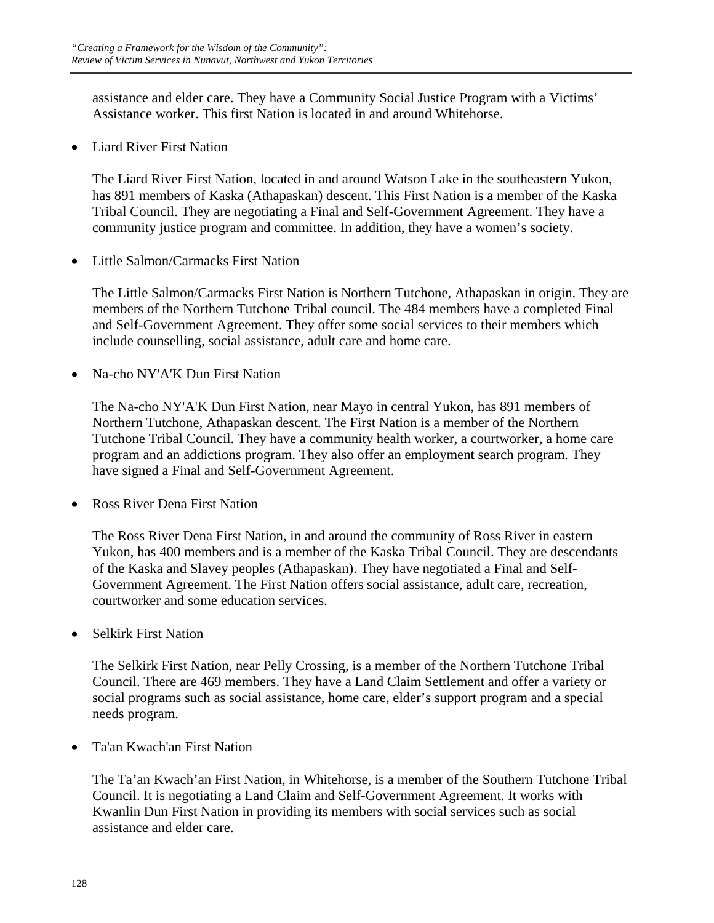assistance and elder care. They have a Community Social Justice Program with a Victims' Assistance worker. This first Nation is located in and around Whitehorse.

• Liard River First Nation

The Liard River First Nation, located in and around Watson Lake in the southeastern Yukon, has 891 members of Kaska (Athapaskan) descent. This First Nation is a member of the Kaska Tribal Council. They are negotiating a Final and Self-Government Agreement. They have a community justice program and committee. In addition, they have a women's society.

• Little Salmon/Carmacks First Nation

The Little Salmon/Carmacks First Nation is Northern Tutchone, Athapaskan in origin. They are members of the Northern Tutchone Tribal council. The 484 members have a completed Final and Self-Government Agreement. They offer some social services to their members which include counselling, social assistance, adult care and home care.

• Na-cho NY'A'K Dun First Nation

The Na-cho NY'A'K Dun First Nation, near Mayo in central Yukon, has 891 members of Northern Tutchone, Athapaskan descent. The First Nation is a member of the Northern Tutchone Tribal Council. They have a community health worker, a courtworker, a home care program and an addictions program. They also offer an employment search program. They have signed a Final and Self-Government Agreement.

• Ross River Dena First Nation

The Ross River Dena First Nation, in and around the community of Ross River in eastern Yukon, has 400 members and is a member of the Kaska Tribal Council. They are descendants of the Kaska and Slavey peoples (Athapaskan). They have negotiated a Final and Self-Government Agreement. The First Nation offers social assistance, adult care, recreation, courtworker and some education services.

• Selkirk First Nation

The Selkirk First Nation, near Pelly Crossing, is a member of the Northern Tutchone Tribal Council. There are 469 members. They have a Land Claim Settlement and offer a variety or social programs such as social assistance, home care, elder's support program and a special needs program.

• Ta'an Kwach'an First Nation

The Ta'an Kwach'an First Nation, in Whitehorse, is a member of the Southern Tutchone Tribal Council. It is negotiating a Land Claim and Self-Government Agreement. It works with Kwanlin Dun First Nation in providing its members with social services such as social assistance and elder care.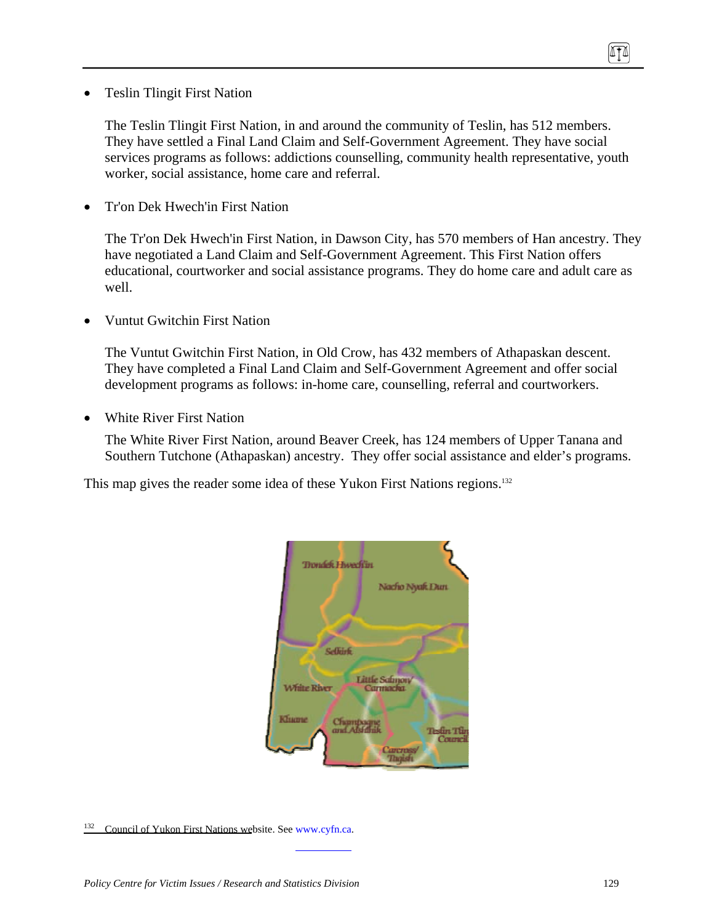• Teslin Tlingit First Nation

The Teslin Tlingit First Nation, in and around the community of Teslin, has 512 members. They have settled a Final Land Claim and Self-Government Agreement. They have social services programs as follows: addictions counselling, community health representative, youth worker, social assistance, home care and referral.

• Tr'on Dek Hwech'in First Nation

The Tr'on Dek Hwech'in First Nation, in Dawson City, has 570 members of Han ancestry. They have negotiated a Land Claim and Self-Government Agreement. This First Nation offers educational, courtworker and social assistance programs. They do home care and adult care as well.

• Vuntut Gwitchin First Nation

The Vuntut Gwitchin First Nation, in Old Crow, has 432 members of Athapaskan descent. They have completed a Final Land Claim and Self-Government Agreement and offer social development programs as follows: in-home care, counselling, referral and courtworkers.

• White River First Nation

The White River First Nation, around Beaver Creek, has 124 members of Upper Tanana and Southern Tutchone (Athapaskan) ancestry. They offer social assistance and elder's programs.

This map gives the reader some idea of these Yukon First Nations regions.<sup>132</sup>



<sup>&</sup>lt;sup>132</sup> Council of Yukon First Nations website. See www.cyfn.ca.

TI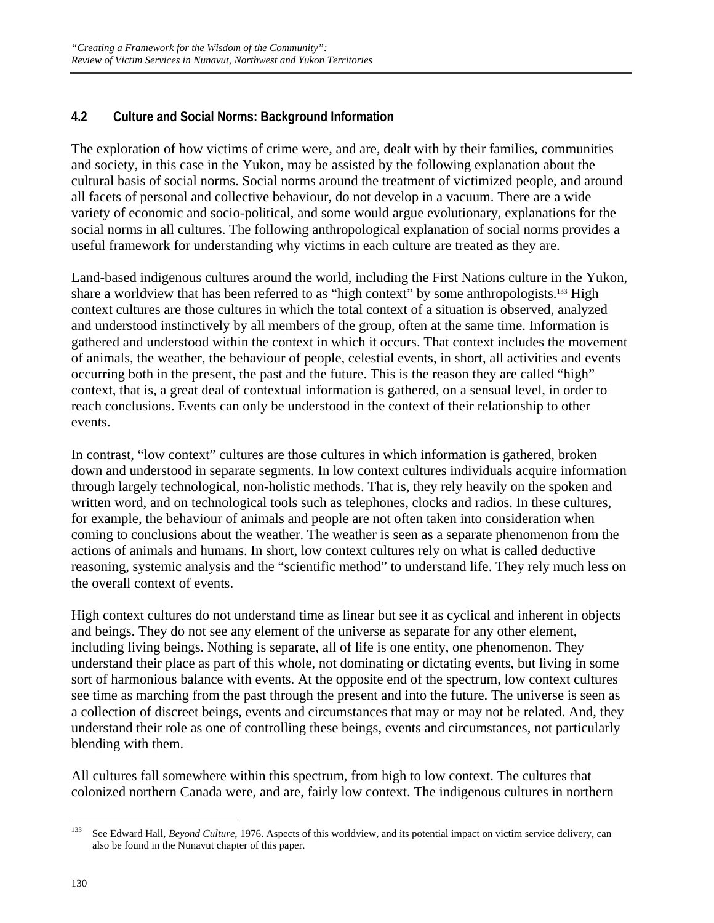# **4.2 Culture and Social Norms: Background Information**

The exploration of how victims of crime were, and are, dealt with by their families, communities and society, in this case in the Yukon, may be assisted by the following explanation about the cultural basis of social norms. Social norms around the treatment of victimized people, and around all facets of personal and collective behaviour, do not develop in a vacuum. There are a wide variety of economic and socio-political, and some would argue evolutionary, explanations for the social norms in all cultures. The following anthropological explanation of social norms provides a useful framework for understanding why victims in each culture are treated as they are.

Land-based indigenous cultures around the world, including the First Nations culture in the Yukon, share a worldview that has been referred to as "high context" by some anthropologists.<sup>133</sup> High context cultures are those cultures in which the total context of a situation is observed, analyzed and understood instinctively by all members of the group, often at the same time. Information is gathered and understood within the context in which it occurs. That context includes the movement of animals, the weather, the behaviour of people, celestial events, in short, all activities and events occurring both in the present, the past and the future. This is the reason they are called "high" context, that is, a great deal of contextual information is gathered, on a sensual level, in order to reach conclusions. Events can only be understood in the context of their relationship to other events.

In contrast, "low context" cultures are those cultures in which information is gathered, broken down and understood in separate segments. In low context cultures individuals acquire information through largely technological, non-holistic methods. That is, they rely heavily on the spoken and written word, and on technological tools such as telephones, clocks and radios. In these cultures, for example, the behaviour of animals and people are not often taken into consideration when coming to conclusions about the weather. The weather is seen as a separate phenomenon from the actions of animals and humans. In short, low context cultures rely on what is called deductive reasoning, systemic analysis and the "scientific method" to understand life. They rely much less on the overall context of events.

High context cultures do not understand time as linear but see it as cyclical and inherent in objects and beings. They do not see any element of the universe as separate for any other element, including living beings. Nothing is separate, all of life is one entity, one phenomenon. They understand their place as part of this whole, not dominating or dictating events, but living in some sort of harmonious balance with events. At the opposite end of the spectrum, low context cultures see time as marching from the past through the present and into the future. The universe is seen as a collection of discreet beings, events and circumstances that may or may not be related. And, they understand their role as one of controlling these beings, events and circumstances, not particularly blending with them.

All cultures fall somewhere within this spectrum, from high to low context. The cultures that colonized northern Canada were, and are, fairly low context. The indigenous cultures in northern

<sup>133</sup> 133 See Edward Hall, *Beyond Culture*, 1976. Aspects of this worldview, and its potential impact on victim service delivery, can also be found in the Nunavut chapter of this paper.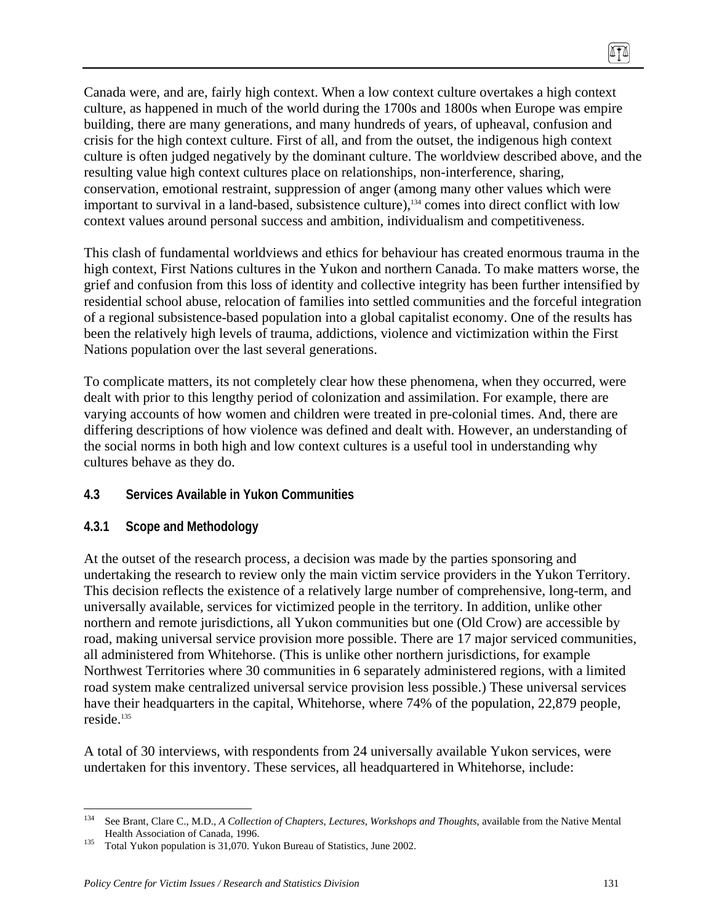Canada were, and are, fairly high context. When a low context culture overtakes a high context culture, as happened in much of the world during the 1700s and 1800s when Europe was empire building, there are many generations, and many hundreds of years, of upheaval, confusion and crisis for the high context culture. First of all, and from the outset, the indigenous high context culture is often judged negatively by the dominant culture. The worldview described above, and the resulting value high context cultures place on relationships, non-interference, sharing, conservation, emotional restraint, suppression of anger (among many other values which were important to survival in a land-based, subsistence culture),<sup>134</sup> comes into direct conflict with low context values around personal success and ambition, individualism and competitiveness.

This clash of fundamental worldviews and ethics for behaviour has created enormous trauma in the high context, First Nations cultures in the Yukon and northern Canada. To make matters worse, the grief and confusion from this loss of identity and collective integrity has been further intensified by residential school abuse, relocation of families into settled communities and the forceful integration of a regional subsistence-based population into a global capitalist economy. One of the results has been the relatively high levels of trauma, addictions, violence and victimization within the First Nations population over the last several generations.

To complicate matters, its not completely clear how these phenomena, when they occurred, were dealt with prior to this lengthy period of colonization and assimilation. For example, there are varying accounts of how women and children were treated in pre-colonial times. And, there are differing descriptions of how violence was defined and dealt with. However, an understanding of the social norms in both high and low context cultures is a useful tool in understanding why cultures behave as they do.

## **4.3 Services Available in Yukon Communities**

#### **4.3.1 Scope and Methodology**

At the outset of the research process, a decision was made by the parties sponsoring and undertaking the research to review only the main victim service providers in the Yukon Territory. This decision reflects the existence of a relatively large number of comprehensive, long-term, and universally available, services for victimized people in the territory. In addition, unlike other northern and remote jurisdictions, all Yukon communities but one (Old Crow) are accessible by road, making universal service provision more possible. There are 17 major serviced communities, all administered from Whitehorse. (This is unlike other northern jurisdictions, for example Northwest Territories where 30 communities in 6 separately administered regions, with a limited road system make centralized universal service provision less possible.) These universal services have their headquarters in the capital, Whitehorse, where 74% of the population, 22,879 people, reside.<sup>135</sup>

A total of 30 interviews, with respondents from 24 universally available Yukon services, were undertaken for this inventory. These services, all headquartered in Whitehorse, include:

 $\sqrt{10}$ 

<sup>1</sup> 134 See Brant, Clare C., M.D., *A Collection of Chapters, Lectures, Workshops and Thoughts*, available from the Native Mental

Health Association of Canada, 1996.<br><sup>135</sup> Total Yukon population is 31,070. Yukon Bureau of Statistics, June 2002.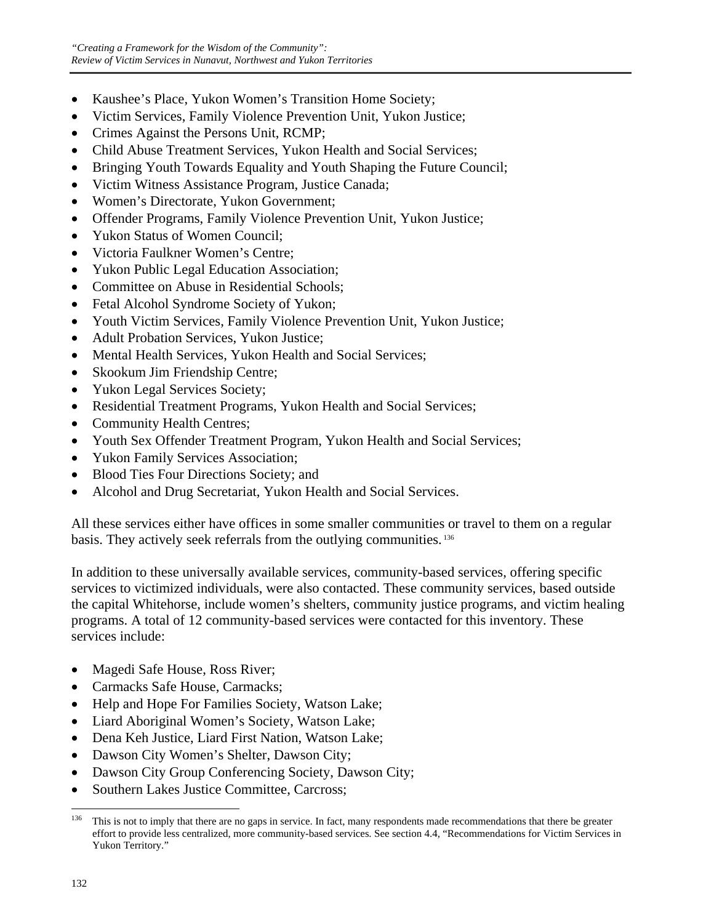- Kaushee's Place, Yukon Women's Transition Home Society;
- Victim Services, Family Violence Prevention Unit, Yukon Justice;
- Crimes Against the Persons Unit, RCMP;
- Child Abuse Treatment Services, Yukon Health and Social Services:
- Bringing Youth Towards Equality and Youth Shaping the Future Council;
- Victim Witness Assistance Program, Justice Canada;
- Women's Directorate, Yukon Government:
- Offender Programs, Family Violence Prevention Unit, Yukon Justice;
- Yukon Status of Women Council;
- Victoria Faulkner Women's Centre;
- Yukon Public Legal Education Association;
- Committee on Abuse in Residential Schools;
- Fetal Alcohol Syndrome Society of Yukon;
- Youth Victim Services, Family Violence Prevention Unit, Yukon Justice;
- Adult Probation Services, Yukon Justice;
- Mental Health Services, Yukon Health and Social Services;
- Skookum Jim Friendship Centre;
- Yukon Legal Services Society;
- Residential Treatment Programs, Yukon Health and Social Services;
- Community Health Centres;
- Youth Sex Offender Treatment Program, Yukon Health and Social Services;
- Yukon Family Services Association;
- Blood Ties Four Directions Society; and
- Alcohol and Drug Secretariat, Yukon Health and Social Services.

All these services either have offices in some smaller communities or travel to them on a regular basis. They actively seek referrals from the outlying communities. 136

In addition to these universally available services, community-based services, offering specific services to victimized individuals, were also contacted. These community services, based outside the capital Whitehorse, include women's shelters, community justice programs, and victim healing programs. A total of 12 community-based services were contacted for this inventory. These services include:

- Magedi Safe House, Ross River;
- Carmacks Safe House, Carmacks;
- Help and Hope For Families Society, Watson Lake;
- Liard Aboriginal Women's Society, Watson Lake;
- Dena Keh Justice, Liard First Nation, Watson Lake;
- Dawson City Women's Shelter, Dawson City;
- Dawson City Group Conferencing Society, Dawson City;
- Southern Lakes Justice Committee, Carcross;

<sup>136</sup> 136 This is not to imply that there are no gaps in service. In fact, many respondents made recommendations that there be greater effort to provide less centralized, more community-based services. See section 4.4, "Recommendations for Victim Services in Yukon Territory."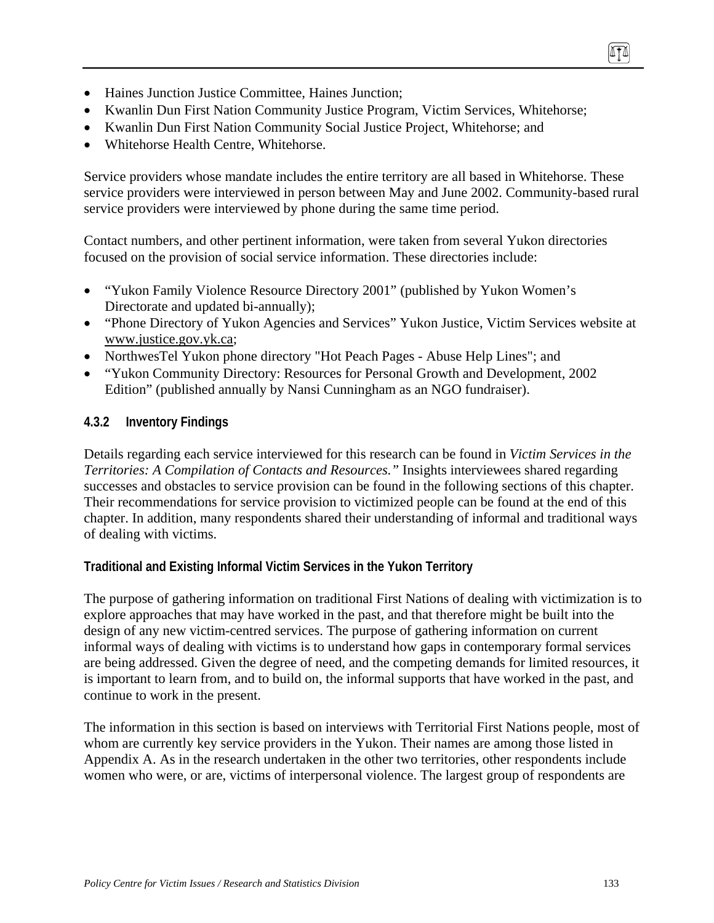- Haines Junction Justice Committee, Haines Junction:
- Kwanlin Dun First Nation Community Justice Program, Victim Services, Whitehorse;
- Kwanlin Dun First Nation Community Social Justice Project, Whitehorse; and
- Whitehorse Health Centre, Whitehorse.

Service providers whose mandate includes the entire territory are all based in Whitehorse. These service providers were interviewed in person between May and June 2002. Community-based rural service providers were interviewed by phone during the same time period.

Contact numbers, and other pertinent information, were taken from several Yukon directories focused on the provision of social service information. These directories include:

- "Yukon Family Violence Resource Directory 2001" (published by Yukon Women's Directorate and updated bi-annually);
- "Phone Directory of Yukon Agencies and Services" Yukon Justice, Victim Services website at www.justice.gov.yk.ca;
- NorthwesTel Yukon phone directory "Hot Peach Pages Abuse Help Lines"; and
- "Yukon Community Directory: Resources for Personal Growth and Development, 2002 Edition" (published annually by Nansi Cunningham as an NGO fundraiser).

## **4.3.2 Inventory Findings**

Details regarding each service interviewed for this research can be found in *Victim Services in the Territories: A Compilation of Contacts and Resources."* Insights interviewees shared regarding successes and obstacles to service provision can be found in the following sections of this chapter. Their recommendations for service provision to victimized people can be found at the end of this chapter. In addition, many respondents shared their understanding of informal and traditional ways of dealing with victims.

## **Traditional and Existing Informal Victim Services in the Yukon Territory**

The purpose of gathering information on traditional First Nations of dealing with victimization is to explore approaches that may have worked in the past, and that therefore might be built into the design of any new victim-centred services. The purpose of gathering information on current informal ways of dealing with victims is to understand how gaps in contemporary formal services are being addressed. Given the degree of need, and the competing demands for limited resources, it is important to learn from, and to build on, the informal supports that have worked in the past, and continue to work in the present.

The information in this section is based on interviews with Territorial First Nations people, most of whom are currently key service providers in the Yukon. Their names are among those listed in Appendix A. As in the research undertaken in the other two territories, other respondents include women who were, or are, victims of interpersonal violence. The largest group of respondents are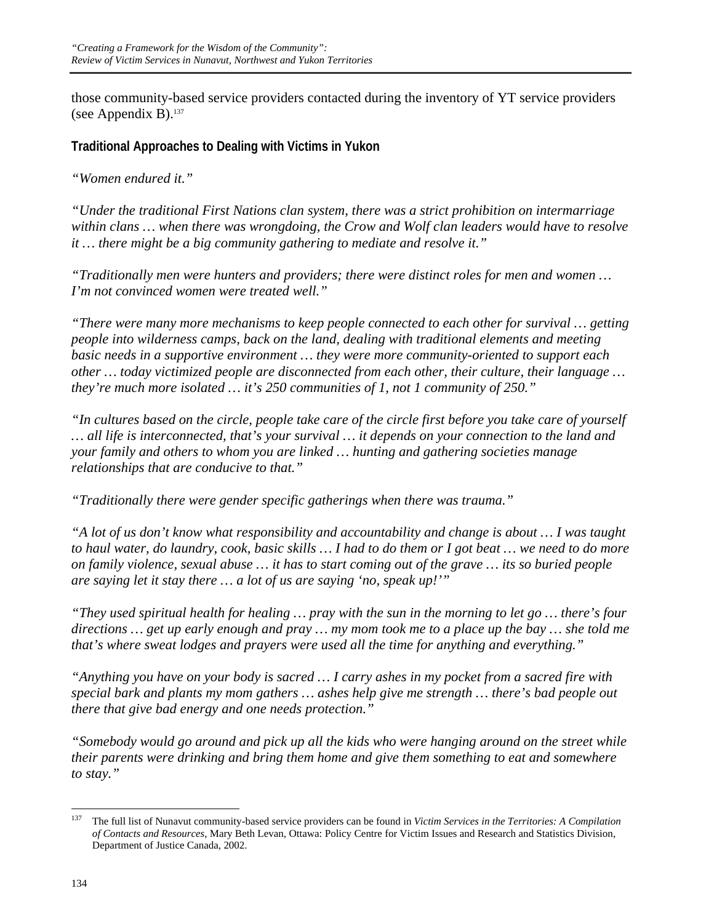those community-based service providers contacted during the inventory of YT service providers (see Appendix B). $137$ 

**Traditional Approaches to Dealing with Victims in Yukon** 

*"Women endured it."* 

*"Under the traditional First Nations clan system, there was a strict prohibition on intermarriage within clans … when there was wrongdoing, the Crow and Wolf clan leaders would have to resolve it … there might be a big community gathering to mediate and resolve it."* 

*"Traditionally men were hunters and providers; there were distinct roles for men and women … I'm not convinced women were treated well."* 

*"There were many more mechanisms to keep people connected to each other for survival … getting people into wilderness camps, back on the land, dealing with traditional elements and meeting basic needs in a supportive environment … they were more community-oriented to support each other … today victimized people are disconnected from each other, their culture, their language … they're much more isolated … it's 250 communities of 1, not 1 community of 250."* 

*"In cultures based on the circle, people take care of the circle first before you take care of yourself … all life is interconnected, that's your survival … it depends on your connection to the land and your family and others to whom you are linked … hunting and gathering societies manage relationships that are conducive to that."* 

*"Traditionally there were gender specific gatherings when there was trauma."* 

*"A lot of us don't know what responsibility and accountability and change is about … I was taught to haul water, do laundry, cook, basic skills … I had to do them or I got beat … we need to do more on family violence, sexual abuse … it has to start coming out of the grave … its so buried people are saying let it stay there … a lot of us are saying 'no, speak up!'"* 

*"They used spiritual health for healing … pray with the sun in the morning to let go … there's four directions … get up early enough and pray … my mom took me to a place up the bay … she told me that's where sweat lodges and prayers were used all the time for anything and everything."* 

*"Anything you have on your body is sacred … I carry ashes in my pocket from a sacred fire with special bark and plants my mom gathers … ashes help give me strength … there's bad people out there that give bad energy and one needs protection."* 

*"Somebody would go around and pick up all the kids who were hanging around on the street while their parents were drinking and bring them home and give them something to eat and somewhere to stay."* 

<sup>137</sup> 137 The full list of Nunavut community-based service providers can be found in *Victim Services in the Territories: A Compilation of Contacts and Resources*, Mary Beth Levan, Ottawa: Policy Centre for Victim Issues and Research and Statistics Division, Department of Justice Canada, 2002.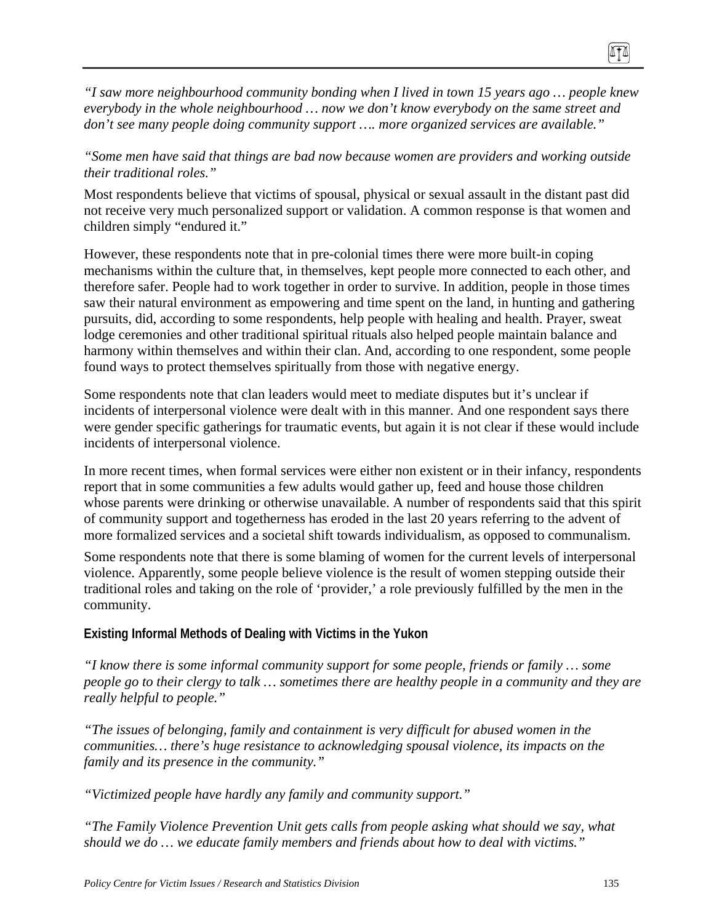*"I saw more neighbourhood community bonding when I lived in town 15 years ago … people knew everybody in the whole neighbourhood … now we don't know everybody on the same street and don't see many people doing community support …. more organized services are available."* 

## *"Some men have said that things are bad now because women are providers and working outside their traditional roles."*

Most respondents believe that victims of spousal, physical or sexual assault in the distant past did not receive very much personalized support or validation. A common response is that women and children simply "endured it."

However, these respondents note that in pre-colonial times there were more built-in coping mechanisms within the culture that, in themselves, kept people more connected to each other, and therefore safer. People had to work together in order to survive. In addition, people in those times saw their natural environment as empowering and time spent on the land, in hunting and gathering pursuits, did, according to some respondents, help people with healing and health. Prayer, sweat lodge ceremonies and other traditional spiritual rituals also helped people maintain balance and harmony within themselves and within their clan. And, according to one respondent, some people found ways to protect themselves spiritually from those with negative energy.

Some respondents note that clan leaders would meet to mediate disputes but it's unclear if incidents of interpersonal violence were dealt with in this manner. And one respondent says there were gender specific gatherings for traumatic events, but again it is not clear if these would include incidents of interpersonal violence.

In more recent times, when formal services were either non existent or in their infancy, respondents report that in some communities a few adults would gather up, feed and house those children whose parents were drinking or otherwise unavailable. A number of respondents said that this spirit of community support and togetherness has eroded in the last 20 years referring to the advent of more formalized services and a societal shift towards individualism, as opposed to communalism.

Some respondents note that there is some blaming of women for the current levels of interpersonal violence. Apparently, some people believe violence is the result of women stepping outside their traditional roles and taking on the role of 'provider,' a role previously fulfilled by the men in the community.

### **Existing Informal Methods of Dealing with Victims in the Yukon**

*"I know there is some informal community support for some people, friends or family … some people go to their clergy to talk … sometimes there are healthy people in a community and they are really helpful to people."* 

*"The issues of belonging, family and containment is very difficult for abused women in the communities… there's huge resistance to acknowledging spousal violence, its impacts on the family and its presence in the community."* 

*"Victimized people have hardly any family and community support."* 

*"The Family Violence Prevention Unit gets calls from people asking what should we say, what should we do … we educate family members and friends about how to deal with victims."*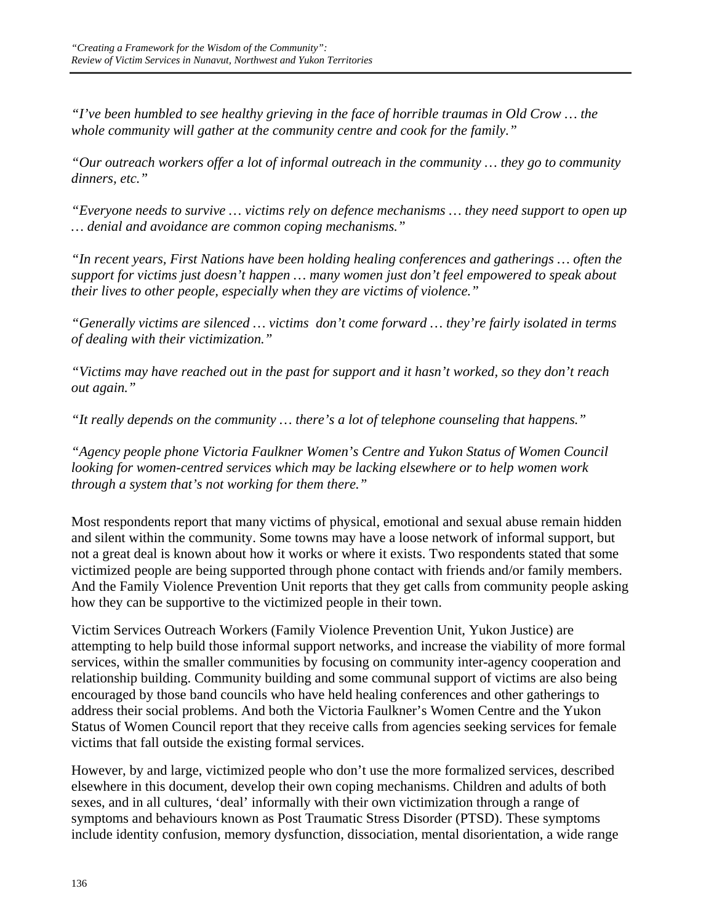*"I've been humbled to see healthy grieving in the face of horrible traumas in Old Crow … the whole community will gather at the community centre and cook for the family."* 

*"Our outreach workers offer a lot of informal outreach in the community … they go to community dinners, etc."* 

*"Everyone needs to survive … victims rely on defence mechanisms … they need support to open up … denial and avoidance are common coping mechanisms."* 

*"In recent years, First Nations have been holding healing conferences and gatherings … often the support for victims just doesn't happen … many women just don't feel empowered to speak about their lives to other people, especially when they are victims of violence."* 

*"Generally victims are silenced … victims don't come forward … they're fairly isolated in terms of dealing with their victimization."* 

*"Victims may have reached out in the past for support and it hasn't worked, so they don't reach out again."* 

*"It really depends on the community … there's a lot of telephone counseling that happens."* 

*"Agency people phone Victoria Faulkner Women's Centre and Yukon Status of Women Council looking for women-centred services which may be lacking elsewhere or to help women work through a system that's not working for them there."* 

Most respondents report that many victims of physical, emotional and sexual abuse remain hidden and silent within the community. Some towns may have a loose network of informal support, but not a great deal is known about how it works or where it exists. Two respondents stated that some victimized people are being supported through phone contact with friends and/or family members. And the Family Violence Prevention Unit reports that they get calls from community people asking how they can be supportive to the victimized people in their town.

Victim Services Outreach Workers (Family Violence Prevention Unit, Yukon Justice) are attempting to help build those informal support networks, and increase the viability of more formal services, within the smaller communities by focusing on community inter-agency cooperation and relationship building. Community building and some communal support of victims are also being encouraged by those band councils who have held healing conferences and other gatherings to address their social problems. And both the Victoria Faulkner's Women Centre and the Yukon Status of Women Council report that they receive calls from agencies seeking services for female victims that fall outside the existing formal services.

However, by and large, victimized people who don't use the more formalized services, described elsewhere in this document, develop their own coping mechanisms. Children and adults of both sexes, and in all cultures, 'deal' informally with their own victimization through a range of symptoms and behaviours known as Post Traumatic Stress Disorder (PTSD). These symptoms include identity confusion, memory dysfunction, dissociation, mental disorientation, a wide range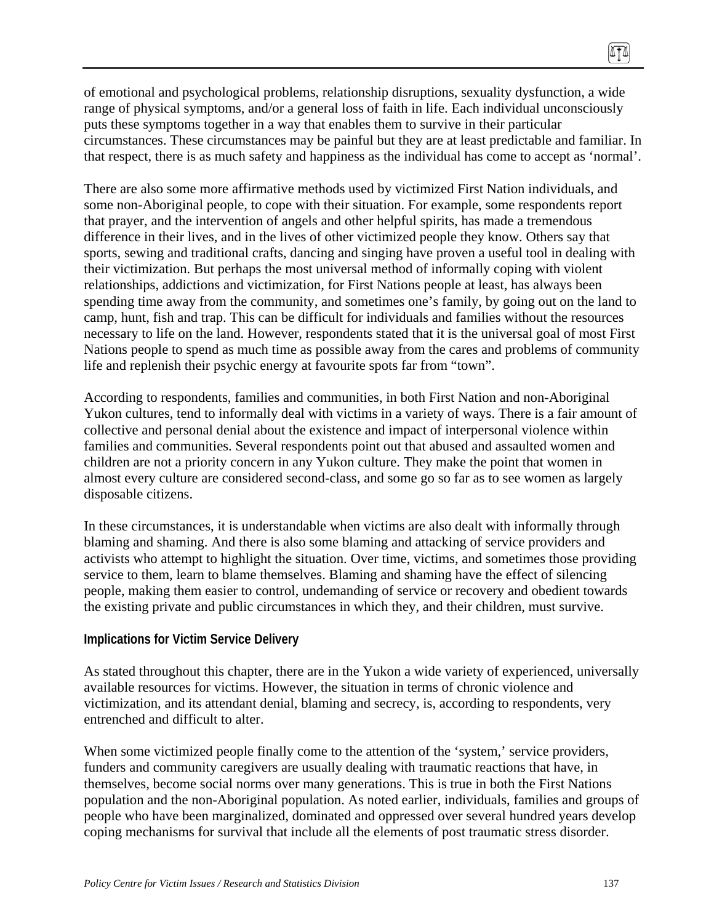of emotional and psychological problems, relationship disruptions, sexuality dysfunction, a wide range of physical symptoms, and/or a general loss of faith in life. Each individual unconsciously puts these symptoms together in a way that enables them to survive in their particular circumstances. These circumstances may be painful but they are at least predictable and familiar. In that respect, there is as much safety and happiness as the individual has come to accept as 'normal'.

There are also some more affirmative methods used by victimized First Nation individuals, and some non-Aboriginal people, to cope with their situation. For example, some respondents report that prayer, and the intervention of angels and other helpful spirits, has made a tremendous difference in their lives, and in the lives of other victimized people they know. Others say that sports, sewing and traditional crafts, dancing and singing have proven a useful tool in dealing with their victimization. But perhaps the most universal method of informally coping with violent relationships, addictions and victimization, for First Nations people at least, has always been spending time away from the community, and sometimes one's family, by going out on the land to camp, hunt, fish and trap. This can be difficult for individuals and families without the resources necessary to life on the land. However, respondents stated that it is the universal goal of most First Nations people to spend as much time as possible away from the cares and problems of community life and replenish their psychic energy at favourite spots far from "town".

According to respondents, families and communities, in both First Nation and non-Aboriginal Yukon cultures, tend to informally deal with victims in a variety of ways. There is a fair amount of collective and personal denial about the existence and impact of interpersonal violence within families and communities. Several respondents point out that abused and assaulted women and children are not a priority concern in any Yukon culture. They make the point that women in almost every culture are considered second-class, and some go so far as to see women as largely disposable citizens.

In these circumstances, it is understandable when victims are also dealt with informally through blaming and shaming. And there is also some blaming and attacking of service providers and activists who attempt to highlight the situation. Over time, victims, and sometimes those providing service to them, learn to blame themselves. Blaming and shaming have the effect of silencing people, making them easier to control, undemanding of service or recovery and obedient towards the existing private and public circumstances in which they, and their children, must survive.

#### **Implications for Victim Service Delivery**

As stated throughout this chapter, there are in the Yukon a wide variety of experienced, universally available resources for victims. However, the situation in terms of chronic violence and victimization, and its attendant denial, blaming and secrecy, is, according to respondents, very entrenched and difficult to alter.

When some victimized people finally come to the attention of the 'system,' service providers, funders and community caregivers are usually dealing with traumatic reactions that have, in themselves, become social norms over many generations. This is true in both the First Nations population and the non-Aboriginal population. As noted earlier, individuals, families and groups of people who have been marginalized, dominated and oppressed over several hundred years develop coping mechanisms for survival that include all the elements of post traumatic stress disorder.

(ITA)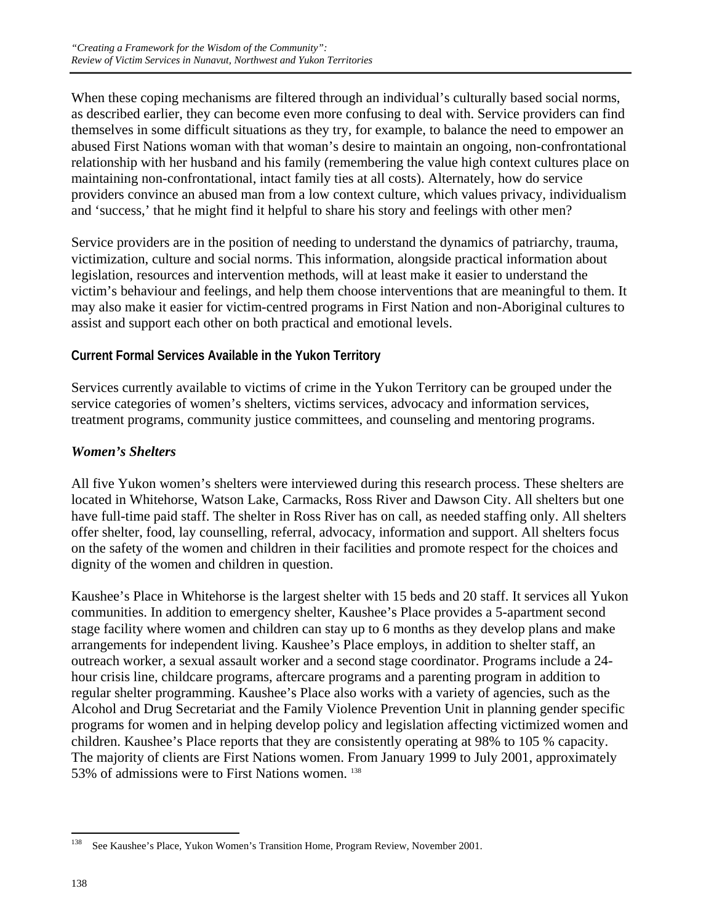When these coping mechanisms are filtered through an individual's culturally based social norms, as described earlier, they can become even more confusing to deal with. Service providers can find themselves in some difficult situations as they try, for example, to balance the need to empower an abused First Nations woman with that woman's desire to maintain an ongoing, non-confrontational relationship with her husband and his family (remembering the value high context cultures place on maintaining non-confrontational, intact family ties at all costs). Alternately, how do service providers convince an abused man from a low context culture, which values privacy, individualism and 'success,' that he might find it helpful to share his story and feelings with other men?

Service providers are in the position of needing to understand the dynamics of patriarchy, trauma, victimization, culture and social norms. This information, alongside practical information about legislation, resources and intervention methods, will at least make it easier to understand the victim's behaviour and feelings, and help them choose interventions that are meaningful to them. It may also make it easier for victim-centred programs in First Nation and non-Aboriginal cultures to assist and support each other on both practical and emotional levels.

## **Current Formal Services Available in the Yukon Territory**

Services currently available to victims of crime in the Yukon Territory can be grouped under the service categories of women's shelters, victims services, advocacy and information services, treatment programs, community justice committees, and counseling and mentoring programs.

#### *Women's Shelters*

All five Yukon women's shelters were interviewed during this research process. These shelters are located in Whitehorse, Watson Lake, Carmacks, Ross River and Dawson City. All shelters but one have full-time paid staff. The shelter in Ross River has on call, as needed staffing only. All shelters offer shelter, food, lay counselling, referral, advocacy, information and support. All shelters focus on the safety of the women and children in their facilities and promote respect for the choices and dignity of the women and children in question.

Kaushee's Place in Whitehorse is the largest shelter with 15 beds and 20 staff. It services all Yukon communities. In addition to emergency shelter, Kaushee's Place provides a 5-apartment second stage facility where women and children can stay up to 6 months as they develop plans and make arrangements for independent living. Kaushee's Place employs, in addition to shelter staff, an outreach worker, a sexual assault worker and a second stage coordinator. Programs include a 24 hour crisis line, childcare programs, aftercare programs and a parenting program in addition to regular shelter programming. Kaushee's Place also works with a variety of agencies, such as the Alcohol and Drug Secretariat and the Family Violence Prevention Unit in planning gender specific programs for women and in helping develop policy and legislation affecting victimized women and children. Kaushee's Place reports that they are consistently operating at 98% to 105 % capacity. The majority of clients are First Nations women. From January 1999 to July 2001, approximately 53% of admissions were to First Nations women. 138

<sup>138</sup> See Kaushee's Place, Yukon Women's Transition Home, Program Review, November 2001.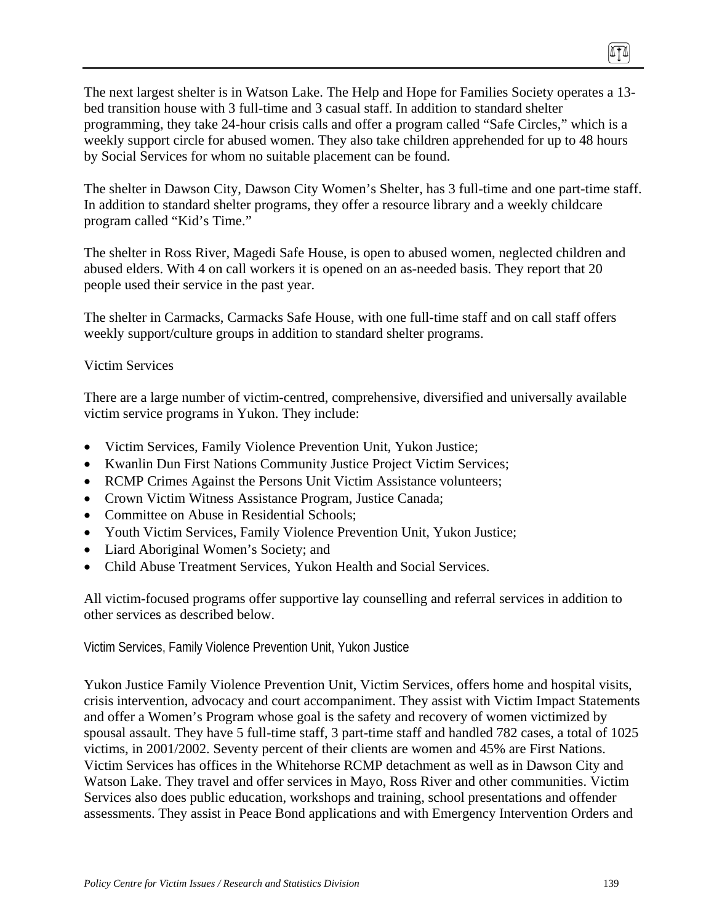The next largest shelter is in Watson Lake. The Help and Hope for Families Society operates a 13 bed transition house with 3 full-time and 3 casual staff. In addition to standard shelter programming, they take 24-hour crisis calls and offer a program called "Safe Circles," which is a weekly support circle for abused women. They also take children apprehended for up to 48 hours by Social Services for whom no suitable placement can be found.

The shelter in Dawson City, Dawson City Women's Shelter, has 3 full-time and one part-time staff. In addition to standard shelter programs, they offer a resource library and a weekly childcare program called "Kid's Time."

The shelter in Ross River, Magedi Safe House, is open to abused women, neglected children and abused elders. With 4 on call workers it is opened on an as-needed basis. They report that 20 people used their service in the past year.

The shelter in Carmacks, Carmacks Safe House, with one full-time staff and on call staff offers weekly support/culture groups in addition to standard shelter programs.

#### Victim Services

There are a large number of victim-centred, comprehensive, diversified and universally available victim service programs in Yukon. They include:

- Victim Services, Family Violence Prevention Unit, Yukon Justice;
- Kwanlin Dun First Nations Community Justice Project Victim Services;
- RCMP Crimes Against the Persons Unit Victim Assistance volunteers;
- Crown Victim Witness Assistance Program, Justice Canada;
- Committee on Abuse in Residential Schools:
- Youth Victim Services, Family Violence Prevention Unit, Yukon Justice;
- Liard Aboriginal Women's Society; and
- Child Abuse Treatment Services, Yukon Health and Social Services.

All victim-focused programs offer supportive lay counselling and referral services in addition to other services as described below.

Victim Services, Family Violence Prevention Unit, Yukon Justice

Yukon Justice Family Violence Prevention Unit, Victim Services, offers home and hospital visits, crisis intervention, advocacy and court accompaniment. They assist with Victim Impact Statements and offer a Women's Program whose goal is the safety and recovery of women victimized by spousal assault. They have 5 full-time staff, 3 part-time staff and handled 782 cases, a total of 1025 victims, in 2001/2002. Seventy percent of their clients are women and 45% are First Nations. Victim Services has offices in the Whitehorse RCMP detachment as well as in Dawson City and Watson Lake. They travel and offer services in Mayo, Ross River and other communities. Victim Services also does public education, workshops and training, school presentations and offender assessments. They assist in Peace Bond applications and with Emergency Intervention Orders and

(ITA)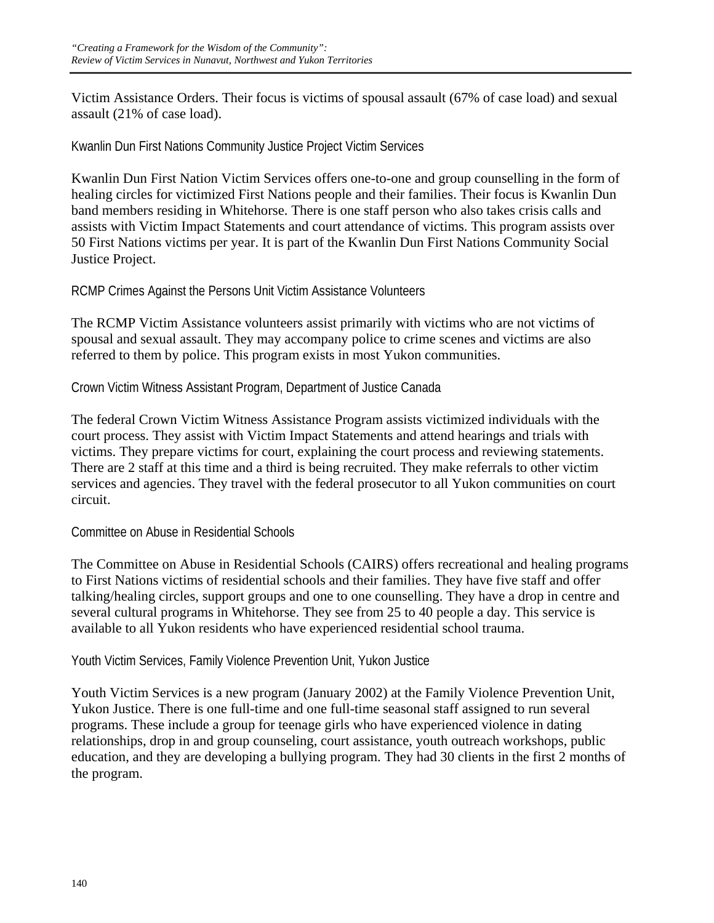Victim Assistance Orders. Their focus is victims of spousal assault (67% of case load) and sexual assault (21% of case load).

Kwanlin Dun First Nations Community Justice Project Victim Services

Kwanlin Dun First Nation Victim Services offers one-to-one and group counselling in the form of healing circles for victimized First Nations people and their families. Their focus is Kwanlin Dun band members residing in Whitehorse. There is one staff person who also takes crisis calls and assists with Victim Impact Statements and court attendance of victims. This program assists over 50 First Nations victims per year. It is part of the Kwanlin Dun First Nations Community Social Justice Project.

RCMP Crimes Against the Persons Unit Victim Assistance Volunteers

The RCMP Victim Assistance volunteers assist primarily with victims who are not victims of spousal and sexual assault. They may accompany police to crime scenes and victims are also referred to them by police. This program exists in most Yukon communities.

Crown Victim Witness Assistant Program, Department of Justice Canada

The federal Crown Victim Witness Assistance Program assists victimized individuals with the court process. They assist with Victim Impact Statements and attend hearings and trials with victims. They prepare victims for court, explaining the court process and reviewing statements. There are 2 staff at this time and a third is being recruited. They make referrals to other victim services and agencies. They travel with the federal prosecutor to all Yukon communities on court circuit.

Committee on Abuse in Residential Schools

The Committee on Abuse in Residential Schools (CAIRS) offers recreational and healing programs to First Nations victims of residential schools and their families. They have five staff and offer talking/healing circles, support groups and one to one counselling. They have a drop in centre and several cultural programs in Whitehorse. They see from 25 to 40 people a day. This service is available to all Yukon residents who have experienced residential school trauma.

Youth Victim Services, Family Violence Prevention Unit, Yukon Justice

Youth Victim Services is a new program (January 2002) at the Family Violence Prevention Unit, Yukon Justice. There is one full-time and one full-time seasonal staff assigned to run several programs. These include a group for teenage girls who have experienced violence in dating relationships, drop in and group counseling, court assistance, youth outreach workshops, public education, and they are developing a bullying program. They had 30 clients in the first 2 months of the program.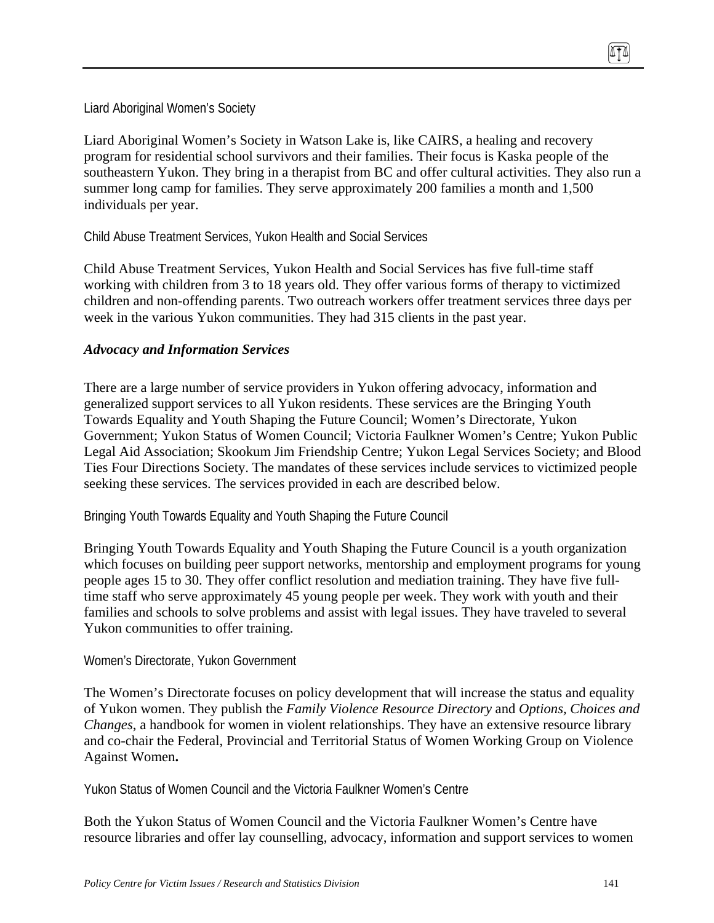Liard Aboriginal Women's Society

Liard Aboriginal Women's Society in Watson Lake is, like CAIRS, a healing and recovery program for residential school survivors and their families. Their focus is Kaska people of the southeastern Yukon. They bring in a therapist from BC and offer cultural activities. They also run a summer long camp for families. They serve approximately 200 families a month and 1,500 individuals per year.

Child Abuse Treatment Services, Yukon Health and Social Services

Child Abuse Treatment Services, Yukon Health and Social Services has five full-time staff working with children from 3 to 18 years old. They offer various forms of therapy to victimized children and non-offending parents. Two outreach workers offer treatment services three days per week in the various Yukon communities. They had 315 clients in the past year.

#### *Advocacy and Information Services*

There are a large number of service providers in Yukon offering advocacy, information and generalized support services to all Yukon residents. These services are the Bringing Youth Towards Equality and Youth Shaping the Future Council; Women's Directorate, Yukon Government; Yukon Status of Women Council; Victoria Faulkner Women's Centre; Yukon Public Legal Aid Association; Skookum Jim Friendship Centre; Yukon Legal Services Society; and Blood Ties Four Directions Society. The mandates of these services include services to victimized people seeking these services. The services provided in each are described below.

Bringing Youth Towards Equality and Youth Shaping the Future Council

Bringing Youth Towards Equality and Youth Shaping the Future Council is a youth organization which focuses on building peer support networks, mentorship and employment programs for young people ages 15 to 30. They offer conflict resolution and mediation training. They have five fulltime staff who serve approximately 45 young people per week. They work with youth and their families and schools to solve problems and assist with legal issues. They have traveled to several Yukon communities to offer training.

#### Women's Directorate, Yukon Government

The Women's Directorate focuses on policy development that will increase the status and equality of Yukon women. They publish the *Family Violence Resource Directory* and *Options, Choices and Changes*, a handbook for women in violent relationships. They have an extensive resource library and co-chair the Federal, Provincial and Territorial Status of Women Working Group on Violence Against Women**.** 

Yukon Status of Women Council and the Victoria Faulkner Women's Centre

Both the Yukon Status of Women Council and the Victoria Faulkner Women's Centre have resource libraries and offer lay counselling, advocacy, information and support services to women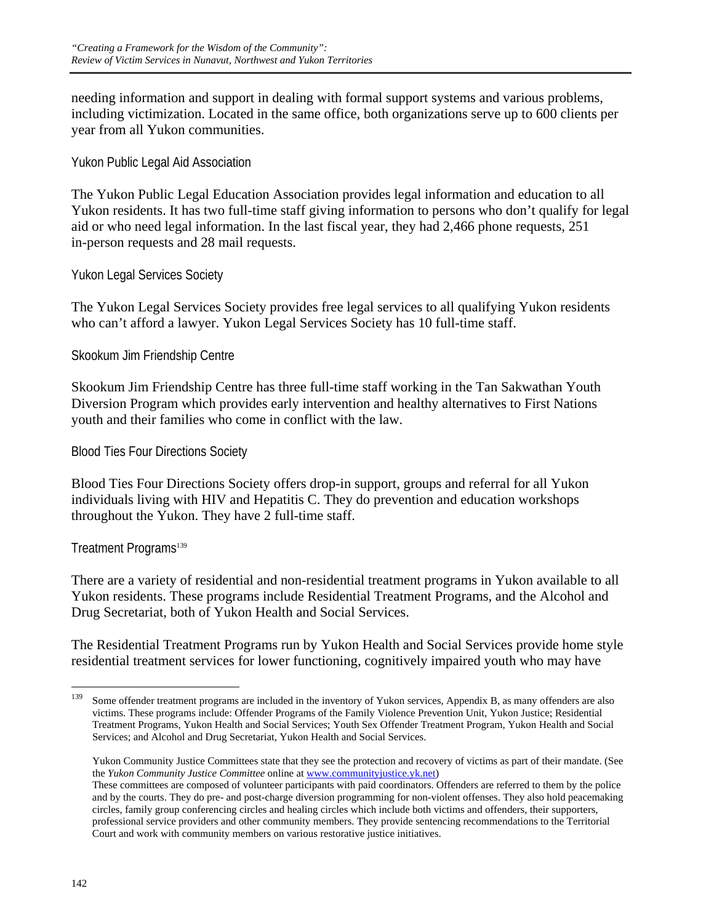needing information and support in dealing with formal support systems and various problems, including victimization. Located in the same office, both organizations serve up to 600 clients per year from all Yukon communities.

Yukon Public Legal Aid Association

The Yukon Public Legal Education Association provides legal information and education to all Yukon residents. It has two full-time staff giving information to persons who don't qualify for legal aid or who need legal information. In the last fiscal year, they had 2,466 phone requests, 251 in-person requests and 28 mail requests.

Yukon Legal Services Society

The Yukon Legal Services Society provides free legal services to all qualifying Yukon residents who can't afford a lawyer. Yukon Legal Services Society has 10 full-time staff.

Skookum Jim Friendship Centre

Skookum Jim Friendship Centre has three full-time staff working in the Tan Sakwathan Youth Diversion Program which provides early intervention and healthy alternatives to First Nations youth and their families who come in conflict with the law.

Blood Ties Four Directions Society

Blood Ties Four Directions Society offers drop-in support, groups and referral for all Yukon individuals living with HIV and Hepatitis C. They do prevention and education workshops throughout the Yukon. They have 2 full-time staff.

Treatment Programs<sup>139</sup>

There are a variety of residential and non-residential treatment programs in Yukon available to all Yukon residents. These programs include Residential Treatment Programs, and the Alcohol and Drug Secretariat, both of Yukon Health and Social Services.

The Residential Treatment Programs run by Yukon Health and Social Services provide home style residential treatment services for lower functioning, cognitively impaired youth who may have

 Yukon Community Justice Committees state that they see the protection and recovery of victims as part of their mandate. (See the *Yukon Community Justice Committee* online at www.communityjustice.yk.net)

<sup>139</sup> Some offender treatment programs are included in the inventory of Yukon services, Appendix B, as many offenders are also victims. These programs include: Offender Programs of the Family Violence Prevention Unit, Yukon Justice; Residential Treatment Programs, Yukon Health and Social Services; Youth Sex Offender Treatment Program, Yukon Health and Social Services; and Alcohol and Drug Secretariat, Yukon Health and Social Services.

These committees are composed of volunteer participants with paid coordinators. Offenders are referred to them by the police and by the courts. They do pre- and post-charge diversion programming for non-violent offenses. They also hold peacemaking circles, family group conferencing circles and healing circles which include both victims and offenders, their supporters, professional service providers and other community members. They provide sentencing recommendations to the Territorial Court and work with community members on various restorative justice initiatives.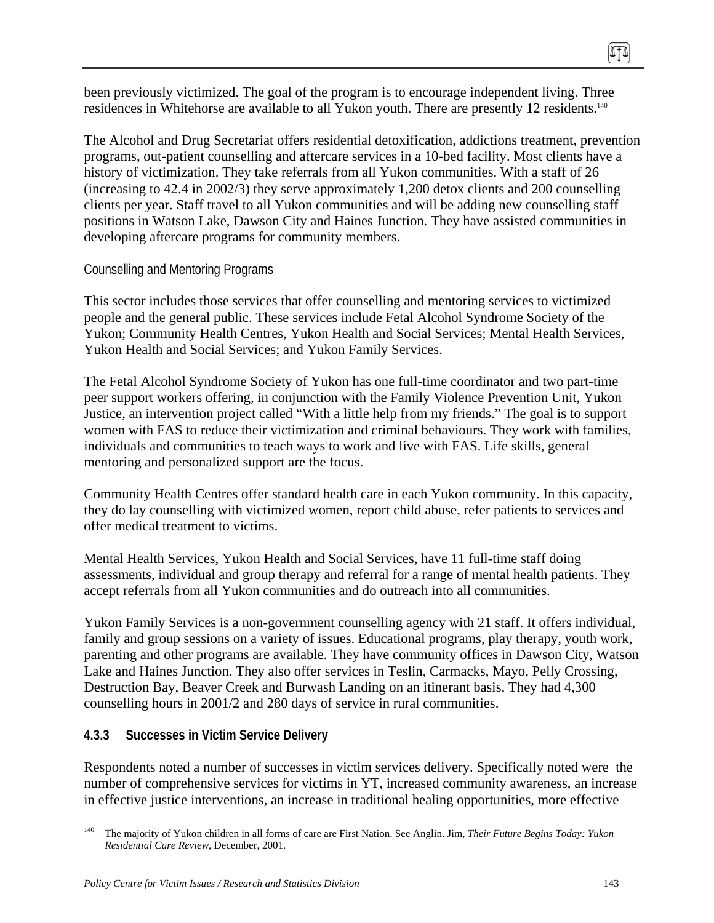been previously victimized. The goal of the program is to encourage independent living. Three residences in Whitehorse are available to all Yukon youth. There are presently 12 residents.<sup>140</sup>

The Alcohol and Drug Secretariat offers residential detoxification, addictions treatment, prevention programs, out-patient counselling and aftercare services in a 10-bed facility. Most clients have a history of victimization. They take referrals from all Yukon communities. With a staff of 26 (increasing to 42.4 in 2002/3) they serve approximately 1,200 detox clients and 200 counselling clients per year. Staff travel to all Yukon communities and will be adding new counselling staff positions in Watson Lake, Dawson City and Haines Junction. They have assisted communities in developing aftercare programs for community members.

### Counselling and Mentoring Programs

This sector includes those services that offer counselling and mentoring services to victimized people and the general public. These services include Fetal Alcohol Syndrome Society of the Yukon; Community Health Centres, Yukon Health and Social Services; Mental Health Services, Yukon Health and Social Services; and Yukon Family Services.

The Fetal Alcohol Syndrome Society of Yukon has one full-time coordinator and two part-time peer support workers offering, in conjunction with the Family Violence Prevention Unit, Yukon Justice, an intervention project called "With a little help from my friends." The goal is to support women with FAS to reduce their victimization and criminal behaviours. They work with families, individuals and communities to teach ways to work and live with FAS. Life skills, general mentoring and personalized support are the focus.

Community Health Centres offer standard health care in each Yukon community. In this capacity, they do lay counselling with victimized women, report child abuse, refer patients to services and offer medical treatment to victims.

Mental Health Services, Yukon Health and Social Services, have 11 full-time staff doing assessments, individual and group therapy and referral for a range of mental health patients. They accept referrals from all Yukon communities and do outreach into all communities.

Yukon Family Services is a non-government counselling agency with 21 staff. It offers individual, family and group sessions on a variety of issues. Educational programs, play therapy, youth work, parenting and other programs are available. They have community offices in Dawson City, Watson Lake and Haines Junction. They also offer services in Teslin, Carmacks, Mayo, Pelly Crossing, Destruction Bay, Beaver Creek and Burwash Landing on an itinerant basis. They had 4,300 counselling hours in 2001/2 and 280 days of service in rural communities.

### **4.3.3 Successes in Victim Service Delivery**

Respondents noted a number of successes in victim services delivery. Specifically noted were the number of comprehensive services for victims in YT, increased community awareness, an increase in effective justice interventions, an increase in traditional healing opportunities, more effective

<sup>140</sup> 140 The majority of Yukon children in all forms of care are First Nation. See Anglin. Jim, *Their Future Begins Today: Yukon Residential Care Review,* December, 2001.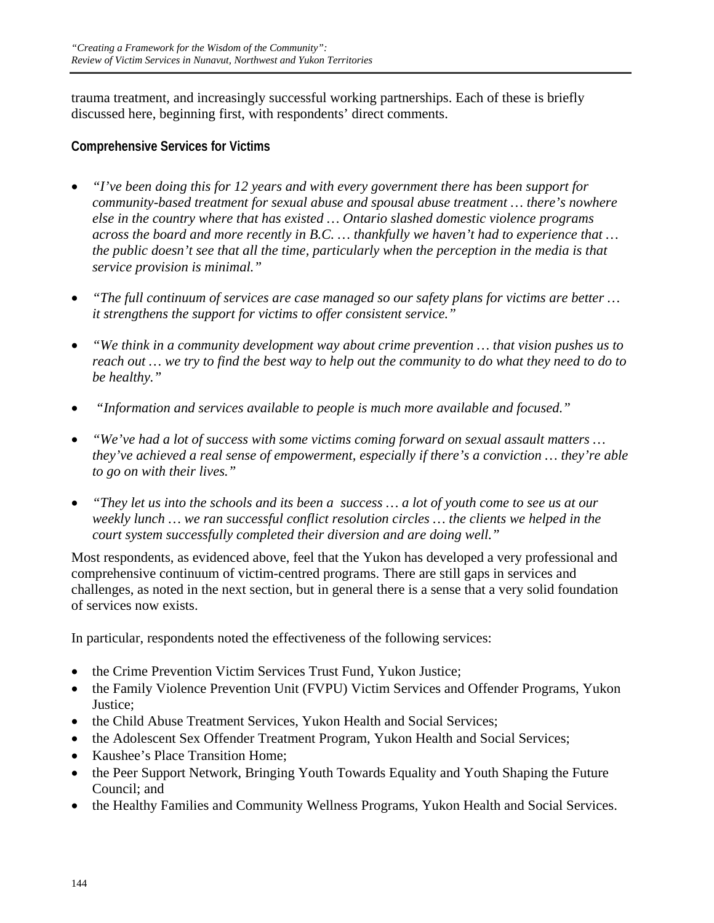trauma treatment, and increasingly successful working partnerships. Each of these is briefly discussed here, beginning first, with respondents' direct comments.

## **Comprehensive Services for Victims**

- *"I've been doing this for 12 years and with every government there has been support for community-based treatment for sexual abuse and spousal abuse treatment … there's nowhere else in the country where that has existed … Ontario slashed domestic violence programs across the board and more recently in B.C. … thankfully we haven't had to experience that … the public doesn't see that all the time, particularly when the perception in the media is that service provision is minimal."*
- *"The full continuum of services are case managed so our safety plans for victims are better … it strengthens the support for victims to offer consistent service."*
- *"We think in a community development way about crime prevention … that vision pushes us to reach out … we try to find the best way to help out the community to do what they need to do to be healthy."*
- • *"Information and services available to people is much more available and focused."*
- *"We've had a lot of success with some victims coming forward on sexual assault matters … they've achieved a real sense of empowerment, especially if there's a conviction … they're able to go on with their lives."*
- *"They let us into the schools and its been a success … a lot of youth come to see us at our weekly lunch … we ran successful conflict resolution circles … the clients we helped in the court system successfully completed their diversion and are doing well."*

Most respondents, as evidenced above, feel that the Yukon has developed a very professional and comprehensive continuum of victim-centred programs. There are still gaps in services and challenges, as noted in the next section, but in general there is a sense that a very solid foundation of services now exists.

In particular, respondents noted the effectiveness of the following services:

- the Crime Prevention Victim Services Trust Fund, Yukon Justice;
- the Family Violence Prevention Unit (FVPU) Victim Services and Offender Programs, Yukon Justice;
- the Child Abuse Treatment Services, Yukon Health and Social Services;
- the Adolescent Sex Offender Treatment Program, Yukon Health and Social Services;
- Kaushee's Place Transition Home;
- the Peer Support Network, Bringing Youth Towards Equality and Youth Shaping the Future Council; and
- the Healthy Families and Community Wellness Programs, Yukon Health and Social Services.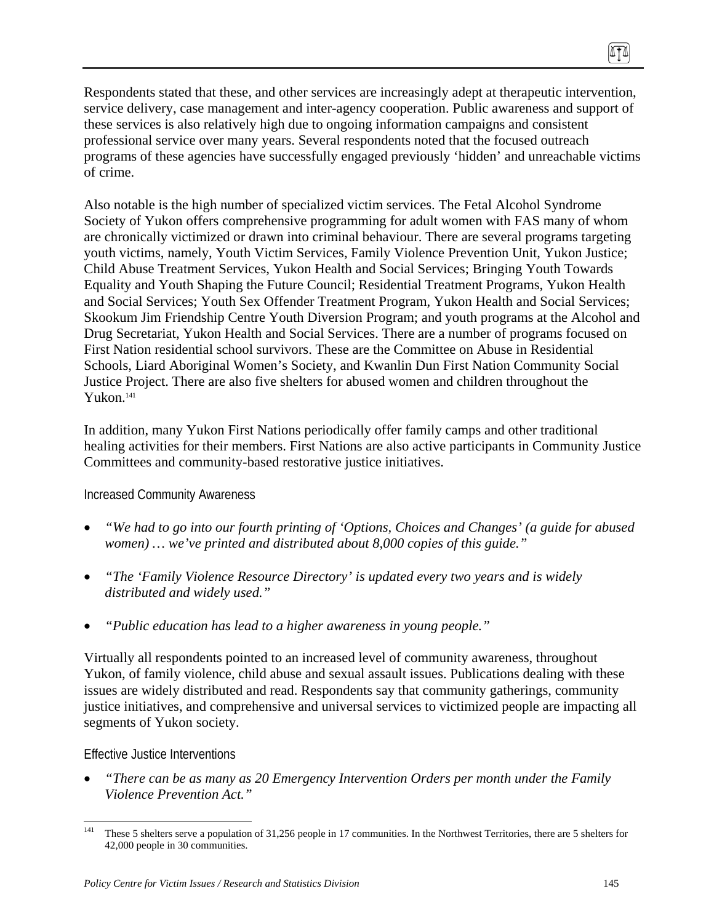Respondents stated that these, and other services are increasingly adept at therapeutic intervention, service delivery, case management and inter-agency cooperation. Public awareness and support of these services is also relatively high due to ongoing information campaigns and consistent professional service over many years. Several respondents noted that the focused outreach programs of these agencies have successfully engaged previously 'hidden' and unreachable victims of crime.

Also notable is the high number of specialized victim services. The Fetal Alcohol Syndrome Society of Yukon offers comprehensive programming for adult women with FAS many of whom are chronically victimized or drawn into criminal behaviour. There are several programs targeting youth victims, namely, Youth Victim Services, Family Violence Prevention Unit, Yukon Justice; Child Abuse Treatment Services, Yukon Health and Social Services; Bringing Youth Towards Equality and Youth Shaping the Future Council; Residential Treatment Programs, Yukon Health and Social Services; Youth Sex Offender Treatment Program, Yukon Health and Social Services; Skookum Jim Friendship Centre Youth Diversion Program; and youth programs at the Alcohol and Drug Secretariat, Yukon Health and Social Services. There are a number of programs focused on First Nation residential school survivors. These are the Committee on Abuse in Residential Schools, Liard Aboriginal Women's Society, and Kwanlin Dun First Nation Community Social Justice Project. There are also five shelters for abused women and children throughout the Yukon.141

In addition, many Yukon First Nations periodically offer family camps and other traditional healing activities for their members. First Nations are also active participants in Community Justice Committees and community-based restorative justice initiatives.

#### Increased Community Awareness

- *"We had to go into our fourth printing of 'Options, Choices and Changes' (a guide for abused women) … we've printed and distributed about 8,000 copies of this guide."*
- *"The 'Family Violence Resource Directory' is updated every two years and is widely distributed and widely used."*
- *"Public education has lead to a higher awareness in young people."*

Virtually all respondents pointed to an increased level of community awareness, throughout Yukon, of family violence, child abuse and sexual assault issues. Publications dealing with these issues are widely distributed and read. Respondents say that community gatherings, community justice initiatives, and comprehensive and universal services to victimized people are impacting all segments of Yukon society.

#### Effective Justice Interventions

• *"There can be as many as 20 Emergency Intervention Orders per month under the Family Violence Prevention Act."* 

ITI

<sup>141</sup> These 5 shelters serve a population of 31,256 people in 17 communities. In the Northwest Territories, there are 5 shelters for 42,000 people in 30 communities.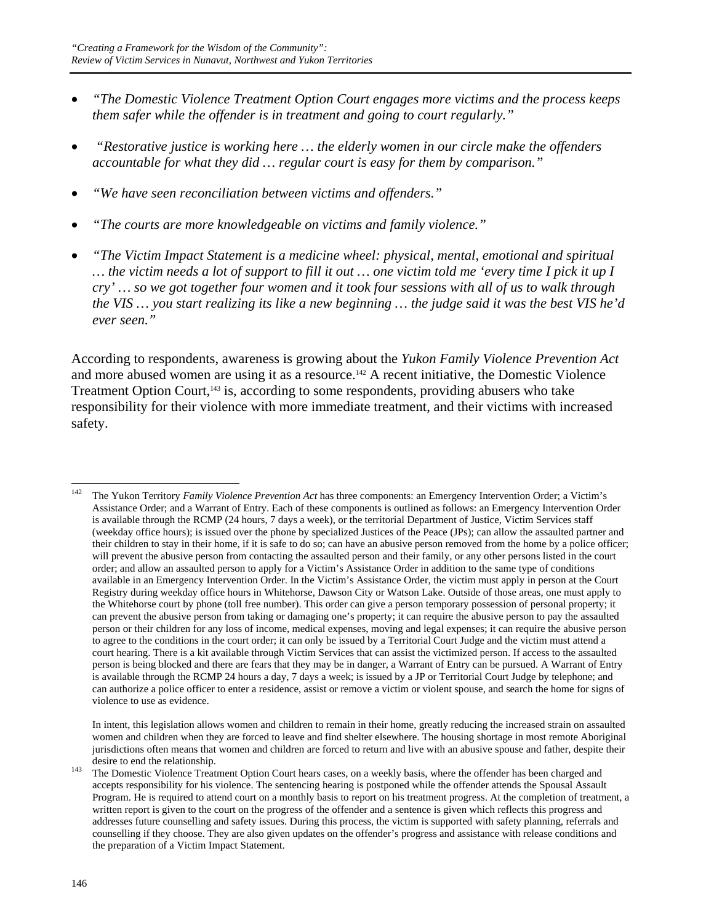- *"The Domestic Violence Treatment Option Court engages more victims and the process keeps them safer while the offender is in treatment and going to court regularly."*
- • *"Restorative justice is working here … the elderly women in our circle make the offenders accountable for what they did … regular court is easy for them by comparison."*
- *"We have seen reconciliation between victims and offenders."*
- *"The courts are more knowledgeable on victims and family violence."*
- *"The Victim Impact Statement is a medicine wheel: physical, mental, emotional and spiritual … the victim needs a lot of support to fill it out … one victim told me 'every time I pick it up I cry' … so we got together four women and it took four sessions with all of us to walk through the VIS … you start realizing its like a new beginning … the judge said it was the best VIS he'd ever seen."*

According to respondents, awareness is growing about the *Yukon Family Violence Prevention Act* and more abused women are using it as a resource.<sup>142</sup> A recent initiative, the Domestic Violence Treatment Option Court,<sup>143</sup> is, according to some respondents, providing abusers who take responsibility for their violence with more immediate treatment, and their victims with increased safety.

 In intent, this legislation allows women and children to remain in their home, greatly reducing the increased strain on assaulted women and children when they are forced to leave and find shelter elsewhere. The housing shortage in most remote Aboriginal jurisdictions often means that women and children are forced to return and live with an abusive spouse and father, despite their

<sup>142</sup> 142 The Yukon Territory *Family Violence Prevention Act* has three components: an Emergency Intervention Order; a Victim's Assistance Order; and a Warrant of Entry. Each of these components is outlined as follows: an Emergency Intervention Order is available through the RCMP (24 hours, 7 days a week), or the territorial Department of Justice, Victim Services staff (weekday office hours); is issued over the phone by specialized Justices of the Peace (JPs); can allow the assaulted partner and their children to stay in their home, if it is safe to do so; can have an abusive person removed from the home by a police officer; will prevent the abusive person from contacting the assaulted person and their family, or any other persons listed in the court order; and allow an assaulted person to apply for a Victim's Assistance Order in addition to the same type of conditions available in an Emergency Intervention Order. In the Victim's Assistance Order, the victim must apply in person at the Court Registry during weekday office hours in Whitehorse, Dawson City or Watson Lake. Outside of those areas, one must apply to the Whitehorse court by phone (toll free number). This order can give a person temporary possession of personal property; it can prevent the abusive person from taking or damaging one's property; it can require the abusive person to pay the assaulted person or their children for any loss of income, medical expenses, moving and legal expenses; it can require the abusive person to agree to the conditions in the court order; it can only be issued by a Territorial Court Judge and the victim must attend a court hearing. There is a kit available through Victim Services that can assist the victimized person. If access to the assaulted person is being blocked and there are fears that they may be in danger, a Warrant of Entry can be pursued. A Warrant of Entry is available through the RCMP 24 hours a day, 7 days a week; is issued by a JP or Territorial Court Judge by telephone; and can authorize a police officer to enter a residence, assist or remove a victim or violent spouse, and search the home for signs of violence to use as evidence.

desire to end the relationship.<br>
<sup>143</sup> The Domestic Violence Treatment Option Court hears cases, on a weekly basis, where the offender has been charged and accepts responsibility for his violence. The sentencing hearing is postponed while the offender attends the Spousal Assault Program. He is required to attend court on a monthly basis to report on his treatment progress. At the completion of treatment, a written report is given to the court on the progress of the offender and a sentence is given which reflects this progress and addresses future counselling and safety issues. During this process, the victim is supported with safety planning, referrals and counselling if they choose. They are also given updates on the offender's progress and assistance with release conditions and the preparation of a Victim Impact Statement.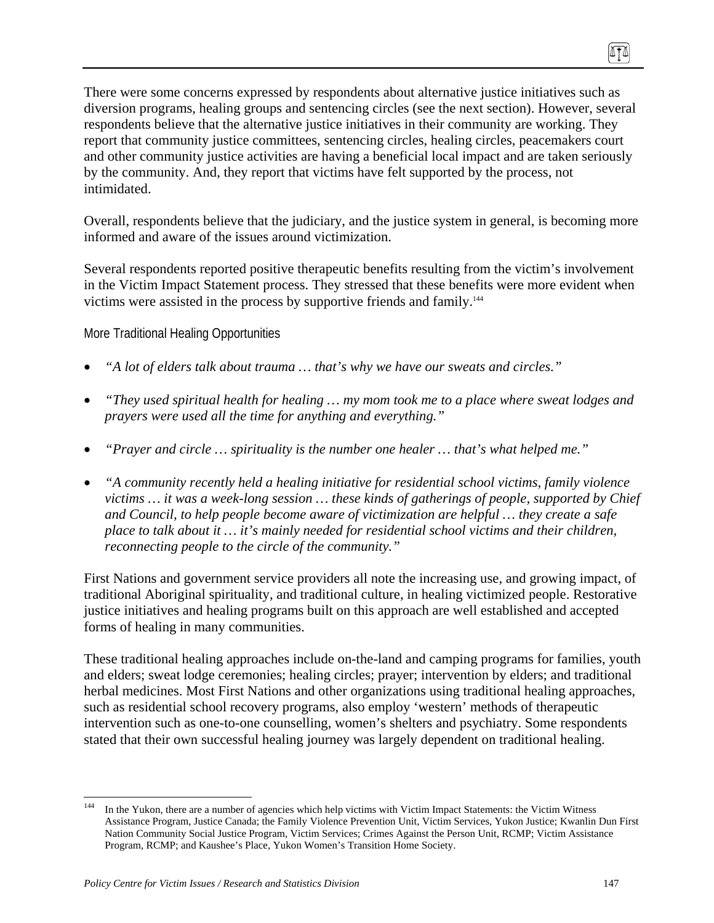There were some concerns expressed by respondents about alternative justice initiatives such as diversion programs, healing groups and sentencing circles (see the next section). However, several respondents believe that the alternative justice initiatives in their community are working. They report that community justice committees, sentencing circles, healing circles, peacemakers court and other community justice activities are having a beneficial local impact and are taken seriously by the community. And, they report that victims have felt supported by the process, not intimidated.

Overall, respondents believe that the judiciary, and the justice system in general, is becoming more informed and aware of the issues around victimization.

Several respondents reported positive therapeutic benefits resulting from the victim's involvement in the Victim Impact Statement process. They stressed that these benefits were more evident when victims were assisted in the process by supportive friends and family.144

More Traditional Healing Opportunities

- *"A lot of elders talk about trauma … that's why we have our sweats and circles."*
- *"They used spiritual health for healing … my mom took me to a place where sweat lodges and prayers were used all the time for anything and everything."*
- *"Prayer and circle … spirituality is the number one healer … that's what helped me."*
- *"A community recently held a healing initiative for residential school victims, family violence victims … it was a week-long session … these kinds of gatherings of people, supported by Chief and Council, to help people become aware of victimization are helpful … they create a safe place to talk about it … it's mainly needed for residential school victims and their children, reconnecting people to the circle of the community."*

First Nations and government service providers all note the increasing use, and growing impact, of traditional Aboriginal spirituality, and traditional culture, in healing victimized people. Restorative justice initiatives and healing programs built on this approach are well established and accepted forms of healing in many communities.

These traditional healing approaches include on-the-land and camping programs for families, youth and elders; sweat lodge ceremonies; healing circles; prayer; intervention by elders; and traditional herbal medicines. Most First Nations and other organizations using traditional healing approaches, such as residential school recovery programs, also employ 'western' methods of therapeutic intervention such as one-to-one counselling, women's shelters and psychiatry. Some respondents stated that their own successful healing journey was largely dependent on traditional healing.

 $\overline{a}$ 

In the Yukon, there are a number of agencies which help victims with Victim Impact Statements: the Victim Witness Assistance Program, Justice Canada; the Family Violence Prevention Unit, Victim Services, Yukon Justice; Kwanlin Dun First Nation Community Social Justice Program, Victim Services; Crimes Against the Person Unit, RCMP; Victim Assistance Program, RCMP; and Kaushee's Place, Yukon Women's Transition Home Society.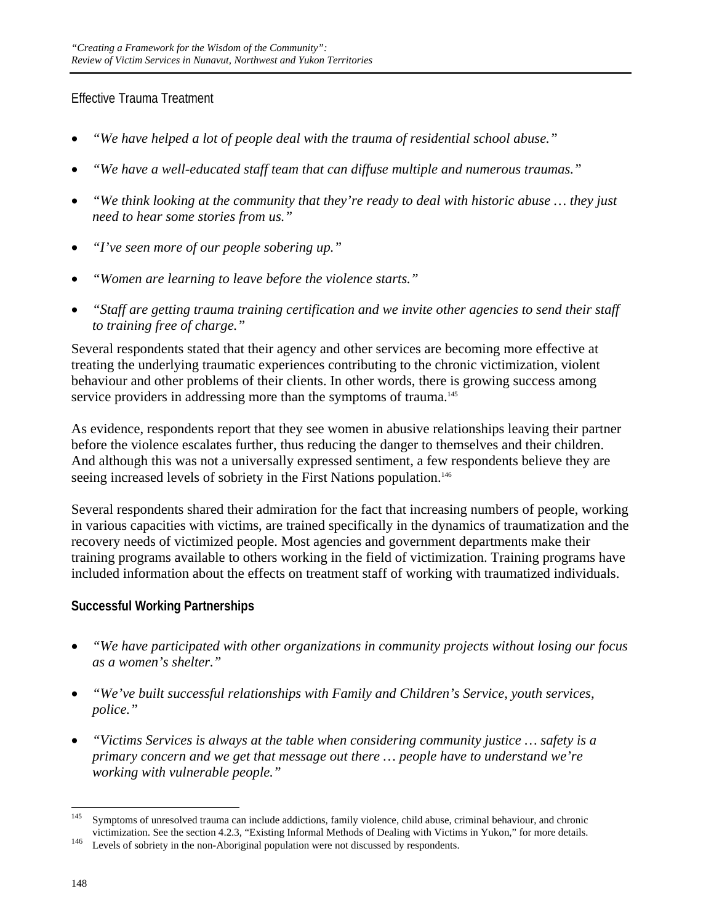# Effective Trauma Treatment

- *"We have helped a lot of people deal with the trauma of residential school abuse."*
- *"We have a well-educated staff team that can diffuse multiple and numerous traumas."*
- *"We think looking at the community that they're ready to deal with historic abuse … they just need to hear some stories from us."*
- *"I've seen more of our people sobering up."*
- *"Women are learning to leave before the violence starts."*
- *"Staff are getting trauma training certification and we invite other agencies to send their staff to training free of charge."*

Several respondents stated that their agency and other services are becoming more effective at treating the underlying traumatic experiences contributing to the chronic victimization, violent behaviour and other problems of their clients. In other words, there is growing success among service providers in addressing more than the symptoms of trauma.<sup>145</sup>

As evidence, respondents report that they see women in abusive relationships leaving their partner before the violence escalates further, thus reducing the danger to themselves and their children. And although this was not a universally expressed sentiment, a few respondents believe they are seeing increased levels of sobriety in the First Nations population.<sup>146</sup>

Several respondents shared their admiration for the fact that increasing numbers of people, working in various capacities with victims, are trained specifically in the dynamics of traumatization and the recovery needs of victimized people. Most agencies and government departments make their training programs available to others working in the field of victimization. Training programs have included information about the effects on treatment staff of working with traumatized individuals.

# **Successful Working Partnerships**

- *"We have participated with other organizations in community projects without losing our focus as a women's shelter."*
- *"We've built successful relationships with Family and Children's Service, youth services, police."*
- *"Victims Services is always at the table when considering community justice … safety is a primary concern and we get that message out there … people have to understand we're working with vulnerable people."*

<sup>145</sup> Symptoms of unresolved trauma can include addictions, family violence, child abuse, criminal behaviour, and chronic victimization. See the section 4.2.3, "Existing Informal Methods of Dealing with Victims in Yukon," for more details.<br>
Levels of sobriety in the non-Aboriginal population were not discussed by respondents.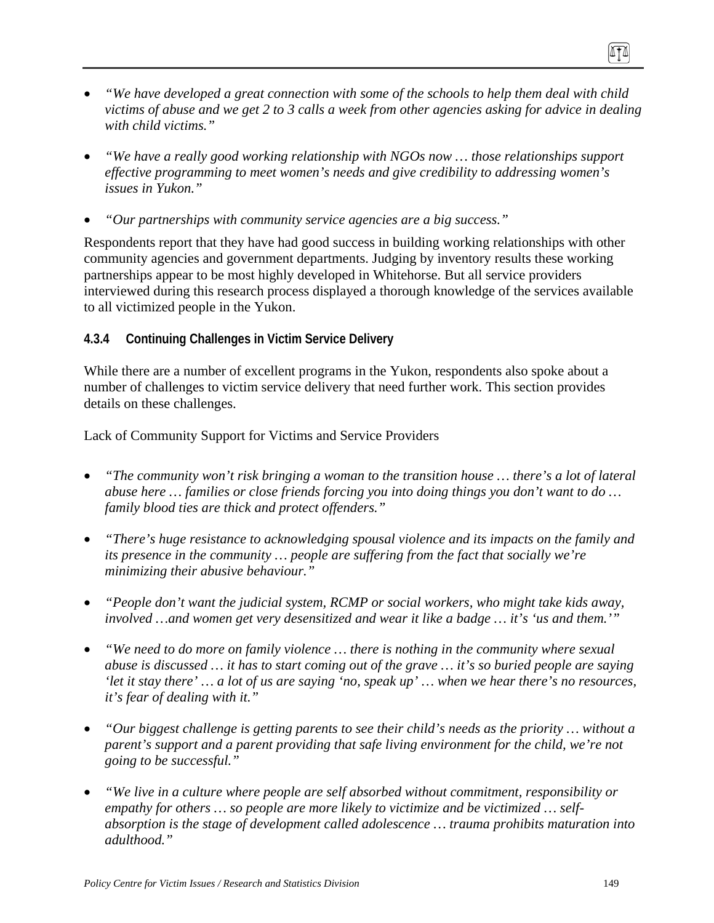- *"We have developed a great connection with some of the schools to help them deal with child victims of abuse and we get 2 to 3 calls a week from other agencies asking for advice in dealing with child victims."*
- *"We have a really good working relationship with NGOs now … those relationships support effective programming to meet women's needs and give credibility to addressing women's issues in Yukon."*
- *"Our partnerships with community service agencies are a big success."*

Respondents report that they have had good success in building working relationships with other community agencies and government departments. Judging by inventory results these working partnerships appear to be most highly developed in Whitehorse. But all service providers interviewed during this research process displayed a thorough knowledge of the services available to all victimized people in the Yukon.

## **4.3.4 Continuing Challenges in Victim Service Delivery**

While there are a number of excellent programs in the Yukon, respondents also spoke about a number of challenges to victim service delivery that need further work. This section provides details on these challenges.

Lack of Community Support for Victims and Service Providers

- *"The community won't risk bringing a woman to the transition house … there's a lot of lateral abuse here … families or close friends forcing you into doing things you don't want to do … family blood ties are thick and protect offenders."*
- *"There's huge resistance to acknowledging spousal violence and its impacts on the family and its presence in the community … people are suffering from the fact that socially we're minimizing their abusive behaviour."*
- *"People don't want the judicial system, RCMP or social workers, who might take kids away, involved …and women get very desensitized and wear it like a badge … it's 'us and them.'"*
- *"We need to do more on family violence … there is nothing in the community where sexual abuse is discussed … it has to start coming out of the grave … it's so buried people are saying 'let it stay there' … a lot of us are saying 'no, speak up' … when we hear there's no resources, it's fear of dealing with it."*
- *"Our biggest challenge is getting parents to see their child's needs as the priority … without a parent's support and a parent providing that safe living environment for the child, we're not going to be successful."*
- *"We live in a culture where people are self absorbed without commitment, responsibility or empathy for others … so people are more likely to victimize and be victimized … selfabsorption is the stage of development called adolescence … trauma prohibits maturation into adulthood."*

ITI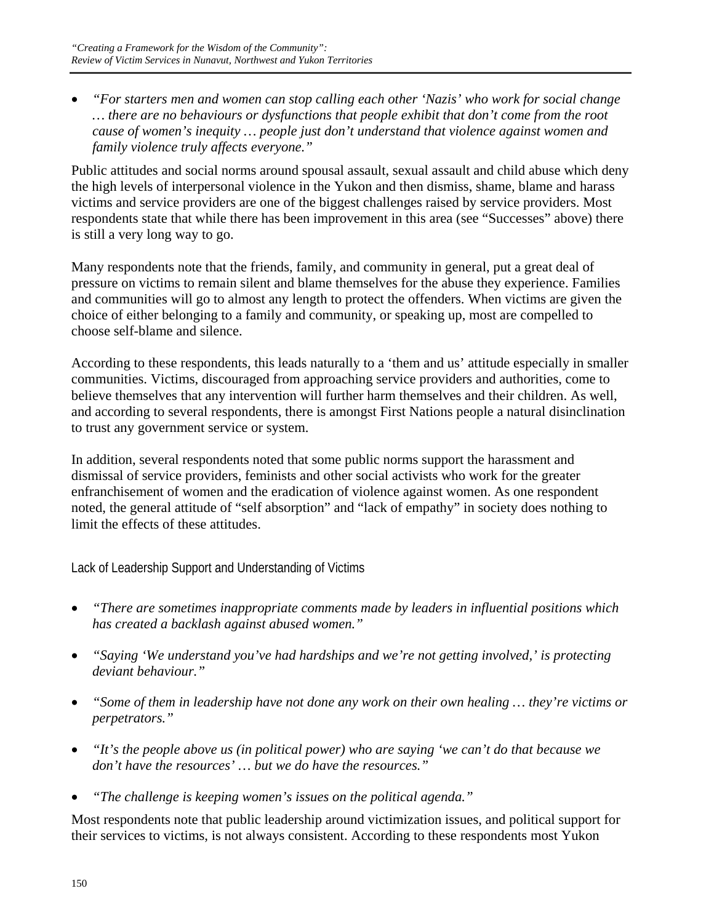• *"For starters men and women can stop calling each other 'Nazis' who work for social change … there are no behaviours or dysfunctions that people exhibit that don't come from the root cause of women's inequity … people just don't understand that violence against women and family violence truly affects everyone."* 

Public attitudes and social norms around spousal assault, sexual assault and child abuse which deny the high levels of interpersonal violence in the Yukon and then dismiss, shame, blame and harass victims and service providers are one of the biggest challenges raised by service providers. Most respondents state that while there has been improvement in this area (see "Successes" above) there is still a very long way to go.

Many respondents note that the friends, family, and community in general, put a great deal of pressure on victims to remain silent and blame themselves for the abuse they experience. Families and communities will go to almost any length to protect the offenders. When victims are given the choice of either belonging to a family and community, or speaking up, most are compelled to choose self-blame and silence.

According to these respondents, this leads naturally to a 'them and us' attitude especially in smaller communities. Victims, discouraged from approaching service providers and authorities, come to believe themselves that any intervention will further harm themselves and their children. As well, and according to several respondents, there is amongst First Nations people a natural disinclination to trust any government service or system.

In addition, several respondents noted that some public norms support the harassment and dismissal of service providers, feminists and other social activists who work for the greater enfranchisement of women and the eradication of violence against women. As one respondent noted, the general attitude of "self absorption" and "lack of empathy" in society does nothing to limit the effects of these attitudes.

Lack of Leadership Support and Understanding of Victims

- *"There are sometimes inappropriate comments made by leaders in influential positions which has created a backlash against abused women."*
- *"Saying 'We understand you've had hardships and we're not getting involved,' is protecting deviant behaviour."*
- *"Some of them in leadership have not done any work on their own healing … they're victims or perpetrators."*
- *"It's the people above us (in political power) who are saying 'we can't do that because we don't have the resources' … but we do have the resources."*
- *"The challenge is keeping women's issues on the political agenda."*

Most respondents note that public leadership around victimization issues, and political support for their services to victims, is not always consistent. According to these respondents most Yukon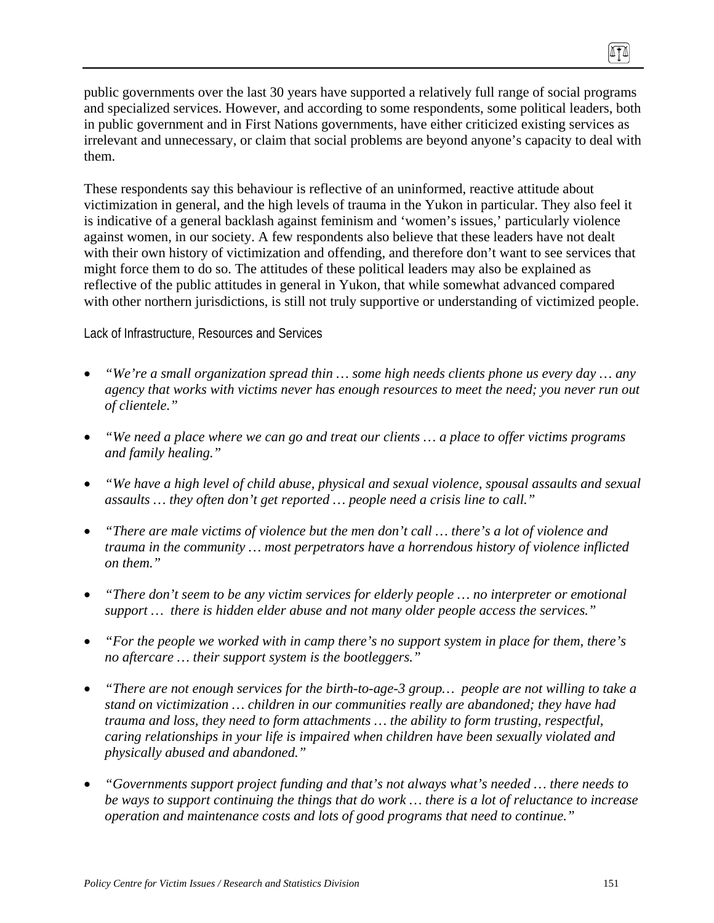public governments over the last 30 years have supported a relatively full range of social programs and specialized services. However, and according to some respondents, some political leaders, both in public government and in First Nations governments, have either criticized existing services as irrelevant and unnecessary, or claim that social problems are beyond anyone's capacity to deal with them.

These respondents say this behaviour is reflective of an uninformed, reactive attitude about victimization in general, and the high levels of trauma in the Yukon in particular. They also feel it is indicative of a general backlash against feminism and 'women's issues,' particularly violence against women, in our society. A few respondents also believe that these leaders have not dealt with their own history of victimization and offending, and therefore don't want to see services that might force them to do so. The attitudes of these political leaders may also be explained as reflective of the public attitudes in general in Yukon, that while somewhat advanced compared with other northern jurisdictions, is still not truly supportive or understanding of victimized people.

Lack of Infrastructure, Resources and Services

- *"We're a small organization spread thin … some high needs clients phone us every day … any agency that works with victims never has enough resources to meet the need; you never run out of clientele."*
- *"We need a place where we can go and treat our clients … a place to offer victims programs and family healing."*
- *"We have a high level of child abuse, physical and sexual violence, spousal assaults and sexual assaults … they often don't get reported … people need a crisis line to call."*
- *"There are male victims of violence but the men don't call … there's a lot of violence and trauma in the community … most perpetrators have a horrendous history of violence inflicted on them."*
- *"There don't seem to be any victim services for elderly people … no interpreter or emotional support … there is hidden elder abuse and not many older people access the services."*
- *"For the people we worked with in camp there's no support system in place for them, there's no aftercare … their support system is the bootleggers."*
- *"There are not enough services for the birth-to-age-3 group… people are not willing to take a stand on victimization … children in our communities really are abandoned; they have had trauma and loss, they need to form attachments … the ability to form trusting, respectful, caring relationships in your life is impaired when children have been sexually violated and physically abused and abandoned."*
- *"Governments support project funding and that's not always what's needed … there needs to be ways to support continuing the things that do work … there is a lot of reluctance to increase operation and maintenance costs and lots of good programs that need to continue."*

(ITA)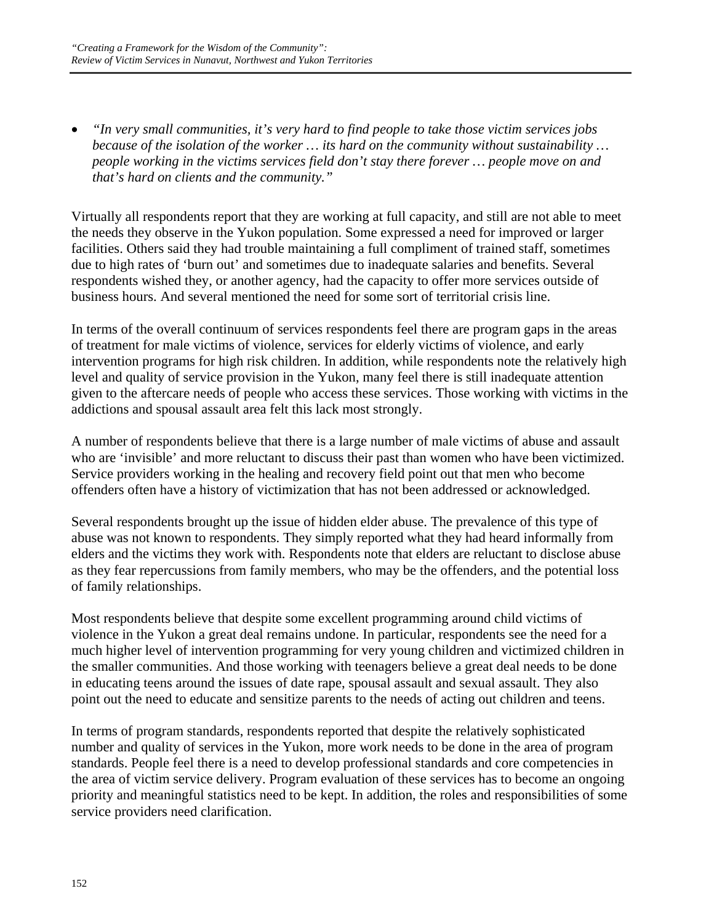• *"In very small communities, it's very hard to find people to take those victim services jobs because of the isolation of the worker … its hard on the community without sustainability … people working in the victims services field don't stay there forever … people move on and that's hard on clients and the community."* 

Virtually all respondents report that they are working at full capacity, and still are not able to meet the needs they observe in the Yukon population. Some expressed a need for improved or larger facilities. Others said they had trouble maintaining a full compliment of trained staff, sometimes due to high rates of 'burn out' and sometimes due to inadequate salaries and benefits. Several respondents wished they, or another agency, had the capacity to offer more services outside of business hours. And several mentioned the need for some sort of territorial crisis line.

In terms of the overall continuum of services respondents feel there are program gaps in the areas of treatment for male victims of violence, services for elderly victims of violence, and early intervention programs for high risk children. In addition, while respondents note the relatively high level and quality of service provision in the Yukon, many feel there is still inadequate attention given to the aftercare needs of people who access these services. Those working with victims in the addictions and spousal assault area felt this lack most strongly.

A number of respondents believe that there is a large number of male victims of abuse and assault who are 'invisible' and more reluctant to discuss their past than women who have been victimized. Service providers working in the healing and recovery field point out that men who become offenders often have a history of victimization that has not been addressed or acknowledged.

Several respondents brought up the issue of hidden elder abuse. The prevalence of this type of abuse was not known to respondents. They simply reported what they had heard informally from elders and the victims they work with. Respondents note that elders are reluctant to disclose abuse as they fear repercussions from family members, who may be the offenders, and the potential loss of family relationships.

Most respondents believe that despite some excellent programming around child victims of violence in the Yukon a great deal remains undone. In particular, respondents see the need for a much higher level of intervention programming for very young children and victimized children in the smaller communities. And those working with teenagers believe a great deal needs to be done in educating teens around the issues of date rape, spousal assault and sexual assault. They also point out the need to educate and sensitize parents to the needs of acting out children and teens.

In terms of program standards, respondents reported that despite the relatively sophisticated number and quality of services in the Yukon, more work needs to be done in the area of program standards. People feel there is a need to develop professional standards and core competencies in the area of victim service delivery. Program evaluation of these services has to become an ongoing priority and meaningful statistics need to be kept. In addition, the roles and responsibilities of some service providers need clarification.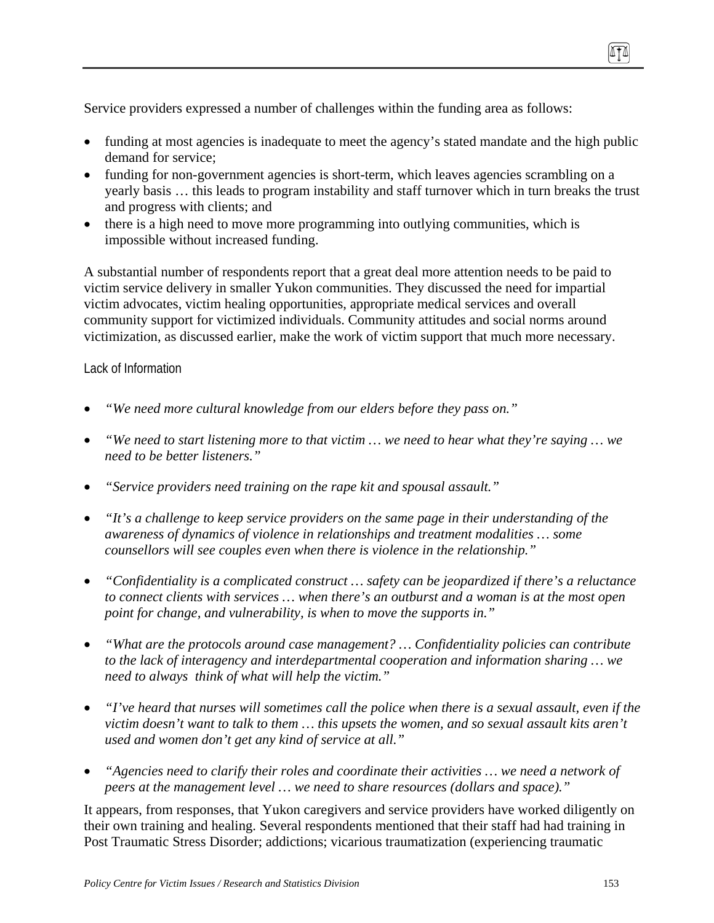Service providers expressed a number of challenges within the funding area as follows:

- funding at most agencies is inadequate to meet the agency's stated mandate and the high public demand for service;
- funding for non-government agencies is short-term, which leaves agencies scrambling on a yearly basis … this leads to program instability and staff turnover which in turn breaks the trust and progress with clients; and
- there is a high need to move more programming into outlying communities, which is impossible without increased funding.

A substantial number of respondents report that a great deal more attention needs to be paid to victim service delivery in smaller Yukon communities. They discussed the need for impartial victim advocates, victim healing opportunities, appropriate medical services and overall community support for victimized individuals. Community attitudes and social norms around victimization, as discussed earlier, make the work of victim support that much more necessary.

#### Lack of Information

- *"We need more cultural knowledge from our elders before they pass on."*
- *"We need to start listening more to that victim … we need to hear what they're saying … we need to be better listeners."*
- *"Service providers need training on the rape kit and spousal assault."*
- *"It's a challenge to keep service providers on the same page in their understanding of the awareness of dynamics of violence in relationships and treatment modalities … some counsellors will see couples even when there is violence in the relationship."*
- *"Confidentiality is a complicated construct … safety can be jeopardized if there's a reluctance to connect clients with services … when there's an outburst and a woman is at the most open point for change, and vulnerability, is when to move the supports in."*
- *"What are the protocols around case management? … Confidentiality policies can contribute to the lack of interagency and interdepartmental cooperation and information sharing … we need to always think of what will help the victim."*
- *"I've heard that nurses will sometimes call the police when there is a sexual assault, even if the victim doesn't want to talk to them … this upsets the women, and so sexual assault kits aren't used and women don't get any kind of service at all."*
- *"Agencies need to clarify their roles and coordinate their activities … we need a network of peers at the management level … we need to share resources (dollars and space)."*

It appears, from responses, that Yukon caregivers and service providers have worked diligently on their own training and healing. Several respondents mentioned that their staff had had training in Post Traumatic Stress Disorder; addictions; vicarious traumatization (experiencing traumatic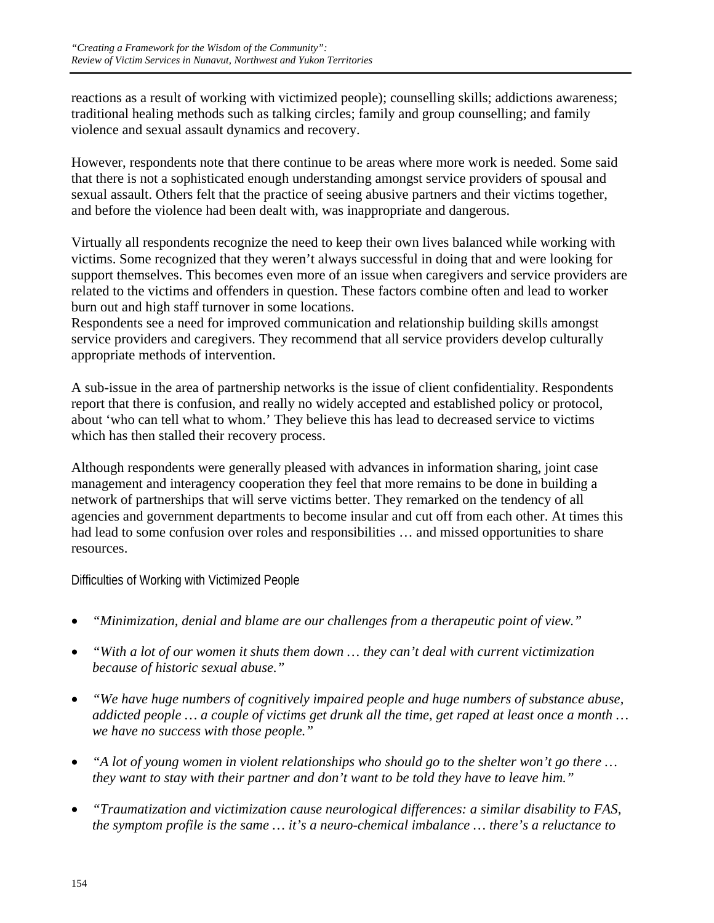reactions as a result of working with victimized people); counselling skills; addictions awareness; traditional healing methods such as talking circles; family and group counselling; and family violence and sexual assault dynamics and recovery.

However, respondents note that there continue to be areas where more work is needed. Some said that there is not a sophisticated enough understanding amongst service providers of spousal and sexual assault. Others felt that the practice of seeing abusive partners and their victims together, and before the violence had been dealt with, was inappropriate and dangerous.

Virtually all respondents recognize the need to keep their own lives balanced while working with victims. Some recognized that they weren't always successful in doing that and were looking for support themselves. This becomes even more of an issue when caregivers and service providers are related to the victims and offenders in question. These factors combine often and lead to worker burn out and high staff turnover in some locations.

Respondents see a need for improved communication and relationship building skills amongst service providers and caregivers. They recommend that all service providers develop culturally appropriate methods of intervention.

A sub-issue in the area of partnership networks is the issue of client confidentiality. Respondents report that there is confusion, and really no widely accepted and established policy or protocol, about 'who can tell what to whom.' They believe this has lead to decreased service to victims which has then stalled their recovery process.

Although respondents were generally pleased with advances in information sharing, joint case management and interagency cooperation they feel that more remains to be done in building a network of partnerships that will serve victims better. They remarked on the tendency of all agencies and government departments to become insular and cut off from each other. At times this had lead to some confusion over roles and responsibilities ... and missed opportunities to share resources.

Difficulties of Working with Victimized People

- *"Minimization, denial and blame are our challenges from a therapeutic point of view."*
- *"With a lot of our women it shuts them down … they can't deal with current victimization because of historic sexual abuse."*
- *"We have huge numbers of cognitively impaired people and huge numbers of substance abuse, addicted people … a couple of victims get drunk all the time, get raped at least once a month … we have no success with those people."*
- *"A lot of young women in violent relationships who should go to the shelter won't go there … they want to stay with their partner and don't want to be told they have to leave him."*
- *"Traumatization and victimization cause neurological differences: a similar disability to FAS, the symptom profile is the same … it's a neuro-chemical imbalance … there's a reluctance to*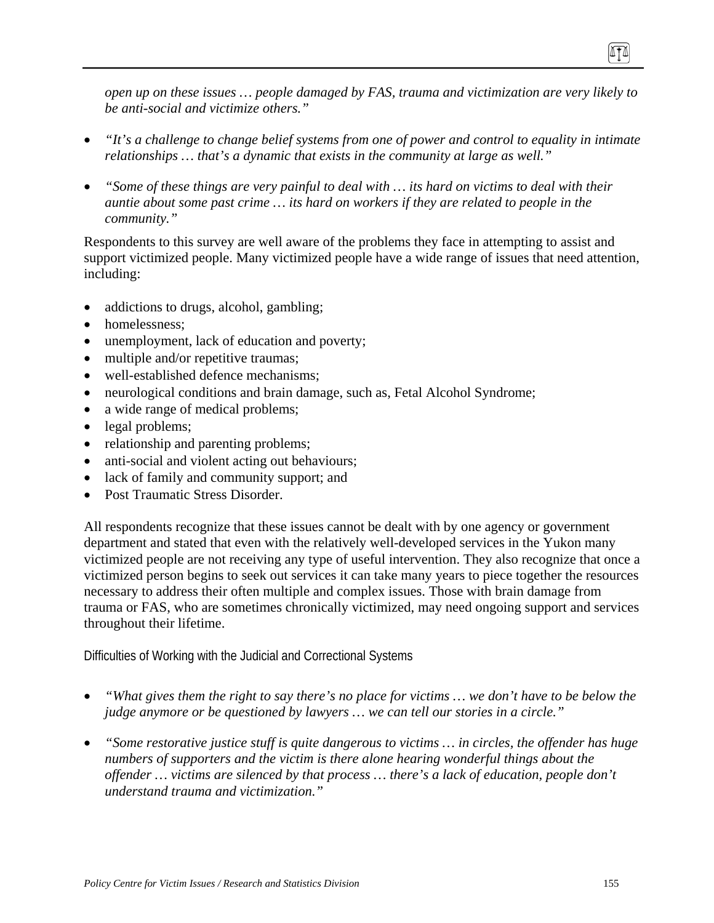*open up on these issues … people damaged by FAS, trauma and victimization are very likely to be anti-social and victimize others."* 

- *"It's a challenge to change belief systems from one of power and control to equality in intimate relationships … that's a dynamic that exists in the community at large as well."*
- *"Some of these things are very painful to deal with … its hard on victims to deal with their auntie about some past crime … its hard on workers if they are related to people in the community."*

Respondents to this survey are well aware of the problems they face in attempting to assist and support victimized people. Many victimized people have a wide range of issues that need attention, including:

- addictions to drugs, alcohol, gambling;
- homelessness:
- unemployment, lack of education and poverty;
- multiple and/or repetitive traumas;
- well-established defence mechanisms;
- neurological conditions and brain damage, such as, Fetal Alcohol Syndrome;
- a wide range of medical problems;
- legal problems;
- relationship and parenting problems;
- anti-social and violent acting out behaviours;
- lack of family and community support; and
- Post Traumatic Stress Disorder.

All respondents recognize that these issues cannot be dealt with by one agency or government department and stated that even with the relatively well-developed services in the Yukon many victimized people are not receiving any type of useful intervention. They also recognize that once a victimized person begins to seek out services it can take many years to piece together the resources necessary to address their often multiple and complex issues. Those with brain damage from trauma or FAS, who are sometimes chronically victimized, may need ongoing support and services throughout their lifetime.

Difficulties of Working with the Judicial and Correctional Systems

- *"What gives them the right to say there's no place for victims … we don't have to be below the judge anymore or be questioned by lawyers … we can tell our stories in a circle."*
- *"Some restorative justice stuff is quite dangerous to victims … in circles, the offender has huge numbers of supporters and the victim is there alone hearing wonderful things about the offender … victims are silenced by that process … there's a lack of education, people don't understand trauma and victimization."*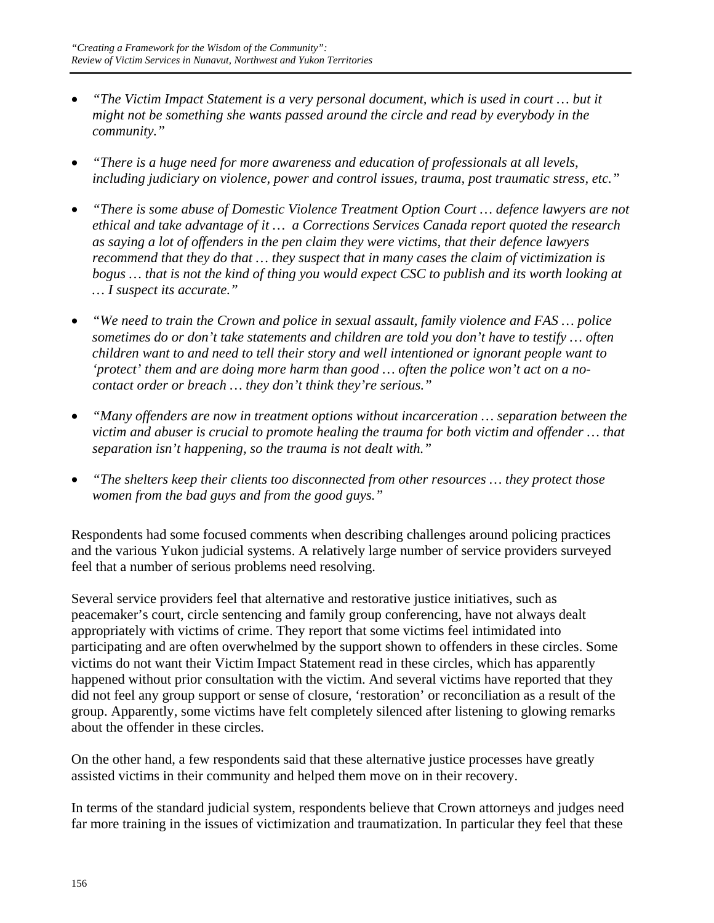- *"The Victim Impact Statement is a very personal document, which is used in court … but it might not be something she wants passed around the circle and read by everybody in the community."*
- *"There is a huge need for more awareness and education of professionals at all levels, including judiciary on violence, power and control issues, trauma, post traumatic stress, etc."*
- *"There is some abuse of Domestic Violence Treatment Option Court … defence lawyers are not ethical and take advantage of it … a Corrections Services Canada report quoted the research as saying a lot of offenders in the pen claim they were victims, that their defence lawyers recommend that they do that … they suspect that in many cases the claim of victimization is bogus … that is not the kind of thing you would expect CSC to publish and its worth looking at … I suspect its accurate."*
- *"We need to train the Crown and police in sexual assault, family violence and FAS … police sometimes do or don't take statements and children are told you don't have to testify … often children want to and need to tell their story and well intentioned or ignorant people want to 'protect' them and are doing more harm than good … often the police won't act on a nocontact order or breach … they don't think they're serious."*
- *"Many offenders are now in treatment options without incarceration … separation between the victim and abuser is crucial to promote healing the trauma for both victim and offender … that separation isn't happening, so the trauma is not dealt with."*
- *"The shelters keep their clients too disconnected from other resources … they protect those women from the bad guys and from the good guys."*

Respondents had some focused comments when describing challenges around policing practices and the various Yukon judicial systems. A relatively large number of service providers surveyed feel that a number of serious problems need resolving.

Several service providers feel that alternative and restorative justice initiatives, such as peacemaker's court, circle sentencing and family group conferencing, have not always dealt appropriately with victims of crime. They report that some victims feel intimidated into participating and are often overwhelmed by the support shown to offenders in these circles. Some victims do not want their Victim Impact Statement read in these circles, which has apparently happened without prior consultation with the victim. And several victims have reported that they did not feel any group support or sense of closure, 'restoration' or reconciliation as a result of the group. Apparently, some victims have felt completely silenced after listening to glowing remarks about the offender in these circles.

On the other hand, a few respondents said that these alternative justice processes have greatly assisted victims in their community and helped them move on in their recovery.

In terms of the standard judicial system, respondents believe that Crown attorneys and judges need far more training in the issues of victimization and traumatization. In particular they feel that these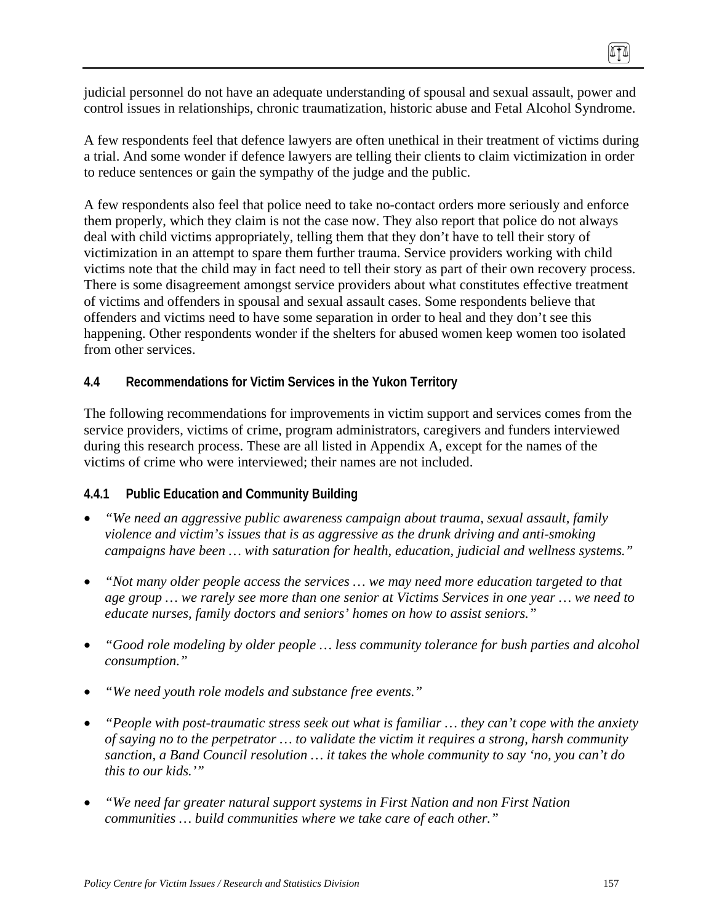judicial personnel do not have an adequate understanding of spousal and sexual assault, power and control issues in relationships, chronic traumatization, historic abuse and Fetal Alcohol Syndrome.

A few respondents feel that defence lawyers are often unethical in their treatment of victims during a trial. And some wonder if defence lawyers are telling their clients to claim victimization in order to reduce sentences or gain the sympathy of the judge and the public.

A few respondents also feel that police need to take no-contact orders more seriously and enforce them properly, which they claim is not the case now. They also report that police do not always deal with child victims appropriately, telling them that they don't have to tell their story of victimization in an attempt to spare them further trauma. Service providers working with child victims note that the child may in fact need to tell their story as part of their own recovery process. There is some disagreement amongst service providers about what constitutes effective treatment of victims and offenders in spousal and sexual assault cases. Some respondents believe that offenders and victims need to have some separation in order to heal and they don't see this happening. Other respondents wonder if the shelters for abused women keep women too isolated from other services.

### **4.4 Recommendations for Victim Services in the Yukon Territory**

The following recommendations for improvements in victim support and services comes from the service providers, victims of crime, program administrators, caregivers and funders interviewed during this research process. These are all listed in Appendix A, except for the names of the victims of crime who were interviewed; their names are not included.

### **4.4.1 Public Education and Community Building**

- *"We need an aggressive public awareness campaign about trauma, sexual assault, family violence and victim's issues that is as aggressive as the drunk driving and anti-smoking campaigns have been … with saturation for health, education, judicial and wellness systems."*
- *"Not many older people access the services … we may need more education targeted to that age group … we rarely see more than one senior at Victims Services in one year … we need to educate nurses, family doctors and seniors' homes on how to assist seniors."*
- *"Good role modeling by older people … less community tolerance for bush parties and alcohol consumption."*
- *"We need youth role models and substance free events."*
- *"People with post-traumatic stress seek out what is familiar … they can't cope with the anxiety of saying no to the perpetrator … to validate the victim it requires a strong, harsh community sanction, a Band Council resolution … it takes the whole community to say 'no, you can't do this to our kids.'"*
- *"We need far greater natural support systems in First Nation and non First Nation communities … build communities where we take care of each other."*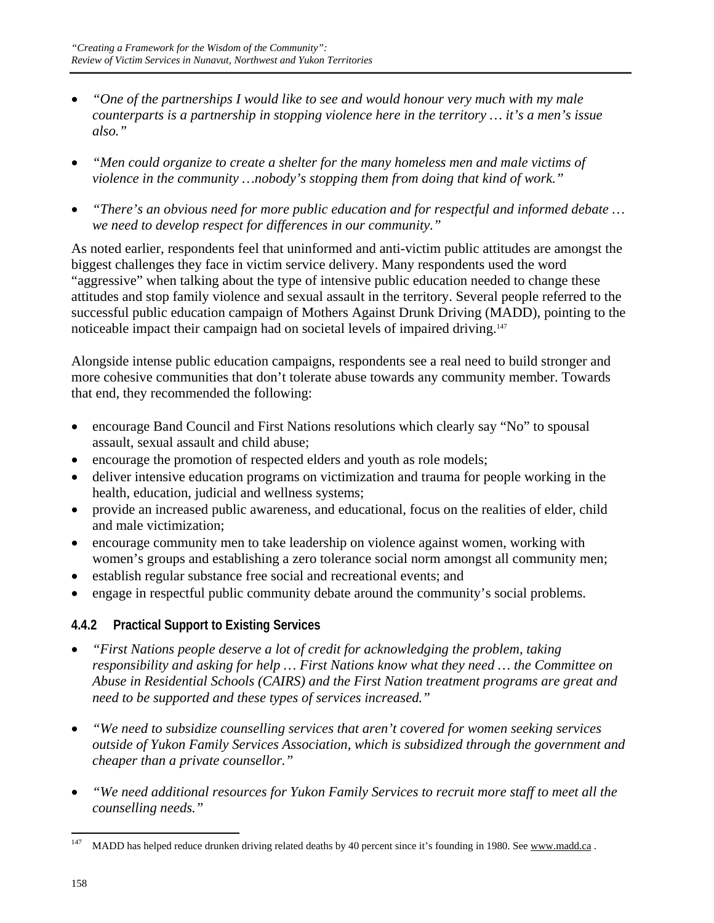- *"One of the partnerships I would like to see and would honour very much with my male counterparts is a partnership in stopping violence here in the territory … it's a men's issue also."*
- *"Men could organize to create a shelter for the many homeless men and male victims of violence in the community …nobody's stopping them from doing that kind of work."*
- *"There's an obvious need for more public education and for respectful and informed debate … we need to develop respect for differences in our community."*

As noted earlier, respondents feel that uninformed and anti-victim public attitudes are amongst the biggest challenges they face in victim service delivery. Many respondents used the word "aggressive" when talking about the type of intensive public education needed to change these attitudes and stop family violence and sexual assault in the territory. Several people referred to the successful public education campaign of Mothers Against Drunk Driving (MADD), pointing to the noticeable impact their campaign had on societal levels of impaired driving.<sup>147</sup>

Alongside intense public education campaigns, respondents see a real need to build stronger and more cohesive communities that don't tolerate abuse towards any community member. Towards that end, they recommended the following:

- encourage Band Council and First Nations resolutions which clearly say "No" to spousal assault, sexual assault and child abuse;
- encourage the promotion of respected elders and youth as role models;
- deliver intensive education programs on victimization and trauma for people working in the health, education, judicial and wellness systems;
- provide an increased public awareness, and educational, focus on the realities of elder, child and male victimization;
- encourage community men to take leadership on violence against women, working with women's groups and establishing a zero tolerance social norm amongst all community men;
- establish regular substance free social and recreational events; and
- engage in respectful public community debate around the community's social problems.

# **4.4.2 Practical Support to Existing Services**

- *"First Nations people deserve a lot of credit for acknowledging the problem, taking responsibility and asking for help … First Nations know what they need … the Committee on Abuse in Residential Schools (CAIRS) and the First Nation treatment programs are great and need to be supported and these types of services increased."*
- *"We need to subsidize counselling services that aren't covered for women seeking services outside of Yukon Family Services Association, which is subsidized through the government and cheaper than a private counsellor."*
- *"We need additional resources for Yukon Family Services to recruit more staff to meet all the counselling needs."*

<sup>147</sup> MADD has helped reduce drunken driving related deaths by 40 percent since it's founding in 1980. See www.madd.ca.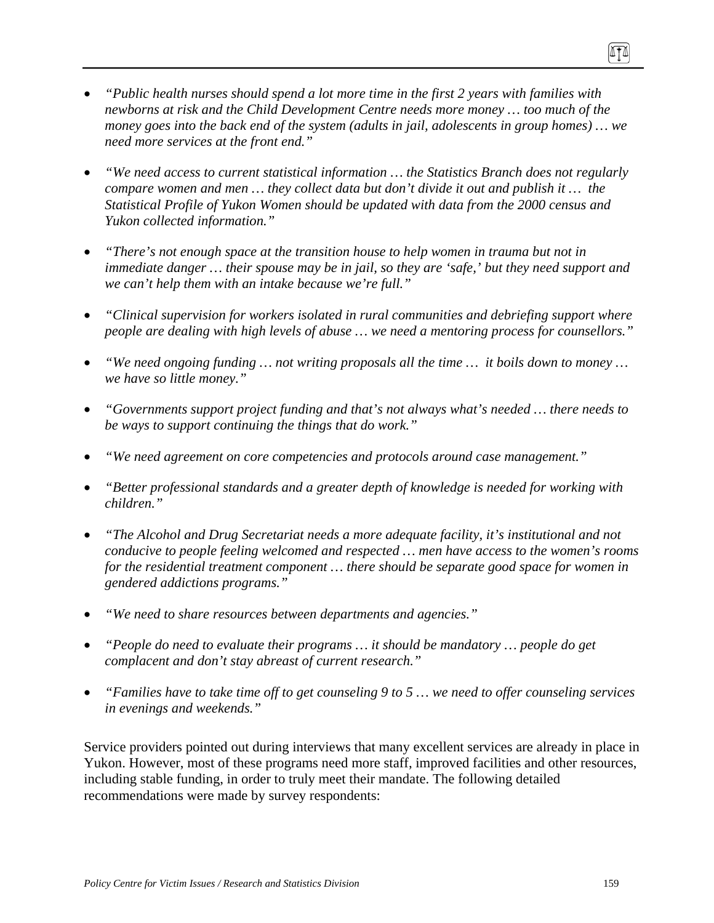- *"Public health nurses should spend a lot more time in the first 2 years with families with newborns at risk and the Child Development Centre needs more money … too much of the money goes into the back end of the system (adults in jail, adolescents in group homes) … we need more services at the front end."*
- *"We need access to current statistical information … the Statistics Branch does not regularly compare women and men … they collect data but don't divide it out and publish it … the Statistical Profile of Yukon Women should be updated with data from the 2000 census and Yukon collected information."*
- *"There's not enough space at the transition house to help women in trauma but not in immediate danger … their spouse may be in jail, so they are 'safe,' but they need support and we can't help them with an intake because we're full."*
- *"Clinical supervision for workers isolated in rural communities and debriefing support where people are dealing with high levels of abuse … we need a mentoring process for counsellors."*
- *"We need ongoing funding … not writing proposals all the time … it boils down to money … we have so little money."*
- *"Governments support project funding and that's not always what's needed … there needs to be ways to support continuing the things that do work."*
- *"We need agreement on core competencies and protocols around case management."*
- *"Better professional standards and a greater depth of knowledge is needed for working with children."*
- *"The Alcohol and Drug Secretariat needs a more adequate facility, it's institutional and not conducive to people feeling welcomed and respected … men have access to the women's rooms for the residential treatment component … there should be separate good space for women in gendered addictions programs."*
- *"We need to share resources between departments and agencies."*
- *"People do need to evaluate their programs … it should be mandatory … people do get complacent and don't stay abreast of current research."*
- *"Families have to take time off to get counseling 9 to 5 … we need to offer counseling services in evenings and weekends."*

Service providers pointed out during interviews that many excellent services are already in place in Yukon. However, most of these programs need more staff, improved facilities and other resources, including stable funding, in order to truly meet their mandate. The following detailed recommendations were made by survey respondents:

ITI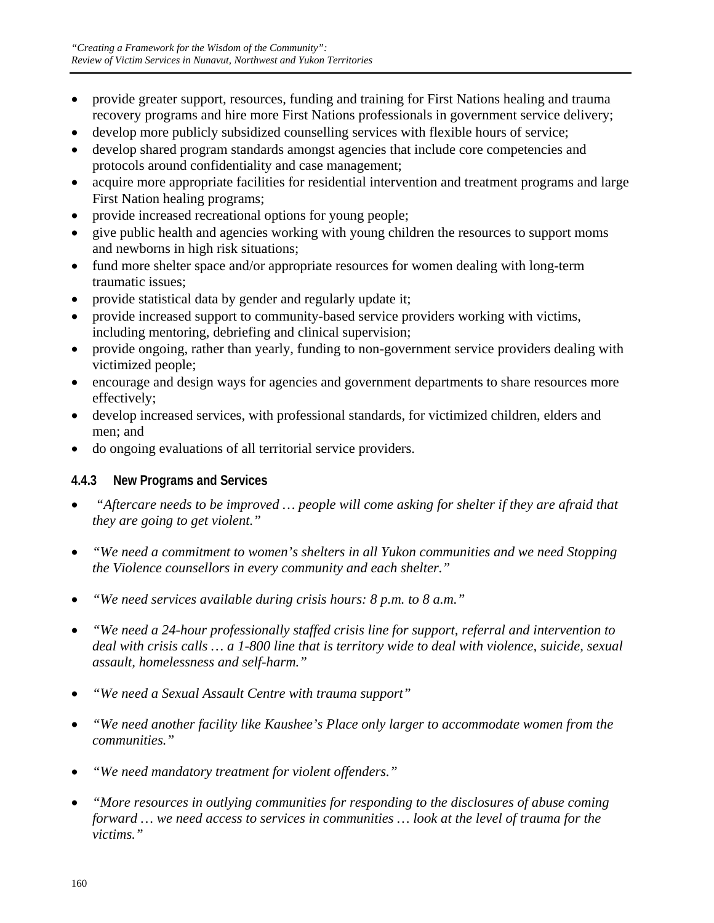- provide greater support, resources, funding and training for First Nations healing and trauma recovery programs and hire more First Nations professionals in government service delivery;
- develop more publicly subsidized counselling services with flexible hours of service;
- develop shared program standards amongst agencies that include core competencies and protocols around confidentiality and case management;
- acquire more appropriate facilities for residential intervention and treatment programs and large First Nation healing programs;
- provide increased recreational options for young people;
- give public health and agencies working with young children the resources to support moms and newborns in high risk situations;
- fund more shelter space and/or appropriate resources for women dealing with long-term traumatic issues;
- provide statistical data by gender and regularly update it;
- provide increased support to community-based service providers working with victims, including mentoring, debriefing and clinical supervision;
- provide ongoing, rather than yearly, funding to non-government service providers dealing with victimized people;
- encourage and design ways for agencies and government departments to share resources more effectively;
- develop increased services, with professional standards, for victimized children, elders and men; and
- do ongoing evaluations of all territorial service providers.

# **4.4.3 New Programs and Services**

- • *"Aftercare needs to be improved … people will come asking for shelter if they are afraid that they are going to get violent."*
- *"We need a commitment to women's shelters in all Yukon communities and we need Stopping the Violence counsellors in every community and each shelter."*
- *"We need services available during crisis hours: 8 p.m. to 8 a.m."*
- *"We need a 24-hour professionally staffed crisis line for support, referral and intervention to deal with crisis calls … a 1-800 line that is territory wide to deal with violence, suicide, sexual assault, homelessness and self-harm."*
- *"We need a Sexual Assault Centre with trauma support"*
- *"We need another facility like Kaushee's Place only larger to accommodate women from the communities."*
- *"We need mandatory treatment for violent offenders."*
- *"More resources in outlying communities for responding to the disclosures of abuse coming forward … we need access to services in communities … look at the level of trauma for the victims."*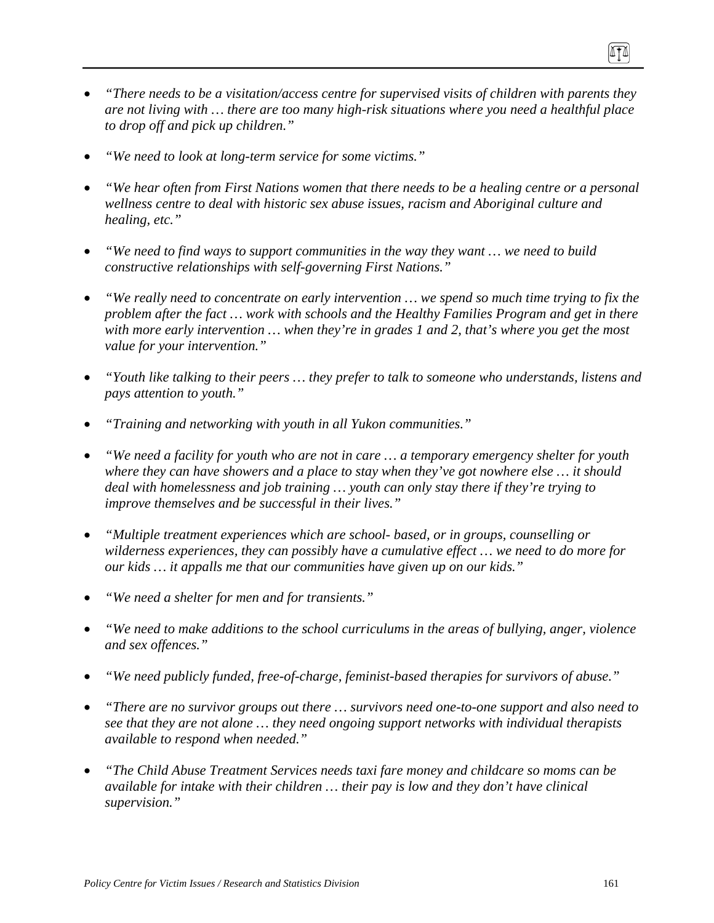- *"There needs to be a visitation/access centre for supervised visits of children with parents they are not living with … there are too many high-risk situations where you need a healthful place to drop off and pick up children."*
- *"We need to look at long-term service for some victims."*
- *"We hear often from First Nations women that there needs to be a healing centre or a personal wellness centre to deal with historic sex abuse issues, racism and Aboriginal culture and healing, etc."*
- *"We need to find ways to support communities in the way they want … we need to build constructive relationships with self-governing First Nations."*
- *"We really need to concentrate on early intervention … we spend so much time trying to fix the problem after the fact … work with schools and the Healthy Families Program and get in there with more early intervention … when they're in grades 1 and 2, that's where you get the most value for your intervention."*
- *"Youth like talking to their peers … they prefer to talk to someone who understands, listens and pays attention to youth."*
- *"Training and networking with youth in all Yukon communities."*
- *"We need a facility for youth who are not in care … a temporary emergency shelter for youth where they can have showers and a place to stay when they've got nowhere else … it should deal with homelessness and job training … youth can only stay there if they're trying to improve themselves and be successful in their lives."*
- *"Multiple treatment experiences which are school- based, or in groups, counselling or wilderness experiences, they can possibly have a cumulative effect … we need to do more for our kids … it appalls me that our communities have given up on our kids."*
- *"We need a shelter for men and for transients."*
- *"We need to make additions to the school curriculums in the areas of bullying, anger, violence and sex offences."*
- *"We need publicly funded, free-of-charge, feminist-based therapies for survivors of abuse."*
- *"There are no survivor groups out there … survivors need one-to-one support and also need to see that they are not alone … they need ongoing support networks with individual therapists available to respond when needed."*
- *"The Child Abuse Treatment Services needs taxi fare money and childcare so moms can be available for intake with their children … their pay is low and they don't have clinical supervision."*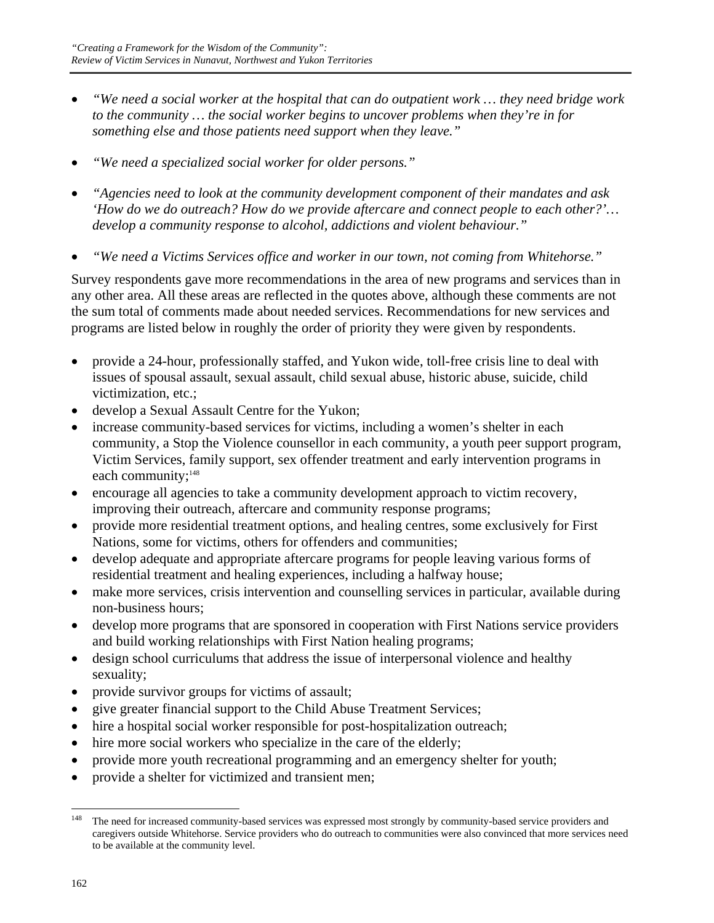- *"We need a social worker at the hospital that can do outpatient work … they need bridge work to the community … the social worker begins to uncover problems when they're in for something else and those patients need support when they leave."*
- *"We need a specialized social worker for older persons."*
- *"Agencies need to look at the community development component of their mandates and ask 'How do we do outreach? How do we provide aftercare and connect people to each other?'… develop a community response to alcohol, addictions and violent behaviour."*
- *"We need a Victims Services office and worker in our town, not coming from Whitehorse."*

Survey respondents gave more recommendations in the area of new programs and services than in any other area. All these areas are reflected in the quotes above, although these comments are not the sum total of comments made about needed services. Recommendations for new services and programs are listed below in roughly the order of priority they were given by respondents.

- provide a 24-hour, professionally staffed, and Yukon wide, toll-free crisis line to deal with issues of spousal assault, sexual assault, child sexual abuse, historic abuse, suicide, child victimization, etc.;
- develop a Sexual Assault Centre for the Yukon;
- increase community-based services for victims, including a women's shelter in each community, a Stop the Violence counsellor in each community, a youth peer support program, Victim Services, family support, sex offender treatment and early intervention programs in each community;<sup>148</sup>
- encourage all agencies to take a community development approach to victim recovery, improving their outreach, aftercare and community response programs;
- provide more residential treatment options, and healing centres, some exclusively for First Nations, some for victims, others for offenders and communities;
- develop adequate and appropriate aftercare programs for people leaving various forms of residential treatment and healing experiences, including a halfway house;
- make more services, crisis intervention and counselling services in particular, available during non-business hours;
- develop more programs that are sponsored in cooperation with First Nations service providers and build working relationships with First Nation healing programs;
- design school curriculums that address the issue of interpersonal violence and healthy sexuality;
- provide survivor groups for victims of assault;
- give greater financial support to the Child Abuse Treatment Services;
- hire a hospital social worker responsible for post-hospitalization outreach;
- hire more social workers who specialize in the care of the elderly;
- provide more youth recreational programming and an emergency shelter for youth;
- provide a shelter for victimized and transient men;

<sup>148</sup> The need for increased community-based services was expressed most strongly by community-based service providers and caregivers outside Whitehorse. Service providers who do outreach to communities were also convinced that more services need to be available at the community level.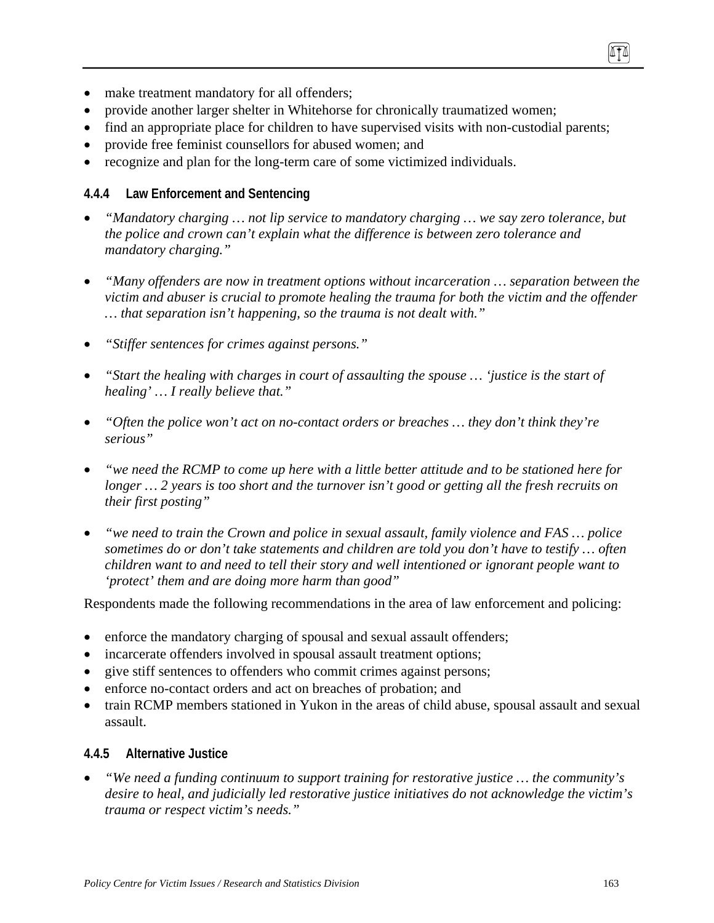- make treatment mandatory for all offenders;
- provide another larger shelter in Whitehorse for chronically traumatized women;
- find an appropriate place for children to have supervised visits with non-custodial parents;
- provide free feminist counsellors for abused women; and
- recognize and plan for the long-term care of some victimized individuals.

#### **4.4.4 Law Enforcement and Sentencing**

- *"Mandatory charging … not lip service to mandatory charging … we say zero tolerance, but the police and crown can't explain what the difference is between zero tolerance and mandatory charging."*
- *"Many offenders are now in treatment options without incarceration … separation between the victim and abuser is crucial to promote healing the trauma for both the victim and the offender … that separation isn't happening, so the trauma is not dealt with."*
- *"Stiffer sentences for crimes against persons."*
- *"Start the healing with charges in court of assaulting the spouse … 'justice is the start of healing' … I really believe that."*
- *"Often the police won't act on no-contact orders or breaches … they don't think they're serious"*
- *"we need the RCMP to come up here with a little better attitude and to be stationed here for longer … 2 years is too short and the turnover isn't good or getting all the fresh recruits on their first posting"*
- *"we need to train the Crown and police in sexual assault, family violence and FAS … police sometimes do or don't take statements and children are told you don't have to testify … often children want to and need to tell their story and well intentioned or ignorant people want to 'protect' them and are doing more harm than good"*

Respondents made the following recommendations in the area of law enforcement and policing:

- enforce the mandatory charging of spousal and sexual assault offenders;
- incarcerate offenders involved in spousal assault treatment options;
- give stiff sentences to offenders who commit crimes against persons;
- enforce no-contact orders and act on breaches of probation; and
- train RCMP members stationed in Yukon in the areas of child abuse, spousal assault and sexual assault.

#### **4.4.5 Alternative Justice**

• *"We need a funding continuum to support training for restorative justice … the community's desire to heal, and judicially led restorative justice initiatives do not acknowledge the victim's trauma or respect victim's needs."*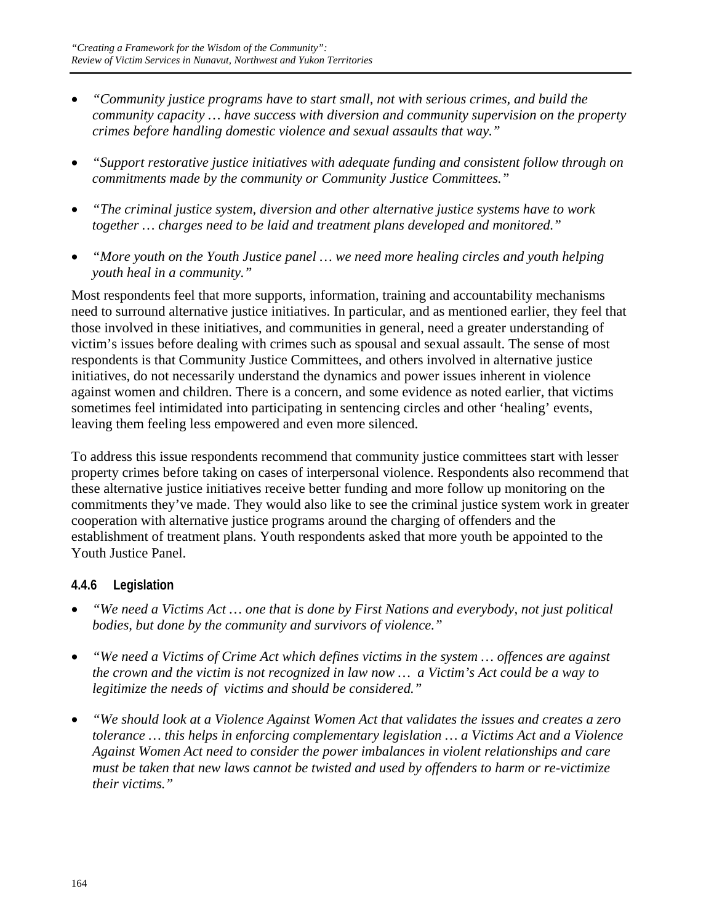- *"Community justice programs have to start small, not with serious crimes, and build the community capacity … have success with diversion and community supervision on the property crimes before handling domestic violence and sexual assaults that way."*
- *"Support restorative justice initiatives with adequate funding and consistent follow through on commitments made by the community or Community Justice Committees."*
- *"The criminal justice system, diversion and other alternative justice systems have to work together … charges need to be laid and treatment plans developed and monitored."*
- *"More youth on the Youth Justice panel … we need more healing circles and youth helping youth heal in a community."*

Most respondents feel that more supports, information, training and accountability mechanisms need to surround alternative justice initiatives. In particular, and as mentioned earlier, they feel that those involved in these initiatives, and communities in general, need a greater understanding of victim's issues before dealing with crimes such as spousal and sexual assault. The sense of most respondents is that Community Justice Committees, and others involved in alternative justice initiatives, do not necessarily understand the dynamics and power issues inherent in violence against women and children. There is a concern, and some evidence as noted earlier, that victims sometimes feel intimidated into participating in sentencing circles and other 'healing' events, leaving them feeling less empowered and even more silenced.

To address this issue respondents recommend that community justice committees start with lesser property crimes before taking on cases of interpersonal violence. Respondents also recommend that these alternative justice initiatives receive better funding and more follow up monitoring on the commitments they've made. They would also like to see the criminal justice system work in greater cooperation with alternative justice programs around the charging of offenders and the establishment of treatment plans. Youth respondents asked that more youth be appointed to the Youth Justice Panel.

# **4.4.6 Legislation**

- *"We need a Victims Act … one that is done by First Nations and everybody, not just political bodies, but done by the community and survivors of violence."*
- *"We need a Victims of Crime Act which defines victims in the system … offences are against the crown and the victim is not recognized in law now … a Victim's Act could be a way to legitimize the needs of victims and should be considered."*
- *"We should look at a Violence Against Women Act that validates the issues and creates a zero tolerance … this helps in enforcing complementary legislation … a Victims Act and a Violence Against Women Act need to consider the power imbalances in violent relationships and care must be taken that new laws cannot be twisted and used by offenders to harm or re-victimize their victims."*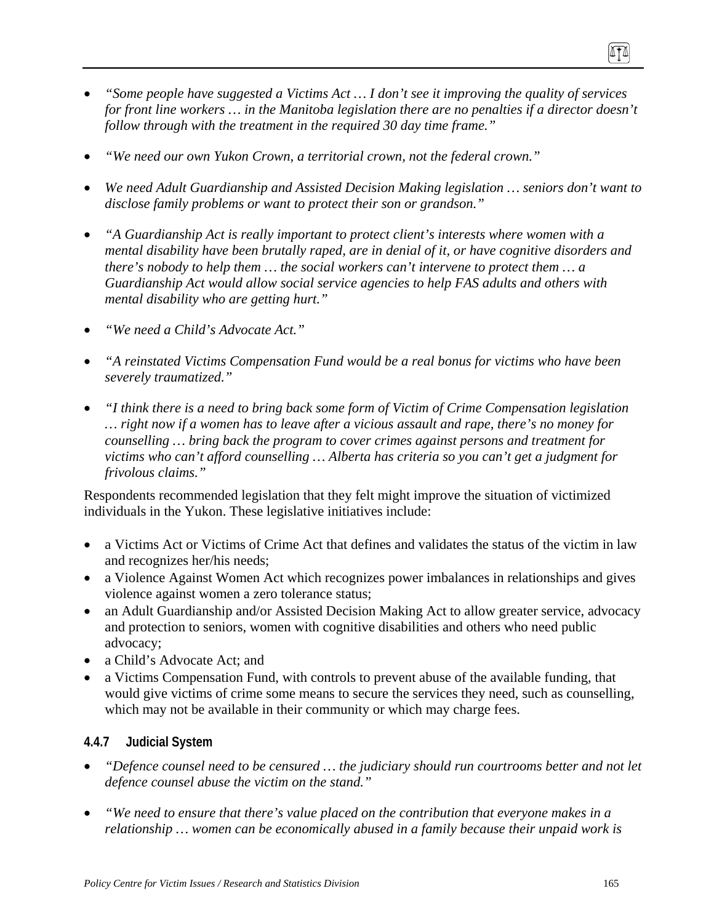- *"Some people have suggested a Victims Act … I don't see it improving the quality of services for front line workers … in the Manitoba legislation there are no penalties if a director doesn't follow through with the treatment in the required 30 day time frame."*
- *"We need our own Yukon Crown, a territorial crown, not the federal crown."*
- *We need Adult Guardianship and Assisted Decision Making legislation … seniors don't want to disclose family problems or want to protect their son or grandson."*
- *"A Guardianship Act is really important to protect client's interests where women with a mental disability have been brutally raped, are in denial of it, or have cognitive disorders and there's nobody to help them … the social workers can't intervene to protect them … a Guardianship Act would allow social service agencies to help FAS adults and others with mental disability who are getting hurt."*
- *"We need a Child's Advocate Act."*
- *"A reinstated Victims Compensation Fund would be a real bonus for victims who have been severely traumatized."*
- *"I think there is a need to bring back some form of Victim of Crime Compensation legislation … right now if a women has to leave after a vicious assault and rape, there's no money for counselling … bring back the program to cover crimes against persons and treatment for victims who can't afford counselling … Alberta has criteria so you can't get a judgment for frivolous claims."*

Respondents recommended legislation that they felt might improve the situation of victimized individuals in the Yukon. These legislative initiatives include:

- a Victims Act or Victims of Crime Act that defines and validates the status of the victim in law and recognizes her/his needs;
- a Violence Against Women Act which recognizes power imbalances in relationships and gives violence against women a zero tolerance status;
- an Adult Guardianship and/or Assisted Decision Making Act to allow greater service, advocacy and protection to seniors, women with cognitive disabilities and others who need public advocacy;
- a Child's Advocate Act; and
- a Victims Compensation Fund, with controls to prevent abuse of the available funding, that would give victims of crime some means to secure the services they need, such as counselling, which may not be available in their community or which may charge fees.

### **4.4.7 Judicial System**

- *"Defence counsel need to be censured … the judiciary should run courtrooms better and not let defence counsel abuse the victim on the stand."*
- *"We need to ensure that there's value placed on the contribution that everyone makes in a relationship … women can be economically abused in a family because their unpaid work is*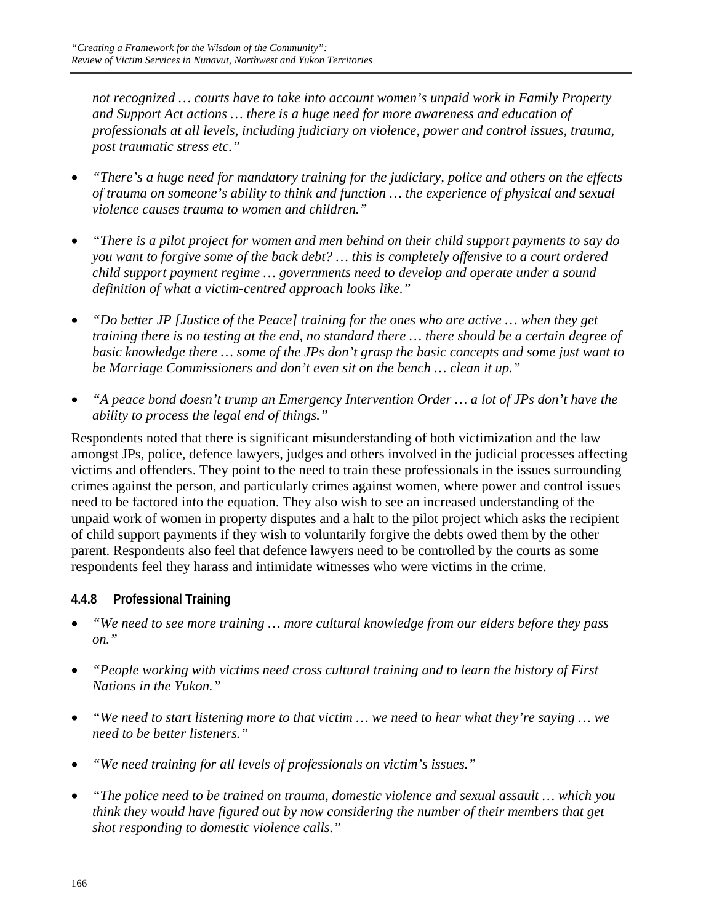*not recognized … courts have to take into account women's unpaid work in Family Property and Support Act actions … there is a huge need for more awareness and education of professionals at all levels, including judiciary on violence, power and control issues, trauma, post traumatic stress etc."* 

- *"There's a huge need for mandatory training for the judiciary, police and others on the effects of trauma on someone's ability to think and function … the experience of physical and sexual violence causes trauma to women and children."*
- *"There is a pilot project for women and men behind on their child support payments to say do you want to forgive some of the back debt? … this is completely offensive to a court ordered child support payment regime … governments need to develop and operate under a sound definition of what a victim-centred approach looks like."*
- *"Do better JP [Justice of the Peace] training for the ones who are active … when they get training there is no testing at the end, no standard there … there should be a certain degree of basic knowledge there … some of the JPs don't grasp the basic concepts and some just want to be Marriage Commissioners and don't even sit on the bench … clean it up."*
- *"A peace bond doesn't trump an Emergency Intervention Order … a lot of JPs don't have the ability to process the legal end of things."*

Respondents noted that there is significant misunderstanding of both victimization and the law amongst JPs, police, defence lawyers, judges and others involved in the judicial processes affecting victims and offenders. They point to the need to train these professionals in the issues surrounding crimes against the person, and particularly crimes against women, where power and control issues need to be factored into the equation. They also wish to see an increased understanding of the unpaid work of women in property disputes and a halt to the pilot project which asks the recipient of child support payments if they wish to voluntarily forgive the debts owed them by the other parent. Respondents also feel that defence lawyers need to be controlled by the courts as some respondents feel they harass and intimidate witnesses who were victims in the crime.

# **4.4.8 Professional Training**

- *"We need to see more training … more cultural knowledge from our elders before they pass on."*
- *"People working with victims need cross cultural training and to learn the history of First Nations in the Yukon."*
- *"We need to start listening more to that victim … we need to hear what they're saying … we need to be better listeners."*
- *"We need training for all levels of professionals on victim's issues."*
- *"The police need to be trained on trauma, domestic violence and sexual assault … which you think they would have figured out by now considering the number of their members that get shot responding to domestic violence calls."*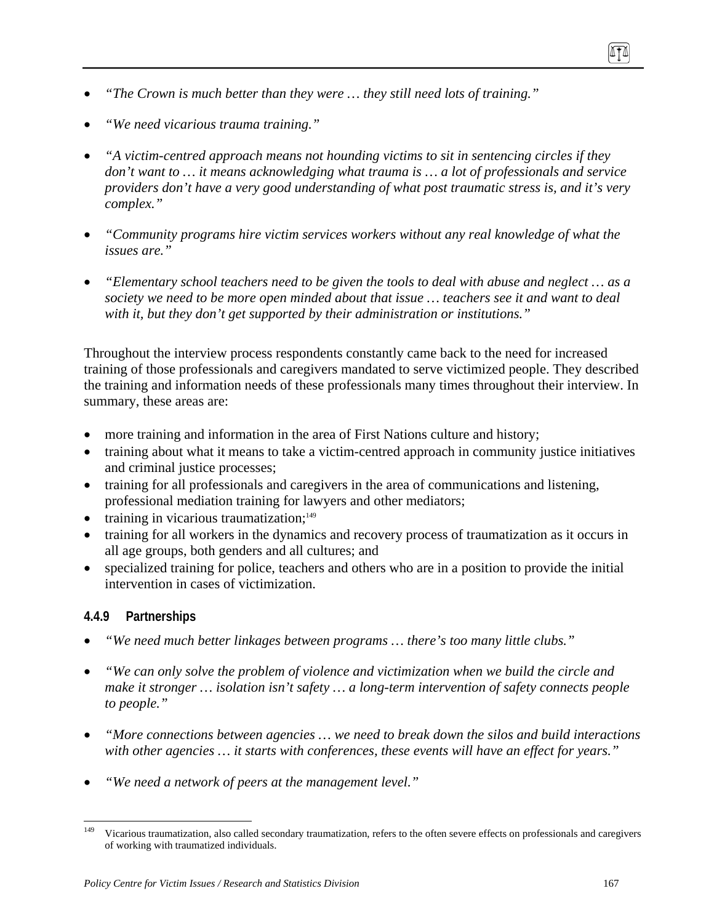- *"The Crown is much better than they were … they still need lots of training."*
- *"We need vicarious trauma training."*
- *"A victim-centred approach means not hounding victims to sit in sentencing circles if they don't want to … it means acknowledging what trauma is … a lot of professionals and service providers don't have a very good understanding of what post traumatic stress is, and it's very complex."*
- *"Community programs hire victim services workers without any real knowledge of what the issues are."*
- *"Elementary school teachers need to be given the tools to deal with abuse and neglect … as a society we need to be more open minded about that issue … teachers see it and want to deal with it, but they don't get supported by their administration or institutions."*

Throughout the interview process respondents constantly came back to the need for increased training of those professionals and caregivers mandated to serve victimized people. They described the training and information needs of these professionals many times throughout their interview. In summary, these areas are:

- more training and information in the area of First Nations culture and history;
- training about what it means to take a victim-centred approach in community justice initiatives and criminal justice processes;
- training for all professionals and caregivers in the area of communications and listening, professional mediation training for lawyers and other mediators;
- $\bullet$  training in vicarious traumatization;<sup>149</sup>
- training for all workers in the dynamics and recovery process of traumatization as it occurs in all age groups, both genders and all cultures; and
- specialized training for police, teachers and others who are in a position to provide the initial intervention in cases of victimization.

### **4.4.9 Partnerships**

- *"We need much better linkages between programs … there's too many little clubs."*
- *"We can only solve the problem of violence and victimization when we build the circle and make it stronger … isolation isn't safety … a long-term intervention of safety connects people to people."*
- *"More connections between agencies … we need to break down the silos and build interactions with other agencies … it starts with conferences, these events will have an effect for years."*
- *"We need a network of peers at the management level."*

<sup>149</sup> 149 Vicarious traumatization, also called secondary traumatization, refers to the often severe effects on professionals and caregivers of working with traumatized individuals.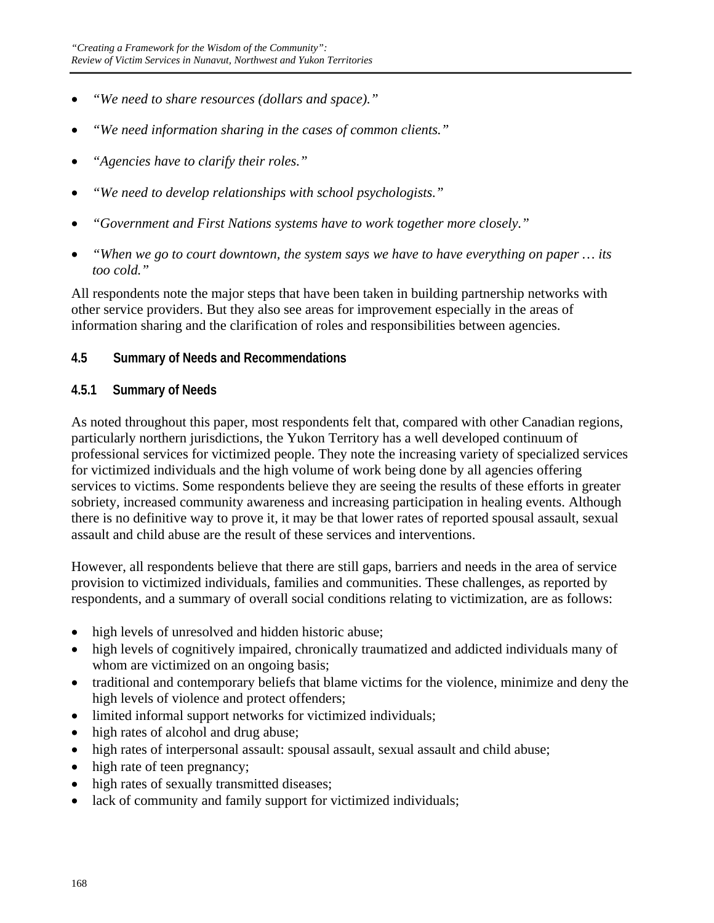- *"We need to share resources (dollars and space)."*
- *"We need information sharing in the cases of common clients."*
- *"Agencies have to clarify their roles."*
- *"We need to develop relationships with school psychologists."*
- *"Government and First Nations systems have to work together more closely."*
- *"When we go to court downtown, the system says we have to have everything on paper … its too cold."*

All respondents note the major steps that have been taken in building partnership networks with other service providers. But they also see areas for improvement especially in the areas of information sharing and the clarification of roles and responsibilities between agencies.

## **4.5 Summary of Needs and Recommendations**

### **4.5.1 Summary of Needs**

As noted throughout this paper, most respondents felt that, compared with other Canadian regions, particularly northern jurisdictions, the Yukon Territory has a well developed continuum of professional services for victimized people. They note the increasing variety of specialized services for victimized individuals and the high volume of work being done by all agencies offering services to victims. Some respondents believe they are seeing the results of these efforts in greater sobriety, increased community awareness and increasing participation in healing events. Although there is no definitive way to prove it, it may be that lower rates of reported spousal assault, sexual assault and child abuse are the result of these services and interventions.

However, all respondents believe that there are still gaps, barriers and needs in the area of service provision to victimized individuals, families and communities. These challenges, as reported by respondents, and a summary of overall social conditions relating to victimization, are as follows:

- high levels of unresolved and hidden historic abuse;
- high levels of cognitively impaired, chronically traumatized and addicted individuals many of whom are victimized on an ongoing basis;
- traditional and contemporary beliefs that blame victims for the violence, minimize and deny the high levels of violence and protect offenders;
- limited informal support networks for victimized individuals;
- high rates of alcohol and drug abuse;
- high rates of interpersonal assault: spousal assault, sexual assault and child abuse;
- high rate of teen pregnancy;
- high rates of sexually transmitted diseases;
- lack of community and family support for victimized individuals;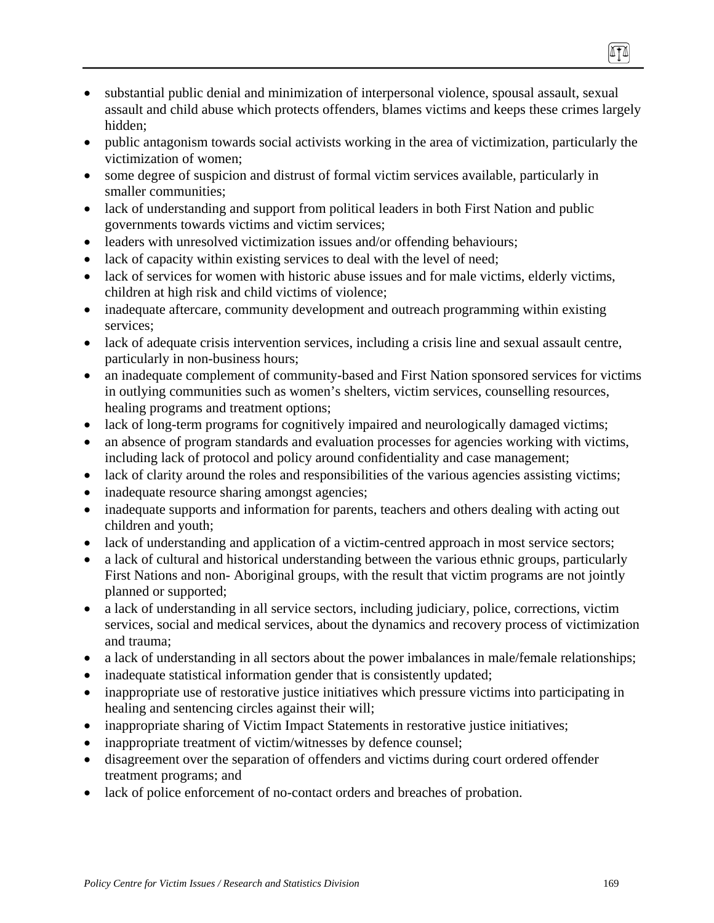- substantial public denial and minimization of interpersonal violence, spousal assault, sexual assault and child abuse which protects offenders, blames victims and keeps these crimes largely hidden;
- public antagonism towards social activists working in the area of victimization, particularly the victimization of women;
- some degree of suspicion and distrust of formal victim services available, particularly in smaller communities;
- lack of understanding and support from political leaders in both First Nation and public governments towards victims and victim services;
- leaders with unresolved victimization issues and/or offending behaviours;
- lack of capacity within existing services to deal with the level of need;
- lack of services for women with historic abuse issues and for male victims, elderly victims, children at high risk and child victims of violence;
- inadequate aftercare, community development and outreach programming within existing services;
- lack of adequate crisis intervention services, including a crisis line and sexual assault centre, particularly in non-business hours;
- an inadequate complement of community-based and First Nation sponsored services for victims in outlying communities such as women's shelters, victim services, counselling resources, healing programs and treatment options;
- lack of long-term programs for cognitively impaired and neurologically damaged victims;
- an absence of program standards and evaluation processes for agencies working with victims, including lack of protocol and policy around confidentiality and case management;
- lack of clarity around the roles and responsibilities of the various agencies assisting victims;
- inadequate resource sharing amongst agencies;
- inadequate supports and information for parents, teachers and others dealing with acting out children and youth;
- lack of understanding and application of a victim-centred approach in most service sectors;
- a lack of cultural and historical understanding between the various ethnic groups, particularly First Nations and non- Aboriginal groups, with the result that victim programs are not jointly planned or supported;
- a lack of understanding in all service sectors, including judiciary, police, corrections, victim services, social and medical services, about the dynamics and recovery process of victimization and trauma;
- a lack of understanding in all sectors about the power imbalances in male/female relationships;
- inadequate statistical information gender that is consistently updated;
- inappropriate use of restorative justice initiatives which pressure victims into participating in healing and sentencing circles against their will;
- inappropriate sharing of Victim Impact Statements in restorative justice initiatives;
- inappropriate treatment of victim/witnesses by defence counsel;
- disagreement over the separation of offenders and victims during court ordered offender treatment programs; and
- lack of police enforcement of no-contact orders and breaches of probation.

(ITA)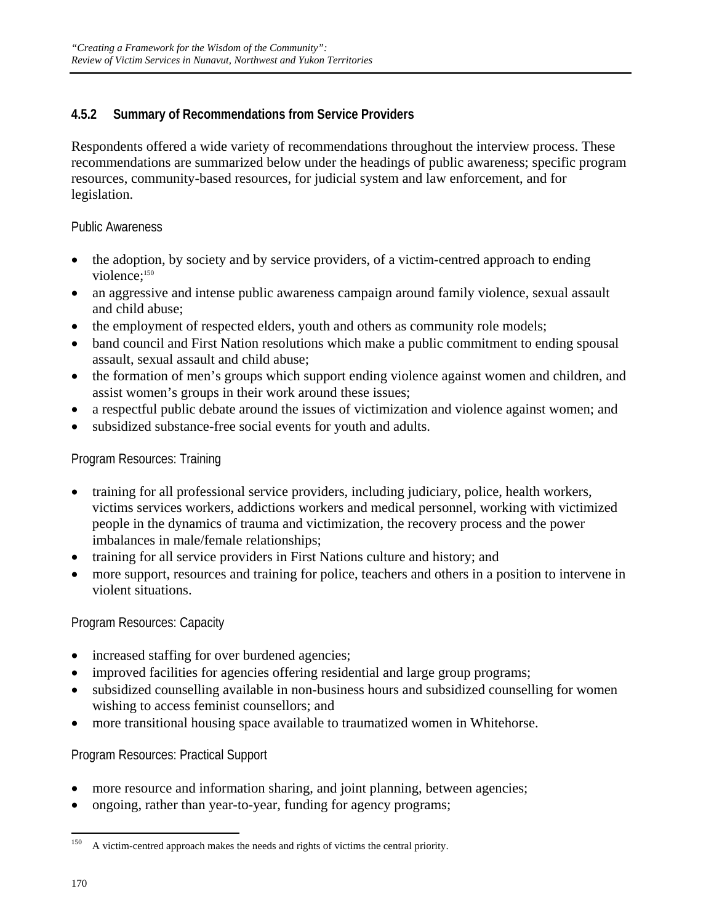## **4.5.2 Summary of Recommendations from Service Providers**

Respondents offered a wide variety of recommendations throughout the interview process. These recommendations are summarized below under the headings of public awareness; specific program resources, community-based resources, for judicial system and law enforcement, and for legislation.

#### Public Awareness

- the adoption, by society and by service providers, of a victim-centred approach to ending violence;<sup>150</sup>
- an aggressive and intense public awareness campaign around family violence, sexual assault and child abuse;
- the employment of respected elders, youth and others as community role models;
- band council and First Nation resolutions which make a public commitment to ending spousal assault, sexual assault and child abuse;
- the formation of men's groups which support ending violence against women and children, and assist women's groups in their work around these issues;
- a respectful public debate around the issues of victimization and violence against women; and
- subsidized substance-free social events for youth and adults.

#### Program Resources: Training

- training for all professional service providers, including judiciary, police, health workers, victims services workers, addictions workers and medical personnel, working with victimized people in the dynamics of trauma and victimization, the recovery process and the power imbalances in male/female relationships;
- training for all service providers in First Nations culture and history; and
- more support, resources and training for police, teachers and others in a position to intervene in violent situations.

### Program Resources: Capacity

- increased staffing for over burdened agencies;
- improved facilities for agencies offering residential and large group programs;
- subsidized counselling available in non-business hours and subsidized counselling for women wishing to access feminist counsellors; and
- more transitional housing space available to traumatized women in Whitehorse.

Program Resources: Practical Support

- more resource and information sharing, and joint planning, between agencies;
- ongoing, rather than year-to-year, funding for agency programs;

<sup>150</sup> A victim-centred approach makes the needs and rights of victims the central priority.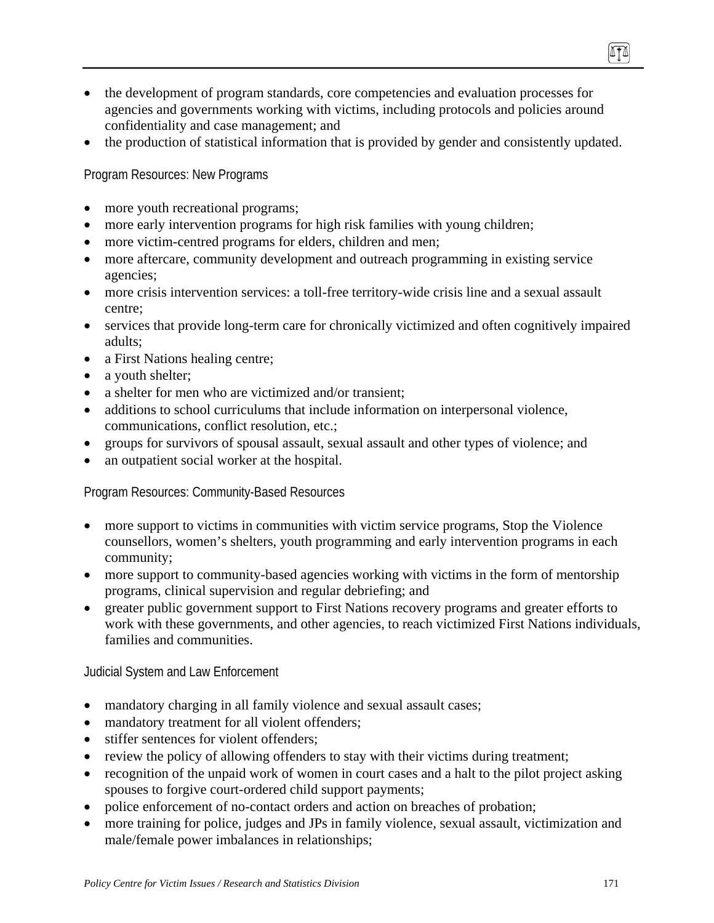- the development of program standards, core competencies and evaluation processes for agencies and governments working with victims, including protocols and policies around confidentiality and case management; and
- the production of statistical information that is provided by gender and consistently updated.

Program Resources: New Programs

- more youth recreational programs;
- more early intervention programs for high risk families with young children;
- more victim-centred programs for elders, children and men;
- more aftercare, community development and outreach programming in existing service agencies;
- more crisis intervention services: a toll-free territory-wide crisis line and a sexual assault centre;
- services that provide long-term care for chronically victimized and often cognitively impaired adults;
- a First Nations healing centre;
- a youth shelter;
- a shelter for men who are victimized and/or transient:
- additions to school curriculums that include information on interpersonal violence, communications, conflict resolution, etc.;
- groups for survivors of spousal assault, sexual assault and other types of violence; and
- an outpatient social worker at the hospital.

Program Resources: Community-Based Resources

- more support to victims in communities with victim service programs, Stop the Violence counsellors, women's shelters, youth programming and early intervention programs in each community;
- more support to community-based agencies working with victims in the form of mentorship programs, clinical supervision and regular debriefing; and
- greater public government support to First Nations recovery programs and greater efforts to work with these governments, and other agencies, to reach victimized First Nations individuals, families and communities.

Judicial System and Law Enforcement

- mandatory charging in all family violence and sexual assault cases;
- mandatory treatment for all violent offenders;
- stiffer sentences for violent offenders:
- review the policy of allowing offenders to stay with their victims during treatment;
- recognition of the unpaid work of women in court cases and a halt to the pilot project asking spouses to forgive court-ordered child support payments;
- police enforcement of no-contact orders and action on breaches of probation;
- more training for police, judges and JPs in family violence, sexual assault, victimization and male/female power imbalances in relationships;

0TO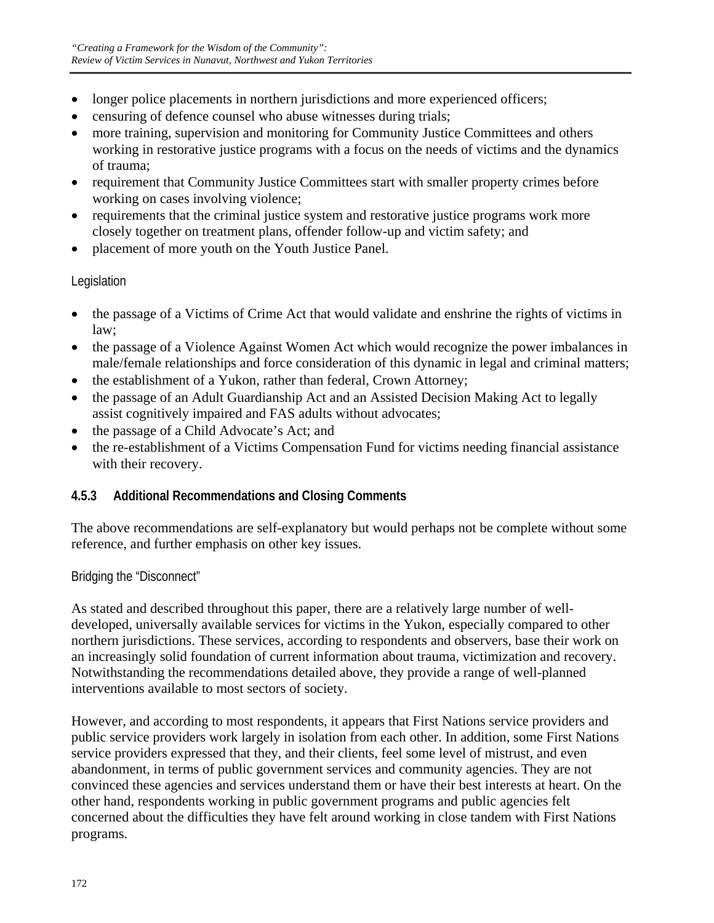- longer police placements in northern jurisdictions and more experienced officers;
- censuring of defence counsel who abuse witnesses during trials;
- more training, supervision and monitoring for Community Justice Committees and others working in restorative justice programs with a focus on the needs of victims and the dynamics of trauma;
- requirement that Community Justice Committees start with smaller property crimes before working on cases involving violence;
- requirements that the criminal justice system and restorative justice programs work more closely together on treatment plans, offender follow-up and victim safety; and
- placement of more youth on the Youth Justice Panel.

## Legislation

- the passage of a Victims of Crime Act that would validate and enshrine the rights of victims in law;
- the passage of a Violence Against Women Act which would recognize the power imbalances in male/female relationships and force consideration of this dynamic in legal and criminal matters;
- the establishment of a Yukon, rather than federal, Crown Attorney;
- the passage of an Adult Guardianship Act and an Assisted Decision Making Act to legally assist cognitively impaired and FAS adults without advocates;
- the passage of a Child Advocate's Act; and
- the re-establishment of a Victims Compensation Fund for victims needing financial assistance with their recovery.

## **4.5.3 Additional Recommendations and Closing Comments**

The above recommendations are self-explanatory but would perhaps not be complete without some reference, and further emphasis on other key issues.

Bridging the "Disconnect"

As stated and described throughout this paper, there are a relatively large number of welldeveloped, universally available services for victims in the Yukon, especially compared to other northern jurisdictions. These services, according to respondents and observers, base their work on an increasingly solid foundation of current information about trauma, victimization and recovery. Notwithstanding the recommendations detailed above, they provide a range of well-planned interventions available to most sectors of society.

However, and according to most respondents, it appears that First Nations service providers and public service providers work largely in isolation from each other. In addition, some First Nations service providers expressed that they, and their clients, feel some level of mistrust, and even abandonment, in terms of public government services and community agencies. They are not convinced these agencies and services understand them or have their best interests at heart. On the other hand, respondents working in public government programs and public agencies felt concerned about the difficulties they have felt around working in close tandem with First Nations programs.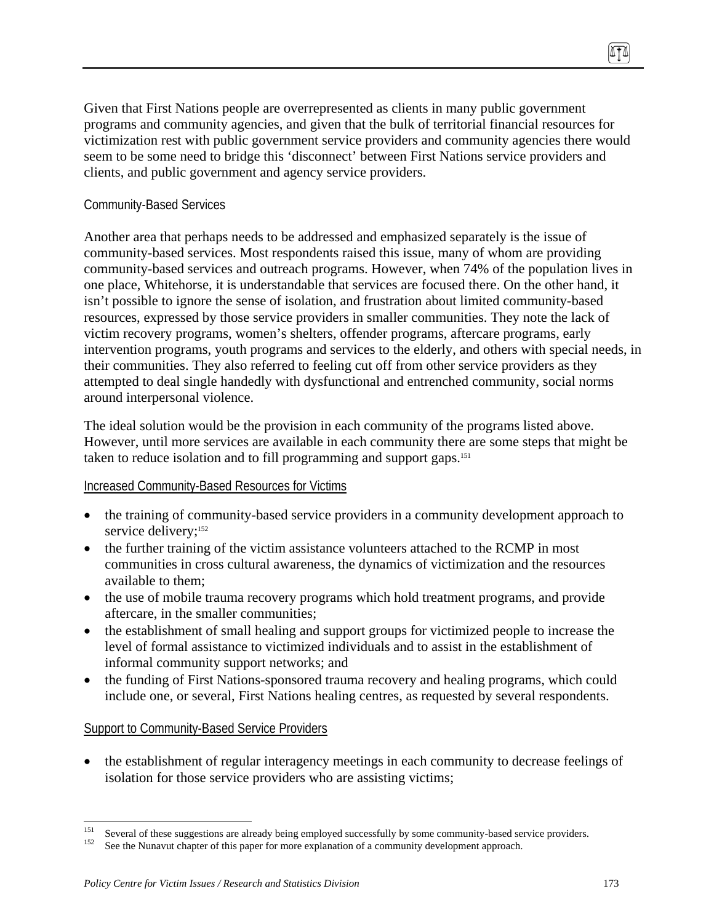Given that First Nations people are overrepresented as clients in many public government programs and community agencies, and given that the bulk of territorial financial resources for victimization rest with public government service providers and community agencies there would seem to be some need to bridge this 'disconnect' between First Nations service providers and clients, and public government and agency service providers.

## Community-Based Services

Another area that perhaps needs to be addressed and emphasized separately is the issue of community-based services. Most respondents raised this issue, many of whom are providing community-based services and outreach programs. However, when 74% of the population lives in one place, Whitehorse, it is understandable that services are focused there. On the other hand, it isn't possible to ignore the sense of isolation, and frustration about limited community-based resources, expressed by those service providers in smaller communities. They note the lack of victim recovery programs, women's shelters, offender programs, aftercare programs, early intervention programs, youth programs and services to the elderly, and others with special needs, in their communities. They also referred to feeling cut off from other service providers as they attempted to deal single handedly with dysfunctional and entrenched community, social norms around interpersonal violence.

The ideal solution would be the provision in each community of the programs listed above. However, until more services are available in each community there are some steps that might be taken to reduce isolation and to fill programming and support gaps.151

## Increased Community-Based Resources for Victims

- the training of community-based service providers in a community development approach to service delivery;<sup>152</sup>
- the further training of the victim assistance volunteers attached to the RCMP in most communities in cross cultural awareness, the dynamics of victimization and the resources available to them;
- the use of mobile trauma recovery programs which hold treatment programs, and provide aftercare, in the smaller communities;
- the establishment of small healing and support groups for victimized people to increase the level of formal assistance to victimized individuals and to assist in the establishment of informal community support networks; and
- the funding of First Nations-sponsored trauma recovery and healing programs, which could include one, or several, First Nations healing centres, as requested by several respondents.

## Support to Community-Based Service Providers

• the establishment of regular interagency meetings in each community to decrease feelings of isolation for those service providers who are assisting victims;

<sup>151</sup> <sup>151</sup> Several of these suggestions are already being employed successfully by some community-based service providers.<br><sup>152</sup> See the Nunavut chapter of this paper for more explanation of a community development approach.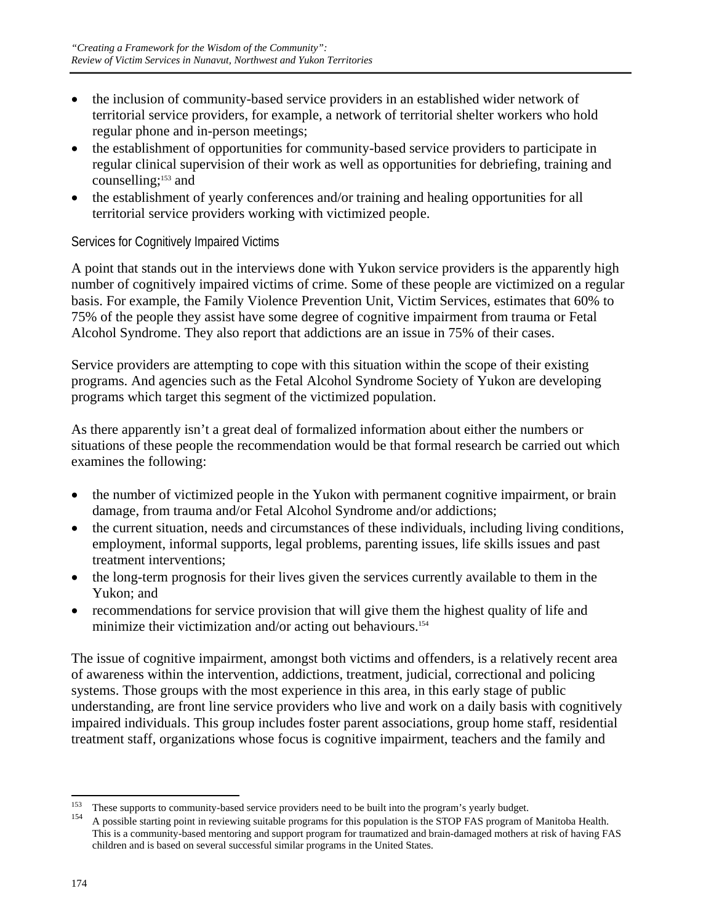- the inclusion of community-based service providers in an established wider network of territorial service providers, for example, a network of territorial shelter workers who hold regular phone and in-person meetings;
- the establishment of opportunities for community-based service providers to participate in regular clinical supervision of their work as well as opportunities for debriefing, training and counselling;153 and
- the establishment of yearly conferences and/or training and healing opportunities for all territorial service providers working with victimized people.

## Services for Cognitively Impaired Victims

A point that stands out in the interviews done with Yukon service providers is the apparently high number of cognitively impaired victims of crime. Some of these people are victimized on a regular basis. For example, the Family Violence Prevention Unit, Victim Services, estimates that 60% to 75% of the people they assist have some degree of cognitive impairment from trauma or Fetal Alcohol Syndrome. They also report that addictions are an issue in 75% of their cases.

Service providers are attempting to cope with this situation within the scope of their existing programs. And agencies such as the Fetal Alcohol Syndrome Society of Yukon are developing programs which target this segment of the victimized population.

As there apparently isn't a great deal of formalized information about either the numbers or situations of these people the recommendation would be that formal research be carried out which examines the following:

- the number of victimized people in the Yukon with permanent cognitive impairment, or brain damage, from trauma and/or Fetal Alcohol Syndrome and/or addictions;
- the current situation, needs and circumstances of these individuals, including living conditions, employment, informal supports, legal problems, parenting issues, life skills issues and past treatment interventions;
- the long-term prognosis for their lives given the services currently available to them in the Yukon; and
- recommendations for service provision that will give them the highest quality of life and minimize their victimization and/or acting out behaviours.<sup>154</sup>

The issue of cognitive impairment, amongst both victims and offenders, is a relatively recent area of awareness within the intervention, addictions, treatment, judicial, correctional and policing systems. Those groups with the most experience in this area, in this early stage of public understanding, are front line service providers who live and work on a daily basis with cognitively impaired individuals. This group includes foster parent associations, group home staff, residential treatment staff, organizations whose focus is cognitive impairment, teachers and the family and

<sup>153</sup> 

<sup>&</sup>lt;sup>153</sup> These supports to community-based service providers need to be built into the program's yearly budget.<br><sup>154</sup> A possible starting point in reviewing suitable programs for this population is the STOP FAS program of Ma This is a community-based mentoring and support program for traumatized and brain-damaged mothers at risk of having FAS children and is based on several successful similar programs in the United States.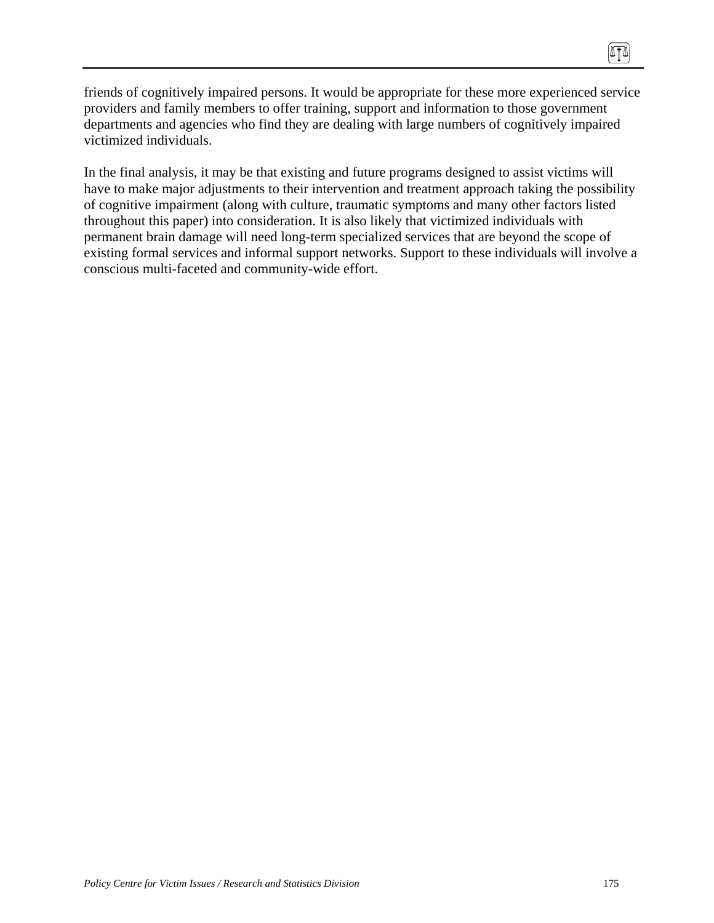friends of cognitively impaired persons. It would be appropriate for these more experienced service providers and family members to offer training, support and information to those government departments and agencies who find they are dealing with large numbers of cognitively impaired victimized individuals.

In the final analysis, it may be that existing and future programs designed to assist victims will have to make major adjustments to their intervention and treatment approach taking the possibility of cognitive impairment (along with culture, traumatic symptoms and many other factors listed throughout this paper) into consideration. It is also likely that victimized individuals with permanent brain damage will need long-term specialized services that are beyond the scope of existing formal services and informal support networks. Support to these individuals will involve a conscious multi-faceted and community-wide effort.

 $\sqrt{10}$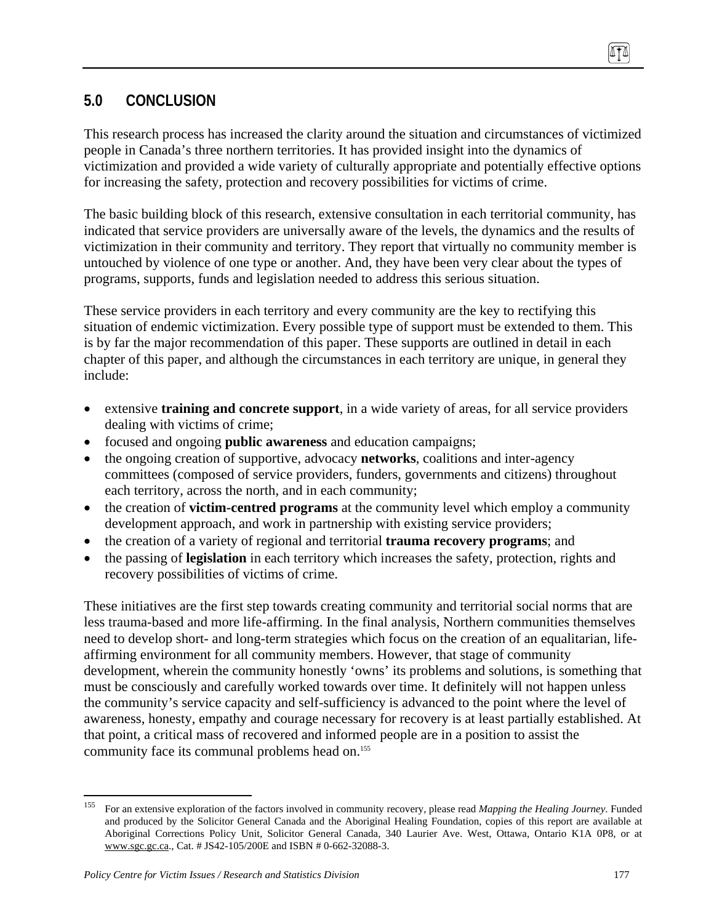## **5.0 CONCLUSION**

This research process has increased the clarity around the situation and circumstances of victimized people in Canada's three northern territories. It has provided insight into the dynamics of victimization and provided a wide variety of culturally appropriate and potentially effective options for increasing the safety, protection and recovery possibilities for victims of crime.

The basic building block of this research, extensive consultation in each territorial community, has indicated that service providers are universally aware of the levels, the dynamics and the results of victimization in their community and territory. They report that virtually no community member is untouched by violence of one type or another. And, they have been very clear about the types of programs, supports, funds and legislation needed to address this serious situation.

These service providers in each territory and every community are the key to rectifying this situation of endemic victimization. Every possible type of support must be extended to them. This is by far the major recommendation of this paper. These supports are outlined in detail in each chapter of this paper, and although the circumstances in each territory are unique, in general they include:

- extensive **training and concrete support**, in a wide variety of areas, for all service providers dealing with victims of crime;
- focused and ongoing **public awareness** and education campaigns;
- the ongoing creation of supportive, advocacy **networks**, coalitions and inter-agency committees (composed of service providers, funders, governments and citizens) throughout each territory, across the north, and in each community;
- the creation of **victim-centred programs** at the community level which employ a community development approach, and work in partnership with existing service providers;
- the creation of a variety of regional and territorial **trauma recovery programs**; and
- the passing of **legislation** in each territory which increases the safety, protection, rights and recovery possibilities of victims of crime.

These initiatives are the first step towards creating community and territorial social norms that are less trauma-based and more life-affirming. In the final analysis, Northern communities themselves need to develop short- and long-term strategies which focus on the creation of an equalitarian, lifeaffirming environment for all community members. However, that stage of community development, wherein the community honestly 'owns' its problems and solutions, is something that must be consciously and carefully worked towards over time. It definitely will not happen unless the community's service capacity and self-sufficiency is advanced to the point where the level of awareness, honesty, empathy and courage necessary for recovery is at least partially established. At that point, a critical mass of recovered and informed people are in a position to assist the community face its communal problems head on.<sup>155</sup>

<sup>155</sup> 155 For an extensive exploration of the factors involved in community recovery, please read *Mapping the Healing Journey*. Funded and produced by the Solicitor General Canada and the Aboriginal Healing Foundation, copies of this report are available at Aboriginal Corrections Policy Unit, Solicitor General Canada, 340 Laurier Ave. West, Ottawa, Ontario K1A 0P8, or at www.sgc.gc.ca., Cat. # JS42-105/200E and ISBN # 0-662-32088-3.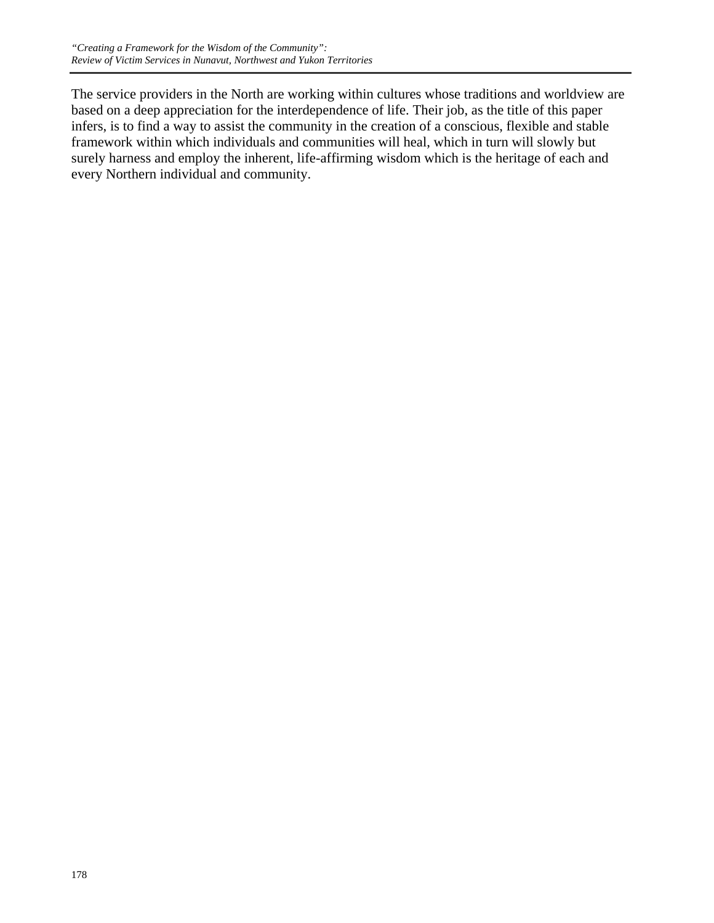The service providers in the North are working within cultures whose traditions and worldview are based on a deep appreciation for the interdependence of life. Their job, as the title of this paper infers, is to find a way to assist the community in the creation of a conscious, flexible and stable framework within which individuals and communities will heal, which in turn will slowly but surely harness and employ the inherent, life-affirming wisdom which is the heritage of each and every Northern individual and community.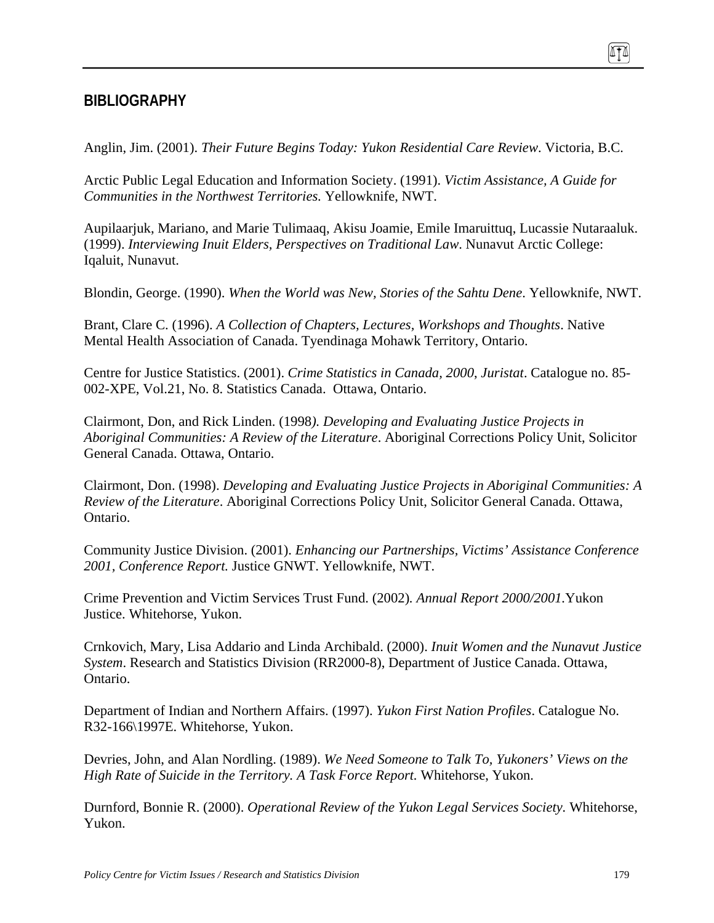## **BIBLIOGRAPHY**

Anglin, Jim. (2001). *Their Future Begins Today: Yukon Residential Care Review*. Victoria, B.C.

Arctic Public Legal Education and Information Society. (1991). *Victim Assistance, A Guide for Communities in the Northwest Territories.* Yellowknife, NWT.

Aupilaarjuk, Mariano, and Marie Tulimaaq, Akisu Joamie, Emile Imaruittuq, Lucassie Nutaraaluk. (1999). *Interviewing Inuit Elders, Perspectives on Traditional Law*. Nunavut Arctic College: Iqaluit, Nunavut.

Blondin, George. (1990). *When the World was New, Stories of the Sahtu Dene*. Yellowknife, NWT.

Brant, Clare C. (1996). *A Collection of Chapters, Lectures, Workshops and Thoughts*. Native Mental Health Association of Canada. Tyendinaga Mohawk Territory, Ontario.

Centre for Justice Statistics. (2001). *Crime Statistics in Canada, 2000*, *Juristat*. Catalogue no. 85- 002-XPE, Vol.21, No. 8. Statistics Canada. Ottawa, Ontario.

Clairmont, Don, and Rick Linden. (1998*). Developing and Evaluating Justice Projects in Aboriginal Communities: A Review of the Literature*. Aboriginal Corrections Policy Unit, Solicitor General Canada. Ottawa, Ontario.

Clairmont, Don. (1998). *Developing and Evaluating Justice Projects in Aboriginal Communities: A Review of the Literature*. Aboriginal Corrections Policy Unit, Solicitor General Canada. Ottawa, Ontario.

Community Justice Division. (2001). *Enhancing our Partnerships, Victims' Assistance Conference 2001, Conference Report.* Justice GNWT. Yellowknife, NWT.

Crime Prevention and Victim Services Trust Fund. (2002)*. Annual Report 2000/2001.*Yukon Justice. Whitehorse, Yukon.

Crnkovich, Mary, Lisa Addario and Linda Archibald. (2000). *Inuit Women and the Nunavut Justice System*. Research and Statistics Division (RR2000-8), Department of Justice Canada. Ottawa, Ontario.

Department of Indian and Northern Affairs. (1997). *Yukon First Nation Profiles*. Catalogue No. R32-166\1997E. Whitehorse, Yukon.

Devries, John, and Alan Nordling. (1989). *We Need Someone to Talk To, Yukoners' Views on the High Rate of Suicide in the Territory. A Task Force Report.* Whitehorse, Yukon.

Durnford, Bonnie R. (2000). *Operational Review of the Yukon Legal Services Society.* Whitehorse, Yukon.

TI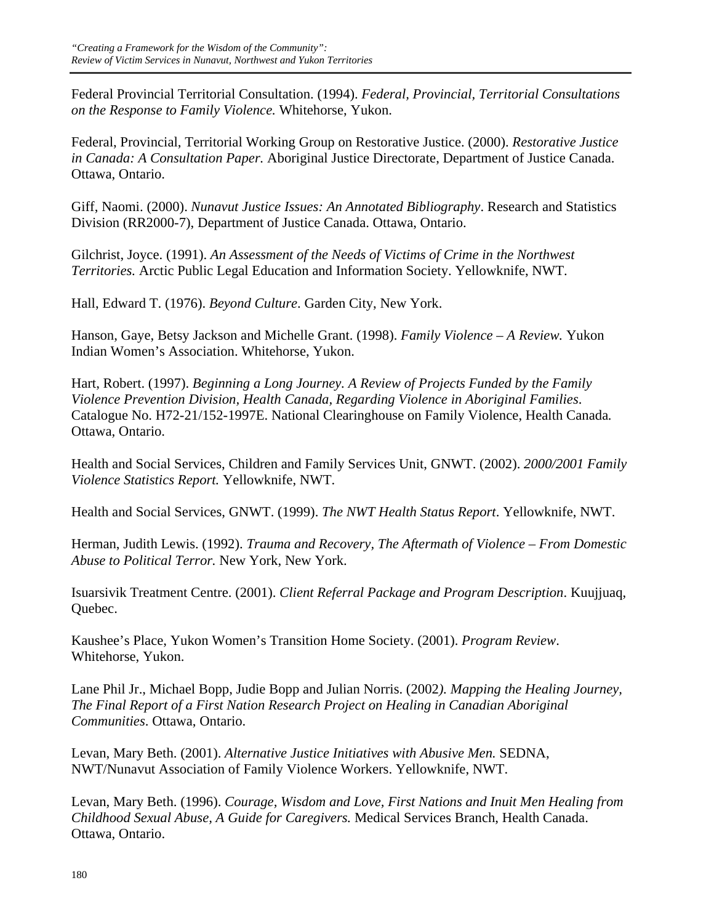Federal Provincial Territorial Consultation. (1994). *Federal, Provincial, Territorial Consultations on the Response to Family Violence.* Whitehorse, Yukon.

Federal, Provincial, Territorial Working Group on Restorative Justice. (2000). *Restorative Justice in Canada: A Consultation Paper.* Aboriginal Justice Directorate, Department of Justice Canada. Ottawa, Ontario.

Giff, Naomi. (2000). *Nunavut Justice Issues: An Annotated Bibliography*. Research and Statistics Division (RR2000-7), Department of Justice Canada. Ottawa, Ontario.

Gilchrist, Joyce. (1991). *An Assessment of the Needs of Victims of Crime in the Northwest Territories.* Arctic Public Legal Education and Information Society. Yellowknife, NWT.

Hall, Edward T. (1976). *Beyond Culture*. Garden City, New York.

Hanson, Gaye, Betsy Jackson and Michelle Grant. (1998). *Family Violence – A Review.* Yukon Indian Women's Association. Whitehorse, Yukon.

Hart, Robert. (1997). *Beginning a Long Journey. A Review of Projects Funded by the Family Violence Prevention Division, Health Canada, Regarding Violence in Aboriginal Families*. Catalogue No. H72-21/152-1997E. National Clearinghouse on Family Violence, Health Canada*.*  Ottawa, Ontario.

Health and Social Services, Children and Family Services Unit, GNWT. (2002). *2000/2001 Family Violence Statistics Report.* Yellowknife, NWT.

Health and Social Services, GNWT. (1999). *The NWT Health Status Report*. Yellowknife, NWT.

Herman, Judith Lewis. (1992). *Trauma and Recovery, The Aftermath of Violence – From Domestic Abuse to Political Terror.* New York, New York.

Isuarsivik Treatment Centre. (2001). *Client Referral Package and Program Description*. Kuujjuaq, Quebec.

Kaushee's Place, Yukon Women's Transition Home Society. (2001). *Program Review*. Whitehorse, Yukon.

Lane Phil Jr., Michael Bopp, Judie Bopp and Julian Norris. (2002*). Mapping the Healing Journey, The Final Report of a First Nation Research Project on Healing in Canadian Aboriginal Communities*. Ottawa, Ontario.

Levan, Mary Beth. (2001). *Alternative Justice Initiatives with Abusive Men.* SEDNA, NWT/Nunavut Association of Family Violence Workers. Yellowknife, NWT.

Levan, Mary Beth. (1996). *Courage, Wisdom and Love, First Nations and Inuit Men Healing from Childhood Sexual Abuse, A Guide for Caregivers.* Medical Services Branch, Health Canada. Ottawa, Ontario.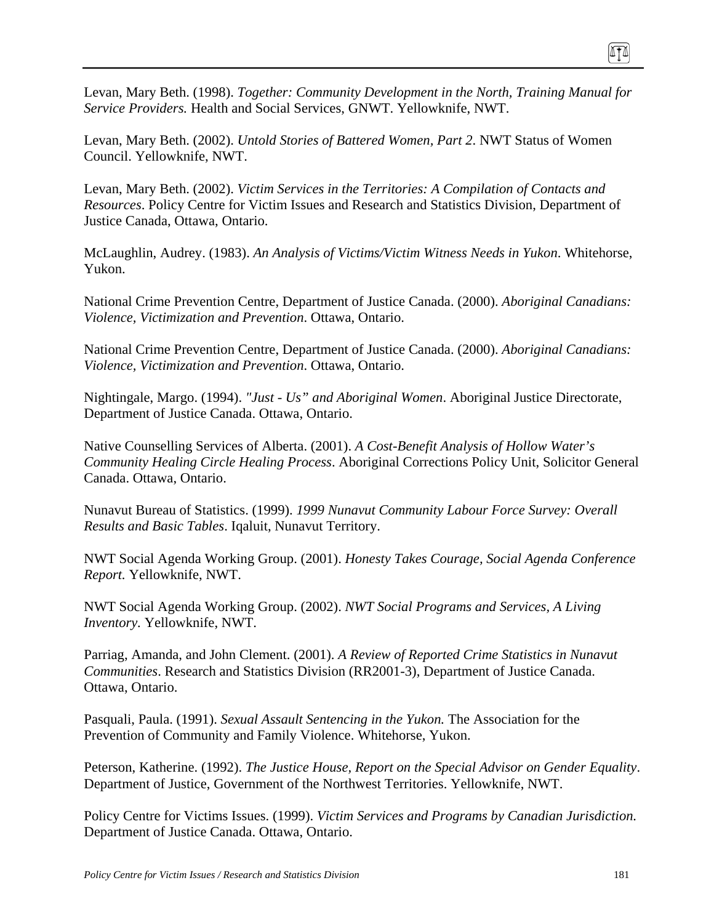Levan, Mary Beth. (1998). *Together: Community Development in the North, Training Manual for Service Providers.* Health and Social Services, GNWT. Yellowknife, NWT.

Levan, Mary Beth. (2002). *Untold Stories of Battered Women, Part 2*. NWT Status of Women Council. Yellowknife, NWT.

Levan, Mary Beth. (2002). *Victim Services in the Territories: A Compilation of Contacts and Resources*. Policy Centre for Victim Issues and Research and Statistics Division, Department of Justice Canada, Ottawa, Ontario.

McLaughlin, Audrey. (1983). *An Analysis of Victims/Victim Witness Needs in Yukon*. Whitehorse, Yukon.

National Crime Prevention Centre, Department of Justice Canada. (2000). *Aboriginal Canadians: Violence, Victimization and Prevention*. Ottawa, Ontario.

National Crime Prevention Centre, Department of Justice Canada. (2000). *Aboriginal Canadians: Violence, Victimization and Prevention*. Ottawa, Ontario.

Nightingale, Margo. (1994). *"Just - Us" and Aboriginal Women*. Aboriginal Justice Directorate, Department of Justice Canada. Ottawa, Ontario.

Native Counselling Services of Alberta. (2001). *A Cost-Benefit Analysis of Hollow Water's Community Healing Circle Healing Process*. Aboriginal Corrections Policy Unit, Solicitor General Canada. Ottawa, Ontario.

Nunavut Bureau of Statistics. (1999). *1999 Nunavut Community Labour Force Survey: Overall Results and Basic Tables*. Iqaluit, Nunavut Territory.

NWT Social Agenda Working Group. (2001). *Honesty Takes Courage, Social Agenda Conference Report.* Yellowknife, NWT.

NWT Social Agenda Working Group. (2002). *NWT Social Programs and Services, A Living Inventory.* Yellowknife, NWT.

Parriag, Amanda, and John Clement. (2001). *A Review of Reported Crime Statistics in Nunavut Communities*. Research and Statistics Division (RR2001-3), Department of Justice Canada. Ottawa, Ontario.

Pasquali, Paula. (1991). *Sexual Assault Sentencing in the Yukon.* The Association for the Prevention of Community and Family Violence. Whitehorse, Yukon.

Peterson, Katherine. (1992). *The Justice House, Report on the Special Advisor on Gender Equality*. Department of Justice, Government of the Northwest Territories. Yellowknife, NWT.

Policy Centre for Victims Issues. (1999). *Victim Services and Programs by Canadian Jurisdiction.*  Department of Justice Canada. Ottawa, Ontario.

ITI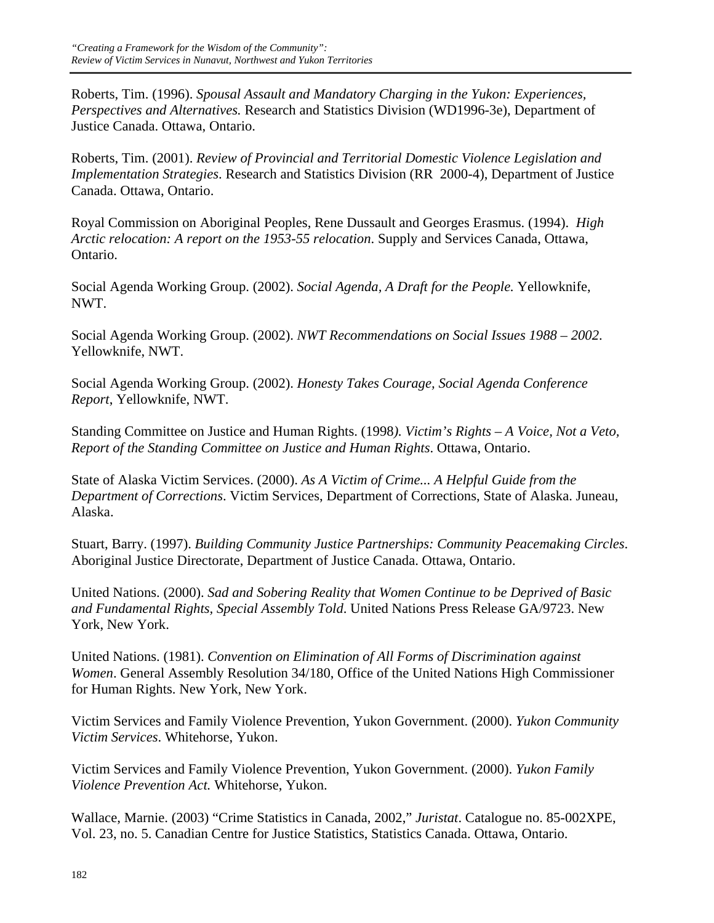Roberts, Tim. (1996). *Spousal Assault and Mandatory Charging in the Yukon: Experiences, Perspectives and Alternatives.* Research and Statistics Division (WD1996-3e), Department of Justice Canada. Ottawa, Ontario.

Roberts, Tim. (2001). *Review of Provincial and Territorial Domestic Violence Legislation and Implementation Strategies*. Research and Statistics Division (RR 2000-4), Department of Justice Canada. Ottawa, Ontario.

Royal Commission on Aboriginal Peoples, Rene Dussault and Georges Erasmus. (1994). *High Arctic relocation: A report on the 1953-55 relocation*. Supply and Services Canada, Ottawa, Ontario.

Social Agenda Working Group. (2002). *Social Agenda, A Draft for the People.* Yellowknife, NWT.

Social Agenda Working Group. (2002). *NWT Recommendations on Social Issues 1988 – 2002*. Yellowknife, NWT.

Social Agenda Working Group. (2002). *Honesty Takes Courage, Social Agenda Conference Report*, Yellowknife, NWT.

Standing Committee on Justice and Human Rights. (1998*). Victim's Rights – A Voice, Not a Veto, Report of the Standing Committee on Justice and Human Rights*. Ottawa, Ontario.

State of Alaska Victim Services. (2000). *As A Victim of Crime... A Helpful Guide from the Department of Corrections*. Victim Services, Department of Corrections, State of Alaska. Juneau, Alaska.

Stuart, Barry. (1997). *Building Community Justice Partnerships: Community Peacemaking Circles*. Aboriginal Justice Directorate, Department of Justice Canada. Ottawa, Ontario.

United Nations. (2000). *Sad and Sobering Reality that Women Continue to be Deprived of Basic and Fundamental Rights, Special Assembly Told*. United Nations Press Release GA/9723. New York, New York.

United Nations. (1981). *Convention on Elimination of All Forms of Discrimination against Women*. General Assembly Resolution 34/180, Office of the United Nations High Commissioner for Human Rights. New York, New York.

Victim Services and Family Violence Prevention, Yukon Government. (2000). *Yukon Community Victim Services*. Whitehorse, Yukon.

Victim Services and Family Violence Prevention, Yukon Government. (2000). *Yukon Family Violence Prevention Act.* Whitehorse, Yukon.

Wallace, Marnie. (2003) "Crime Statistics in Canada, 2002," *Juristat*. Catalogue no. 85-002XPE, Vol. 23, no. 5. Canadian Centre for Justice Statistics, Statistics Canada. Ottawa, Ontario.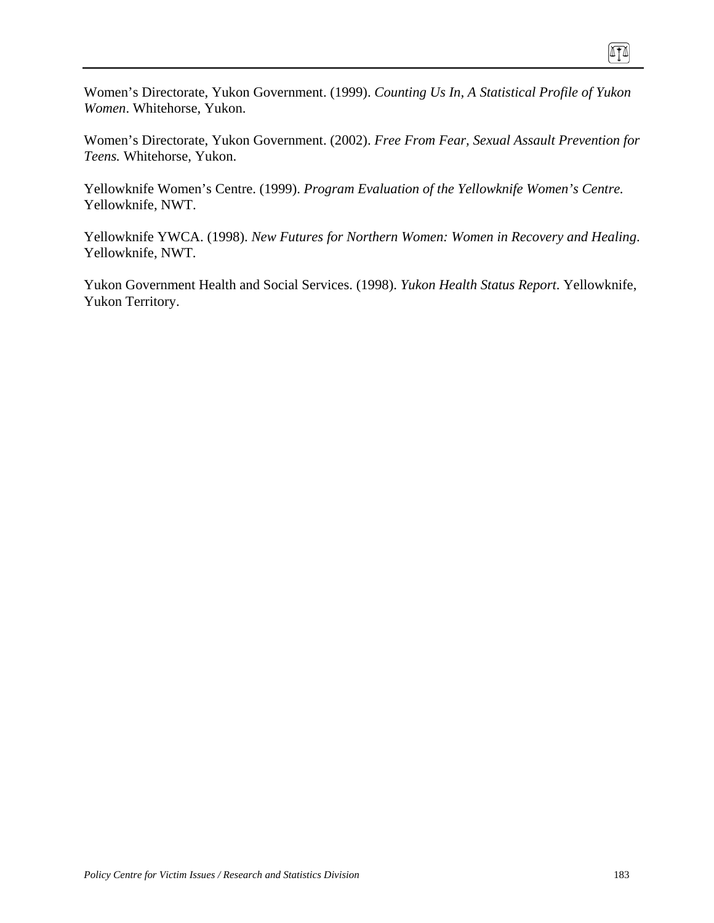Women's Directorate, Yukon Government. (1999). *Counting Us In, A Statistical Profile of Yukon Women*. Whitehorse, Yukon.

Women's Directorate, Yukon Government. (2002). *Free From Fear, Sexual Assault Prevention for Teens.* Whitehorse, Yukon.

Yellowknife Women's Centre. (1999). *Program Evaluation of the Yellowknife Women's Centre.*  Yellowknife, NWT.

Yellowknife YWCA. (1998). *New Futures for Northern Women: Women in Recovery and Healing*. Yellowknife, NWT.

Yukon Government Health and Social Services. (1998). *Yukon Health Status Report*. Yellowknife, Yukon Territory.

n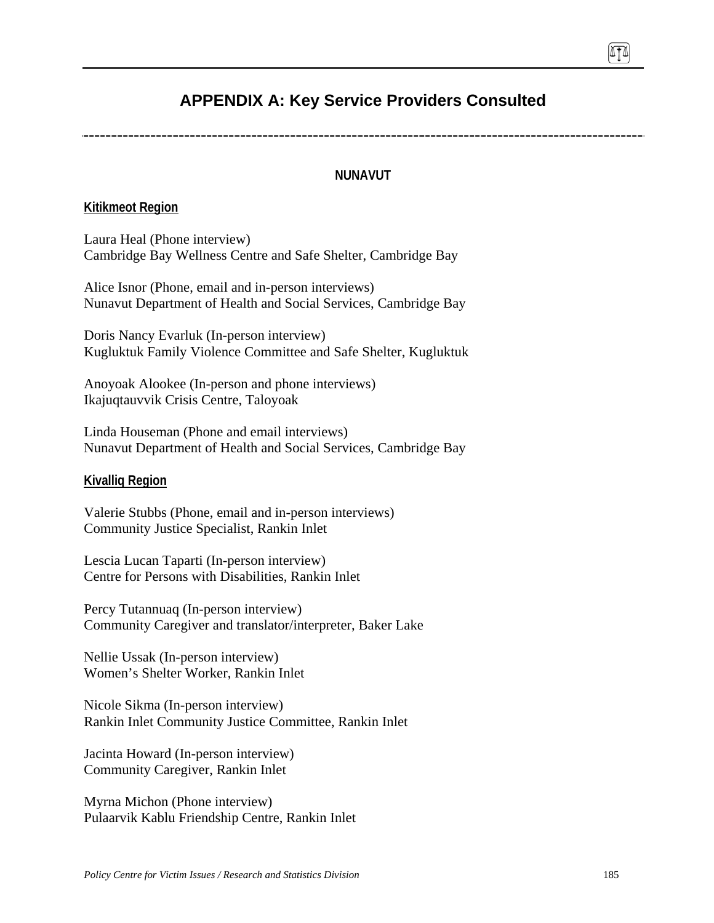# **APPENDIX A: Key Service Providers Consulted**

### **NUNAVUT**

#### **Kitikmeot Region**

Laura Heal (Phone interview) Cambridge Bay Wellness Centre and Safe Shelter, Cambridge Bay

Alice Isnor (Phone, email and in-person interviews) Nunavut Department of Health and Social Services, Cambridge Bay

Doris Nancy Evarluk (In-person interview) Kugluktuk Family Violence Committee and Safe Shelter, Kugluktuk

Anoyoak Alookee (In-person and phone interviews) Ikajuqtauvvik Crisis Centre, Taloyoak

Linda Houseman (Phone and email interviews) Nunavut Department of Health and Social Services, Cambridge Bay

#### **Kivalliq Region**

Valerie Stubbs (Phone, email and in-person interviews) Community Justice Specialist, Rankin Inlet

Lescia Lucan Taparti (In-person interview) Centre for Persons with Disabilities, Rankin Inlet

Percy Tutannuaq (In-person interview) Community Caregiver and translator/interpreter, Baker Lake

Nellie Ussak (In-person interview) Women's Shelter Worker, Rankin Inlet

Nicole Sikma (In-person interview) Rankin Inlet Community Justice Committee, Rankin Inlet

Jacinta Howard (In-person interview) Community Caregiver, Rankin Inlet

Myrna Michon (Phone interview) Pulaarvik Kablu Friendship Centre, Rankin Inlet 0TA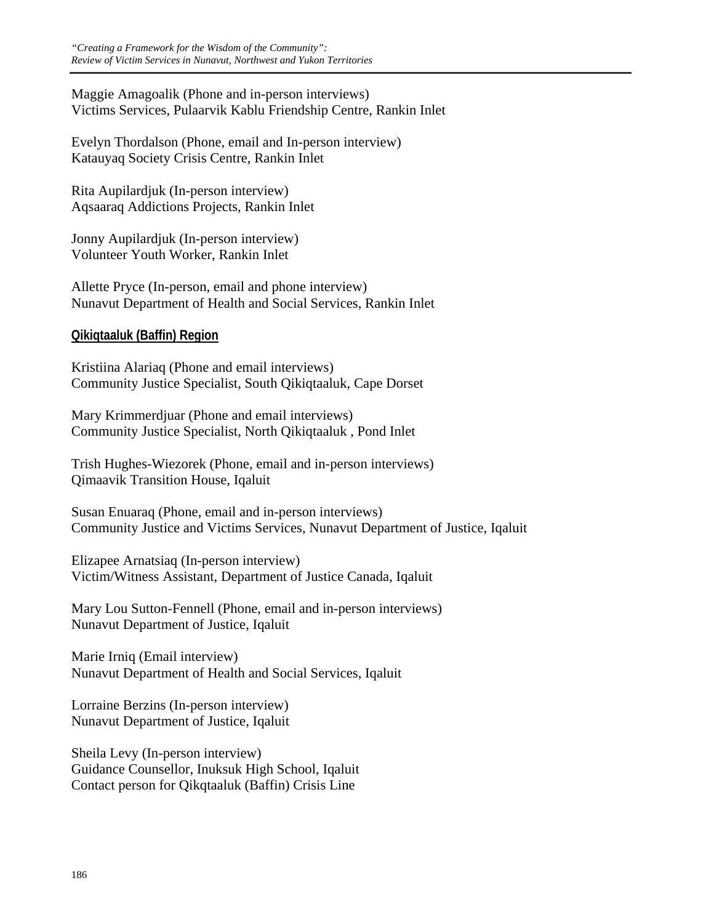Maggie Amagoalik (Phone and in-person interviews) Victims Services, Pulaarvik Kablu Friendship Centre, Rankin Inlet

Evelyn Thordalson (Phone, email and In-person interview) Katauyaq Society Crisis Centre, Rankin Inlet

Rita Aupilardjuk (In-person interview) Aqsaaraq Addictions Projects, Rankin Inlet

Jonny Aupilardjuk (In-person interview) Volunteer Youth Worker, Rankin Inlet

Allette Pryce (In-person, email and phone interview) Nunavut Department of Health and Social Services, Rankin Inlet

## **Qikiqtaaluk (Baffin) Region**

Kristiina Alariaq (Phone and email interviews) Community Justice Specialist, South Qikiqtaaluk, Cape Dorset

Mary Krimmerdjuar (Phone and email interviews) Community Justice Specialist, North Qikiqtaaluk , Pond Inlet

Trish Hughes-Wiezorek (Phone, email and in-person interviews) Qimaavik Transition House, Iqaluit

Susan Enuaraq (Phone, email and in-person interviews) Community Justice and Victims Services, Nunavut Department of Justice, Iqaluit

Elizapee Arnatsiaq (In-person interview) Victim/Witness Assistant, Department of Justice Canada, Iqaluit

Mary Lou Sutton-Fennell (Phone, email and in-person interviews) Nunavut Department of Justice, Iqaluit

Marie Irniq (Email interview) Nunavut Department of Health and Social Services, Iqaluit

Lorraine Berzins (In-person interview) Nunavut Department of Justice, Iqaluit

Sheila Levy (In-person interview) Guidance Counsellor, Inuksuk High School, Iqaluit Contact person for Qikqtaaluk (Baffin) Crisis Line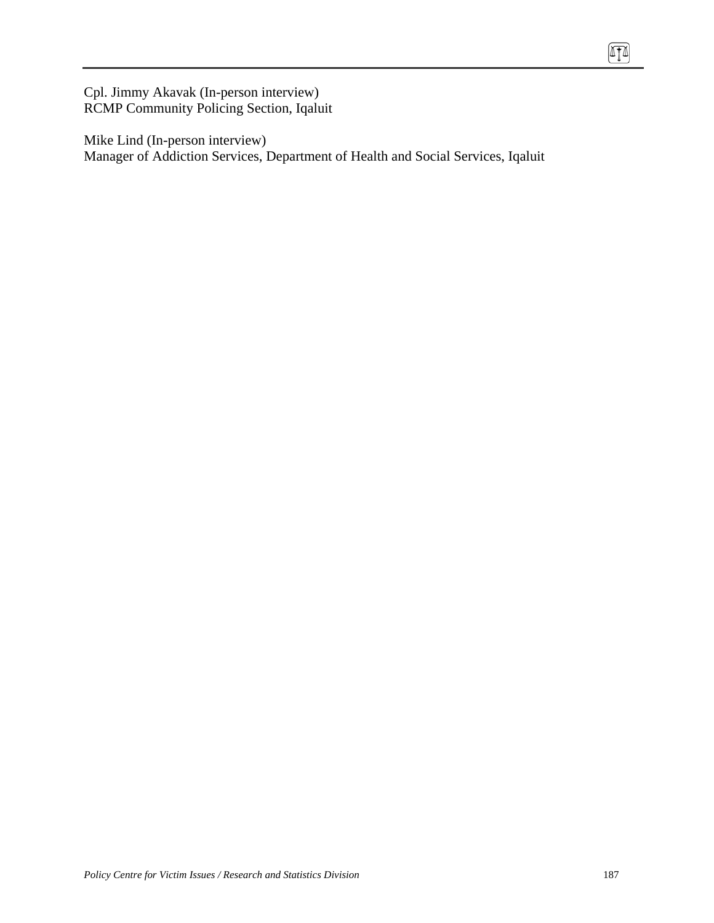Cpl. Jimmy Akavak (In-person interview) RCMP Community Policing Section, Iqaluit

Mike Lind (In-person interview) Manager of Addiction Services, Department of Health and Social Services, Iqaluit 硒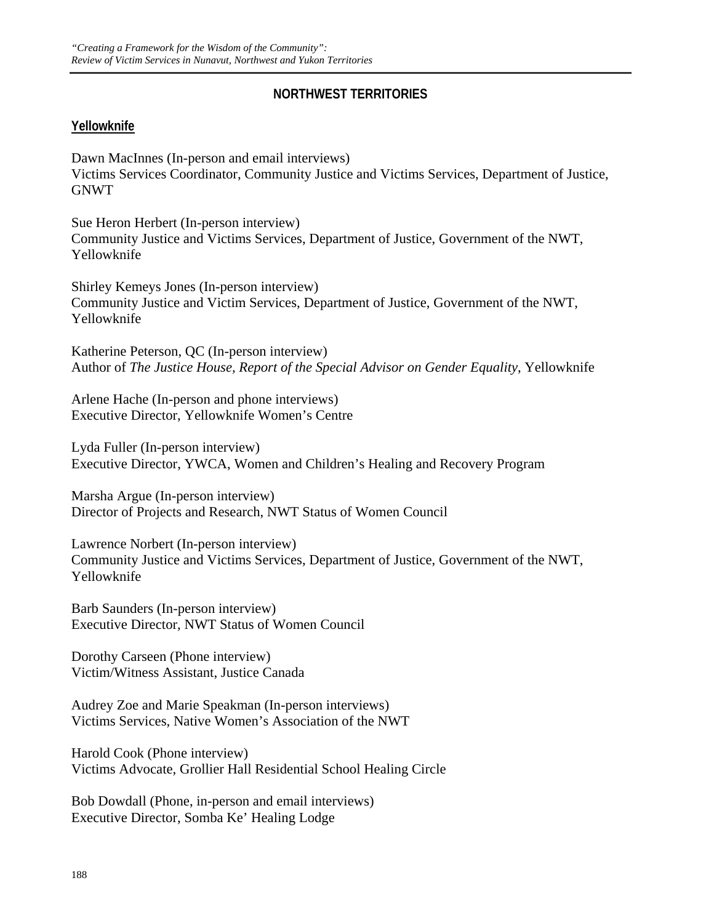## **NORTHWEST TERRITORIES**

## **Yellowknife**

Dawn MacInnes (In-person and email interviews) Victims Services Coordinator, Community Justice and Victims Services, Department of Justice, GNWT

Sue Heron Herbert (In-person interview) Community Justice and Victims Services, Department of Justice, Government of the NWT, Yellowknife

Shirley Kemeys Jones (In-person interview) Community Justice and Victim Services, Department of Justice, Government of the NWT, Yellowknife

Katherine Peterson, QC (In-person interview) Author of *The Justice House, Report of the Special Advisor on Gender Equality*, Yellowknife

Arlene Hache (In-person and phone interviews) Executive Director, Yellowknife Women's Centre

Lyda Fuller (In-person interview) Executive Director, YWCA, Women and Children's Healing and Recovery Program

Marsha Argue (In-person interview) Director of Projects and Research, NWT Status of Women Council

Lawrence Norbert (In-person interview) Community Justice and Victims Services, Department of Justice, Government of the NWT, Yellowknife

Barb Saunders (In-person interview) Executive Director, NWT Status of Women Council

Dorothy Carseen (Phone interview) Victim/Witness Assistant, Justice Canada

Audrey Zoe and Marie Speakman (In-person interviews) Victims Services, Native Women's Association of the NWT

Harold Cook (Phone interview) Victims Advocate, Grollier Hall Residential School Healing Circle

Bob Dowdall (Phone, in-person and email interviews) Executive Director, Somba Ke' Healing Lodge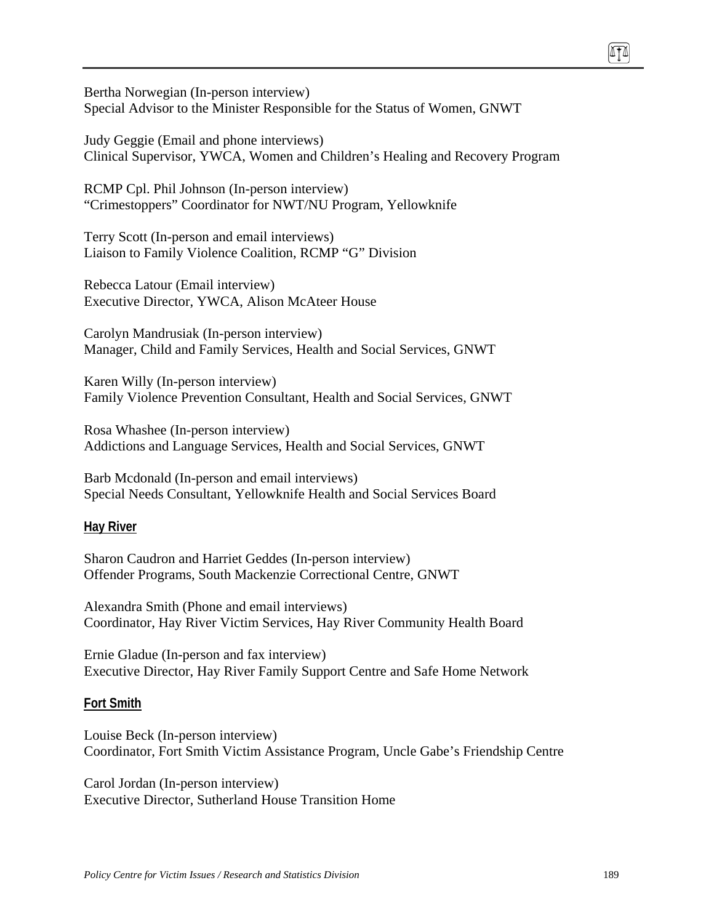Bertha Norwegian (In-person interview) Special Advisor to the Minister Responsible for the Status of Women, GNWT

Judy Geggie (Email and phone interviews) Clinical Supervisor, YWCA, Women and Children's Healing and Recovery Program

RCMP Cpl. Phil Johnson (In-person interview) "Crimestoppers" Coordinator for NWT/NU Program, Yellowknife

Terry Scott (In-person and email interviews) Liaison to Family Violence Coalition, RCMP "G" Division

Rebecca Latour (Email interview) Executive Director, YWCA, Alison McAteer House

Carolyn Mandrusiak (In-person interview) Manager, Child and Family Services, Health and Social Services, GNWT

Karen Willy (In-person interview) Family Violence Prevention Consultant, Health and Social Services, GNWT

Rosa Whashee (In-person interview) Addictions and Language Services, Health and Social Services, GNWT

Barb Mcdonald (In-person and email interviews) Special Needs Consultant, Yellowknife Health and Social Services Board

### **Hay River**

Sharon Caudron and Harriet Geddes (In-person interview) Offender Programs, South Mackenzie Correctional Centre, GNWT

Alexandra Smith (Phone and email interviews) Coordinator, Hay River Victim Services, Hay River Community Health Board

Ernie Gladue (In-person and fax interview) Executive Director, Hay River Family Support Centre and Safe Home Network

### **Fort Smith**

Louise Beck (In-person interview) Coordinator, Fort Smith Victim Assistance Program, Uncle Gabe's Friendship Centre

Carol Jordan (In-person interview) Executive Director, Sutherland House Transition Home TI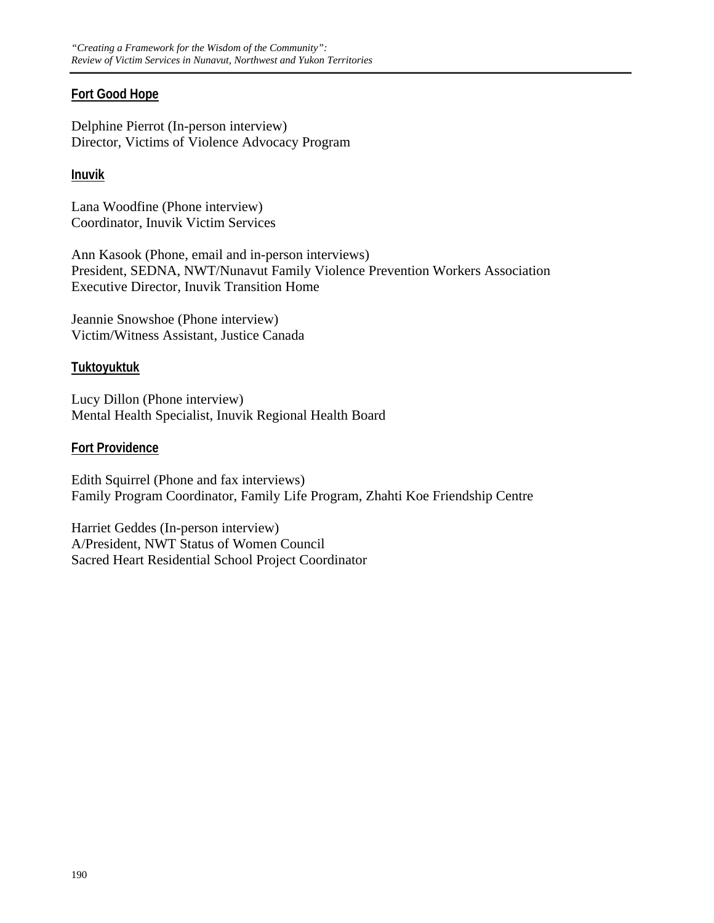## **Fort Good Hope**

Delphine Pierrot (In-person interview) Director, Victims of Violence Advocacy Program

### **Inuvik**

Lana Woodfine (Phone interview) Coordinator, Inuvik Victim Services

Ann Kasook (Phone, email and in-person interviews) President, SEDNA, NWT/Nunavut Family Violence Prevention Workers Association Executive Director, Inuvik Transition Home

Jeannie Snowshoe (Phone interview) Victim/Witness Assistant, Justice Canada

## **Tuktoyuktuk**

Lucy Dillon (Phone interview) Mental Health Specialist, Inuvik Regional Health Board

## **Fort Providence**

Edith Squirrel (Phone and fax interviews) Family Program Coordinator, Family Life Program, Zhahti Koe Friendship Centre

Harriet Geddes (In-person interview) A/President, NWT Status of Women Council Sacred Heart Residential School Project Coordinator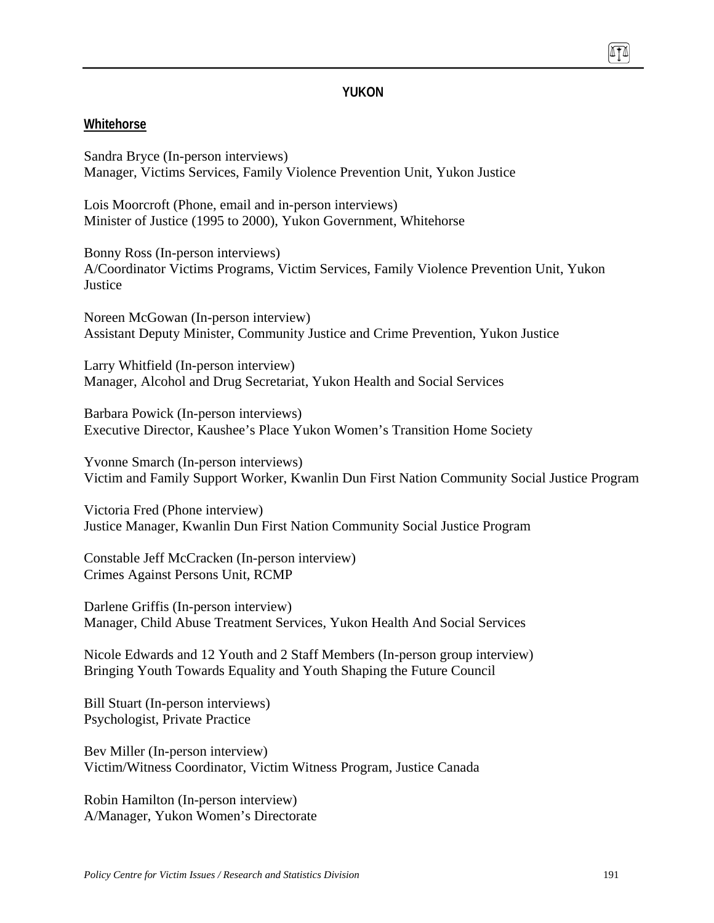### **YUKON**

#### **Whitehorse**

Sandra Bryce (In-person interviews) Manager, Victims Services, Family Violence Prevention Unit, Yukon Justice

Lois Moorcroft (Phone, email and in-person interviews) Minister of Justice (1995 to 2000), Yukon Government, Whitehorse

Bonny Ross (In-person interviews) A/Coordinator Victims Programs, Victim Services, Family Violence Prevention Unit, Yukon Justice

Noreen McGowan (In-person interview) Assistant Deputy Minister, Community Justice and Crime Prevention, Yukon Justice

Larry Whitfield (In-person interview) Manager, Alcohol and Drug Secretariat, Yukon Health and Social Services

Barbara Powick (In-person interviews) Executive Director, Kaushee's Place Yukon Women's Transition Home Society

Yvonne Smarch (In-person interviews) Victim and Family Support Worker, Kwanlin Dun First Nation Community Social Justice Program

Victoria Fred (Phone interview) Justice Manager, Kwanlin Dun First Nation Community Social Justice Program

Constable Jeff McCracken (In-person interview) Crimes Against Persons Unit, RCMP

Darlene Griffis (In-person interview) Manager, Child Abuse Treatment Services, Yukon Health And Social Services

Nicole Edwards and 12 Youth and 2 Staff Members (In-person group interview) Bringing Youth Towards Equality and Youth Shaping the Future Council

Bill Stuart (In-person interviews) Psychologist, Private Practice

Bev Miller (In-person interview) Victim/Witness Coordinator, Victim Witness Program, Justice Canada

Robin Hamilton (In-person interview) A/Manager, Yukon Women's Directorate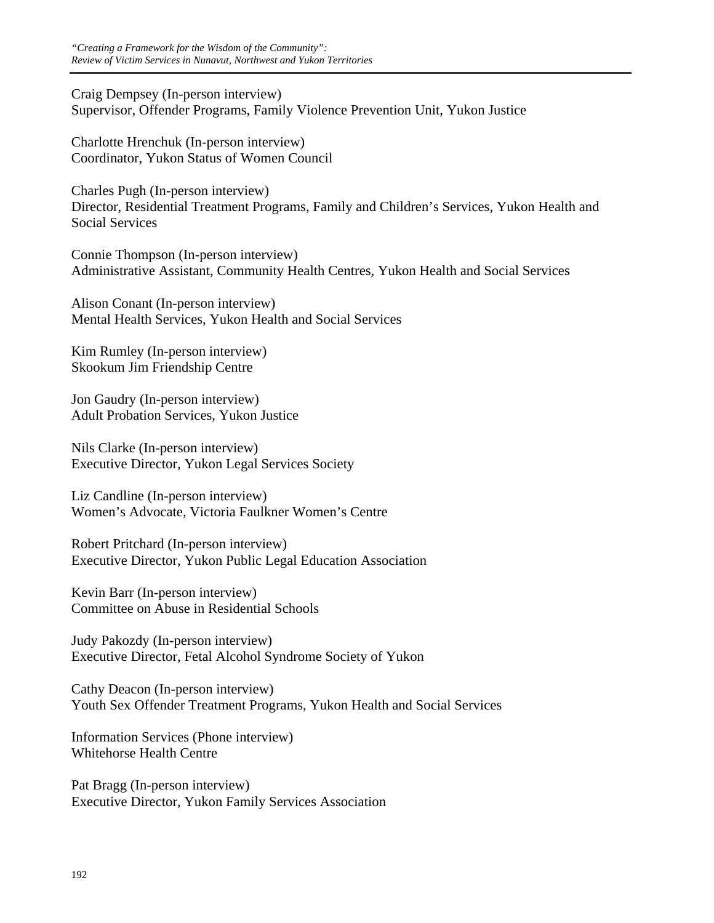Craig Dempsey (In-person interview) Supervisor, Offender Programs, Family Violence Prevention Unit, Yukon Justice

Charlotte Hrenchuk (In-person interview) Coordinator, Yukon Status of Women Council

Charles Pugh (In-person interview) Director, Residential Treatment Programs, Family and Children's Services, Yukon Health and Social Services

Connie Thompson (In-person interview) Administrative Assistant, Community Health Centres, Yukon Health and Social Services

Alison Conant (In-person interview) Mental Health Services, Yukon Health and Social Services

Kim Rumley (In-person interview) Skookum Jim Friendship Centre

Jon Gaudry (In-person interview) Adult Probation Services, Yukon Justice

Nils Clarke (In-person interview) Executive Director, Yukon Legal Services Society

Liz Candline (In-person interview) Women's Advocate, Victoria Faulkner Women's Centre

Robert Pritchard (In-person interview) Executive Director, Yukon Public Legal Education Association

Kevin Barr (In-person interview) Committee on Abuse in Residential Schools

Judy Pakozdy (In-person interview) Executive Director, Fetal Alcohol Syndrome Society of Yukon

Cathy Deacon (In-person interview) Youth Sex Offender Treatment Programs, Yukon Health and Social Services

Information Services (Phone interview) Whitehorse Health Centre

Pat Bragg (In-person interview) Executive Director, Yukon Family Services Association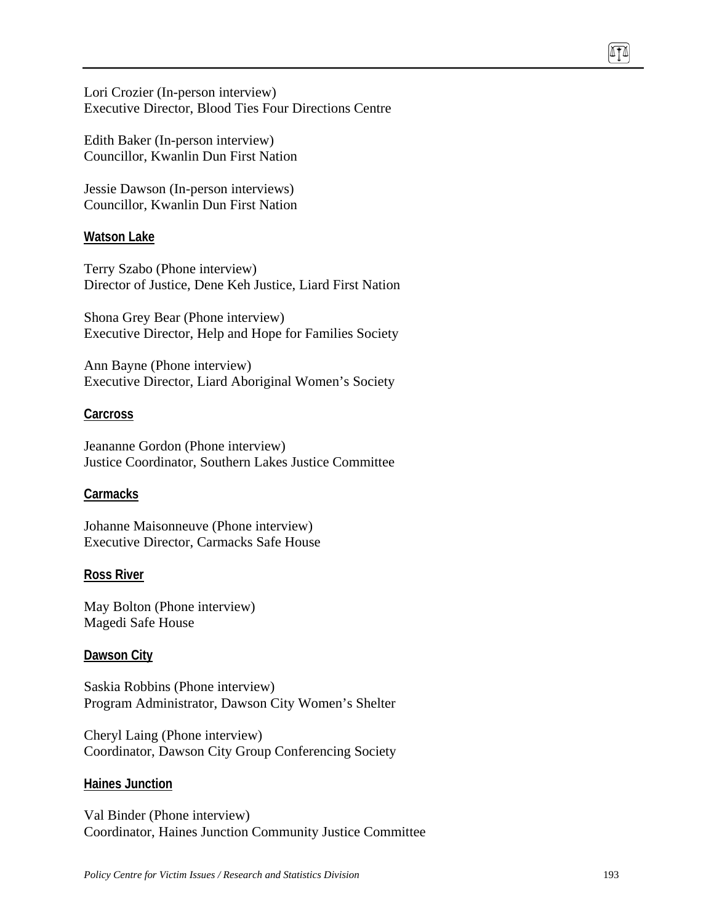Lori Crozier (In-person interview) Executive Director, Blood Ties Four Directions Centre

Edith Baker (In-person interview) Councillor, Kwanlin Dun First Nation

Jessie Dawson (In-person interviews) Councillor, Kwanlin Dun First Nation

#### **Watson Lake**

Terry Szabo (Phone interview) Director of Justice, Dene Keh Justice, Liard First Nation

Shona Grey Bear (Phone interview) Executive Director, Help and Hope for Families Society

Ann Bayne (Phone interview) Executive Director, Liard Aboriginal Women's Society

#### **Carcross**

Jeananne Gordon (Phone interview) Justice Coordinator, Southern Lakes Justice Committee

#### **Carmacks**

Johanne Maisonneuve (Phone interview) Executive Director, Carmacks Safe House

#### **Ross River**

May Bolton (Phone interview) Magedi Safe House

#### **Dawson City**

Saskia Robbins (Phone interview) Program Administrator, Dawson City Women's Shelter

Cheryl Laing (Phone interview) Coordinator, Dawson City Group Conferencing Society

#### **Haines Junction**

Val Binder (Phone interview) Coordinator, Haines Junction Community Justice Committee 874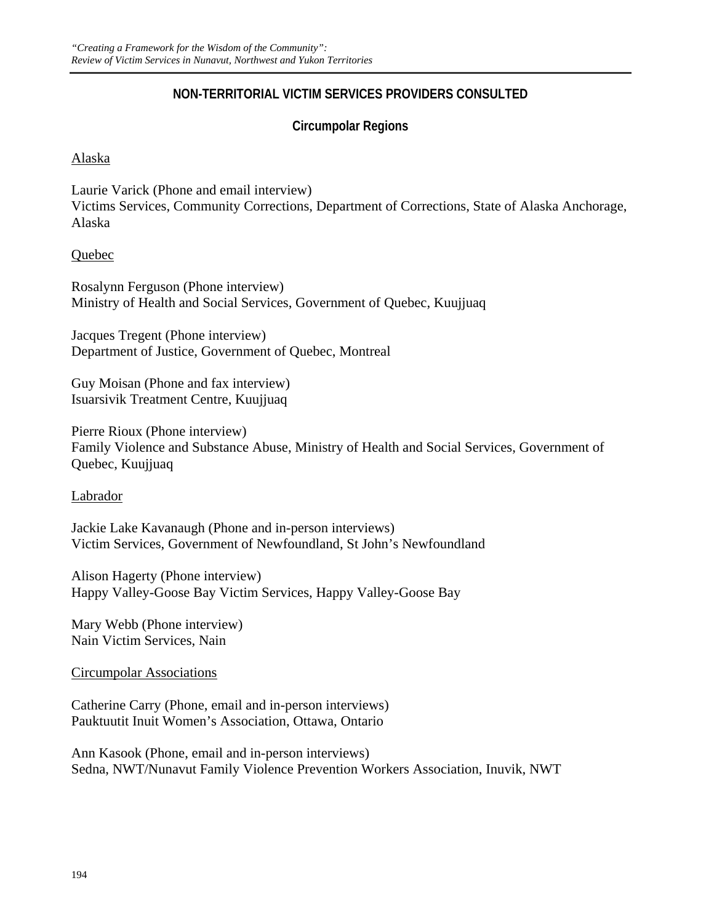## **NON-TERRITORIAL VICTIM SERVICES PROVIDERS CONSULTED**

## **Circumpolar Regions**

### Alaska

Laurie Varick (Phone and email interview) Victims Services, Community Corrections, Department of Corrections, State of Alaska Anchorage, Alaska

## Quebec

Rosalynn Ferguson (Phone interview) Ministry of Health and Social Services, Government of Quebec, Kuujjuaq

Jacques Tregent (Phone interview) Department of Justice, Government of Quebec, Montreal

Guy Moisan (Phone and fax interview) Isuarsivik Treatment Centre, Kuujjuaq

Pierre Rioux (Phone interview) Family Violence and Substance Abuse, Ministry of Health and Social Services, Government of Quebec, Kuujjuaq

### Labrador

Jackie Lake Kavanaugh (Phone and in-person interviews) Victim Services, Government of Newfoundland, St John's Newfoundland

Alison Hagerty (Phone interview) Happy Valley-Goose Bay Victim Services, Happy Valley-Goose Bay

Mary Webb (Phone interview) Nain Victim Services, Nain

### Circumpolar Associations

Catherine Carry (Phone, email and in-person interviews) Pauktuutit Inuit Women's Association, Ottawa, Ontario

Ann Kasook (Phone, email and in-person interviews) Sedna, NWT/Nunavut Family Violence Prevention Workers Association, Inuvik, NWT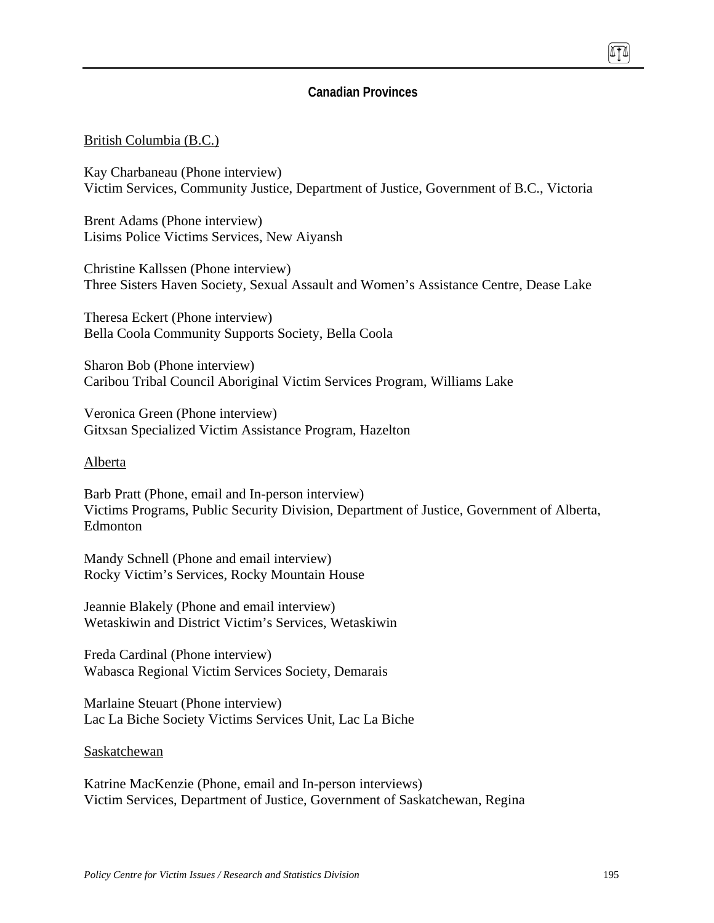### **Canadian Provinces**

#### British Columbia (B.C.)

Kay Charbaneau (Phone interview) Victim Services, Community Justice, Department of Justice, Government of B.C., Victoria

Brent Adams (Phone interview) Lisims Police Victims Services, New Aiyansh

Christine Kallssen (Phone interview) Three Sisters Haven Society, Sexual Assault and Women's Assistance Centre, Dease Lake

Theresa Eckert (Phone interview) Bella Coola Community Supports Society, Bella Coola

Sharon Bob (Phone interview) Caribou Tribal Council Aboriginal Victim Services Program, Williams Lake

Veronica Green (Phone interview) Gitxsan Specialized Victim Assistance Program, Hazelton

#### Alberta

Barb Pratt (Phone, email and In-person interview) Victims Programs, Public Security Division, Department of Justice, Government of Alberta, Edmonton

Mandy Schnell (Phone and email interview) Rocky Victim's Services, Rocky Mountain House

Jeannie Blakely (Phone and email interview) Wetaskiwin and District Victim's Services, Wetaskiwin

Freda Cardinal (Phone interview) Wabasca Regional Victim Services Society, Demarais

Marlaine Steuart (Phone interview) Lac La Biche Society Victims Services Unit, Lac La Biche

#### Saskatchewan

Katrine MacKenzie (Phone, email and In-person interviews) Victim Services, Department of Justice, Government of Saskatchewan, Regina TI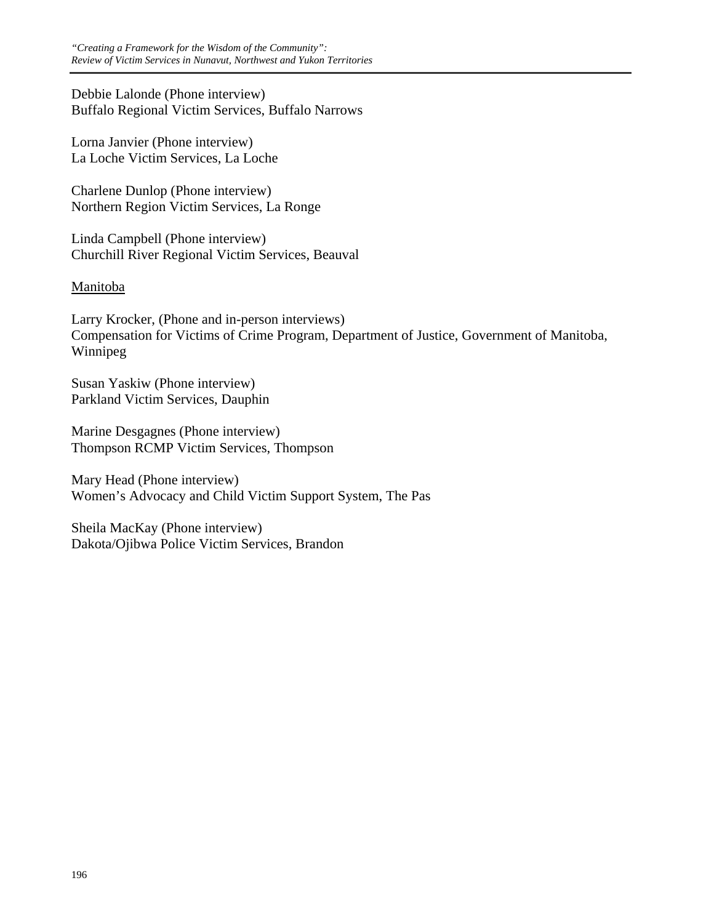Debbie Lalonde (Phone interview) Buffalo Regional Victim Services, Buffalo Narrows

Lorna Janvier (Phone interview) La Loche Victim Services, La Loche

Charlene Dunlop (Phone interview) Northern Region Victim Services, La Ronge

Linda Campbell (Phone interview) Churchill River Regional Victim Services, Beauval

## Manitoba

Larry Krocker, (Phone and in-person interviews) Compensation for Victims of Crime Program, Department of Justice, Government of Manitoba, Winnipeg

Susan Yaskiw (Phone interview) Parkland Victim Services, Dauphin

Marine Desgagnes (Phone interview) Thompson RCMP Victim Services, Thompson

Mary Head (Phone interview) Women's Advocacy and Child Victim Support System, The Pas

Sheila MacKay (Phone interview) Dakota/Ojibwa Police Victim Services, Brandon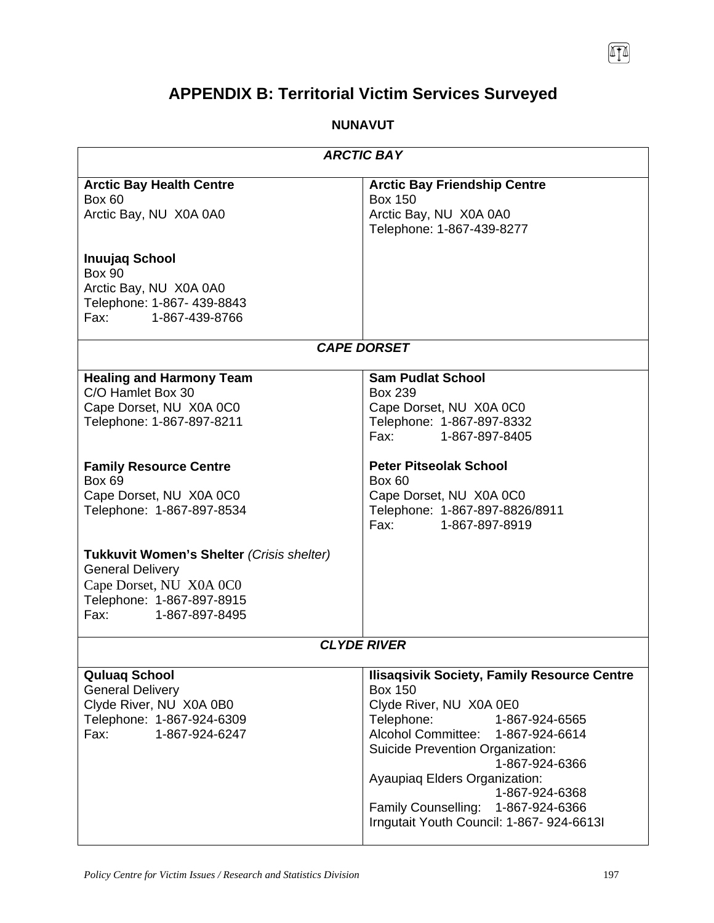# **APPENDIX B: Territorial Victim Services Surveyed**

## **NUNAVUT**

| <b>ARCTIC BAY</b>                                                                                                                                              |                                                                                                                                                                                                                                                                                                                                                                  |  |
|----------------------------------------------------------------------------------------------------------------------------------------------------------------|------------------------------------------------------------------------------------------------------------------------------------------------------------------------------------------------------------------------------------------------------------------------------------------------------------------------------------------------------------------|--|
| <b>Arctic Bay Health Centre</b><br><b>Box 60</b><br>Arctic Bay, NU X0A 0A0                                                                                     | <b>Arctic Bay Friendship Centre</b><br><b>Box 150</b><br>Arctic Bay, NU X0A 0A0<br>Telephone: 1-867-439-8277                                                                                                                                                                                                                                                     |  |
| <b>Inuujaq School</b><br><b>Box 90</b><br>Arctic Bay, NU X0A 0A0<br>Telephone: 1-867- 439-8843<br>Fax: 1-867-439-8766                                          |                                                                                                                                                                                                                                                                                                                                                                  |  |
|                                                                                                                                                                | <b>CAPE DORSET</b>                                                                                                                                                                                                                                                                                                                                               |  |
| <b>Healing and Harmony Team</b><br>C/O Hamlet Box 30<br>Cape Dorset, NU X0A 0C0<br>Telephone: 1-867-897-8211                                                   | <b>Sam Pudlat School</b><br>Box 239<br>Cape Dorset, NU X0A 0C0<br>Telephone: 1-867-897-8332<br>Fax: 1-867-897-8405                                                                                                                                                                                                                                               |  |
| <b>Family Resource Centre</b><br>Box 69<br>Cape Dorset, NU X0A 0C0<br>Telephone: 1-867-897-8534                                                                | <b>Peter Pitseolak School</b><br><b>Box 60</b><br>Cape Dorset, NU X0A 0C0<br>Telephone: 1-867-897-8826/8911<br>Fax: 1-867-897-8919                                                                                                                                                                                                                               |  |
| Tukkuvit Women's Shelter (Crisis shelter)<br><b>General Delivery</b><br>Cape Dorset, NU X0A 0C0<br>Telephone: 1-867-897-8915<br>Fax: The Sea<br>1-867-897-8495 |                                                                                                                                                                                                                                                                                                                                                                  |  |
| <b>CLYDE RIVER</b>                                                                                                                                             |                                                                                                                                                                                                                                                                                                                                                                  |  |
| <b>Quluaq School</b><br><b>General Delivery</b><br>Clyde River, NU X0A 0B0<br>Telephone: 1-867-924-6309<br>Fax:<br>1-867-924-6247                              | <b>Ilisaqsivik Society, Family Resource Centre</b><br><b>Box 150</b><br>Clyde River, NU X0A 0E0<br>Telephone:<br>1-867-924-6565<br>Alcohol Committee: 1-867-924-6614<br>Suicide Prevention Organization:<br>1-867-924-6366<br>Ayaupiaq Elders Organization:<br>1-867-924-6368<br>Family Counselling: 1-867-924-6366<br>Irngutait Youth Council: 1-867- 924-6613I |  |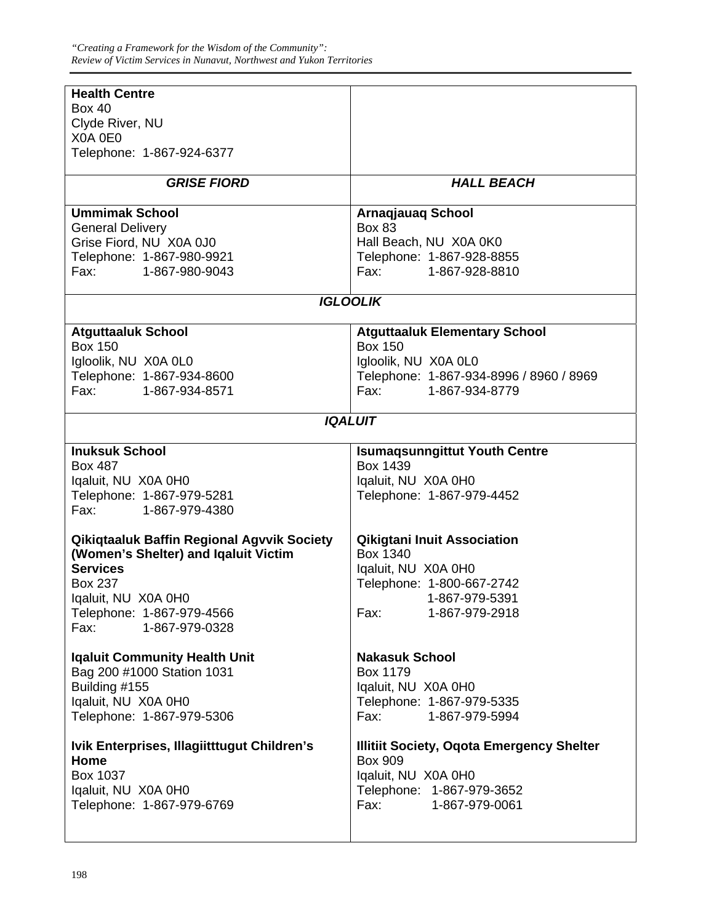| <b>Health Centre</b>                                                                                                   |                                                  |  |
|------------------------------------------------------------------------------------------------------------------------|--------------------------------------------------|--|
| <b>Box 40</b>                                                                                                          |                                                  |  |
| Clyde River, NU                                                                                                        |                                                  |  |
| X0A 0E0                                                                                                                |                                                  |  |
| Telephone: 1-867-924-6377                                                                                              |                                                  |  |
| <b>GRISE FIORD</b>                                                                                                     | <b>HALL BEACH</b>                                |  |
| <b>Ummimak School</b>                                                                                                  | <b>Arnaqjauaq School</b>                         |  |
| <b>General Delivery</b>                                                                                                | <b>Box 83</b>                                    |  |
| Grise Fiord, NU X0A 0J0                                                                                                | Hall Beach, NU X0A 0K0                           |  |
| Telephone: 1-867-980-9921                                                                                              | Telephone: 1-867-928-8855                        |  |
| Fax: The Total State State State State State State State State State State State State State State S<br>1-867-980-9043 | Fax: 1-867-928-8810                              |  |
|                                                                                                                        | <b>IGLOOLIK</b>                                  |  |
| <b>Atguttaaluk School</b>                                                                                              | <b>Atguttaaluk Elementary School</b>             |  |
| <b>Box 150</b>                                                                                                         | <b>Box 150</b>                                   |  |
| Igloolik, NU X0A 0L0                                                                                                   | Igloolik, NU X0A 0L0                             |  |
| Telephone: 1-867-934-8600                                                                                              | Telephone: 1-867-934-8996 / 8960 / 8969          |  |
| Fax: 1-867-934-8571                                                                                                    | 1-867-934-8779<br>Fax: Fax:                      |  |
|                                                                                                                        |                                                  |  |
| <b>IQALUIT</b>                                                                                                         |                                                  |  |
| <b>Inuksuk School</b>                                                                                                  | <b>Isumaqsunngittut Youth Centre</b>             |  |
| Box 487                                                                                                                | Box 1439                                         |  |
| Iqaluit, NU X0A 0H0                                                                                                    | Iqaluit, NU X0A 0H0                              |  |
| Telephone: 1-867-979-5281                                                                                              | Telephone: 1-867-979-4452                        |  |
| Fax: 1-867-979-4380                                                                                                    |                                                  |  |
| Qikiqtaaluk Baffin Regional Agvvik Society                                                                             | <b>Qikigtani Inuit Association</b>               |  |
| (Women's Shelter) and Iqaluit Victim                                                                                   | Box 1340                                         |  |
| <b>Services</b>                                                                                                        | Iqaluit, NU X0A 0H0                              |  |
| Box 237                                                                                                                | Telephone: 1-800-667-2742                        |  |
| Iqaluit, NU X0A 0H0                                                                                                    | 1-867-979-5391                                   |  |
| Telephone: 1-867-979-4566                                                                                              | Fax:<br>1-867-979-2918                           |  |
| Fax:<br>1-867-979-0328                                                                                                 |                                                  |  |
| <b>Iqaluit Community Health Unit</b>                                                                                   | <b>Nakasuk School</b>                            |  |
| Bag 200 #1000 Station 1031                                                                                             | Box 1179                                         |  |
| Building #155                                                                                                          | Iqaluit, NU X0A 0H0                              |  |
| Iqaluit, NU X0A 0H0                                                                                                    | Telephone: 1-867-979-5335                        |  |
| Telephone: 1-867-979-5306                                                                                              | Fax:<br>1-867-979-5994                           |  |
|                                                                                                                        |                                                  |  |
| Ivik Enterprises, Illagiitttugut Children's                                                                            | <b>Illitiit Society, Oqota Emergency Shelter</b> |  |
| Home                                                                                                                   | <b>Box 909</b>                                   |  |
| Box 1037                                                                                                               | Iqaluit, NU X0A 0H0                              |  |
| Iqaluit, NU X0A 0H0                                                                                                    | Telephone: 1-867-979-3652                        |  |
| Telephone: 1-867-979-6769                                                                                              | 1-867-979-0061<br>Fax:                           |  |
|                                                                                                                        |                                                  |  |
|                                                                                                                        |                                                  |  |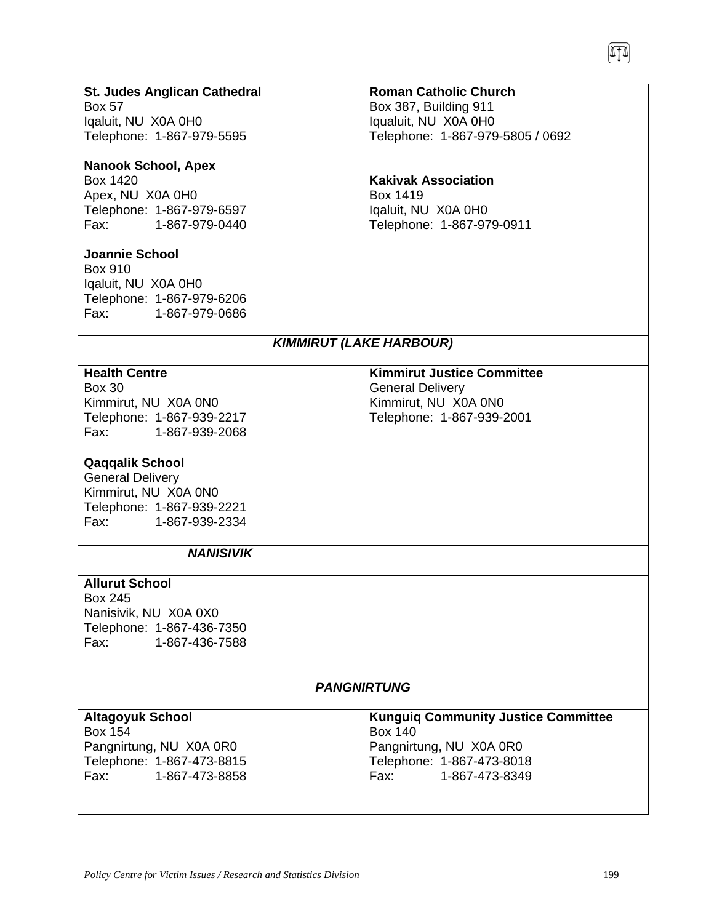| <b>St. Judes Anglican Cathedral</b> | <b>Roman Catholic Church</b>               |
|-------------------------------------|--------------------------------------------|
| <b>Box 57</b>                       | Box 387, Building 911                      |
| Iqaluit, NU X0A 0H0                 | Iqualuit, NU X0A 0H0                       |
| Telephone: 1-867-979-5595           | Telephone: 1-867-979-5805 / 0692           |
|                                     |                                            |
| <b>Nanook School, Apex</b>          |                                            |
| <b>Box 1420</b>                     | <b>Kakivak Association</b>                 |
|                                     |                                            |
| Apex, NU X0A 0H0                    | Box 1419                                   |
| Telephone: 1-867-979-6597           | Iqaluit, NU X0A 0H0                        |
| Fax: 1-867-979-0440                 | Telephone: 1-867-979-0911                  |
|                                     |                                            |
| <b>Joannie School</b>               |                                            |
| <b>Box 910</b>                      |                                            |
| Iqaluit, NU X0A 0H0                 |                                            |
| Telephone: 1-867-979-6206           |                                            |
| Fax:<br>1-867-979-0686              |                                            |
|                                     |                                            |
|                                     | <b>KIMMIRUT (LAKE HARBOUR)</b>             |
|                                     |                                            |
| <b>Health Centre</b>                | <b>Kimmirut Justice Committee</b>          |
| <b>Box 30</b>                       | <b>General Delivery</b>                    |
| Kimmirut, NU X0A 0N0                | Kimmirut, NU X0A 0N0                       |
| Telephone: 1-867-939-2217           | Telephone: 1-867-939-2001                  |
|                                     |                                            |
| Fax: 1-867-939-2068                 |                                            |
|                                     |                                            |
| <b>Qaqqalik School</b>              |                                            |
| <b>General Delivery</b>             |                                            |
| Kimmirut, NU X0A 0N0                |                                            |
| Telephone: 1-867-939-2221           |                                            |
| Fax: The Sea<br>1-867-939-2334      |                                            |
|                                     |                                            |
| <b>NANISIVIK</b>                    |                                            |
|                                     |                                            |
| <b>Allurut School</b>               |                                            |
| <b>Box 245</b>                      |                                            |
| Nanisivik, NU X0A 0X0               |                                            |
| Telephone: 1-867-436-7350           |                                            |
| Fax:<br>1-867-436-7588              |                                            |
|                                     |                                            |
|                                     |                                            |
|                                     | <b>PANGNIRTUNG</b>                         |
|                                     |                                            |
| <b>Altagoyuk School</b>             | <b>Kunguiq Community Justice Committee</b> |
| <b>Box 154</b>                      | <b>Box 140</b>                             |
| Pangnirtung, NU X0A 0R0             | Pangnirtung, NU X0A 0R0                    |
| Telephone: 1-867-473-8815           | Telephone: 1-867-473-8018                  |
| Fax:<br>1-867-473-8858              | Fax: 1-867-473-8349                        |
|                                     |                                            |
|                                     |                                            |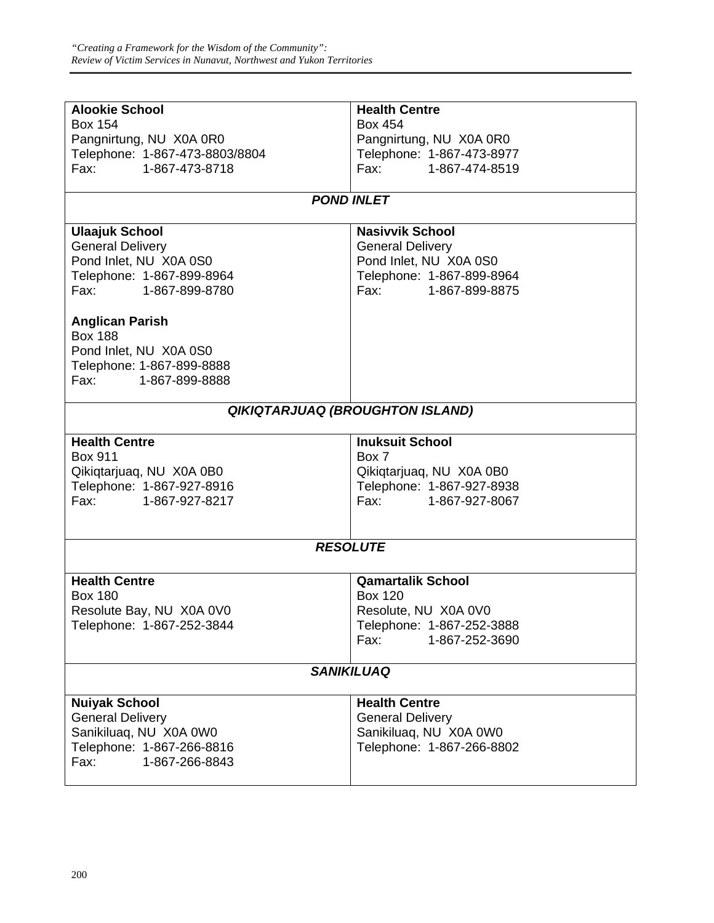| <b>Alookie School</b>          | <b>Health Centre</b>                   |
|--------------------------------|----------------------------------------|
| <b>Box 154</b>                 | Box 454                                |
| Pangnirtung, NU X0A 0R0        | Pangnirtung, NU X0A 0R0                |
| Telephone: 1-867-473-8803/8804 | Telephone: 1-867-473-8977              |
| Fax: 1-867-473-8718            | Fax: 1-867-474-8519                    |
|                                | <b>POND INLET</b>                      |
|                                |                                        |
| <b>Ulaajuk School</b>          | <b>Nasivvik School</b>                 |
| <b>General Delivery</b>        | <b>General Delivery</b>                |
| Pond Inlet, NU X0A 0S0         | Pond Inlet, NU X0A 0S0                 |
| Telephone: 1-867-899-8964      | Telephone: 1-867-899-8964              |
| Fax: The Sea<br>1-867-899-8780 | Fax:<br>1-867-899-8875                 |
| <b>Anglican Parish</b>         |                                        |
| <b>Box 188</b>                 |                                        |
| Pond Inlet, NU X0A 0S0         |                                        |
| Telephone: 1-867-899-8888      |                                        |
| Fax: 1-867-899-8888            |                                        |
|                                | <b>QIKIQTARJUAQ (BROUGHTON ISLAND)</b> |
|                                |                                        |
| <b>Health Centre</b>           | <b>Inuksuit School</b>                 |
| <b>Box 911</b>                 | Box 7                                  |
| Qikiqtarjuaq, NU X0A 0B0       |                                        |
|                                | Qikiqtarjuaq, NU X0A 0B0               |
| Telephone: 1-867-927-8916      | Telephone: 1-867-927-8938              |
| Fax:<br>1-867-927-8217         | Fax: Fax:<br>1-867-927-8067            |
|                                |                                        |
|                                | <b>RESOLUTE</b>                        |
|                                |                                        |
| <b>Health Centre</b>           | <b>Qamartalik School</b>               |
| <b>Box 180</b>                 | <b>Box 120</b>                         |
| Resolute Bay, NU X0A 0V0       | Resolute, NU X0A 0V0                   |
| Telephone: 1-867-252-3844      | Telephone: 1-867-252-3888              |
|                                | 1-867-252-3690<br>Fax:                 |
|                                | <b>SANIKILUAQ</b>                      |
|                                |                                        |
| <b>Nuiyak School</b>           | <b>Health Centre</b>                   |
| <b>General Delivery</b>        | <b>General Delivery</b>                |
| Sanikiluaq, NU X0A 0W0         | Sanikiluaq, NU X0A 0W0                 |
| Telephone: 1-867-266-8816      | Telephone: 1-867-266-8802              |
| 1-867-266-8843<br>Fax:         |                                        |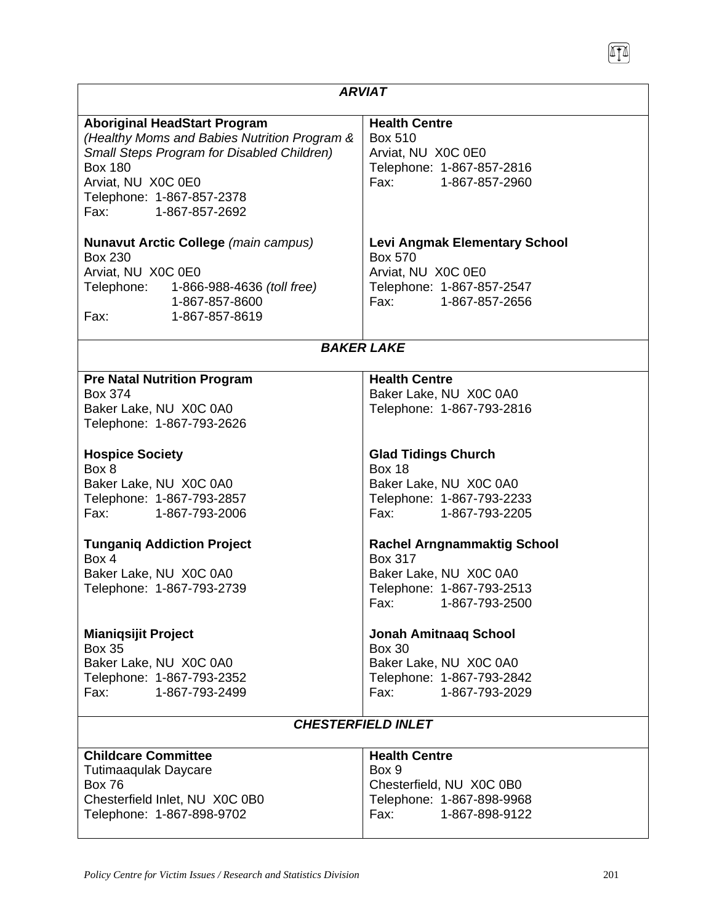| <b>ARVIAT</b>                                                                                                                                                                                                                                                                                                                                                                        |                                                                                                                                    |  |
|--------------------------------------------------------------------------------------------------------------------------------------------------------------------------------------------------------------------------------------------------------------------------------------------------------------------------------------------------------------------------------------|------------------------------------------------------------------------------------------------------------------------------------|--|
| <b>Aboriginal HeadStart Program</b><br>(Healthy Moms and Babies Nutrition Program &<br>Small Steps Program for Disabled Children)<br><b>Box 180</b><br>Arviat, NU X0C 0E0<br>Telephone: 1-867-857-2378<br>1-867-857-2692<br>Fax: The Transfer                                                                                                                                        | <b>Health Centre</b><br><b>Box 510</b><br>Arviat, NU XOC 0E0<br>Telephone: 1-867-857-2816<br>Fax: 1-867-857-2960                   |  |
| Nunavut Arctic College (main campus)<br>Box 230<br>Arviat, NU X0C 0E0<br>Telephone: 1-866-988-4636 (toll free)<br>1-867-857-8600<br>Fax: The Contract of the Contract of the Contract of the Contract of the Contract of the Contract of the Contract of the Contract of the Contract of the Contract of the Contract of the Contract of the Contract of the Contr<br>1-867-857-8619 | <b>Levi Angmak Elementary School</b><br><b>Box 570</b><br>Arviat, NU X0C 0E0<br>Telephone: 1-867-857-2547<br>Fax: 1-867-857-2656   |  |
| <b>BAKER LAKE</b>                                                                                                                                                                                                                                                                                                                                                                    |                                                                                                                                    |  |
| <b>Pre Natal Nutrition Program</b><br>Box 374<br>Baker Lake, NU X0C 0A0<br>Telephone: 1-867-793-2626                                                                                                                                                                                                                                                                                 | <b>Health Centre</b><br>Baker Lake, NU X0C 0A0<br>Telephone: 1-867-793-2816                                                        |  |
| <b>Hospice Society</b><br>Box 8<br>Baker Lake, NU X0C 0A0<br>Telephone: 1-867-793-2857<br>1-867-793-2006<br>Fax: The Total State State State State State State State State State State State State State State S                                                                                                                                                                     | <b>Glad Tidings Church</b><br><b>Box 18</b><br>Baker Lake, NU X0C 0A0<br>Telephone: 1-867-793-2233<br>Fax: Fax:<br>1-867-793-2205  |  |
| <b>Tunganiq Addiction Project</b><br>Box 4<br>Baker Lake, NU X0C 0A0<br>Telephone: 1-867-793-2739                                                                                                                                                                                                                                                                                    | <b>Rachel Arngnammaktig School</b><br>Box 317<br>Baker Lake, NU X0C 0A0<br>Telephone: 1-867-793-2513<br>1-867-793-2500<br>Fax:     |  |
| <b>Mianiqsijit Project</b><br><b>Box 35</b><br>Baker Lake, NU X0C 0A0<br>Telephone: 1-867-793-2352<br>Fax:<br>1-867-793-2499                                                                                                                                                                                                                                                         | <b>Jonah Amitnaaq School</b><br><b>Box 30</b><br>Baker Lake, NU X0C 0A0<br>Telephone: 1-867-793-2842<br>Fax: Fax<br>1-867-793-2029 |  |
|                                                                                                                                                                                                                                                                                                                                                                                      | <b>CHESTERFIELD INLET</b>                                                                                                          |  |
| <b>Childcare Committee</b><br>Tutimaaqulak Daycare<br><b>Box 76</b><br>Chesterfield Inlet, NU X0C 0B0<br>Telephone: 1-867-898-9702                                                                                                                                                                                                                                                   | <b>Health Centre</b><br>Box 9<br>Chesterfield, NU X0C 0B0<br>Telephone: 1-867-898-9968<br>Fax:<br>1-867-898-9122                   |  |

Π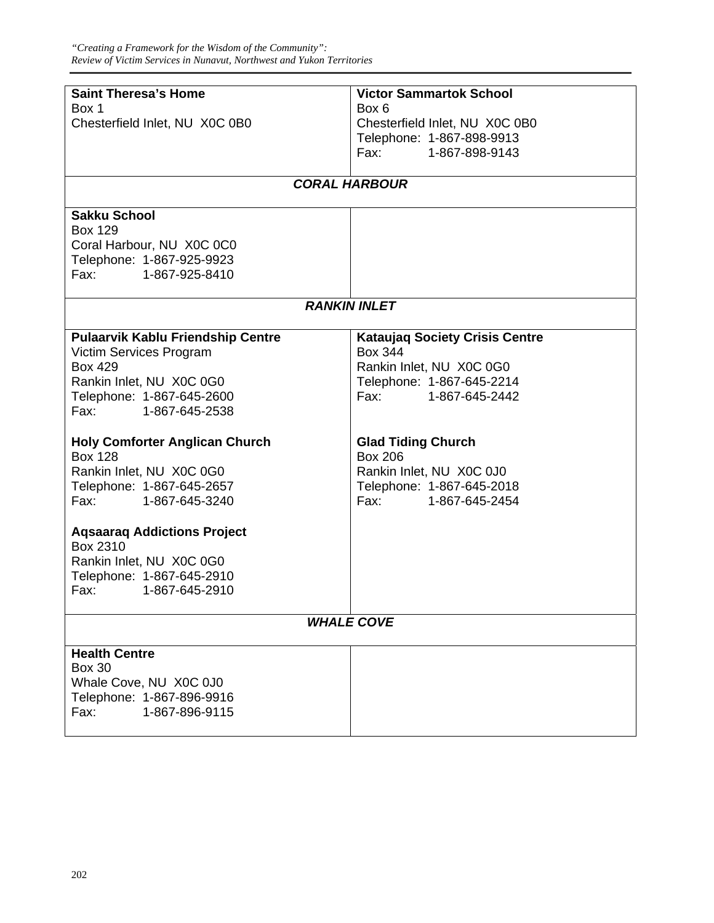| <b>Saint Theresa's Home</b>                                                                                            | <b>Victor Sammartok School</b>                   |  |
|------------------------------------------------------------------------------------------------------------------------|--------------------------------------------------|--|
| Box 1                                                                                                                  | Box 6                                            |  |
| Chesterfield Inlet, NU X0C 0B0                                                                                         | Chesterfield Inlet, NU X0C 0B0                   |  |
|                                                                                                                        | Telephone: 1-867-898-9913                        |  |
|                                                                                                                        | Fax: Fax:<br>1-867-898-9143                      |  |
|                                                                                                                        |                                                  |  |
| <b>CORAL HARBOUR</b>                                                                                                   |                                                  |  |
| <b>Sakku School</b>                                                                                                    |                                                  |  |
| <b>Box 129</b>                                                                                                         |                                                  |  |
| Coral Harbour, NU X0C 0C0                                                                                              |                                                  |  |
| Telephone: 1-867-925-9923                                                                                              |                                                  |  |
| Fax: 1-867-925-8410                                                                                                    |                                                  |  |
|                                                                                                                        | <b>RANKIN INLET</b>                              |  |
|                                                                                                                        |                                                  |  |
| <b>Pulaarvik Kablu Friendship Centre</b>                                                                               | <b>Kataujaq Society Crisis Centre</b>            |  |
| Victim Services Program                                                                                                | <b>Box 344</b>                                   |  |
| <b>Box 429</b>                                                                                                         | Rankin Inlet, NU X0C 0G0                         |  |
| Rankin Inlet, NU X0C 0G0                                                                                               | Telephone: 1-867-645-2214<br>Fax: 1-867-645-2442 |  |
| Telephone: 1-867-645-2600<br>Fax: 1-867-645-2538                                                                       |                                                  |  |
|                                                                                                                        |                                                  |  |
| <b>Holy Comforter Anglican Church</b>                                                                                  | <b>Glad Tiding Church</b>                        |  |
| <b>Box 128</b>                                                                                                         | <b>Box 206</b>                                   |  |
| Rankin Inlet, NU X0C 0G0                                                                                               | Rankin Inlet, NU X0C 0J0                         |  |
| Telephone: 1-867-645-2657                                                                                              | Telephone: 1-867-645-2018                        |  |
| 1-867-645-3240<br>Fax: The Total State State State State State State State State State State State State State State S | Fax: Fax:<br>1-867-645-2454                      |  |
| <b>Agsaarag Addictions Project</b>                                                                                     |                                                  |  |
| Box 2310                                                                                                               |                                                  |  |
| Rankin Inlet, NU X0C 0G0                                                                                               |                                                  |  |
| Telephone: 1-867-645-2910                                                                                              |                                                  |  |
| 1-867-645-2910<br>Fax:                                                                                                 |                                                  |  |
|                                                                                                                        |                                                  |  |
|                                                                                                                        | <b>WHALE COVE</b>                                |  |
| <b>Health Centre</b>                                                                                                   |                                                  |  |
| <b>Box 30</b>                                                                                                          |                                                  |  |
| Whale Cove, NU X0C 0J0                                                                                                 |                                                  |  |
| Telephone: 1-867-896-9916                                                                                              |                                                  |  |
| Fax:<br>1-867-896-9115                                                                                                 |                                                  |  |
|                                                                                                                        |                                                  |  |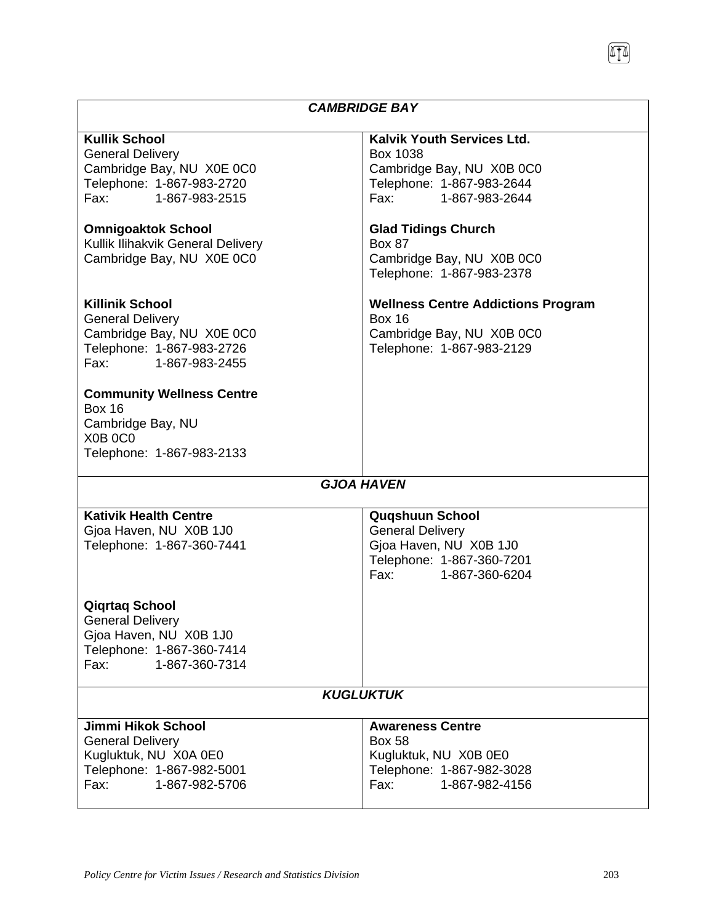#### *CAMBRIDGE BAY*  **Kullik School**  General Delivery Cambridge Bay, NU X0E 0C0 Telephone: 1-867-983-2720 Fax: 1-867-983-2515 **Kalvik Youth Services Ltd.**  Box 1038 Cambridge Bay, NU X0B 0C0 Telephone: 1-867-983-2644 Fax: 1-867-983-2644 **Omnigoaktok School**  Kullik Ilihakvik General Delivery Cambridge Bay, NU X0E 0C0 **Glad Tidings Church**  Box 87 Cambridge Bay, NU X0B 0C0 Telephone: 1-867-983-2378 **Killinik School**  General Delivery Cambridge Bay, NU X0E 0C0 Telephone: 1-867-983-2726 Fax: 1-867-983-2455 **Wellness Centre Addictions Program**  Box 16 Cambridge Bay, NU X0B 0C0 Telephone: 1-867-983-2129 **Community Wellness Centre**  Box 16 Cambridge Bay, NU X0B 0C0 Telephone: 1-867-983-2133 *GJOA HAVEN*  **Kativik Health Centre**  Gjoa Haven, NU X0B 1J0 Telephone: 1-867-360-7441 **Quqshuun School**  General Delivery Gjoa Haven, NU X0B 1J0 Telephone: 1-867-360-7201 Fax: 1-867-360-6204 **Qiqrtaq School**  General Delivery Gjoa Haven, NU X0B 1J0 Telephone: 1-867-360-7414 Fax: 1-867-360-7314 *KUGLUKTUK*  **Jimmi Hikok School**  General Delivery Kugluktuk, NU X0A 0E0 Telephone: 1-867-982-5001 Fax: 1-867-982-5706 **Awareness Centre**  Box 58 Kugluktuk, NU X0B 0E0 Telephone: 1-867-982-3028 Fax: 1-867-982-4156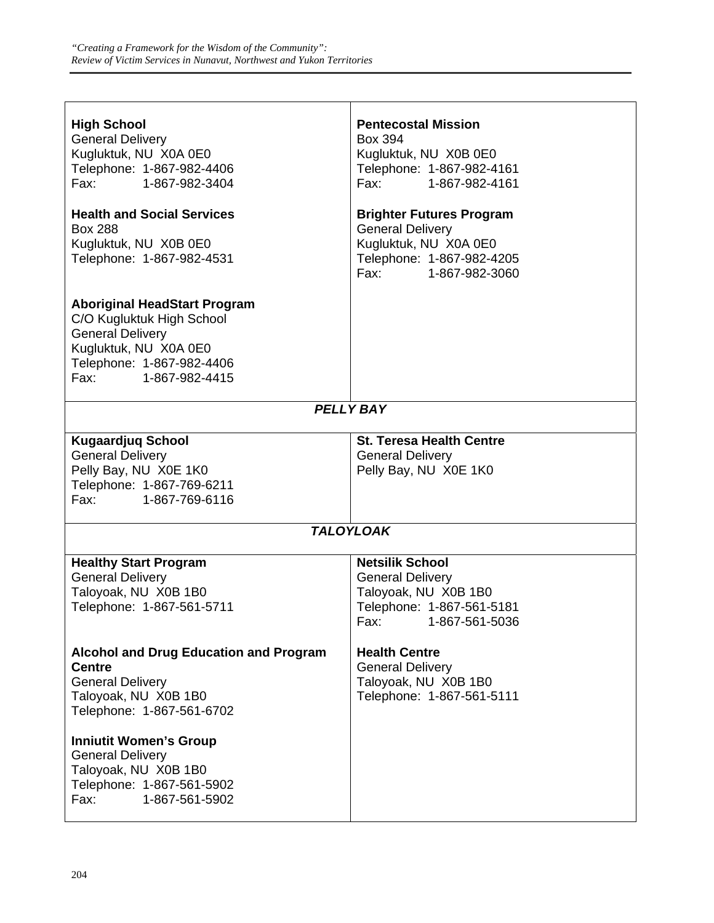| <b>High School</b><br><b>General Delivery</b><br>Kugluktuk, NU X0A 0E0<br>Telephone: 1-867-982-4406<br>Fax: 1-867-982-3404                                               | <b>Pentecostal Mission</b><br>Box 394<br>Kugluktuk, NU X0B 0E0<br>Telephone: 1-867-982-4161<br>Fax: 1-867-982-4161                      |  |
|--------------------------------------------------------------------------------------------------------------------------------------------------------------------------|-----------------------------------------------------------------------------------------------------------------------------------------|--|
| <b>Health and Social Services</b><br><b>Box 288</b><br>Kugluktuk, NU X0B 0E0<br>Telephone: 1-867-982-4531                                                                | <b>Brighter Futures Program</b><br><b>General Delivery</b><br>Kugluktuk, NU X0A 0E0<br>Telephone: 1-867-982-4205<br>Fax: 1-867-982-3060 |  |
| <b>Aboriginal HeadStart Program</b><br>C/O Kugluktuk High School<br><b>General Delivery</b><br>Kugluktuk, NU X0A 0E0<br>Telephone: 1-867-982-4406<br>Fax: 1-867-982-4415 |                                                                                                                                         |  |
| <b>PELLY BAY</b>                                                                                                                                                         |                                                                                                                                         |  |
| <b>Kugaardjuq School</b><br><b>General Delivery</b><br>Pelly Bay, NU X0E 1K0<br>Telephone: 1-867-769-6211<br>Fax: Fax:<br>1-867-769-6116                                 | <b>St. Teresa Health Centre</b><br><b>General Delivery</b><br>Pelly Bay, NU X0E 1K0                                                     |  |
| <b>TALOYLOAK</b>                                                                                                                                                         |                                                                                                                                         |  |
| <b>Healthy Start Program</b><br><b>General Delivery</b><br>Taloyoak, NU X0B 1B0<br>Telephone: 1-867-561-5711                                                             | <b>Netsilik School</b><br><b>General Delivery</b><br>Taloyoak, NU X0B 1B0<br>Telephone: 1-867-561-5181<br>Fax: 1-867-561-5036           |  |
| <b>Alcohol and Drug Education and Program</b><br><b>Centre</b><br><b>General Delivery</b><br>Taloyoak, NU X0B 1B0<br>Telephone: 1-867-561-6702                           | <b>Health Centre</b><br><b>General Delivery</b><br>Taloyoak, NU X0B 1B0<br>Telephone: 1-867-561-5111                                    |  |
| <b>Inniutit Women's Group</b><br><b>General Delivery</b><br>Taloyoak, NU X0B 1B0<br>Telephone: 1-867-561-5902<br>1-867-561-5902<br>Fax:                                  |                                                                                                                                         |  |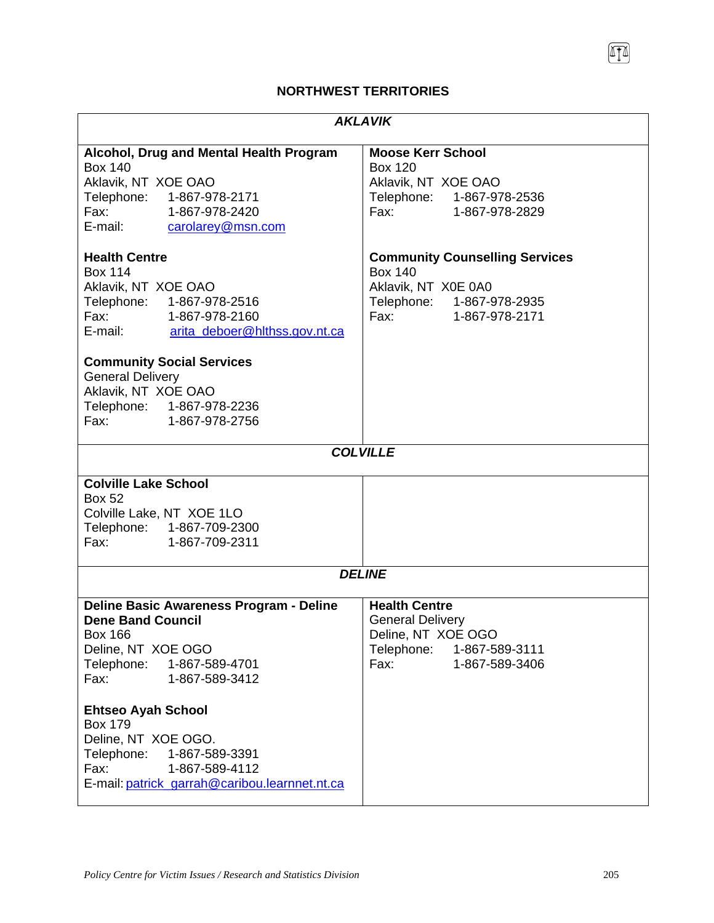## **NORTHWEST TERRITORIES**

| <b>AKLAVIK</b>                                                                                                                                                                                                                                                                                                                                                                                                                                                                                                                                                                                                    |                                                                                                                                                       |  |
|-------------------------------------------------------------------------------------------------------------------------------------------------------------------------------------------------------------------------------------------------------------------------------------------------------------------------------------------------------------------------------------------------------------------------------------------------------------------------------------------------------------------------------------------------------------------------------------------------------------------|-------------------------------------------------------------------------------------------------------------------------------------------------------|--|
| Alcohol, Drug and Mental Health Program<br><b>Box 140</b><br>Aklavik, NT XOE OAO<br>Telephone: 1-867-978-2171<br>Fax: 1-867-978-2420<br>E-mail: carolarey@msn.com                                                                                                                                                                                                                                                                                                                                                                                                                                                 | <b>Moose Kerr School</b><br><b>Box 120</b><br>Aklavik, NT XOE OAO<br>Telephone: 1-867-978-2536<br>Fax: 1-867-978-2829                                 |  |
| <b>Health Centre</b><br><b>Box 114</b><br>Aklavik, NT XOE OAO<br>Telephone: 1-867-978-2516<br>Fax: 1-867-978-2160<br>E-mail:<br>arita deboer@hithss.gov.nt.ca<br><b>Community Social Services</b><br><b>General Delivery</b><br>Aklavik, NT XOE OAO<br>Telephone: 1-867-978-2236<br>Fax: The Contract of the Contract of the Contract of the Contract of the Contract of the Contract of the Contract of the Contract of the Contract of the Contract of the Contract of the Contract of the Contract of the Contr<br>1-867-978-2756<br><b>Colville Lake School</b><br><b>Box 52</b><br>Colville Lake, NT XOE 1LO | <b>Community Counselling Services</b><br><b>Box 140</b><br>Aklavik, NT X0E 0A0<br>Telephone: 1-867-978-2935<br>Fax: 1-867-978-2171<br><b>COLVILLE</b> |  |
| Telephone: 1-867-709-2300<br>Fax:<br>1-867-709-2311                                                                                                                                                                                                                                                                                                                                                                                                                                                                                                                                                               |                                                                                                                                                       |  |
| <b>DELINE</b>                                                                                                                                                                                                                                                                                                                                                                                                                                                                                                                                                                                                     |                                                                                                                                                       |  |
| Deline Basic Awareness Program - Deline<br><b>Dene Band Council</b><br><b>Box 166</b><br>Deline, NT XOE OGO<br>Telephone: 1-867-589-4701<br>1-867-589-3412<br>Fax:<br><b>Ehtseo Ayah School</b><br><b>Box 179</b><br>Deline, NT XOE OGO.<br>Telephone: 1-867-589-3391<br>Fax:<br>1-867-589-4112<br>E-mail: patrick_garrah@caribou.learnnet.nt.ca                                                                                                                                                                                                                                                                  | <b>Health Centre</b><br><b>General Delivery</b><br>Deline, NT XOE OGO<br>Telephone: 1-867-589-3111<br>Fax:<br>1-867-589-3406                          |  |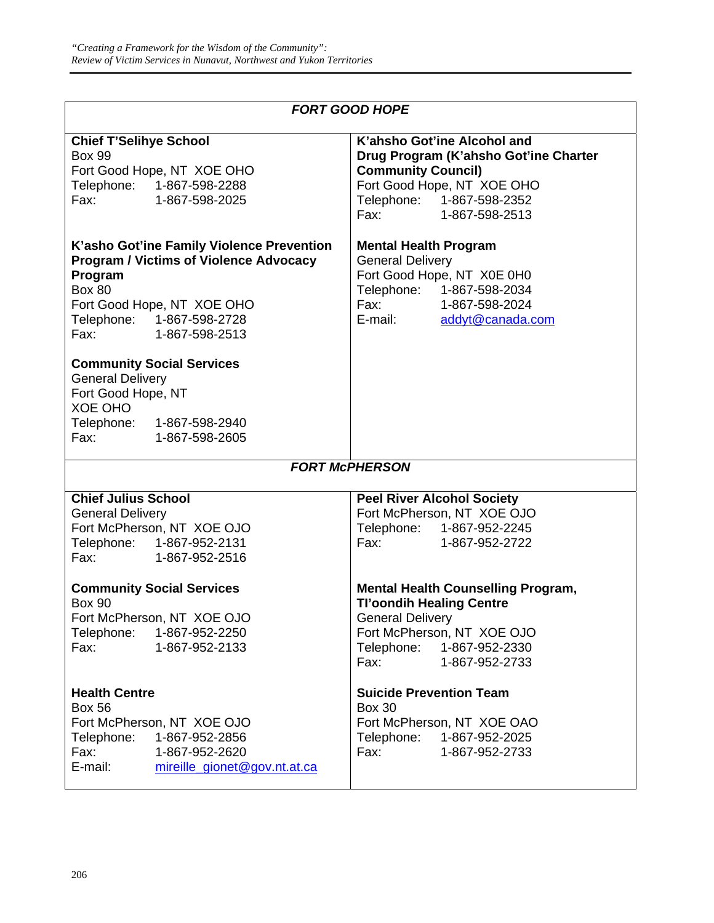|  | <b>FORT GOOD HOPE</b> |  |
|--|-----------------------|--|
|--|-----------------------|--|

| <b>Chief T'Selihye School</b>                                                                                                                                                                                                                                           | K'ahsho Got'ine Alcohol and                                                                                                                                                                     |
|-------------------------------------------------------------------------------------------------------------------------------------------------------------------------------------------------------------------------------------------------------------------------|-------------------------------------------------------------------------------------------------------------------------------------------------------------------------------------------------|
| <b>Box 99</b>                                                                                                                                                                                                                                                           | Drug Program (K'ahsho Got'ine Charter                                                                                                                                                           |
| Fort Good Hope, NT XOE OHO                                                                                                                                                                                                                                              | <b>Community Council)</b>                                                                                                                                                                       |
| Telephone: 1-867-598-2288                                                                                                                                                                                                                                               | Fort Good Hope, NT XOE OHO                                                                                                                                                                      |
| Fax: 1-867-598-2025                                                                                                                                                                                                                                                     | Telephone: 1-867-598-2352                                                                                                                                                                       |
|                                                                                                                                                                                                                                                                         | Fax: 1-867-598-2513                                                                                                                                                                             |
| K'asho Got'ine Family Violence Prevention<br><b>Program / Victims of Violence Advocacy</b><br>Program<br><b>Box 80</b><br>Fort Good Hope, NT XOE OHO<br>Telephone: 1-867-598-2728<br>Fax: 1-867-598-2513<br><b>Community Social Services</b><br><b>General Delivery</b> | <b>Mental Health Program</b><br><b>General Delivery</b><br>Fort Good Hope, NT X0E 0H0<br>Telephone: 1-867-598-2034<br>Fax: 1-867-598-2024<br>E-mail: addyt@canada.com                           |
| Fort Good Hope, NT                                                                                                                                                                                                                                                      |                                                                                                                                                                                                 |
| XOE OHO                                                                                                                                                                                                                                                                 |                                                                                                                                                                                                 |
| Telephone: 1-867-598-2940                                                                                                                                                                                                                                               |                                                                                                                                                                                                 |
| Fax: 1-867-598-2605                                                                                                                                                                                                                                                     |                                                                                                                                                                                                 |
|                                                                                                                                                                                                                                                                         | <b>FORT McPHERSON</b>                                                                                                                                                                           |
|                                                                                                                                                                                                                                                                         |                                                                                                                                                                                                 |
| <b>Chief Julius School</b>                                                                                                                                                                                                                                              | <b>Peel River Alcohol Society</b>                                                                                                                                                               |
| <b>General Delivery</b>                                                                                                                                                                                                                                                 | Fort McPherson, NT XOE OJO                                                                                                                                                                      |
| Fort McPherson, NT XOE OJO                                                                                                                                                                                                                                              | Telephone: 1-867-952-2245                                                                                                                                                                       |
| Telephone: 1-867-952-2131                                                                                                                                                                                                                                               | Fax: 1-867-952-2722                                                                                                                                                                             |
| Fax: 1-867-952-2516                                                                                                                                                                                                                                                     |                                                                                                                                                                                                 |
| <b>Community Social Services</b><br><b>Box 90</b><br>Fort McPherson, NT XOE OJO<br>Telephone: 1-867-952-2250<br>1-867-952-2133<br>Fax:                                                                                                                                  | <b>Mental Health Counselling Program,</b><br><b>Tl'oondih Healing Centre</b><br><b>General Delivery</b><br>Fort McPherson, NT XOE OJO<br>Telephone:<br>1-867-952-2330<br>1-867-952-2733<br>Fax: |
| <b>Health Centre</b>                                                                                                                                                                                                                                                    | <b>Suicide Prevention Team</b>                                                                                                                                                                  |
| <b>Box 56</b>                                                                                                                                                                                                                                                           | <b>Box 30</b>                                                                                                                                                                                   |
| Fort McPherson, NT XOE OJO                                                                                                                                                                                                                                              | Fort McPherson, NT XOE OAO                                                                                                                                                                      |
| Telephone:<br>1-867-952-2856                                                                                                                                                                                                                                            | Telephone: 1-867-952-2025                                                                                                                                                                       |
| Fax:<br>1-867-952-2620                                                                                                                                                                                                                                                  |                                                                                                                                                                                                 |
|                                                                                                                                                                                                                                                                         | Fax:<br>1-867-952-2733                                                                                                                                                                          |
| E-mail:<br>mireille_gionet@gov.nt.at.ca                                                                                                                                                                                                                                 |                                                                                                                                                                                                 |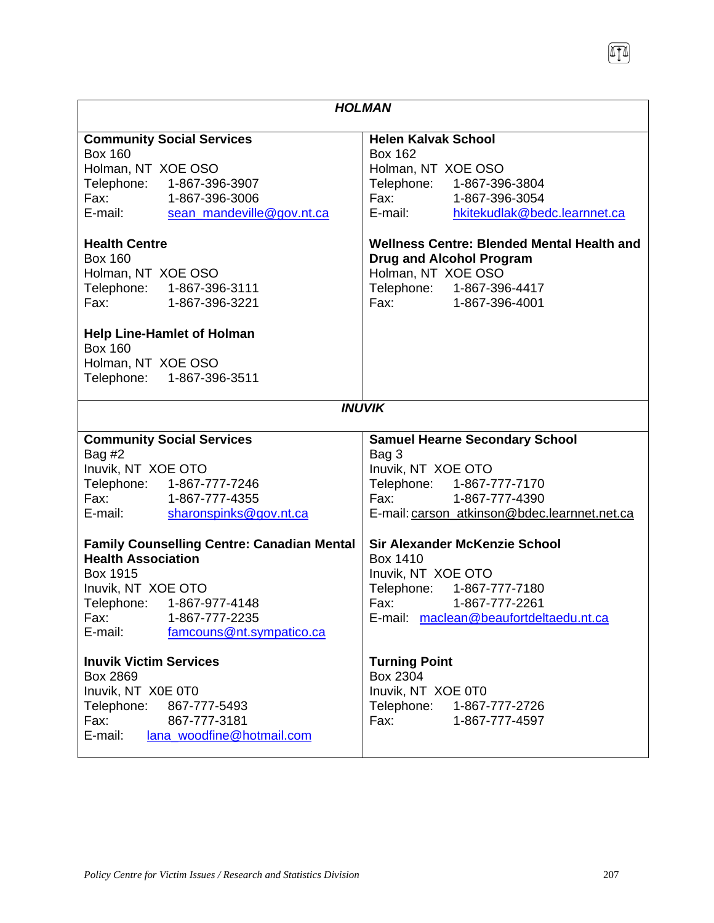| <b>HOLMAN</b>                                                                                                                                                                                                                                                                                                                          |                                                                                                                                                                                                                                                                                                                                                                                                                                                                                                                                                                               |  |
|----------------------------------------------------------------------------------------------------------------------------------------------------------------------------------------------------------------------------------------------------------------------------------------------------------------------------------------|-------------------------------------------------------------------------------------------------------------------------------------------------------------------------------------------------------------------------------------------------------------------------------------------------------------------------------------------------------------------------------------------------------------------------------------------------------------------------------------------------------------------------------------------------------------------------------|--|
| <b>Community Social Services</b><br><b>Box 160</b><br>Holman, NT XOE OSO<br>Telephone: 1-867-396-3907<br>Fax: 1-867-396-3006<br>E-mail: sean mandeville@gov.nt.ca<br><b>Health Centre</b><br><b>Box 160</b><br>Holman, NT XOE OSO<br>Telephone: 1-867-396-3111<br>Fax:<br>1-867-396-3221<br><b>Help Line-Hamlet of Holman</b>          | <b>Helen Kalvak School</b><br><b>Box 162</b><br>Holman, NT XOE OSO<br>Telephone: 1-867-396-3804<br>Fax: 1-867-396-3054<br>E-mail:<br>hkitekudlak@bedc.learnnet.ca<br><b>Wellness Centre: Blended Mental Health and</b><br><b>Drug and Alcohol Program</b><br>Holman, NT XOE OSO<br>Telephone: 1-867-396-4417<br>Fax: 1-867-396-4001                                                                                                                                                                                                                                           |  |
| <b>Box 160</b><br>Holman, NT XOE OSO<br>Telephone: 1-867-396-3511                                                                                                                                                                                                                                                                      |                                                                                                                                                                                                                                                                                                                                                                                                                                                                                                                                                                               |  |
| <b>INUVIK</b>                                                                                                                                                                                                                                                                                                                          |                                                                                                                                                                                                                                                                                                                                                                                                                                                                                                                                                                               |  |
| <b>Community Social Services</b><br>Bag $#2$<br>Inuvik, NT XOE OTO<br>Telephone: 1-867-777-7246<br>Fax: 1-867-777-4355<br>E-mail:<br>sharonspinks@gov.nt.ca<br><b>Family Counselling Centre: Canadian Mental</b><br><b>Health Association</b><br>Box 1915<br>Inuvik, NT XOE OTO<br>Telephone: 1-867-977-4148<br>Fax:<br>1-867-777-2235 | <b>Samuel Hearne Secondary School</b><br>Bag 3<br>Inuvik, NT XOE OTO<br>Telephone: 1-867-777-7170<br>Fax: 1-867-777-4390<br>E-mail: carson_atkinson@bdec.learnnet.net.ca<br><b>Sir Alexander McKenzie School</b><br>Box 1410<br>Inuvik, NT XOE OTO<br>Telephone: 1-867-777-7180<br>Fax: The Contract of the Contract of the Contract of the Contract of the Contract of the Contract of the Contract of the Contract of the Contract of the Contract of the Contract of the Contract of the Contract of the Contr<br>1-867-777-2261<br>E-mail: maclean@beaufortdeltaedu.nt.ca |  |
| famcouns@nt.sympatico.ca<br>E-mail:<br><b>Inuvik Victim Services</b><br><b>Box 2869</b><br>Inuvik, NT X0E 0T0<br>Telephone:<br>867-777-5493<br>Fax:<br>867-777-3181<br>E-mail:<br>lana_woodfine@hotmail.com                                                                                                                            | <b>Turning Point</b><br>Box 2304<br>Inuvik, NT XOE 0T0<br>Telephone:<br>1-867-777-2726<br>Fax:<br>1-867-777-4597                                                                                                                                                                                                                                                                                                                                                                                                                                                              |  |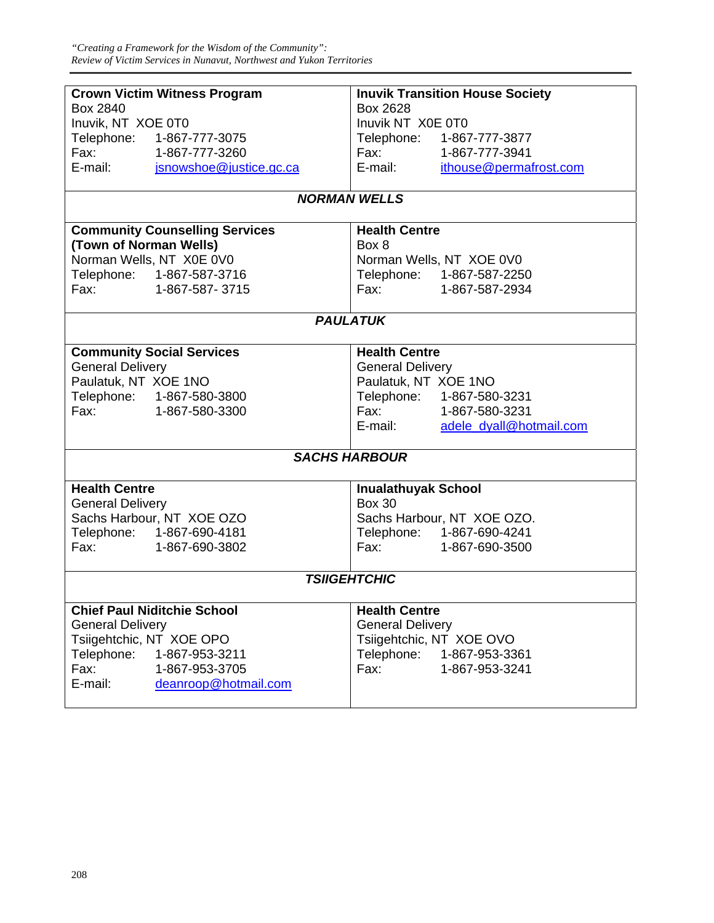| <b>Crown Victim Witness Program</b>     | <b>Inuvik Transition House Society</b>                                                                                                                                                                                                           |  |
|-----------------------------------------|--------------------------------------------------------------------------------------------------------------------------------------------------------------------------------------------------------------------------------------------------|--|
| Box 2840                                | Box 2628                                                                                                                                                                                                                                         |  |
| Inuvik, NT XOE 0T0                      | Inuvik NT X0E 0T0                                                                                                                                                                                                                                |  |
| Telephone: 1-867-777-3075               | Telephone: 1-867-777-3877                                                                                                                                                                                                                        |  |
| Fax: 1-867-777-3260                     | Fax: 1-867-777-3941                                                                                                                                                                                                                              |  |
| E-mail: jsnowshoe@justice.gc.ca         | E-mail: ithouse@permafrost.com                                                                                                                                                                                                                   |  |
|                                         |                                                                                                                                                                                                                                                  |  |
| <b>NORMAN WELLS</b>                     |                                                                                                                                                                                                                                                  |  |
| <b>Community Counselling Services</b>   | <b>Health Centre</b>                                                                                                                                                                                                                             |  |
| (Town of Norman Wells)                  | Box 8                                                                                                                                                                                                                                            |  |
| Norman Wells, NT X0E 0V0                | Norman Wells, NT XOE 0V0                                                                                                                                                                                                                         |  |
| Telephone: 1-867-587-3716               | Telephone: 1-867-587-2250                                                                                                                                                                                                                        |  |
| Fax: <b>Francisco</b><br>1-867-587-3715 | Fax: The Contract of the Contract of the Contract of the Contract of the Contract of the Contract of the Contract of the Contract of the Contract of the Contract of the Contract of the Contract of the Contract of the Contr<br>1-867-587-2934 |  |
|                                         |                                                                                                                                                                                                                                                  |  |
|                                         | <b>PAULATUK</b>                                                                                                                                                                                                                                  |  |
|                                         |                                                                                                                                                                                                                                                  |  |
| <b>Community Social Services</b>        | <b>Health Centre</b>                                                                                                                                                                                                                             |  |
| <b>General Delivery</b>                 | <b>General Delivery</b>                                                                                                                                                                                                                          |  |
| Paulatuk, NT XOE 1NO                    | Paulatuk, NT XOE 1NO                                                                                                                                                                                                                             |  |
| Telephone: 1-867-580-3800               | Telephone: 1-867-580-3231                                                                                                                                                                                                                        |  |
| Fax: 1-867-580-3300                     | Fax: 1-867-580-3231                                                                                                                                                                                                                              |  |
|                                         | E-mail: adele_dyall@hotmail.com                                                                                                                                                                                                                  |  |
|                                         |                                                                                                                                                                                                                                                  |  |
|                                         | <b>SACHS HARBOUR</b>                                                                                                                                                                                                                             |  |
|                                         |                                                                                                                                                                                                                                                  |  |
| <b>Health Centre</b>                    | <b>Inualathuyak School</b>                                                                                                                                                                                                                       |  |
| <b>General Delivery</b>                 | <b>Box 30</b>                                                                                                                                                                                                                                    |  |
| Sachs Harbour, NT XOE OZO               | Sachs Harbour, NT XOE OZO.                                                                                                                                                                                                                       |  |
| Telephone: 1-867-690-4181               | Telephone: 1-867-690-4241                                                                                                                                                                                                                        |  |
| Fax: 1-867-690-3802                     | Fax: 1-867-690-3500                                                                                                                                                                                                                              |  |
|                                         |                                                                                                                                                                                                                                                  |  |
| <b>TSIIGEHTCHIC</b>                     |                                                                                                                                                                                                                                                  |  |
| <b>Chief Paul Niditchie School</b>      | <b>Health Centre</b>                                                                                                                                                                                                                             |  |
| <b>General Delivery</b>                 | <b>General Delivery</b>                                                                                                                                                                                                                          |  |
| Tsiigehtchic, NT XOE OPO                | Tsiigehtchic, NT XOE OVO                                                                                                                                                                                                                         |  |
| Telephone:<br>1-867-953-3211            | Telephone:<br>1-867-953-3361                                                                                                                                                                                                                     |  |
| Fax:<br>1-867-953-3705                  | Fax:<br>1-867-953-3241                                                                                                                                                                                                                           |  |
| E-mail:<br>deanroop@hotmail.com         |                                                                                                                                                                                                                                                  |  |
|                                         |                                                                                                                                                                                                                                                  |  |
|                                         |                                                                                                                                                                                                                                                  |  |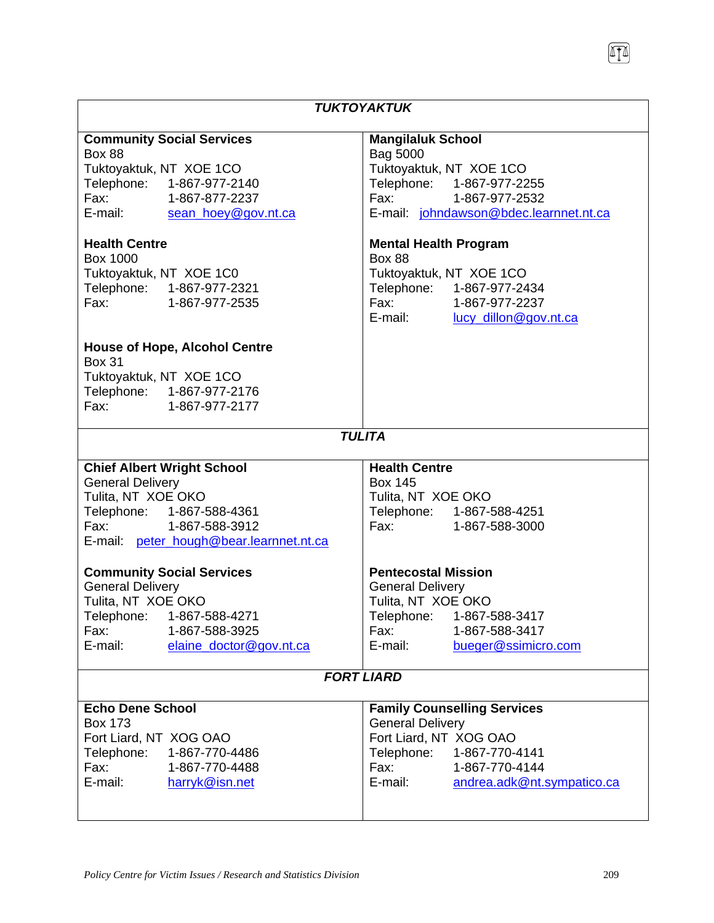|                                         | <b>TUKTOYAKTUK</b>                            |  |
|-----------------------------------------|-----------------------------------------------|--|
| <b>Community Social Services</b>        | <b>Mangilaluk School</b>                      |  |
| <b>Box 88</b>                           | Bag 5000                                      |  |
| Tuktoyaktuk, NT XOE 1CO                 | Tuktoyaktuk, NT XOE 1CO                       |  |
| Telephone: 1-867-977-2140               | Telephone: 1-867-977-2255                     |  |
| Fax: 1-867-877-2237                     | Fax: 1-867-977-2532                           |  |
| E-mail: sean hoey@gov.nt.ca             | E-mail: johndawson@bdec.learnnet.nt.ca        |  |
| <b>Health Centre</b>                    |                                               |  |
| Box 1000                                | <b>Mental Health Program</b><br><b>Box 88</b> |  |
|                                         |                                               |  |
| Tuktoyaktuk, NT XOE 1C0                 | Tuktoyaktuk, NT XOE 1CO                       |  |
| Telephone: 1-867-977-2321               | Telephone: 1-867-977-2434                     |  |
| Fax: 1-867-977-2535                     | Fax: 1-867-977-2237                           |  |
|                                         | E-mail: lucy_dillon@gov.nt.ca                 |  |
| <b>House of Hope, Alcohol Centre</b>    |                                               |  |
| <b>Box 31</b>                           |                                               |  |
| Tuktoyaktuk, NT XOE 1CO                 |                                               |  |
| Telephone: 1-867-977-2176               |                                               |  |
| Fax: 1-867-977-2177                     |                                               |  |
|                                         | <b>TULITA</b>                                 |  |
| <b>Chief Albert Wright School</b>       | <b>Health Centre</b>                          |  |
| <b>General Delivery</b>                 | <b>Box 145</b>                                |  |
| Tulita, NT XOE OKO                      | Tulita, NT XOE OKO                            |  |
| Telephone: 1-867-588-4361               | Telephone: 1-867-588-4251                     |  |
| Fax: 1-867-588-3912                     | Fax: 1-867-588-3000                           |  |
| E-mail: peter hough@bear.learnnet.nt.ca |                                               |  |
| <b>Community Social Services</b>        | <b>Pentecostal Mission</b>                    |  |
| <b>General Delivery</b>                 | <b>General Delivery</b>                       |  |
| Tulita, NT XOE OKO                      | Tulita, NT XOE OKO                            |  |
| Telephone:<br>1-867-588-4271            | Telephone:<br>1-867-588-3417                  |  |
| 1-867-588-3925<br>Fax:                  | Fax:<br>1-867-588-3417                        |  |
| E-mail:<br>elaine doctor@gov.nt.ca      | E-mail:<br>bueger@ssimicro.com                |  |
|                                         |                                               |  |
|                                         | <b>FORT LIARD</b>                             |  |
| <b>Echo Dene School</b>                 | <b>Family Counselling Services</b>            |  |
| <b>Box 173</b>                          | <b>General Delivery</b>                       |  |
| Fort Liard, NT XOG OAO                  | Fort Liard, NT XOG OAO                        |  |
| Telephone:<br>1-867-770-4486            | Telephone: 1-867-770-4141                     |  |
| 1-867-770-4488<br>Fax:                  | Fax:<br>1-867-770-4144                        |  |
| E-mail:<br>harryk@isn.net               | E-mail:<br>andrea.adk@nt.sympatico.ca         |  |
|                                         |                                               |  |
|                                         |                                               |  |

 $\mathsf{l}$ 

 $\overline{\phantom{a}}$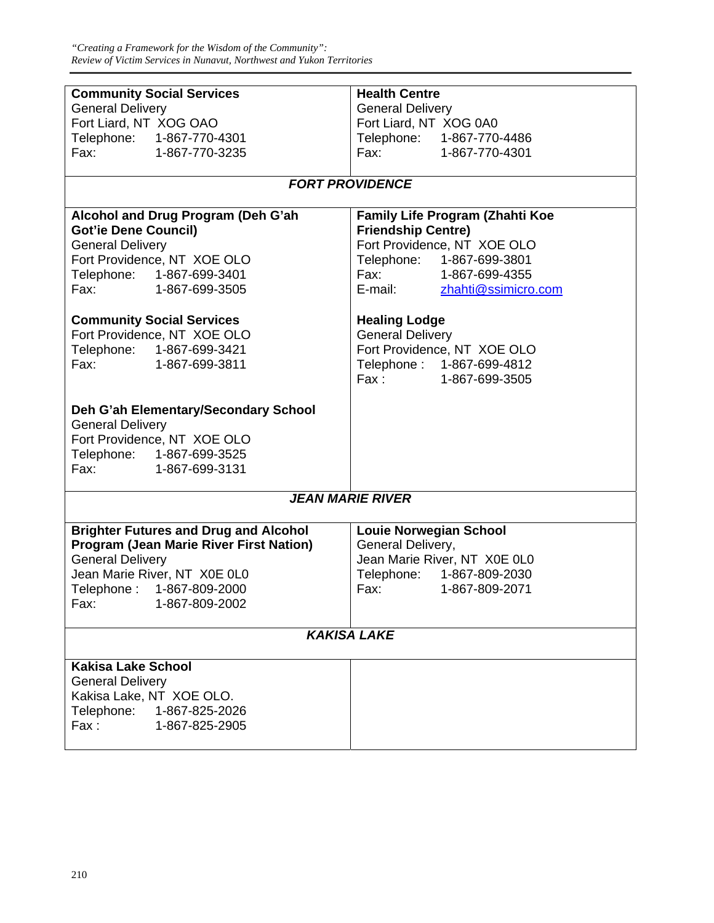| <b>Community Social Services</b>                 | <b>Health Centre</b>                                                         |
|--------------------------------------------------|------------------------------------------------------------------------------|
| <b>General Delivery</b>                          | <b>General Delivery</b>                                                      |
| Fort Liard, NT XOG OAO                           | Fort Liard, NT XOG 0A0                                                       |
| Telephone: 1-867-770-4301                        | Telephone: 1-867-770-4486                                                    |
|                                                  |                                                                              |
| Fax: 1-867-770-3235                              | Fax: 1-867-770-4301                                                          |
|                                                  |                                                                              |
|                                                  | <b>FORT PROVIDENCE</b>                                                       |
|                                                  |                                                                              |
| Alcohol and Drug Program (Deh G'ah               | Family Life Program (Zhahti Koe                                              |
| <b>Got'ie Dene Council)</b>                      | <b>Friendship Centre)</b>                                                    |
| <b>General Delivery</b>                          | Fort Providence, NT XOE OLO                                                  |
| Fort Providence, NT XOE OLO                      | Telephone: 1-867-699-3801                                                    |
|                                                  |                                                                              |
| Telephone: 1-867-699-3401<br>Fax: 1-867-699-3505 | Fax: 1-867-699-4355<br>E-mail: <u>zhahti@ssimicro</u><br>zhahti@ssimicro.com |
|                                                  |                                                                              |
| <b>Community Social Services</b>                 | <b>Healing Lodge</b>                                                         |
| Fort Providence, NT XOE OLO                      | <b>General Delivery</b>                                                      |
|                                                  |                                                                              |
| Telephone: 1-867-699-3421                        | Fort Providence, NT XOE OLO                                                  |
| Fax: 1-867-699-3811                              | Telephone: 1-867-699-4812                                                    |
|                                                  | Fax: 1-867-699-3505                                                          |
|                                                  |                                                                              |
| Deh G'ah Elementary/Secondary School             |                                                                              |
| <b>General Delivery</b>                          |                                                                              |
| Fort Providence, NT XOE OLO                      |                                                                              |
| Telephone: 1-867-699-3525                        |                                                                              |
|                                                  |                                                                              |
| Fax: 1-867-699-3131                              |                                                                              |
|                                                  | <b>JEAN MARIE RIVER</b>                                                      |
|                                                  |                                                                              |
| <b>Brighter Futures and Drug and Alcohol</b>     | <b>Louie Norwegian School</b>                                                |
| <b>Program (Jean Marie River First Nation)</b>   | General Delivery,                                                            |
| <b>General Delivery</b>                          | Jean Marie River, NT X0E 0L0                                                 |
| Jean Marie River, NT X0E 0L0                     | Telephone: 1-867-809-2030                                                    |
| Telephone: 1-867-809-2000                        | Fax: 1-867-809-2071                                                          |
| Fax: 1-867-809-2002                              |                                                                              |
|                                                  |                                                                              |
|                                                  | <b>KAKISA LAKE</b>                                                           |
|                                                  |                                                                              |
| <b>Kakisa Lake School</b>                        |                                                                              |
| <b>General Delivery</b>                          |                                                                              |
| Kakisa Lake, NT XOE OLO.                         |                                                                              |
| Telephone: 1-867-825-2026                        |                                                                              |
|                                                  |                                                                              |
| Fax:<br>1-867-825-2905                           |                                                                              |
|                                                  |                                                                              |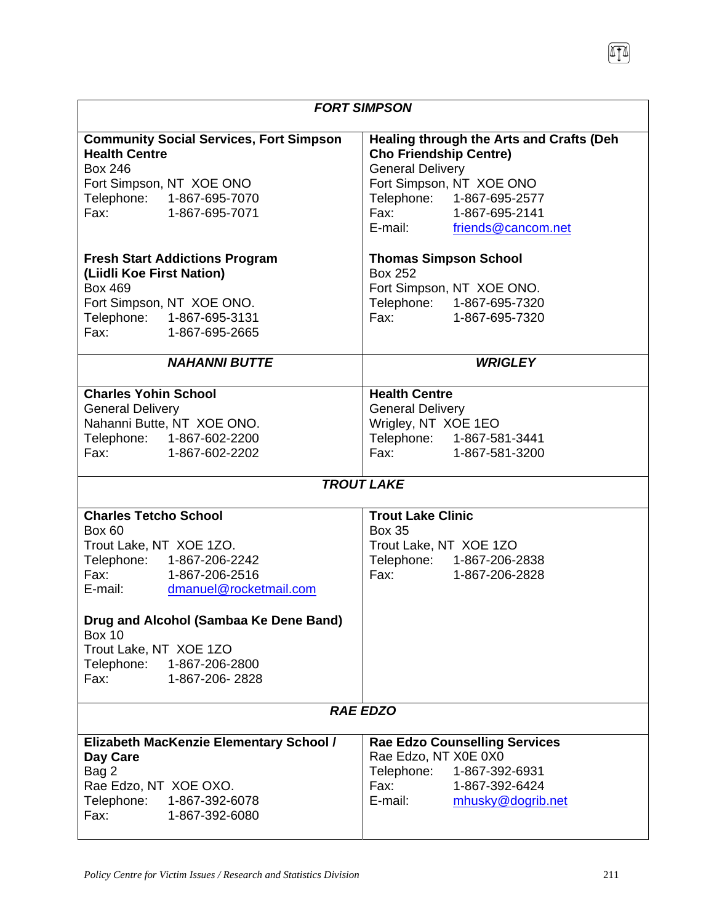| <b>FORT SIMPSON</b>                                                                                                                                                                                                          |                                                                                                                                                                                                                    |  |
|------------------------------------------------------------------------------------------------------------------------------------------------------------------------------------------------------------------------------|--------------------------------------------------------------------------------------------------------------------------------------------------------------------------------------------------------------------|--|
| <b>Community Social Services, Fort Simpson</b><br><b>Health Centre</b><br><b>Box 246</b><br>Fort Simpson, NT XOE ONO<br>Telephone: 1-867-695-7070<br>Fax:<br>1-867-695-7071                                                  | Healing through the Arts and Crafts (Deh<br><b>Cho Friendship Centre)</b><br><b>General Delivery</b><br>Fort Simpson, NT XOE ONO<br>Telephone: 1-867-695-2577<br>Fax: 1-867-695-2141<br>E-mail: friends@cancom.net |  |
| <b>Fresh Start Addictions Program</b><br>(Liidli Koe First Nation)<br><b>Box 469</b><br>Fort Simpson, NT XOE ONO.<br>Telephone: 1-867-695-3131<br>Fax:<br>1-867-695-2665                                                     | <b>Thomas Simpson School</b><br><b>Box 252</b><br>Fort Simpson, NT XOE ONO.<br>Telephone: 1-867-695-7320<br>Fax: 1-867-695-7320                                                                                    |  |
| <b>NAHANNI BUTTE</b>                                                                                                                                                                                                         | <b>WRIGLEY</b>                                                                                                                                                                                                     |  |
| <b>Charles Yohin School</b><br><b>General Delivery</b><br>Nahanni Butte, NT XOE ONO.<br>Telephone: 1-867-602-2200<br>Fax: 1-867-602-2202                                                                                     | <b>Health Centre</b><br><b>General Delivery</b><br>Wrigley, NT XOE 1EO<br>Telephone: 1-867-581-3441<br>Fax: 1-867-581-3200                                                                                         |  |
| <b>TROUT LAKE</b>                                                                                                                                                                                                            |                                                                                                                                                                                                                    |  |
| <b>Charles Tetcho School</b><br><b>Box 60</b><br>Trout Lake, NT XOE 1ZO.<br>Telephone: 1-867-206-2242<br>Fax: 1-867-206-2516<br>E-mail:<br>dmanuel@rocketmail.com<br>Drug and Alcohol (Sambaa Ke Dene Band)<br><b>Box 10</b> | <b>Trout Lake Clinic</b><br><b>Box 35</b><br>Trout Lake, NT XOE 1ZO<br>Telephone: 1-867-206-2838<br>Fax: 1-867-206-2828                                                                                            |  |
| Trout Lake, NT XOE 1ZO<br>Telephone: 1-867-206-2800<br>1-867-206-2828<br>Fax:                                                                                                                                                |                                                                                                                                                                                                                    |  |
| <b>RAE EDZO</b>                                                                                                                                                                                                              |                                                                                                                                                                                                                    |  |
| Elizabeth MacKenzie Elementary School /<br>Day Care<br>Bag 2<br>Rae Edzo, NT XOE OXO.<br>Telephone: 1-867-392-6078<br>Fax:<br>1-867-392-6080                                                                                 | <b>Rae Edzo Counselling Services</b><br>Rae Edzo, NT X0E 0X0<br>Telephone: 1-867-392-6931<br>Fax:<br>1-867-392-6424<br>E-mail:<br>mhusky@dogrib.net                                                                |  |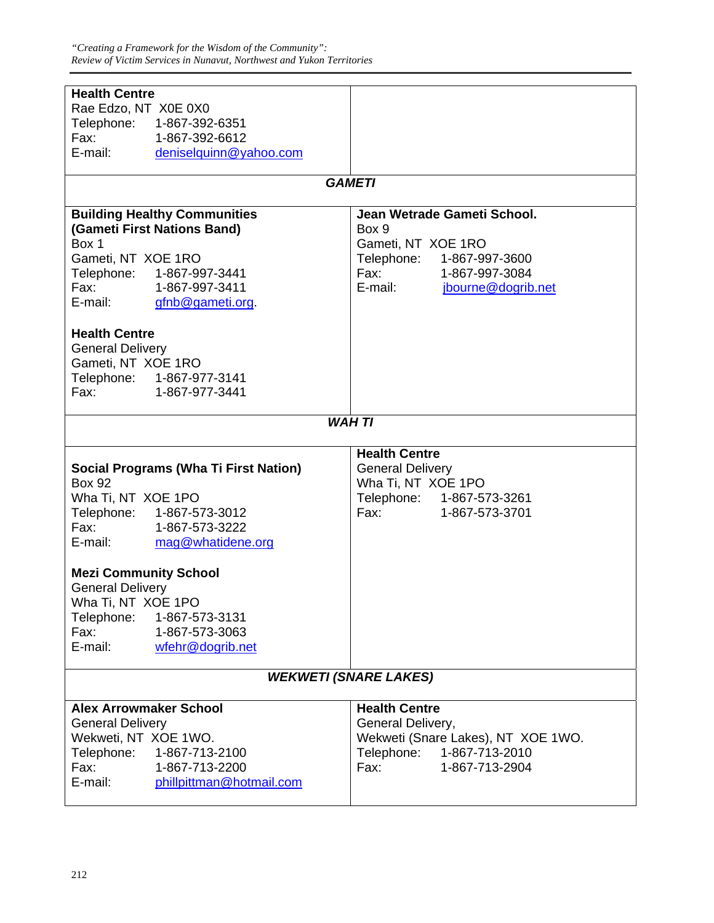| <b>Health Centre</b>                                                                                                                                                                                                                             |                                                                                                                                                                                                                                                  |
|--------------------------------------------------------------------------------------------------------------------------------------------------------------------------------------------------------------------------------------------------|--------------------------------------------------------------------------------------------------------------------------------------------------------------------------------------------------------------------------------------------------|
| Rae Edzo, NT X0E 0X0                                                                                                                                                                                                                             |                                                                                                                                                                                                                                                  |
| Telephone: 1-867-392-6351                                                                                                                                                                                                                        |                                                                                                                                                                                                                                                  |
| Fax: 1-867-392-6612                                                                                                                                                                                                                              |                                                                                                                                                                                                                                                  |
|                                                                                                                                                                                                                                                  |                                                                                                                                                                                                                                                  |
| E-mail: deniselquinn@yahoo.com                                                                                                                                                                                                                   |                                                                                                                                                                                                                                                  |
|                                                                                                                                                                                                                                                  |                                                                                                                                                                                                                                                  |
|                                                                                                                                                                                                                                                  | <b>GAMETI</b>                                                                                                                                                                                                                                    |
| <b>Building Healthy Communities</b>                                                                                                                                                                                                              | Jean Wetrade Gameti School.                                                                                                                                                                                                                      |
| (Gameti First Nations Band)                                                                                                                                                                                                                      | Box 9                                                                                                                                                                                                                                            |
| Box 1                                                                                                                                                                                                                                            |                                                                                                                                                                                                                                                  |
|                                                                                                                                                                                                                                                  | Gameti, NT XOE 1RO                                                                                                                                                                                                                               |
| Gameti, NT XOE 1RO                                                                                                                                                                                                                               | Telephone: 1-867-997-3600                                                                                                                                                                                                                        |
| Telephone: 1-867-997-3441                                                                                                                                                                                                                        | Fax: 1-867-997-3084                                                                                                                                                                                                                              |
| Fax: 1-867-997-3411                                                                                                                                                                                                                              | E-mail: <i>ibourne@dogrib.net</i>                                                                                                                                                                                                                |
| E-mail:<br>gfnb@gameti.org                                                                                                                                                                                                                       |                                                                                                                                                                                                                                                  |
|                                                                                                                                                                                                                                                  |                                                                                                                                                                                                                                                  |
| <b>Health Centre</b>                                                                                                                                                                                                                             |                                                                                                                                                                                                                                                  |
|                                                                                                                                                                                                                                                  |                                                                                                                                                                                                                                                  |
| <b>General Delivery</b>                                                                                                                                                                                                                          |                                                                                                                                                                                                                                                  |
| Gameti, NT XOE 1RO                                                                                                                                                                                                                               |                                                                                                                                                                                                                                                  |
| Telephone: 1-867-977-3141                                                                                                                                                                                                                        |                                                                                                                                                                                                                                                  |
| Fax: The Contract of the Contract of the Contract of the Contract of the Contract of the Contract of the Contract of the Contract of the Contract of the Contract of the Contract of the Contract of the Contract of the Contr<br>1-867-977-3441 |                                                                                                                                                                                                                                                  |
|                                                                                                                                                                                                                                                  |                                                                                                                                                                                                                                                  |
|                                                                                                                                                                                                                                                  | <b>WAH TI</b>                                                                                                                                                                                                                                    |
|                                                                                                                                                                                                                                                  |                                                                                                                                                                                                                                                  |
|                                                                                                                                                                                                                                                  |                                                                                                                                                                                                                                                  |
|                                                                                                                                                                                                                                                  |                                                                                                                                                                                                                                                  |
|                                                                                                                                                                                                                                                  | <b>Health Centre</b>                                                                                                                                                                                                                             |
| <b>Social Programs (Wha Ti First Nation)</b>                                                                                                                                                                                                     | <b>General Delivery</b>                                                                                                                                                                                                                          |
| <b>Box 92</b>                                                                                                                                                                                                                                    | Wha Ti, NT XOE 1PO                                                                                                                                                                                                                               |
| Wha Ti, NT XOE 1PO                                                                                                                                                                                                                               | Telephone: 1-867-573-3261                                                                                                                                                                                                                        |
| Telephone: 1-867-573-3012                                                                                                                                                                                                                        | Fax: The Contract of the Contract of the Contract of the Contract of the Contract of the Contract of the Contract of the Contract of the Contract of the Contract of the Contract of the Contract of the Contract of the Contr<br>1-867-573-3701 |
|                                                                                                                                                                                                                                                  |                                                                                                                                                                                                                                                  |
| Fax: 1-867-573-3222                                                                                                                                                                                                                              |                                                                                                                                                                                                                                                  |
| E-mail:<br>mag@whatidene.org                                                                                                                                                                                                                     |                                                                                                                                                                                                                                                  |
|                                                                                                                                                                                                                                                  |                                                                                                                                                                                                                                                  |
| <b>Mezi Community School</b>                                                                                                                                                                                                                     |                                                                                                                                                                                                                                                  |
| <b>General Delivery</b>                                                                                                                                                                                                                          |                                                                                                                                                                                                                                                  |
| Wha Ti, NT XOE 1PO                                                                                                                                                                                                                               |                                                                                                                                                                                                                                                  |
| Telephone: 1-867-573-3131                                                                                                                                                                                                                        |                                                                                                                                                                                                                                                  |
| Fax:<br>1-867-573-3063                                                                                                                                                                                                                           |                                                                                                                                                                                                                                                  |
| E-mail:                                                                                                                                                                                                                                          |                                                                                                                                                                                                                                                  |
| wfehr@dogrib.net                                                                                                                                                                                                                                 |                                                                                                                                                                                                                                                  |
|                                                                                                                                                                                                                                                  |                                                                                                                                                                                                                                                  |
|                                                                                                                                                                                                                                                  | <b>WEKWETI (SNARE LAKES)</b>                                                                                                                                                                                                                     |
| <b>Alex Arrowmaker School</b>                                                                                                                                                                                                                    | <b>Health Centre</b>                                                                                                                                                                                                                             |
|                                                                                                                                                                                                                                                  |                                                                                                                                                                                                                                                  |
| <b>General Delivery</b>                                                                                                                                                                                                                          | General Delivery,                                                                                                                                                                                                                                |
| Wekweti, NT XOE 1WO.                                                                                                                                                                                                                             | Wekweti (Snare Lakes), NT XOE 1WO.                                                                                                                                                                                                               |
| Telephone:<br>1-867-713-2100                                                                                                                                                                                                                     | Telephone: 1-867-713-2010                                                                                                                                                                                                                        |
| Fax:<br>1-867-713-2200                                                                                                                                                                                                                           | Fax:<br>1-867-713-2904                                                                                                                                                                                                                           |
| E-mail:<br>phillpittman@hotmail.com                                                                                                                                                                                                              |                                                                                                                                                                                                                                                  |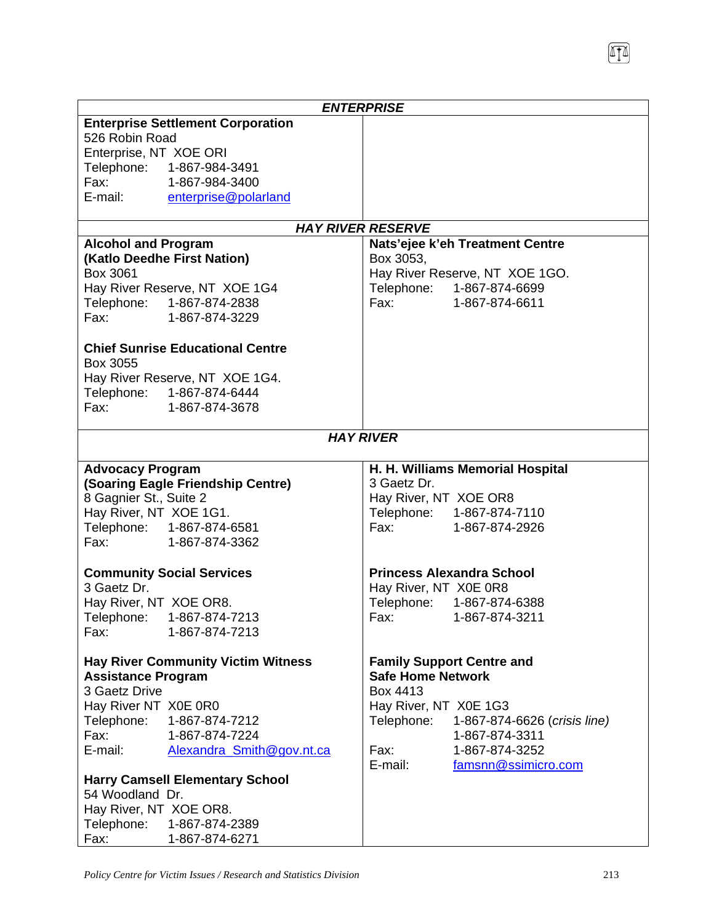|                                                                                                                |                                           | <b>ENTERPRISE</b>        |                                  |
|----------------------------------------------------------------------------------------------------------------|-------------------------------------------|--------------------------|----------------------------------|
|                                                                                                                | <b>Enterprise Settlement Corporation</b>  |                          |                                  |
| 526 Robin Road                                                                                                 |                                           |                          |                                  |
| Enterprise, NT XOE ORI                                                                                         |                                           |                          |                                  |
|                                                                                                                | Telephone: 1-867-984-3491                 |                          |                                  |
| $\mathsf{Fax}:$                                                                                                | 1-867-984-3400                            |                          |                                  |
| E-mail:                                                                                                        | enterprise@polarland                      |                          |                                  |
|                                                                                                                |                                           |                          |                                  |
|                                                                                                                |                                           | <b>HAY RIVER RESERVE</b> |                                  |
| <b>Alcohol and Program</b>                                                                                     |                                           |                          | Nats'ejee k'eh Treatment Centre  |
|                                                                                                                | (Katlo Deedhe First Nation)               | Box 3053,                |                                  |
| Box 3061                                                                                                       |                                           |                          | Hay River Reserve, NT XOE 1GO.   |
|                                                                                                                | Hay River Reserve, NT XOE 1G4             |                          | Telephone: 1-867-874-6699        |
|                                                                                                                | Telephone: 1-867-874-2838                 |                          | Fax: 1-867-874-6611              |
|                                                                                                                | Fax: 1-867-874-3229                       |                          |                                  |
|                                                                                                                |                                           |                          |                                  |
|                                                                                                                | <b>Chief Sunrise Educational Centre</b>   |                          |                                  |
| Box 3055                                                                                                       |                                           |                          |                                  |
|                                                                                                                | Hay River Reserve, NT XOE 1G4.            |                          |                                  |
|                                                                                                                | Telephone: 1-867-874-6444                 |                          |                                  |
| Fax: The Total State of The Total State of Total State of Total State of Total State of Total State of Total S | 1-867-874-3678                            |                          |                                  |
|                                                                                                                |                                           |                          |                                  |
|                                                                                                                |                                           | <b>HAY RIVER</b>         |                                  |
|                                                                                                                |                                           |                          |                                  |
| <b>Advocacy Program</b>                                                                                        |                                           |                          | H. H. Williams Memorial Hospital |
|                                                                                                                | (Soaring Eagle Friendship Centre)         | 3 Gaetz Dr.              |                                  |
| 8 Gagnier St., Suite 2                                                                                         |                                           | Hay River, NT XOE OR8    |                                  |
| Hay River, NT XOE 1G1.                                                                                         |                                           |                          | Telephone: 1-867-874-7110        |
|                                                                                                                | Telephone: 1-867-874-6581                 |                          | Fax: 1-867-874-2926              |
|                                                                                                                | Fax: 1-867-874-3362                       |                          |                                  |
|                                                                                                                |                                           |                          |                                  |
|                                                                                                                | <b>Community Social Services</b>          |                          | <b>Princess Alexandra School</b> |
| 3 Gaetz Dr.                                                                                                    |                                           | Hay River, NT X0E 0R8    |                                  |
| Hay River, NT XOE OR8.                                                                                         |                                           |                          | Telephone: 1-867-874-6388        |
|                                                                                                                | Telephone: 1-867-874-7213                 |                          | Fax: 1-867-874-3211              |
| Fax:                                                                                                           | 1-867-874-7213                            |                          |                                  |
|                                                                                                                |                                           |                          |                                  |
|                                                                                                                | <b>Hay River Community Victim Witness</b> |                          | <b>Family Support Centre and</b> |
| <b>Assistance Program</b>                                                                                      |                                           | <b>Safe Home Network</b> |                                  |
| 3 Gaetz Drive                                                                                                  |                                           | Box 4413                 |                                  |
| Hay River NT X0E 0R0                                                                                           |                                           | Hay River, NT X0E 1G3    |                                  |
| Telephone:                                                                                                     | 1-867-874-7212                            | Telephone:               | 1-867-874-6626 (crisis line)     |
| Fax:                                                                                                           | 1-867-874-7224                            |                          | 1-867-874-3311                   |
| E-mail:                                                                                                        | Alexandra Smith@gov.nt.ca                 | Fax:                     | 1-867-874-3252                   |
|                                                                                                                |                                           | E-mail:                  | famsnn@ssimicro.com              |
| 54 Woodland Dr.                                                                                                | <b>Harry Camsell Elementary School</b>    |                          |                                  |
|                                                                                                                |                                           |                          |                                  |
| Hay River, NT XOE OR8.                                                                                         |                                           |                          |                                  |
|                                                                                                                | Telephone: 1-867-874-2389                 |                          |                                  |
| Fax:                                                                                                           | 1-867-874-6271                            |                          |                                  |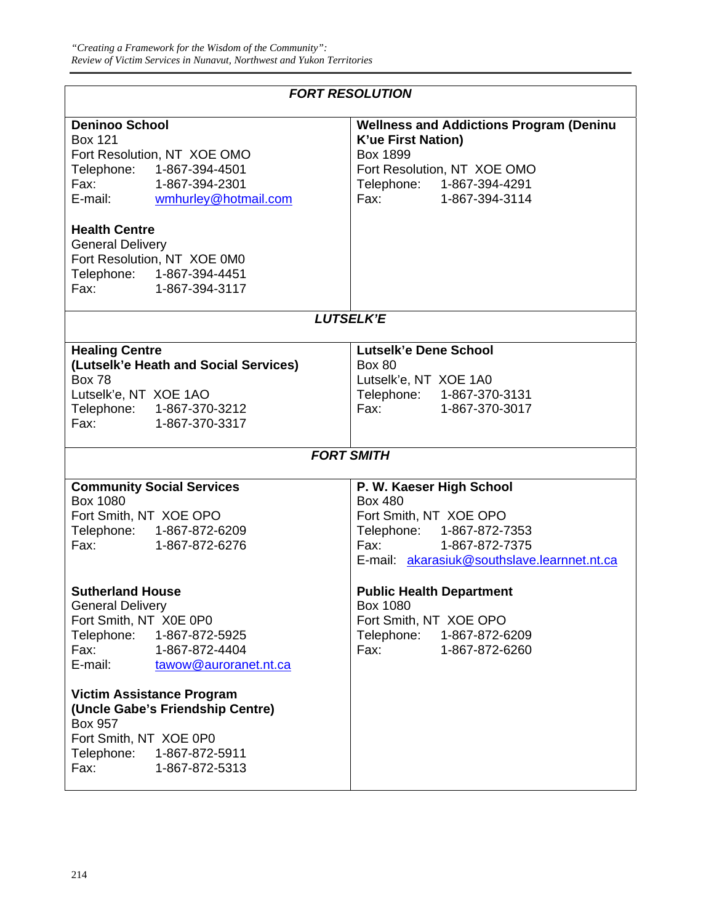| <b>FORT RESOLUTION</b>                                                                                                                                                                                                                                                                                                                                |                                                                                                                                                                                   |  |
|-------------------------------------------------------------------------------------------------------------------------------------------------------------------------------------------------------------------------------------------------------------------------------------------------------------------------------------------------------|-----------------------------------------------------------------------------------------------------------------------------------------------------------------------------------|--|
| <b>Deninoo School</b><br><b>Box 121</b><br>Fort Resolution, NT XOE OMO<br>Telephone: 1-867-394-4501<br>Fax: 1-867-394-2301<br>E-mail: wmhurley@hotmail.com<br><b>Health Centre</b><br><b>General Delivery</b><br>Fort Resolution, NT XOE 0M0<br>Telephone: 1-867-394-4451<br>Fax: 1-867-394-3117                                                      | <b>Wellness and Addictions Program (Deninu</b><br><b>K'ue First Nation)</b><br><b>Box 1899</b><br>Fort Resolution, NT XOE OMO<br>Telephone: 1-867-394-4291<br>Fax: 1-867-394-3114 |  |
|                                                                                                                                                                                                                                                                                                                                                       |                                                                                                                                                                                   |  |
|                                                                                                                                                                                                                                                                                                                                                       | <b>LUTSELK'E</b>                                                                                                                                                                  |  |
| <b>Healing Centre</b><br>(Lutselk'e Heath and Social Services)<br><b>Box 78</b><br>Lutselk'e, NT XOE 1AO<br>Telephone: 1-867-370-3212<br>Fax:<br>1-867-370-3317                                                                                                                                                                                       | Lutselk'e Dene School<br><b>Box 80</b><br>Lutselk'e, NT XOE 1A0<br>Telephone: 1-867-370-3131<br>Fax: 1-867-370-3017                                                               |  |
|                                                                                                                                                                                                                                                                                                                                                       | <b>FORT SMITH</b>                                                                                                                                                                 |  |
| <b>Community Social Services</b><br><b>Box 1080</b><br>Fort Smith, NT XOE OPO<br>Telephone: 1-867-872-6209<br>Fax: 1-867-872-6276                                                                                                                                                                                                                     | P. W. Kaeser High School<br><b>Box 480</b><br>Fort Smith, NT XOE OPO<br>Telephone: 1-867-872-7353<br>Fax:<br>1-867-872-7375<br>E-mail: akarasiuk@southslave.learnnet.nt.ca        |  |
| <b>Sutherland House</b><br><b>General Delivery</b><br>Fort Smith, NT X0E 0P0<br>Telephone:<br>1-867-872-5925<br>Fax:<br>1-867-872-4404<br>E-mail:<br>tawow@auroranet.nt.ca<br><b>Victim Assistance Program</b><br>(Uncle Gabe's Friendship Centre)<br><b>Box 957</b><br>Fort Smith, NT XOE 0P0<br>Telephone: 1-867-872-5911<br>Fax:<br>1-867-872-5313 | <b>Public Health Department</b><br>Box 1080<br>Fort Smith, NT XOE OPO<br>Telephone: 1-867-872-6209<br>Fax:<br>1-867-872-6260                                                      |  |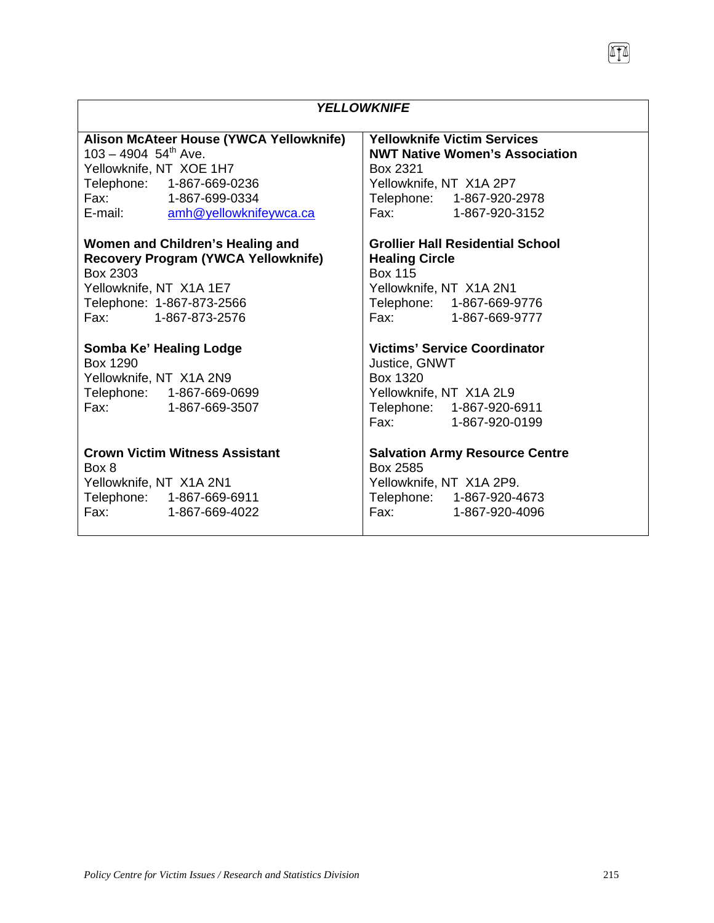| <b>YELLOWKNIFE</b>                                                                                                                                                                             |                                                                                                                                                                                                                                                                                                                                                                |  |
|------------------------------------------------------------------------------------------------------------------------------------------------------------------------------------------------|----------------------------------------------------------------------------------------------------------------------------------------------------------------------------------------------------------------------------------------------------------------------------------------------------------------------------------------------------------------|--|
| Alison McAteer House (YWCA Yellowknife)<br>$103 - 4904$ 54 <sup>th</sup> Ave.<br>Yellowknife, NT XOE 1H7<br>Telephone: 1-867-669-0236<br>Fax: 1-867-699-0334<br>E-mail: amh@yellowknifeywca.ca | <b>Yellowknife Victim Services</b><br><b>NWT Native Women's Association</b><br>Box 2321<br>Yellowknife, NT X1A 2P7<br>Telephone: 1-867-920-2978<br>Fax: 1-867-920-3152                                                                                                                                                                                         |  |
| Women and Children's Healing and<br><b>Recovery Program (YWCA Yellowknife)</b><br>Box 2303<br>Yellowknife, NT X1A 1E7<br>Telephone: 1-867-873-2566<br>Fax: 1-867-873-2576                      | <b>Grollier Hall Residential School</b><br><b>Healing Circle</b><br><b>Box 115</b><br>Yellowknife, NT X1A 2N1<br>Telephone: 1-867-669-9776<br>Fax: 1-867-669-9777                                                                                                                                                                                              |  |
| Somba Ke' Healing Lodge<br>Box 1290<br>Yellowknife, NT X1A 2N9<br>Telephone: 1-867-669-0699<br>Fax: 1-867-669-3507                                                                             | <b>Victims' Service Coordinator</b><br>Justice, GNWT<br>Box 1320<br>Yellowknife, NT X1A 2L9<br>Telephone: 1-867-920-6911<br>Fax: 1-867-920-0199                                                                                                                                                                                                                |  |
| <b>Crown Victim Witness Assistant</b><br>Box 8<br>Yellowknife, NT X1A 2N1<br>Telephone: 1-867-669-6911<br>Fax: 1-867-669-4022                                                                  | <b>Salvation Army Resource Centre</b><br>Box 2585<br>Yellowknife, NT X1A 2P9.<br>Telephone: 1-867-920-4673<br>Fax: The Contract of the Contract of the Contract of the Contract of the Contract of the Contract of the Contract of the Contract of the Contract of the Contract of the Contract of the Contract of the Contract of the Contr<br>1-867-920-4096 |  |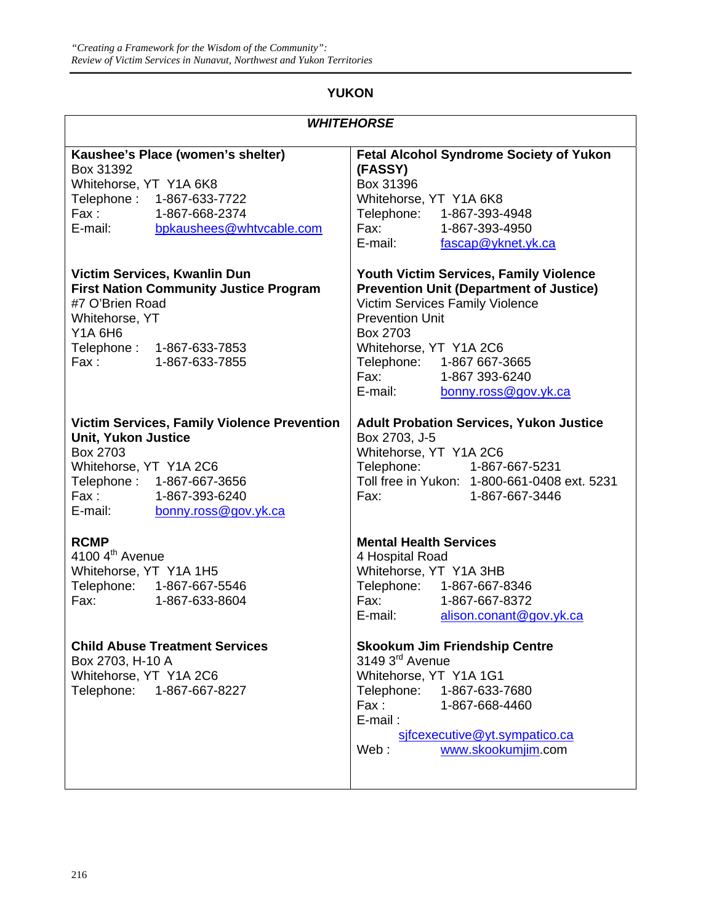## **YUKON**

| <b>WHITEHORSE</b>                                                                                                                                                                                             |                                                                                                                                                                                                                                                                                      |  |
|---------------------------------------------------------------------------------------------------------------------------------------------------------------------------------------------------------------|--------------------------------------------------------------------------------------------------------------------------------------------------------------------------------------------------------------------------------------------------------------------------------------|--|
| Kaushee's Place (women's shelter)<br>Box 31392<br>Whitehorse, YT Y1A 6K8<br>Telephone: 1-867-633-7722<br>Fax: 1-867-668-2374<br>E-mail: bpkaushees@whtvcable.com                                              | <b>Fetal Alcohol Syndrome Society of Yukon</b><br>(FASSY)<br>Box 31396<br>Whitehorse, YT Y1A 6K8<br>Telephone: 1-867-393-4948<br>Fax: The Contract of the Contract of the Contract of the Contract of the Contract of the Contract o<br>1-867-393-4950<br>E-mail: fascap@yknet.yk.ca |  |
| Victim Services, Kwanlin Dun<br><b>First Nation Community Justice Program</b><br>#7 O'Brien Road<br>Whitehorse, YT<br><b>Y1A 6H6</b><br>Telephone: 1-867-633-7853<br>Fax: 1-867-633-7855                      | Youth Victim Services, Family Violence<br><b>Prevention Unit (Department of Justice)</b><br>Victim Services Family Violence<br><b>Prevention Unit</b><br>Box 2703<br>Whitehorse, YT Y1A 2C6<br>Telephone: 1-867 667-3665<br>Fax: 1-867 393-6240<br>E-mail:<br>bonny.ross@gov.yk.ca   |  |
| <b>Victim Services, Family Violence Prevention</b><br><b>Unit, Yukon Justice</b><br>Box 2703<br>Whitehorse, YT Y1A 2C6<br>Telephone: 1-867-667-3656<br>Fax: 1-867-393-6240<br>E-mail:<br>bonny.ross@gov.yk.ca | <b>Adult Probation Services, Yukon Justice</b><br>Box 2703, J-5<br>Whitehorse, YT Y1A 2C6<br>Telephone: 1-867-667-5231<br>Toll free in Yukon: 1-800-661-0408 ext. 5231<br>Fax:<br>1-867-667-3446                                                                                     |  |
| <b>RCMP</b><br>4100 $4th$ Avenue<br>Whitehorse, YT Y1A 1H5<br>Telephone: 1-867-667-5546<br>Fax:<br>1-867-633-8604                                                                                             | <b>Mental Health Services</b><br>4 Hospital Road<br>Whitehorse, YT Y1A 3HB<br>Telephone: 1-867-667-8346<br>Fax: 1-867-667-8372<br>E-mail: alison.conant@gov.yk.ca                                                                                                                    |  |
| <b>Child Abuse Treatment Services</b><br>Box 2703, H-10 A<br>Whitehorse, YT Y1A 2C6<br>Telephone:<br>1-867-667-8227                                                                                           | <b>Skookum Jim Friendship Centre</b><br>3149 3 <sup>rd</sup> Avenue<br>Whitehorse, YT Y1A 1G1<br>Telephone:<br>1-867-633-7680<br>Fax:<br>1-867-668-4460<br>$E$ -mail:<br>sifcexecutive@yt.sympatico.ca<br>Web:<br>www.skookumjim.com                                                 |  |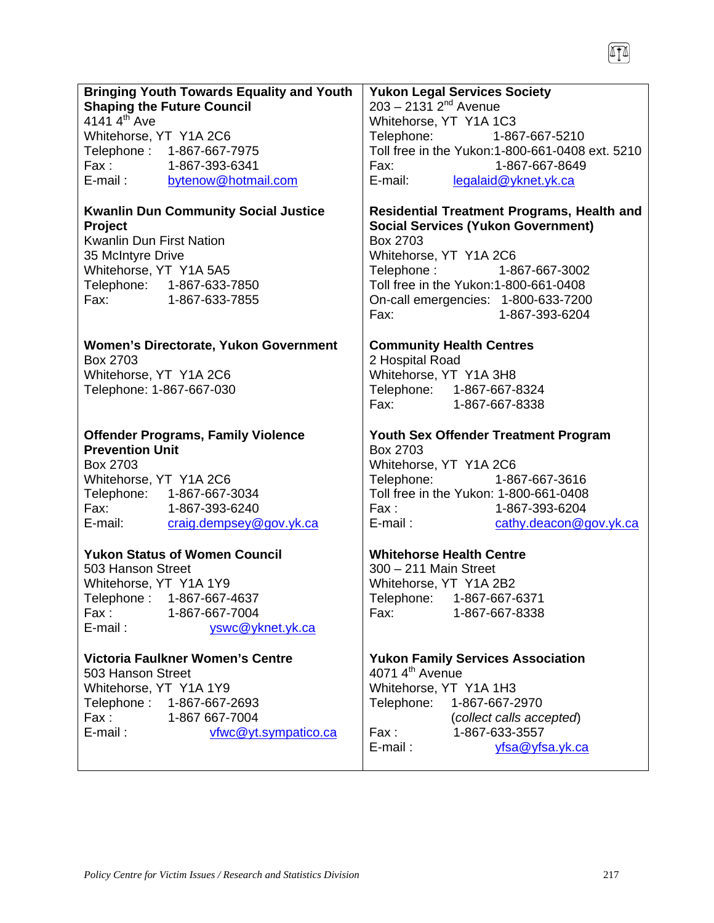|                          | <b>Bringing Youth Towards Equality and Youth</b> | <b>Yukon Legal Services Society</b>                                                                                                                                                                                                              |
|--------------------------|--------------------------------------------------|--------------------------------------------------------------------------------------------------------------------------------------------------------------------------------------------------------------------------------------------------|
|                          | <b>Shaping the Future Council</b>                | $203 - 2131$ $2^{nd}$ Avenue                                                                                                                                                                                                                     |
| 4141 $4^{\text{th}}$ Ave |                                                  | Whitehorse, YT Y1A 1C3                                                                                                                                                                                                                           |
| Whitehorse, YT Y1A 2C6   |                                                  | Telephone: 1-867-667-5210                                                                                                                                                                                                                        |
|                          | Telephone: 1-867-667-7975                        | Toll free in the Yukon: 1-800-661-0408 ext. 5210                                                                                                                                                                                                 |
|                          | Fax: 1-867-393-6341                              | Fax: and the state of the state of the state of the state of the state of the state of the state of the state of the state of the state of the state of the state of the state of the state of the state of the state of the s<br>1-867-667-8649 |
|                          | E-mail: bytenow@hotmail.com                      | E-mail: legalaid@yknet.yk.ca                                                                                                                                                                                                                     |
|                          | <b>Kwanlin Dun Community Social Justice</b>      | <b>Residential Treatment Programs, Health and</b>                                                                                                                                                                                                |
| Project                  |                                                  | <b>Social Services (Yukon Government)</b>                                                                                                                                                                                                        |
| Kwanlin Dun First Nation |                                                  | Box 2703                                                                                                                                                                                                                                         |
| 35 McIntyre Drive        |                                                  | Whitehorse, YT Y1A 2C6                                                                                                                                                                                                                           |
| Whitehorse, YT Y1A 5A5   |                                                  | Telephone: 1-867-667-3002                                                                                                                                                                                                                        |
|                          | Telephone: 1-867-633-7850                        | Toll free in the Yukon:1-800-661-0408                                                                                                                                                                                                            |
|                          | Fax: 1-867-633-7855                              | On-call emergencies: 1-800-633-7200                                                                                                                                                                                                              |
|                          |                                                  | 1-867-393-6204<br>Fax:                                                                                                                                                                                                                           |
|                          | Women's Directorate, Yukon Government            | <b>Community Health Centres</b>                                                                                                                                                                                                                  |
| Box 2703                 |                                                  | 2 Hospital Road                                                                                                                                                                                                                                  |
| Whitehorse, YT Y1A 2C6   |                                                  | Whitehorse, YT Y1A 3H8                                                                                                                                                                                                                           |
| Telephone: 1-867-667-030 |                                                  | Telephone: 1-867-667-8324                                                                                                                                                                                                                        |
|                          |                                                  | Fax:<br>1-867-667-8338                                                                                                                                                                                                                           |
|                          | <b>Offender Programs, Family Violence</b>        | Youth Sex Offender Treatment Program                                                                                                                                                                                                             |
| <b>Prevention Unit</b>   |                                                  | Box 2703                                                                                                                                                                                                                                         |
| Box 2703                 |                                                  | Whitehorse, YT Y1A 2C6                                                                                                                                                                                                                           |
| Whitehorse, YT Y1A 2C6   |                                                  | Telephone:<br>1-867-667-3616                                                                                                                                                                                                                     |
|                          | Telephone: 1-867-667-3034                        | Toll free in the Yukon: 1-800-661-0408                                                                                                                                                                                                           |
|                          | Fax: 1-867-393-6240                              | 1-867-393-6204                                                                                                                                                                                                                                   |
|                          | E-mail: craig.dempsey@gov.yk.ca                  | Fax :<br>E-mail :<br>cathy.deacon@gov.yk.ca                                                                                                                                                                                                      |
|                          | <b>Yukon Status of Women Council</b>             | <b>Whitehorse Health Centre</b>                                                                                                                                                                                                                  |
| 503 Hanson Street        |                                                  | 300 - 211 Main Street                                                                                                                                                                                                                            |
| Whitehorse, YT Y1A 1Y9   |                                                  | Whitehorse, YT Y1A 2B2                                                                                                                                                                                                                           |
|                          | Telephone: 1-867-667-4637                        | Telephone: 1-867-667-6371                                                                                                                                                                                                                        |
| Fax :                    | 1-867-667-7004                                   | 1-867-667-8338<br>Fax:                                                                                                                                                                                                                           |
| E-mail:                  | yswc@yknet.yk.ca                                 |                                                                                                                                                                                                                                                  |
|                          | Victoria Faulkner Women's Centre                 | <b>Yukon Family Services Association</b>                                                                                                                                                                                                         |
| 503 Hanson Street        |                                                  | 4071 $4th$ Avenue                                                                                                                                                                                                                                |
| Whitehorse, YT Y1A 1Y9   |                                                  | Whitehorse, YT Y1A 1H3                                                                                                                                                                                                                           |
|                          | Telephone: 1-867-667-2693                        | Telephone:<br>1-867-667-2970                                                                                                                                                                                                                     |
| Fax :                    | 1-867 667-7004                                   | (collect calls accepted)                                                                                                                                                                                                                         |
| E-mail:                  | vfwc@yt.sympatico.ca                             | Fax :<br>1-867-633-3557                                                                                                                                                                                                                          |
|                          |                                                  | E-mail:<br>yfsa@yfsa.yk.ca                                                                                                                                                                                                                       |
|                          |                                                  |                                                                                                                                                                                                                                                  |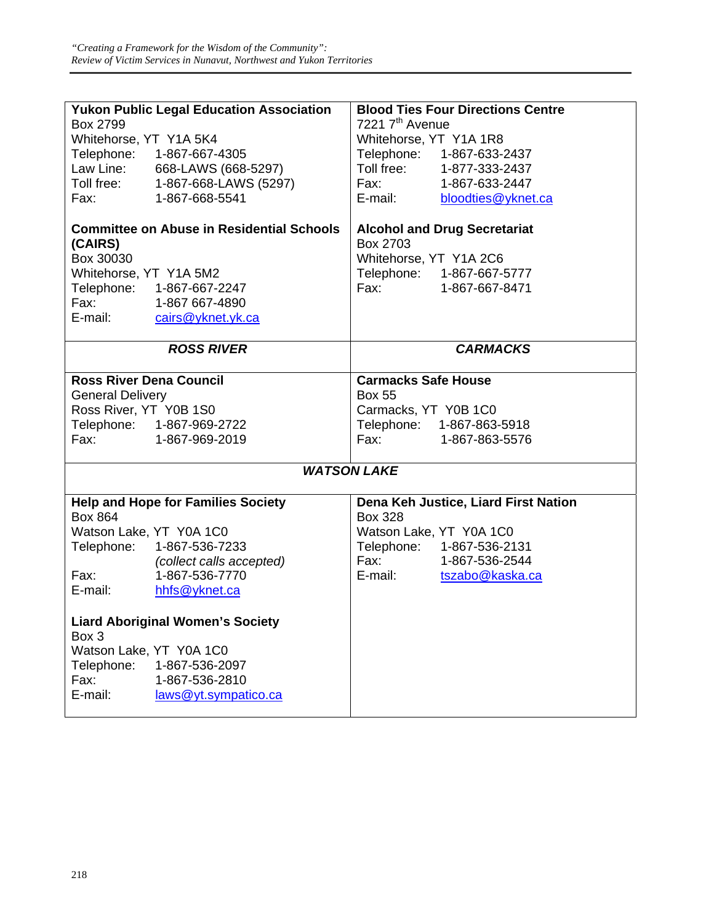|                                                                                                                                                                                                                                | <b>Yukon Public Legal Education Association</b> |                                                                                                                                                                                                                                | <b>Blood Ties Four Directions Centre</b> |
|--------------------------------------------------------------------------------------------------------------------------------------------------------------------------------------------------------------------------------|-------------------------------------------------|--------------------------------------------------------------------------------------------------------------------------------------------------------------------------------------------------------------------------------|------------------------------------------|
| Box 2799                                                                                                                                                                                                                       |                                                 | 7221 7 <sup>th</sup> Avenue                                                                                                                                                                                                    |                                          |
| Whitehorse, YT Y1A 5K4                                                                                                                                                                                                         |                                                 | Whitehorse, YT Y1A 1R8                                                                                                                                                                                                         |                                          |
|                                                                                                                                                                                                                                | Telephone: 1-867-667-4305                       |                                                                                                                                                                                                                                | Telephone: 1-867-633-2437                |
|                                                                                                                                                                                                                                | Law Line: 668-LAWS (668-5297)                   |                                                                                                                                                                                                                                | Toll free: 1-877-333-2437                |
|                                                                                                                                                                                                                                | Toll free: 1-867-668-LAWS (5297)                | Fax: The Contract of the Contract of the Contract of the Contract of the Contract of the Contract of the Contract of the Contract of the Contract of the Contract of the Contract of the Contract of the Contract of the Contr | 1-867-633-2447                           |
| Fax: The Contract of the Contract of the Contract of the Contract of the Contract of the Contract of the Contract of the Contract of the Contract of the Contract of the Contract of the Contract of the Contract of the Contr | 1-867-668-5541                                  | E-mail:                                                                                                                                                                                                                        | bloodties@yknet.ca                       |
| <b>Committee on Abuse in Residential Schools</b><br><b>Alcohol and Drug Secretariat</b><br>Box 2703<br>(CAIRS)                                                                                                                 |                                                 |                                                                                                                                                                                                                                |                                          |
| Box 30030                                                                                                                                                                                                                      |                                                 | Whitehorse, YT Y1A 2C6                                                                                                                                                                                                         |                                          |
| Whitehorse, YT Y1A 5M2                                                                                                                                                                                                         |                                                 |                                                                                                                                                                                                                                | Telephone: 1-867-667-5777                |
|                                                                                                                                                                                                                                | Telephone: 1-867-667-2247                       |                                                                                                                                                                                                                                | Fax: 1-867-667-8471                      |
|                                                                                                                                                                                                                                | Fax: 1-867 667-4890                             |                                                                                                                                                                                                                                |                                          |
|                                                                                                                                                                                                                                | E-mail: cairs@yknet.yk.ca                       |                                                                                                                                                                                                                                |                                          |
|                                                                                                                                                                                                                                |                                                 |                                                                                                                                                                                                                                |                                          |
|                                                                                                                                                                                                                                | <b>ROSS RIVER</b>                               |                                                                                                                                                                                                                                | <b>CARMACKS</b>                          |
| <b>Ross River Dena Council</b>                                                                                                                                                                                                 |                                                 | <b>Carmacks Safe House</b>                                                                                                                                                                                                     |                                          |
| <b>General Delivery</b>                                                                                                                                                                                                        |                                                 | <b>Box 55</b>                                                                                                                                                                                                                  |                                          |
| Ross River, YT Y0B 1S0                                                                                                                                                                                                         |                                                 | Carmacks, YT Y0B 1C0                                                                                                                                                                                                           |                                          |
|                                                                                                                                                                                                                                | Telephone: 1-867-969-2722                       |                                                                                                                                                                                                                                | Telephone: 1-867-863-5918                |
| Fax: The Contract of the Contract of the Contract of the Contract of the Contract of the Contract of the Contract of the Contract of the Contract of the Contract of the Contract of the Contract of the Contract of the Contr | 1-867-969-2019                                  | Fax: The Contract of the Contract of the Contract of the Contract of the Contract of the Contract of the Contract of the Contract of the Contract of the Contract of the Contract of the Contract of the Contract of the Contr | 1-867-863-5576                           |
|                                                                                                                                                                                                                                |                                                 |                                                                                                                                                                                                                                |                                          |
|                                                                                                                                                                                                                                |                                                 | <b>WATSON LAKE</b>                                                                                                                                                                                                             |                                          |
|                                                                                                                                                                                                                                | <b>Help and Hope for Families Society</b>       |                                                                                                                                                                                                                                | Dena Keh Justice, Liard First Nation     |
| <b>Box 864</b>                                                                                                                                                                                                                 |                                                 | <b>Box 328</b>                                                                                                                                                                                                                 |                                          |
| Watson Lake, YT Y0A 1C0                                                                                                                                                                                                        |                                                 |                                                                                                                                                                                                                                | Watson Lake, YT Y0A 1C0                  |
| Telephone:                                                                                                                                                                                                                     | 1-867-536-7233                                  |                                                                                                                                                                                                                                | Telephone: 1-867-536-2131                |
|                                                                                                                                                                                                                                | (collect calls accepted)                        |                                                                                                                                                                                                                                | Fax: 1-867-536-2544                      |
| Fax: The Contract of the Contract of the Contract of the Contract of the Contract of the Contract of the Contract of the Contract of the Contract of the Contract of the Contract of the Contract of the Contract of the Contr | 1-867-536-7770                                  |                                                                                                                                                                                                                                | E-mail: tszabo@kaska.ca                  |
| E-mail:                                                                                                                                                                                                                        | hhfs@yknet.ca                                   |                                                                                                                                                                                                                                |                                          |
| Box 3                                                                                                                                                                                                                          | <b>Liard Aboriginal Women's Society</b>         |                                                                                                                                                                                                                                |                                          |
| Watson Lake, YT Y0A 1C0                                                                                                                                                                                                        |                                                 |                                                                                                                                                                                                                                |                                          |
| Telephone:                                                                                                                                                                                                                     | 1-867-536-2097                                  |                                                                                                                                                                                                                                |                                          |
| Fax:                                                                                                                                                                                                                           | 1-867-536-2810                                  |                                                                                                                                                                                                                                |                                          |
| E-mail:                                                                                                                                                                                                                        | laws@yt.sympatico.ca                            |                                                                                                                                                                                                                                |                                          |
|                                                                                                                                                                                                                                |                                                 |                                                                                                                                                                                                                                |                                          |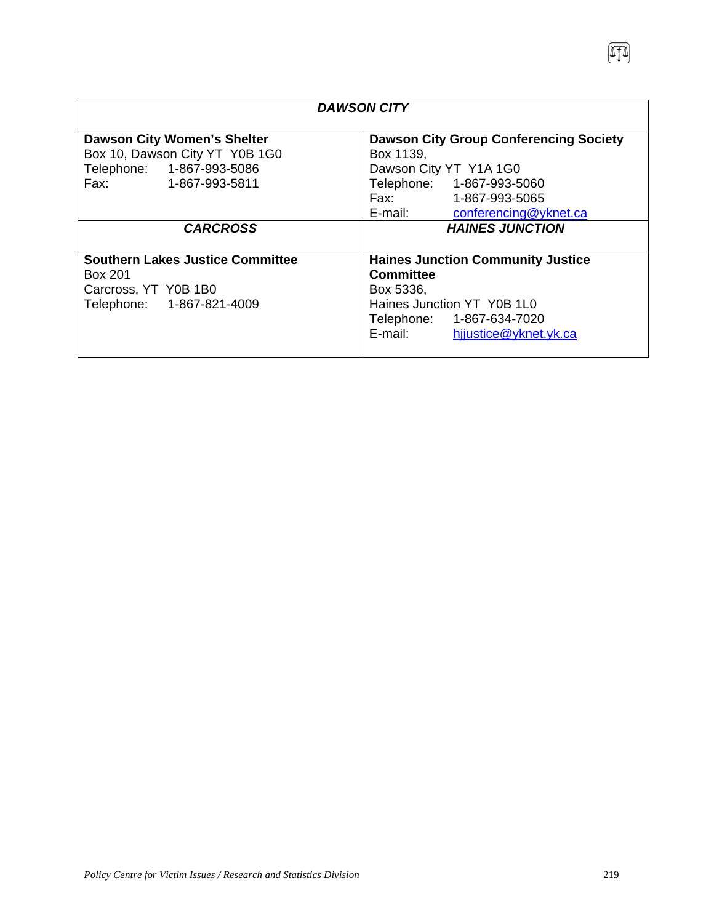| <b>DAWSON CITY</b>                                                                                                       |                                                                                                                                                                           |  |
|--------------------------------------------------------------------------------------------------------------------------|---------------------------------------------------------------------------------------------------------------------------------------------------------------------------|--|
| <b>Dawson City Women's Shelter</b><br>Box 10, Dawson City YT Y0B 1G0<br>Telephone: 1-867-993-5086<br>Fax: 1-867-993-5811 | <b>Dawson City Group Conferencing Society</b><br>Box 1139,<br>Dawson City YT Y1A 1G0<br>Telephone: 1-867-993-5060<br>Fax: 1-867-993-5065<br>E-mail: conferencing@yknet.ca |  |
| <b>CARCROSS</b>                                                                                                          | <b>HAINES JUNCTION</b>                                                                                                                                                    |  |
| <b>Southern Lakes Justice Committee</b><br>Box 201<br>Carcross, YT Y0B 1B0<br>Telephone: 1-867-821-4009                  | <b>Haines Junction Community Justice</b><br><b>Committee</b><br>Box 5336,<br>Haines Junction YT Y0B 1L0<br>Telephone: 1-867-634-7020<br>E-mail: hijustice@yknet.yk.ca     |  |